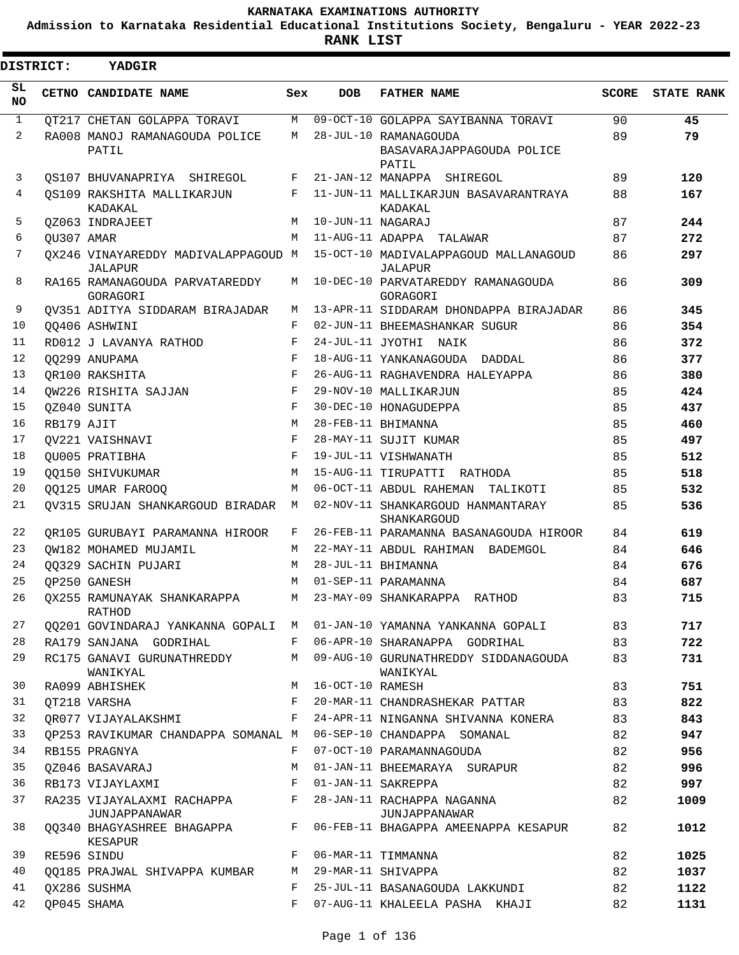**Admission to Karnataka Residential Educational Institutions Society, Bengaluru - YEAR 2022-23**

ı

| <b>DISTRICT:</b> |            | YADGIR                                         |                    |                   |                                                    |              |                   |  |  |  |  |  |  |
|------------------|------------|------------------------------------------------|--------------------|-------------------|----------------------------------------------------|--------------|-------------------|--|--|--|--|--|--|
| SL.<br><b>NO</b> |            | CETNO CANDIDATE NAME                           | Sex                | <b>DOB</b>        | <b>FATHER NAME</b>                                 | <b>SCORE</b> | <b>STATE RANK</b> |  |  |  |  |  |  |
| $\mathbf{1}$     |            | QT217 CHETAN GOLAPPA TORAVI                    | M                  |                   | 09-OCT-10 GOLAPPA SAYIBANNA TORAVI                 | 90           | 45                |  |  |  |  |  |  |
| 2                |            | RA008 MANOJ RAMANAGOUDA POLICE<br>PATIL        | M                  |                   | 28-JUL-10 RAMANAGOUDA<br>BASAVARAJAPPAGOUDA POLICE | 89           | 79                |  |  |  |  |  |  |
| 3                |            | QS107 BHUVANAPRIYA SHIREGOL                    | F                  |                   | PATIL<br>21-JAN-12 MANAPPA SHIREGOL                | 89           | 120               |  |  |  |  |  |  |
| 4                |            | OS109 RAKSHITA MALLIKARJUN                     | F                  |                   | 11-JUN-11 MALLIKARJUN BASAVARANTRAYA               | 88           | 167               |  |  |  |  |  |  |
|                  |            | KADAKAL                                        |                    |                   | KADAKAL                                            |              |                   |  |  |  |  |  |  |
| 5                |            | OZ063 INDRAJEET                                | M                  | 10-JUN-11 NAGARAJ |                                                    | 87           | 244               |  |  |  |  |  |  |
| 6                | OU307 AMAR |                                                | M                  |                   | 11-AUG-11 ADAPPA TALAWAR                           | 87           | 272               |  |  |  |  |  |  |
| 7                |            | QX246 VINAYAREDDY MADIVALAPPAGOUD M<br>JALAPUR |                    |                   | 15-OCT-10 MADIVALAPPAGOUD MALLANAGOUD<br>JALAPUR   | 86           | 297               |  |  |  |  |  |  |
| 8                |            | RA165 RAMANAGOUDA PARVATAREDDY<br>GORAGORI     | М                  |                   | 10-DEC-10 PARVATAREDDY RAMANAGOUDA<br>GORAGORI     | 86           | 309               |  |  |  |  |  |  |
| 9                |            | OV351 ADITYA SIDDARAM BIRAJADAR                | M                  |                   | 13-APR-11 SIDDARAM DHONDAPPA BIRAJADAR             | 86           | 345               |  |  |  |  |  |  |
| 10               |            | 00406 ASHWINI                                  | $_{\rm F}$         |                   | 02-JUN-11 BHEEMASHANKAR SUGUR                      | 86           | 354               |  |  |  |  |  |  |
| 11               |            | RD012 J LAVANYA RATHOD                         | F                  |                   | 24-JUL-11 JYOTHI NAIK                              | 86           | 372               |  |  |  |  |  |  |
| 12               |            | QQ299 ANUPAMA                                  | $\mathbf{F}% _{0}$ |                   | 18-AUG-11 YANKANAGOUDA DADDAL                      | 86           | 377               |  |  |  |  |  |  |
| 13               |            | OR100 RAKSHITA                                 | $_{\rm F}$         |                   | 26-AUG-11 RAGHAVENDRA HALEYAPPA                    | 86           | 380               |  |  |  |  |  |  |
| 14               |            | QW226 RISHITA SAJJAN                           | F                  |                   | 29-NOV-10 MALLIKARJUN                              | 85           | 424               |  |  |  |  |  |  |
| 15               |            | OZ040 SUNITA                                   | F                  |                   | 30-DEC-10 HONAGUDEPPA                              | 85           | 437               |  |  |  |  |  |  |
| 16               | RB179 AJIT |                                                | M                  |                   | 28-FEB-11 BHIMANNA                                 | 85           | 460               |  |  |  |  |  |  |
| 17               |            | OV221 VAISHNAVI                                | F                  |                   | 28-MAY-11 SUJIT KUMAR                              | 85           | 497               |  |  |  |  |  |  |
| 18               |            | OU005 PRATIBHA                                 | F                  |                   | 19-JUL-11 VISHWANATH                               | 85           | 512               |  |  |  |  |  |  |
| 19               |            | <b>OO150 SHIVUKUMAR</b>                        | M                  |                   | 15-AUG-11 TIRUPATTI RATHODA                        | 85           | 518               |  |  |  |  |  |  |
| 20               |            | 00125 UMAR FAROOO                              | M                  |                   | 06-OCT-11 ABDUL RAHEMAN TALIKOTI                   | 85           | 532               |  |  |  |  |  |  |
| 21               |            | OV315 SRUJAN SHANKARGOUD BIRADAR               | M                  |                   | 02-NOV-11 SHANKARGOUD HANMANTARAY<br>SHANKARGOUD   | 85           | 536               |  |  |  |  |  |  |
| 22               |            | OR105 GURUBAYI PARAMANNA HIROOR                | F                  |                   | 26-FEB-11 PARAMANNA BASANAGOUDA HIROOR             | 84           | 619               |  |  |  |  |  |  |
| 23               |            | OW182 MOHAMED MUJAMIL                          | M                  |                   | 22-MAY-11 ABDUL RAHIMAN BADEMGOL                   | 84           | 646               |  |  |  |  |  |  |
| 24               |            | 00329 SACHIN PUJARI                            | M                  |                   | 28-JUL-11 BHIMANNA                                 | 84           | 676               |  |  |  |  |  |  |
| 25               |            | OP250 GANESH                                   | M                  |                   | 01-SEP-11 PARAMANNA                                | 84           | 687               |  |  |  |  |  |  |
|                  |            | 26 QX255 RAMUNAYAK SHANKARAPPA<br>RATHOD       |                    |                   | M 23-MAY-09 SHANKARAPPA RATHOD                     | 83           | 715               |  |  |  |  |  |  |
| 27               |            | QQ201 GOVINDARAJ YANKANNA GOPALI M             |                    |                   | 01-JAN-10 YAMANNA YANKANNA GOPALI                  | 83           | 717               |  |  |  |  |  |  |
| 28               |            | RA179 SANJANA GODRIHAL                         | F                  |                   | 06-APR-10 SHARANAPPA GODRIHAL                      | 83           | 722               |  |  |  |  |  |  |
| 29               |            | RC175 GANAVI GURUNATHREDDY<br>WANIKYAL         | M                  |                   | 09-AUG-10 GURUNATHREDDY SIDDANAGOUDA<br>WANIKYAL   | 83           | 731               |  |  |  |  |  |  |
| 30               |            | RA099 ABHISHEK                                 | M                  | 16-OCT-10 RAMESH  |                                                    | 83           | 751               |  |  |  |  |  |  |
| 31               |            | QT218 VARSHA                                   | F                  |                   | 20-MAR-11 CHANDRASHEKAR PATTAR                     | 83           | 822               |  |  |  |  |  |  |
| 32               |            | OR077 VIJAYALAKSHMI                            | F                  |                   | 24-APR-11 NINGANNA SHIVANNA KONERA                 | 83           | 843               |  |  |  |  |  |  |
| 33               |            | OP253 RAVIKUMAR CHANDAPPA SOMANAL M            |                    |                   | 06-SEP-10 CHANDAPPA SOMANAL                        | 82           | 947               |  |  |  |  |  |  |
| 34               |            | RB155 PRAGNYA                                  | F                  |                   | 07-OCT-10 PARAMANNAGOUDA                           | 82           | 956               |  |  |  |  |  |  |
| 35               |            | 0Z046 BASAVARAJ                                | M                  |                   | 01-JAN-11 BHEEMARAYA SURAPUR                       | 82           | 996               |  |  |  |  |  |  |
| 36               |            | RB173 VIJAYLAXMI                               | F                  |                   | 01-JAN-11 SAKREPPA                                 | 82           | 997               |  |  |  |  |  |  |
| 37               |            | RA235 VIJAYALAXMI RACHAPPA<br>JUNJAPPANAWAR    | F                  |                   | 28-JAN-11 RACHAPPA NAGANNA<br>JUNJAPPANAWAR        | 82           | 1009              |  |  |  |  |  |  |
| 38               |            | QQ340 BHAGYASHREE BHAGAPPA<br>KESAPUR          | F                  |                   | 06-FEB-11 BHAGAPPA AMEENAPPA KESAPUR               | 82           | 1012              |  |  |  |  |  |  |
| 39               |            | RE596 SINDU                                    | F                  |                   | 06-MAR-11 TIMMANNA                                 | 82           | 1025              |  |  |  |  |  |  |
| 40               |            | QQ185 PRAJWAL SHIVAPPA KUMBAR                  | М                  |                   | 29-MAR-11 SHIVAPPA                                 | 82           | 1037              |  |  |  |  |  |  |
| 41               |            | OX286 SUSHMA                                   | F                  |                   | 25-JUL-11 BASANAGOUDA LAKKUNDI                     | 82           | 1122              |  |  |  |  |  |  |
| 42               |            | QP045 SHAMA                                    | F                  |                   | 07-AUG-11 KHALEELA PASHA KHAJI                     | 82           | 1131              |  |  |  |  |  |  |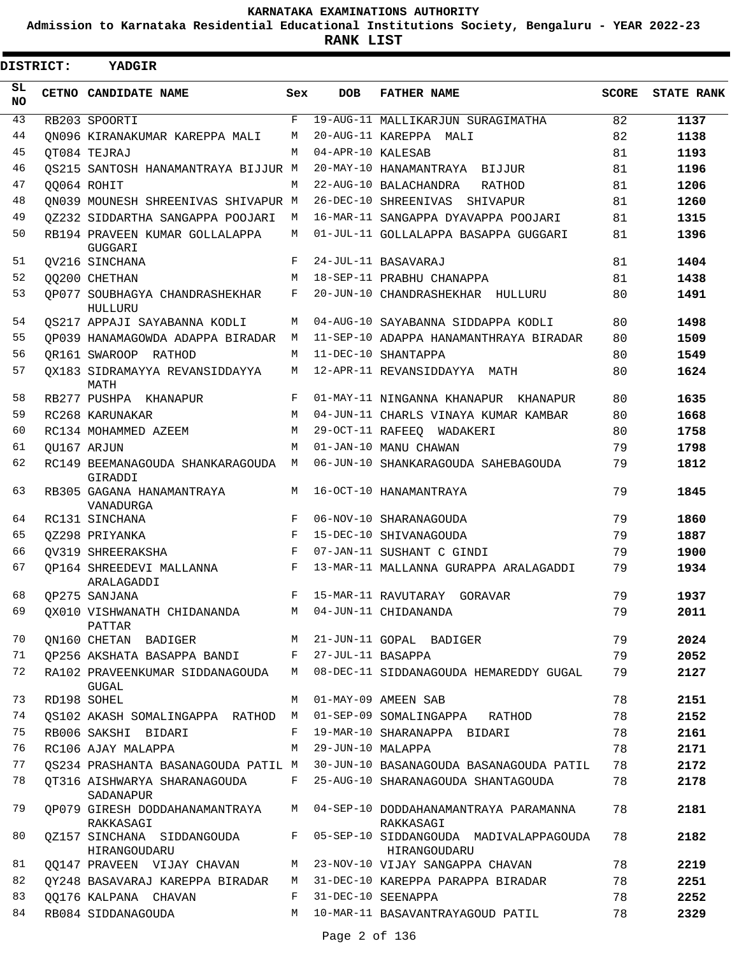**Admission to Karnataka Residential Educational Institutions Society, Bengaluru - YEAR 2022-23**

**RANK LIST**

 $\overline{\phantom{a}}$ 

| <b>DISTRICT:</b> | <b>YADGIR</b>                                                   |       |                   |                                                                             |              |                   |
|------------------|-----------------------------------------------------------------|-------|-------------------|-----------------------------------------------------------------------------|--------------|-------------------|
| SL<br>NO         | CETNO CANDIDATE NAME                                            | Sex   | <b>DOB</b>        | <b>FATHER NAME</b>                                                          | <b>SCORE</b> | <b>STATE RANK</b> |
| 43               | RB203 SPOORTI                                                   | F     |                   | 19-AUG-11 MALLIKARJUN SURAGIMATHA                                           | 82           | 1137              |
| 44               | ON096 KIRANAKUMAR KAREPPA MALI                                  | М     |                   | 20-AUG-11 KAREPPA MALI                                                      | 82           | 1138              |
| 45               | OT084 TEJRAJ                                                    | M     | 04-APR-10 KALESAB |                                                                             | 81           | 1193              |
| 46               | QS215 SANTOSH HANAMANTRAYA BIJJUR M                             |       |                   | 20-MAY-10 HANAMANTRAYA BIJJUR                                               | 81           | 1196              |
| 47               | OO064 ROHIT                                                     | M     |                   | 22-AUG-10 BALACHANDRA<br>RATHOD                                             | 81           | 1206              |
| 48               | ON039 MOUNESH SHREENIVAS SHIVAPUR M                             |       |                   | 26-DEC-10 SHREENIVAS SHIVAPUR                                               | 81           | 1260              |
| 49               | 0Z232 SIDDARTHA SANGAPPA POOJARI                                | М     |                   | 16-MAR-11 SANGAPPA DYAVAPPA POOJARI                                         | 81           | 1315              |
| 50               | RB194 PRAVEEN KUMAR GOLLALAPPA<br>GUGGARI                       | М     |                   | 01-JUL-11 GOLLALAPPA BASAPPA GUGGARI                                        | 81           | 1396              |
| 51               | OV216 SINCHANA                                                  | F     |                   | 24-JUL-11 BASAVARAJ                                                         | 81           | 1404              |
| 52               | <b>00200 CHETHAN</b>                                            | М     |                   | 18-SEP-11 PRABHU CHANAPPA                                                   | 81           | 1438              |
| 53               | OP077 SOUBHAGYA CHANDRASHEKHAR<br>HULLURU                       | F     |                   | 20-JUN-10 CHANDRASHEKHAR HULLURU                                            | 80           | 1491              |
| 54               | OS217 APPAJI SAYABANNA KODLI                                    | М     |                   | 04-AUG-10 SAYABANNA SIDDAPPA KODLI                                          | 80           | 1498              |
| 55               | OP039 HANAMAGOWDA ADAPPA BIRADAR                                | M     |                   | 11-SEP-10 ADAPPA HANAMANTHRAYA BIRADAR                                      | 80           | 1509              |
| 56               | OR161 SWAROOP RATHOD                                            | M     |                   | 11-DEC-10 SHANTAPPA                                                         | 80           | 1549              |
| 57               | OX183 SIDRAMAYYA REVANSIDDAYYA<br>MATH                          | M     |                   | 12-APR-11 REVANSIDDAYYA MATH                                                | 80           | 1624              |
| 58               | RB277 PUSHPA KHANAPUR                                           | F     |                   | 01-MAY-11 NINGANNA KHANAPUR KHANAPUR                                        | 80           | 1635              |
| 59               | RC268 KARUNAKAR                                                 | М     |                   | 04-JUN-11 CHARLS VINAYA KUMAR KAMBAR                                        | 80           | 1668              |
| 60               | RC134 MOHAMMED AZEEM                                            | М     |                   | 29-OCT-11 RAFEEQ WADAKERI                                                   | 80           | 1758              |
| 61               | OU167 ARJUN                                                     | M     |                   | 01-JAN-10 MANU CHAWAN                                                       | 79           | 1798              |
| 62               | RC149 BEEMANAGOUDA SHANKARAGOUDA<br>GIRADDI                     | М     |                   | 06-JUN-10 SHANKARAGOUDA SAHEBAGOUDA                                         | 79           | 1812              |
| 63               | RB305 GAGANA HANAMANTRAYA<br>VANADURGA                          | М     |                   | 16-OCT-10 HANAMANTRAYA                                                      | 79           | 1845              |
| 64               | RC131 SINCHANA                                                  | F     |                   | 06-NOV-10 SHARANAGOUDA                                                      | 79           | 1860              |
| 65               | OZ298 PRIYANKA                                                  | F     |                   | 15-DEC-10 SHIVANAGOUDA                                                      | 79           | 1887              |
| 66               | OV319 SHREERAKSHA                                               | F     |                   | 07-JAN-11 SUSHANT C GINDI                                                   | 79           | 1900              |
| 67               | OP164 SHREEDEVI MALLANNA<br>ARALAGADDI                          | F     |                   | 13-MAR-11 MALLANNA GURAPPA ARALAGADDI                                       | 79           | 1934              |
| 68               | OP275 SANJANA                                                   | F     |                   | 15-MAR-11 RAVUTARAY GORAVAR                                                 | 79           | 1937              |
| 69               | QX010 VISHWANATH CHIDANANDA M 04-JUN-11 CHIDANANDA<br>PATTAR    |       |                   |                                                                             | 79           | 2011              |
| 70               | QN160 CHETAN BADIGER                                            |       |                   | M 21-JUN-11 GOPAL BADIGER                                                   | 79           | 2024              |
| 71               | QP256 AKSHATA BASAPPA BANDI F 27-JUL-11 BASAPPA                 |       |                   |                                                                             | 79           | 2052              |
| 72               | RA102 PRAVEENKUMAR SIDDANAGOUDA<br>GUGAL                        | M     |                   | 08-DEC-11 SIDDANAGOUDA HEMAREDDY GUGAL                                      | 79           | 2127              |
| 73               | RD198 SOHEL                                                     | M     |                   | 01-MAY-09 AMEEN SAB                                                         | 78           | 2151              |
| 74               | QS102 AKASH SOMALINGAPPA RATHOD M 01-SEP-09 SOMALINGAPPA RATHOD |       |                   |                                                                             | 78           | 2152              |
| 75               | RB006 SAKSHI BIDARI                                             | $F -$ |                   | 19-MAR-10 SHARANAPPA BIDARI                                                 | 78           | 2161              |
| 76               | RC106 AJAY MALAPPA                                              | M     | 29-JUN-10 MALAPPA |                                                                             | 78           | 2171              |
| 77               |                                                                 |       |                   | QS234 PRASHANTA BASANAGOUDA PATIL M 30-JUN-10 BASANAGOUDA BASANAGOUDA PATIL | 78           | 2172              |
| 78               | OT316 AISHWARYA SHARANAGOUDA<br>SADANAPUR                       |       |                   | F 25-AUG-10 SHARANAGOUDA SHANTAGOUDA                                        | 78           | 2178              |
| 79               | QP079 GIRESH DODDAHANAMANTRAYA<br>RAKKASAGI                     |       |                   | M 04-SEP-10 DODDAHANAMANTRAYA PARAMANNA<br>RAKKASAGI                        | 78           | 2181              |
| 80               | 0Z157 SINCHANA SIDDANGOUDA<br>HIRANGOUDARU                      |       |                   | F 05-SEP-10 SIDDANGOUDA MADIVALAPPAGOUDA<br>HIRANGOUDARU                    | 78           | 2182              |
| 81               | QQ147 PRAVEEN VIJAY CHAVAN                                      |       |                   | M 23-NOV-10 VIJAY SANGAPPA CHAVAN                                           | 78           | 2219              |
| 82               | QY248 BASAVARAJ KAREPPA BIRADAR                                 |       |                   | M 31-DEC-10 KAREPPA PARAPPA BIRADAR                                         | 78           | 2251              |
| 83               | 00176 KALPANA CHAVAN                                            |       |                   | F 31-DEC-10 SEENAPPA                                                        | 78           | 2252              |
| 84               | RB084 SIDDANAGOUDA                                              |       |                   | M 10-MAR-11 BASAVANTRAYAGOUD PATIL                                          | 78           | 2329              |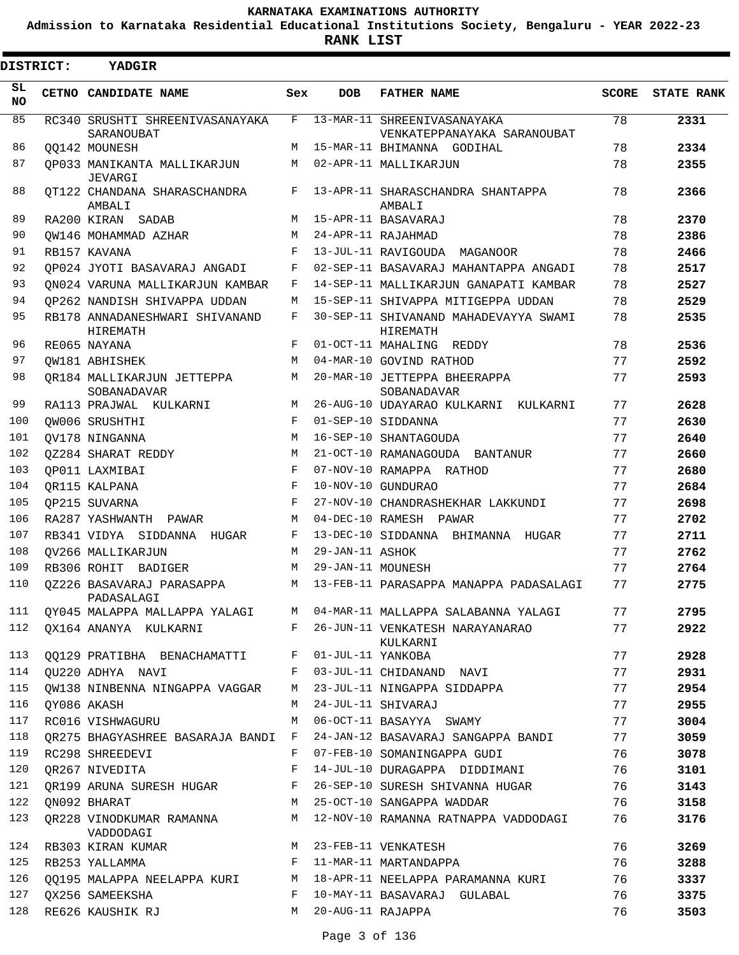**Admission to Karnataka Residential Educational Institutions Society, Bengaluru - YEAR 2022-23**

**RANK LIST**

|                 | <b>DISTRICT:</b> | YADGIR                                        |     |                     |                                                                          |              |                   |
|-----------------|------------------|-----------------------------------------------|-----|---------------------|--------------------------------------------------------------------------|--------------|-------------------|
| SL<br><b>NO</b> |                  | CETNO CANDIDATE NAME                          | Sex | <b>DOB</b>          | <b>FATHER NAME</b>                                                       | <b>SCORE</b> | <b>STATE RANK</b> |
| 85              |                  | RC340 SRUSHTI SHREENIVASANAYAKA<br>SARANOUBAT | F   |                     | 13-MAR-11 SHREENIVASANAYAKA<br>VENKATEPPANAYAKA SARANOUBAT               | 78           | 2331              |
| 86              |                  | QQ142 MOUNESH                                 | М   |                     | 15-MAR-11 BHIMANNA GODIHAL                                               | 78           | 2334              |
| 87              |                  | OP033 MANIKANTA MALLIKARJUN<br>JEVARGI        | M   |                     | 02-APR-11 MALLIKARJUN                                                    | 78           | 2355              |
| 88              |                  | OT122 CHANDANA SHARASCHANDRA<br>AMBALI        | F   |                     | 13-APR-11 SHARASCHANDRA SHANTAPPA<br>AMBALI                              | 78           | 2366              |
| 89              |                  | RA200 KIRAN SADAB                             | M   |                     | 15-APR-11 BASAVARAJ                                                      | 78           | 2370              |
| 90              |                  | OW146 MOHAMMAD AZHAR                          | M   |                     | 24-APR-11 RAJAHMAD                                                       | 78           | 2386              |
| 91              |                  | RB157 KAVANA                                  | F   |                     | 13-JUL-11 RAVIGOUDA MAGANOOR                                             | 78           | 2466              |
| 92              |                  | OP024 JYOTI BASAVARAJ ANGADI                  | F   |                     | 02-SEP-11 BASAVARAJ MAHANTAPPA ANGADI                                    | 78           | 2517              |
| 93              |                  | ON024 VARUNA MALLIKARJUN KAMBAR               | F   |                     | 14-SEP-11 MALLIKARJUN GANAPATI KAMBAR                                    | 78           | 2527              |
| 94              |                  | OP262 NANDISH SHIVAPPA UDDAN                  | M   |                     | 15-SEP-11 SHIVAPPA MITIGEPPA UDDAN                                       | 78           | 2529              |
| 95              |                  | RB178 ANNADANESHWARI SHIVANAND<br>HIREMATH    | F   |                     | 30-SEP-11 SHIVANAND MAHADEVAYYA SWAMI<br>HIREMATH                        | 78           | 2535              |
| 96              |                  | RE065 NAYANA                                  | F   |                     | 01-OCT-11 MAHALING REDDY                                                 | 78           | 2536              |
| 97              |                  | OW181 ABHISHEK                                | М   |                     | 04-MAR-10 GOVIND RATHOD                                                  | 77           | 2592              |
| 98              |                  | OR184 MALLIKARJUN JETTEPPA<br>SOBANADAVAR     | M   |                     | 20-MAR-10 JETTEPPA BHEERAPPA<br>SOBANADAVAR                              | 77           | 2593              |
| 99              |                  | RA113 PRAJWAL KULKARNI                        | M   |                     | 26-AUG-10 UDAYARAO KULKARNI KULKARNI                                     | 77           | 2628              |
| 100             |                  | OW006 SRUSHTHI                                | F   |                     | 01-SEP-10 SIDDANNA                                                       | 77           | 2630              |
| 101             |                  | OV178 NINGANNA                                | M   |                     | 16-SEP-10 SHANTAGOUDA                                                    | 77           | 2640              |
| 102             |                  | OZ284 SHARAT REDDY                            | M   |                     | 21-OCT-10 RAMANAGOUDA BANTANUR                                           | 77           | 2660              |
| 103             |                  | OP011 LAXMIBAI                                | F   |                     | 07-NOV-10 RAMAPPA RATHOD                                                 | 77           | 2680              |
| 104             |                  | OR115 KALPANA                                 | F   |                     | 10-NOV-10 GUNDURAO                                                       | 77           | 2684              |
| 105             |                  | OP215 SUVARNA                                 | F   |                     | 27-NOV-10 CHANDRASHEKHAR LAKKUNDI                                        | 77           | 2698              |
| 106             |                  | RA287 YASHWANTH PAWAR                         | M   |                     | 04-DEC-10 RAMESH PAWAR                                                   | 77           | 2702              |
| 107             |                  | RB341 VIDYA SIDDANNA HUGAR                    | F   |                     | 13-DEC-10 SIDDANNA BHIMANNA HUGAR                                        | 77           | 2711              |
| 108             |                  | OV266 MALLIKARJUN                             | M   | 29-JAN-11 ASHOK     |                                                                          | 77           | 2762              |
| 109             |                  | RB306 ROHIT BADIGER                           | M   | 29-JAN-11 MOUNESH   |                                                                          | 77           | 2764              |
| 110             |                  | 0Z226 BASAVARAJ PARASAPPA<br>PADASALAGI       | M   |                     | 13-FEB-11 PARASAPPA MANAPPA PADASALAGI                                   | 77           | 2775              |
| 111             |                  |                                               |     |                     | QY045 MALAPPA MALLAPPA YALAGI     M  04-MAR-11 MALLAPPA SALABANNA YALAGI | 77           | 2795              |
| 112             |                  | QX164 ANANYA KULKARNI                         | F   |                     | 26-JUN-11 VENKATESH NARAYANARAO<br>KULKARNI                              | 77           | 2922              |
| 113             |                  | QQ129 PRATIBHA BENACHAMATTI                   |     | F 01-JUL-11 YANKOBA |                                                                          | 77           | 2928              |
| 114             |                  | QU220 ADHYA NAVI                              | F   |                     | 03-JUL-11 CHIDANAND NAVI                                                 | 77           | 2931              |
| 115             |                  | OW138 NINBENNA NINGAPPA VAGGAR                | M   |                     | 23-JUL-11 NINGAPPA SIDDAPPA                                              | 77           | 2954              |
| 116             |                  | QY086 AKASH                                   | М   |                     | 24-JUL-11 SHIVARAJ                                                       | 77           | 2955              |
| 117             |                  | RC016 VISHWAGURU                              | M   |                     | 06-OCT-11 BASAYYA SWAMY                                                  | 77           | 3004              |
| 118             |                  | OR275 BHAGYASHREE BASARAJA BANDI F            |     |                     | 24-JAN-12 BASAVARAJ SANGAPPA BANDI                                       | 77           | 3059              |
| 119             |                  | RC298 SHREEDEVI                               | F   |                     | 07-FEB-10 SOMANINGAPPA GUDI                                              | 76           | 3078              |
| 120             |                  | QR267 NIVEDITA                                | F   |                     | 14-JUL-10 DURAGAPPA DIDDIMANI                                            | 76           | 3101              |
| 121             |                  | OR199 ARUNA SURESH HUGAR                      | F   |                     | 26-SEP-10 SURESH SHIVANNA HUGAR                                          | 76           | 3143              |
| 122             |                  | ON092 BHARAT                                  | М   |                     | 25-OCT-10 SANGAPPA WADDAR                                                | 76           | 3158              |
| 123             |                  | QR228 VINODKUMAR RAMANNA<br>VADDODAGI         | M   |                     | 12-NOV-10 RAMANNA RATNAPPA VADDODAGI                                     | 76           | 3176              |
| 124             |                  | RB303 KIRAN KUMAR                             |     |                     | M 23-FEB-11 VENKATESH                                                    | 76           | 3269              |
| 125             |                  | F 11-MAR-11 MARTANDAPPA<br>RB253 YALLAMMA     |     |                     |                                                                          | 76           | 3288              |
| 126             |                  | QQ195 MALAPPA NEELAPPA KURI M                 |     |                     | 18-APR-11 NEELAPPA PARAMANNA KURI                                        | 76           | 3337              |
| 127             |                  | QX256 SAMEEKSHA                               | F   |                     | 10-MAY-11 BASAVARAJ GULABAL                                              | 76           | 3375              |
| 128             |                  | RE626 KAUSHIK RJ                              | M   | 20-AUG-11 RAJAPPA   |                                                                          | 76           | 3503              |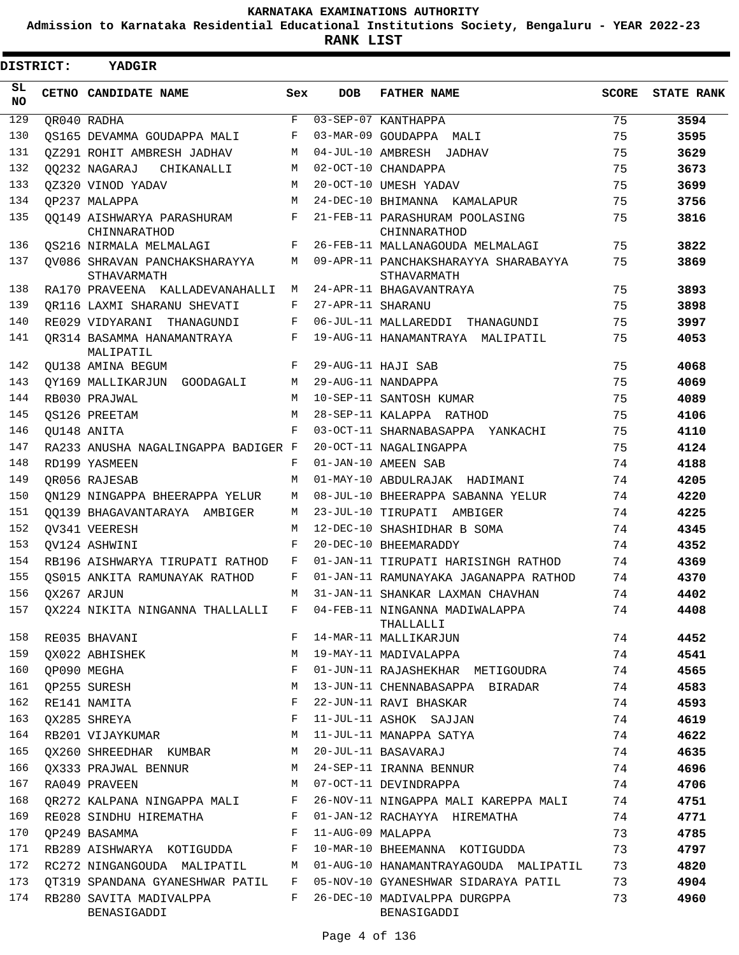**Admission to Karnataka Residential Educational Institutions Society, Bengaluru - YEAR 2022-23**

| <b>DISTRICT:</b> | YADGIR                                       |              |                   |                                                     |              |                   |
|------------------|----------------------------------------------|--------------|-------------------|-----------------------------------------------------|--------------|-------------------|
| SL.<br><b>NO</b> | CETNO CANDIDATE NAME                         | Sex          | <b>DOB</b>        | <b>FATHER NAME</b>                                  | <b>SCORE</b> | <b>STATE RANK</b> |
| 129              | QR040 RADHA                                  | F            |                   | 03-SEP-07 KANTHAPPA                                 | 75           | 3594              |
| 130              | OS165 DEVAMMA GOUDAPPA MALI                  | F            |                   | 03-MAR-09 GOUDAPPA MALI                             | 75           | 3595              |
| 131              | 0Z291 ROHIT AMBRESH JADHAV                   | М            |                   | 04-JUL-10 AMBRESH JADHAV                            | 75           | 3629              |
| 132              | 00232 NAGARAJ<br>CHIKANALLI                  | М            |                   | 02-OCT-10 CHANDAPPA                                 | 75           | 3673              |
| 133              | 0Z320 VINOD YADAV                            | М            |                   | 20-OCT-10 UMESH YADAV                               | 75           | 3699              |
| 134              | OP237 MALAPPA                                | M            |                   | 24-DEC-10 BHIMANNA KAMALAPUR                        | 75           | 3756              |
| 135              | 00149 AISHWARYA PARASHURAM<br>CHINNARATHOD   | F            |                   | 21-FEB-11 PARASHURAM POOLASING<br>CHINNARATHOD      | 75           | 3816              |
| 136              | <b>QS216 NIRMALA MELMALAGI</b>               | F            |                   | 26-FEB-11 MALLANAGOUDA MELMALAGI                    | 75           | 3822              |
| 137              | QV086 SHRAVAN PANCHAKSHARAYYA<br>STHAVARMATH | М            |                   | 09-APR-11 PANCHAKSHARAYYA SHARABAYYA<br>STHAVARMATH | 75           | 3869              |
| 138              | RA170 PRAVEENA KALLADEVANAHALLI              | М            |                   | 24-APR-11 BHAGAVANTRAYA                             | 75           | 3893              |
| 139              | OR116 LAXMI SHARANU SHEVATI                  | F            | 27-APR-11 SHARANU |                                                     | 75           | 3898              |
| 140              | RE029 VIDYARANI THANAGUNDI                   | F            |                   | 06-JUL-11 MALLAREDDI<br>THANAGUNDI                  | 75           | 3997              |
| 141              | OR314 BASAMMA HANAMANTRAYA<br>MALIPATIL      | F            |                   | 19-AUG-11 HANAMANTRAYA MALIPATIL                    | 75           | 4053              |
| 142              | OU138 AMINA BEGUM                            | F            |                   | 29-AUG-11 HAJI SAB                                  | 75           | 4068              |
| 143              | OY169 MALLIKARJUN GOODAGALI                  | M            |                   | 29-AUG-11 NANDAPPA                                  | 75           | 4069              |
| 144              | RB030 PRAJWAL                                | M            |                   | 10-SEP-11 SANTOSH KUMAR                             | 75           | 4089              |
| 145              | OS126 PREETAM                                | М            |                   | 28-SEP-11 KALAPPA RATHOD                            | 75           | 4106              |
| 146              | OU148 ANITA                                  | F            |                   | 03-OCT-11 SHARNABASAPPA<br>YANKACHI                 | 75           | 4110              |
| 147              | RA233 ANUSHA NAGALINGAPPA BADIGER F          |              |                   | 20-OCT-11 NAGALINGAPPA                              | 75           | 4124              |
| 148              | RD199 YASMEEN                                | F            |                   | 01-JAN-10 AMEEN SAB                                 | 74           | 4188              |
| 149              | OR056 RAJESAB                                | M            |                   | 01-MAY-10 ABDULRAJAK HADIMANI                       | 74           | 4205              |
| 150              | ON129 NINGAPPA BHEERAPPA YELUR               | М            |                   | 08-JUL-10 BHEERAPPA SABANNA YELUR                   | 74           | 4220              |
| 151              | 00139 BHAGAVANTARAYA AMBIGER                 | М            |                   | 23-JUL-10 TIRUPATI AMBIGER                          | 74           | 4225              |
| 152              | OV341 VEERESH                                | М            |                   | 12-DEC-10 SHASHIDHAR B SOMA                         | 74           | 4345              |
| 153              | OV124 ASHWINI                                | F            |                   | 20-DEC-10 BHEEMARADDY                               | 74           | 4352              |
| 154              | RB196 AISHWARYA TIRUPATI RATHOD              | F            |                   | 01-JAN-11 TIRUPATI HARISINGH RATHOD                 | 74           | 4369              |
| 155              | OS015 ANKITA RAMUNAYAK RATHOD                | F            |                   | 01-JAN-11 RAMUNAYAKA JAGANAPPA RATHOD               | 74           | 4370              |
| 156              | OX267 ARJUN                                  | М            |                   | 31-JAN-11 SHANKAR LAXMAN CHAVHAN                    | 74           | 4402              |
| 157              | QX224 NIKITA NINGANNA THALLALLI              | F            |                   | 04-FEB-11 NINGANNA MADIWALAPPA<br>THALLALLI         | 74           | 4408              |
| 158              | RE035 BHAVANI                                | F            |                   | 14-MAR-11 MALLIKARJUN                               | 74           | 4452              |
| 159              | QX022 ABHISHEK                               | М            |                   | 19-MAY-11 MADIVALAPPA                               | 74           | 4541              |
| 160              | QP090 MEGHA                                  | F            |                   | 01-JUN-11 RAJASHEKHAR METIGOUDRA                    | 74           | 4565              |
| 161              | QP255 SURESH                                 | М            |                   | 13-JUN-11 CHENNABASAPPA BIRADAR                     | 74           | 4583              |
| 162              | RE141 NAMITA                                 | F            |                   | 22-JUN-11 RAVI BHASKAR                              | 74           | 4593              |
| 163              | QX285 SHREYA                                 | F            |                   | 11-JUL-11 ASHOK SAJJAN                              | 74           | 4619              |
| 164              | RB201 VIJAYKUMAR                             | М            |                   | 11-JUL-11 MANAPPA SATYA                             | 74           | 4622              |
| 165              | QX260 SHREEDHAR KUMBAR                       | M            |                   | 20-JUL-11 BASAVARAJ                                 | 74           | 4635              |
| 166              | QX333 PRAJWAL BENNUR                         | M            |                   | 24-SEP-11 IRANNA BENNUR                             | 74           | 4696              |
| 167              | RA049 PRAVEEN                                | M            |                   | 07-OCT-11 DEVINDRAPPA                               | 74           | 4706              |
| 168              | OR272 KALPANA NINGAPPA MALI                  | F            |                   | 26-NOV-11 NINGAPPA MALI KAREPPA MALI                | 74           | 4751              |
| 169              | RE028 SINDHU HIREMATHA                       | F            |                   | 01-JAN-12 RACHAYYA HIREMATHA                        | 74           | 4771              |
| 170              | QP249 BASAMMA                                | F            | 11-AUG-09 MALAPPA |                                                     | 73           | 4785              |
| 171              | RB289 AISHWARYA KOTIGUDDA                    | F            |                   | 10-MAR-10 BHEEMANNA KOTIGUDDA                       | 73           | 4797              |
| 172              | RC272 NINGANGOUDA MALIPATIL                  | М            |                   | 01-AUG-10 HANAMANTRAYAGOUDA MALIPATIL               | 73           | 4820              |
| 173              | OT319 SPANDANA GYANESHWAR PATIL              | $\mathbf{F}$ |                   | 05-NOV-10 GYANESHWAR SIDARAYA PATIL                 | 73           | 4904              |
| 174              | RB280 SAVITA MADIVALPPA<br>BENASIGADDI       | F            |                   | 26-DEC-10 MADIVALPPA DURGPPA<br>BENASIGADDI         | 73           | 4960              |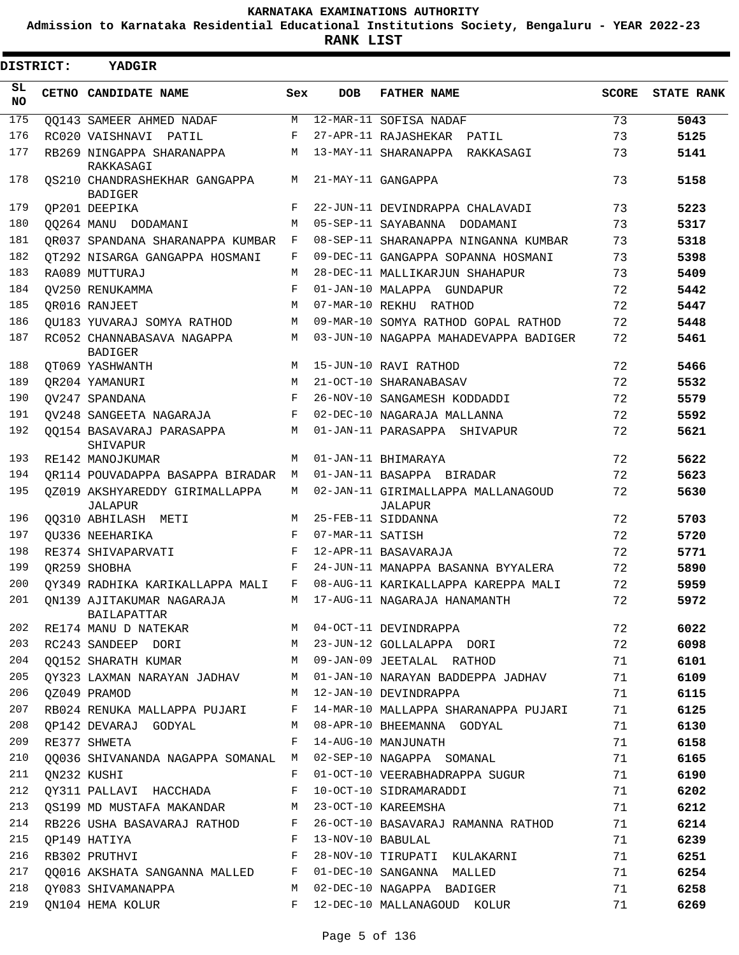**Admission to Karnataka Residential Educational Institutions Society, Bengaluru - YEAR 2022-23**

| DISTRICT:       | YADGIR                                          |            |                   |                                               |              |                   |
|-----------------|-------------------------------------------------|------------|-------------------|-----------------------------------------------|--------------|-------------------|
| SL<br><b>NO</b> | CETNO CANDIDATE NAME                            | Sex        | <b>DOB</b>        | <b>FATHER NAME</b>                            | <b>SCORE</b> | <b>STATE RANK</b> |
| 175             | <b>OO143 SAMEER AHMED NADAF</b>                 | M          |                   | 12-MAR-11 SOFISA NADAF                        | 73           | 5043              |
| 176             | RC020 VAISHNAVI PATIL                           | F          |                   | 27-APR-11 RAJASHEKAR PATIL                    | 73           | 5125              |
| 177             | RB269 NINGAPPA SHARANAPPA<br>RAKKASAGI          | M          |                   | 13-MAY-11 SHARANAPPA RAKKASAGI                | 73           | 5141              |
| 178             | OS210 CHANDRASHEKHAR GANGAPPA<br><b>BADIGER</b> | М          |                   | 21-MAY-11 GANGAPPA                            | 73           | 5158              |
| 179             | OP201 DEEPIKA                                   | F          |                   | 22-JUN-11 DEVINDRAPPA CHALAVADI               | 73           | 5223              |
| 180             | 00264 MANU DODAMANI                             | M          |                   | 05-SEP-11 SAYABANNA DODAMANI                  | 73           | 5317              |
| 181             | OR037 SPANDANA SHARANAPPA KUMBAR                | F          |                   | 08-SEP-11 SHARANAPPA NINGANNA KUMBAR          | 73           | 5318              |
| 182             | OT292 NISARGA GANGAPPA HOSMANI                  | F          |                   | 09-DEC-11 GANGAPPA SOPANNA HOSMANI            | 73           | 5398              |
| 183             | RA089 MUTTURAJ                                  | M          |                   | 28-DEC-11 MALLIKARJUN SHAHAPUR                | 73           | 5409              |
| 184             | OV250 RENUKAMMA                                 | F          |                   | 01-JAN-10 MALAPPA GUNDAPUR                    | 72           | 5442              |
| 185             | OR016 RANJEET                                   | M          | 07-MAR-10 REKHU   | RATHOD                                        | 72           | 5447              |
| 186             | OU183 YUVARAJ SOMYA RATHOD                      | M          |                   | 09-MAR-10 SOMYA RATHOD GOPAL RATHOD           | 72           | 5448              |
| 187             | RC052 CHANNABASAVA NAGAPPA<br><b>BADIGER</b>    | M          |                   | 03-JUN-10 NAGAPPA MAHADEVAPPA BADIGER         | 72           | 5461              |
| 188             | OT069 YASHWANTH                                 | М          |                   | 15-JUN-10 RAVI RATHOD                         | 72           | 5466              |
| 189             | OR204 YAMANURI                                  | М          |                   | 21-OCT-10 SHARANABASAV                        | 72           | 5532              |
| 190             | OV247 SPANDANA                                  | $_{\rm F}$ |                   | 26-NOV-10 SANGAMESH KODDADDI                  | 72           | 5579              |
| 191             | QV248 SANGEETA NAGARAJA                         | F          |                   | 02-DEC-10 NAGARAJA MALLANNA                   | 72           | 5592              |
| 192             | 00154 BASAVARAJ PARASAPPA<br>SHIVAPUR           | M          |                   | 01-JAN-11 PARASAPPA SHIVAPUR                  | 72           | 5621              |
| 193             | RE142 MANOJKUMAR                                | М          |                   | 01-JAN-11 BHIMARAYA                           | 72           | 5622              |
| 194             | OR114 POUVADAPPA BASAPPA BIRADAR                | M          |                   | 01-JAN-11 BASAPPA BIRADAR                     | 72           | 5623              |
| 195             | OZ019 AKSHYAREDDY GIRIMALLAPPA<br>JALAPUR       | M          |                   | 02-JAN-11 GIRIMALLAPPA MALLANAGOUD<br>JALAPUR | 72           | 5630              |
| 196             | QQ310 ABHILASH METI                             | М          |                   | 25-FEB-11 SIDDANNA                            | 72           | 5703              |
| 197             | OU336 NEEHARIKA                                 | F          | 07-MAR-11 SATISH  |                                               | 72           | 5720              |
| 198             | RE374 SHIVAPARVATI                              | F          |                   | 12-APR-11 BASAVARAJA                          | 72           | 5771              |
| 199             | OR259 SHOBHA                                    | F          |                   | 24-JUN-11 MANAPPA BASANNA BYYALERA            | 72           | 5890              |
| 200             | OY349 RADHIKA KARIKALLAPPA MALI                 | F          |                   | 08-AUG-11 KARIKALLAPPA KAREPPA MALI           | 72           | 5959              |
|                 | 201 QN139 AJITAKUMAR NAGARAJA<br>BAILAPATTAR    |            |                   | M 17-AUG-11 NAGARAJA HANAMANTH                | 72           | 5972              |
| 202             | RE174 MANU D NATEKAR M                          |            |                   | 04-OCT-11 DEVINDRAPPA                         | 72           | 6022              |
| 203             | RC243 SANDEEP DORI                              |            |                   | M 23-JUN-12 GOLLALAPPA DORI                   | 72           | 6098              |
| 204             | QQ152 SHARATH KUMAR<br>M <sub>N</sub>           |            |                   | 09-JAN-09 JEETALAL RATHOD                     | 71           | 6101              |
| 205             | OY323 LAXMAN NARAYAN JADHAV                     | M          |                   | 01-JAN-10 NARAYAN BADDEPPA JADHAV             | 71           | 6109              |
| 206             | OZ049 PRAMOD                                    | M          |                   | 12-JAN-10 DEVINDRAPPA                         | 71           | 6115              |
| 207             | RB024 RENUKA MALLAPPA PUJARI                    | F          |                   | 14-MAR-10 MALLAPPA SHARANAPPA PUJARI          | 71           | 6125              |
| 208             | OP142 DEVARAJ GODYAL                            | M          |                   | 08-APR-10 BHEEMANNA GODYAL                    | 71           | 6130              |
| 209             | RE377 SHWETA                                    | F          |                   | 14-AUG-10 MANJUNATH                           | 71           | 6158              |
| 210             | QQ036 SHIVANANDA NAGAPPA SOMANAL M              |            |                   | 02-SEP-10 NAGAPPA SOMANAL                     | 71           | 6165              |
| 211             | QN232 KUSHI                                     | F          |                   | 01-OCT-10 VEERABHADRAPPA SUGUR                | 71           | 6190              |
| 212             | QY311 PALLAVI HACCHADA                          | F          |                   | 10-OCT-10 SIDRAMARADDI                        | 71           | 6202              |
| 213             | QS199 MD MUSTAFA MAKANDAR                       | M          |                   | 23-OCT-10 KAREEMSHA                           | 71           | 6212              |
| 214             | RB226 USHA BASAVARAJ RATHOD                     | F          |                   | 26-OCT-10 BASAVARAJ RAMANNA RATHOD            | 71           | 6214              |
| 215             | OP149 HATIYA                                    | F          | 13-NOV-10 BABULAL |                                               | 71           | 6239              |
| 216             | RB302 PRUTHVI                                   | F          |                   | 28-NOV-10 TIRUPATI KULAKARNI                  | 71           | 6251              |
| 217             | QQ016 AKSHATA SANGANNA MALLED F                 |            |                   | 01-DEC-10 SANGANNA MALLED                     | 71           | 6254              |
| 218             | OY083 SHIVAMANAPPA                              | M          |                   | 02-DEC-10 NAGAPPA BADIGER                     | 71           | 6258              |
| 219             | ON104 HEMA KOLUR                                | F          |                   | 12-DEC-10 MALLANAGOUD KOLUR                   | 71           | 6269              |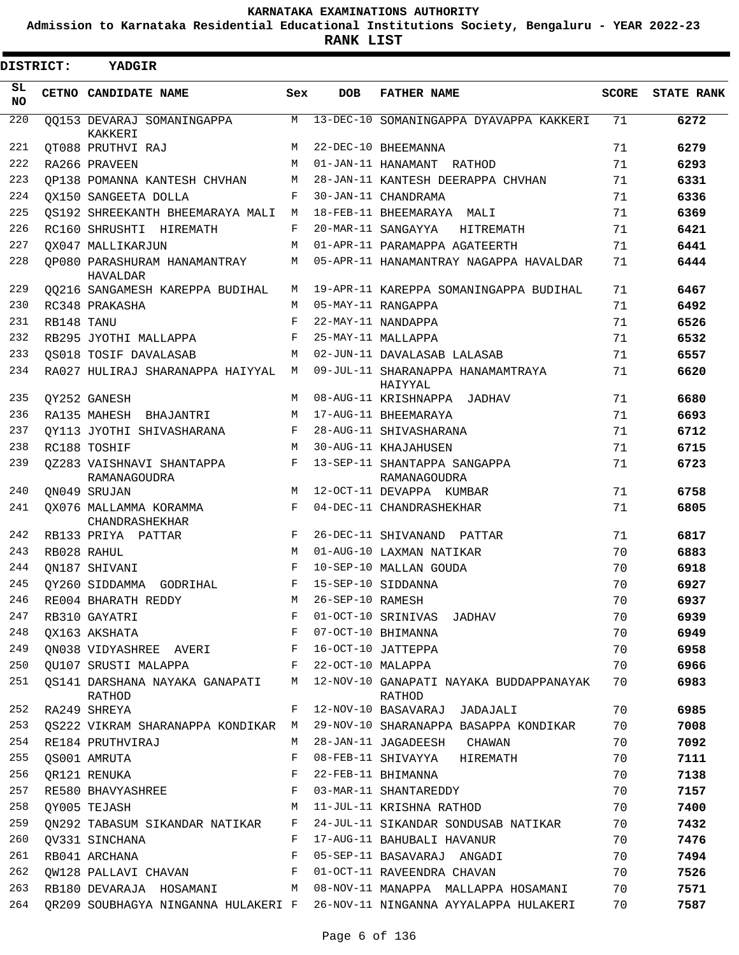**Admission to Karnataka Residential Educational Institutions Society, Bengaluru - YEAR 2022-23**

**RANK LIST**

 $\blacksquare$ 

| DISTRICT:       |            | YADGIR                                     |            |                    |                                                   |       |                   |
|-----------------|------------|--------------------------------------------|------------|--------------------|---------------------------------------------------|-------|-------------------|
| SL<br><b>NO</b> |            | CETNO CANDIDATE NAME                       | Sex        | <b>DOB</b>         | <b>FATHER NAME</b>                                | SCORE | <b>STATE RANK</b> |
| 220             |            | 00153 DEVARAJ SOMANINGAPPA<br>KAKKERI      | M          |                    | 13-DEC-10 SOMANINGAPPA DYAVAPPA KAKKERI           | 71    | 6272              |
| 221             |            | OT088 PRUTHVI RAJ                          | М          |                    | 22-DEC-10 BHEEMANNA                               | 71    | 6279              |
| 222             |            | RA266 PRAVEEN                              | M          |                    | 01-JAN-11 HANAMANT RATHOD                         | 71    | 6293              |
| 223             |            | OP138 POMANNA KANTESH CHVHAN               | М          |                    | 28-JAN-11 KANTESH DEERAPPA CHVHAN                 | 71    | 6331              |
| 224             |            | OX150 SANGEETA DOLLA                       | F          |                    | 30-JAN-11 CHANDRAMA                               | 71    | 6336              |
| 225             |            | OS192 SHREEKANTH BHEEMARAYA MALI           | M          |                    | 18-FEB-11 BHEEMARAYA MALI                         | 71    | 6369              |
| 226             |            | RC160 SHRUSHTI HIREMATH                    | F          |                    | 20-MAR-11 SANGAYYA HITREMATH                      | 71    | 6421              |
| 227             |            | OX047 MALLIKARJUN                          | M          |                    | 01-APR-11 PARAMAPPA AGATEERTH                     | 71    | 6441              |
| 228             |            | QP080 PARASHURAM HANAMANTRAY<br>HAVALDAR   | М          |                    | 05-APR-11 HANAMANTRAY NAGAPPA HAVALDAR            | 71    | 6444              |
| 229             |            | 00216 SANGAMESH KAREPPA BUDIHAL            | M          |                    | 19-APR-11 KAREPPA SOMANINGAPPA BUDIHAL            | 71    | 6467              |
| 230             |            | RC348 PRAKASHA                             | M          |                    | 05-MAY-11 RANGAPPA                                | 71    | 6492              |
| 231             | RB148 TANU |                                            | F          |                    | 22-MAY-11 NANDAPPA                                | 71    | 6526              |
| 232             |            | RB295 JYOTHI MALLAPPA                      | $_{\rm F}$ |                    | 25-MAY-11 MALLAPPA                                | 71    | 6532              |
| 233             |            | OS018 TOSIF DAVALASAB                      | M          |                    | 02-JUN-11 DAVALASAB LALASAB                       | 71    | 6557              |
| 234             |            | RA027 HULIRAJ SHARANAPPA HAIYYAL M         |            |                    | 09-JUL-11 SHARANAPPA HANAMAMTRAYA<br>HAIYYAL      | 71    | 6620              |
| 235             |            | OY252 GANESH                               | М          |                    | 08-AUG-11 KRISHNAPPA JADHAV                       | 71    | 6680              |
| 236             |            | RA135 MAHESH BHAJANTRI                     | M          |                    | 17-AUG-11 BHEEMARAYA                              | 71    | 6693              |
| 237             |            | OY113 JYOTHI SHIVASHARANA                  | F          |                    | 28-AUG-11 SHIVASHARANA                            | 71    | 6712              |
| 238             |            | RC188 TOSHIF                               | M          |                    | 30-AUG-11 KHAJAHUSEN                              | 71    | 6715              |
| 239             |            | 0Z283 VAISHNAVI SHANTAPPA<br>RAMANAGOUDRA  | F          |                    | 13-SEP-11 SHANTAPPA SANGAPPA<br>RAMANAGOUDRA      | 71    | 6723              |
| 240             |            | ON049 SRUJAN                               | M          |                    | 12-OCT-11 DEVAPPA KUMBAR                          | 71    | 6758              |
| 241             |            | QX076 MALLAMMA KORAMMA<br>CHANDRASHEKHAR   | F          |                    | 04-DEC-11 CHANDRASHEKHAR                          | 71    | 6805              |
| 242             |            | RB133 PRIYA PATTAR                         | F          |                    | 26-DEC-11 SHIVANAND PATTAR                        | 71    | 6817              |
| 243             |            | RB028 RAHUL                                | M          |                    | 01-AUG-10 LAXMAN NATIKAR                          | 70    | 6883              |
| 244             |            | ON187 SHIVANI                              | $_{\rm F}$ |                    | 10-SEP-10 MALLAN GOUDA                            | 70    | 6918              |
| 245             |            | OY260 SIDDAMMA GODRIHAL                    | F          | 15-SEP-10 SIDDANNA |                                                   | 70    | 6927              |
| 246             |            | RE004 BHARATH REDDY                        | M          | 26-SEP-10 RAMESH   |                                                   | 70    | 6937              |
| 247             |            | RB310 GAYATRI                              | F          |                    | 01-OCT-10 SRINIVAS JADHAV                         | 70    | 6939              |
| 248             |            | QX163 AKSHATA                              | F          |                    | 07-OCT-10 BHIMANNA                                | 70    | 6949              |
| 249             |            | QN038 VIDYASHREE AVERI F                   |            |                    | 16-OCT-10 JATTEPPA                                | 70    | 6958              |
| 250             |            | QU107 SRUSTI MALAPPA                       | F          | 22-OCT-10 MALAPPA  |                                                   | 70    | 6966              |
| 251             |            | OS141 DARSHANA NAYAKA GANAPATI M<br>RATHOD |            |                    | 12-NOV-10 GANAPATI NAYAKA BUDDAPPANAYAK<br>RATHOD | 70    | 6983              |
| 252             |            | RA249 SHREYA                               | F          |                    | 12-NOV-10 BASAVARAJ JADAJALI                      | 70    | 6985              |
| 253             |            | OS222 VIKRAM SHARANAPPA KONDIKAR M         |            |                    | 29-NOV-10 SHARANAPPA BASAPPA KONDIKAR             | 70    | 7008              |
| 254             |            | RE184 PRUTHVIRAJ                           | М          |                    | 28-JAN-11 JAGADEESH CHAWAN                        | 70    | 7092              |
| 255             |            | QS001 AMRUTA                               | F          |                    | 08-FEB-11 SHIVAYYA HIREMATH                       | 70    | 7111              |
| 256             |            | QR121 RENUKA                               | F          |                    | 22-FEB-11 BHIMANNA                                | 70    | 7138              |
| 257             |            | RE580 BHAVYASHREE                          | F          |                    | 03-MAR-11 SHANTAREDDY                             | 70    | 7157              |
| 258             |            | OY005 TEJASH                               | M          |                    | 11-JUL-11 KRISHNA RATHOD                          | 70    | 7400              |
| 259             |            | QN292 TABASUM SIKANDAR NATIKAR             | F          |                    | 24-JUL-11 SIKANDAR SONDUSAB NATIKAR               | 70    | 7432              |
| 260             |            | OV331 SINCHANA                             | F          |                    | 17-AUG-11 BAHUBALI HAVANUR                        | 70    | 7476              |
| 261             |            | RB041 ARCHANA                              | F          |                    | 05-SEP-11 BASAVARAJ ANGADI                        | 70    | 7494              |
| 262             |            | QW128 PALLAVI CHAVAN                       | F          |                    | 01-OCT-11 RAVEENDRA CHAVAN                        | 70    | 7526              |
| 263             |            | RB180 DEVARAJA HOSAMANI M                  |            |                    | 08-NOV-11 MANAPPA MALLAPPA HOSAMANI               | 70    | 7571              |
| 264             |            | QR209 SOUBHAGYA NINGANNA HULAKERI F        |            |                    | 26-NOV-11 NINGANNA AYYALAPPA HULAKERI             | 70    | 7587              |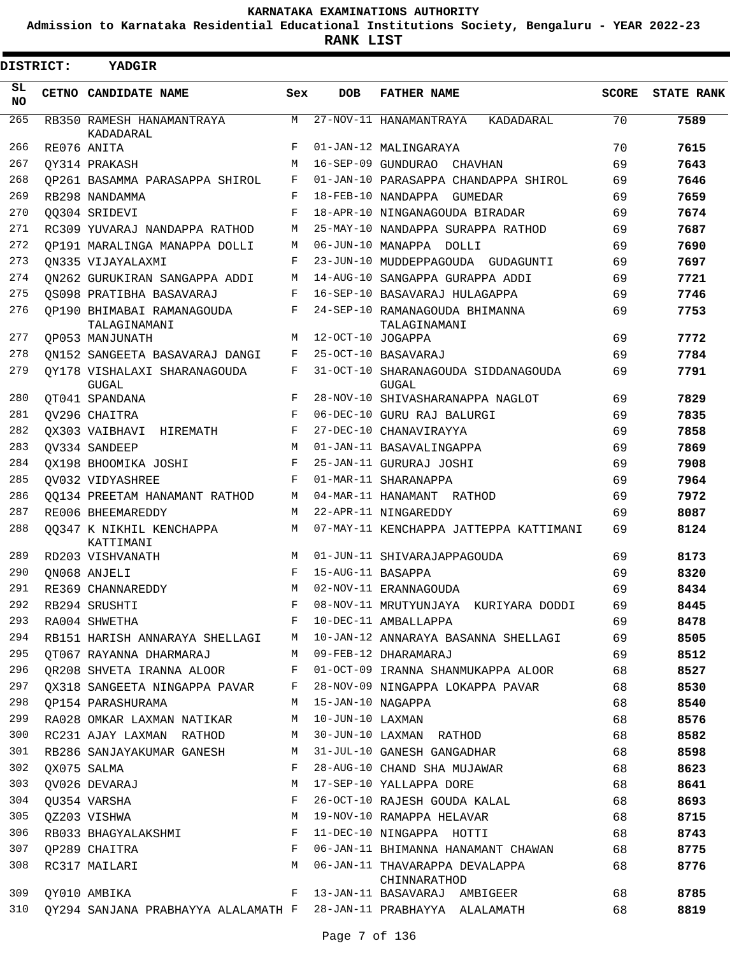**Admission to Karnataka Residential Educational Institutions Society, Bengaluru - YEAR 2022-23**

**RANK LIST**

 $\blacksquare$ 

| <b>DISTRICT:</b> | <b>YADGIR</b>                                                     |              |                   |                                                     |              |                   |
|------------------|-------------------------------------------------------------------|--------------|-------------------|-----------------------------------------------------|--------------|-------------------|
| SL<br>NO.        | CETNO CANDIDATE NAME                                              | Sex          | <b>DOB</b>        | <b>FATHER NAME</b>                                  | <b>SCORE</b> | <b>STATE RANK</b> |
| 265              | RB350 RAMESH HANAMANTRAYA<br>KADADARAL                            | M            |                   | 27-NOV-11 HANAMANTRAYA<br>KADADARAL                 | 70           | 7589              |
| 266              | RE076 ANITA                                                       | F            |                   | 01-JAN-12 MALINGARAYA                               | 70           | 7615              |
| 267              | OY314 PRAKASH                                                     | M            |                   | 16-SEP-09 GUNDURAO CHAVHAN                          | 69           | 7643              |
| 268              | OP261 BASAMMA PARASAPPA SHIROL                                    | F            |                   | 01-JAN-10 PARASAPPA CHANDAPPA SHIROL                | 69           | 7646              |
| 269              | RB298 NANDAMMA                                                    | F            |                   | 18-FEB-10 NANDAPPA GUMEDAR                          | 69           | 7659              |
| 270              | 00304 SRIDEVI                                                     | F            |                   | 18-APR-10 NINGANAGOUDA BIRADAR                      | 69           | 7674              |
| 271              | RC309 YUVARAJ NANDAPPA RATHOD                                     | М            |                   | 25-MAY-10 NANDAPPA SURAPPA RATHOD                   | 69           | 7687              |
| 272              | OP191 MARALINGA MANAPPA DOLLI                                     | М            |                   | 06-JUN-10 MANAPPA DOLLI                             | 69           | 7690              |
| 273              | ON335 VIJAYALAXMI                                                 | F            |                   | 23-JUN-10 MUDDEPPAGOUDA GUDAGUNTI                   | 69           | 7697              |
| 274              | ON262 GURUKIRAN SANGAPPA ADDI                                     | М            |                   | 14-AUG-10 SANGAPPA GURAPPA ADDI                     | 69           | 7721              |
| 275              | OS098 PRATIBHA BASAVARAJ                                          | F            |                   | 16-SEP-10 BASAVARAJ HULAGAPPA                       | 69           | 7746              |
| 276              | OP190 BHIMABAI RAMANAGOUDA<br>TALAGINAMANI                        | F            |                   | 24-SEP-10 RAMANAGOUDA BHIMANNA<br>TALAGINAMANI      | 69           | 7753              |
| 277              | OP053 MANJUNATH                                                   | M            | 12-OCT-10 JOGAPPA |                                                     | 69           | 7772              |
| 278              | ON152 SANGEETA BASAVARAJ DANGI                                    | F            |                   | 25-OCT-10 BASAVARAJ                                 | 69           | 7784              |
| 279              | OY178 VISHALAXI SHARANAGOUDA<br><b>GUGAL</b>                      | F            |                   | 31-OCT-10 SHARANAGOUDA SIDDANAGOUDA<br><b>GUGAL</b> | 69           | 7791              |
| 280              | OT041 SPANDANA                                                    | F            |                   | 28-NOV-10 SHIVASHARANAPPA NAGLOT                    | 69           | 7829              |
| 281              | OV296 CHAITRA                                                     | F            |                   | 06-DEC-10 GURU RAJ BALURGI                          | 69           | 7835              |
| 282              | OX303 VAIBHAVI HIREMATH                                           | F            |                   | 27-DEC-10 CHANAVIRAYYA                              | 69           | 7858              |
| 283              | OV334 SANDEEP                                                     | M            |                   | 01-JAN-11 BASAVALINGAPPA                            | 69           | 7869              |
| 284              | OX198 BHOOMIKA JOSHI                                              | F            |                   | 25-JAN-11 GURURAJ JOSHI                             | 69           | 7908              |
| 285              | OV032 VIDYASHREE                                                  | F            |                   | 01-MAR-11 SHARANAPPA                                | 69           | 7964              |
| 286              | 00134 PREETAM HANAMANT RATHOD                                     | М            |                   | 04-MAR-11 HANAMANT RATHOD                           | 69           | 7972              |
| 287              | RE006 BHEEMAREDDY                                                 | M            |                   | 22-APR-11 NINGAREDDY                                | 69           | 8087              |
| 288              | 00347 K NIKHIL KENCHAPPA<br>KATTIMANI                             | M            |                   | 07-MAY-11 KENCHAPPA JATTEPPA KATTIMANI              | 69           | 8124              |
| 289              | RD203 VISHVANATH                                                  | М            |                   | 01-JUN-11 SHIVARAJAPPAGOUDA                         | 69           | 8173              |
| 290              | ON068 ANJELI                                                      | F            | 15-AUG-11 BASAPPA |                                                     | 69           | 8320              |
| 291              | RE369 CHANNAREDDY                                                 | M            |                   | 02-NOV-11 ERANNAGOUDA                               | 69           | 8434              |
| 292              | RB294 SRUSHTI                                                     | F            |                   | 08-NOV-11 MRUTYUNJAYA KURIYARA DODDI                | 69           | 8445              |
| 293              | RA004 SHWETHA                                                     | F            |                   | 10-DEC-11 AMBALLAPPA                                | 69           | 8478              |
| 294              | RB151 HARISH ANNARAYA SHELLAGI                                    | M            |                   | 10-JAN-12 ANNARAYA BASANNA SHELLAGI                 | 69           | 8505              |
| 295              | OT067 RAYANNA DHARMARAJ                                           | M            |                   | 09-FEB-12 DHARAMARAJ                                | 69           | 8512              |
| 296              | OR208 SHVETA IRANNA ALOOR                                         | $\mathbf{F}$ |                   | 01-OCT-09 IRANNA SHANMUKAPPA ALOOR                  | 68           | 8527              |
| 297              | QX318 SANGEETA NINGAPPA PAVAR                                     | F            |                   | 28-NOV-09 NINGAPPA LOKAPPA PAVAR                    | 68           | 8530              |
| 298              | OP154 PARASHURAMA                                                 | М            | 15-JAN-10 NAGAPPA |                                                     | 68           | 8540              |
| 299              | RA028 OMKAR LAXMAN NATIKAR                                        | M            | 10-JUN-10 LAXMAN  |                                                     | 68           | 8576              |
| 300              | RC231 AJAY LAXMAN RATHOD                                          | M            |                   | 30-JUN-10 LAXMAN RATHOD                             | 68           | 8582              |
| 301              | RB286 SANJAYAKUMAR GANESH                                         | M            |                   | 31-JUL-10 GANESH GANGADHAR                          | 68           | 8598              |
| 302              | QX075 SALMA                                                       | F            |                   | 28-AUG-10 CHAND SHA MUJAWAR                         | 68           | 8623              |
| 303              | QV026 DEVARAJ                                                     | М            |                   | 17-SEP-10 YALLAPPA DORE                             | 68           | 8641              |
| 304              | QU354 VARSHA                                                      | $_{\rm F}$   |                   | 26-OCT-10 RAJESH GOUDA KALAL                        | 68           | 8693              |
| 305              | QZ203 VISHWA                                                      | M            |                   | 19-NOV-10 RAMAPPA HELAVAR                           | 68           | 8715              |
| 306              | RB033 BHAGYALAKSHMI                                               | F            |                   | 11-DEC-10 NINGAPPA HOTTI                            | 68           | 8743              |
| 307              | OP289 CHAITRA                                                     | F            |                   | 06-JAN-11 BHIMANNA HANAMANT CHAWAN                  | 68           | 8775              |
| 308              | RC317 MAILARI                                                     | M            |                   | 06-JAN-11 THAVARAPPA DEVALAPPA<br>CHINNARATHOD      | 68           | 8776              |
| 309              | QY010 AMBIKA                                                      | F            |                   | 13-JAN-11 BASAVARAJ AMBIGEER                        | 68           | 8785              |
| 310              | QY294 SANJANA PRABHAYYA ALALAMATH F 28-JAN-11 PRABHAYYA ALALAMATH |              |                   |                                                     | 68           | 8819              |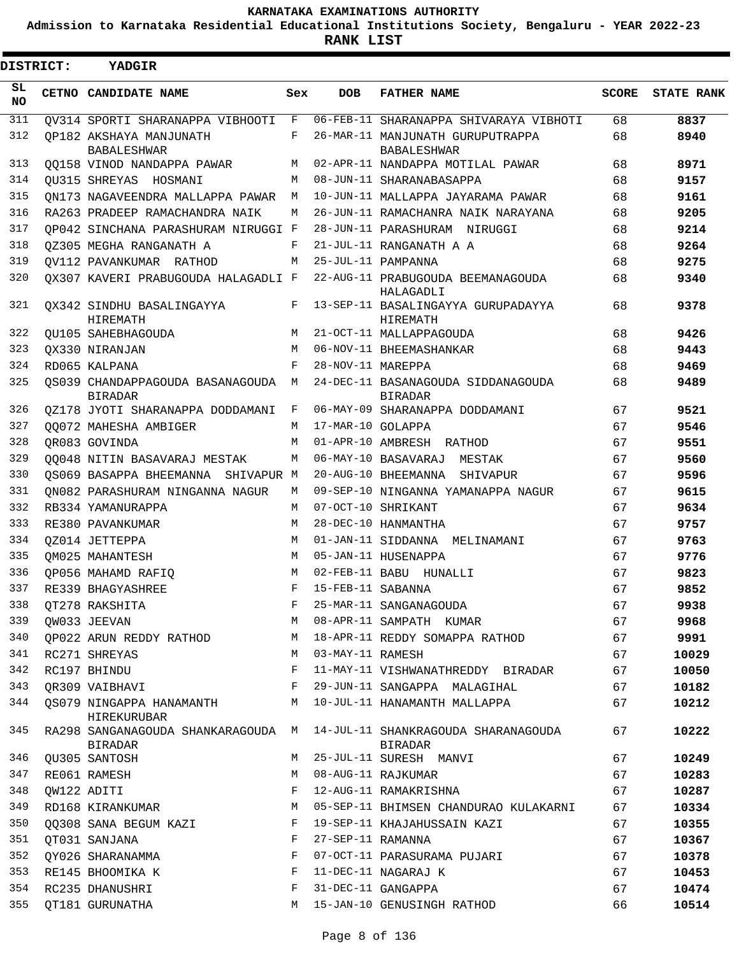**Admission to Karnataka Residential Educational Institutions Society, Bengaluru - YEAR 2022-23**

| <b>DISTRICT:</b> | <b>YADGIR</b>                                      |            |                   |                                                        |              |                   |
|------------------|----------------------------------------------------|------------|-------------------|--------------------------------------------------------|--------------|-------------------|
| SL<br><b>NO</b>  | CETNO CANDIDATE NAME                               | Sex        | <b>DOB</b>        | <b>FATHER NAME</b>                                     | <b>SCORE</b> | <b>STATE RANK</b> |
| 311              | OV314 SPORTI SHARANAPPA VIBHOOTI                   | F          |                   | 06-FEB-11 SHARANAPPA SHIVARAYA VIBHOTI                 | 68           | 8837              |
| 312              | OP182 AKSHAYA MANJUNATH<br><b>BABALESHWAR</b>      | F          |                   | 26-MAR-11 MANJUNATH GURUPUTRAPPA<br><b>BABALESHWAR</b> | 68           | 8940              |
| 313              | 00158 VINOD NANDAPPA PAWAR                         | М          |                   | 02-APR-11 NANDAPPA MOTILAL PAWAR                       | 68           | 8971              |
| 314              | OU315 SHREYAS HOSMANI                              | М          |                   | 08-JUN-11 SHARANABASAPPA                               | 68           | 9157              |
| 315              | ON173 NAGAVEENDRA MALLAPPA PAWAR                   | М          |                   | 10-JUN-11 MALLAPPA JAYARAMA PAWAR                      | 68           | 9161              |
| 316              | RA263 PRADEEP RAMACHANDRA NAIK                     | M          |                   | 26-JUN-11 RAMACHANRA NAIK NARAYANA                     | 68           | 9205              |
| 317              | OP042 SINCHANA PARASHURAM NIRUGGI F                |            |                   | 28-JUN-11 PARASHURAM NIRUGGI                           | 68           | 9214              |
| 318              | OZ305 MEGHA RANGANATH A                            | F          |                   | 21-JUL-11 RANGANATH A A                                | 68           | 9264              |
| 319              | OV112 PAVANKUMAR RATHOD                            | M          |                   | 25-JUL-11 PAMPANNA                                     | 68           | 9275              |
| 320              | OX307 KAVERI PRABUGOUDA HALAGADLI F                |            |                   | 22-AUG-11 PRABUGOUDA BEEMANAGOUDA<br>HALAGADLI         | 68           | 9340              |
| 321              | OX342 SINDHU BASALINGAYYA<br>HIREMATH              | F          |                   | 13-SEP-11 BASALINGAYYA GURUPADAYYA<br>HIREMATH         | 68           | 9378              |
| 322              | OU105 SAHEBHAGOUDA                                 | М          |                   | 21-OCT-11 MALLAPPAGOUDA                                | 68           | 9426              |
| 323              | OX330 NIRANJAN                                     | M          |                   | 06-NOV-11 BHEEMASHANKAR                                | 68           | 9443              |
| 324              | RD065 KALPANA                                      | $_{\rm F}$ | 28-NOV-11 MAREPPA |                                                        | 68           | 9469              |
| 325              | OS039 CHANDAPPAGOUDA BASANAGOUDA<br><b>BIRADAR</b> | M          |                   | 24-DEC-11 BASANAGOUDA SIDDANAGOUDA<br><b>BIRADAR</b>   | 68           | 9489              |
| 326              | 0Z178 JYOTI SHARANAPPA DODDAMANI                   | F          |                   | 06-MAY-09 SHARANAPPA DODDAMANI                         | 67           | 9521              |
| 327              | 00072 MAHESHA AMBIGER                              | М          | 17-MAR-10 GOLAPPA |                                                        | 67           | 9546              |
| 328              | OR083 GOVINDA                                      | M          |                   | 01-APR-10 AMBRESH RATHOD                               | 67           | 9551              |
| 329              | 00048 NITIN BASAVARAJ MESTAK                       | М          |                   | 06-MAY-10 BASAVARAJ MESTAK                             | 67           | 9560              |
| 330              | OS069 BASAPPA BHEEMANNA SHIVAPUR M                 |            |                   | 20-AUG-10 BHEEMANNA SHIVAPUR                           | 67           | 9596              |
| 331              | ON082 PARASHURAM NINGANNA NAGUR                    | М          |                   | 09-SEP-10 NINGANNA YAMANAPPA NAGUR                     | 67           | 9615              |
| 332              | RB334 YAMANURAPPA                                  | M          |                   | 07-OCT-10 SHRIKANT                                     | 67           | 9634              |
| 333              | RE380 PAVANKUMAR                                   | M          |                   | 28-DEC-10 HANMANTHA                                    | 67           | 9757              |
| 334              | OZ014 JETTEPPA                                     | M          |                   | 01-JAN-11 SIDDANNA MELINAMANI                          | 67           | 9763              |
| 335              | OM025 MAHANTESH                                    | M          |                   | 05-JAN-11 HUSENAPPA                                    | 67           | 9776              |
| 336              | OP056 MAHAMD RAFIO                                 | M          |                   | 02-FEB-11 BABU HUNALLI                                 | 67           | 9823              |
| 337              | RE339 BHAGYASHREE                                  | $_{\rm F}$ | 15-FEB-11 SABANNA |                                                        | 67           | 9852              |
| 338              | QT278 RAKSHITA                                     | Έ,         |                   | 25-MAR-11 SANGANAGOUDA                                 | 67           | 9938              |
| 339              | OW033 JEEVAN                                       | М          |                   | 08-APR-11 SAMPATH KUMAR                                | 67           | 9968              |
| 340              | OP022 ARUN REDDY RATHOD                            | М          |                   | 18-APR-11 REDDY SOMAPPA RATHOD                         | 67           | 9991              |
| 341              | RC271 SHREYAS                                      | М          | 03-MAY-11 RAMESH  |                                                        | 67           | 10029             |
| 342              | RC197 BHINDU                                       | F          |                   | 11-MAY-11 VISHWANATHREDDY BIRADAR                      | 67           | 10050             |
| 343              | OR309 VAIBHAVI                                     | F          |                   | 29-JUN-11 SANGAPPA MALAGIHAL                           | 67           | 10182             |
| 344              | QS079 NINGAPPA HANAMANTH<br><b>HIREKURUBAR</b>     | M          |                   | 10-JUL-11 HANAMANTH MALLAPPA                           | 67           | 10212             |
| 345              | RA298 SANGANAGOUDA SHANKARAGOUDA<br><b>BIRADAR</b> | М          |                   | 14-JUL-11 SHANKRAGOUDA SHARANAGOUDA<br>BIRADAR         | 67           | 10222             |
| 346              | QU305 SANTOSH                                      | М          |                   | 25-JUL-11 SURESH MANVI                                 | 67           | 10249             |
| 347              | RE061 RAMESH                                       | М          |                   | 08-AUG-11 RAJKUMAR                                     | 67           | 10283             |
| 348              | OW122 ADITI                                        | F          |                   | 12-AUG-11 RAMAKRISHNA                                  | 67           | 10287             |
| 349              | RD168 KIRANKUMAR                                   | М          |                   | 05-SEP-11 BHIMSEN CHANDURAO KULAKARNI                  | 67           | 10334             |
| 350              | 00308 SANA BEGUM KAZI                              | F          |                   | 19-SEP-11 KHAJAHUSSAIN KAZI                            | 67           | 10355             |
| 351              | QT031 SANJANA                                      | F          | 27-SEP-11 RAMANNA |                                                        | 67           | 10367             |
| 352              | QY026 SHARANAMMA                                   | F          |                   | 07-OCT-11 PARASURAMA PUJARI                            | 67           | 10378             |
| 353              | RE145 BHOOMIKA K                                   | F          |                   | 11-DEC-11 NAGARAJ K                                    | 67           | 10453             |
| 354              | RC235 DHANUSHRI                                    | F          |                   | 31-DEC-11 GANGAPPA                                     | 67           | 10474             |
| 355              | QT181 GURUNATHA                                    | М          |                   | 15-JAN-10 GENUSINGH RATHOD                             | 66           | 10514             |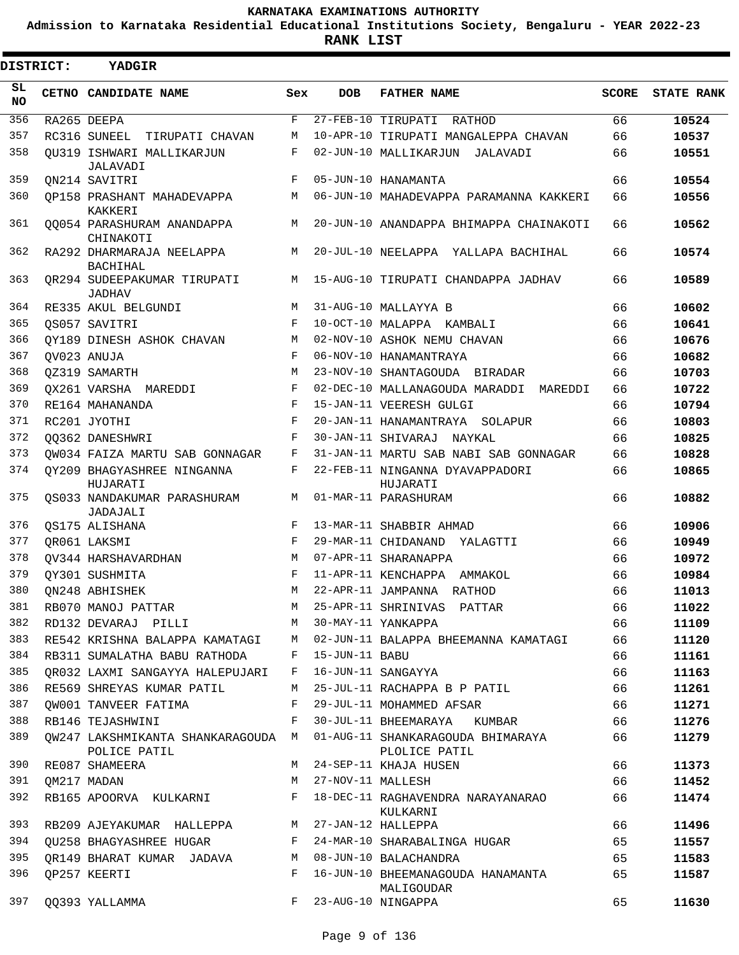**Admission to Karnataka Residential Educational Institutions Society, Bengaluru - YEAR 2022-23**

**RANK LIST**

| <b>DISTRICT:</b> | YADGIR                                             |     |                   |                                                    |              |                   |
|------------------|----------------------------------------------------|-----|-------------------|----------------------------------------------------|--------------|-------------------|
| SL<br><b>NO</b>  | CETNO CANDIDATE NAME                               | Sex | <b>DOB</b>        | <b>FATHER NAME</b>                                 | <b>SCORE</b> | <b>STATE RANK</b> |
| 356              | RA265 DEEPA                                        | F   |                   | 27-FEB-10 TIRUPATI RATHOD                          | 66           | 10524             |
| 357              | RC316 SUNEEL TIRUPATI CHAVAN                       | М   |                   | 10-APR-10 TIRUPATI MANGALEPPA CHAVAN               | 66           | 10537             |
| 358              | OU319 ISHWARI MALLIKARJUN<br>JALAVADI              | F   |                   | 02-JUN-10 MALLIKARJUN<br>JALAVADI                  | 66           | 10551             |
| 359              | ON214 SAVITRI                                      | F   |                   | 05-JUN-10 HANAMANTA                                | 66           | 10554             |
| 360              | OP158 PRASHANT MAHADEVAPPA<br><b>KAKKERI</b>       | M   |                   | 06-JUN-10 MAHADEVAPPA PARAMANNA KAKKERI            | 66           | 10556             |
| 361              | 00054 PARASHURAM ANANDAPPA<br>CHINAKOTI            | M   |                   | 20-JUN-10 ANANDAPPA BHIMAPPA CHAINAKOTI            | 66           | 10562             |
| 362              | RA292 DHARMARAJA NEELAPPA<br>BACHIHAL              | M   |                   | 20-JUL-10 NEELAPPA YALLAPA BACHIHAL                | 66           | 10574             |
| 363              | OR294 SUDEEPAKUMAR TIRUPATI<br><b>JADHAV</b>       | M   |                   | 15-AUG-10 TIRUPATI CHANDAPPA JADHAV                | 66           | 10589             |
| 364              | RE335 AKUL BELGUNDI                                | M   |                   | 31-AUG-10 MALLAYYA B                               | 66           | 10602             |
| 365              | OS057 SAVITRI                                      | F   |                   | 10-OCT-10 MALAPPA KAMBALI                          | 66           | 10641             |
| 366              | OY189 DINESH ASHOK CHAVAN                          | М   |                   | 02-NOV-10 ASHOK NEMU CHAVAN                        | 66           | 10676             |
| 367              | OV023 ANUJA                                        | F   |                   | 06-NOV-10 HANAMANTRAYA                             | 66           | 10682             |
| 368              | OZ319 SAMARTH                                      | М   |                   | 23-NOV-10 SHANTAGOUDA BIRADAR                      | 66           | 10703             |
| 369              | OX261 VARSHA MAREDDI                               | F   |                   | 02-DEC-10 MALLANAGOUDA MARADDI MAREDDI             | 66           | 10722             |
| 370              | RE164 MAHANANDA                                    | F   |                   | 15-JAN-11 VEERESH GULGI                            | 66           | 10794             |
| 371              | RC201 JYOTHI                                       | F   |                   | 20-JAN-11 HANAMANTRAYA SOLAPUR                     | 66           | 10803             |
| 372              | 00362 DANESHWRI                                    | F   |                   | 30-JAN-11 SHIVARAJ NAYKAL                          | 66           | 10825             |
| 373              | OW034 FAIZA MARTU SAB GONNAGAR                     | F   |                   | 31-JAN-11 MARTU SAB NABI SAB GONNAGAR              | 66           | 10828             |
| 374              | OY209 BHAGYASHREE NINGANNA<br>HUJARATI             | F   |                   | 22-FEB-11 NINGANNA DYAVAPPADORI<br>HUJARATI        | 66           | 10865             |
| 375              | OS033 NANDAKUMAR PARASHURAM<br>JADAJALI            | M   |                   | 01-MAR-11 PARASHURAM                               | 66           | 10882             |
| 376              | OS175 ALISHANA                                     | F   |                   | 13-MAR-11 SHABBIR AHMAD                            | 66           | 10906             |
| 377              | QR061 LAKSMI                                       | F   |                   | 29-MAR-11 CHIDANAND YALAGTTI                       | 66           | 10949             |
| 378              | OV344 HARSHAVARDHAN                                | М   |                   | 07-APR-11 SHARANAPPA                               | 66           | 10972             |
| 379              | OY301 SUSHMITA                                     | F   |                   | 11-APR-11 KENCHAPPA AMMAKOL                        | 66           | 10984             |
| 380              | ON248 ABHISHEK                                     | M   |                   | 22-APR-11 JAMPANNA RATHOD                          | 66           | 11013             |
| 381              | RB070 MANOJ PATTAR                                 | M   |                   | 25-APR-11 SHRINIVAS PATTAR                         | 66           | 11022             |
| 382              | RD132 DEVARAJ PILLI                                | M   |                   | 30-MAY-11 YANKAPPA                                 | 66           | 11109             |
| 383              | RE542 KRISHNA BALAPPA KAMATAGI                     | M   |                   | 02-JUN-11 BALAPPA BHEEMANNA KAMATAGI               | 66           | 11120             |
| 384              | RB311 SUMALATHA BABU RATHODA                       | F   | 15-JUN-11 BABU    |                                                    | 66           | 11161             |
| 385              | OR032 LAXMI SANGAYYA HALEPUJARI                    | F   |                   | 16-JUN-11 SANGAYYA                                 | 66           | 11163             |
| 386              | RE569 SHREYAS KUMAR PATIL                          | М   |                   | 25-JUL-11 RACHAPPA B P PATIL                       | 66           | 11261             |
| 387              | OW001 TANVEER FATIMA                               | F   |                   | 29-JUL-11 MOHAMMED AFSAR                           | 66           | 11271             |
| 388              | RB146 TEJASHWINI                                   | F   |                   | 30-JUL-11 BHEEMARAYA KUMBAR                        | 66           | 11276             |
| 389              | OW247 LAKSHMIKANTA SHANKARAGOUDA M<br>POLICE PATIL |     |                   | 01-AUG-11 SHANKARAGOUDA BHIMARAYA<br>PLOLICE PATIL | 66           | 11279             |
| 390              | RE087 SHAMEERA                                     | М   |                   | 24-SEP-11 KHAJA HUSEN                              | 66           | 11373             |
| 391              | OM217 MADAN                                        | M   | 27-NOV-11 MALLESH |                                                    | 66           | 11452             |
| 392              | RB165 APOORVA KULKARNI                             | F   |                   | 18-DEC-11 RAGHAVENDRA NARAYANARAO<br>KULKARNI      | 66           | 11474             |
| 393              | RB209 AJEYAKUMAR HALLEPPA                          | M   |                   | 27-JAN-12 HALLEPPA                                 | 66           | 11496             |
| 394              | OU258 BHAGYASHREE HUGAR                            | F   |                   | 24-MAR-10 SHARABALINGA HUGAR                       | 65           | 11557             |
| 395              | QR149 BHARAT KUMAR JADAVA                          | М   |                   | 08-JUN-10 BALACHANDRA                              | 65           | 11583             |
| 396              | QP257 KEERTI                                       | F   |                   | 16-JUN-10 BHEEMANAGOUDA HANAMANTA<br>MALIGOUDAR    | 65           | 11587             |
| 397              | 00393 YALLAMMA                                     | F   |                   | 23-AUG-10 NINGAPPA                                 | 65           | 11630             |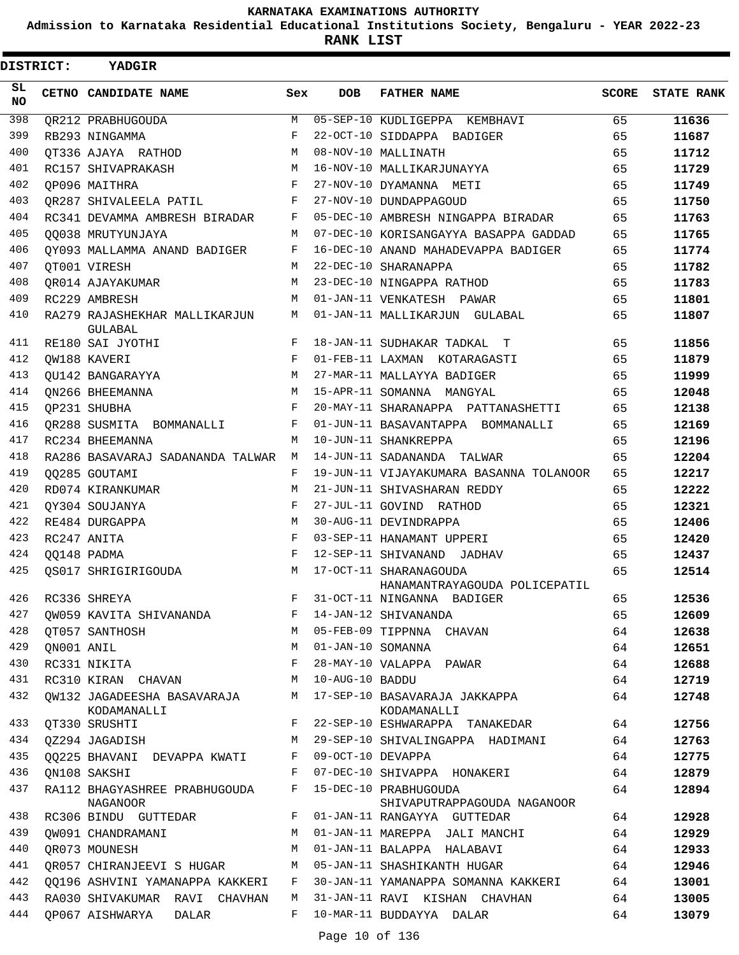**Admission to Karnataka Residential Educational Institutions Society, Bengaluru - YEAR 2022-23**

| DISTRICT:       |            | YADGIR                                         |         |                   |                                                                            |              |                   |
|-----------------|------------|------------------------------------------------|---------|-------------------|----------------------------------------------------------------------------|--------------|-------------------|
| SL<br><b>NO</b> |            | CETNO CANDIDATE NAME                           | Sex     | <b>DOB</b>        | <b>FATHER NAME</b>                                                         | <b>SCORE</b> | <b>STATE RANK</b> |
| 398             |            | QR212 PRABHUGOUDA                              | M       |                   | 05-SEP-10 KUDLIGEPPA KEMBHAVI                                              | 65           | 11636             |
| 399             |            | RB293 NINGAMMA                                 | F       |                   | 22-OCT-10 SIDDAPPA BADIGER                                                 | 65           | 11687             |
| 400             |            | OT336 AJAYA RATHOD                             | M       |                   | 08-NOV-10 MALLINATH                                                        | 65           | 11712             |
| 401             |            | RC157 SHIVAPRAKASH                             | M       |                   | 16-NOV-10 MALLIKARJUNAYYA                                                  | 65           | 11729             |
| 402             |            | OP096 MAITHRA                                  | F       |                   | 27-NOV-10 DYAMANNA METI                                                    | 65           | 11749             |
| 403             |            | OR287 SHIVALEELA PATIL                         | F       |                   | 27-NOV-10 DUNDAPPAGOUD                                                     | 65           | 11750             |
| 404             |            | RC341 DEVAMMA AMBRESH BIRADAR                  | F       |                   | 05-DEC-10 AMBRESH NINGAPPA BIRADAR                                         | 65           | 11763             |
| 405             |            | 00038 MRUTYUNJAYA                              | M       |                   | 07-DEC-10 KORISANGAYYA BASAPPA GADDAD                                      | 65           | 11765             |
| 406             |            | OY093 MALLAMMA ANAND BADIGER                   | F       |                   | 16-DEC-10 ANAND MAHADEVAPPA BADIGER                                        | 65           | 11774             |
| 407             |            | OT001 VIRESH                                   | M       |                   | 22-DEC-10 SHARANAPPA                                                       | 65           | 11782             |
| 408             |            | OR014 AJAYAKUMAR                               | M       |                   | 23-DEC-10 NINGAPPA RATHOD                                                  | 65           | 11783             |
| 409             |            | RC229 AMBRESH                                  | M       |                   | 01-JAN-11 VENKATESH PAWAR                                                  | 65           | 11801             |
| 410             |            | RA279 RAJASHEKHAR MALLIKARJUN<br>GULABAL       | М       |                   | 01-JAN-11 MALLIKARJUN GULABAL                                              | 65           | 11807             |
| 411             |            | RE180 SAI JYOTHI                               | F       |                   | 18-JAN-11 SUDHAKAR TADKAL T                                                | 65           | 11856             |
| 412             |            | OW188 KAVERI                                   | F       |                   | 01-FEB-11 LAXMAN KOTARAGASTI                                               | 65           | 11879             |
| 413             |            | OU142 BANGARAYYA                               | M       |                   | 27-MAR-11 MALLAYYA BADIGER                                                 | 65           | 11999             |
| 414             |            | ON266 BHEEMANNA                                | M       |                   | 15-APR-11 SOMANNA MANGYAL                                                  | 65           | 12048             |
| 415             |            | OP231 SHUBHA                                   | F       |                   | 20-MAY-11 SHARANAPPA PATTANASHETTI                                         | 65           | 12138             |
| 416             |            | OR288 SUSMITA BOMMANALLI                       | F       |                   | 01-JUN-11 BASAVANTAPPA BOMMANALLI                                          | 65           | 12169             |
| 417             |            | RC234 BHEEMANNA                                | M       |                   | 10-JUN-11 SHANKREPPA                                                       | 65           | 12196             |
| 418             |            | RA286 BASAVARAJ SADANANDA TALWAR               | M       |                   | 14-JUN-11 SADANANDA TALWAR                                                 | 65           | 12204             |
| 419             |            | 00285 GOUTAMI                                  | F       |                   | 19-JUN-11 VIJAYAKUMARA BASANNA TOLANOOR                                    | 65           | 12217             |
| 420             |            | RD074 KIRANKUMAR                               | М       |                   | 21-JUN-11 SHIVASHARAN REDDY                                                | 65           | 12222             |
| 421             |            | OY304 SOUJANYA                                 | F       |                   | 27-JUL-11 GOVIND RATHOD                                                    | 65           | 12321             |
| 422             |            | RE484 DURGAPPA                                 | M       |                   | 30-AUG-11 DEVINDRAPPA                                                      | 65           | 12406             |
| 423             |            | RC247 ANITA                                    | F       |                   | 03-SEP-11 HANAMANT UPPERI                                                  | 65           | 12420             |
| 424             |            | QQ148 PADMA                                    | F       |                   | 12-SEP-11 SHIVANAND JADHAV                                                 | 65           | 12437             |
| 425             |            | OS017 SHRIGIRIGOUDA                            | M       |                   | 17-OCT-11 SHARANAGOUDA<br>HANAMANTRAYAGOUDA POLICEPATIL                    | 65           | 12514             |
| 426             |            | RC336 SHREYA                                   | $F -$   |                   | 31-OCT-11 NINGANNA BADIGER                                                 | 65           | 12536             |
| 427             |            | QW059 KAVITA SHIVANANDA F 14-JAN-12 SHIVANANDA |         |                   |                                                                            | 65           | 12609             |
| 428             |            | QT057 SANTHOSH                                 |         |                   | M 05-FEB-09 TIPPNNA CHAVAN                                                 | 64           | 12638             |
| 429             | ON001 ANIL |                                                | М       |                   | 01-JAN-10 SOMANNA                                                          | 64           | 12651             |
| 430             |            | RC331 NIKITA                                   | F       |                   | 28-MAY-10 VALAPPA PAWAR                                                    | 64           | 12688             |
| 431             |            | RC310 KIRAN CHAVAN M 10-AUG-10 BADDU           |         |                   |                                                                            | 64           | 12719             |
| 432             |            | KODAMANALLI                                    |         |                   | QW132 JAGADEESHA BASAVARAJA M 17-SEP-10 BASAVARAJA JAKKAPPA<br>KODAMANALLI | 64           | 12748             |
| 433             |            | QT330 SRUSHTI                                  | $F -$   |                   | 22-SEP-10 ESHWARAPPA TANAKEDAR                                             | 64           | 12756             |
| 434             |            | QZ294 JAGADISH                                 | М       |                   | 29-SEP-10 SHIVALINGAPPA HADIMANI                                           | 64           | 12763             |
| 435             |            | QQ225 BHAVANI DEVAPPA KWATI                    | F       | 09-OCT-10 DEVAPPA |                                                                            | 64           | 12775             |
| 436             |            | ON108 SAKSHI                                   | F       |                   | 07-DEC-10 SHIVAPPA HONAKERI                                                | 64           | 12879             |
| 437             |            | RA112 BHAGYASHREE PRABHUGOUDA<br>NAGANOOR      | F       |                   | 15-DEC-10 PRABHUGOUDA<br>SHIVAPUTRAPPAGOUDA NAGANOOR                       | 64           | 12894             |
| 438             |            | RC306 BINDU GUTTEDAR                           | $F$ and |                   | 01-JAN-11 RANGAYYA GUTTEDAR                                                | 64           | 12928             |
| 439             |            | QW091 CHANDRAMANI                              | M       |                   | 01-JAN-11 MAREPPA JALI MANCHI                                              | 64           | 12929             |
| 440             |            | OR073 MOUNESH                                  | M       |                   | 01-JAN-11 BALAPPA HALABAVI                                                 | 64           | 12933             |
| 441             |            | QR057 CHIRANJEEVI S HUGAR M                    |         |                   | 05-JAN-11 SHASHIKANTH HUGAR                                                | 64           | 12946             |
| 442             |            | QQ196 ASHVINI YAMANAPPA KAKKERI F              |         |                   | 30-JAN-11 YAMANAPPA SOMANNA KAKKERI                                        | 64           | 13001             |
| 443             |            | RA030 SHIVAKUMAR RAVI CHAVHAN                  | M       |                   | 31-JAN-11 RAVI KISHAN CHAVHAN                                              | 64           | 13005             |
| 444             |            | QP067 AISHWARYA DALAR                          | F       |                   | 10-MAR-11 BUDDAYYA DALAR                                                   | 64           | 13079             |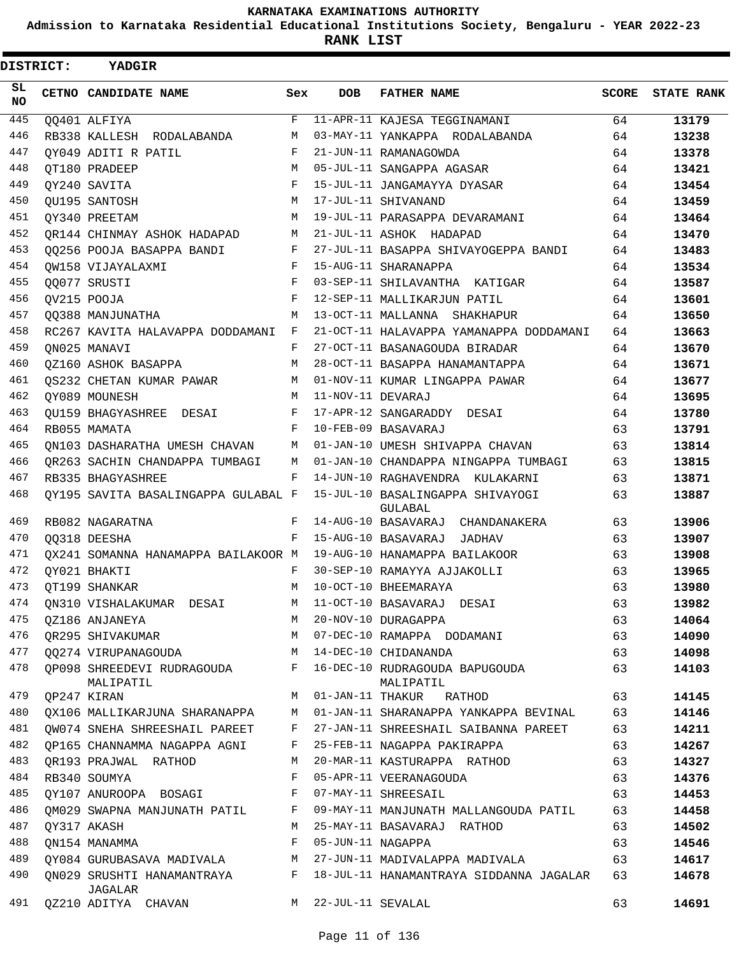**Admission to Karnataka Residential Educational Institutions Society, Bengaluru - YEAR 2022-23**

 $\blacksquare$ 

| <b>DISTRICT:</b> |  | YADGIR                                    |     |                   |                                             |       |                   |
|------------------|--|-------------------------------------------|-----|-------------------|---------------------------------------------|-------|-------------------|
| SL<br>NO.        |  | CETNO CANDIDATE NAME                      | Sex | <b>DOB</b>        | <b>FATHER NAME</b>                          | SCORE | <b>STATE RANK</b> |
| 445              |  | QQ401 ALFIYA                              | F   |                   | 11-APR-11 KAJESA TEGGINAMANI                | 64    | 13179             |
| 446              |  | RB338 KALLESH RODALABANDA                 | M   |                   | 03-MAY-11 YANKAPPA RODALABANDA              | 64    | 13238             |
| 447              |  | OY049 ADITI R PATIL                       | F   |                   | 21-JUN-11 RAMANAGOWDA                       | 64    | 13378             |
| 448              |  | OT180 PRADEEP                             | M   |                   | 05-JUL-11 SANGAPPA AGASAR                   | 64    | 13421             |
| 449              |  | OY240 SAVITA                              | F   |                   | 15-JUL-11 JANGAMAYYA DYASAR                 | 64    | 13454             |
| 450              |  | OU195 SANTOSH                             | M   |                   | 17-JUL-11 SHIVANAND                         | 64    | 13459             |
| 451              |  | OY340 PREETAM                             | M   |                   | 19-JUL-11 PARASAPPA DEVARAMANI              | 64    | 13464             |
| 452              |  | OR144 CHINMAY ASHOK HADAPAD               | M   |                   | 21-JUL-11 ASHOK HADAPAD                     | 64    | 13470             |
| 453              |  | 00256 POOJA BASAPPA BANDI                 | F   |                   | 27-JUL-11 BASAPPA SHIVAYOGEPPA BANDI        | 64    | 13483             |
| 454              |  | OW158 VIJAYALAXMI                         | F   |                   | 15-AUG-11 SHARANAPPA                        | 64    | 13534             |
| 455              |  | 00077 SRUSTI                              | F   |                   | 03-SEP-11 SHILAVANTHA KATIGAR               | 64    | 13587             |
| 456              |  | QV215 POOJA                               | F   |                   | 12-SEP-11 MALLIKARJUN PATIL                 | 64    | 13601             |
| 457              |  | 00388 MANJUNATHA                          | M   |                   | 13-OCT-11 MALLANNA SHAKHAPUR                | 64    | 13650             |
| 458              |  | RC267 KAVITA HALAVAPPA DODDAMANI F        |     |                   | 21-OCT-11 HALAVAPPA YAMANAPPA DODDAMANI     | 64    | 13663             |
| 459              |  | ON025 MANAVI                              | F   |                   | 27-OCT-11 BASANAGOUDA BIRADAR               | 64    | 13670             |
| 460              |  | 0Z160 ASHOK BASAPPA                       | M   |                   | 28-OCT-11 BASAPPA HANAMANTAPPA              | 64    | 13671             |
| 461              |  | OS232 CHETAN KUMAR PAWAR                  | M   |                   | 01-NOV-11 KUMAR LINGAPPA PAWAR              | 64    | 13677             |
| 462              |  | OY089 MOUNESH                             | M   | 11-NOV-11 DEVARAJ |                                             | 64    | 13695             |
| 463              |  | OU159 BHAGYASHREE DESAI                   | F   |                   | 17-APR-12 SANGARADDY DESAI                  | 64    | 13780             |
| 464              |  | RB055 MAMATA                              | F   |                   | 10-FEB-09 BASAVARAJ                         | 63    | 13791             |
| 465              |  | ON103 DASHARATHA UMESH CHAVAN             | M   |                   | 01-JAN-10 UMESH SHIVAPPA CHAVAN             | 63    | 13814             |
| 466              |  | OR263 SACHIN CHANDAPPA TUMBAGI            | M   |                   | 01-JAN-10 CHANDAPPA NINGAPPA TUMBAGI        | 63    | 13815             |
| 467              |  | RB335 BHAGYASHREE                         | F   |                   | 14-JUN-10 RAGHAVENDRA KULAKARNI             | 63    | 13871             |
| 468              |  | OY195 SAVITA BASALINGAPPA GULABAL F       |     |                   | 15-JUL-10 BASALINGAPPA SHIVAYOGI<br>GULABAL | 63    | 13887             |
| 469              |  | RB082 NAGARATNA                           | F   |                   | 14-AUG-10 BASAVARAJ CHANDANAKERA            | 63    | 13906             |
| 470              |  | 00318 DEESHA                              | F   |                   | 15-AUG-10 BASAVARAJ JADHAV                  | 63    | 13907             |
| 471              |  | OX241 SOMANNA HANAMAPPA BAILAKOOR M       |     |                   | 19-AUG-10 HANAMAPPA BAILAKOOR               | 63    | 13908             |
| 472              |  | OY021 BHAKTI                              | F   |                   | 30-SEP-10 RAMAYYA AJJAKOLLI                 | 63    | 13965             |
| 473              |  | OT199 SHANKAR                             | M   |                   | 10-OCT-10 BHEEMARAYA                        | 63    | 13980             |
| 474              |  | QN310 VISHALAKUMAR DESAI                  | M   |                   | 11-OCT-10 BASAVARAJ DESAI                   | 63    | 13982             |
| 475              |  | OZ186 ANJANEYA                            | M   |                   | 20-NOV-10 DURAGAPPA                         | 63    | 14064             |
| 476              |  | OR295 SHIVAKUMAR                          | M   |                   | 07-DEC-10 RAMAPPA DODAMANI                  | 63    | 14090             |
| 477              |  | 00274 VIRUPANAGOUDA                       |     |                   | M 14-DEC-10 CHIDANANDA                      | 63    | 14098             |
| 478              |  | QP098 SHREEDEVI RUDRAGOUDA F<br>MALIPATIL |     |                   | 16-DEC-10 RUDRAGOUDA BAPUGOUDA<br>MALIPATIL | 63    | 14103             |
| 479              |  | OP247 KIRAN                               | M   |                   | 01-JAN-11 THAKUR RATHOD                     | 63    | 14145             |
| 480              |  | QX106 MALLIKARJUNA SHARANAPPA             | M   |                   | 01-JAN-11 SHARANAPPA YANKAPPA BEVINAL       | 63    | 14146             |
| 481              |  | OW074 SNEHA SHREESHAIL PAREET             | F   |                   | 27-JAN-11 SHREESHAIL SAIBANNA PAREET        | 63    | 14211             |
| 482              |  | OP165 CHANNAMMA NAGAPPA AGNI              | F   |                   | 25-FEB-11 NAGAPPA PAKIRAPPA                 | 63    | 14267             |
| 483              |  | QR193 PRAJWAL RATHOD                      | M   |                   | 20-MAR-11 KASTURAPPA RATHOD                 | 63    | 14327             |
| 484              |  | RB340 SOUMYA                              | F   |                   | 05-APR-11 VEERANAGOUDA                      | 63    | 14376             |
| 485              |  | QY107 ANUROOPA BOSAGI                     | F   |                   | 07-MAY-11 SHREESAIL                         | 63    | 14453             |
| 486              |  | OM029 SWAPNA MANJUNATH PATIL              | F   |                   | 09-MAY-11 MANJUNATH MALLANGOUDA PATIL       | 63    | 14458             |
| 487              |  | QY317 AKASH                               | M   |                   | 25-MAY-11 BASAVARAJ RATHOD                  | 63    | 14502             |
| 488              |  | ON154 MANAMMA                             | F   | 05-JUN-11 NAGAPPA |                                             | 63    | 14546             |
| 489              |  | QY084 GURUBASAVA MADIVALA M               |     |                   | 27-JUN-11 MADIVALAPPA MADIVALA              | 63    | 14617             |
| 490              |  | ON029 SRUSHTI HANAMANTRAYA F<br>JAGALAR   |     |                   | 18-JUL-11 HANAMANTRAYA SIDDANNA JAGALAR     | 63    | 14678             |
| 491              |  | QZ210 ADITYA CHAVAN                       | M   | 22-JUL-11 SEVALAL |                                             | 63    | 14691             |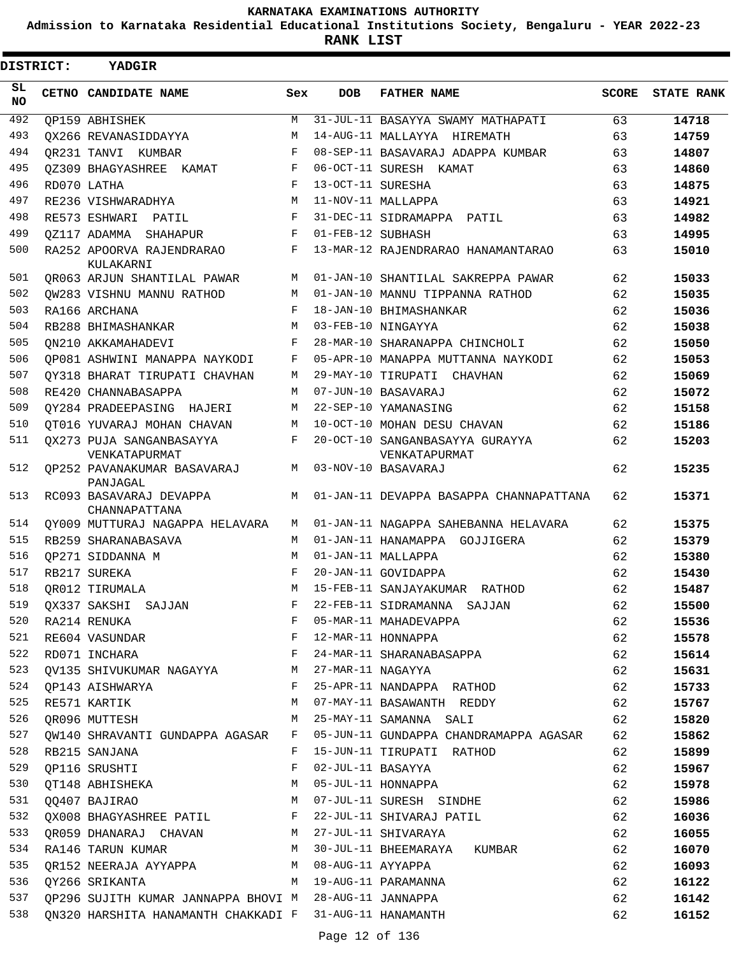**Admission to Karnataka Residential Educational Institutions Society, Bengaluru - YEAR 2022-23**

| <b>DISTRICT:</b> | YADGIR                                                  |            |                     |                                                  |              |                   |
|------------------|---------------------------------------------------------|------------|---------------------|--------------------------------------------------|--------------|-------------------|
| SL.<br>NO.       | CETNO CANDIDATE NAME                                    | Sex        | <b>DOB</b>          | <b>FATHER NAME</b>                               | <b>SCORE</b> | <b>STATE RANK</b> |
| 492              | OP159 ABHISHEK                                          | M          |                     | 31-JUL-11 BASAYYA SWAMY MATHAPATI                | 63           | 14718             |
| 493              | OX266 REVANASIDDAYYA                                    | M          |                     | 14-AUG-11 MALLAYYA HIREMATH                      | 63           | 14759             |
| 494              | OR231 TANVI KUMBAR                                      | $_{\rm F}$ |                     | 08-SEP-11 BASAVARAJ ADAPPA KUMBAR                | 63           | 14807             |
| 495              | OZ309 BHAGYASHREE<br>KAMAT                              | F          |                     | 06-OCT-11 SURESH KAMAT                           | 63           | 14860             |
| 496              | RD070 LATHA                                             | F          | 13-OCT-11 SURESHA   |                                                  | 63           | 14875             |
| 497              | RE236 VISHWARADHYA                                      | М          |                     | 11-NOV-11 MALLAPPA                               | 63           | 14921             |
| 498              | RE573 ESHWARI PATIL                                     | F          |                     | 31-DEC-11 SIDRAMAPPA PATIL                       | 63           | 14982             |
| 499              | OZ117 ADAMMA SHAHAPUR                                   | F          | 01-FEB-12 SUBHASH   |                                                  | 63           | 14995             |
| 500              | RA252 APOORVA RAJENDRARAO<br>KULAKARNI                  | F          |                     | 13-MAR-12 RAJENDRARAO HANAMANTARAO               | 63           | 15010             |
| 501              | OR063 ARJUN SHANTILAL PAWAR                             | М          |                     | 01-JAN-10 SHANTILAL SAKREPPA PAWAR               | 62           | 15033             |
| 502              | OW283 VISHNU MANNU RATHOD                               | M          |                     | 01-JAN-10 MANNU TIPPANNA RATHOD                  | 62           | 15035             |
| 503              | RA166 ARCHANA                                           | F          |                     | 18-JAN-10 BHIMASHANKAR                           | 62           | 15036             |
| 504              | RB288 BHIMASHANKAR                                      | M          |                     | 03-FEB-10 NINGAYYA                               | 62           | 15038             |
| 505              | ON210 AKKAMAHADEVI                                      | F          |                     | 28-MAR-10 SHARANAPPA CHINCHOLI                   | 62           | 15050             |
| 506              | OP081 ASHWINI MANAPPA NAYKODI                           | F          |                     | 05-APR-10 MANAPPA MUTTANNA NAYKODI               | 62           | 15053             |
| 507              | OY318 BHARAT TIRUPATI CHAVHAN                           | М          |                     | 29-MAY-10 TIRUPATI CHAVHAN                       | 62           | 15069             |
| 508              | RE420 CHANNABASAPPA                                     | M          |                     | 07-JUN-10 BASAVARAJ                              | 62           | 15072             |
| 509              | QY284 PRADEEPASING HAJERI                               | М          |                     | 22-SEP-10 YAMANASING                             | 62           | 15158             |
| 510              | OT016 YUVARAJ MOHAN CHAVAN                              | М          |                     | 10-OCT-10 MOHAN DESU CHAVAN                      | 62           | 15186             |
| 511              | OX273 PUJA SANGANBASAYYA<br>VENKATAPURMAT               | F          |                     | 20-OCT-10 SANGANBASAYYA GURAYYA<br>VENKATAPURMAT | 62           | 15203             |
| 512              | OP252 PAVANAKUMAR BASAVARAJ<br>PANJAGAL                 | М          |                     | 03-NOV-10 BASAVARAJ                              | 62           | 15235             |
| 513              | RC093 BASAVARAJ DEVAPPA<br>CHANNAPATTANA                | M          |                     | 01-JAN-11 DEVAPPA BASAPPA CHANNAPATTANA          | 62           | 15371             |
| 514              | OY009 MUTTURAJ NAGAPPA HELAVARA                         | M          |                     | 01-JAN-11 NAGAPPA SAHEBANNA HELAVARA             | 62           | 15375             |
| 515              | RB259 SHARANABASAVA                                     | M          |                     | 01-JAN-11 HANAMAPPA GOJJIGERA                    | 62           | 15379             |
| 516              | OP271 SIDDANNA M                                        | M          |                     | 01-JAN-11 MALLAPPA                               | 62           | 15380             |
| 517              | RB217 SUREKA                                            | F          |                     | 20-JAN-11 GOVIDAPPA                              | 62           | 15430             |
| 518              | OR012 TIRUMALA                                          | М          |                     | 15-FEB-11 SANJAYAKUMAR RATHOD                    | 62           | 15487             |
| 519              | QX337 SAKSHI SAJJAN                                     | F          |                     | 22-FEB-11 SIDRAMANNA SAJJAN                      | 62           | 15500             |
| 520              | RA214 RENUKA                                            | F          |                     | 05-MAR-11 MAHADEVAPPA                            | 62           | 15536             |
| 521              | RE604 VASUNDAR                                          | F          |                     | 12-MAR-11 HONNAPPA                               | 62           | 15578             |
| 522              | RD071 INCHARA                                           | F          |                     | 24-MAR-11 SHARANABASAPPA                         | 62           | 15614             |
| 523              | QV135 SHIVUKUMAR NAGAYYA                                | M          | 27-MAR-11 NAGAYYA   |                                                  | 62           | 15631             |
| 524              | OP143 AISHWARYA                                         | F          |                     | 25-APR-11 NANDAPPA RATHOD                        | 62           | 15733             |
| 525              | RE571 KARTIK                                            | M          |                     | 07-MAY-11 BASAWANTH REDDY                        | 62           | 15767             |
| 526              | QR096 MUTTESH                                           | М          |                     | 25-MAY-11 SAMANNA SALI                           | 62           | 15820             |
| 527              | OW140 SHRAVANTI GUNDAPPA AGASAR                         | F          |                     | 05-JUN-11 GUNDAPPA CHANDRAMAPPA AGASAR           | 62           | 15862             |
| 528              | RB215 SANJANA                                           | F          |                     | 15-JUN-11 TIRUPATI RATHOD                        | 62           | 15899             |
| 529              | OP116 SRUSHTI                                           | F          |                     | 02-JUL-11 BASAYYA                                | 62           | 15967             |
| 530              | QT148 ABHISHEKA                                         | M          |                     | 05-JUL-11 HONNAPPA                               | 62           | 15978             |
| 531              | 00407 BAJIRAO                                           | M          |                     | 07-JUL-11 SURESH SINDHE                          | 62           | 15986             |
| 532              | QX008 BHAGYASHREE PATIL F                               |            |                     | 22-JUL-11 SHIVARAJ PATIL                         | 62           | 16036             |
| 533              | QR059 DHANARAJ CHAVAN M 27-JUL-11 SHIVARAYA             |            |                     |                                                  | 62           | 16055             |
| 534              | RA146 TARUN KUMAR                                       | M          |                     | 30-JUL-11 BHEEMARAYA KUMBAR                      | 62           | 16070             |
| 535              | QR152 NEERAJA AYYAPPA                                   |            | M 08-AUG-11 AYYAPPA |                                                  | 62           | 16093             |
| 536              | QY266 SRIKANTA                                          | M          |                     | 19-AUG-11 PARAMANNA                              | 62           | 16122             |
| 537              | QP296 SUJITH KUMAR JANNAPPA BHOVI M 28-AUG-11 JANNAPPA  |            |                     |                                                  | 62           | 16142             |
| 538              | QN320 HARSHITA HANAMANTH CHAKKADI F 31-AUG-11 HANAMANTH |            |                     |                                                  | 62           | 16152             |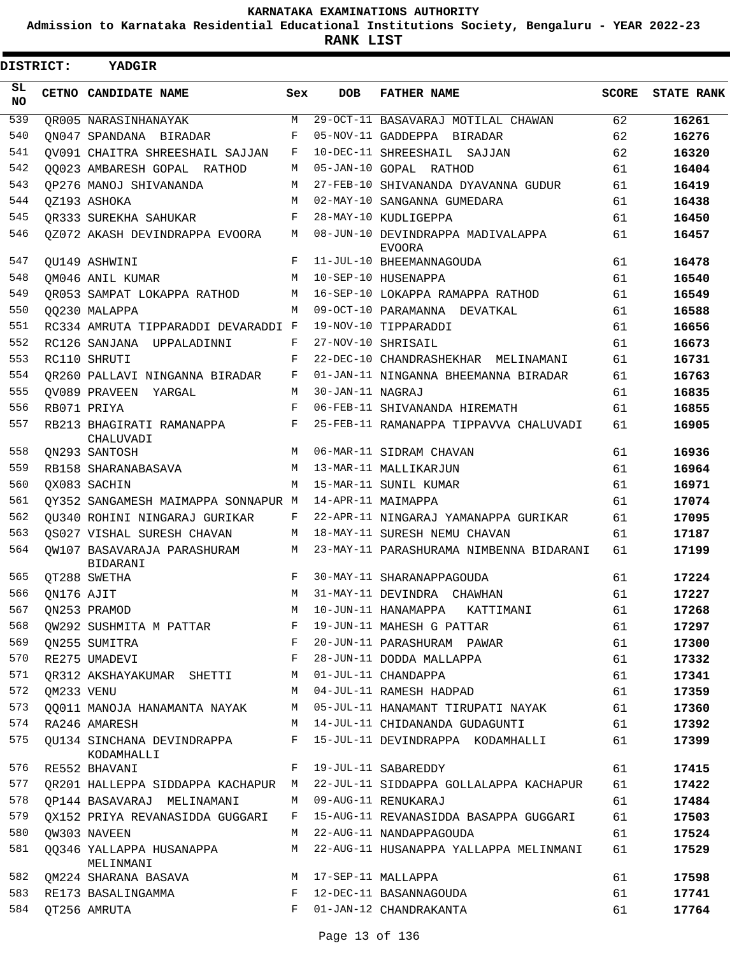**Admission to Karnataka Residential Educational Institutions Society, Bengaluru - YEAR 2022-23**

 $\blacksquare$ 

**RANK LIST**

Е

| <b>DISTRICT:</b> |            | <b>YADGIR</b>                                |     |                  |                                                                           |       |                   |
|------------------|------------|----------------------------------------------|-----|------------------|---------------------------------------------------------------------------|-------|-------------------|
| SL.<br>NO        |            | CETNO CANDIDATE NAME                         | Sex | <b>DOB</b>       | <b>FATHER NAME</b>                                                        | SCORE | <b>STATE RANK</b> |
| 539              |            | OR005 NARASINHANAYAK                         | M   |                  | 29-OCT-11 BASAVARAJ MOTILAL CHAWAN                                        | 62    | 16261             |
| 540              |            | ON047 SPANDANA BIRADAR                       | F   |                  | 05-NOV-11 GADDEPPA BIRADAR                                                | 62    | 16276             |
| 541              |            | OV091 CHAITRA SHREESHAIL SAJJAN              | F   |                  | 10-DEC-11 SHREESHAIL SAJJAN                                               | 62    | 16320             |
| 542              |            | 00023 AMBARESH GOPAL RATHOD                  | М   |                  | 05-JAN-10 GOPAL RATHOD                                                    | 61    | 16404             |
| 543              |            | OP276 MANOJ SHIVANANDA                       | M   |                  | 27-FEB-10 SHIVANANDA DYAVANNA GUDUR                                       | 61    | 16419             |
| 544              |            | OZ193 ASHOKA                                 | M   |                  | 02-MAY-10 SANGANNA GUMEDARA                                               | 61    | 16438             |
| 545              |            | OR333 SUREKHA SAHUKAR                        | F   |                  | 28-MAY-10 KUDLIGEPPA                                                      | 61    | 16450             |
| 546              |            | 0Z072 AKASH DEVINDRAPPA EVOORA               | M   |                  | 08-JUN-10 DEVINDRAPPA MADIVALAPPA<br>EVOORA                               | 61    | 16457             |
| 547              |            | OU149 ASHWINI                                | F   |                  | 11-JUL-10 BHEEMANNAGOUDA                                                  | 61    | 16478             |
| 548              |            | OM046 ANIL KUMAR                             | M   |                  | 10-SEP-10 HUSENAPPA                                                       | 61    | 16540             |
| 549              |            | OR053 SAMPAT LOKAPPA RATHOD                  | M   |                  | 16-SEP-10 LOKAPPA RAMAPPA RATHOD                                          | 61    | 16549             |
| 550              |            | 00230 MALAPPA                                | M   |                  | 09-OCT-10 PARAMANNA DEVATKAL                                              | 61    | 16588             |
| 551              |            | RC334 AMRUTA TIPPARADDI DEVARADDI F          |     |                  | 19-NOV-10 TIPPARADDI                                                      | 61    | 16656             |
| 552              |            | RC126 SANJANA UPPALADINNI                    | F   |                  | 27-NOV-10 SHRISAIL                                                        | 61    | 16673             |
| 553              |            | RC110 SHRUTI                                 | F   |                  | 22-DEC-10 CHANDRASHEKHAR MELINAMANI                                       | 61    | 16731             |
| 554              |            | OR260 PALLAVI NINGANNA BIRADAR               | F   |                  | 01-JAN-11 NINGANNA BHEEMANNA BIRADAR                                      | 61    | 16763             |
| 555              |            | OV089 PRAVEEN YARGAL                         | M   | 30-JAN-11 NAGRAJ |                                                                           | 61    | 16835             |
| 556              |            | RB071 PRIYA                                  | F   |                  | 06-FEB-11 SHIVANANDA HIREMATH                                             | 61    | 16855             |
| 557              |            | RB213 BHAGIRATI RAMANAPPA<br>CHALUVADI       | F   |                  | 25-FEB-11 RAMANAPPA TIPPAVVA CHALUVADI                                    | 61    | 16905             |
| 558              |            | ON293 SANTOSH                                | M   |                  | 06-MAR-11 SIDRAM CHAVAN                                                   | 61    | 16936             |
| 559              |            | RB158 SHARANABASAVA                          | M   |                  | 13-MAR-11 MALLIKARJUN                                                     | 61    | 16964             |
| 560              |            | OX083 SACHIN                                 | M   |                  | 15-MAR-11 SUNIL KUMAR                                                     | 61    | 16971             |
| 561              |            | OY352 SANGAMESH MAIMAPPA SONNAPUR M          |     |                  | 14-APR-11 MAIMAPPA                                                        | 61    | 17074             |
| 562              |            | OU340 ROHINI NINGARAJ GURIKAR                | F   |                  | 22-APR-11 NINGARAJ YAMANAPPA GURIKAR                                      | 61    | 17095             |
| 563              |            | OS027 VISHAL SURESH CHAVAN                   | М   |                  | 18-MAY-11 SURESH NEMU CHAVAN                                              | 61    | 17187             |
| 564              |            | OW107 BASAVARAJA PARASHURAM<br>BIDARANI      | M   |                  | 23-MAY-11 PARASHURAMA NIMBENNA BIDARANI                                   | 61    | 17199             |
| 565              |            | OT288 SWETHA                                 | F   |                  | 30-MAY-11 SHARANAPPAGOUDA                                                 | 61    | 17224             |
| 566              | ON176 AJIT |                                              | M   |                  | 31-MAY-11 DEVINDRA CHAWHAN                                                | 61    | 17227             |
| 567              |            | ON253 PRAMOD                                 |     |                  | M 10-JUN-11 HANAMAPPA KATTIMANI                                           | 61    | 17268             |
| 568              |            | QW292 SUSHMITA M PATTAR                      | F   |                  | 19-JUN-11 MAHESH G PATTAR                                                 | 61    | 17297             |
| 569              |            | QN255 SUMITRA                                | F   |                  | 20-JUN-11 PARASHURAM PAWAR                                                | 61    | 17300             |
| 570              |            | RE275 UMADEVI                                | F   |                  | 28-JUN-11 DODDA MALLAPPA                                                  | 61    | 17332             |
| 571              |            | OR312 AKSHAYAKUMAR SHETTI                    | M   |                  | 01-JUL-11 CHANDAPPA                                                       | 61    | 17341             |
| 572              | QM233 VENU |                                              |     |                  | M 04-JUL-11 RAMESH HADPAD                                                 | 61    | 17359             |
| 573              |            | QQ011 MANOJA HANAMANTA NAYAK                 |     |                  | M 05-JUL-11 HANAMANT TIRUPATI NAYAK                                       | 61    | 17360             |
| 574              |            | RA246 AMARESH                                |     |                  | M 14-JUL-11 CHIDANANDA GUDAGUNTI                                          | 61    | 17392             |
| 575              |            | QU134 SINCHANA DEVINDRAPPA<br>KODAMHALLI     |     |                  | F 15-JUL-11 DEVINDRAPPA KODAMHALLI                                        | 61    | 17399             |
| 576              |            | RE552 BHAVANI                                | F   |                  | 19-JUL-11 SABAREDDY                                                       | 61    | 17415             |
| 577              |            |                                              |     |                  | QR201 HALLEPPA SIDDAPPA KACHAPUR M 22-JUL-11 SIDDAPPA GOLLALAPPA KACHAPUR | 61    | 17422             |
| 578              |            | QP144 BASAVARAJ MELINAMANI                   |     |                  | M 09-AUG-11 RENUKARAJ                                                     | 61    | 17484             |
| 579              |            | OX152 PRIYA REVANASIDDA GUGGARI              | F   |                  | 15-AUG-11 REVANASIDDA BASAPPA GUGGARI                                     | 61    | 17503             |
| 580              |            |                                              |     |                  | M 22-AUG-11 NANDAPPAGOUDA                                                 |       |                   |
|                  |            | QW303 NAVEEN                                 |     |                  |                                                                           | 61    | 17524             |
| 581              |            | QQ346 YALLAPPA HUSANAPPA<br>MELINMANI        |     |                  | M 22-AUG-11 HUSANAPPA YALLAPPA MELINMANI                                  | 61    | 17529             |
| 582              |            | M 17-SEP-11 MALLAPPA<br>QM224 SHARANA BASAVA |     |                  |                                                                           | 61    | 17598             |
| 583              |            | RE173 BASALINGAMMA                           |     |                  | F 12-DEC-11 BASANNAGOUDA                                                  | 61    | 17741             |
| 584              |            | OT256 AMRUTA                                 |     |                  | F 01-JAN-12 CHANDRAKANTA                                                  | 61    | 17764             |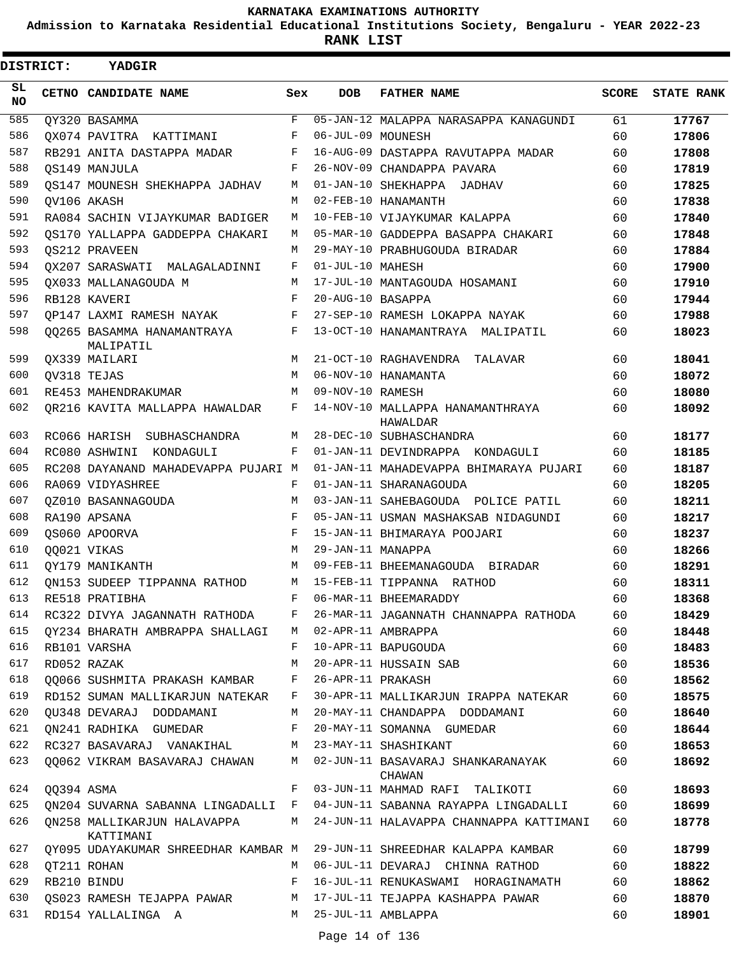**Admission to Karnataka Residential Educational Institutions Society, Bengaluru - YEAR 2022-23**

| <b>DISTRICT:</b> |            | YADGIR                                               |              |                   |                                                                                  |              |                   |
|------------------|------------|------------------------------------------------------|--------------|-------------------|----------------------------------------------------------------------------------|--------------|-------------------|
| SL.<br><b>NO</b> |            | CETNO CANDIDATE NAME                                 | Sex          | <b>DOB</b>        | <b>FATHER NAME</b>                                                               | <b>SCORE</b> | <b>STATE RANK</b> |
| 585              |            | OY320 BASAMMA                                        | $\mathbf{F}$ |                   | 05-JAN-12 MALAPPA NARASAPPA KANAGUNDI                                            | 61           | 17767             |
| 586              |            | OX074 PAVITRA KATTIMANI                              | F            | 06-JUL-09 MOUNESH |                                                                                  | 60           | 17806             |
| 587              |            | RB291 ANITA DASTAPPA MADAR                           | F            |                   | 16-AUG-09 DASTAPPA RAVUTAPPA MADAR                                               | 60           | 17808             |
| 588              |            | OS149 MANJULA                                        | F            |                   | 26-NOV-09 CHANDAPPA PAVARA                                                       | 60           | 17819             |
| 589              |            | OS147 MOUNESH SHEKHAPPA JADHAV                       | M            |                   | 01-JAN-10 SHEKHAPPA JADHAV                                                       | 60           | 17825             |
| 590              |            | OV106 AKASH                                          | М            |                   | 02-FEB-10 HANAMANTH                                                              | 60           | 17838             |
| 591              |            | RA084 SACHIN VIJAYKUMAR BADIGER                      | M            |                   | 10-FEB-10 VIJAYKUMAR KALAPPA                                                     | 60           | 17840             |
| 592              |            | OS170 YALLAPPA GADDEPPA CHAKARI                      | M            |                   | 05-MAR-10 GADDEPPA BASAPPA CHAKARI                                               | 60           | 17848             |
| 593              |            | OS212 PRAVEEN                                        | М            |                   | 29-MAY-10 PRABHUGOUDA BIRADAR                                                    | 60           | 17884             |
| 594              |            | OX207 SARASWATI MALAGALADINNI                        | F            | 01-JUL-10 MAHESH  |                                                                                  | 60           | 17900             |
| 595              |            | OX033 MALLANAGOUDA M                                 | M            |                   | 17-JUL-10 MANTAGOUDA HOSAMANI                                                    | 60           | 17910             |
| 596              |            | RB128 KAVERI                                         | F            | 20-AUG-10 BASAPPA |                                                                                  | 60           | 17944             |
| 597              |            | OP147 LAXMI RAMESH NAYAK                             | F            |                   | 27-SEP-10 RAMESH LOKAPPA NAYAK                                                   | 60           | 17988             |
| 598              |            | 00265 BASAMMA HANAMANTRAYA<br>MALIPATIL              | F            |                   | 13-OCT-10 HANAMANTRAYA MALIPATIL                                                 | 60           | 18023             |
| 599              |            | OX339 MAILARI                                        | М            |                   | 21-OCT-10 RAGHAVENDRA TALAVAR                                                    | 60           | 18041             |
| 600              |            | OV318 TEJAS                                          | M            |                   | 06-NOV-10 HANAMANTA                                                              | 60           | 18072             |
| 601              |            | RE453 MAHENDRAKUMAR                                  | М            | 09-NOV-10 RAMESH  |                                                                                  | 60           | 18080             |
| 602              |            | OR216 KAVITA MALLAPPA HAWALDAR                       | F            |                   | 14-NOV-10 MALLAPPA HANAMANTHRAYA<br>HAWALDAR                                     | 60           | 18092             |
| 603              |            | RC066 HARISH SUBHASCHANDRA                           | М            |                   | 28-DEC-10 SUBHASCHANDRA                                                          | 60           | 18177             |
| 604              |            | RC080 ASHWINI KONDAGULI                              | F            |                   | 01-JAN-11 DEVINDRAPPA KONDAGULI                                                  | 60           | 18185             |
| 605              |            | RC208 DAYANAND MAHADEVAPPA PUJARI M                  |              |                   | 01-JAN-11 MAHADEVAPPA BHIMARAYA PUJARI                                           | 60           | 18187             |
| 606              |            | RA069 VIDYASHREE                                     | F            |                   | 01-JAN-11 SHARANAGOUDA                                                           | 60           | 18205             |
| 607              |            | OZ010 BASANNAGOUDA                                   | M            |                   | 03-JAN-11 SAHEBAGOUDA POLICE PATIL                                               | 60           | 18211             |
| 608              |            | RA190 APSANA                                         | F            |                   | 05-JAN-11 USMAN MASHAKSAB NIDAGUNDI                                              | 60           | 18217             |
| 609              |            | OS060 APOORVA                                        | $_{\rm F}$   |                   | 15-JAN-11 BHIMARAYA POOJARI                                                      | 60           | 18237             |
| 610              |            | 00021 VIKAS                                          | M            | 29-JAN-11 MANAPPA |                                                                                  | 60           | 18266             |
| 611              |            | OY179 MANIKANTH                                      | M            |                   | 09-FEB-11 BHEEMANAGOUDA BIRADAR                                                  | 60           | 18291             |
| 612              |            | ON153 SUDEEP TIPPANNA RATHOD                         | M            |                   | 15-FEB-11 TIPPANNA RATHOD                                                        | 60           | 18311             |
| 613              |            | RE518 PRATIBHA                                       | F            |                   | 06-MAR-11 BHEEMARADDY                                                            | 60           | 18368             |
| 614              |            |                                                      |              |                   | RC322 DIVYA JAGANNATH RATHODA F 26-MAR-11 JAGANNATH CHANNAPPA RATHODA            | 60           | 18429             |
| 615              |            | OY234 BHARATH AMBRAPPA SHALLAGI M 02-APR-11 AMBRAPPA |              |                   |                                                                                  | 60           | 18448             |
| 616              |            | RB101 VARSHA                                         | F            |                   | 10-APR-11 BAPUGOUDA                                                              | 60           | 18483             |
| 617              |            | RD052 RAZAK                                          | M            |                   | 20-APR-11 HUSSAIN SAB                                                            | 60           | 18536             |
| 618              |            | 00066 SUSHMITA PRAKASH KAMBAR                        | F            | 26-APR-11 PRAKASH |                                                                                  | 60           | 18562             |
| 619              |            | RD152 SUMAN MALLIKARJUN NATEKAR F                    |              |                   | 30-APR-11 MALLIKARJUN IRAPPA NATEKAR                                             | 60           | 18575             |
| 620              |            | QU348 DEVARAJ DODDAMANI                              |              |                   | M 20-MAY-11 CHANDAPPA DODDAMANI                                                  | 60           | 18640             |
| 621              |            | QN241 RADHIKA GUMEDAR F                              |              |                   | 20-MAY-11 SOMANNA GUMEDAR                                                        | 60           | 18644             |
| 622              |            | RC327 BASAVARAJ VANAKIHAL M 23-MAY-11 SHASHIKANT     |              |                   |                                                                                  | 60           | 18653             |
| 623              |            |                                                      |              |                   | QQ062 VIKRAM BASAVARAJ CHAWAN     M  02-JUN-11 BASAVARAJ SHANKARANAYAK<br>CHAWAN | 60           | 18692             |
| 624              | QQ394 ASMA |                                                      |              |                   | F 03-JUN-11 MAHMAD RAFI TALIKOTI                                                 | 60           | 18693             |
| 625              |            |                                                      |              |                   | QN204 SUVARNA SABANNA LINGADALLI F 04-JUN-11 SABANNA RAYAPPA LINGADALLI          | 60           | 18699             |
| 626              |            | QN258 MALLIKARJUN HALAVAPPA<br>KATTIMANI             |              |                   | M 24-JUN-11 HALAVAPPA CHANNAPPA KATTIMANI                                        | 60           | 18778             |
| 627              |            |                                                      |              |                   | QY095 UDAYAKUMAR SHREEDHAR KAMBAR M 29-JUN-11 SHREEDHAR KALAPPA KAMBAR           | 60           | 18799             |
| 628              |            | QT211 ROHAN                                          |              |                   | M 06-JUL-11 DEVARAJ CHINNA RATHOD                                                | 60           | 18822             |
| 629              |            | RB210 BINDU<br>$\mathbf{F}$                          |              |                   | 16-JUL-11 RENUKASWAMI HORAGINAMATH                                               | 60           | 18862             |
| 630              |            |                                                      |              |                   | QS023 RAMESH TEJAPPA PAWAR M 17-JUL-11 TEJAPPA KASHAPPA PAWAR                    | 60           | 18870             |
| 631              |            | RD154 YALLALINGA A                                   |              |                   | M 25-JUL-11 AMBLAPPA                                                             | 60           | 18901             |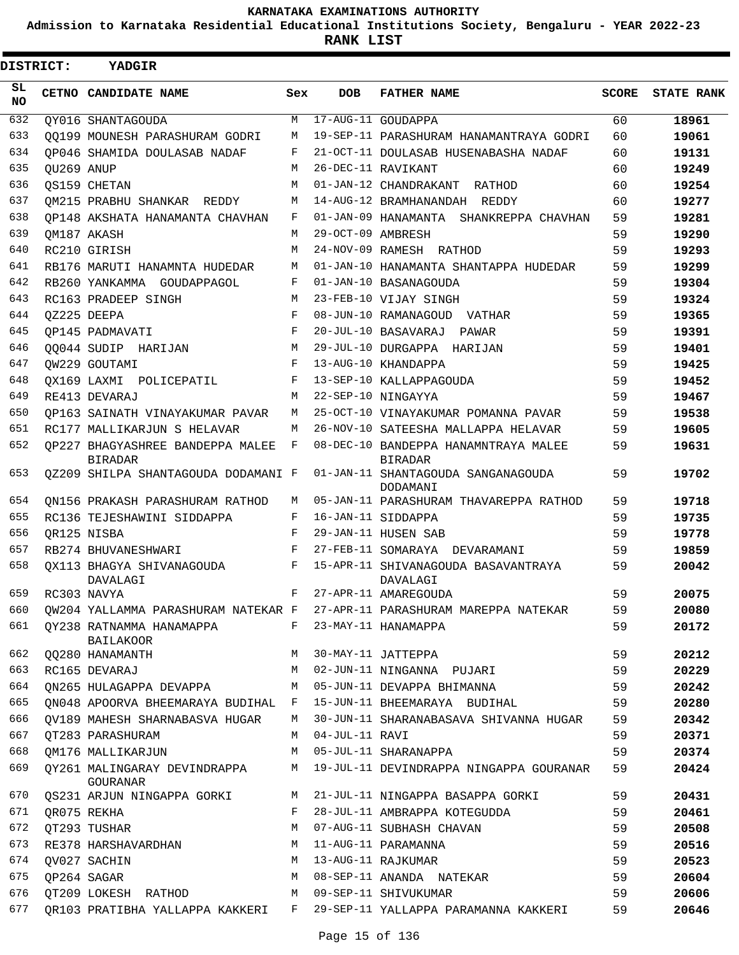**Admission to Karnataka Residential Educational Institutions Society, Bengaluru - YEAR 2022-23**

 $\blacksquare$ 

**RANK LIST**

| <b>DISTRICT:</b> |            | YADGIR                                             |            |                   |                                                                        |              |                   |
|------------------|------------|----------------------------------------------------|------------|-------------------|------------------------------------------------------------------------|--------------|-------------------|
| SL<br>NO.        |            | CETNO CANDIDATE NAME                               | Sex        | <b>DOB</b>        | <b>FATHER NAME</b>                                                     | <b>SCORE</b> | <b>STATE RANK</b> |
| 632              |            | OY016 SHANTAGOUDA                                  | M          |                   | 17-AUG-11 GOUDAPPA                                                     | 60           | 18961             |
| 633              |            | OO199 MOUNESH PARASHURAM GODRI                     | М          |                   | 19-SEP-11 PARASHURAM HANAMANTRAYA GODRI                                | 60           | 19061             |
| 634              |            | OP046 SHAMIDA DOULASAB NADAF                       | F          |                   | 21-OCT-11 DOULASAB HUSENABASHA NADAF                                   | 60           | 19131             |
| 635              | OU269 ANUP |                                                    | М          |                   | 26-DEC-11 RAVIKANT                                                     | 60           | 19249             |
| 636              |            | OS159 CHETAN                                       | M          |                   | 01-JAN-12 CHANDRAKANT RATHOD                                           | 60           | 19254             |
| 637              |            | OM215 PRABHU SHANKAR REDDY                         | М          |                   | 14-AUG-12 BRAMHANANDAH REDDY                                           | 60           | 19277             |
| 638              |            | OP148 AKSHATA HANAMANTA CHAVHAN                    | F          |                   | 01-JAN-09 HANAMANTA SHANKREPPA CHAVHAN                                 | 59           | 19281             |
| 639              |            | OM187 AKASH                                        | М          | 29-OCT-09 AMBRESH |                                                                        | 59           | 19290             |
| 640              |            | RC210 GIRISH                                       | M          |                   | 24-NOV-09 RAMESH RATHOD                                                | 59           | 19293             |
| 641              |            | RB176 MARUTI HANAMNTA HUDEDAR                      | М          |                   | 01-JAN-10 HANAMANTA SHANTAPPA HUDEDAR                                  | 59           | 19299             |
| 642              |            | RB260 YANKAMMA GOUDAPPAGOL                         | F          |                   | 01-JAN-10 BASANAGOUDA                                                  | 59           | 19304             |
| 643              |            | RC163 PRADEEP SINGH                                | M          |                   | 23-FEB-10 VIJAY SINGH                                                  | 59           | 19324             |
| 644              |            | OZ225 DEEPA                                        | $_{\rm F}$ |                   | 08-JUN-10 RAMANAGOUD VATHAR                                            | 59           | 19365             |
| 645              |            | OP145 PADMAVATI                                    | F          |                   | 20-JUL-10 BASAVARAJ PAWAR                                              | 59           | 19391             |
| 646              |            | 00044 SUDIP HARIJAN                                | M          |                   | 29-JUL-10 DURGAPPA HARIJAN                                             | 59           | 19401             |
| 647              |            | OW229 GOUTAMI                                      | F          |                   | 13-AUG-10 KHANDAPPA                                                    | 59           | 19425             |
| 648              |            | OX169 LAXMI POLICEPATIL                            | F          |                   | 13-SEP-10 KALLAPPAGOUDA                                                | 59           | 19452             |
| 649              |            | RE413 DEVARAJ                                      | M          |                   | 22-SEP-10 NINGAYYA                                                     | 59           | 19467             |
| 650              |            | OP163 SAINATH VINAYAKUMAR PAVAR                    | М          |                   | 25-OCT-10 VINAYAKUMAR POMANNA PAVAR                                    | 59           | 19538             |
| 651              |            | RC177 MALLIKARJUN S HELAVAR                        | М          |                   | 26-NOV-10 SATEESHA MALLAPPA HELAVAR                                    | 59           | 19605             |
| 652              |            | OP227 BHAGYASHREE BANDEPPA MALEE<br><b>BIRADAR</b> | F          |                   | 08-DEC-10 BANDEPPA HANAMNTRAYA MALEE<br><b>BIRADAR</b>                 | 59           | 19631             |
| 653              |            | OZ209 SHILPA SHANTAGOUDA DODAMANI F                |            |                   | 01-JAN-11 SHANTAGOUDA SANGANAGOUDA<br>DODAMANI                         | 59           | 19702             |
| 654              |            | ON156 PRAKASH PARASHURAM RATHOD                    | М          |                   | 05-JAN-11 PARASHURAM THAVAREPPA RATHOD                                 | 59           | 19718             |
| 655              |            | RC136 TEJESHAWINI SIDDAPPA                         | F          |                   | 16-JAN-11 SIDDAPPA                                                     | 59           | 19735             |
| 656              |            | OR125 NISBA                                        | F          |                   | 29-JAN-11 HUSEN SAB                                                    | 59           | 19778             |
| 657              |            | RB274 BHUVANESHWARI                                | F          |                   | 27-FEB-11 SOMARAYA DEVARAMANI                                          | 59           | 19859             |
| 658              |            | OX113 BHAGYA SHIVANAGOUDA<br>DAVALAGI              | F          |                   | 15-APR-11 SHIVANAGOUDA BASAVANTRAYA<br>DAVALAGI                        | 59           | 20042             |
| 659              |            | RC303 NAVYA                                        | F          |                   | 27-APR-11 AMAREGOUDA                                                   | 59           | 20075             |
| 660              |            | OW204 YALLAMMA PARASHURAM NATEKAR F                |            |                   | 27-APR-11 PARASHURAM MAREPPA NATEKAR                                   | 59           | 20080             |
| 661              |            | OY238 RATNAMMA HANAMAPPA F<br><b>BAILAKOOR</b>     |            |                   | 23-MAY-11 HANAMAPPA                                                    | 59           | 20172             |
| 662              |            | QQ280 HANAMANTH                                    | M          |                   | 30-MAY-11 JATTEPPA                                                     | 59           | 20212             |
| 663              |            | RC165 DEVARAJ                                      | M          |                   | 02-JUN-11 NINGANNA PUJARI                                              | 59           | 20229             |
| 664              |            | QN265 HULAGAPPA DEVAPPA                            | M          |                   | 05-JUN-11 DEVAPPA BHIMANNA                                             | 59           | 20242             |
| 665              |            | QN048 APOORVA BHEEMARAYA BUDIHAL F                 |            |                   | 15-JUN-11 BHEEMARAYA BUDIHAL                                           | 59           | 20280             |
| 666              |            | OV189 MAHESH SHARNABASVA HUGAR                     | М          |                   | 30-JUN-11 SHARANABASAVA SHIVANNA HUGAR                                 | 59           | 20342             |
| 667              |            | OT283 PARASHURAM                                   | M          | 04-JUL-11 RAVI    |                                                                        | 59           | 20371             |
| 668              |            | QM176 MALLIKARJUN                                  | M          |                   | 05-JUL-11 SHARANAPPA                                                   | 59           | 20374             |
| 669              |            | <b>GOURANAR</b>                                    |            |                   | QY261 MALINGARAY DEVINDRAPPA M 19-JUL-11 DEVINDRAPPA NINGAPPA GOURANAR | 59           | 20424             |
| 670              |            | QS231 ARJUN NINGAPPA GORKI                         | M          |                   | 21-JUL-11 NINGAPPA BASAPPA GORKI                                       | 59           | 20431             |
| 671              |            | QR075 REKHA                                        | F          |                   | 28-JUL-11 AMBRAPPA KOTEGUDDA                                           | 59           | 20461             |
| 672              |            | QT293 TUSHAR                                       | M          |                   | 07-AUG-11 SUBHASH CHAVAN                                               | 59           | 20508             |
| 673              |            | RE378 HARSHAVARDHAN                                | M          |                   | 11-AUG-11 PARAMANNA                                                    | 59           | 20516             |
| 674              |            | QV027 SACHIN                                       | M          |                   | 13-AUG-11 RAJKUMAR                                                     | 59           | 20523             |
| 675              |            | QP264 SAGAR                                        | M          |                   | 08-SEP-11 ANANDA NATEKAR                                               | 59           | 20604             |
| 676              |            | QT209 LOKESH RATHOD                                | M          |                   | 09-SEP-11 SHIVUKUMAR                                                   | 59           | 20606             |
| 677              |            | QR103 PRATIBHA YALLAPPA KAKKERI F                  |            |                   | 29-SEP-11 YALLAPPA PARAMANNA KAKKERI                                   | 59           | 20646             |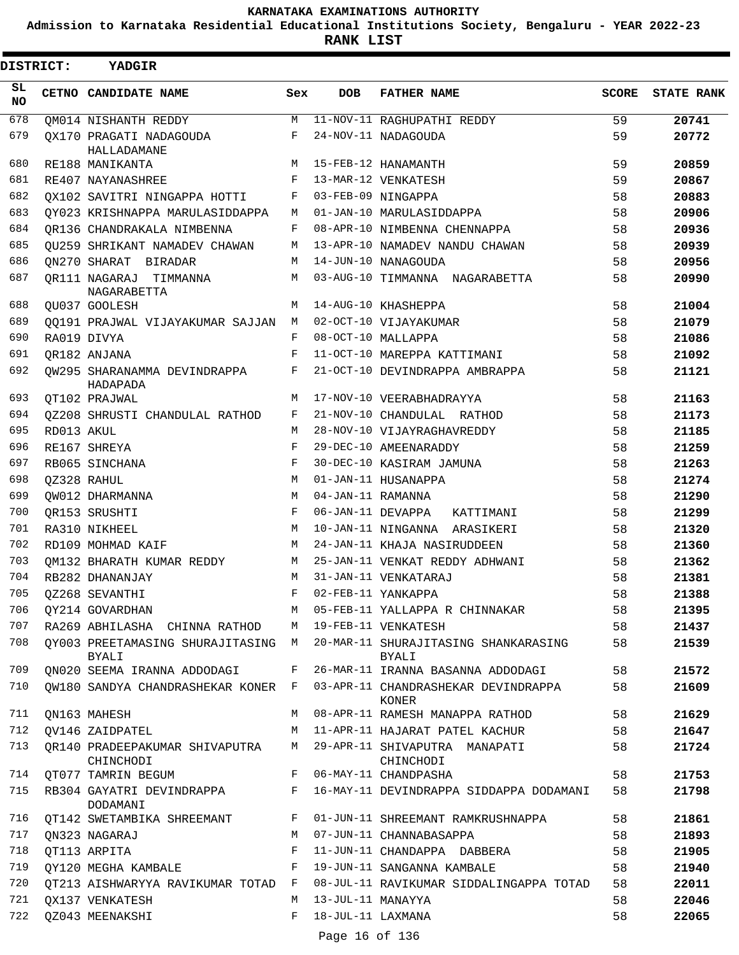**Admission to Karnataka Residential Educational Institutions Society, Bengaluru - YEAR 2022-23**

**RANK LIST**

| <b>DISTRICT:</b> |            | YADGIR                                      |     |                   |                                                                     |       |                   |
|------------------|------------|---------------------------------------------|-----|-------------------|---------------------------------------------------------------------|-------|-------------------|
| SL.<br><b>NO</b> |            | CETNO CANDIDATE NAME                        | Sex | <b>DOB</b>        | <b>FATHER NAME</b>                                                  | SCORE | <b>STATE RANK</b> |
| 678              |            | <b>OM014 NISHANTH REDDY</b>                 | M   |                   | 11-NOV-11 RAGHUPATHI REDDY                                          | 59    | 20741             |
| 679              |            | OX170 PRAGATI NADAGOUDA                     | F   |                   | 24-NOV-11 NADAGOUDA                                                 | 59    | 20772             |
| 680              |            | HALLADAMANE<br>RE188 MANIKANTA              | M   |                   | 15-FEB-12 HANAMANTH                                                 | 59    | 20859             |
| 681              |            | RE407 NAYANASHREE                           | F   |                   | 13-MAR-12 VENKATESH                                                 | 59    | 20867             |
| 682              |            | OX102 SAVITRI NINGAPPA HOTTI                | F   |                   | 03-FEB-09 NINGAPPA                                                  | 58    | 20883             |
| 683              |            | QY023 KRISHNAPPA MARULASIDDAPPA             | М   |                   | 01-JAN-10 MARULASIDDAPPA                                            | 58    | 20906             |
| 684              |            | OR136 CHANDRAKALA NIMBENNA                  | F   |                   | 08-APR-10 NIMBENNA CHENNAPPA                                        | 58    | 20936             |
| 685              |            | OU259 SHRIKANT NAMADEV CHAWAN               | М   |                   | 13-APR-10 NAMADEV NANDU CHAWAN                                      | 58    | 20939             |
| 686              |            | ON270 SHARAT BIRADAR                        | М   |                   | 14-JUN-10 NANAGOUDA                                                 | 58    | 20956             |
| 687              |            | OR111 NAGARAJ TIMMANNA<br>NAGARABETTA       | М   |                   | 03-AUG-10 TIMMANNA NAGARABETTA                                      | 58    | 20990             |
| 688              |            | OU037 GOOLESH                               | M   |                   | 14-AUG-10 KHASHEPPA                                                 | 58    | 21004             |
| 689              |            | 00191 PRAJWAL VIJAYAKUMAR SAJJAN            | M   |                   | 02-OCT-10 VIJAYAKUMAR                                               | 58    | 21079             |
| 690              |            | RA019 DIVYA                                 | F   |                   | 08-OCT-10 MALLAPPA                                                  | 58    | 21086             |
| 691              |            | OR182 ANJANA                                | F   |                   | 11-OCT-10 MAREPPA KATTIMANI                                         | 58    | 21092             |
| 692              |            | OW295 SHARANAMMA DEVINDRAPPA<br>HADAPADA    | F   |                   | 21-OCT-10 DEVINDRAPPA AMBRAPPA                                      | 58    | 21121             |
| 693              |            | OT102 PRAJWAL                               | М   |                   | 17-NOV-10 VEERABHADRAYYA                                            | 58    | 21163             |
| 694              |            | QZ208 SHRUSTI CHANDULAL RATHOD              | F   |                   | 21-NOV-10 CHANDULAL RATHOD                                          | 58    | 21173             |
| 695              | RD013 AKUL |                                             | М   |                   | 28-NOV-10 VIJAYRAGHAVREDDY                                          | 58    | 21185             |
| 696              |            | RE167 SHREYA                                | F   |                   | 29-DEC-10 AMEENARADDY                                               | 58    | 21259             |
| 697              |            | RB065 SINCHANA                              | F   |                   | 30-DEC-10 KASIRAM JAMUNA                                            | 58    | 21263             |
| 698              |            | QZ328 RAHUL                                 | M   |                   | 01-JAN-11 HUSANAPPA                                                 | 58    | 21274             |
| 699              |            | QW012 DHARMANNA                             | M   | 04-JAN-11 RAMANNA |                                                                     | 58    | 21290             |
| 700              |            | OR153 SRUSHTI                               | F   | 06-JAN-11 DEVAPPA | KATTIMANI                                                           | 58    | 21299             |
| 701              |            | RA310 NIKHEEL                               | M   |                   | 10-JAN-11 NINGANNA ARASIKERI                                        | 58    | 21320             |
| 702              |            | RD109 MOHMAD KAIF                           | M   |                   | 24-JAN-11 KHAJA NASIRUDDEEN                                         | 58    | 21360             |
| 703              |            | OM132 BHARATH KUMAR REDDY                   | М   |                   | 25-JAN-11 VENKAT REDDY ADHWANI                                      | 58    | 21362             |
| 704              |            | RB282 DHANANJAY                             | М   |                   | 31-JAN-11 VENKATARAJ                                                | 58    | 21381             |
| 705              |            | QZ268 SEVANTHI                              | F   |                   | 02-FEB-11 YANKAPPA                                                  | 58    | 21388             |
| 706              |            | QY214 GOVARDHAN                             |     |                   | M 05-FEB-11 YALLAPPA R CHINNAKAR                                    | 58    | 21395             |
| 707              |            | RA269 ABHILASHA CHINNA RATHOD               |     |                   | M 19-FEB-11 VENKATESH                                               | 58    | 21437             |
| 708              |            | QY003 PREETAMASING SHURAJITASING<br>BYALI   | M   |                   | 20-MAR-11 SHURAJITASING SHANKARASING<br>BYALI                       | 58    | 21539             |
| 709              |            | QN020 SEEMA IRANNA ADDODAGI                 | F   |                   | 26-MAR-11 IRANNA BASANNA ADDODAGI                                   | 58    | 21572             |
| 710              |            | OW180 SANDYA CHANDRASHEKAR KONER F          |     |                   | 03-APR-11 CHANDRASHEKAR DEVINDRAPPA<br>KONER                        | 58    | 21609             |
| 711              |            | QN163 MAHESH                                | M   |                   | 08-APR-11 RAMESH MANAPPA RATHOD                                     | 58    | 21629             |
| 712              |            | QV146 ZAIDPATEL                             | М   |                   | 11-APR-11 HAJARAT PATEL KACHUR                                      | 58    | 21647             |
| 713              |            | OR140 PRADEEPAKUMAR SHIVAPUTRA<br>CHINCHODI | M   |                   | 29-APR-11 SHIVAPUTRA MANAPATI<br>CHINCHODI                          | 58    | 21724             |
| 714              |            | QT077 TAMRIN BEGUM                          | F   |                   | 06-MAY-11 CHANDPASHA                                                | 58    | 21753             |
| 715              |            | DODAMANI                                    |     |                   | RB304 GAYATRI DEVINDRAPPA F 16-MAY-11 DEVINDRAPPA SIDDAPPA DODAMANI | 58    | 21798             |
| 716              |            | QT142 SWETAMBIKA SHREEMANT                  |     |                   | F 01-JUN-11 SHREEMANT RAMKRUSHNAPPA                                 | 58    | 21861             |
| 717              |            | QN323 NAGARAJ                               | М   |                   | 07-JUN-11 CHANNABASAPPA                                             | 58    | 21893             |
| 718              |            | QT113 ARPITA                                | F   |                   | 11-JUN-11 CHANDAPPA DABBERA                                         | 58    | 21905             |
| 719              |            | OY120 MEGHA KAMBALE                         | F   |                   | 19-JUN-11 SANGANNA KAMBALE                                          | 58    | 21940             |
| 720              |            | OT213 AISHWARYYA RAVIKUMAR TOTAD F          |     |                   | 08-JUL-11 RAVIKUMAR SIDDALINGAPPA TOTAD                             | 58    | 22011             |
| 721              |            | QX137 VENKATESH                             | М   | 13-JUL-11 MANAYYA |                                                                     | 58    | 22046             |
| 722              |            | QZ043 MEENAKSHI                             | F   | 18-JUL-11 LAXMANA |                                                                     | 58    | 22065             |
|                  |            |                                             |     | Page 16 of 136    |                                                                     |       |                   |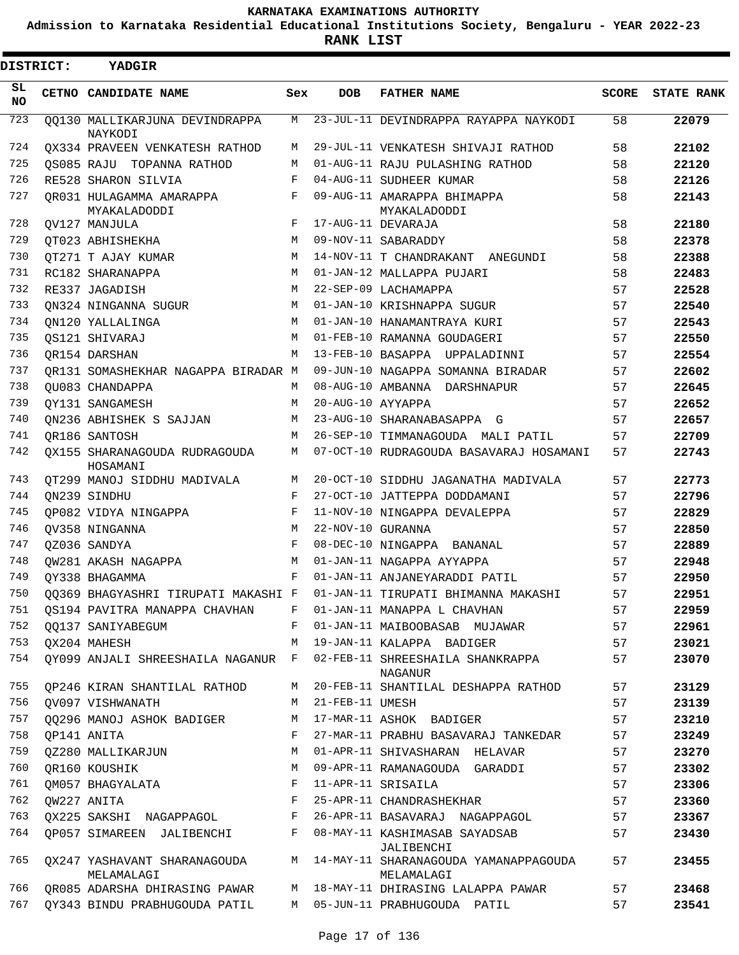**Admission to Karnataka Residential Educational Institutions Society, Bengaluru - YEAR 2022-23**

**RANK LIST**

 $\blacksquare$ 

| <b>DISTRICT:</b> | <b>YADGIR</b>                              |            |                   |                                                     |              |                   |
|------------------|--------------------------------------------|------------|-------------------|-----------------------------------------------------|--------------|-------------------|
| SL.<br>NO.       | CETNO CANDIDATE NAME                       | Sex        | <b>DOB</b>        | <b>FATHER NAME</b>                                  | <b>SCORE</b> | <b>STATE RANK</b> |
| 723              | 00130 MALLIKARJUNA DEVINDRAPPA<br>NAYKODI  | М          |                   | 23-JUL-11 DEVINDRAPPA RAYAPPA NAYKODI               | 58           | 22079             |
| 724              | QX334 PRAVEEN VENKATESH RATHOD             | М          |                   | 29-JUL-11 VENKATESH SHIVAJI RATHOD                  | 58           | 22102             |
| 725              | OS085 RAJU TOPANNA RATHOD                  | M          |                   | 01-AUG-11 RAJU PULASHING RATHOD                     | 58           | 22120             |
| 726              | RE528 SHARON SILVIA                        | F          |                   | 04-AUG-11 SUDHEER KUMAR                             | 58           | 22126             |
| 727              | OR031 HULAGAMMA AMARAPPA<br>MYAKALADODDI   | F          |                   | 09-AUG-11 AMARAPPA BHIMAPPA<br>MYAKALADODDI         | 58           | 22143             |
| 728              | OV127 MANJULA                              | F          |                   | 17-AUG-11 DEVARAJA                                  | 58           | 22180             |
| 729              | QT023 ABHISHEKHA                           | M          |                   | 09-NOV-11 SABARADDY                                 | 58           | 22378             |
| 730              | OT271 T AJAY KUMAR                         | M          |                   | 14-NOV-11 T CHANDRAKANT ANEGUNDI                    | 58           | 22388             |
| 731              | RC182 SHARANAPPA                           | M          |                   | 01-JAN-12 MALLAPPA PUJARI                           | 58           | 22483             |
| 732              | RE337 JAGADISH                             | M          |                   | 22-SEP-09 LACHAMAPPA                                | 57           | 22528             |
| 733              | ON324 NINGANNA SUGUR                       | M          |                   | 01-JAN-10 KRISHNAPPA SUGUR                          | 57           | 22540             |
| 734              | ON120 YALLALINGA                           | M          |                   | 01-JAN-10 HANAMANTRAYA KURI                         | 57           | 22543             |
| 735              | QS121 SHIVARAJ                             | M          |                   | 01-FEB-10 RAMANNA GOUDAGERI                         | 57           | 22550             |
| 736              | OR154 DARSHAN                              | M          |                   | 13-FEB-10 BASAPPA UPPALADINNI                       | 57           | 22554             |
| 737              | OR131 SOMASHEKHAR NAGAPPA BIRADAR M        |            |                   | 09-JUN-10 NAGAPPA SOMANNA BIRADAR                   | 57           | 22602             |
| 738              | OU083 CHANDAPPA                            | M          |                   | 08-AUG-10 AMBANNA DARSHNAPUR                        | 57           | 22645             |
| 739              | OY131 SANGAMESH                            | М          | 20-AUG-10 AYYAPPA |                                                     | 57           | 22652             |
| 740              | ON236 ABHISHEK S SAJJAN                    | M          |                   | 23-AUG-10 SHARANABASAPPA G                          | 57           | 22657             |
| 741              | OR186 SANTOSH                              | М          |                   | 26-SEP-10 TIMMANAGOUDA MALI PATIL                   | 57           | 22709             |
| 742              | OX155 SHARANAGOUDA RUDRAGOUDA              | M          |                   | 07-OCT-10 RUDRAGOUDA BASAVARAJ HOSAMANI             | 57           | 22743             |
| 743              | HOSAMANI<br>QT299 MANOJ SIDDHU MADIVALA    | М          |                   | 20-OCT-10 SIDDHU JAGANATHA MADIVALA                 | 57           | 22773             |
| 744              | QN239 SINDHU                               | F          |                   | 27-OCT-10 JATTEPPA DODDAMANI                        | 57           | 22796             |
| 745              | OP082 VIDYA NINGAPPA                       | F          |                   | 11-NOV-10 NINGAPPA DEVALEPPA                        | 57           | 22829             |
| 746              | OV358 NINGANNA                             | M          | 22-NOV-10 GURANNA |                                                     | 57           | 22850             |
| 747              | OZ036 SANDYA                               | $_{\rm F}$ |                   | 08-DEC-10 NINGAPPA BANANAL                          | 57           | 22889             |
| 748              | OW281 AKASH NAGAPPA                        | M          |                   | 01-JAN-11 NAGAPPA AYYAPPA                           | 57           | 22948             |
| 749              | OY338 BHAGAMMA                             | F          |                   | 01-JAN-11 ANJANEYARADDI PATIL                       | 57           | 22950             |
| 750              | QQ369 BHAGYASHRI TIRUPATI MAKASHI F        |            |                   | 01-JAN-11 TIRUPATI BHIMANNA MAKASHI                 | 57           | 22951             |
| 751              | OS194 PAVITRA MANAPPA CHAVHAN              | F          |                   | 01-JAN-11 MANAPPA L CHAVHAN                         | 57           | 22959             |
| 752              | QQ137 SANIYABEGUM                          | F          |                   | 01-JAN-11 MAIBOOBASAB MUJAWAR                       | 57           | 22961             |
| 753              | QX204 MAHESH                               | M          |                   | 19-JAN-11 KALAPPA BADIGER                           | 57           | 23021             |
| 754              | QY099 ANJALI SHREESHAILA NAGANUR F         |            |                   | 02-FEB-11 SHREESHAILA SHANKRAPPA<br>NAGANUR         | 57           | 23070             |
| 755              | QP246 KIRAN SHANTILAL RATHOD               | М          |                   | 20-FEB-11 SHANTILAL DESHAPPA RATHOD                 | 57           | 23129             |
| 756              | QV097 VISHWANATH                           | М          | 21-FEB-11 UMESH   |                                                     | 57           | 23139             |
| 757              | 00296 MANOJ ASHOK BADIGER                  | М          |                   | 17-MAR-11 ASHOK BADIGER                             | 57           | 23210             |
| 758              | QP141 ANITA                                | F          |                   | 27-MAR-11 PRABHU BASAVARAJ TANKEDAR                 | 57           | 23249             |
| 759              | QZ280 MALLIKARJUN                          | М          |                   | 01-APR-11 SHIVASHARAN HELAVAR                       | 57           | 23270             |
| 760              | QR160 KOUSHIK                              | М          |                   | 09-APR-11 RAMANAGOUDA GARADDI                       | 57           | 23302             |
| 761              | QM057 BHAGYALATA                           | F          |                   | 11-APR-11 SRISAILA                                  | 57           | 23306             |
| 762              | QW227 ANITA                                | F          |                   | 25-APR-11 CHANDRASHEKHAR                            | 57           | 23360             |
| 763              | QX225 SAKSHI NAGAPPAGOL                    | F          |                   | 26-APR-11 BASAVARAJ NAGAPPAGOL                      | 57           | 23367             |
| 764              | QP057 SIMAREEN JALIBENCHI                  | F          |                   | 08-MAY-11 KASHIMASAB SAYADSAB<br>JALIBENCHI         | 57           | 23430             |
| 765              | QX247 YASHAVANT SHARANAGOUDA<br>MELAMALAGI | M          |                   | 14-MAY-11 SHARANAGOUDA YAMANAPPAGOUDA<br>MELAMALAGI | 57           | 23455             |
| 766              | QR085 ADARSHA DHIRASING PAWAR              | М          |                   | 18-MAY-11 DHIRASING LALAPPA PAWAR                   | 57           | 23468             |
| 767              | QY343 BINDU PRABHUGOUDA PATIL              | М          |                   | 05-JUN-11 PRABHUGOUDA PATIL                         | 57           | 23541             |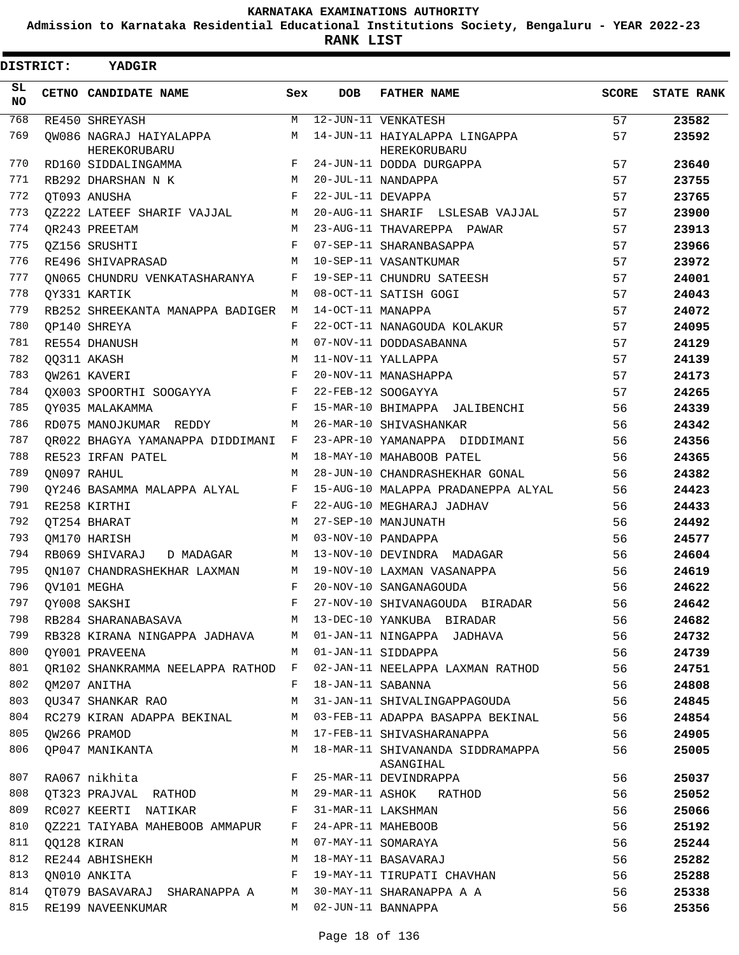**Admission to Karnataka Residential Educational Institutions Society, Bengaluru - YEAR 2022-23**

**RANK LIST**

| <b>DISTRICT:</b> | <b>YADGIR</b>                      |        |                   |                                                    |              |                   |
|------------------|------------------------------------|--------|-------------------|----------------------------------------------------|--------------|-------------------|
| SL.<br>NO.       | CETNO CANDIDATE NAME               | Sex    | <b>DOB</b>        | <b>FATHER NAME</b>                                 | <b>SCORE</b> | <b>STATE RANK</b> |
| 768              | RE450 SHREYASH                     | М      |                   | 12-JUN-11 VENKATESH                                | 57           | 23582             |
| 769              | OW086 NAGRAJ HAIYALAPPA            | M      |                   | 14-JUN-11 HAIYALAPPA LINGAPPA                      | 57           | 23592             |
| 770              | HEREKORUBARU                       |        |                   | HEREKORUBARU                                       |              |                   |
| 771              | RD160 SIDDALINGAMMA                | F      |                   | 24-JUN-11 DODDA DURGAPPA                           | 57           | 23640             |
| 772              | RB292 DHARSHAN N K                 | M      |                   | 20-JUL-11 NANDAPPA                                 | 57           | 23755             |
| 773              | OT093 ANUSHA                       | F      | 22-JUL-11 DEVAPPA |                                                    | 57           | 23765             |
| 774              | QZ222 LATEEF SHARIF VAJJAL         | М      |                   | 20-AUG-11 SHARIF LSLESAB VAJJAL                    | 57           | 23900             |
| 775              | OR243 PREETAM                      | M<br>F |                   | 23-AUG-11 THAVAREPPA PAWAR                         | 57           | 23913             |
| 776              | QZ156 SRUSHTI                      |        |                   | 07-SEP-11 SHARANBASAPPA                            | 57           | 23966             |
| 777              | RE496 SHIVAPRASAD                  | M      |                   | 10-SEP-11 VASANTKUMAR                              | 57           | 23972             |
| 778              | ON065 CHUNDRU VENKATASHARANYA      | F      |                   | 19-SEP-11 CHUNDRU SATEESH<br>08-OCT-11 SATISH GOGI | 57           | 24001             |
| 779              | OY331 KARTIK                       | M      | 14-OCT-11 MANAPPA |                                                    | 57           | 24043             |
|                  | RB252 SHREEKANTA MANAPPA BADIGER   | М      |                   |                                                    | 57           | 24072             |
| 780              | OP140 SHREYA                       | F      |                   | 22-OCT-11 NANAGOUDA KOLAKUR                        | 57           | 24095             |
| 781              | RE554 DHANUSH                      | M      |                   | 07-NOV-11 DODDASABANNA                             | 57           | 24129             |
| 782              | QQ311 AKASH                        | M      |                   | 11-NOV-11 YALLAPPA                                 | 57           | 24139             |
| 783              | OW261 KAVERI                       | F      |                   | 20-NOV-11 MANASHAPPA                               | 57           | 24173             |
| 784              | QX003 SPOORTHI SOOGAYYA            | F      |                   | 22-FEB-12 SOOGAYYA                                 | 57           | 24265             |
| 785              | OY035 MALAKAMMA                    | F      |                   | 15-MAR-10 BHIMAPPA JALIBENCHI                      | 56           | 24339             |
| 786              | RD075 MANOJKUMAR REDDY             | М      |                   | 26-MAR-10 SHIVASHANKAR                             | 56           | 24342             |
| 787              | OR022 BHAGYA YAMANAPPA DIDDIMANI   | F      |                   | 23-APR-10 YAMANAPPA DIDDIMANI                      | 56           | 24356             |
| 788              | RE523 IRFAN PATEL                  | М      |                   | 18-MAY-10 MAHABOOB PATEL                           | 56           | 24365             |
| 789              | QN097 RAHUL                        | M      |                   | 28-JUN-10 CHANDRASHEKHAR GONAL                     | 56           | 24382             |
| 790              | OY246 BASAMMA MALAPPA ALYAL        | F      |                   | 15-AUG-10 MALAPPA PRADANEPPA ALYAL                 | 56           | 24423             |
| 791              | RE258 KIRTHI                       | F      |                   | 22-AUG-10 MEGHARAJ JADHAV                          | 56           | 24433             |
| 792              | QT254 BHARAT                       | M      |                   | 27-SEP-10 MANJUNATH                                | 56           | 24492             |
| 793              | OM170 HARISH                       | M      |                   | 03-NOV-10 PANDAPPA                                 | 56           | 24577             |
| 794              | RB069 SHIVARAJ<br>D MADAGAR        | М      |                   | 13-NOV-10 DEVINDRA MADAGAR                         | 56           | 24604             |
| 795              | ON107 CHANDRASHEKHAR LAXMAN        | M      |                   | 19-NOV-10 LAXMAN VASANAPPA                         | 56           | 24619             |
| 796              | OV101 MEGHA                        | F      |                   | 20-NOV-10 SANGANAGOUDA                             | 56           | 24622             |
| 797              | QY008 SAKSHI                       |        |                   | 27-NOV-10 SHIVANAGOUDA BIRADAR                     | 56           | 24642             |
| 798              | RB284 SHARANABASAVA                | M      |                   | 13-DEC-10 YANKUBA BIRADAR                          | 56           | 24682             |
| 799              | RB328 KIRANA NINGAPPA JADHAVA      | M      |                   | 01-JAN-11 NINGAPPA JADHAVA                         | 56           | 24732             |
| 800              | QY001 PRAVEENA                     | M      |                   | 01-JAN-11 SIDDAPPA                                 | 56           | 24739             |
| 801              | QR102 SHANKRAMMA NEELAPPA RATHOD F |        |                   | 02-JAN-11 NEELAPPA LAXMAN RATHOD                   | 56           | 24751             |
| 802              | QM207 ANITHA                       | F      | 18-JAN-11 SABANNA |                                                    | 56           | 24808             |
| 803              | QU347 SHANKAR RAO                  | M      |                   | 31-JAN-11 SHIVALINGAPPAGOUDA                       | 56           | 24845             |
| 804              | RC279 KIRAN ADAPPA BEKINAL         | M      |                   | 03-FEB-11 ADAPPA BASAPPA BEKINAL                   | 56           | 24854             |
| 805              | QW266 PRAMOD                       | М      |                   | 17-FEB-11 SHIVASHARANAPPA                          | 56           | 24905             |
| 806              | QP047 MANIKANTA                    | M      |                   | 18-MAR-11 SHIVANANDA SIDDRAMAPPA<br>ASANGIHAL      | 56           | 25005             |
| 807              | RA067 nikhita                      | F      |                   | 25-MAR-11 DEVINDRAPPA                              | 56           | 25037             |
| 808              | QT323 PRAJVAL RATHOD               | М      |                   | 29-MAR-11 ASHOK RATHOD                             | 56           | 25052             |
| 809              | RC027 KEERTI NATIKAR               | F      |                   | 31-MAR-11 LAKSHMAN                                 | 56           | 25066             |
| 810              | QZ221 TAIYABA MAHEBOOB AMMAPUR     | F      |                   | 24-APR-11 MAHEBOOB                                 | 56           | 25192             |
| 811              | QQ128 KIRAN                        | M      |                   | 07-MAY-11 SOMARAYA                                 | 56           | 25244             |
| 812              | RE244 ABHISHEKH                    | М      |                   | 18-MAY-11 BASAVARAJ                                | 56           | 25282             |
| 813              | ON010 ANKITA                       | F      |                   | 19-MAY-11 TIRUPATI CHAVHAN                         | 56           | 25288             |
| 814              | QT079 BASAVARAJ SHARANAPPA A       | M      |                   | 30-MAY-11 SHARANAPPA A A                           | 56           | 25338             |
| 815              | RE199 NAVEENKUMAR                  | M      |                   | 02-JUN-11 BANNAPPA                                 | 56           | 25356             |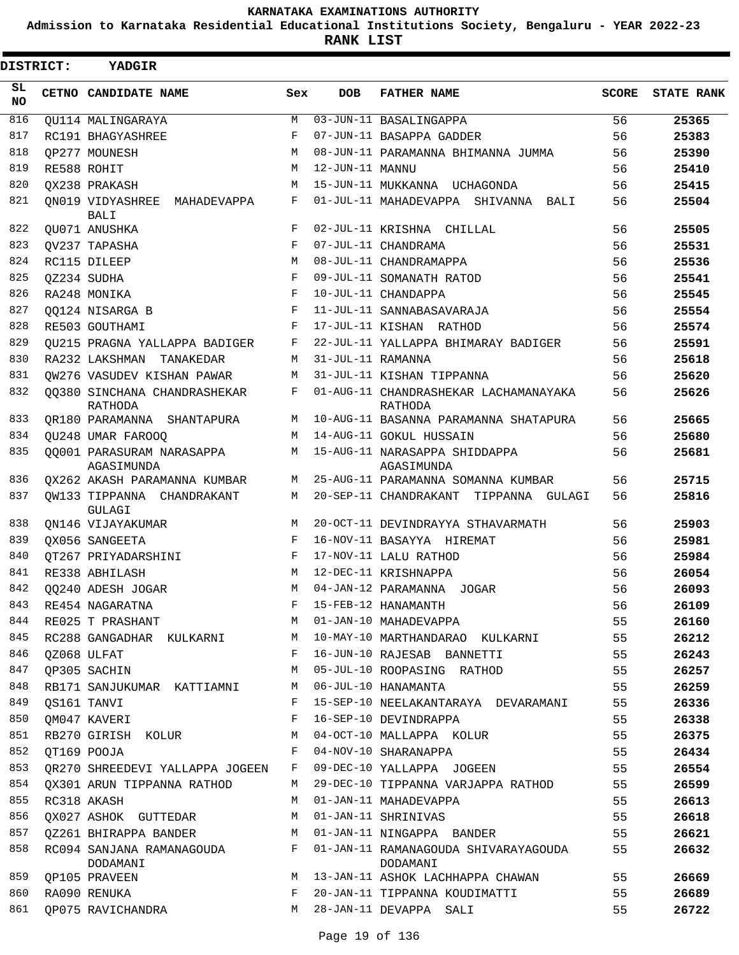**Admission to Karnataka Residential Educational Institutions Society, Bengaluru - YEAR 2022-23**

**RANK LIST**

| <b>DISTRICT:</b> | <b>YADGIR</b>                                  |            |                   |                                                  |              |                   |
|------------------|------------------------------------------------|------------|-------------------|--------------------------------------------------|--------------|-------------------|
| SL.<br>NO.       | CETNO CANDIDATE NAME                           | Sex        | <b>DOB</b>        | <b>FATHER NAME</b>                               | <b>SCORE</b> | <b>STATE RANK</b> |
| 816              | OU114 MALINGARAYA                              | М          |                   | $\overline{03}$ -JUN-11 BASALINGAPPA             | 56           | 25365             |
| 817              | RC191 BHAGYASHREE                              | F          |                   | 07-JUN-11 BASAPPA GADDER                         | 56           | 25383             |
| 818              | OP277 MOUNESH                                  | M          |                   | 08-JUN-11 PARAMANNA BHIMANNA JUMMA               | 56           | 25390             |
| 819              | RE588 ROHIT                                    | М          | 12-JUN-11 MANNU   |                                                  | 56           | 25410             |
| 820              | OX238 PRAKASH                                  | M          |                   | 15-JUN-11 MUKKANNA UCHAGONDA                     | 56           | 25415             |
| 821              | ON019 VIDYASHREE<br>MAHADEVAPPA<br><b>BALI</b> | F          |                   | 01-JUL-11 MAHADEVAPPA SHIVANNA BALI              | 56           | 25504             |
| 822              | QU071 ANUSHKA                                  | F          |                   | 02-JUL-11 KRISHNA CHILLAL                        | 56           | 25505             |
| 823              | OV237 TAPASHA                                  | F          |                   | 07-JUL-11 CHANDRAMA                              | 56           | 25531             |
| 824              | RC115 DILEEP                                   | M          |                   | 08-JUL-11 CHANDRAMAPPA                           | 56           | 25536             |
| 825              | OZ234 SUDHA                                    | F          |                   | 09-JUL-11 SOMANATH RATOD                         | 56           | 25541             |
| 826              | RA248 MONIKA                                   | F          |                   | 10-JUL-11 CHANDAPPA                              | 56           | 25545             |
| 827              | OO124 NISARGA B                                | $_{\rm F}$ |                   | 11-JUL-11 SANNABASAVARAJA                        | 56           | 25554             |
| 828              | RE503 GOUTHAMI                                 | F          |                   | 17-JUL-11 KISHAN RATHOD                          | 56           | 25574             |
| 829              | OU215 PRAGNA YALLAPPA BADIGER                  | F          |                   | 22-JUL-11 YALLAPPA BHIMARAY BADIGER              | 56           | 25591             |
| 830              | RA232 LAKSHMAN<br>TANAKEDAR                    | M          | 31-JUL-11 RAMANNA |                                                  | 56           | 25618             |
| 831              | OW276 VASUDEV KISHAN PAWAR                     | M          |                   | 31-JUL-11 KISHAN TIPPANNA                        | 56           | 25620             |
| 832              | 00380 SINCHANA CHANDRASHEKAR<br>RATHODA        | F          |                   | 01-AUG-11 CHANDRASHEKAR LACHAMANAYAKA<br>RATHODA | 56           | 25626             |
| 833              | QR180 PARAMANNA SHANTAPURA                     | М          |                   | 10-AUG-11 BASANNA PARAMANNA SHATAPURA            | 56           | 25665             |
| 834              | QU248 UMAR FAROOQ                              | M          |                   | 14-AUG-11 GOKUL HUSSAIN                          | 56           | 25680             |
| 835              | 00001 PARASURAM NARASAPPA<br>AGASIMUNDA        | M          |                   | 15-AUG-11 NARASAPPA SHIDDAPPA<br>AGASIMUNDA      | 56           | 25681             |
| 836              | OX262 AKASH PARAMANNA KUMBAR                   | M          |                   | 25-AUG-11 PARAMANNA SOMANNA KUMBAR               | 56           | 25715             |
| 837              | QW133 TIPPANNA CHANDRAKANT<br>GULAGI           | М          |                   | 20-SEP-11 CHANDRAKANT<br>TIPPANNA GULAGI         | 56           | 25816             |
| 838              | ON146 VIJAYAKUMAR                              | M          |                   | 20-OCT-11 DEVINDRAYYA STHAVARMATH                | 56           | 25903             |
| 839              | OX056 SANGEETA                                 | F          |                   | 16-NOV-11 BASAYYA HIREMAT                        | 56           | 25981             |
| 840              | OT267 PRIYADARSHINI                            | $_{\rm F}$ |                   | 17-NOV-11 LALU RATHOD                            | 56           | 25984             |
| 841              | RE338 ABHILASH                                 | M          |                   | 12-DEC-11 KRISHNAPPA                             | 56           | 26054             |
| 842              | 00240 ADESH JOGAR                              | М          |                   | 04-JAN-12 PARAMANNA JOGAR                        | 56           | 26093             |
| 843              | RE454 NAGARATNA                                | F          |                   | 15-FEB-12 HANAMANTH                              | 56           | 26109             |
| 844              | RE025 T PRASHANT                               | M          |                   | 01-JAN-10 MAHADEVAPPA                            | 55           | 26160             |
| 845              | RC288 GANGADHAR KULKARNI                       | M          |                   | 10-MAY-10 MARTHANDARAO KULKARNI                  | 55           | 26212             |
| 846              | OZ068 ULFAT                                    | F          |                   | 16-JUN-10 RAJESAB BANNETTI                       | 55           | 26243             |
| 847              | QP305 SACHIN                                   | М          |                   | 05-JUL-10 ROOPASING RATHOD                       | 55           | 26257             |
| 848              | RB171 SANJUKUMAR KATTIAMNI                     | М          |                   | 06-JUL-10 HANAMANTA                              | 55           | 26259             |
| 849              | OS161 TANVI                                    | F          |                   | 15-SEP-10 NEELAKANTARAYA DEVARAMANI              | 55           | 26336             |
| 850              | QM047 KAVERI                                   | F          |                   | 16-SEP-10 DEVINDRAPPA                            | 55           | 26338             |
| 851              | RB270 GIRISH KOLUR                             | M          |                   | 04-OCT-10 MALLAPPA KOLUR                         | 55           | 26375             |
| 852              | QT169 POOJA                                    | F          |                   | 04-NOV-10 SHARANAPPA                             | 55           | 26434             |
| 853              | OR270 SHREEDEVI YALLAPPA JOGEEN                | F          |                   | 09-DEC-10 YALLAPPA JOGEEN                        | 55           | 26554             |
| 854              | OX301 ARUN TIPPANNA RATHOD                     | M          |                   | 29-DEC-10 TIPPANNA VARJAPPA RATHOD               | 55           | 26599             |
| 855              | RC318 AKASH                                    | M          |                   | 01-JAN-11 MAHADEVAPPA                            | 55           | 26613             |
| 856              | QX027 ASHOK GUTTEDAR                           | M          |                   | 01-JAN-11 SHRINIVAS                              | 55           | 26618             |
| 857              | 0Z261 BHIRAPPA BANDER                          | М          |                   | 01-JAN-11 NINGAPPA BANDER                        | 55           | 26621             |
| 858              | RC094 SANJANA RAMANAGOUDA<br>DODAMANI          | F          |                   | 01-JAN-11 RAMANAGOUDA SHIVARAYAGOUDA<br>DODAMANI | 55           | 26632             |
| 859              | OP105 PRAVEEN                                  | М          |                   | 13-JAN-11 ASHOK LACHHAPPA CHAWAN                 | 55           | 26669             |
| 860              | RA090 RENUKA                                   | F          |                   | 20-JAN-11 TIPPANNA KOUDIMATTI                    | 55           | 26689             |
| 861              | QP075 RAVICHANDRA                              | M          |                   | 28-JAN-11 DEVAPPA SALI                           | 55           | 26722             |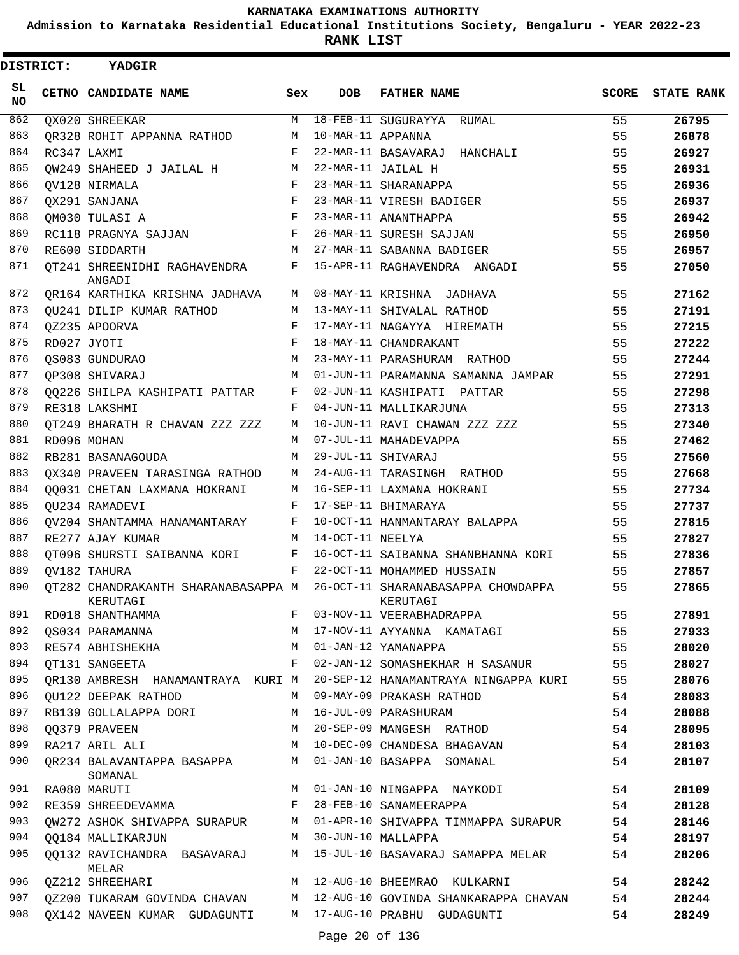**Admission to Karnataka Residential Educational Institutions Society, Bengaluru - YEAR 2022-23**

**RANK LIST**

| <b>DISTRICT:</b> | YADGIR                                 |              |                   |                                                                                    |       |                   |
|------------------|----------------------------------------|--------------|-------------------|------------------------------------------------------------------------------------|-------|-------------------|
| SL.<br>NO.       | CETNO CANDIDATE NAME                   | Sex          | <b>DOB</b>        | <b>FATHER NAME</b>                                                                 | SCORE | <b>STATE RANK</b> |
| 862              | QX020 SHREEKAR                         | М            |                   | 18-FEB-11 SUGURAYYA RUMAL                                                          | 55    | 26795             |
| 863              | OR328 ROHIT APPANNA RATHOD             | М            | 10-MAR-11 APPANNA |                                                                                    | 55    | 26878             |
| 864              | RC347 LAXMI                            | F            |                   | 22-MAR-11 BASAVARAJ HANCHALI                                                       | 55    | 26927             |
| 865              | OW249 SHAHEED J JAILAL H               | M            |                   | 22-MAR-11 JAILAL H                                                                 | 55    | 26931             |
| 866              | OV128 NIRMALA                          | $\mathbf{F}$ |                   | 23-MAR-11 SHARANAPPA                                                               | 55    | 26936             |
| 867              | OX291 SANJANA                          | F            |                   | 23-MAR-11 VIRESH BADIGER                                                           | 55    | 26937             |
| 868              | OM030 TULASI A                         | F            |                   | 23-MAR-11 ANANTHAPPA                                                               | 55    | 26942             |
| 869              | RC118 PRAGNYA SAJJAN                   | F            |                   | 26-MAR-11 SURESH SAJJAN                                                            | 55    | 26950             |
| 870              | RE600 SIDDARTH                         | M            |                   | 27-MAR-11 SABANNA BADIGER                                                          | 55    | 26957             |
| 871              | QT241 SHREENIDHI RAGHAVENDRA<br>ANGADI | F            |                   | 15-APR-11 RAGHAVENDRA ANGADI                                                       | 55    | 27050             |
| 872              | QR164 KARTHIKA KRISHNA JADHAVA M       |              |                   | 08-MAY-11 KRISHNA JADHAVA                                                          | 55    | 27162             |
| 873              | QU241 DILIP KUMAR RATHOD               | M            |                   | 13-MAY-11 SHIVALAL RATHOD                                                          | 55    | 27191             |
| 874              | QZ235 APOORVA                          | $\mathbf{F}$ |                   | 17-MAY-11 NAGAYYA HIREMATH                                                         | 55    | 27215             |
| 875              | RD027 JYOTI                            | F            |                   | 18-MAY-11 CHANDRAKANT                                                              | 55    | 27222             |
| 876              | QS083 GUNDURAO                         | M            |                   | 23-MAY-11 PARASHURAM RATHOD                                                        | 55    | 27244             |
| 877              | OP308 SHIVARAJ                         | M            |                   | 01-JUN-11 PARAMANNA SAMANNA JAMPAR                                                 | 55    | 27291             |
| 878              | QQ226 SHILPA KASHIPATI PATTAR          | F            |                   | 02-JUN-11 KASHIPATI PATTAR                                                         | 55    | 27298             |
| 879              | RE318 LAKSHMI                          | F            |                   | 04-JUN-11 MALLIKARJUNA                                                             | 55    | 27313             |
| 880              | OT249 BHARATH R CHAVAN ZZZ ZZZ         | М            |                   | 10-JUN-11 RAVI CHAWAN ZZZ ZZZ                                                      | 55    | 27340             |
| 881              | RD096 MOHAN                            | M            |                   | 07-JUL-11 MAHADEVAPPA                                                              | 55    | 27462             |
| 882              | RB281 BASANAGOUDA                      | М            |                   | 29-JUL-11 SHIVARAJ                                                                 | 55    | 27560             |
| 883              | QX340 PRAVEEN TARASINGA RATHOD         | M            |                   | 24-AUG-11 TARASINGH RATHOD                                                         | 55    | 27668             |
| 884              | 00031 CHETAN LAXMANA HOKRANI           | M            |                   | 16-SEP-11 LAXMANA HOKRANI                                                          | 55    | 27734             |
| 885              | OU234 RAMADEVI                         | $\mathbf{F}$ |                   | 17-SEP-11 BHIMARAYA                                                                | 55    | 27737             |
| 886              | QV204 SHANTAMMA HANAMANTARAY F         |              |                   | 10-OCT-11 HANMANTARAY BALAPPA                                                      | 55    | 27815             |
| 887              | RE277 AJAY KUMAR                       | M            | 14-OCT-11 NEELYA  |                                                                                    | 55    | 27827             |
| 888              | QT096 SHURSTI SAIBANNA KORI F          |              |                   | 16-OCT-11 SAIBANNA SHANBHANNA KORI                                                 | 55    | 27836             |
| 889              | OV182 TAHURA                           | F            |                   | 22-OCT-11 MOHAMMED HUSSAIN                                                         | 55    | 27857             |
| 890              | KERUTAGI                               |              |                   | QT282 CHANDRAKANTH SHARANABASAPPA M 26-OCT-11 SHARANABASAPPA CHOWDAPPA<br>KERUTAGI | 55    | 27865             |
| 891              | KERUTAGI<br>RD018 SHANTHAMMA           | $F$ and $F$  |                   | 03-NOV-11 VEERABHADRAPPA                                                           | 55    | 27891             |
| 892              | QS034 PARAMANNA                        | M            |                   | 17-NOV-11 AYYANNA KAMATAGI                                                         | 55    | 27933             |
| 893              | RE574 ABHISHEKHA                       | M            |                   | 01-JAN-12 YAMANAPPA                                                                | 55    | 28020             |
| 894              | OT131 SANGEETA                         | F            |                   | 02-JAN-12 SOMASHEKHAR H SASANUR                                                    | 55    | 28027             |
| 895              | OR130 AMBRESH HANAMANTRAYA KURI M      |              |                   | 20-SEP-12 HANAMANTRAYA NINGAPPA KURI                                               | 55    | 28076             |
| 896              | OU122 DEEPAK RATHOD                    | M            |                   | 09-MAY-09 PRAKASH RATHOD                                                           | 54    | 28083             |
| 897              | RB139 GOLLALAPPA DORI                  | M            |                   | 16-JUL-09 PARASHURAM                                                               | 54    | 28088             |
| 898              | QQ379 PRAVEEN                          | M            |                   | 20-SEP-09 MANGESH RATHOD                                                           | 54    | 28095             |
| 899              | RA217 ARIL ALI                         | M            |                   | 10-DEC-09 CHANDESA BHAGAVAN                                                        | 54    | 28103             |
| 900              | QR234 BALAVANTAPPA BASAPPA<br>SOMANAL  | M            |                   | 01-JAN-10 BASAPPA SOMANAL                                                          | 54    | 28107             |
| 901              | RA080 MARUTI                           | M            |                   | 01-JAN-10 NINGAPPA NAYKODI                                                         | 54    | 28109             |
| 902              | RE359 SHREEDEVAMMA                     | F            |                   | 28-FEB-10 SANAMEERAPPA                                                             | 54    | 28128             |
| 903              | OW272 ASHOK SHIVAPPA SURAPUR           | M            |                   | 01-APR-10 SHIVAPPA TIMMAPPA SURAPUR                                                | 54    | 28146             |
| 904              | OO184 MALLIKARJUN                      | M            |                   | 30-JUN-10 MALLAPPA                                                                 | 54    | 28197             |
| 905              | 00132 RAVICHANDRA BASAVARAJ<br>MELAR   | М            |                   | 15-JUL-10 BASAVARAJ SAMAPPA MELAR                                                  | 54    | 28206             |
| 906              | QZ212 SHREEHARI                        | M            |                   | 12-AUG-10 BHEEMRAO KULKARNI                                                        | 54    | 28242             |
| 907              | QZ200 TUKARAM GOVINDA CHAVAN           | M            |                   | 12-AUG-10 GOVINDA SHANKARAPPA CHAVAN                                               | 54    | 28244             |
| 908              | QX142 NAVEEN KUMAR GUDAGUNTI           | M            |                   | 17-AUG-10 PRABHU GUDAGUNTI                                                         | 54    | 28249             |
|                  |                                        |              | Page 20 of 136    |                                                                                    |       |                   |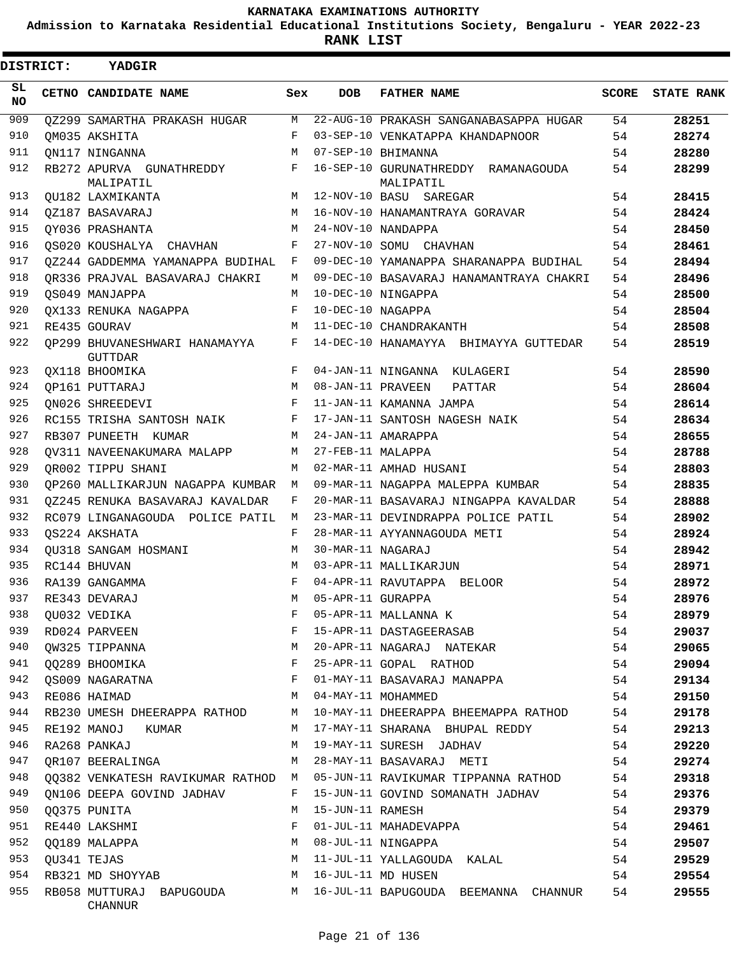**Admission to Karnataka Residential Educational Institutions Society, Bengaluru - YEAR 2022-23**

 $\blacksquare$ 

**RANK LIST**

Е

| DISTRICT:  | <b>YADGIR</b>                                   |            |                   |                                                  |              |                   |
|------------|-------------------------------------------------|------------|-------------------|--------------------------------------------------|--------------|-------------------|
| SL.<br>NO. | CETNO CANDIDATE NAME                            | Sex        | <b>DOB</b>        | <b>FATHER NAME</b>                               | <b>SCORE</b> | <b>STATE RANK</b> |
| 909        | OZ299 SAMARTHA PRAKASH HUGAR                    | M          |                   | 22-AUG-10 PRAKASH SANGANABASAPPA HUGAR           | 54           | 28251             |
| 910        | OM035 AKSHITA                                   | F          |                   | 03-SEP-10 VENKATAPPA KHANDAPNOOR                 | 54           | 28274             |
| 911        | ON117 NINGANNA                                  | M          |                   | 07-SEP-10 BHIMANNA                               | 54           | 28280             |
| 912        | RB272 APURVA GUNATHREDDY<br>MALIPATIL           | F          |                   | 16-SEP-10 GURUNATHREDDY RAMANAGOUDA<br>MALIPATIL | 54           | 28299             |
| 913        | QU182 LAXMIKANTA                                | M          |                   | 12-NOV-10 BASU SAREGAR                           | 54           | 28415             |
| 914        | OZ187 BASAVARAJ                                 | M          |                   | 16-NOV-10 HANAMANTRAYA GORAVAR                   | 54           | 28424             |
| 915        | OY036 PRASHANTA                                 | M          |                   | 24-NOV-10 NANDAPPA                               | 54           | 28450             |
| 916        | OS020 KOUSHALYA CHAVHAN                         | F          |                   | 27-NOV-10 SOMU CHAVHAN                           | 54           | 28461             |
| 917        | 0Z244 GADDEMMA YAMANAPPA BUDIHAL                | F          |                   | 09-DEC-10 YAMANAPPA SHARANAPPA BUDIHAL           | 54           | 28494             |
| 918        | OR336 PRAJVAL BASAVARAJ CHAKRI                  | M          |                   | 09-DEC-10 BASAVARAJ HANAMANTRAYA CHAKRI          | 54           | 28496             |
| 919        | OS049 MANJAPPA                                  | М          |                   | 10-DEC-10 NINGAPPA                               | 54           | 28500             |
| 920        | OX133 RENUKA NAGAPPA                            | F          | 10-DEC-10 NAGAPPA |                                                  | 54           | 28504             |
| 921        | RE435 GOURAV                                    | M          |                   | 11-DEC-10 CHANDRAKANTH                           | 54           | 28508             |
| 922        | OP299 BHUVANESHWARI HANAMAYYA<br><b>GUTTDAR</b> | F          |                   | 14-DEC-10 HANAMAYYA BHIMAYYA GUTTEDAR            | 54           | 28519             |
| 923        | OX118 BHOOMIKA                                  | F          |                   | 04-JAN-11 NINGANNA KULAGERI                      | 54           | 28590             |
| 924        | OP161 PUTTARAJ                                  | M          | 08-JAN-11 PRAVEEN | PATTAR                                           | 54           | 28604             |
| 925        | ON026 SHREEDEVI                                 | F          |                   | 11-JAN-11 KAMANNA JAMPA                          | 54           | 28614             |
| 926        | RC155 TRISHA SANTOSH NAIK                       | F          |                   | 17-JAN-11 SANTOSH NAGESH NAIK                    | 54           | 28634             |
| 927        | RB307 PUNEETH KUMAR                             | M          |                   | 24-JAN-11 AMARAPPA                               | 54           | 28655             |
| 928        | OV311 NAVEENAKUMARA MALAPP                      | M          | 27-FEB-11 MALAPPA |                                                  | 54           | 28788             |
| 929        | OR002 TIPPU SHANI                               | M          |                   | 02-MAR-11 AMHAD HUSANI                           | 54           | 28803             |
| 930        | OP260 MALLIKARJUN NAGAPPA KUMBAR                | M          |                   | 09-MAR-11 NAGAPPA MALEPPA KUMBAR                 | 54           | 28835             |
| 931        | 0Z245 RENUKA BASAVARAJ KAVALDAR                 | F          |                   | 20-MAR-11 BASAVARAJ NINGAPPA KAVALDAR            | 54           | 28888             |
| 932        | RC079 LINGANAGOUDA POLICE PATIL                 | M          |                   | 23-MAR-11 DEVINDRAPPA POLICE PATIL               | 54           | 28902             |
| 933        | OS224 AKSHATA                                   | F          |                   | 28-MAR-11 AYYANNAGOUDA METI                      | 54           | 28924             |
| 934        | OU318 SANGAM HOSMANI                            | M          | 30-MAR-11 NAGARAJ |                                                  | 54           | 28942             |
| 935        | RC144 BHUVAN                                    | M          |                   | 03-APR-11 MALLIKARJUN                            | 54           | 28971             |
| 936        | RA139 GANGAMMA                                  | F          |                   | 04-APR-11 RAVUTAPPA BELOOR                       | 54           | 28972             |
| 937        | RE343 DEVARAJ                                   | М          | 05-APR-11 GURAPPA |                                                  | 54           | 28976             |
| 938        | QU032 VEDIKA                                    | F          |                   | 05-APR-11 MALLANNA K                             | 54           | 28979             |
| 939        | RD024 PARVEEN                                   | F          |                   | 15-APR-11 DASTAGEERASAB                          | 54           | 29037             |
| 940        | QW325 TIPPANNA                                  | М          |                   | 20-APR-11 NAGARAJ NATEKAR                        | 54           | 29065             |
| 941        | QQ289 BHOOMIKA                                  | F          |                   | 25-APR-11 GOPAL RATHOD                           | 54           | 29094             |
| 942        | QS009 NAGARATNA                                 | $_{\rm F}$ |                   | 01-MAY-11 BASAVARAJ MANAPPA                      | 54           | 29134             |
| 943        | RE086 HAIMAD                                    | M          |                   | 04-MAY-11 MOHAMMED                               | 54           | 29150             |
| 944        | RB230 UMESH DHEERAPPA RATHOD                    | M          |                   | 10-MAY-11 DHEERAPPA BHEEMAPPA RATHOD             | 54           | 29178             |
| 945        | RE192 MANOJ<br>KUMAR                            | M          |                   | 17-MAY-11 SHARANA BHUPAL REDDY                   | 54           | 29213             |
| 946        | RA268 PANKAJ                                    | M          |                   | 19-MAY-11 SURESH JADHAV                          | 54           | 29220             |
| 947        | OR107 BEERALINGA                                | М          |                   | 28-MAY-11 BASAVARAJ METI                         | 54           | 29274             |
| 948        | QQ382 VENKATESH RAVIKUMAR RATHOD M              |            |                   | 05-JUN-11 RAVIKUMAR TIPPANNA RATHOD              | 54           | 29318             |
| 949        | ON106 DEEPA GOVIND JADHAV                       | F          |                   | 15-JUN-11 GOVIND SOMANATH JADHAV                 | 54           | 29376             |
| 950        | 00375 PUNITA                                    | M          | 15-JUN-11 RAMESH  |                                                  | 54           | 29379             |
| 951        | RE440 LAKSHMI                                   | F          |                   | 01-JUL-11 MAHADEVAPPA                            | 54           | 29461             |
| 952        | 00189 MALAPPA                                   | M          |                   | 08-JUL-11 NINGAPPA                               | 54           | 29507             |
| 953        | QU341 TEJAS                                     | М          |                   | 11-JUL-11 YALLAGOUDA KALAL                       | 54           | 29529             |
| 954        | RB321 MD SHOYYAB                                | M          |                   | 16-JUL-11 MD HUSEN                               | 54           | 29554             |
| 955        | RB058 MUTTURAJ BAPUGOUDA M                      |            |                   | 16-JUL-11 BAPUGOUDA BEEMANNA CHANNUR             | 54           | 29555             |
|            | CHANNUR                                         |            |                   |                                                  |              |                   |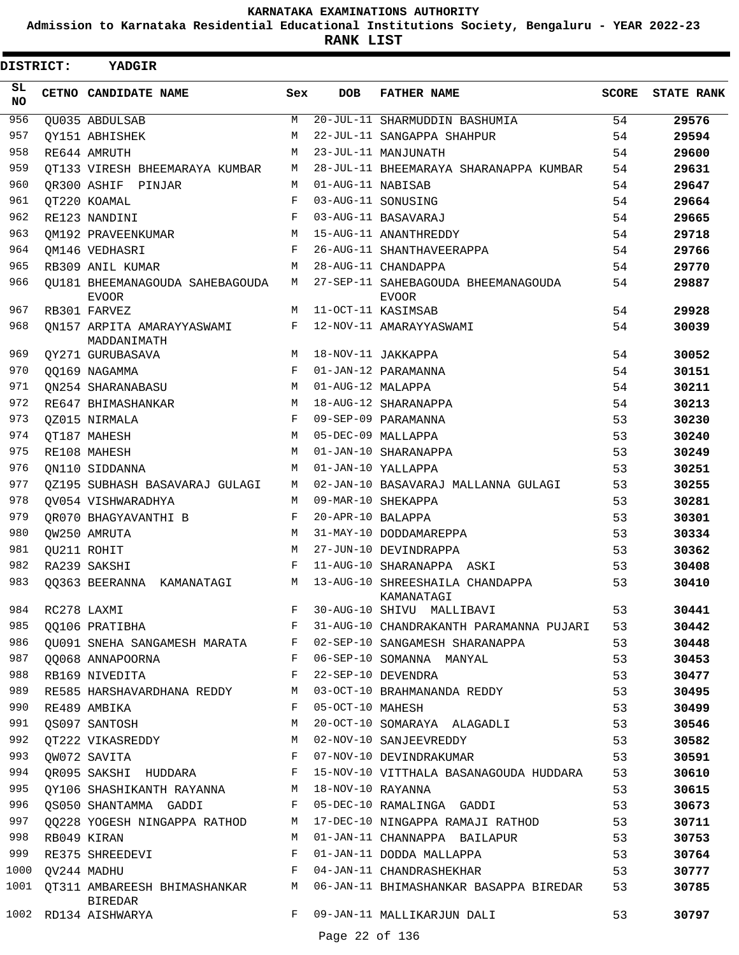**Admission to Karnataka Residential Educational Institutions Society, Bengaluru - YEAR 2022-23**

ı

**RANK LIST**

| <b>DISTRICT:</b> | YADGIR                                          |              |                   |                                                     |       |                   |
|------------------|-------------------------------------------------|--------------|-------------------|-----------------------------------------------------|-------|-------------------|
| SL.<br>NO.       | CETNO CANDIDATE NAME                            | Sex          | <b>DOB</b>        | <b>FATHER NAME</b>                                  | SCORE | <b>STATE RANK</b> |
| 956              | OU035 ABDULSAB                                  | М            |                   | 20-JUL-11 SHARMUDDIN BASHUMIA                       | 54    | 29576             |
| 957              | OY151 ABHISHEK                                  | М            |                   | 22-JUL-11 SANGAPPA SHAHPUR                          | 54    | 29594             |
| 958              | RE644 AMRUTH                                    | M            |                   | 23-JUL-11 MANJUNATH                                 | 54    | 29600             |
| 959              | OT133 VIRESH BHEEMARAYA KUMBAR                  | М            |                   | 28-JUL-11 BHEEMARAYA SHARANAPPA KUMBAR              | 54    | 29631             |
| 960              | OR300 ASHIF PINJAR                              | M            | 01-AUG-11 NABISAB |                                                     | 54    | 29647             |
| 961              | OT220 KOAMAL                                    | F            |                   | 03-AUG-11 SONUSING                                  | 54    | 29664             |
| 962              | RE123 NANDINI                                   | F            |                   | 03-AUG-11 BASAVARAJ                                 | 54    | 29665             |
| 963              | OM192 PRAVEENKUMAR                              | M            |                   | 15-AUG-11 ANANTHREDDY                               | 54    | 29718             |
| 964              | OM146 VEDHASRI                                  | F            |                   | 26-AUG-11 SHANTHAVEERAPPA                           | 54    | 29766             |
| 965              | RB309 ANIL KUMAR                                | М            |                   | 28-AUG-11 CHANDAPPA                                 | 54    | 29770             |
| 966              | OU181 BHEEMANAGOUDA SAHEBAGOUDA<br><b>EVOOR</b> | М            |                   | 27-SEP-11 SAHEBAGOUDA BHEEMANAGOUDA<br><b>EVOOR</b> | 54    | 29887             |
| 967              | RB301 FARVEZ                                    | М            |                   | 11-OCT-11 KASIMSAB                                  | 54    | 29928             |
| 968              | ON157 ARPITA AMARAYYASWAMI<br>MADDANIMATH       | F            |                   | 12-NOV-11 AMARAYYASWAMI                             | 54    | 30039             |
| 969              | OY271 GURUBASAVA                                | M            |                   | 18-NOV-11 JAKKAPPA                                  | 54    | 30052             |
| 970              | OO169 NAGAMMA                                   | F            |                   | 01-JAN-12 PARAMANNA                                 | 54    | 30151             |
| 971              | ON254 SHARANABASU                               | M            | 01-AUG-12 MALAPPA |                                                     | 54    | 30211             |
| 972              | RE647 BHIMASHANKAR                              | M            |                   | 18-AUG-12 SHARANAPPA                                | 54    | 30213             |
| 973              | OZ015 NIRMALA                                   | F            |                   | 09-SEP-09 PARAMANNA                                 | 53    | 30230             |
| 974              | OT187 MAHESH                                    | M            |                   | 05-DEC-09 MALLAPPA                                  | 53    | 30240             |
| 975              | RE108 MAHESH                                    | M            |                   | 01-JAN-10 SHARANAPPA                                | 53    | 30249             |
| 976              | ON110 SIDDANNA                                  | M            |                   | 01-JAN-10 YALLAPPA                                  | 53    | 30251             |
| 977              | OZ195 SUBHASH BASAVARAJ GULAGI                  | M            |                   | 02-JAN-10 BASAVARAJ MALLANNA GULAGI                 | 53    | 30255             |
| 978              | OV054 VISHWARADHYA                              | M            |                   | 09-MAR-10 SHEKAPPA                                  | 53    | 30281             |
| 979              | OR070 BHAGYAVANTHI B                            | F            | 20-APR-10 BALAPPA |                                                     | 53    | 30301             |
| 980              | OW250 AMRUTA                                    | M            |                   | 31-MAY-10 DODDAMAREPPA                              | 53    | 30334             |
| 981              | OU211 ROHIT                                     | M            |                   | 27-JUN-10 DEVINDRAPPA                               | 53    | 30362             |
| 982              | RA239 SAKSHI                                    | F            |                   | 11-AUG-10 SHARANAPPA ASKI                           | 53    | 30408             |
| 983              | 00363 BEERANNA KAMANATAGI                       | М            |                   | 13-AUG-10 SHREESHAILA CHANDAPPA<br>KAMANATAGI       | 53    | 30410             |
| 984              | RC278 LAXMI                                     | F            |                   | 30-AUG-10 SHIVU MALLIBAVI                           | 53    | 30441             |
| 985              | QQ106 PRATIBHA                                  | F            |                   | 31-AUG-10 CHANDRAKANTH PARAMANNA PUJARI             | 53    | 30442             |
| 986              | QU091 SNEHA SANGAMESH MARATA F                  |              |                   | 02-SEP-10 SANGAMESH SHARANAPPA                      | 53    | 30448             |
| 987              | 00068 ANNAPOORNA                                | $\mathbf{F}$ |                   | 06-SEP-10 SOMANNA MANYAL                            | 53    | 30453             |
| 988              | RB169 NIVEDITA                                  | F            |                   | 22-SEP-10 DEVENDRA                                  | 53    | 30477             |
| 989              | RE585 HARSHAVARDHANA REDDY                      | М            |                   | 03-OCT-10 BRAHMANANDA REDDY                         | 53    | 30495             |
| 990              | RE489 AMBIKA                                    | F            | 05-OCT-10 MAHESH  |                                                     | 53    | 30499             |
| 991              | OS097 SANTOSH                                   | М            |                   | 20-OCT-10 SOMARAYA ALAGADLI                         | 53    | 30546             |
| 992              | QT222 VIKASREDDY                                | М            |                   | 02-NOV-10 SANJEEVREDDY                              | 53    | 30582             |
| 993              | QW072 SAVITA<br><b>Example 2</b> F              |              |                   | 07-NOV-10 DEVINDRAKUMAR                             | 53    | 30591             |
| 994              | QR095 SAKSHI HUDDARA F                          |              |                   | 15-NOV-10 VITTHALA BASANAGOUDA HUDDARA              | 53    | 30610             |
| 995              | QY106 SHASHIKANTH RAYANNA M                     |              | 18-NOV-10 RAYANNA |                                                     | 53    | 30615             |
| 996              | QS050 SHANTAMMA GADDI                           | F            |                   | 05-DEC-10 RAMALINGA GADDI                           | 53    | 30673             |
| 997              | QQ228 YOGESH NINGAPPA RATHOD                    | М            |                   | 17-DEC-10 NINGAPPA RAMAJI RATHOD                    | 53    | 30711             |
| 998              | RB049 KIRAN                                     | М            |                   | 01-JAN-11 CHANNAPPA BAILAPUR                        | 53    | 30753             |
| 999              | RE375 SHREEDEVI                                 | F            |                   | 01-JAN-11 DODDA MALLAPPA                            | 53    | 30764             |
| 1000             | QV244 MADHU                                     | F            |                   | 04-JAN-11 CHANDRASHEKHAR                            | 53    | 30777             |
| 1001             | QT311 AMBAREESH BHIMASHANKAR<br><b>BIREDAR</b>  | M            |                   | 06-JAN-11 BHIMASHANKAR BASAPPA BIREDAR              | 53    | 30785             |
|                  | 1002 RD134 AISHWARYA                            | F            |                   | 09-JAN-11 MALLIKARJUN DALI                          | 53    | 30797             |
|                  |                                                 |              | Page 22 of 136    |                                                     |       |                   |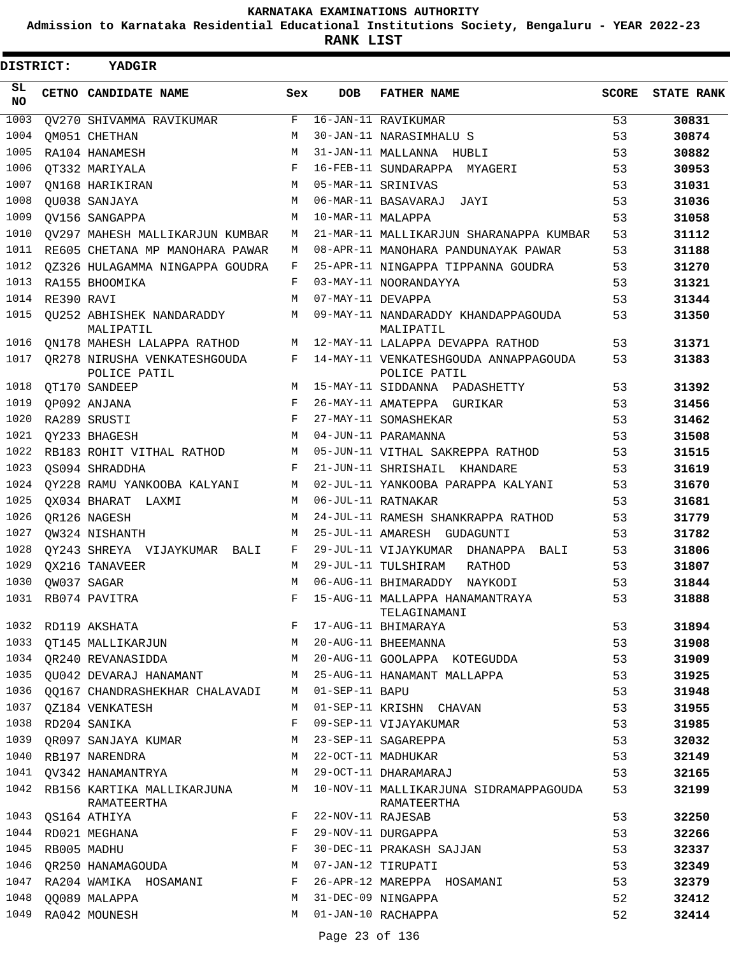**Admission to Karnataka Residential Educational Institutions Society, Bengaluru - YEAR 2022-23**

**RANK LIST**

| <b>DISTRICT:</b> |            | YADGIR                                         |     |                   |                                                       |              |                   |
|------------------|------------|------------------------------------------------|-----|-------------------|-------------------------------------------------------|--------------|-------------------|
| SL<br>NO.        |            | CETNO CANDIDATE NAME                           | Sex | <b>DOB</b>        | <b>FATHER NAME</b>                                    | <b>SCORE</b> | <b>STATE RANK</b> |
| 1003             |            | OV270 SHIVAMMA RAVIKUMAR                       | F   |                   | 16-JAN-11 RAVIKUMAR                                   | 53           | 30831             |
| 1004             |            | OM051 CHETHAN                                  | M   |                   | 30-JAN-11 NARASIMHALU S                               | 53           | 30874             |
| 1005             |            | RA104 HANAMESH                                 | M   |                   | 31-JAN-11 MALLANNA HUBLI                              | 53           | 30882             |
| 1006             |            | OT332 MARIYALA                                 | F   |                   | 16-FEB-11 SUNDARAPPA MYAGERI                          | 53           | 30953             |
| 1007             |            | ON168 HARIKIRAN                                | M   |                   | 05-MAR-11 SRINIVAS                                    | 53           | 31031             |
| 1008             |            | OU038 SANJAYA                                  | M   |                   | 06-MAR-11 BASAVARAJ JAYI                              | 53           | 31036             |
| 1009             |            | OV156 SANGAPPA                                 | M   | 10-MAR-11 MALAPPA |                                                       | 53           | 31058             |
| 1010             |            | OV297 MAHESH MALLIKARJUN KUMBAR                | M   |                   | 21-MAR-11 MALLIKARJUN SHARANAPPA KUMBAR               | 53           | 31112             |
| 1011             |            | RE605 CHETANA MP MANOHARA PAWAR                | M   |                   | 08-APR-11 MANOHARA PANDUNAYAK PAWAR                   | 53           | 31188             |
| 1012             |            | 0Z326 HULAGAMMA NINGAPPA GOUDRA                | F   |                   | 25-APR-11 NINGAPPA TIPPANNA GOUDRA                    | 53           | 31270             |
| 1013             |            | RA155 BHOOMIKA                                 | F   |                   | 03-MAY-11 NOORANDAYYA                                 | 53           | 31321             |
| 1014             | RE390 RAVI |                                                | M   | 07-MAY-11 DEVAPPA |                                                       | 53           | 31344             |
| 1015             |            | OU252 ABHISHEK NANDARADDY<br>MALIPATIL         | M   |                   | 09-MAY-11 NANDARADDY KHANDAPPAGOUDA<br>MALIPATIL      | 53           | 31350             |
| 1016             |            | QN178 MAHESH LALAPPA RATHOD                    | M   |                   | 12-MAY-11 LALAPPA DEVAPPA RATHOD                      | 53           | 31371             |
| 1017             |            | OR278 NIRUSHA VENKATESHGOUDA<br>POLICE PATIL   | F   |                   | 14-MAY-11 VENKATESHGOUDA ANNAPPAGOUDA<br>POLICE PATIL | 53           | 31383             |
| 1018             |            | QT170 SANDEEP                                  | M   |                   | 15-MAY-11 SIDDANNA PADASHETTY                         | 53           | 31392             |
| 1019             |            | QP092 ANJANA                                   | F   |                   | 26-MAY-11 AMATEPPA GURIKAR                            | 53           | 31456             |
| 1020             |            | RA289 SRUSTI                                   | F   |                   | 27-MAY-11 SOMASHEKAR                                  | 53           | 31462             |
| 1021             |            | OY233 BHAGESH                                  | M   |                   | 04-JUN-11 PARAMANNA                                   | 53           | 31508             |
| 1022             |            | RB183 ROHIT VITHAL RATHOD                      | M   |                   | 05-JUN-11 VITHAL SAKREPPA RATHOD                      | 53           | 31515             |
| 1023             |            | OS094 SHRADDHA                                 | F   |                   | 21-JUN-11 SHRISHAIL KHANDARE                          | 53           | 31619             |
| 1024             |            | OY228 RAMU YANKOOBA KALYANI                    | M   |                   | 02-JUL-11 YANKOOBA PARAPPA KALYANI                    | 53           | 31670             |
| 1025             |            | OX034 BHARAT LAXMI                             | M   |                   | 06-JUL-11 RATNAKAR                                    | 53           | 31681             |
| 1026             |            | OR126 NAGESH                                   | M   |                   | 24-JUL-11 RAMESH SHANKRAPPA RATHOD                    | 53           | 31779             |
| 1027             |            | OW324 NISHANTH                                 | M   |                   | 25-JUL-11 AMARESH GUDAGUNTI                           | 53           | 31782             |
| 1028             |            | OY243 SHREYA VIJAYKUMAR BALI                   | F   |                   | 29-JUL-11 VIJAYKUMAR DHANAPPA BALI                    | 53           | 31806             |
| 1029             |            | OX216 TANAVEER                                 | M   |                   | 29-JUL-11 TULSHIRAM<br>RATHOD                         | 53           | 31807             |
| 1030             |            | OW037 SAGAR                                    | M   |                   | 06-AUG-11 BHIMARADDY NAYKODI                          | 53           | 31844             |
|                  |            | 1031 RB074 PAVITRA                             |     |                   | F 15-AUG-11 MALLAPPA HANAMANTRAYA<br>TELAGINAMANI     | 53           | 31888             |
|                  |            | 1032 RD119 AKSHATA                             | F   |                   | 17-AUG-11 BHIMARAYA                                   | 53           | 31894             |
|                  |            | 1033 QT145 MALLIKARJUN                         | M   |                   | 20-AUG-11 BHEEMANNA                                   | 53           | 31908             |
|                  |            | 1034 OR240 REVANASIDDA                         | M   |                   | 20-AUG-11 GOOLAPPA KOTEGUDDA                          | 53           | 31909             |
| 1035             |            | OU042 DEVARAJ HANAMANT                         | M   |                   | 25-AUG-11 HANAMANT MALLAPPA                           | 53           | 31925             |
| 1036             |            | 00167 CHANDRASHEKHAR CHALAVADI                 | M   | 01-SEP-11 BAPU    |                                                       | 53           | 31948             |
|                  |            | 1037 QZ184 VENKATESH                           | M   |                   | 01-SEP-11 KRISHN CHAVAN                               | 53           | 31955             |
| 1038             |            | RD204 SANIKA                                   | F   |                   | 09-SEP-11 VIJAYAKUMAR                                 | 53           | 31985             |
| 1039             |            | OR097 SANJAYA KUMAR                            | M   |                   | 23-SEP-11 SAGAREPPA                                   | 53           | 32032             |
|                  |            | 1040 RB197 NARENDRA                            | M   |                   | 22-OCT-11 MADHUKAR                                    | 53           | 32149             |
|                  |            | 1041 QV342 HANAMANTRYA                         | M   |                   | 29-OCT-11 DHARAMARAJ                                  | 53           | 32165             |
|                  |            | 1042 RB156 KARTIKA MALLIKARJUNA<br>RAMATEERTHA | М   |                   | 10-NOV-11 MALLIKARJUNA SIDRAMAPPAGOUDA<br>RAMATEERTHA | 53           | 32199             |
| 1043             |            | OS164 ATHIYA                                   | F   | 22-NOV-11 RAJESAB |                                                       | 53           | 32250             |
| 1044             |            | RD021 MEGHANA                                  | F   |                   | 29-NOV-11 DURGAPPA                                    | 53           | 32266             |
| 1045             |            | RB005 MADHU                                    | F   |                   | 30-DEC-11 PRAKASH SAJJAN                              | 53           | 32337             |
| 1046             |            | QR250 HANAMAGOUDA                              | M   |                   | 07-JAN-12 TIRUPATI                                    | 53           | 32349             |
|                  |            | 1047 RA204 WAMIKA HOSAMANI                     | F   |                   | 26-APR-12 MAREPPA HOSAMANI                            | 53           | 32379             |
| 1048             |            | 00089 MALAPPA                                  | М   |                   | 31-DEC-09 NINGAPPA                                    | 52           | 32412             |
|                  |            | 1049 RA042 MOUNESH                             | M   |                   | 01-JAN-10 RACHAPPA                                    | 52           | 32414             |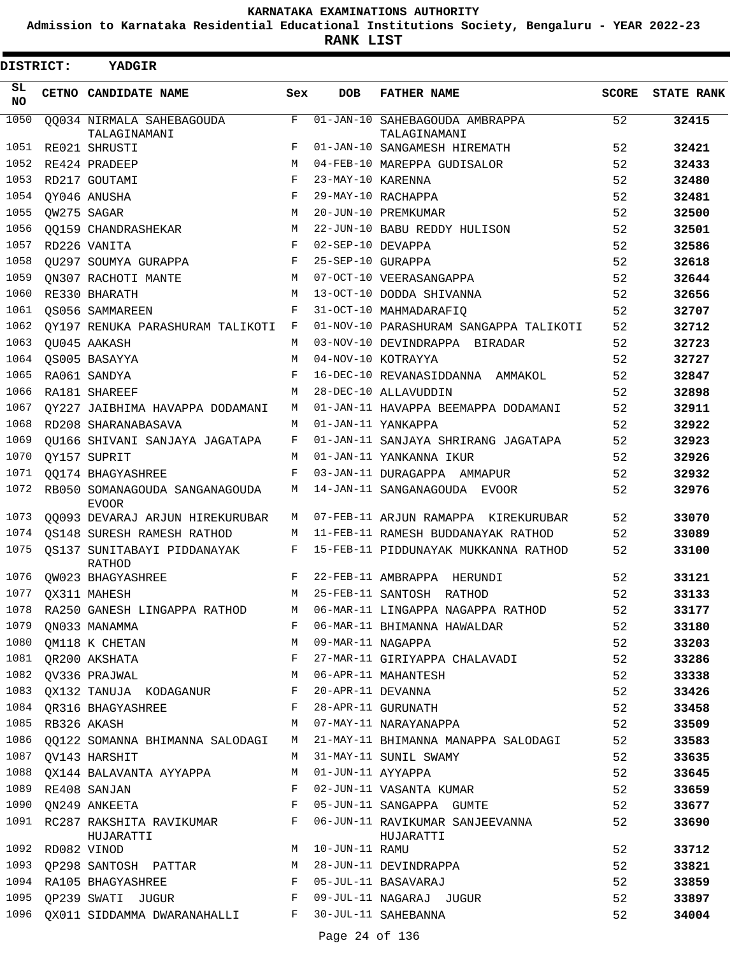**Admission to Karnataka Residential Educational Institutions Society, Bengaluru - YEAR 2022-23**

| DISTRICT:         | YADGIR                                         |              |                   |                                                |              |                   |
|-------------------|------------------------------------------------|--------------|-------------------|------------------------------------------------|--------------|-------------------|
| SL<br><b>NO</b>   | CETNO CANDIDATE NAME                           | Sex          | DOB               | <b>FATHER NAME</b>                             | <b>SCORE</b> | <b>STATE RANK</b> |
| $\overline{1050}$ | QQ034 NIRMALA SAHEBAGOUDA<br>TALAGINAMANI      | $\mathbf{F}$ |                   | 01-JAN-10 SAHEBAGOUDA AMBRAPPA<br>TALAGINAMANI | 52           | 32415             |
| 1051              | RE021 SHRUSTI                                  | F            |                   | 01-JAN-10 SANGAMESH HIREMATH                   | 52           | 32421             |
| 1052              | RE424 PRADEEP                                  | М            |                   | 04-FEB-10 MAREPPA GUDISALOR                    | 52           | 32433             |
| 1053              | RD217 GOUTAMI                                  | $_{\rm F}$   | 23-MAY-10 KARENNA |                                                | 52           | 32480             |
| 1054              | OY046 ANUSHA                                   | $_{\rm F}$   |                   | 29-MAY-10 RACHAPPA                             | 52           | 32481             |
| 1055              | OW275 SAGAR                                    | M            |                   | 20-JUN-10 PREMKUMAR                            | 52           | 32500             |
| 1056              | 00159 CHANDRASHEKAR                            | M            |                   | 22-JUN-10 BABU REDDY HULISON                   | 52           | 32501             |
| 1057              | RD226 VANITA                                   | F            | 02-SEP-10 DEVAPPA |                                                | 52           | 32586             |
| 1058              | OU297 SOUMYA GURAPPA                           | F            | 25-SEP-10 GURAPPA |                                                | 52           | 32618             |
| 1059              | ON307 RACHOTI MANTE                            | M            |                   | 07-OCT-10 VEERASANGAPPA                        | 52           | 32644             |
| 1060              | RE330 BHARATH                                  | М            |                   | 13-OCT-10 DODDA SHIVANNA                       | 52           | 32656             |
| 1061              | OS056 SAMMAREEN                                | F            |                   | 31-OCT-10 MAHMADARAFIQ                         | 52           | 32707             |
| 1062              | OY197 RENUKA PARASHURAM TALIKOTI               | F            |                   | 01-NOV-10 PARASHURAM SANGAPPA TALIKOTI         | 52           | 32712             |
| 1063              | OU045 AAKASH                                   | М            |                   | 03-NOV-10 DEVINDRAPPA BIRADAR                  | 52           | 32723             |
| 1064              | OS005 BASAYYA                                  | М            |                   | 04-NOV-10 KOTRAYYA                             | 52           | 32727             |
| 1065              | RA061 SANDYA                                   | F            |                   | 16-DEC-10 REVANASIDDANNA AMMAKOL               | 52           | 32847             |
| 1066              | RA181 SHAREEF                                  | М            |                   | 28-DEC-10 ALLAVUDDIN                           | 52           | 32898             |
| 1067              | OY227 JAIBHIMA HAVAPPA DODAMANI                | М            |                   | 01-JAN-11 HAVAPPA BEEMAPPA DODAMANI            | 52           | 32911             |
| 1068              | RD208 SHARANABASAVA                            | М            |                   | 01-JAN-11 YANKAPPA                             | 52           | 32922             |
| 1069              | OU166 SHIVANI SANJAYA JAGATAPA                 | F            |                   | 01-JAN-11 SANJAYA SHRIRANG JAGATAPA            | 52           | 32923             |
| 1070              | OY157 SUPRIT                                   | M            |                   | 01-JAN-11 YANKANNA IKUR                        | 52           | 32926             |
| 1071              | <b>OO174 BHAGYASHREE</b>                       | F            |                   | 03-JAN-11 DURAGAPPA AMMAPUR                    | 52           | 32932             |
| 1072              | RB050 SOMANAGOUDA SANGANAGOUDA<br><b>EVOOR</b> | M            |                   | 14-JAN-11 SANGANAGOUDA EVOOR                   | 52           | 32976             |
| 1073              | QQ093 DEVARAJ ARJUN HIREKURUBAR                | M            |                   | 07-FEB-11 ARJUN RAMAPPA KIREKURUBAR            | 52           | 33070             |
| 1074              | OS148 SURESH RAMESH RATHOD                     | М            |                   | 11-FEB-11 RAMESH BUDDANAYAK RATHOD             | 52           | 33089             |
| 1075              | OS137 SUNITABAYI PIDDANAYAK<br>RATHOD          | F            |                   | 15-FEB-11 PIDDUNAYAK MUKKANNA RATHOD           | 52           | 33100             |
| 1076              | OW023 BHAGYASHREE                              | F            |                   | 22-FEB-11 AMBRAPPA HERUNDI                     | 52           | 33121             |
| 1077              | OX311 MAHESH                                   | M            | 25-FEB-11 SANTOSH | RATHOD                                         | 52           | 33133             |
| 1078              | RA250 GANESH LINGAPPA RATHOD                   | M            |                   | 06-MAR-11 LINGAPPA NAGAPPA RATHOD              | 52           | 33177             |
| 1079              | QN033 MANAMMA                                  | F            |                   | 06-MAR-11 BHIMANNA HAWALDAR                    | 52           | 33180             |
| 1080              | QM118 K CHETAN                                 | M            | 09-MAR-11 NAGAPPA |                                                | 52           | 33203             |
|                   | 1081 QR200 AKSHATA                             | F            |                   | 27-MAR-11 GIRIYAPPA CHALAVADI                  | 52           | 33286             |
| 1082              | QV336 PRAJWAL                                  | М            |                   | 06-APR-11 MAHANTESH                            | 52           | 33338             |
| 1083              | QX132 TANUJA KODAGANUR F                       |              | 20-APR-11 DEVANNA |                                                | 52           | 33426             |
| 1084              | QR316 BHAGYASHREE F                            |              |                   | 28-APR-11 GURUNATH                             | 52           | 33458             |
| 1085              | RB326 AKASH                                    | M            |                   | 07-MAY-11 NARAYANAPPA                          | 52           | 33509             |
| 1086              | QQ122 SOMANNA BHIMANNA SALODAGI                | M            |                   | 21-MAY-11 BHIMANNA MANAPPA SALODAGI            | 52           | 33583             |
|                   | 1087 QV143 HARSHIT                             | M            |                   | 31-MAY-11 SUNIL SWAMY                          | 52           | 33635             |
| 1088              | QX144 BALAVANTA AYYAPPA                        | М            | 01-JUN-11 AYYAPPA |                                                | 52           | 33645             |
|                   | 1089 RE408 SANJAN                              | F            |                   | 02-JUN-11 VASANTA KUMAR                        | 52           | 33659             |
| 1090              | QN249 ANKEETA                                  | F            |                   | 05-JUN-11 SANGAPPA GUMTE                       | 52           | 33677             |
| 1091              | RC287 RAKSHITA RAVIKUMAR<br>HUJARATTI          | F            |                   | 06-JUN-11 RAVIKUMAR SANJEEVANNA<br>HUJARATTI   | 52           | 33690             |
| 1092              | RD082 VINOD                                    | M            | 10-JUN-11 RAMU    |                                                | 52           | 33712             |
| 1093              | QP298 SANTOSH PATTAR                           | M            |                   | 28-JUN-11 DEVINDRAPPA                          | 52           | 33821             |
| 1094              | RA105 BHAGYASHREE F                            |              |                   | 05-JUL-11 BASAVARAJ                            | 52           | 33859             |
| 1095              | QP239 SWATI JUGUR F                            |              |                   | 09-JUL-11 NAGARAJ JUGUR                        | 52           | 33897             |
| 1096              | QX011 SIDDAMMA DWARANAHALLI F                  |              |                   | 30-JUL-11 SAHEBANNA                            | 52           | 34004             |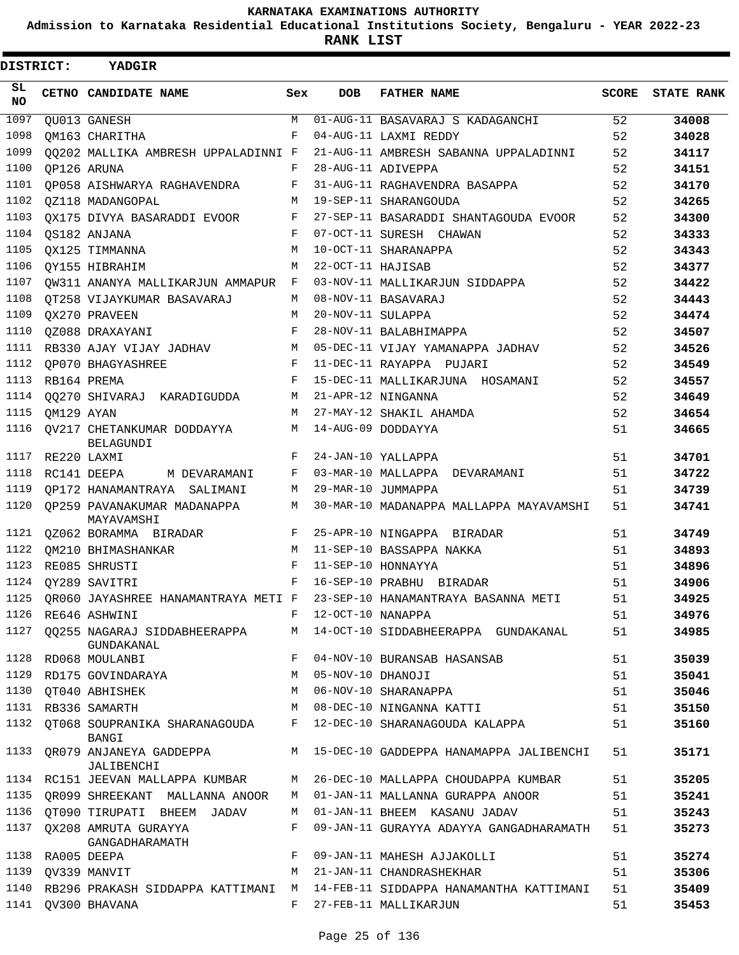**Admission to Karnataka Residential Educational Institutions Society, Bengaluru - YEAR 2022-23**

| DISTRICT:       |                  | <b>YADGIR</b>                                                                                                   |              |                     |                                                                              |              |                   |
|-----------------|------------------|-----------------------------------------------------------------------------------------------------------------|--------------|---------------------|------------------------------------------------------------------------------|--------------|-------------------|
| SL<br><b>NO</b> |                  | CETNO CANDIDATE NAME                                                                                            | Sex          | <b>DOB</b>          | <b>FATHER NAME</b>                                                           | <b>SCORE</b> | <b>STATE RANK</b> |
| 1097            |                  | OU013 GANESH                                                                                                    | M            |                     | 01-AUG-11 BASAVARAJ S KADAGANCHI                                             | 52           | 34008             |
| 1098            |                  | OM163 CHARITHA                                                                                                  | F            |                     | 04-AUG-11 LAXMI REDDY                                                        | 52           | 34028             |
| 1099            |                  | 00202 MALLIKA AMBRESH UPPALADINNI F                                                                             |              |                     | 21-AUG-11 AMBRESH SABANNA UPPALADINNI                                        | 52           | 34117             |
| 1100            |                  | OP126 ARUNA                                                                                                     | F            |                     | 28-AUG-11 ADIVEPPA                                                           | 52           | 34151             |
| 1101            |                  | OP058 AISHWARYA RAGHAVENDRA                                                                                     | F            |                     | 31-AUG-11 RAGHAVENDRA BASAPPA                                                | 52           | 34170             |
| 1102            |                  | OZ118 MADANGOPAL                                                                                                | M            |                     | 19-SEP-11 SHARANGOUDA                                                        | 52           | 34265             |
| 1103            |                  | OX175 DIVYA BASARADDI EVOOR                                                                                     | F            |                     | 27-SEP-11 BASARADDI SHANTAGOUDA EVOOR                                        | 52           | 34300             |
| 1104            |                  | OS182 ANJANA                                                                                                    | F            |                     | 07-OCT-11 SURESH CHAWAN                                                      | 52           | 34333             |
| 1105            |                  | OX125 TIMMANNA                                                                                                  | M            |                     | 10-OCT-11 SHARANAPPA                                                         | 52           | 34343             |
| 1106            |                  | OY155 HIBRAHIM                                                                                                  | M            | 22-OCT-11 HAJISAB   |                                                                              | 52           | 34377             |
| 1107            |                  | OW311 ANANYA MALLIKARJUN AMMAPUR                                                                                | F            |                     | 03-NOV-11 MALLIKARJUN SIDDAPPA                                               | 52           | 34422             |
| 1108            |                  | OT258 VIJAYKUMAR BASAVARAJ                                                                                      | М            |                     | 08-NOV-11 BASAVARAJ                                                          | 52           | 34443             |
| 1109            |                  | OX270 PRAVEEN                                                                                                   | М            | 20-NOV-11 SULAPPA   |                                                                              | 52           | 34474             |
| 1110            |                  | OZ088 DRAXAYANI                                                                                                 | F            |                     | 28-NOV-11 BALABHIMAPPA                                                       | 52           | 34507             |
| 1111            |                  | RB330 AJAY VIJAY JADHAV                                                                                         | M            |                     | 05-DEC-11 VIJAY YAMANAPPA JADHAV                                             | 52           | 34526             |
| 1112            |                  | OP070 BHAGYASHREE                                                                                               | F            |                     | 11-DEC-11 RAYAPPA PUJARI                                                     | 52           | 34549             |
| 1113            |                  | RB164 PREMA                                                                                                     | F            |                     | 15-DEC-11 MALLIKARJUNA HOSAMANI                                              | 52           | 34557             |
| 1114            |                  | 00270 SHIVARAJ KARADIGUDDA                                                                                      | M            |                     | 21-APR-12 NINGANNA                                                           | 52           | 34649             |
| 1115            | QM129 AYAN       |                                                                                                                 | M            |                     | 27-MAY-12 SHAKIL AHAMDA                                                      | 52           | 34654             |
| 1116            |                  | OV217 CHETANKUMAR DODDAYYA<br><b>BELAGUNDI</b>                                                                  | M            |                     | 14-AUG-09 DODDAYYA                                                           | 51           | 34665             |
| 1117            |                  | RE220 LAXMI                                                                                                     | F            |                     | 24-JAN-10 YALLAPPA                                                           | 51           | 34701             |
| 1118            |                  | RC141 DEEPA<br>M DEVARAMANI                                                                                     | F            |                     | 03-MAR-10 MALLAPPA DEVARAMANI                                                | 51           | 34722             |
| 1119            |                  | OP172 HANAMANTRAYA SALIMANI                                                                                     | М            |                     | 29-MAR-10 JUMMAPPA                                                           | 51           | 34739             |
| 1120            |                  | OP259 PAVANAKUMAR MADANAPPA<br>MAYAVAMSHI                                                                       | М            |                     | 30-MAR-10 MADANAPPA MALLAPPA MAYAVAMSHI                                      | 51           | 34741             |
| 1121            |                  | 0Z062 BORAMMA BIRADAR                                                                                           | F            |                     | 25-APR-10 NINGAPPA BIRADAR                                                   | 51           | 34749             |
| 1122            |                  | OM210 BHIMASHANKAR                                                                                              | M            |                     | 11-SEP-10 BASSAPPA NAKKA                                                     | 51           | 34893             |
| 1123            |                  | RE085 SHRUSTI                                                                                                   | $\mathbf{F}$ |                     | 11-SEP-10 HONNAYYA                                                           | 51           | 34896             |
| 1124            |                  | OY289 SAVITRI                                                                                                   | F            |                     | 16-SEP-10 PRABHU BIRADAR                                                     | 51           | 34906             |
|                 |                  |                                                                                                                 |              |                     | 1125 QR060 JAYASHREE HANAMANTRAYA METI F 23-SEP-10 HANAMANTRAYA BASANNA METI | 51           | 34925             |
|                 |                  | 1126 RE646 ASHWINI                                                                                              |              | F 12-OCT-10 NANAPPA |                                                                              | 51           | 34976             |
|                 |                  | GUNDAKANAL                                                                                                      |              |                     | 1127 QQ255 NAGARAJ SIDDABHEERAPPA M 14-OCT-10 SIDDABHEERAPPA GUNDAKANAL      | 51           | 34985             |
|                 |                  | 1128 RD068 MOULANBI                                                                                             |              |                     | F 04-NOV-10 BURANSAB HASANSAB                                                | 51           | 35039             |
|                 |                  | 1129 RD175 GOVINDARAYA                                                                                          | M            | 05-NOV-10 DHANOJI   |                                                                              | 51           | 35041             |
| 1130            |                  | OT040 ABHISHEK NATIONAL SERIES AND THE STATE OF THE STATE OF THE STATE OF THE STATE OF THE STATE OF THE STATE O |              |                     | M 06-NOV-10 SHARANAPPA                                                       | 51           | 35046             |
|                 |                  | <b>M</b><br>1131 RB336 SAMARTH                                                                                  |              |                     | 08-DEC-10 NINGANNA KATTI                                                     | 51           | 35150             |
|                 |                  | BANGI                                                                                                           |              |                     | 1132 QT068 SOUPRANIKA SHARANAGOUDA F 12-DEC-10 SHARANAGOUDA KALAPPA          | 51           | 35160             |
|                 |                  | JALIBENCHI                                                                                                      |              |                     | 1133 QR079 ANJANEYA GADDEPPA M 15-DEC-10 GADDEPPA HANAMAPPA JALIBENCHI       | 51           | 35171             |
|                 |                  | 1134 RC151 JEEVAN MALLAPPA KUMBAR                                                                               |              |                     | M 26-DEC-10 MALLAPPA CHOUDAPPA KUMBAR                                        | 51           | 35205             |
|                 |                  | 1135 QR099 SHREEKANT MALLANNA ANOOR                                                                             |              |                     | M 01-JAN-11 MALLANNA GURAPPA ANOOR                                           | 51           | 35241             |
|                 |                  | 1136 QT090 TIRUPATI BHEEM JADAV                                                                                 | M            |                     | 01-JAN-11 BHEEM KASANU JADAV                                                 | 51           | 35243             |
|                 |                  | 1137 QX208 AMRUTA GURAYYA<br>GANGADHARAMATH                                                                     | F            |                     | 09-JAN-11 GURAYYA ADAYYA GANGADHARAMATH                                      | 51           | 35273             |
|                 | 1138 RA005 DEEPA |                                                                                                                 | F            |                     | 09-JAN-11 MAHESH AJJAKOLLI                                                   | 51           | 35274             |
|                 |                  | 1139 QV339 MANVIT                                                                                               | М            |                     | 21-JAN-11 CHANDRASHEKHAR                                                     | 51           | 35306             |
| 1140            |                  |                                                                                                                 |              |                     | RB296 PRAKASH SIDDAPPA KATTIMANI M 14-FEB-11 SIDDAPPA HANAMANTHA KATTIMANI   | 51           | 35409             |
|                 |                  | 1141 QV300 BHAVANA                                                                                              | $F -$        |                     | 27-FEB-11 MALLIKARJUN                                                        | 51           | 35453             |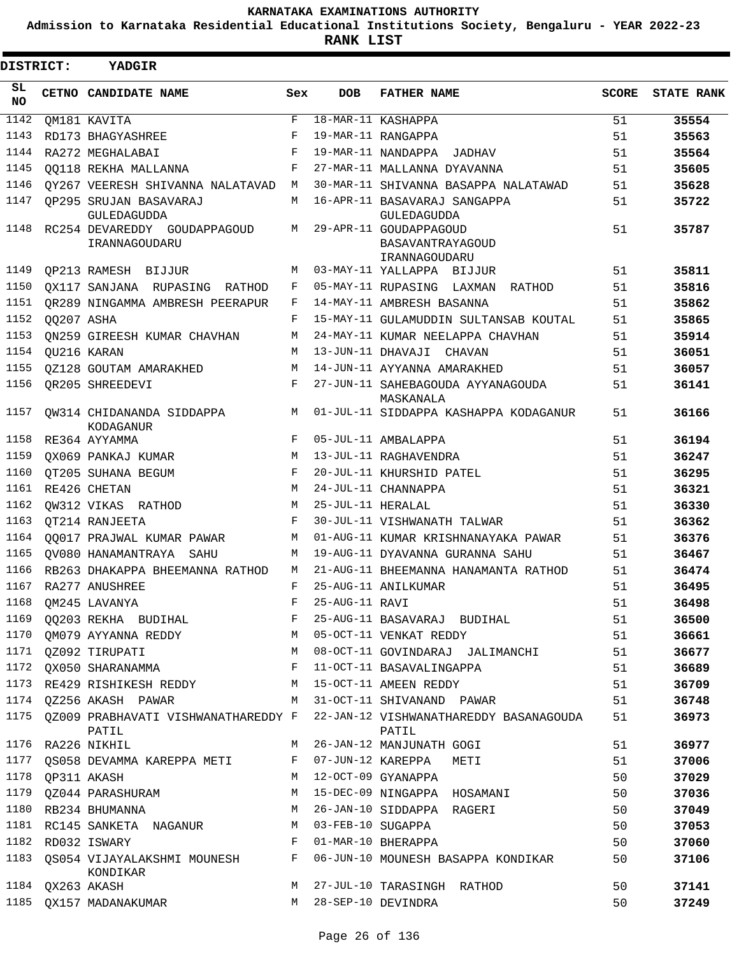**Admission to Karnataka Residential Educational Institutions Society, Bengaluru - YEAR 2022-23**

| <b>DISTRICT:</b> |                  | <b>YADGIR</b>                                 |       |                   |                                                             |       |                   |
|------------------|------------------|-----------------------------------------------|-------|-------------------|-------------------------------------------------------------|-------|-------------------|
| SL.<br><b>NO</b> |                  | CETNO CANDIDATE NAME                          | Sex   | <b>DOB</b>        | <b>FATHER NAME</b>                                          | SCORE | <b>STATE RANK</b> |
| 1142             |                  | QM181 KAVITA                                  | F     |                   | 18-MAR-11 KASHAPPA                                          | 51    | 35554             |
| 1143             |                  | RD173 BHAGYASHREE                             | F     |                   | 19-MAR-11 RANGAPPA                                          | 51    | 35563             |
| 1144             |                  | RA272 MEGHALABAI                              | F     |                   | 19-MAR-11 NANDAPPA JADHAV                                   | 51    | 35564             |
| 1145             |                  | 00118 REKHA MALLANNA                          | F     |                   | 27-MAR-11 MALLANNA DYAVANNA                                 | 51    | 35605             |
| 1146             |                  | QY267 VEERESH SHIVANNA NALATAVAD              | М     |                   | 30-MAR-11 SHIVANNA BASAPPA NALATAWAD                        | 51    | 35628             |
| 1147             |                  | OP295 SRUJAN BASAVARAJ<br><b>GULEDAGUDDA</b>  | M     |                   | 16-APR-11 BASAVARAJ SANGAPPA<br>GULEDAGUDDA                 | 51    | 35722             |
| 1148             |                  | RC254 DEVAREDDY GOUDAPPAGOUD<br>IRANNAGOUDARU | М     |                   | 29-APR-11 GOUDAPPAGOUD<br>BASAVANTRAYAGOUD<br>IRANNAGOUDARU | 51    | 35787             |
| 1149             |                  | OP213 RAMESH BIJJUR                           | М     |                   | 03-MAY-11 YALLAPPA BIJJUR                                   | 51    | 35811             |
| 1150             |                  | OX117 SANJANA RUPASING RATHOD                 | F     |                   | 05-MAY-11 RUPASING LAXMAN<br>RATHOD                         | 51    | 35816             |
| 1151             |                  | OR289 NINGAMMA AMBRESH PEERAPUR               | F     |                   | 14-MAY-11 AMBRESH BASANNA                                   | 51    | 35862             |
| 1152             | 00207 ASHA       |                                               | F     |                   | 15-MAY-11 GULAMUDDIN SULTANSAB KOUTAL                       | 51    | 35865             |
| 1153             |                  | ON259 GIREESH KUMAR CHAVHAN                   | М     |                   | 24-MAY-11 KUMAR NEELAPPA CHAVHAN                            | 51    | 35914             |
| 1154             |                  | OU216 KARAN                                   | М     |                   | 13-JUN-11 DHAVAJI CHAVAN                                    | 51    | 36051             |
| 1155             |                  | OZ128 GOUTAM AMARAKHED                        | М     |                   | 14-JUN-11 AYYANNA AMARAKHED                                 | 51    | 36057             |
| 1156             |                  | OR205 SHREEDEVI                               | F     |                   | 27-JUN-11 SAHEBAGOUDA AYYANAGOUDA<br>MASKANALA              | 51    | 36141             |
| 1157             |                  | OW314 CHIDANANDA SIDDAPPA<br>KODAGANUR        | М     |                   | 01-JUL-11 SIDDAPPA KASHAPPA KODAGANUR                       | 51    | 36166             |
| 1158             |                  | RE364 AYYAMMA                                 | F     |                   | 05-JUL-11 AMBALAPPA                                         | 51    | 36194             |
| 1159             |                  | OX069 PANKAJ KUMAR                            | M     |                   | 13-JUL-11 RAGHAVENDRA                                       | 51    | 36247             |
| 1160             |                  | OT205 SUHANA BEGUM                            | F     |                   | 20-JUL-11 KHURSHID PATEL                                    | 51    | 36295             |
| 1161             |                  | RE426 CHETAN                                  | M     |                   | 24-JUL-11 CHANNAPPA                                         | 51    | 36321             |
| 1162             |                  | QW312 VIKAS RATHOD                            | M     | 25-JUL-11 HERALAL |                                                             | 51    | 36330             |
| 1163             |                  | OT214 RANJEETA                                | F     |                   | 30-JUL-11 VISHWANATH TALWAR                                 | 51    | 36362             |
| 1164             |                  | 00017 PRAJWAL KUMAR PAWAR                     | M     |                   | 01-AUG-11 KUMAR KRISHNANAYAKA PAWAR                         | 51    | 36376             |
| 1165             |                  | OV080 HANAMANTRAYA SAHU                       | М     |                   | 19-AUG-11 DYAVANNA GURANNA SAHU                             | 51    | 36467             |
| 1166             |                  | RB263 DHAKAPPA BHEEMANNA RATHOD               | M     |                   | 21-AUG-11 BHEEMANNA HANAMANTA RATHOD                        | 51    | 36474             |
| 1167             |                  | RA277 ANUSHREE                                | F     |                   | 25-AUG-11 ANILKUMAR                                         | 51    | 36495             |
|                  |                  | 1168 QM245 LAVANYA                            | $F^-$ | 25-AUG-11 RAVI    |                                                             | 51    | 36498             |
| 1169             |                  | QQ203 REKHA BUDIHAL                           | F     |                   | 25-AUG-11 BASAVARAJ BUDIHAL                                 | 51    | 36500             |
| 1170             |                  | OM079 AYYANNA REDDY                           | M     |                   | 05-OCT-11 VENKAT REDDY                                      | 51    | 36661             |
| 1171             |                  | QZ092 TIRUPATI                                | М     |                   | 08-OCT-11 GOVINDARAJ JALIMANCHI                             | 51    | 36677             |
|                  |                  | 1172 QX050 SHARANAMMA                         | F     |                   | 11-OCT-11 BASAVALINGAPPA                                    | 51    | 36689             |
| 1173             |                  | RE429 RISHIKESH REDDY                         | M     |                   | 15-OCT-11 AMEEN REDDY                                       | 51    | 36709             |
|                  |                  | 1174 QZ256 AKASH PAWAR                        | M     |                   | 31-OCT-11 SHIVANAND PAWAR                                   | 51    | 36748             |
| 1175             |                  | QZ009 PRABHAVATI VISHWANATHAREDDY F<br>PATIL  |       |                   | 22-JAN-12 VISHWANATHAREDDY BASANAGOUDA<br>PATIL             | 51    | 36973             |
|                  |                  | 1176 RA226 NIKHIL                             | M     |                   | 26-JAN-12 MANJUNATH GOGI                                    | 51    | 36977             |
|                  |                  | 1177 QS058 DEVAMMA KAREPPA METI               | F     |                   | 07-JUN-12 KAREPPA METI                                      | 51    | 37006             |
|                  | 1178 QP311 AKASH |                                               | M     |                   | 12-OCT-09 GYANAPPA                                          | 50    | 37029             |
|                  |                  | 1179 QZ044 PARASHURAM                         | М     |                   | 15-DEC-09 NINGAPPA HOSAMANI                                 | 50    | 37036             |
| 1180             |                  | RB234 BHUMANNA                                | М     |                   | 26-JAN-10 SIDDAPPA RAGERI                                   | 50    | 37049             |
| 1181             |                  | RC145 SANKETA NAGANUR                         | M     | 03-FEB-10 SUGAPPA |                                                             | 50    | 37053             |
| 1182             |                  | RD032 ISWARY                                  | F     |                   | 01-MAR-10 BHERAPPA                                          | 50    | 37060             |
| 1183             |                  | QS054 VIJAYALAKSHMI MOUNESH<br>KONDIKAR       | F     |                   | 06-JUN-10 MOUNESH BASAPPA KONDIKAR                          | 50    | 37106             |
|                  | 1184 QX263 AKASH |                                               | М     |                   | 27-JUL-10 TARASINGH RATHOD                                  | 50    | 37141             |
|                  |                  | 1185 QX157 MADANAKUMAR                        | M     |                   | 28-SEP-10 DEVINDRA                                          | 50    | 37249             |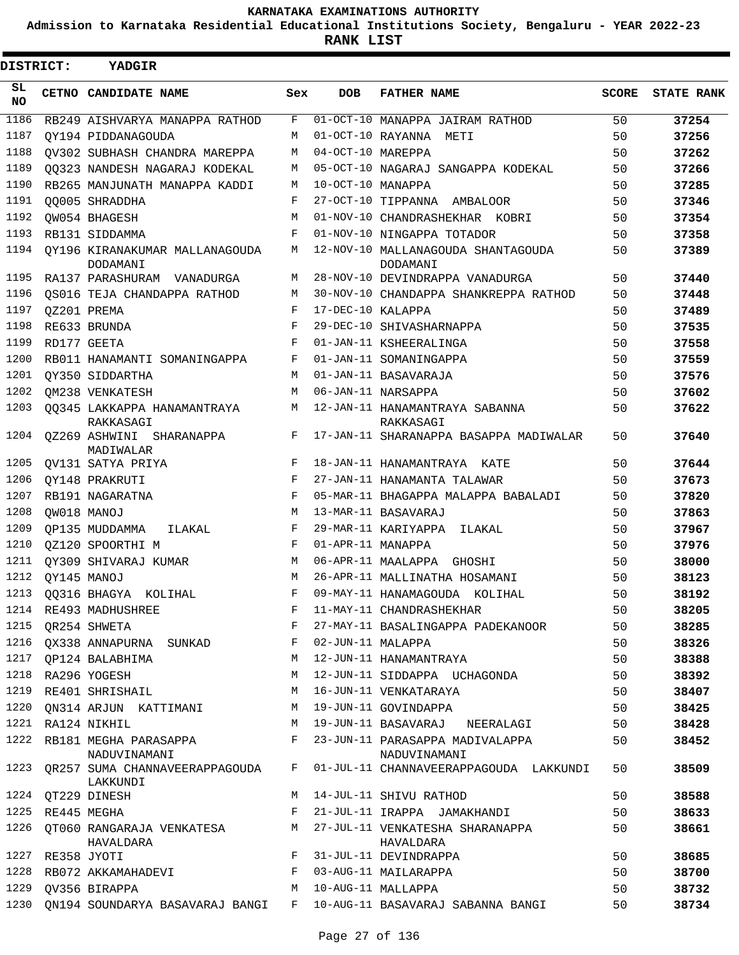**Admission to Karnataka Residential Educational Institutions Society, Bengaluru - YEAR 2022-23**

**RANK LIST**

| <b>DISTRICT:</b> |                  | <b>YADGIR</b>                              |     |                   |                                                 |              |                   |
|------------------|------------------|--------------------------------------------|-----|-------------------|-------------------------------------------------|--------------|-------------------|
| SL<br><b>NO</b>  |                  | CETNO CANDIDATE NAME                       | Sex | <b>DOB</b>        | <b>FATHER NAME</b>                              | <b>SCORE</b> | <b>STATE RANK</b> |
| 1186             |                  | RB249 AISHVARYA MANAPPA RATHOD             | F   |                   | 01-OCT-10 MANAPPA JAIRAM RATHOD                 | 50           | 37254             |
| 1187             |                  | OY194 PIDDANAGOUDA                         | M   |                   | 01-OCT-10 RAYANNA METI                          | 50           | 37256             |
| 1188             |                  | OV302 SUBHASH CHANDRA MAREPPA              | M   | 04-OCT-10 MAREPPA |                                                 | 50           | 37262             |
| 1189             |                  | 00323 NANDESH NAGARAJ KODEKAL              | M   |                   | 05-OCT-10 NAGARAJ SANGAPPA KODEKAL              | 50           | 37266             |
| 1190             |                  | RB265 MANJUNATH MANAPPA KADDI              | M   | 10-OCT-10 MANAPPA |                                                 | 50           | 37285             |
| 1191             |                  | 00005 SHRADDHA                             | F   |                   | 27-OCT-10 TIPPANNA AMBALOOR                     | 50           | 37346             |
| 1192             |                  | OW054 BHAGESH                              | M   |                   | 01-NOV-10 CHANDRASHEKHAR KOBRI                  | 50           | 37354             |
| 1193             |                  | RB131 SIDDAMMA                             | F   |                   | 01-NOV-10 NINGAPPA TOTADOR                      | 50           | 37358             |
| 1194             |                  | OY196 KIRANAKUMAR MALLANAGOUDA<br>DODAMANI | M   |                   | 12-NOV-10 MALLANAGOUDA SHANTAGOUDA<br>DODAMANI  | 50           | 37389             |
| 1195             |                  | RA137 PARASHURAM VANADURGA                 | M   |                   | 28-NOV-10 DEVINDRAPPA VANADURGA                 | 50           | 37440             |
| 1196             |                  | OS016 TEJA CHANDAPPA RATHOD                | M   |                   | 30-NOV-10 CHANDAPPA SHANKREPPA RATHOD           | 50           | 37448             |
| 1197             |                  | OZ201 PREMA                                | F   | 17-DEC-10 KALAPPA |                                                 | 50           | 37489             |
| 1198             |                  | RE633 BRUNDA                               | F   |                   | 29-DEC-10 SHIVASHARNAPPA                        | 50           | 37535             |
| 1199             |                  | RD177 GEETA                                | F   |                   | 01-JAN-11 KSHEERALINGA                          | 50           | 37558             |
| 1200             |                  | RB011 HANAMANTI SOMANINGAPPA               | F   |                   | 01-JAN-11 SOMANINGAPPA                          | 50           | 37559             |
| 1201             |                  | OY350 SIDDARTHA                            | M   |                   | 01-JAN-11 BASAVARAJA                            | 50           | 37576             |
| 1202             |                  | OM238 VENKATESH                            | M   |                   | 06-JAN-11 NARSAPPA                              | 50           | 37602             |
| 1203             |                  | 00345 LAKKAPPA HANAMANTRAYA<br>RAKKASAGI   | M   |                   | 12-JAN-11 HANAMANTRAYA SABANNA<br>RAKKASAGI     | 50           | 37622             |
| 1204             |                  | 0Z269 ASHWINI SHARANAPPA<br>MADIWALAR      | F   |                   | 17-JAN-11 SHARANAPPA BASAPPA MADIWALAR          | 50           | 37640             |
| 1205             |                  | QV131 SATYA PRIYA                          | F   |                   | 18-JAN-11 HANAMANTRAYA KATE                     | 50           | 37644             |
| 1206             |                  | QY148 PRAKRUTI                             | F   |                   | 27-JAN-11 HANAMANTA TALAWAR                     | 50           | 37673             |
| 1207             |                  | RB191 NAGARATNA                            | F   |                   | 05-MAR-11 BHAGAPPA MALAPPA BABALADI             | 50           | 37820             |
| 1208             |                  | OW018 MANOJ                                | M   |                   | 13-MAR-11 BASAVARAJ                             | 50           | 37863             |
| 1209             |                  | OP135 MUDDAMMA<br>ILAKAL                   | F   |                   | 29-MAR-11 KARIYAPPA<br>ILAKAL                   | 50           | 37967             |
| 1210             |                  | OZ120 SPOORTHI M                           | F   | 01-APR-11 MANAPPA |                                                 | 50           | 37976             |
| 1211             |                  | OY309 SHIVARAJ KUMAR                       | M   |                   | 06-APR-11 MAALAPPA GHOSHI                       | 50           | 38000             |
| 1212             |                  | OY145 MANOJ                                | M   |                   | 26-APR-11 MALLINATHA HOSAMANI                   | 50           | 38123             |
| 1213             |                  | 00316 BHAGYA KOLIHAL                       | F   |                   | 09-MAY-11 HANAMAGOUDA KOLIHAL                   | 50           | 38192             |
| 1214             |                  | RE493 MADHUSHREE                           | F   |                   | 11-MAY-11 CHANDRASHEKHAR                        | 50           | 38205             |
| 1215             |                  | QR254 SHWETA                               | F   |                   | 27-MAY-11 BASALINGAPPA PADEKANOOR               | 50           | 38285             |
| 1216             |                  | QX338 ANNAPURNA SUNKAD                     | F   | 02-JUN-11 MALAPPA |                                                 | 50           | 38326             |
| 1217             |                  | OP124 BALABHIMA                            | M   |                   | 12-JUN-11 HANAMANTRAYA                          | 50           | 38388             |
| 1218             |                  | RA296 YOGESH                               | М   |                   | 12-JUN-11 SIDDAPPA UCHAGONDA                    | 50           | 38392             |
| 1219             |                  | RE401 SHRISHAIL                            | М   |                   | 16-JUN-11 VENKATARAYA                           | 50           | 38407             |
| 1220             |                  | ON314 ARJUN KATTIMANI                      | М   |                   | 19-JUN-11 GOVINDAPPA                            | 50           | 38425             |
| 1221             |                  | RA124 NIKHIL                               | M   |                   | 19-JUN-11 BASAVARAJ<br>NEERALAGI                | 50           | 38428             |
| 1222             |                  | RB181 MEGHA PARASAPPA<br>NADUVINAMANI      | F   |                   | 23-JUN-11 PARASAPPA MADIVALAPPA<br>NADUVINAMANI | 50           | 38452             |
| 1223             |                  | OR257 SUMA CHANNAVEERAPPAGOUDA<br>LAKKUNDI | F   |                   | 01-JUL-11 CHANNAVEERAPPAGOUDA LAKKUNDI          | 50           | 38509             |
| 1224             |                  | QT229 DINESH                               | M   |                   | 14-JUL-11 SHIVU RATHOD                          | 50           | 38588             |
| 1225             |                  | RE445 MEGHA                                | F   |                   | 21-JUL-11 IRAPPA JAMAKHANDI                     | 50           | 38633             |
| 1226             |                  | QT060 RANGARAJA VENKATESA<br>HAVALDARA     | M   |                   | 27-JUL-11 VENKATESHA SHARANAPPA<br>HAVALDARA    | 50           | 38661             |
|                  | 1227 RE358 JYOTI |                                            | F   |                   | 31-JUL-11 DEVINDRAPPA                           | 50           | 38685             |
| 1228             |                  | RB072 AKKAMAHADEVI                         | F   |                   | 03-AUG-11 MAILARAPPA                            | 50           | 38700             |
| 1229             |                  | QV356 BIRAPPA                              | M   |                   | 10-AUG-11 MALLAPPA                              | 50           | 38732             |
| 1230             |                  | QN194 SOUNDARYA BASAVARAJ BANGI            | F   |                   | 10-AUG-11 BASAVARAJ SABANNA BANGI               | 50           | 38734             |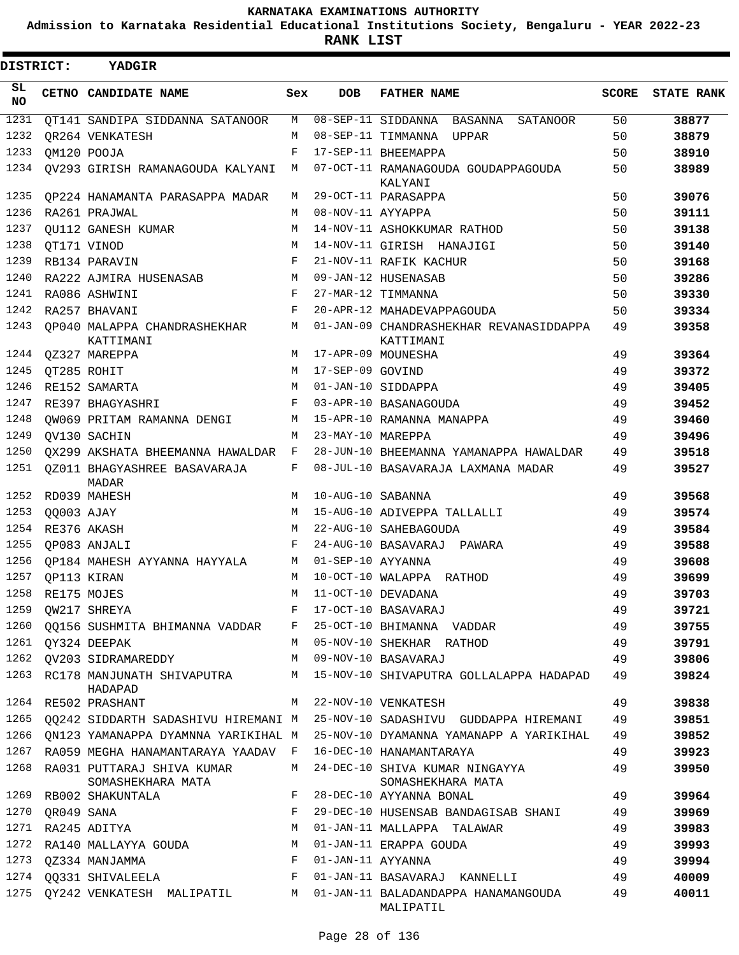**Admission to Karnataka Residential Educational Institutions Society, Bengaluru - YEAR 2022-23**

 $\blacksquare$ 

| DISTRICT:       |            | YADGIR                                                          |            |                   |                                                                                                        |              |                   |
|-----------------|------------|-----------------------------------------------------------------|------------|-------------------|--------------------------------------------------------------------------------------------------------|--------------|-------------------|
| SL<br><b>NO</b> |            | CETNO CANDIDATE NAME                                            | Sex        | <b>DOB</b>        | <b>FATHER NAME</b>                                                                                     | <b>SCORE</b> | <b>STATE RANK</b> |
| 1231            |            | OT141 SANDIPA SIDDANNA SATANOOR                                 | M          |                   | 08-SEP-11 SIDDANNA BASANNA SATANOOR                                                                    | 50           | 38877             |
| 1232            |            | OR264 VENKATESH                                                 | M          |                   | 08-SEP-11 TIMMANNA UPPAR                                                                               | 50           | 38879             |
| 1233            |            | OM120 POOJA                                                     | $_{\rm F}$ |                   | 17-SEP-11 BHEEMAPPA                                                                                    | 50           | 38910             |
| 1234            |            | QV293 GIRISH RAMANAGOUDA KALYANI                                | M          |                   | 07-OCT-11 RAMANAGOUDA GOUDAPPAGOUDA<br>KALYANI                                                         | 50           | 38989             |
| 1235            |            | OP224 HANAMANTA PARASAPPA MADAR                                 | M          |                   | 29-OCT-11 PARASAPPA                                                                                    | 50           | 39076             |
| 1236            |            | RA261 PRAJWAL                                                   | M          | 08-NOV-11 AYYAPPA |                                                                                                        | 50           | 39111             |
| 1237            |            | OU112 GANESH KUMAR                                              | M          |                   | 14-NOV-11 ASHOKKUMAR RATHOD                                                                            | 50           | 39138             |
| 1238            |            | OT171 VINOD                                                     | M          |                   | 14-NOV-11 GIRISH HANAJIGI                                                                              | 50           | 39140             |
| 1239            |            | RB134 PARAVIN                                                   | F          |                   | 21-NOV-11 RAFIK KACHUR                                                                                 | 50           | 39168             |
| 1240            |            | RA222 AJMIRA HUSENASAB                                          | M          |                   | 09-JAN-12 HUSENASAB                                                                                    | 50           | 39286             |
| 1241            |            | RA086 ASHWINI                                                   | F          |                   | 27-MAR-12 TIMMANNA                                                                                     | 50           | 39330             |
| 1242            |            | RA257 BHAVANI                                                   | F          |                   | 20-APR-12 MAHADEVAPPAGOUDA                                                                             | 50           | 39334             |
| 1243            |            | OP040 MALAPPA CHANDRASHEKHAR<br>KATTIMANI                       | M          |                   | 01-JAN-09 CHANDRASHEKHAR REVANASIDDAPPA<br>KATTIMANI                                                   | 49           | 39358             |
| 1244            |            | OZ327 MAREPPA                                                   | M          |                   | 17-APR-09 MOUNESHA                                                                                     | 49           | 39364             |
| 1245            |            | QT285 ROHIT                                                     | M          | 17-SEP-09 GOVIND  |                                                                                                        | 49           | 39372             |
| 1246            |            | RE152 SAMARTA                                                   | M          |                   | 01-JAN-10 SIDDAPPA                                                                                     | 49           | 39405             |
| 1247            |            | RE397 BHAGYASHRI                                                | F          |                   | 03-APR-10 BASANAGOUDA                                                                                  | 49           | 39452             |
| 1248            |            | OW069 PRITAM RAMANNA DENGI                                      | M          |                   | 15-APR-10 RAMANNA MANAPPA                                                                              | 49           | 39460             |
| 1249            |            | OV130 SACHIN                                                    | M          | 23-MAY-10 MAREPPA |                                                                                                        | 49           | 39496             |
| 1250            |            | QX299 AKSHATA BHEEMANNA HAWALDAR F                              |            |                   | 28-JUN-10 BHEEMANNA YAMANAPPA HAWALDAR                                                                 | 49           | 39518             |
| 1251            |            | 0Z011 BHAGYASHREE BASAVARAJA<br>MADAR                           | F          |                   | 08-JUL-10 BASAVARAJA LAXMANA MADAR                                                                     | 49           | 39527             |
| 1252            |            | RD039 MAHESH                                                    | M          | 10-AUG-10 SABANNA |                                                                                                        | 49           | 39568             |
| 1253            | QQ003 AJAY |                                                                 | M          |                   | 15-AUG-10 ADIVEPPA TALLALLI                                                                            | 49           | 39574             |
| 1254            |            | RE376 AKASH                                                     | M          |                   | 22-AUG-10 SAHEBAGOUDA                                                                                  | 49           | 39584             |
| 1255            |            | OP083 ANJALI                                                    | F          |                   | 24-AUG-10 BASAVARAJ PAWARA                                                                             | 49           | 39588             |
| 1256            |            | OP184 MAHESH AYYANNA HAYYALA                                    | M          | 01-SEP-10 AYYANNA |                                                                                                        | 49           | 39608             |
| 1257            |            | OP113 KIRAN                                                     | M          |                   | 10-OCT-10 WALAPPA RATHOD                                                                               | 49           | 39699             |
| 1258            |            | RE175 MOJES                                                     | М          |                   | 11-OCT-10 DEVADANA                                                                                     | 49           | 39703             |
|                 |            | 1259 QW217 SHREYA                                               |            |                   | $F = 17-0CT-10$ BASAVARAJ                                                                              | 49           | 39721             |
|                 |            |                                                                 |            |                   | 1260 QQ156 SUSHMITA BHIMANNA VADDAR F 25-OCT-10 BHIMANNA VADDAR                                        | 49           | 39755             |
|                 |            | 1261 QY324 DEEPAK                                               |            |                   | M 05-NOV-10 SHEKHAR RATHOD 49                                                                          |              | 39791             |
|                 |            |                                                                 |            |                   | 1262 QV203 SIDRAMAREDDY M 09-NOV-10 BASAVARAJ 49                                                       |              | 39806             |
|                 |            | HADAPAD                                                         |            |                   | 1263 RC178 MANJUNATH SHIVAPUTRA M 15-NOV-10 SHIVAPUTRA GOLLALAPPA HADAPAD                              | 49           | 39824             |
|                 |            | 1264 RE502 PRASHANT M 22-NOV-10 VENKATESH                       |            |                   |                                                                                                        | 49           | 39838             |
|                 |            |                                                                 |            |                   | 1265 QQ242 SIDDARTH SADASHIVU HIREMANI M 25-NOV-10 SADASHIVU GUDDAPPA HIREMANI 49                      |              | 39851             |
|                 |            |                                                                 |            |                   | 1266 ON123 YAMANAPPA DYAMNNA YARIKIHAL M 25-NOV-10 DYAMANNA YAMANAPP A YARIKIHAL                       | - 49         | 39852             |
|                 |            | 1267 RA059 MEGHA HANAMANTARAYA YAADAV F 16-DEC-10 HANAMANTARAYA |            |                   |                                                                                                        | 49           | 39923             |
|                 |            | SOMASHEKHARA MATA                                               |            |                   | 1268 RA031 PUTTARAJ SHIVA KUMAR MATA 24-DEC-10 SHIVA KUMAR NINGAYYA 49<br>SOMASHEKHARA MATA            |              | 39950             |
|                 |            | 1269 RB002 SHAKUNTALA                                           | $F$ and    |                   | 49<br>28-DEC-10 AYYANNA BONAL                                                                          |              | 39964             |
|                 |            |                                                                 |            |                   | 29-DEC-10 HUSENSAB BANDAGISAB SHANI 49                                                                 |              | 39969             |
|                 |            |                                                                 |            |                   |                                                                                                        | 49           | 39983             |
|                 |            |                                                                 |            |                   |                                                                                                        | 49           | 39993             |
|                 |            | 1273 QZ334 MANJAMMA F                                           |            |                   | 01-JAN-11 AYYANNA<br>49                                                                                |              | 39994             |
|                 |            |                                                                 |            |                   | 1274 QQ331 SHIVALEELA                            F    01-JAN-11 BASAVARAJ KANNELLI                  49 |              | 40009             |
|                 |            |                                                                 |            |                   | 1275 QY242 VENKATESH MALIPATIL M 01-JAN-11 BALADANDAPPA HANAMANGOUDA 49<br>MALIPATIL                   |              | 40011             |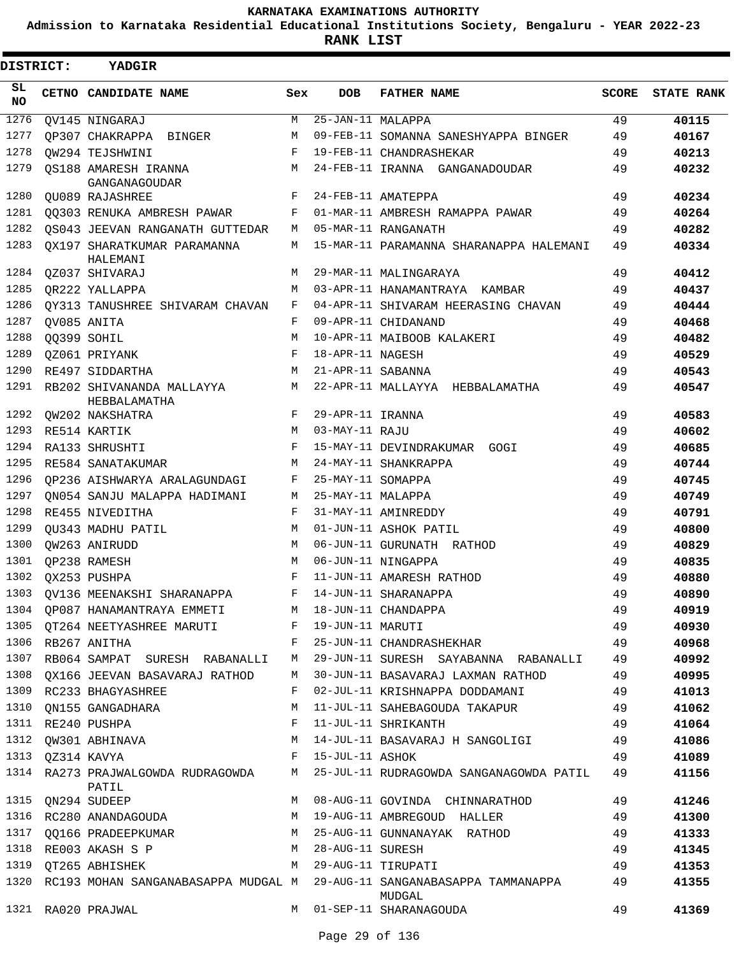**Admission to Karnataka Residential Educational Institutions Society, Bengaluru - YEAR 2022-23**

**RANK LIST**

| DISTRICT:       | <b>YADGIR</b>                             |     |                   |                                               |              |                   |
|-----------------|-------------------------------------------|-----|-------------------|-----------------------------------------------|--------------|-------------------|
| SL<br><b>NO</b> | CETNO CANDIDATE NAME                      | Sex | <b>DOB</b>        | <b>FATHER NAME</b>                            | <b>SCORE</b> | <b>STATE RANK</b> |
| 1276            | QV145 NINGARAJ                            | М   | 25-JAN-11 MALAPPA |                                               | 49           | 40115             |
| 1277            | OP307 CHAKRAPPA BINGER                    | M   |                   | 09-FEB-11 SOMANNA SANESHYAPPA BINGER          | 49           | 40167             |
| 1278            | OW294 TEJSHWINI                           | F   |                   | 19-FEB-11 CHANDRASHEKAR                       | 49           | 40213             |
| 1279            | OS188 AMARESH IRANNA<br>GANGANAGOUDAR     | М   |                   | 24-FEB-11 IRANNA GANGANADOUDAR                | 49           | 40232             |
| 1280            | <b>OU089 RAJASHREE</b>                    | F   |                   | 24-FEB-11 AMATEPPA                            | 49           | 40234             |
| 1281            | 00303 RENUKA AMBRESH PAWAR                | F   |                   | 01-MAR-11 AMBRESH RAMAPPA PAWAR               | 49           | 40264             |
| 1282            | OS043 JEEVAN RANGANATH GUTTEDAR           | М   |                   | 05-MAR-11 RANGANATH                           | 49           | 40282             |
| 1283            | OX197 SHARATKUMAR PARAMANNA<br>HALEMANI   | М   |                   | 15-MAR-11 PARAMANNA SHARANAPPA HALEMANI       | 49           | 40334             |
| 1284            | QZ037 SHIVARAJ                            | М   |                   | 29-MAR-11 MALINGARAYA                         | 49           | 40412             |
| 1285            | OR222 YALLAPPA                            | М   |                   | 03-APR-11 HANAMANTRAYA KAMBAR                 | 49           | 40437             |
| 1286            | OY313 TANUSHREE SHIVARAM CHAVAN           | F   |                   | 04-APR-11 SHIVARAM HEERASING CHAVAN           | 49           | 40444             |
| 1287            | OV085 ANITA                               | F   |                   | 09-APR-11 CHIDANAND                           | 49           | 40468             |
| 1288            | OO399 SOHIL                               | М   |                   | 10-APR-11 MAIBOOB KALAKERI                    | 49           | 40482             |
| 1289            | OZ061 PRIYANK                             | F   | 18-APR-11 NAGESH  |                                               | 49           | 40529             |
| 1290            | RE497 SIDDARTHA                           | M   | 21-APR-11 SABANNA |                                               | 49           | 40543             |
| 1291            | RB202 SHIVANANDA MALLAYYA<br>HEBBALAMATHA | M   |                   | 22-APR-11 MALLAYYA HEBBALAMATHA               | 49           | 40547             |
| 1292            | QW202 NAKSHATRA                           | F   | 29-APR-11 IRANNA  |                                               | 49           | 40583             |
| 1293            | RE514 KARTIK                              | M   | 03-MAY-11 RAJU    |                                               | 49           | 40602             |
| 1294            | RA133 SHRUSHTI                            | F   |                   | 15-MAY-11 DEVINDRAKUMAR GOGI                  | 49           | 40685             |
| 1295            | RE584 SANATAKUMAR                         | M   |                   | 24-MAY-11 SHANKRAPPA                          | 49           | 40744             |
| 1296            | OP236 AISHWARYA ARALAGUNDAGI              | F   | 25-MAY-11 SOMAPPA |                                               | 49           | 40745             |
| 1297            | ON054 SANJU MALAPPA HADIMANI              | М   | 25-MAY-11 MALAPPA |                                               | 49           | 40749             |
| 1298            | RE455 NIVEDITHA                           | F   |                   | 31-MAY-11 AMINREDDY                           | 49           | 40791             |
| 1299            | OU343 MADHU PATIL                         | M   |                   | 01-JUN-11 ASHOK PATIL                         | 49           | 40800             |
| 1300            | OW263 ANIRUDD                             | M   |                   | 06-JUN-11 GURUNATH RATHOD                     | 49           | 40829             |
| 1301            | QP238 RAMESH                              | M   |                   | 06-JUN-11 NINGAPPA                            | 49           | 40835             |
| 1302            | OX253 PUSHPA                              | F   |                   | 11-JUN-11 AMARESH RATHOD                      | 49           | 40880             |
| 1303            | OV136 MEENAKSHI SHARANAPPA                | F   |                   | 14-JUN-11 SHARANAPPA                          | 49           | 40890             |
| 1304            | QP087 HANAMANTRAYA EMMETI                 | М   |                   | 18-JUN-11 CHANDAPPA                           | 49           | 40919             |
| 1305            | QT264 NEETYASHREE MARUTI                  | F   | 19-JUN-11 MARUTI  |                                               | 49           | 40930             |
| 1306            | RB267 ANITHA                              | F   |                   | 25-JUN-11 CHANDRASHEKHAR                      | 49           | 40968             |
| 1307            | RB064 SAMPAT SURESH RABANALLI             | М   |                   | 29-JUN-11 SURESH SAYABANNA RABANALLI          | 49           | 40992             |
| 1308            | QX166 JEEVAN BASAVARAJ RATHOD             | М   |                   | 30-JUN-11 BASAVARAJ LAXMAN RATHOD             | 49           | 40995             |
| 1309            | RC233 BHAGYASHREE                         | F   |                   | 02-JUL-11 KRISHNAPPA DODDAMANI                | 49           | 41013             |
| 1310            | QN155 GANGADHARA                          | М   |                   | 11-JUL-11 SAHEBAGOUDA TAKAPUR                 | 49           | 41062             |
| 1311            | RE240 PUSHPA                              | F   |                   | 11-JUL-11 SHRIKANTH                           | 49           | 41064             |
| 1312            | QW301 ABHINAVA                            | М   |                   | 14-JUL-11 BASAVARAJ H SANGOLIGI               | 49           | 41086             |
| 1313            | QZ314 KAVYA                               | F   | 15-JUL-11 ASHOK   |                                               | 49           | 41089             |
| 1314            | RA273 PRAJWALGOWDA RUDRAGOWDA             | М   |                   | 25-JUL-11 RUDRAGOWDA SANGANAGOWDA PATIL       | 49           | 41156             |
| 1315            | PATIL                                     | М   |                   | 08-AUG-11 GOVINDA CHINNARATHOD                | 49           | 41246             |
|                 | QN294 SUDEEP                              | М   |                   |                                               |              |                   |
|                 | 1316 RC280 ANANDAGOUDA                    |     |                   | 19-AUG-11 AMBREGOUD HALLER                    | 49           | 41300             |
| 1317            | QQ166 PRADEEPKUMAR                        | М   |                   | 25-AUG-11 GUNNANAYAK RATHOD                   | 49           | 41333             |
| 1318            | RE003 AKASH S P                           | М   | 28-AUG-11 SURESH  |                                               | 49           | 41345             |
| 1319            | QT265 ABHISHEK                            | М   |                   | 29-AUG-11 TIRUPATI                            | 49           | 41353             |
| 1320            | RC193 MOHAN SANGANABASAPPA MUDGAL M       |     |                   | 29-AUG-11 SANGANABASAPPA TAMMANAPPA<br>MUDGAL | 49           | 41355             |
|                 | 1321 RA020 PRAJWAL                        | М   |                   | 01-SEP-11 SHARANAGOUDA                        | 49           | 41369             |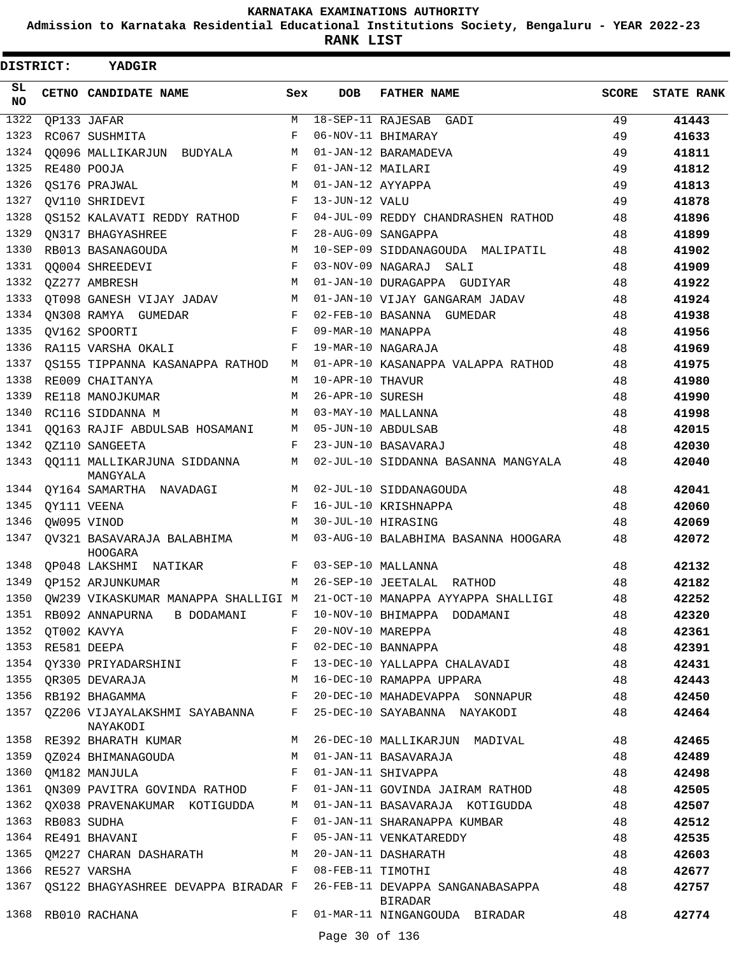**Admission to Karnataka Residential Educational Institutions Society, Bengaluru - YEAR 2022-23**

**RANK LIST**

| <b>DISTRICT:</b> |                  | <b>YADGIR</b>                                     |              |                     |                                                                                         |              |                   |
|------------------|------------------|---------------------------------------------------|--------------|---------------------|-----------------------------------------------------------------------------------------|--------------|-------------------|
| SL<br>NO.        |                  | CETNO CANDIDATE NAME                              | Sex          | <b>DOB</b>          | <b>FATHER NAME</b>                                                                      | <b>SCORE</b> | <b>STATE RANK</b> |
| 1322             |                  | QP133 JAFAR                                       | M            |                     | 18-SEP-11 RAJESAB GADI                                                                  | 49           | 41443             |
| 1323             |                  | RC067 SUSHMITA                                    | F            |                     | 06-NOV-11 BHIMARAY                                                                      | 49           | 41633             |
| 1324             |                  | 00096 MALLIKARJUN BUDYALA                         | М            |                     | 01-JAN-12 BARAMADEVA                                                                    | 49           | 41811             |
| 1325             |                  | RE480 POOJA                                       | F            | 01-JAN-12 MAILARI   |                                                                                         | 49           | 41812             |
| 1326             |                  | QS176 PRAJWAL                                     | M            | 01-JAN-12 AYYAPPA   |                                                                                         | 49           | 41813             |
| 1327             |                  | QV110 SHRIDEVI                                    | $_{\rm F}$   | 13-JUN-12 VALU      |                                                                                         | 49           | 41878             |
| 1328             |                  | OS152 KALAVATI REDDY RATHOD                       | F            |                     | 04-JUL-09 REDDY CHANDRASHEN RATHOD                                                      | 48           | 41896             |
| 1329             |                  | ON317 BHAGYASHREE                                 | F            |                     | 28-AUG-09 SANGAPPA                                                                      | 48           | 41899             |
| 1330             |                  | RB013 BASANAGOUDA                                 | M            |                     | 10-SEP-09 SIDDANAGOUDA MALIPATIL                                                        | 48           | 41902             |
| 1331             |                  | 00004 SHREEDEVI                                   | F            |                     | 03-NOV-09 NAGARAJ SALI                                                                  | 48           | 41909             |
| 1332             |                  | QZ277 AMBRESH                                     | M            |                     | 01-JAN-10 DURAGAPPA GUDIYAR                                                             | 48           | 41922             |
| 1333             |                  | OT098 GANESH VIJAY JADAV                          | M            |                     | 01-JAN-10 VIJAY GANGARAM JADAV                                                          | 48           | 41924             |
| 1334             |                  | ON308 RAMYA GUMEDAR                               | F            |                     | 02-FEB-10 BASANNA GUMEDAR                                                               | 48           | 41938             |
| 1335             |                  | QV162 SPOORTI                                     | F            | 09-MAR-10 MANAPPA   |                                                                                         | 48           | 41956             |
| 1336             |                  | RA115 VARSHA OKALI                                | F            |                     | 19-MAR-10 NAGARAJA                                                                      | 48           | 41969             |
| 1337             |                  | OS155 TIPPANNA KASANAPPA RATHOD                   | M            |                     | 01-APR-10 KASANAPPA VALAPPA RATHOD                                                      | 48           | 41975             |
| 1338             |                  | RE009 CHAITANYA                                   | M            | 10-APR-10 THAVUR    |                                                                                         | 48           | 41980             |
| 1339             |                  | RE118 MANOJKUMAR                                  | M            | 26-APR-10 SURESH    |                                                                                         | 48           | 41990             |
| 1340             |                  | RC116 SIDDANNA M                                  | M            |                     | 03-MAY-10 MALLANNA                                                                      | 48           | 41998             |
| 1341             |                  | QQ163 RAJIF ABDULSAB HOSAMANI                     | M            |                     | 05-JUN-10 ABDULSAB                                                                      | 48           | 42015             |
| 1342             |                  | QZ110 SANGEETA                                    | F            |                     | 23-JUN-10 BASAVARAJ                                                                     | 48           | 42030             |
| 1343             |                  | QQ111 MALLIKARJUNA SIDDANNA<br>MANGYALA           | M            |                     | 02-JUL-10 SIDDANNA BASANNA MANGYALA                                                     | 48           | 42040             |
| 1344             |                  | QY164 SAMARTHA NAVADAGI                           | M            |                     | 02-JUL-10 SIDDANAGOUDA                                                                  | 48           | 42041             |
| 1345             |                  | QY111 VEENA                                       | $_{\rm F}$   |                     | 16-JUL-10 KRISHNAPPA                                                                    | 48           | 42060             |
| 1346             |                  | OW095 VINOD                                       | M            |                     | 30-JUL-10 HIRASING                                                                      | 48           | 42069             |
| 1347             |                  | OV321 BASAVARAJA BALABHIMA<br>HOOGARA             | M            |                     | 03-AUG-10 BALABHIMA BASANNA HOOGARA                                                     | 48           | 42072             |
| 1348             |                  | OP048 LAKSHMI NATIKAR                             |              |                     | F 03-SEP-10 MALLANNA                                                                    | 48           | 42132             |
| 1349             |                  | OP152 ARJUNKUMAR                                  |              |                     | M 26-SEP-10 JEETALAL RATHOD                                                             | 48           | 42182             |
|                  |                  |                                                   |              |                     | 1350 QW239 VIKASKUMAR MANAPPA SHALLIGI M 21-OCT-10 MANAPPA AYYAPPA SHALLIGI             | 48           | 42252             |
|                  |                  |                                                   |              |                     | 1351 RB092 ANNAPURNA B DODAMANI F 10-NOV-10 BHIMAPPA DODAMANI                           | 48           | 42320             |
|                  | 1352 QT002 KAVYA |                                                   |              | F 20-NOV-10 MAREPPA |                                                                                         | 48           | 42361             |
|                  |                  | 1353 RE581 DEEPA<br><b>Example 19</b>             |              |                     | 48<br>02-DEC-10 BANNAPPA                                                                |              | 42391             |
|                  |                  | 1354 QY330 PRIYADARSHINI F                        |              |                     | 13-DEC-10 YALLAPPA CHALAVADI                                                            | 48           | 42431             |
|                  |                  | 1355 QR305 DEVARAJA                               |              |                     | M 16-DEC-10 RAMAPPA UPPARA                                                              | 48           | 42443             |
|                  |                  | 1356 RB192 BHAGAMMA                               |              |                     | F 20-DEC-10 MAHADEVAPPA SONNAPUR 48                                                     |              | 42450             |
|                  |                  | NAYAKODI                                          |              |                     | 1357 QZ206 VIJAYALAKSHMI SAYABANNA F 25-DEC-10 SAYABANNA NAYAKODI 48                    |              | 42464             |
|                  |                  | 1358 RE392 BHARATH KUMAR                          | M            |                     | 26-DEC-10 MALLIKARJUN MADIVAL 48                                                        |              | 42465             |
|                  |                  | 1359 QZ024 BHIMANAGOUDA M 01-JAN-11 BASAVARAJA    |              |                     |                                                                                         | 48           | 42489             |
|                  |                  | 1360 QM182 MANJULA                                |              |                     | F 01-JAN-11 SHIVAPPA                                                                    | 48           | 42498             |
|                  |                  |                                                   |              |                     | 1361 QN309 PAVITRA GOVINDA RATHOD F 01-JAN-11 GOVINDA JAIRAM RATHOD                     | 48           | 42505             |
|                  |                  |                                                   |              |                     | 1362 QX038 PRAVENAKUMAR KOTIGUDDA M 01-JAN-11 BASAVARAJA KOTIGUDDA 48                   |              | 42507             |
|                  | 1363 RB083 SUDHA |                                                   | $\mathbf{F}$ |                     | 01-JAN-11 SHARANAPPA KUMBAR                                                             | 48           | 42512             |
|                  |                  | 1364 RE491 BHAVANI                                | $\mathbf{F}$ |                     | 05-JAN-11 VENKATAREDDY                                                                  | 48           | 42535             |
|                  |                  | 1365 QM227 CHARAN DASHARATH M 20-JAN-11 DASHARATH |              |                     |                                                                                         | 48           | 42603             |
|                  |                  | 1366 RE527 VARSHA                                 |              | F 08-FEB-11 TIMOTHI |                                                                                         | 48           | 42677             |
|                  |                  |                                                   |              |                     | 1367 QS122 BHAGYASHREE DEVAPPA BIRADAR F 26-FEB-11 DEVAPPA SANGANABASAPPA 48<br>BIRADAR |              | 42757             |
|                  |                  | 1368 RB010 RACHANA                                | $F$ and      |                     | 01-MAR-11 NINGANGOUDA BIRADAR                                                           | 48           | 42774             |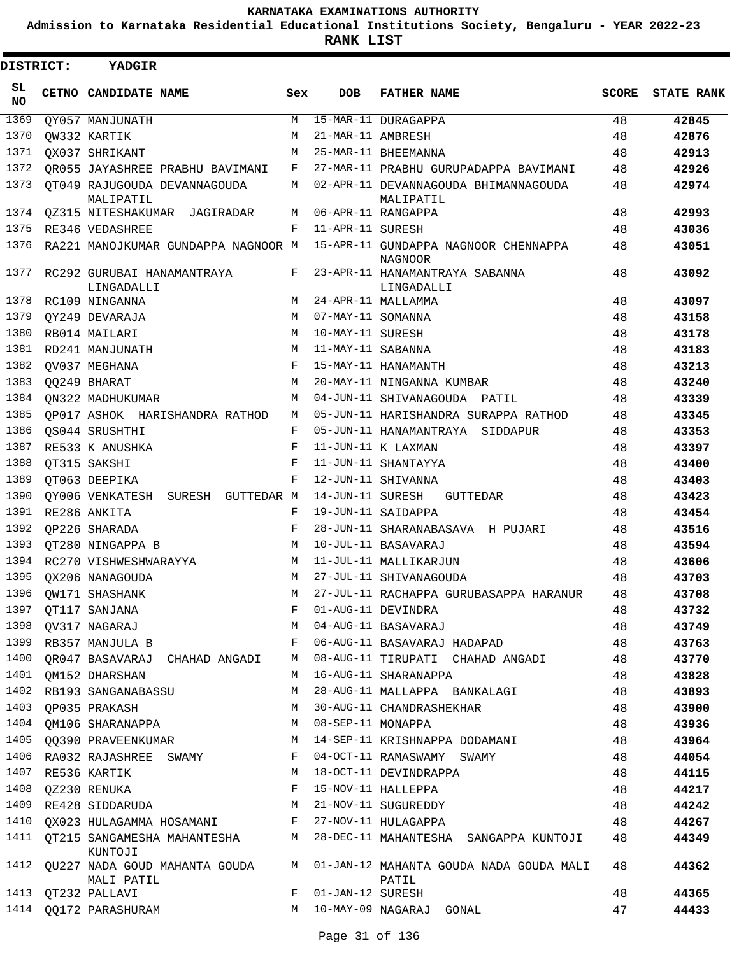**Admission to Karnataka Residential Educational Institutions Society, Bengaluru - YEAR 2022-23**

**RANK LIST**

Е

| DISTRICT:  | <b>YADGIR</b>                                          |            |                    |                                                                              |       |                   |
|------------|--------------------------------------------------------|------------|--------------------|------------------------------------------------------------------------------|-------|-------------------|
| SL.<br>NO. | CETNO CANDIDATE NAME                                   | Sex        | DOB                | <b>FATHER NAME</b>                                                           | SCORE | <b>STATE RANK</b> |
| 1369       | QY057 MANJUNATH                                        | М          |                    | 15-MAR-11 DURAGAPPA                                                          | 48    | 42845             |
| 1370       | OW332 KARTIK                                           | М          | 21-MAR-11 AMBRESH  |                                                                              | 48    | 42876             |
| 1371       | OX037 SHRIKANT                                         | М          |                    | 25-MAR-11 BHEEMANNA                                                          | 48    | 42913             |
| 1372       | OR055 JAYASHREE PRABHU BAVIMANI                        | F          |                    | 27-MAR-11 PRABHU GURUPADAPPA BAVIMANI                                        | 48    | 42926             |
| 1373       | QT049 RAJUGOUDA DEVANNAGOUDA<br>MALIPATIL              | M          |                    | 02-APR-11 DEVANNAGOUDA BHIMANNAGOUDA<br>MALIPATIL                            | 48    | 42974             |
| 1374       | 0Z315 NITESHAKUMAR JAGIRADAR                           | М          |                    | 06-APR-11 RANGAPPA                                                           | 48    | 42993             |
| 1375       | RE346 VEDASHREE                                        | F          | 11-APR-11 SURESH   |                                                                              | 48    | 43036             |
| 1376       | RA221 MANOJKUMAR GUNDAPPA NAGNOOR M                    |            |                    | 15-APR-11 GUNDAPPA NAGNOOR CHENNAPPA<br><b>NAGNOOR</b>                       | 48    | 43051             |
| 1377       | RC292 GURUBAI HANAMANTRAYA<br>LINGADALLI               | F          |                    | 23-APR-11 HANAMANTRAYA SABANNA<br>LINGADALLI                                 | 48    | 43092             |
| 1378       | RC109 NINGANNA                                         | M          |                    | 24-APR-11 MALLAMMA                                                           | 48    | 43097             |
| 1379       | QY249 DEVARAJA                                         | M          | 07-MAY-11 SOMANNA  |                                                                              | 48    | 43158             |
| 1380       | RB014 MAILARI                                          | M          | 10-MAY-11 SURESH   |                                                                              | 48    | 43178             |
| 1381       | RD241 MANJUNATH                                        | M          | 11-MAY-11 SABANNA  |                                                                              | 48    | 43183             |
| 1382       | OV037 MEGHANA                                          | F          |                    | 15-MAY-11 HANAMANTH                                                          | 48    | 43213             |
| 1383       | QQ249 BHARAT                                           | M          |                    | 20-MAY-11 NINGANNA KUMBAR                                                    | 48    | 43240             |
| 1384       | ON322 MADHUKUMAR                                       | M          |                    | 04-JUN-11 SHIVANAGOUDA PATIL                                                 | 48    | 43339             |
| 1385       | OP017 ASHOK HARISHANDRA RATHOD                         | М          |                    | 05-JUN-11 HARISHANDRA SURAPPA RATHOD                                         | 48    | 43345             |
| 1386       | OS044 SRUSHTHI                                         | F          |                    | 05-JUN-11 HANAMANTRAYA SIDDAPUR                                              | 48    | 43353             |
| 1387       | RE533 K ANUSHKA                                        | $_{\rm F}$ |                    | 11-JUN-11 K LAXMAN                                                           | 48    | 43397             |
| 1388       | OT315 SAKSHI                                           | F          |                    | 11-JUN-11 SHANTAYYA                                                          | 48    | 43400             |
| 1389       | OT063 DEEPIKA                                          | F          |                    | 12-JUN-11 SHIVANNA                                                           | 48    | 43403             |
| 1390       | QY006 VENKATESH SURESH GUTTEDAR M                      |            |                    | 14-JUN-11 SURESH<br>GUTTEDAR                                                 | 48    | 43423             |
| 1391       | RE286 ANKITA                                           | F          |                    | 19-JUN-11 SAIDAPPA                                                           | 48    | 43454             |
| 1392       | <b>QP226 SHARADA</b>                                   | F          |                    | 28-JUN-11 SHARANABASAVA H PUJARI                                             | 48    | 43516             |
| 1393       | OT280 NINGAPPA B                                       | M          |                    | 10-JUL-11 BASAVARAJ                                                          | 48    | 43594             |
| 1394       | RC270 VISHWESHWARAYYA                                  | M          |                    | 11-JUL-11 MALLIKARJUN                                                        | 48    | 43606             |
| 1395       | OX206 NANAGOUDA                                        | M          |                    | 27-JUL-11 SHIVANAGOUDA                                                       | 48    | 43703             |
| 1396       | QW171 SHASHANK                                         | M          |                    | 27-JUL-11 RACHAPPA GURUBASAPPA HARANUR                                       | 48    | 43708             |
|            | 1397 QT117 SANJANA<br>1398 QV317 NAGARAJ<br>1398 ----- |            |                    | F 01-AUG-11 DEVINDRA                                                         | 48    | 43732             |
|            |                                                        |            |                    | M 04-AUG-11 BASAVARAJ                                                        | 48    | 43749             |
|            |                                                        |            |                    | 1399 RB357 MANJULA B T 06-AUG-11 BASAVARAJ HADAPAD 48                        |       | 43763             |
|            |                                                        |            |                    | 1400 QR047 BASAVARAJ CHAHAD ANGADI M 08-AUG-11 TIRUPATI CHAHAD ANGADI 48     |       | 43770             |
|            | 1401 QM152 DHARSHAN                                    |            |                    | M 16-AUG-11 SHARANAPPA                                                       | 48    | 43828             |
|            | 1402 RB193 SANGANABASSU                                |            |                    | M 28-AUG-11 MALLAPPA BANKALAGI                                               | 48    | 43893             |
|            |                                                        |            |                    | 1403 QP035 PRAKASH M 30-AUG-11 CHANDRASHEKHAR 48                             |       | 43900             |
|            | 1404 QM106 SHARANAPPA M 08-SEP-11 MONAPPA              |            |                    |                                                                              | 48    | 43936             |
|            |                                                        |            |                    | 1405 QQ390 PRAVEENKUMAR M 14-SEP-11 KRISHNAPPA DODAMANI 48                   |       | 43964             |
|            | 1406 RA032 RAJASHREE SWAMY F 04-OCT-11 RAMASWAMY SWAMY |            |                    |                                                                              | 48    | 44054             |
|            | 1407 RE536 KARTIK                                      |            |                    | M 18-OCT-11 DEVINDRAPPA                                                      | 48    | 44115             |
|            | 1408  QZ230 RENUKA                                     |            |                    | F 15-NOV-11 HALLEPPA                                                         | 48    | 44217             |
|            | 1409 RE428 SIDDARUDA M 21-NOV-11 SUGUREDDY             |            |                    |                                                                              | 48    | 44242             |
|            | 1410 QX023 HULAGAMMA HOSAMANI F 27-NOV-11 HULAGAPPA    |            |                    |                                                                              | 48    | 44267             |
|            |                                                        |            |                    | 1411 QT215 SANGAMESHA MAHANTESHA M 28-DEC-11 MAHANTESHA SANGAPPA KUNTOJI     | 48    | 44349             |
|            | KUNTOJI                                                |            |                    | 1412 QU227 NADA GOUD MAHANTA GOUDA M 01-JAN-12 MAHANTA GOUDA NADA GOUDA MALI | 48    | 44362             |
|            | MALI PATIL                                             |            |                    | PATIL                                                                        |       |                   |
|            | 1413 QT232 PALLAVI                                     |            | F 01-JAN-12 SURESH |                                                                              | 48    | 44365             |
|            | 1414 QQ172 PARASHURAM                                  |            |                    | M 10-MAY-09 NAGARAJ GONAL                                                    | 47    | 44433             |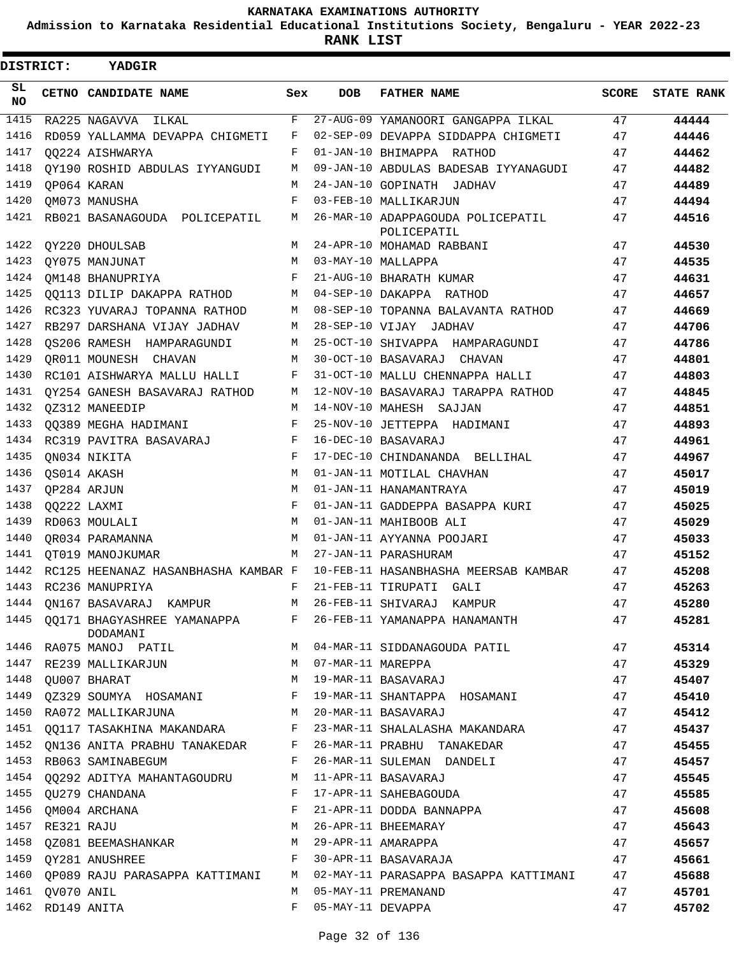**Admission to Karnataka Residential Educational Institutions Society, Bengaluru - YEAR 2022-23**

**RANK LIST**

| <b>DISTRICT:</b> |                  | YADGIR                                                  |             |                   |                                                                  |       |                   |
|------------------|------------------|---------------------------------------------------------|-------------|-------------------|------------------------------------------------------------------|-------|-------------------|
| SL.<br><b>NO</b> |                  | <b>CETNO CANDIDATE NAME</b>                             | Sex         | <b>DOB</b>        | <b>FATHER NAME</b>                                               | SCORE | <b>STATE RANK</b> |
| 1415             |                  | RA225 NAGAVVA ILKAL                                     | F           |                   | 27-AUG-09 YAMANOORI GANGAPPA ILKAL                               | 47    | 44444             |
| 1416             |                  | RD059 YALLAMMA DEVAPPA CHIGMETI                         | F           |                   | 02-SEP-09 DEVAPPA SIDDAPPA CHIGMETI                              | 47    | 44446             |
| 1417             |                  | 00224 AISHWARYA                                         | F           |                   | 01-JAN-10 BHIMAPPA RATHOD                                        | 47    | 44462             |
| 1418             |                  | QY190 ROSHID ABDULAS IYYANGUDI                          | М           |                   | 09-JAN-10 ABDULAS BADESAB IYYANAGUDI                             | 47    | 44482             |
| 1419             |                  | OP064 KARAN                                             | M           |                   | 24-JAN-10 GOPINATH JADHAV                                        | 47    | 44489             |
| 1420             |                  | OM073 MANUSHA                                           | F           |                   | 03-FEB-10 MALLIKARJUN                                            | 47    | 44494             |
| 1421             |                  | RB021 BASANAGOUDA POLICEPATIL                           | М           |                   | 26-MAR-10 ADAPPAGOUDA POLICEPATIL<br>POLICEPATIL                 | 47    | 44516             |
| 1422             |                  | QY220 DHOULSAB                                          | М           |                   | 24-APR-10 MOHAMAD RABBANI                                        | 47    | 44530             |
| 1423             |                  | OY075 MANJUNAT                                          | M           |                   | 03-MAY-10 MALLAPPA                                               | 47    | 44535             |
| 1424             |                  | OM148 BHANUPRIYA                                        | F           |                   | 21-AUG-10 BHARATH KUMAR                                          | 47    | 44631             |
| 1425             |                  | 00113 DILIP DAKAPPA RATHOD                              | M           |                   | 04-SEP-10 DAKAPPA RATHOD                                         | 47    | 44657             |
| 1426             |                  | RC323 YUVARAJ TOPANNA RATHOD                            | М           |                   | 08-SEP-10 TOPANNA BALAVANTA RATHOD                               | 47    | 44669             |
| 1427             |                  | RB297 DARSHANA VIJAY JADHAV                             | M           |                   | 28-SEP-10 VIJAY JADHAV                                           | 47    | 44706             |
| 1428             |                  | OS206 RAMESH HAMPARAGUNDI                               | M           |                   | 25-OCT-10 SHIVAPPA HAMPARAGUNDI                                  | 47    | 44786             |
| 1429             |                  | OR011 MOUNESH CHAVAN                                    | M           |                   | 30-OCT-10 BASAVARAJ CHAVAN                                       | 47    | 44801             |
| 1430             |                  | RC101 AISHWARYA MALLU HALLI                             | F           |                   | 31-OCT-10 MALLU CHENNAPPA HALLI                                  | 47    | 44803             |
| 1431             |                  | OY254 GANESH BASAVARAJ RATHOD                           | M           |                   | 12-NOV-10 BASAVARAJ TARAPPA RATHOD                               | 47    | 44845             |
| 1432             |                  | OZ312 MANEEDIP                                          | M           |                   | 14-NOV-10 MAHESH SAJJAN                                          | 47    | 44851             |
| 1433             |                  | 00389 MEGHA HADIMANI                                    | F           |                   | 25-NOV-10 JETTEPPA HADIMANI                                      | 47    | 44893             |
| 1434             |                  | RC319 PAVITRA BASAVARAJ                                 | F           |                   | 16-DEC-10 BASAVARAJ                                              | 47    | 44961             |
| 1435             |                  | QN034 NIKITA                                            | $\mathbf F$ |                   | 17-DEC-10 CHINDANANDA BELLIHAL                                   | 47    | 44967             |
| 1436             |                  | QS014 AKASH                                             | M           |                   | 01-JAN-11 MOTILAL CHAVHAN                                        | 47    | 45017             |
| 1437             |                  | OP284 ARJUN                                             | M           |                   | 01-JAN-11 HANAMANTRAYA                                           | 47    | 45019             |
| 1438             |                  | OO222 LAXMI                                             | F           |                   | 01-JAN-11 GADDEPPA BASAPPA KURI                                  | 47    | 45025             |
| 1439             |                  | RD063 MOULALI                                           | M           |                   | 01-JAN-11 MAHIBOOB ALI                                           | 47    | 45029             |
| 1440             |                  | OR034 PARAMANNA                                         | M           |                   | 01-JAN-11 AYYANNA POOJARI                                        | 47    | 45033             |
| 1441             |                  | OT019 MANOJKUMAR                                        | M           |                   | 27-JAN-11 PARASHURAM                                             | 47    | 45152             |
| 1442             |                  | RC125 HEENANAZ HASANBHASHA KAMBAR F                     |             |                   | 10-FEB-11 HASANBHASHA MEERSAB KAMBAR                             | 47    | 45208             |
| 1443             |                  | RC236 MANUPRIYA                                         | F           |                   | 21-FEB-11 TIRUPATI GALI                                          | 47    | 45263             |
|                  |                  | 1444 QN167 BASAVARAJ KAMPUR M 26-FEB-11 SHIVARAJ KAMPUR |             |                   |                                                                  | 47    | 45280             |
|                  |                  | DODAMANI                                                |             |                   | 1445 QQ171 BHAGYASHREE YAMANAPPA F 26-FEB-11 YAMANAPPA HANAMANTH | 47    | 45281             |
|                  |                  | 1446 RA075 MANOJ PATIL                                  | M           |                   | 04-MAR-11 SIDDANAGOUDA PATIL                                     | 47    | 45314             |
| 1447             |                  | RE239 MALLIKARJUN                                       | M           | 07-MAR-11 MAREPPA |                                                                  | 47    | 45329             |
|                  |                  | 1448 OU007 BHARAT                                       | М           |                   | 19-MAR-11 BASAVARAJ                                              | 47    | 45407             |
| 1449             |                  | QZ329 SOUMYA HOSAMANI                                   | F           |                   | 19-MAR-11 SHANTAPPA HOSAMANI                                     | 47    | 45410             |
|                  |                  | 1450 RA072 MALLIKARJUNA                                 |             |                   | M 20-MAR-11 BASAVARAJ                                            | 47    | 45412             |
|                  |                  | 1451 QQ117 TASAKHINA MAKANDARA                          |             |                   | F 23-MAR-11 SHALALASHA MAKANDARA                                 | 47    | 45437             |
|                  |                  | 1452 QN136 ANITA PRABHU TANAKEDAR                       | F           |                   | 26-MAR-11 PRABHU TANAKEDAR                                       | 47    | 45455             |
| 1453             |                  | RB063 SAMINABEGUM                                       | F           |                   | 26-MAR-11 SULEMAN DANDELI                                        | 47    | 45457             |
|                  |                  | 1454 QQ292 ADITYA MAHANTAGOUDRU                         | M           |                   | 11-APR-11 BASAVARAJ                                              | 47    | 45545             |
| 1455             |                  | QU279 CHANDANA                                          | F           |                   | 17-APR-11 SAHEBAGOUDA                                            | 47    | 45585             |
| 1456             |                  | QM004 ARCHANA                                           | F           |                   | 21-APR-11 DODDA BANNAPPA                                         | 47    | 45608             |
| 1457             | RE321 RAJU       |                                                         | M           |                   | 26-APR-11 BHEEMARAY                                              | 47    | 45643             |
|                  |                  | 1458 QZ081 BEEMASHANKAR                                 |             |                   | M 29-APR-11 AMARAPPA                                             | 47    | 45657             |
|                  |                  | 1459 QY281 ANUSHREE                                     | F           |                   | 30-APR-11 BASAVARAJA                                             | 47    | 45661             |
|                  |                  | 1460 OP089 RAJU PARASAPPA KATTIMANI                     | M           |                   | 02-MAY-11 PARASAPPA BASAPPA KATTIMANI                            | 47    | 45688             |
| 1461             | QV070 ANIL       |                                                         | М           |                   | 05-MAY-11 PREMANAND                                              | 47    | 45701             |
|                  | 1462 RD149 ANITA |                                                         | F           | 05-MAY-11 DEVAPPA |                                                                  | 47    | 45702             |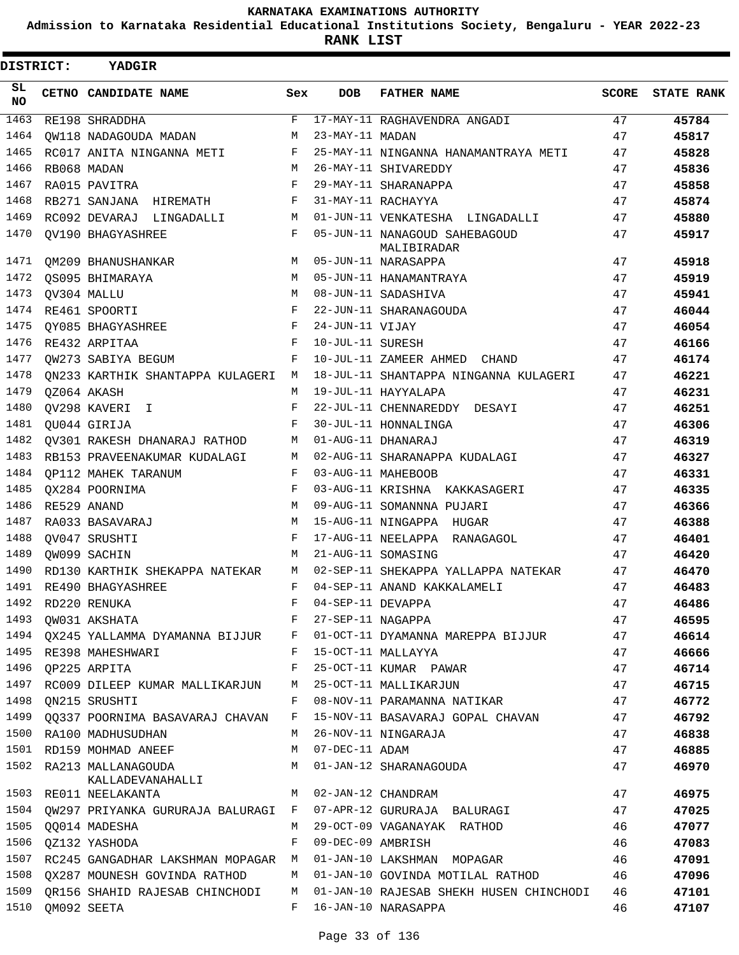**Admission to Karnataka Residential Educational Institutions Society, Bengaluru - YEAR 2022-23**

**RANK LIST**

| DISTRICT:        |  | <b>YADGIR</b>                       |              |                   |                                              |              |                   |
|------------------|--|-------------------------------------|--------------|-------------------|----------------------------------------------|--------------|-------------------|
| SL.<br><b>NO</b> |  | CETNO CANDIDATE NAME                | Sex          | <b>DOB</b>        | <b>FATHER NAME</b>                           | <b>SCORE</b> | <b>STATE RANK</b> |
| 1463             |  | RE198 SHRADDHA                      | F            |                   | 17-MAY-11 RAGHAVENDRA ANGADI                 | 47           | 45784             |
| 1464             |  | OW118 NADAGOUDA MADAN               | M            | 23-MAY-11 MADAN   |                                              | 47           | 45817             |
| 1465             |  | RC017 ANITA NINGANNA METI           | F            |                   | 25-MAY-11 NINGANNA HANAMANTRAYA METI         | 47           | 45828             |
| 1466             |  | RB068 MADAN                         | M            |                   | 26-MAY-11 SHIVAREDDY                         | 47           | 45836             |
| 1467             |  | RA015 PAVITRA                       | F            |                   | 29-MAY-11 SHARANAPPA                         | 47           | 45858             |
| 1468             |  | RB271 SANJANA HIREMATH              | F            |                   | 31-MAY-11 RACHAYYA                           | 47           | 45874             |
| 1469             |  | RC092 DEVARAJ LINGADALLI            | M            |                   | 01-JUN-11 VENKATESHA LINGADALLI              | 47           | 45880             |
| 1470             |  | <b>OV190 BHAGYASHREE</b>            | $\mathbf{F}$ |                   | 05-JUN-11 NANAGOUD SAHEBAGOUD<br>MALIBIRADAR | 47           | 45917             |
| 1471             |  | OM209 BHANUSHANKAR                  | M            |                   | 05-JUN-11 NARASAPPA                          | 47           | 45918             |
| 1472             |  | OS095 BHIMARAYA                     | M            |                   | 05-JUN-11 HANAMANTRAYA                       | 47           | 45919             |
| 1473             |  | OV304 MALLU                         | M            |                   | 08-JUN-11 SADASHIVA                          | 47           | 45941             |
| 1474             |  | RE461 SPOORTI                       | $_{\rm F}$   |                   | 22-JUN-11 SHARANAGOUDA                       | 47           | 46044             |
| 1475             |  | OY085 BHAGYASHREE                   | F            | 24-JUN-11 VIJAY   |                                              | 47           | 46054             |
| 1476             |  | RE432 ARPITAA                       | F            | 10-JUL-11 SURESH  |                                              | 47           | 46166             |
| 1477             |  | QW273 SABIYA BEGUM                  | F            |                   | 10-JUL-11 ZAMEER AHMED CHAND                 | 47           | 46174             |
| 1478             |  | ON233 KARTHIK SHANTAPPA KULAGERI    | M            |                   | 18-JUL-11 SHANTAPPA NINGANNA KULAGERI        | 47           | 46221             |
| 1479             |  | OZ064 AKASH                         | M            |                   | 19-JUL-11 HAYYALAPA                          | 47           | 46231             |
| 1480             |  | QV298 KAVERI I                      | F            |                   | 22-JUL-11 CHENNAREDDY DESAYI                 | 47           | 46251             |
| 1481             |  | OU044 GIRIJA                        | F            |                   | 30-JUL-11 HONNALINGA                         | 47           | 46306             |
| 1482             |  | OV301 RAKESH DHANARAJ RATHOD        | M            |                   | 01-AUG-11 DHANARAJ                           | 47           | 46319             |
| 1483             |  | RB153 PRAVEENAKUMAR KUDALAGI        | M            |                   | 02-AUG-11 SHARANAPPA KUDALAGI                | 47           | 46327             |
| 1484             |  | OP112 MAHEK TARANUM                 | F            |                   | 03-AUG-11 MAHEBOOB                           | 47           | 46331             |
| 1485             |  | OX284 POORNIMA                      | F            |                   | 03-AUG-11 KRISHNA KAKKASAGERI                | 47           | 46335             |
| 1486             |  | RE529 ANAND                         | M            |                   | 09-AUG-11 SOMANNNA PUJARI                    | 47           | 46366             |
| 1487             |  | RA033 BASAVARAJ                     | M            |                   | 15-AUG-11 NINGAPPA HUGAR                     | 47           | 46388             |
| 1488             |  | OV047 SRUSHTI                       | F            |                   | 17-AUG-11 NEELAPPA RANAGAGOL                 | 47           | 46401             |
| 1489             |  | OW099 SACHIN                        | M            |                   | 21-AUG-11 SOMASING                           | 47           | 46420             |
| 1490             |  | RD130 KARTHIK SHEKAPPA NATEKAR      | М            |                   | 02-SEP-11 SHEKAPPA YALLAPPA NATEKAR          | 47           | 46470             |
| 1491             |  | RE490 BHAGYASHREE                   | F            |                   | 04-SEP-11 ANAND KAKKALAMELI                  | 47           | 46483             |
| 1492             |  | RD220 RENUKA                        | F            | 04-SEP-11 DEVAPPA |                                              | 47           | 46486             |
| 1493             |  | QW031 AKSHATA                       | F            | 27-SEP-11 NAGAPPA |                                              | 47           | 46595             |
| 1494             |  | QX245 YALLAMMA DYAMANNA BIJJUR      | F            |                   | 01-OCT-11 DYAMANNA MAREPPA BIJJUR            | 47           | 46614             |
| 1495             |  | RE398 MAHESHWARI                    | F            |                   | 15-OCT-11 MALLAYYA                           | 47           | 46666             |
| 1496             |  | QP225 ARPITA                        | F            |                   | 25-OCT-11 KUMAR PAWAR                        | 47           | 46714             |
|                  |  | 1497 RC009 DILEEP KUMAR MALLIKARJUN | М            |                   | 25-OCT-11 MALLIKARJUN                        | 47           | 46715             |
| 1498             |  | QN215 SRUSHTI                       | F            |                   | 08-NOV-11 PARAMANNA NATIKAR                  | 47           | 46772             |
| 1499             |  | 00337 POORNIMA BASAVARAJ CHAVAN     | F            |                   | 15-NOV-11 BASAVARAJ GOPAL CHAVAN             | 47           | 46792             |
| 1500             |  | RA100 MADHUSUDHAN                   | М            |                   | 26-NOV-11 NINGARAJA                          | 47           | 46838             |
|                  |  | 1501 RD159 MOHMAD ANEEF             | M            | 07-DEC-11 ADAM    |                                              | 47           | 46885             |
| 1502             |  | RA213 MALLANAGOUDA                  | М            |                   | 01-JAN-12 SHARANAGOUDA                       | 47           | 46970             |
|                  |  | KALLADEVANAHALLI                    |              |                   |                                              |              |                   |
| 1503             |  | RE011 NEELAKANTA                    | M            |                   | 02-JAN-12 CHANDRAM                           | 47           | 46975             |
| 1504             |  | QW297 PRIYANKA GURURAJA BALURAGI    | F            |                   | 07-APR-12 GURURAJA BALURAGI                  | 47           | 47025             |
| 1505             |  | <b>QO014 MADESHA</b>                | М            |                   | 29-OCT-09 VAGANAYAK RATHOD                   | 46           | 47077             |
| 1506             |  | QZ132 YASHODA                       | F            | 09-DEC-09 AMBRISH |                                              | 46           | 47083             |
| 1507             |  | RC245 GANGADHAR LAKSHMAN MOPAGAR M  |              |                   | 01-JAN-10 LAKSHMAN MOPAGAR                   | 46           | 47091             |
| 1508             |  | QX287 MOUNESH GOVINDA RATHOD        | М            |                   | 01-JAN-10 GOVINDA MOTILAL RATHOD             | 46           | 47096             |
| 1509             |  | OR156 SHAHID RAJESAB CHINCHODI      | М            |                   | 01-JAN-10 RAJESAB SHEKH HUSEN CHINCHODI      | 46           | 47101             |
| 1510             |  | QM092 SEETA                         | F            |                   | 16-JAN-10 NARASAPPA                          | 46           | 47107             |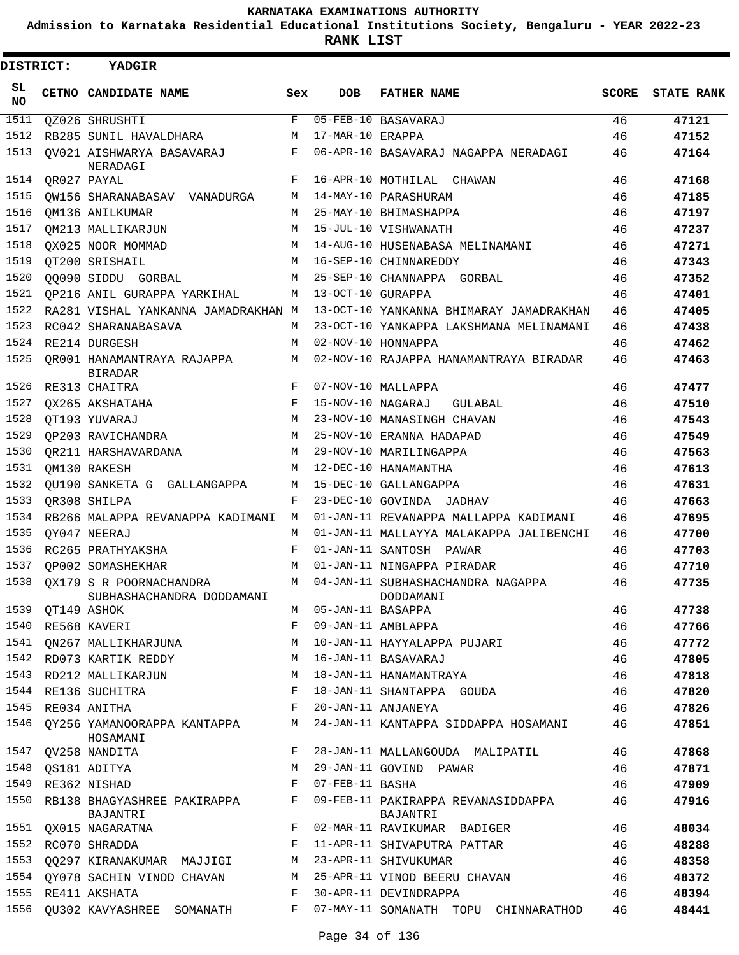**Admission to Karnataka Residential Educational Institutions Society, Bengaluru - YEAR 2022-23**

**RANK LIST**

| <b>DISTRICT:</b> |                  | <b>YADGIR</b>                                                       |     |                     |                                                                                   |    |                         |  |  |  |  |  |
|------------------|------------------|---------------------------------------------------------------------|-----|---------------------|-----------------------------------------------------------------------------------|----|-------------------------|--|--|--|--|--|
| SL<br><b>NO</b>  |                  | CETNO CANDIDATE NAME                                                | Sex | DOB                 | <b>FATHER NAME</b>                                                                |    | <b>SCORE STATE RANK</b> |  |  |  |  |  |
| 1511             |                  | QZ026 SHRUSHTI                                                      | F   |                     | 05-FEB-10 BASAVARAJ                                                               | 46 | 47121                   |  |  |  |  |  |
| 1512             |                  | RB285 SUNIL HAVALDHARA                                              | M   | 17-MAR-10 ERAPPA    |                                                                                   | 46 | 47152                   |  |  |  |  |  |
| 1513             |                  | QV021 AISHWARYA BASAVARAJ<br>NERADAGI                               | F   |                     | 06-APR-10 BASAVARAJ NAGAPPA NERADAGI                                              | 46 | 47164                   |  |  |  |  |  |
| 1514             | OR027 PAYAL      |                                                                     | F   |                     | 16-APR-10 MOTHILAL CHAWAN                                                         | 46 | 47168                   |  |  |  |  |  |
| 1515             |                  | QW156 SHARANABASAV VANADURGA                                        | М   |                     | 14-MAY-10 PARASHURAM                                                              | 46 | 47185                   |  |  |  |  |  |
| 1516             |                  | OM136 ANILKUMAR                                                     | M   |                     | 25-MAY-10 BHIMASHAPPA                                                             | 46 | 47197                   |  |  |  |  |  |
| 1517             |                  | OM213 MALLIKARJUN                                                   | M   |                     | 15-JUL-10 VISHWANATH                                                              | 46 | 47237                   |  |  |  |  |  |
| 1518             |                  | OX025 NOOR MOMMAD                                                   | M   |                     | 14-AUG-10 HUSENABASA MELINAMANI                                                   | 46 | 47271                   |  |  |  |  |  |
| 1519             |                  | OT200 SRISHAIL                                                      | M   |                     | 16-SEP-10 CHINNAREDDY                                                             | 46 | 47343                   |  |  |  |  |  |
| 1520             |                  | 00090 SIDDU GORBAL                                                  | M   |                     | 25-SEP-10 CHANNAPPA GORBAL                                                        | 46 | 47352                   |  |  |  |  |  |
| 1521             |                  | OP216 ANIL GURAPPA YARKIHAL                                         | M   | 13-OCT-10 GURAPPA   |                                                                                   | 46 | 47401                   |  |  |  |  |  |
| 1522             |                  | RA281 VISHAL YANKANNA JAMADRAKHAN M                                 |     |                     | 13-OCT-10 YANKANNA BHIMARAY JAMADRAKHAN                                           | 46 | 47405                   |  |  |  |  |  |
| 1523             |                  | RC042 SHARANABASAVA                                                 | М   |                     | 23-OCT-10 YANKAPPA LAKSHMANA MELINAMANI                                           | 46 | 47438                   |  |  |  |  |  |
| 1524             |                  | RE214 DURGESH                                                       | M   |                     | 02-NOV-10 HONNAPPA                                                                | 46 | 47462                   |  |  |  |  |  |
| 1525             |                  | OR001 HANAMANTRAYA RAJAPPA<br><b>BIRADAR</b>                        | M   |                     | 02-NOV-10 RAJAPPA HANAMANTRAYA BIRADAR                                            | 46 | 47463                   |  |  |  |  |  |
| 1526             |                  | RE313 CHAITRA                                                       | F   |                     | 07-NOV-10 MALLAPPA                                                                | 46 | 47477                   |  |  |  |  |  |
| 1527             |                  | QX265 AKSHATAHA                                                     | F   | 15-NOV-10 NAGARAJ   | GULABAL                                                                           | 46 | 47510                   |  |  |  |  |  |
| 1528             |                  | OT193 YUVARAJ                                                       | M   |                     | 23-NOV-10 MANASINGH CHAVAN                                                        | 46 | 47543                   |  |  |  |  |  |
| 1529             |                  | OP203 RAVICHANDRA                                                   | М   |                     | 25-NOV-10 ERANNA HADAPAD                                                          | 46 | 47549                   |  |  |  |  |  |
| 1530             |                  | QR211 HARSHAVARDANA                                                 | M   |                     | 29-NOV-10 MARILINGAPPA                                                            | 46 | 47563                   |  |  |  |  |  |
| 1531             |                  | OM130 RAKESH                                                        | M   |                     | 12-DEC-10 HANAMANTHA                                                              | 46 | 47613                   |  |  |  |  |  |
| 1532             |                  | OU190 SANKETA G GALLANGAPPA                                         | М   |                     | 15-DEC-10 GALLANGAPPA                                                             | 46 | 47631                   |  |  |  |  |  |
| 1533             |                  | QR308 SHILPA                                                        | F   |                     | 23-DEC-10 GOVINDA JADHAV                                                          | 46 | 47663                   |  |  |  |  |  |
| 1534             |                  | RB266 MALAPPA REVANAPPA KADIMANI M                                  |     |                     | 01-JAN-11 REVANAPPA MALLAPPA KADIMANI                                             | 46 | 47695                   |  |  |  |  |  |
| 1535             |                  | OY047 NEERAJ                                                        | M   |                     | 01-JAN-11 MALLAYYA MALAKAPPA JALIBENCHI                                           | 46 | 47700                   |  |  |  |  |  |
| 1536             |                  | RC265 PRATHYAKSHA                                                   | F   |                     | 01-JAN-11 SANTOSH PAWAR                                                           | 46 | 47703                   |  |  |  |  |  |
| 1537             |                  | OP002 SOMASHEKHAR                                                   | M   |                     | 01-JAN-11 NINGAPPA PIRADAR                                                        | 46 | 47710                   |  |  |  |  |  |
|                  |                  | 1538 OX179 S R POORNACHANDRA<br>SUBHASHACHANDRA DODDAMANI           |     |                     | M 04-JAN-11 SUBHASHACHANDRA NAGAPPA<br>DODDAMANI                                  | 46 | 47735                   |  |  |  |  |  |
|                  | 1539 QT149 ASHOK |                                                                     |     | M 05-JAN-11 BASAPPA |                                                                                   | 46 | 47738                   |  |  |  |  |  |
|                  |                  | 1540 RE568 KAVERI                                                   |     |                     | M 05-JAN-11 BASAPPA<br>F 09-JAN-11 AMBLAPPA                                       | 46 | 47766                   |  |  |  |  |  |
|                  |                  |                                                                     |     |                     | 1541 QN267 MALLIKHARJUNA MARAMAN MARAMA MATU HAYYALAPPA PUJARI                    | 46 | 47772                   |  |  |  |  |  |
|                  |                  | 1542 RD073 KARTIK REDDY M 16-JAN-11 BASAVARAJ                       |     |                     |                                                                                   | 46 | 47805                   |  |  |  |  |  |
|                  |                  | 1543 RD212 MALLIKARJUN M 18-JAN-11 HANAMANTRAYA                     |     |                     |                                                                                   | 46 | 47818                   |  |  |  |  |  |
|                  |                  | $\mathbf{F}$<br>1544 RE136 SUCHITRA                                 |     |                     | 18-JAN-11 SHANTAPPA GOUDA                                                         | 46 | 47820                   |  |  |  |  |  |
|                  |                  | 1545 RE034 ANITHA                                                   |     |                     | F 20-JAN-11 ANJANEYA                                                              | 46 | 47826                   |  |  |  |  |  |
|                  |                  | HOSAMANI                                                            |     |                     | 1546 QY256 YAMANOORAPPA KANTAPPA M 24-JAN-11 KANTAPPA SIDDAPPA HOSAMANI 46        |    | 47851                   |  |  |  |  |  |
|                  |                  | 1547 QV258 NANDITA                                                  | F   |                     | 28-JAN-11 MALLANGOUDA MALIPATIL                                                   | 46 | 47868                   |  |  |  |  |  |
|                  |                  | 1548 QS181 ADITYA                                                   |     |                     | M 29-JAN-11 GOVIND PAWAR                                                          | 46 | 47871                   |  |  |  |  |  |
|                  |                  | $\mathbf{F}$ and $\mathbf{F}$ and $\mathbf{F}$<br>1549 RE362 NISHAD |     | 07-FEB-11 BASHA     |                                                                                   | 46 | 47909                   |  |  |  |  |  |
|                  |                  | BAJANTRI                                                            |     |                     | 1550 RB138 BHAGYASHREE PAKIRAPPA F 09-FEB-11 PAKIRAPPA REVANASIDDAPPA<br>BAJANTRI | 46 | 47916                   |  |  |  |  |  |
|                  |                  | 1551 QX015 NAGARATNA                                                |     |                     | F 02-MAR-11 RAVIKUMAR BADIGER                                                     | 46 | 48034                   |  |  |  |  |  |
|                  |                  | 1552 RC070 SHRADDA                                                  |     |                     | F 11-APR-11 SHIVAPUTRA PATTAR                                                     | 46 | 48288                   |  |  |  |  |  |
|                  |                  | 1553 QQ297 KIRANAKUMAR MAJJIGI                                      |     |                     | M 23-APR-11 SHIVUKUMAR                                                            | 46 | 48358                   |  |  |  |  |  |
|                  |                  | 1554 QY078 SACHIN VINOD CHAVAN                                      |     |                     | M 25-APR-11 VINOD BEERU CHAVAN                                                    | 46 | 48372                   |  |  |  |  |  |
|                  |                  | 1555 RE411 AKSHATA                                                  | F   |                     | 30-APR-11 DEVINDRAPPA                                                             | 46 | 48394                   |  |  |  |  |  |
|                  |                  | 1556 QU302 KAVYASHREE SOMANATH                                      |     |                     | F 07-MAY-11 SOMANATH TOPU CHINNARATHOD                                            | 46 | 48441                   |  |  |  |  |  |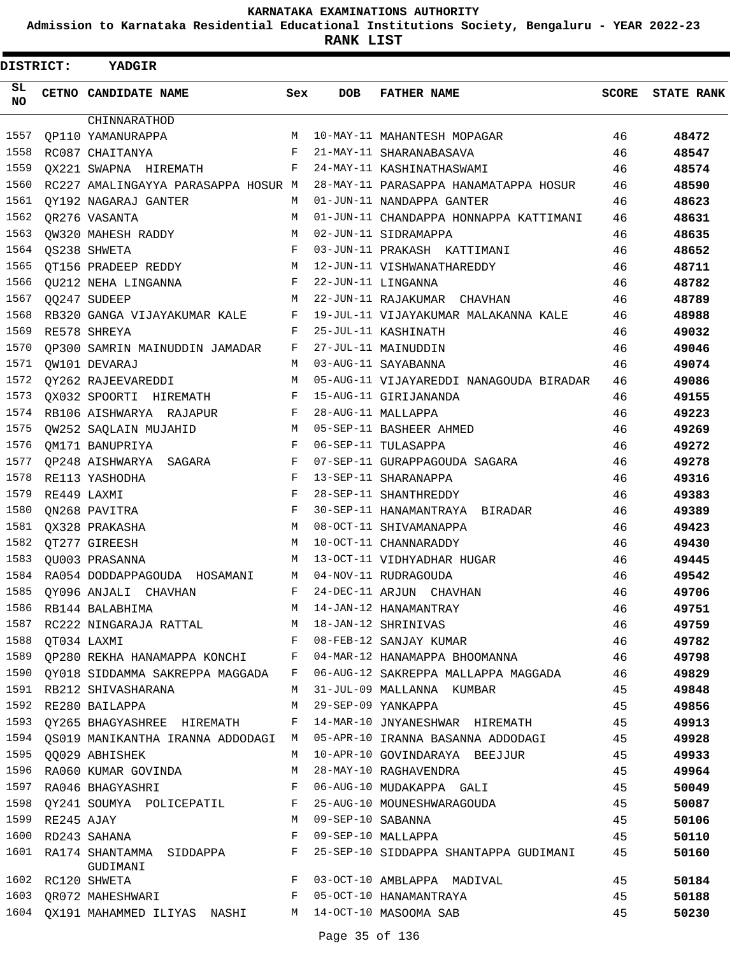**Admission to Karnataka Residential Educational Institutions Society, Bengaluru - YEAR 2022-23**

| <b>DISTRICT:</b> |             | YADGIR                                                   |              |     |                                                                                                                                                                                      |    |                         |
|------------------|-------------|----------------------------------------------------------|--------------|-----|--------------------------------------------------------------------------------------------------------------------------------------------------------------------------------------|----|-------------------------|
| SL<br>NO.        |             | CETNO CANDIDATE NAME                                     | Sex          | DOB | <b>FATHER NAME</b>                                                                                                                                                                   |    | <b>SCORE STATE RANK</b> |
|                  |             | CHINNARATHOD                                             |              |     |                                                                                                                                                                                      |    |                         |
| 1557             |             | OP110 YAMANURAPPA                                        |              |     | M 10-MAY-11 MAHANTESH MOPAGAR                                                                                                                                                        | 46 | 48472                   |
| 1558             |             | RC087 CHAITANYA                                          |              |     | F 21-MAY-11 SHARANABASAVA                                                                                                                                                            | 46 | 48547                   |
| 1559             |             | QX221 SWAPNA HIREMATH F 24-MAY-11 KASHINATHASWAMI        |              |     |                                                                                                                                                                                      | 46 | 48574                   |
| 1560             |             |                                                          |              |     | RC227 AMALINGAYYA PARASAPPA HOSUR M 28-MAY-11 PARASAPPA HANAMATAPPA HOSUR 46                                                                                                         |    | 48590                   |
| 1561             |             | QY192 NAGARAJ GANTER                                     |              |     | M 01-JUN-11 NANDAPPA GANTER                                                                                                                                                          | 46 | 48623                   |
|                  |             | 1562 QR276 VASANTA                                       | M            |     | 01-JUN-11 CHANDAPPA HONNAPPA KATTIMANI 46                                                                                                                                            |    | 48631                   |
| 1563             |             | OW320 MAHESH RADDY                                       |              |     | M 02-JUN-11 SIDRAMAPPA                                                                                                                                                               | 46 | 48635                   |
|                  |             | 1564 QS238 SHWETA                                        |              |     | F 03-JUN-11 PRAKASH KATTIMANI                                                                                                                                                        | 46 | 48652                   |
| 1565             |             | QT156 PRADEEP REDDY M 12-JUN-11 VISHWANATHAREDDY         |              |     |                                                                                                                                                                                      | 46 | 48711                   |
| 1566             |             | F 22-JUN-11 LINGANNA<br><b>QU212 NEHA LINGANNA</b>       |              |     |                                                                                                                                                                                      | 46 | 48782                   |
|                  |             | 1567 QQ247 SUDEEP                                        |              |     | M 22-JUN-11 RAJAKUMAR CHAVHAN                                                                                                                                                        | 46 | 48789                   |
| 1568             |             |                                                          |              |     | RB320 GANGA VIJAYAKUMAR KALE F 19-JUL-11 VIJAYAKUMAR MALAKANNA KALE                                                                                                                  | 46 | 48988                   |
| 1569             |             | RE578 SHREYA                                             |              |     | F 25-JUL-11 KASHINATH                                                                                                                                                                | 46 | 49032                   |
| 1570             |             | QP300 SAMRIN MAINUDDIN JAMADAR F 27-JUL-11 MAINUDDIN     |              |     |                                                                                                                                                                                      | 46 | 49046                   |
|                  |             | 1571 OW101 DEVARAJ                                       |              |     | M 03-AUG-11 SAYABANNA                                                                                                                                                                | 46 | 49074                   |
|                  |             | 1572 QY262 RAJEEVAREDDI                                  |              |     | M 05-AUG-11 VIJAYAREDDI NANAGOUDA BIRADAR                                                                                                                                            | 46 | 49086                   |
| 1573             |             | QX032 SPOORTI HIREMATH                                   |              |     | F 15-AUG-11 GIRIJANANDA                                                                                                                                                              | 46 | 49155                   |
| 1574             |             | RB106 AISHWARYA RAJAPUR                                  |              |     | F 28-AUG-11 MALLAPPA                                                                                                                                                                 | 46 | 49223                   |
|                  |             | 1575 QW252 SAQLAIN MUJAHID                               |              |     | M 05-SEP-11 BASHEER AHMED                                                                                                                                                            | 46 | 49269                   |
| 1576             |             | OM171 BANUPRIYA                                          |              |     | F 06-SEP-11 TULASAPPA                                                                                                                                                                | 46 | 49272                   |
| 1577             |             | QP248 AISHWARYA SAGARA                                   |              |     | F 07-SEP-11 GURAPPAGOUDA SAGARA                                                                                                                                                      | 46 | 49278                   |
| 1578             |             | RE113 YASHODHA                                           | $\mathbf{F}$ |     | 13-SEP-11 SHARANAPPA                                                                                                                                                                 | 46 | 49316                   |
| 1579             | RE449 LAXMI |                                                          | F            |     | 28-SEP-11 SHANTHREDDY                                                                                                                                                                | 46 | 49383                   |
| 1580             |             | QN268 PAVITRA                                            | F            |     | 30-SEP-11 HANAMANTRAYA BIRADAR                                                                                                                                                       | 46 | 49389                   |
| 1581             |             | QX328 PRAKASHA                                           | M            |     | 08-OCT-11 SHIVAMANAPPA                                                                                                                                                               | 46 | 49423                   |
| 1582             |             | QT277 GIREESH                                            |              |     | M 10-OCT-11 CHANNARADDY                                                                                                                                                              | 46 | 49430                   |
|                  |             | 1583 QU003 PRASANNA                                      | М            |     | 13-OCT-11 VIDHYADHAR HUGAR                                                                                                                                                           | 46 | 49445                   |
|                  |             | 1584 RA054 DODDAPPAGOUDA HOSAMANI M                      |              |     | 04-NOV-11 RUDRAGOUDA                                                                                                                                                                 | 46 | 49542                   |
|                  |             | 1585 QY096 ANJALI CHAVHAN                                | F            |     | 24-DEC-11 ARJUN CHAVHAN                                                                                                                                                              | 46 | 49706                   |
|                  |             |                                                          |              |     | 1585 QI096 ANOALL CHAVHAN<br>1586 RB144 BALABHIMA M 14-JAN-12 HANAMANTRAY 46<br>1587 RC222 NINGARAJA RATTAL M 18-JAN-12 SHRINIVAS 46<br>1588 QT034 LAXMI F 08-FEB-12 SANJAY KUMAR 46 |    | 49751                   |
|                  |             |                                                          |              |     |                                                                                                                                                                                      |    | 49759                   |
|                  |             |                                                          |              |     |                                                                                                                                                                                      |    | 49782                   |
|                  |             |                                                          |              |     | 1589 QP280 REKHA HANAMAPPA KONCHI B 04-MAR-12 HANAMAPPA BHOOMANNA $46$                                                                                                               |    | 49798                   |
|                  |             |                                                          |              |     | 1590 QYO18 SIDDAMMA SAKREPPA MAGGADA F 06-AUG-12 SAKREPPA MALLAPPA MAGGADA 46                                                                                                        |    | 49829                   |
|                  |             | 1591 RB212 SHIVASHARANA                                  |              |     |                                                                                                                                                                                      | 45 | 49848                   |
|                  |             | 1592 RE280 BAILAPPA<br>M 29-SEP-09 YANKAPPA              |              |     | M 31-JUL-09 MALLANNA KUMBAR 45<br>M 29-SEP-09 YANKAPPA 45                                                                                                                            |    | 49856                   |
|                  |             |                                                          |              |     | 1593 QY265 BHAGYASHREE HIREMATH F 14-MAR-10 JNYANESHWAR HIREMATH 45                                                                                                                  |    | 49913                   |
|                  |             |                                                          |              |     | 1594 QS019 MANIKANTHA IRANNA ADDODAGI M 05-APR-10 IRANNA BASANNA ADDODAGI 45                                                                                                         |    | 49928                   |
|                  |             | 1595 OO029 ABHISHEK                                      |              |     |                                                                                                                                                                                      |    |                         |
|                  |             |                                                          |              |     | M 10-APR-10 GOVINDARAYA BEEJJUR 45                                                                                                                                                   | 45 | 49933                   |
|                  |             | 1596 RA060 KUMAR GOVINDA M 28-MAY-10 RAGHAVENDRA         |              |     |                                                                                                                                                                                      |    | 49964                   |
|                  |             |                                                          |              |     | 1597 RA046 BHAGYASHRI NAMA SHANG F 06-AUG-10 MUDAKAPPA GALI 45                                                                                                                       |    | 50049                   |
|                  |             |                                                          |              |     | 1598 QY241 SOUMYA POLICEPATIL F 25-AUG-10 MOUNESHWARAGOUDA 45                                                                                                                        |    | 50087                   |
|                  |             |                                                          |              |     |                                                                                                                                                                                      |    | 50106                   |
|                  |             |                                                          |              |     |                                                                                                                                                                                      |    | 50110                   |
|                  |             | GUDIMANI                                                 |              |     | 1601 RA174 SHANTAMMA SIDDAPPA F 25-SEP-10 SIDDAPPA SHANTAPPA GUDIMANI 45                                                                                                             |    | 50160                   |
|                  |             | 1602 RC120 SHWETA                                        |              |     | F 03-OCT-10 AMBLAPPA MADIVAL                                                                                                                                                         | 45 | 50184                   |
|                  |             |                                                          |              |     | 1603 QR072 MAHESHWARI F 05-OCT-10 HANAMANTRAYA                                                                                                                                       | 45 | 50188                   |
|                  |             | 1604 QX191 MAHAMMED ILIYAS NASHI M 14-OCT-10 MASOOMA SAB |              |     |                                                                                                                                                                                      | 45 | 50230                   |
|                  |             |                                                          |              |     |                                                                                                                                                                                      |    |                         |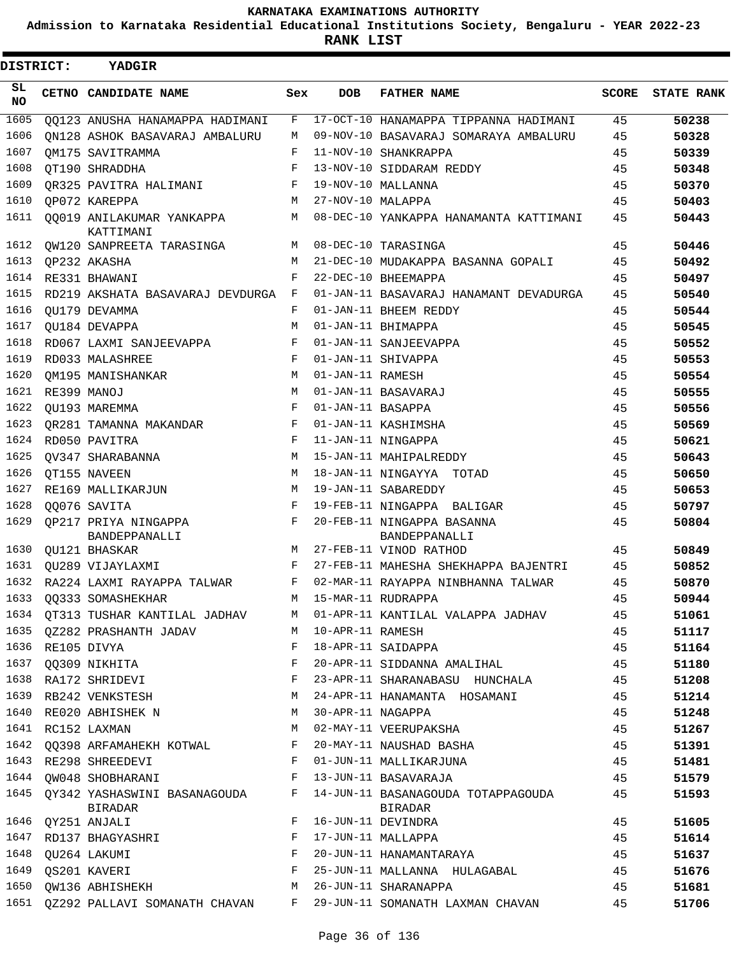**Admission to Karnataka Residential Educational Institutions Society, Bengaluru - YEAR 2022-23**

**RANK LIST**

| <b>DISTRICT:</b> | <b>YADGIR</b>                          |            |                   |                                             |              |                   |
|------------------|----------------------------------------|------------|-------------------|---------------------------------------------|--------------|-------------------|
| SL<br>NO.        | CETNO CANDIDATE NAME                   | Sex        | <b>DOB</b>        | <b>FATHER NAME</b>                          | <b>SCORE</b> | <b>STATE RANK</b> |
| 1605             | QQ123 ANUSHA HANAMAPPA HADIMANI        | F          |                   | 17-OCT-10 HANAMAPPA TIPPANNA HADIMANI       | 45           | 50238             |
| 1606             | ON128 ASHOK BASAVARAJ AMBALURU         | M          |                   | 09-NOV-10 BASAVARAJ SOMARAYA AMBALURU       | 45           | 50328             |
| 1607             | OM175 SAVITRAMMA                       | F          |                   | 11-NOV-10 SHANKRAPPA                        | 45           | 50339             |
| 1608             | OT190 SHRADDHA                         | F          |                   | 13-NOV-10 SIDDARAM REDDY                    | 45           | 50348             |
| 1609             | QR325 PAVITRA HALIMANI                 | F          |                   | 19-NOV-10 MALLANNA                          | 45           | 50370             |
| 1610             | QP072 KAREPPA                          | M          | 27-NOV-10 MALAPPA |                                             | 45           | 50403             |
| 1611             | QQ019 ANILAKUMAR YANKAPPA<br>KATTIMANI | М          |                   | 08-DEC-10 YANKAPPA HANAMANTA KATTIMANI      | 45           | 50443             |
| 1612             | QW120 SANPREETA TARASINGA              | М          |                   | 08-DEC-10 TARASINGA                         | 45           | 50446             |
| 1613             | QP232 AKASHA                           | M          |                   | 21-DEC-10 MUDAKAPPA BASANNA GOPALI          | 45           | 50492             |
| 1614             | RE331 BHAWANI                          | F          |                   | 22-DEC-10 BHEEMAPPA                         | 45           | 50497             |
| 1615             | RD219 AKSHATA BASAVARAJ DEVDURGA F     |            |                   | 01-JAN-11 BASAVARAJ HANAMANT DEVADURGA      | 45           | 50540             |
| 1616             | OU179 DEVAMMA                          | F          |                   | 01-JAN-11 BHEEM REDDY                       | 45           | 50544             |
| 1617             | OU184 DEVAPPA                          | M          |                   | 01-JAN-11 BHIMAPPA                          | 45           | 50545             |
| 1618             | RD067 LAXMI SANJEEVAPPA                | F          |                   | 01-JAN-11 SANJEEVAPPA                       | 45           | 50552             |
| 1619             | RD033 MALASHREE                        | F          |                   | 01-JAN-11 SHIVAPPA                          | 45           | 50553             |
| 1620             | OM195 MANISHANKAR                      | M          | 01-JAN-11 RAMESH  |                                             | 45           | 50554             |
| 1621             | RE399 MANOJ                            | M          |                   | 01-JAN-11 BASAVARAJ                         | 45           | 50555             |
| 1622             | OU193 MAREMMA                          | F          | 01-JAN-11 BASAPPA |                                             | 45           | 50556             |
| 1623             | OR281 TAMANNA MAKANDAR                 | F          |                   | 01-JAN-11 KASHIMSHA                         | 45           | 50569             |
| 1624             | RD050 PAVITRA                          | F          |                   | 11-JAN-11 NINGAPPA                          | 45           | 50621             |
| 1625             | OV347 SHARABANNA                       | М          |                   | 15-JAN-11 MAHIPALREDDY                      | 45           | 50643             |
| 1626             | OT155 NAVEEN                           | М          |                   | 18-JAN-11 NINGAYYA TOTAD                    | 45           | 50650             |
| 1627             | RE169 MALLIKARJUN                      | М          |                   | 19-JAN-11 SABAREDDY                         | 45           | 50653             |
| 1628             | 00076 SAVITA                           | F          |                   | 19-FEB-11 NINGAPPA BALIGAR                  | 45           | 50797             |
| 1629             | OP217 PRIYA NINGAPPA<br>BANDEPPANALLI  | F          |                   | 20-FEB-11 NINGAPPA BASANNA<br>BANDEPPANALLI | 45           | 50804             |
| 1630             | QU121 BHASKAR                          | M          |                   | 27-FEB-11 VINOD RATHOD                      | 45           | 50849             |
| 1631             | OU289 VIJAYLAXMI                       | F          |                   | 27-FEB-11 MAHESHA SHEKHAPPA BAJENTRI        | 45           | 50852             |
| 1632             | RA224 LAXMI RAYAPPA TALWAR             | F          |                   | 02-MAR-11 RAYAPPA NINBHANNA TALWAR          | 45           | 50870             |
|                  | 1633 QQ333 SOMASHEKHAR                 |            |                   | M 15-MAR-11 RUDRAPPA                        | 45           | 50944             |
| 1634             | QT313 TUSHAR KANTILAL JADHAV           | М          |                   | 01-APR-11 KANTILAL VALAPPA JADHAV           | 45           | 51061             |
| 1635             | OZ282 PRASHANTH JADAV                  | М          | 10-APR-11 RAMESH  |                                             | 45           | 51117             |
| 1636             | RE105 DIVYA                            | F          |                   | 18-APR-11 SAIDAPPA                          | 45           | 51164             |
| 1637             | QQ309 NIKHITA                          | F          |                   | 20-APR-11 SIDDANNA AMALIHAL                 | 45           | 51180             |
| 1638             | RA172 SHRIDEVI                         | F          |                   | 23-APR-11 SHARANABASU HUNCHALA              | 45           | 51208             |
| 1639             | RB242 VENKSTESH                        | М          |                   | 24-APR-11 HANAMANTA HOSAMANI                | 45           | 51214             |
|                  | 1640 RE020 ABHISHEK N                  | М          | 30-APR-11 NAGAPPA |                                             | 45           | 51248             |
|                  | 1641 RC152 LAXMAN                      | M          |                   | 02-MAY-11 VEERUPAKSHA                       | 45           | 51267             |
| 1642             | QQ398 ARFAMAHEKH KOTWAL                | F          |                   | 20-MAY-11 NAUSHAD BASHA                     | 45           | 51391             |
| 1643             | RE298 SHREEDEVI                        | F          |                   | 01-JUN-11 MALLIKARJUNA                      | 45           | 51481             |
| 1644             | QW048 SHOBHARANI                       | $_{\rm F}$ |                   | 13-JUN-11 BASAVARAJA                        | 45           | 51579             |
|                  | 1645 QY342 YASHASWINI BASANAGOUDA      | F          |                   | 14-JUN-11 BASANAGOUDA TOTAPPAGOUDA          | 45           | 51593             |
| 1646             | <b>BIRADAR</b>                         | F          |                   | BIRADAR<br>16-JUN-11 DEVINDRA               |              |                   |
|                  | QY251 ANJALI                           |            |                   |                                             | 45           | 51605             |
| 1647             | RD137 BHAGYASHRI                       | F          |                   | 17-JUN-11 MALLAPPA                          | 45           | 51614             |
| 1648             | QU264 LAKUMI                           | F          |                   | 20-JUN-11 HANAMANTARAYA                     | 45           | 51637             |
| 1649             | QS201 KAVERI                           | F          |                   | 25-JUN-11 MALLANNA HULAGABAL                | 45           | 51676             |
|                  | 1650 OW136 ABHISHEKH                   | М          |                   | 26-JUN-11 SHARANAPPA                        | 45           | 51681             |
| 1651             | QZ292 PALLAVI SOMANATH CHAVAN          | F          |                   | 29-JUN-11 SOMANATH LAXMAN CHAVAN            | 45           | 51706             |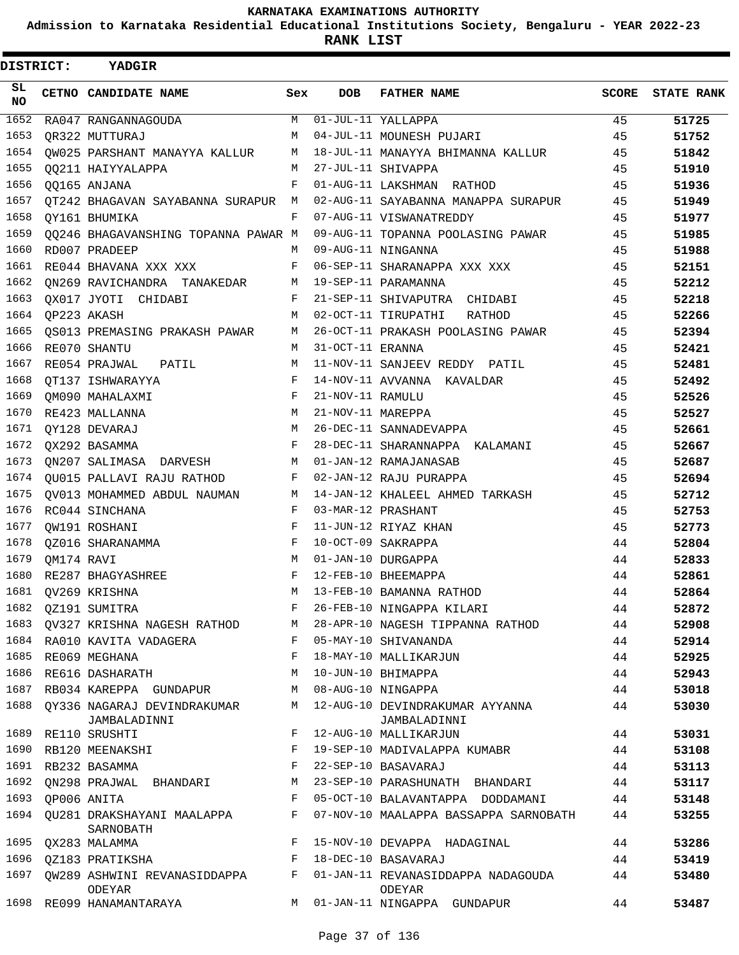**Admission to Karnataka Residential Educational Institutions Society, Bengaluru - YEAR 2022-23**

**RANK LIST**

| DISTRICT:  |                  | <b>YADGIR</b>                                       |              |                   |                                                                                      |       |                   |
|------------|------------------|-----------------------------------------------------|--------------|-------------------|--------------------------------------------------------------------------------------|-------|-------------------|
| SL.<br>NO. |                  | <b>CETNO CANDIDATE NAME</b>                         | Sex          | DOB               | <b>FATHER NAME</b>                                                                   | SCORE | <b>STATE RANK</b> |
| 1652       |                  | RA047 RANGANNAGOUDA                                 |              |                   | M 01-JUL-11 YALLAPPA                                                                 | 45    | 51725             |
| 1653       |                  | QR322 MUTTURAJ                                      |              |                   | M 04-JUL-11 MOUNESH PUJARI                                                           | 45    | 51752             |
| 1654       |                  |                                                     |              |                   | QW025 PARSHANT MANAYYA KALLUR $M$ 18-JUL-11 MANAYYA BHIMANNA KALLUR                  | 45    | 51842             |
| 1655       |                  | QQ211 HAIYYALAPPA                                   |              |                   | M 27-JUL-11 SHIVAPPA                                                                 | 45    | 51910             |
| 1656       |                  | QQ165 ANJANA                                        |              |                   | F 01-AUG-11 LAKSHMAN RATHOD                                                          | 45    | 51936             |
|            |                  |                                                     |              |                   | 1657 QT242 BHAGAVAN SAYABANNA SURAPUR M 02-AUG-11 SAYABANNA MANAPPA SURAPUR 45       |       | 51949             |
| 1658       |                  | OY161 BHUMIKA                                       |              |                   | F 07-AUG-11 VISWANATREDDY                                                            | 45    | 51977             |
| 1659       |                  |                                                     |              |                   | QQ246 BHAGAVANSHING TOPANNA PAWAR M 09-AUG-11 TOPANNA POOLASING PAWAR                | 45    | 51985             |
| 1660       |                  | RD007 PRADEEP                                       |              |                   | M 09-AUG-11 NINGANNA                                                                 | 45    | 51988             |
| 1661       |                  | RE044 BHAVANA XXX XXX                               |              |                   | F 06-SEP-11 SHARANAPPA XXX XXX                                                       | 45    | 52151             |
| 1662       |                  | QN269 RAVICHANDRA TANAKEDAR M 19-SEP-11 PARAMANNA   |              |                   |                                                                                      | 45    | 52212             |
| 1663       |                  | QX017 JYOTI CHIDABI                                 |              |                   | F 21-SEP-11 SHIVAPUTRA CHIDABI                                                       | 45    | 52218             |
|            | 1664 QP223 AKASH |                                                     |              |                   | M 02-OCT-11 TIRUPATHI<br>RATHOD                                                      | 45    | 52266             |
|            |                  |                                                     |              |                   | 1665 QS013 PREMASING PRAKASH PAWAR M 26-OCT-11 PRAKASH POOLASING PAWAR               | 45    | 52394             |
| 1666       |                  | RE070 SHANTU                                        | M            | 31-OCT-11 ERANNA  |                                                                                      | 45    | 52421             |
| 1667       |                  | RE054 PRAJWAL PATIL                                 | M            |                   | 11-NOV-11 SANJEEV REDDY PATIL                                                        | 45    | 52481             |
| 1668       |                  | QT137 ISHWARAYYA                                    | F            |                   | 14-NOV-11 AVVANNA KAVALDAR                                                           | 45    | 52492             |
| 1669       |                  | QM090 MAHALAXMI                                     | F            | 21-NOV-11 RAMULU  |                                                                                      | 45    | 52526             |
| 1670       |                  | RE423 MALLANNA                                      | М            | 21-NOV-11 MAREPPA |                                                                                      | 45    | 52527             |
| 1671       |                  | QY128 DEVARAJ                                       |              |                   | M 26-DEC-11 SANNADEVAPPA                                                             | 45    | 52661             |
|            |                  | 1672 QX292 BASAMMA                                  | $F$ and $F$  |                   | 28-DEC-11 SHARANNAPPA KALAMANI                                                       | 45    | 52667             |
|            |                  | 1673 QN207 SALIMASA DARVESH M 01-JAN-12 RAMAJANASAB |              |                   |                                                                                      | 45    | 52687             |
| 1674       |                  | QU015 PALLAVI RAJU RATHOD                           |              |                   | F 02-JAN-12 RAJU PURAPPA                                                             | 45    | 52694             |
| 1675       |                  |                                                     |              |                   | QV013 MOHAMMED ABDUL NAUMAN M 14-JAN-12 KHALEEL AHMED TARKASH                        | 45    | 52712             |
| 1676       |                  | RC044 SINCHANA                                      | F            |                   | 03-MAR-12 PRASHANT                                                                   | 45    | 52753             |
| 1677       |                  | OW191 ROSHANI                                       | F            |                   | 11-JUN-12 RIYAZ KHAN                                                                 | 45    | 52773             |
| 1678       |                  | QZ016 SHARANAMMA                                    | F            |                   | 10-OCT-09 SAKRAPPA                                                                   | 44    | 52804             |
| 1679       | QM174 RAVI       |                                                     |              |                   | M 01-JAN-10 DURGAPPA                                                                 | 44    | 52833             |
| 1680       |                  | RE287 BHAGYASHREE                                   | $F$ –        |                   | 12-FEB-10 BHEEMAPPA                                                                  | 44    | 52861             |
|            |                  | 1681 QV269 KRISHNA                                  | M            |                   | 13-FEB-10 BAMANNA RATHOD                                                             | 44    | 52864             |
| 1682       |                  | QZ191 SUMITRA                                       | F            |                   | 26-FEB-10 NINGAPPA KILARI                                                            | 44    | 52872             |
| 1683       |                  | QV327 KRISHNA NAGESH RATHOD                         | M            |                   | 28-APR-10 NAGESH TIPPANNA RATHOD                                                     | 44    | 52908             |
| 1684       |                  | RA010 KAVITA VADAGERA                               |              |                   | F 05-MAY-10 SHIVANANDA                                                               | 44    | 52914             |
| 1685       |                  | RE069 MEGHANA                                       | F            |                   | 18-MAY-10 MALLIKARJUN                                                                | 44    | 52925             |
| 1686       |                  | RE616 DASHARATH                                     | М            |                   | 10-JUN-10 BHIMAPPA                                                                   | 44    | 52943             |
| 1687       |                  | RB034 KAREPPA GUNDAPUR                              | М            |                   | 08-AUG-10 NINGAPPA                                                                   | 44    | 53018             |
| 1688       |                  | QY336 NAGARAJ DEVINDRAKUMAR<br>JAMBALADINNI         | M            |                   | 12-AUG-10 DEVINDRAKUMAR AYYANNA<br>JAMBALADINNI                                      | 44    | 53030             |
| 1689       |                  | RE110 SRUSHTI                                       | F            |                   | 12-AUG-10 MALLIKARJUN                                                                | 44    | 53031             |
| 1690       |                  | RB120 MEENAKSHI                                     | F            |                   | 19-SEP-10 MADIVALAPPA KUMABR                                                         | 44    | 53108             |
|            |                  | 1691 RB232 BASAMMA                                  | F            |                   | 22-SEP-10 BASAVARAJ                                                                  | 44    | 53113             |
| 1692       |                  | QN298 PRAJWAL BHANDARI                              | М            |                   | 23-SEP-10 PARASHUNATH BHANDARI                                                       | 44    | 53117             |
| 1693       |                  | QP006 ANITA                                         | F            |                   | 05-OCT-10 BALAVANTAPPA DODDAMANI                                                     | 44    | 53148             |
| 1694       |                  | QU281 DRAKSHAYANI MAALAPPA<br>SARNOBATH             | F            |                   | 07-NOV-10 MAALAPPA BASSAPPA SARNOBATH                                                | 44    | 53255             |
|            |                  | 1695 QX283 MALAMMA                                  | $F$ and      |                   | 15-NOV-10 DEVAPPA HADAGINAL                                                          | 44    | 53286             |
|            |                  | 1696 QZ183 PRATIKSHA                                | $\mathbf{F}$ |                   | 18-DEC-10 BASAVARAJ                                                                  | 44    | 53419             |
| 1697       |                  | ODEYAR                                              |              |                   | QW289 ASHWINI REVANASIDDAPPA        F   01-JAN-11 REVANASIDDAPPA NADAGOUDA<br>ODEYAR | 44    | 53480             |
| 1698       |                  | RE099 HANAMANTARAYA                                 | M            |                   | 01-JAN-11 NINGAPPA GUNDAPUR                                                          | 44    | 53487             |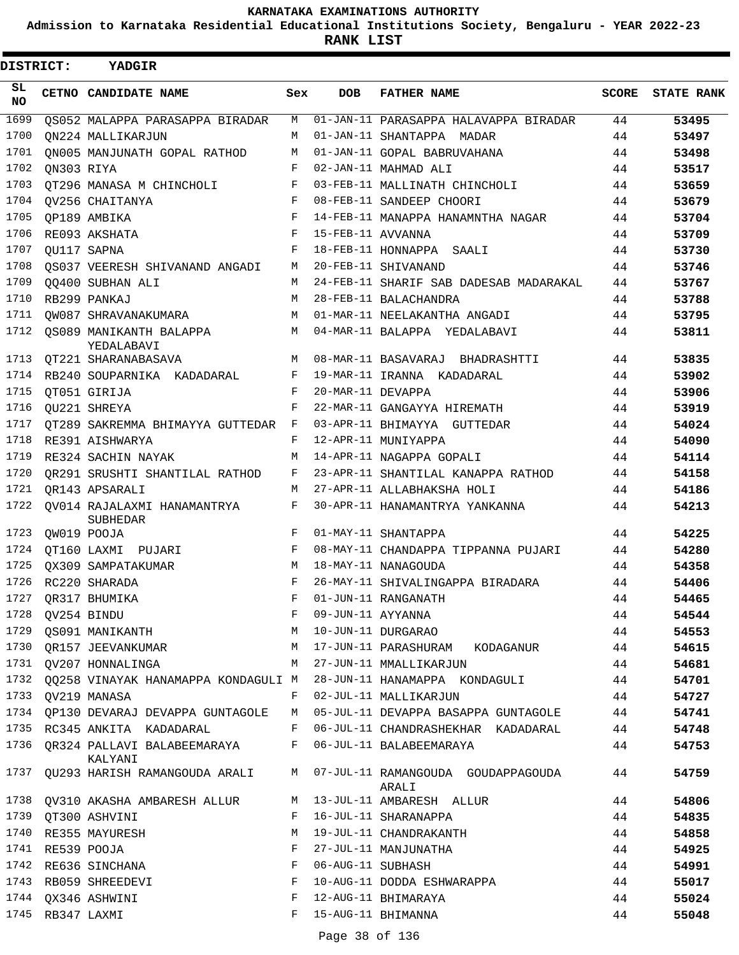**Admission to Karnataka Residential Educational Institutions Society, Bengaluru - YEAR 2022-23**

**RANK LIST**

 $\blacksquare$ 

| <b>DISTRICT:</b> |                  | <b>YADGIR</b>                                                         |            |                   |                                                                                  |    |                         |
|------------------|------------------|-----------------------------------------------------------------------|------------|-------------------|----------------------------------------------------------------------------------|----|-------------------------|
| SL<br>NO.        |                  | CETNO CANDIDATE NAME                                                  | Sex        | <b>DOB</b>        | <b>FATHER NAME</b>                                                               |    | <b>SCORE</b> STATE RANK |
| 1699             |                  | OS052 MALAPPA PARASAPPA BIRADAR                                       | M          |                   | 01-JAN-11 PARASAPPA HALAVAPPA BIRADAR                                            | 44 | 53495                   |
| 1700             |                  | ON224 MALLIKARJUN                                                     | M          |                   | 01-JAN-11 SHANTAPPA MADAR                                                        | 44 | 53497                   |
| 1701             |                  | ON005 MANJUNATH GOPAL RATHOD                                          | M          |                   | 01-JAN-11 GOPAL BABRUVAHANA                                                      | 44 | 53498                   |
| 1702             | ON303 RIYA       |                                                                       | F          |                   | 02-JAN-11 MAHMAD ALI                                                             | 44 | 53517                   |
| 1703             |                  | OT296 MANASA M CHINCHOLI                                              | F          |                   | 03-FEB-11 MALLINATH CHINCHOLI                                                    | 44 | 53659                   |
| 1704             |                  | OV256 CHAITANYA                                                       | F          |                   | 08-FEB-11 SANDEEP CHOORI                                                         | 44 | 53679                   |
| 1705             |                  | QP189 AMBIKA                                                          | $_{\rm F}$ |                   | 14-FEB-11 MANAPPA HANAMNTHA NAGAR                                                | 44 | 53704                   |
| 1706             |                  | RE093 AKSHATA                                                         | F          | 15-FEB-11 AVVANNA |                                                                                  | 44 | 53709                   |
| 1707             |                  | OU117 SAPNA                                                           | F          |                   | 18-FEB-11 HONNAPPA SAALI                                                         | 44 | 53730                   |
| 1708             |                  | OS037 VEERESH SHIVANAND ANGADI                                        | М          |                   | 20-FEB-11 SHIVANAND                                                              | 44 | 53746                   |
| 1709             |                  | 00400 SUBHAN ALI                                                      | M          |                   | 24-FEB-11 SHARIF SAB DADESAB MADARAKAL                                           | 44 | 53767                   |
| 1710             |                  | RB299 PANKAJ                                                          | М          |                   | 28-FEB-11 BALACHANDRA                                                            | 44 | 53788                   |
| 1711             |                  | OW087 SHRAVANAKUMARA                                                  | M          |                   | 01-MAR-11 NEELAKANTHA ANGADI                                                     | 44 | 53795                   |
| 1712             |                  | OS089 MANIKANTH BALAPPA<br>YEDALABAVI                                 | M          |                   | 04-MAR-11 BALAPPA YEDALABAVI                                                     | 44 | 53811                   |
| 1713             |                  | OT221 SHARANABASAVA                                                   | M          |                   | 08-MAR-11 BASAVARAJ BHADRASHTTI                                                  | 44 | 53835                   |
| 1714             |                  | RB240 SOUPARNIKA KADADARAL                                            | F          |                   | 19-MAR-11 IRANNA KADADARAL                                                       | 44 | 53902                   |
| 1715             |                  | QT051 GIRIJA                                                          | F          | 20-MAR-11 DEVAPPA |                                                                                  | 44 | 53906                   |
| 1716             |                  | OU221 SHREYA                                                          | F          |                   | 22-MAR-11 GANGAYYA HIREMATH                                                      | 44 | 53919                   |
| 1717             |                  | OT289 SAKREMMA BHIMAYYA GUTTEDAR                                      | F          |                   | 03-APR-11 BHIMAYYA GUTTEDAR                                                      | 44 | 54024                   |
| 1718             |                  | RE391 AISHWARYA                                                       | F          |                   | 12-APR-11 MUNIYAPPA                                                              | 44 | 54090                   |
| 1719             |                  | RE324 SACHIN NAYAK                                                    | M          |                   | 14-APR-11 NAGAPPA GOPALI                                                         | 44 | 54114                   |
| 1720             |                  | QR291 SRUSHTI SHANTILAL RATHOD                                        | F          |                   | 23-APR-11 SHANTILAL KANAPPA RATHOD                                               | 44 | 54158                   |
| 1721             |                  | OR143 APSARALI                                                        | M          |                   | 27-APR-11 ALLABHAKSHA HOLI                                                       | 44 | 54186                   |
| 1722             |                  | OV014 RAJALAXMI HANAMANTRYA<br><b>SUBHEDAR</b>                        | F          |                   | 30-APR-11 HANAMANTRYA YANKANNA                                                   | 44 | 54213                   |
| 1723             |                  | QW019 POOJA                                                           | F          |                   | 01-MAY-11 SHANTAPPA                                                              | 44 | 54225                   |
| 1724             |                  | OT160 LAXMI PUJARI                                                    | F          |                   | 08-MAY-11 CHANDAPPA TIPPANNA PUJARI                                              | 44 | 54280                   |
| 1725             |                  | OX309 SAMPATAKUMAR                                                    | M          |                   | 18-MAY-11 NANAGOUDA                                                              | 44 | 54358                   |
| 1726             |                  | RC220 SHARADA                                                         | $_{\rm F}$ |                   | 26-MAY-11 SHIVALINGAPPA BIRADARA                                                 | 44 | 54406                   |
|                  |                  | 1727 QR317 BHUMIKA                                                    |            |                   | F 01-JUN-11 RANGANATH                                                            | 44 | 54465                   |
|                  |                  |                                                                       |            |                   |                                                                                  | 44 | 54544                   |
|                  |                  |                                                                       |            |                   |                                                                                  | 44 | 54553                   |
|                  |                  |                                                                       |            |                   | 1730 QR157 JEEVANKUMAR MARAMAN MARATUN-11 PARASHURAM KODAGANUR                   | 44 | 54615                   |
|                  |                  | 1731 QV207 HONNALINGA                                                 | M          |                   | 27-JUN-11 MMALLIKARJUN                                                           | 44 | 54681                   |
|                  |                  |                                                                       |            |                   | 1732 QQ258 VINAYAK HANAMAPPA KONDAGULI M 28-JUN-11 HANAMAPPA KONDAGULI           | 44 | 54701                   |
|                  |                  | 1733 QV219 MANASA                                                     |            |                   | F 02-JUL-11 MALLIKARJUN                                                          | 44 | 54727                   |
|                  |                  | 1734 QP130 DEVARAJ DEVAPPA GUNTAGOLE                                  |            |                   | M 05-JUL-11 DEVAPPA BASAPPA GUNTAGOLE                                            | 44 | 54741                   |
|                  |                  |                                                                       |            |                   | 1735 RC345 ANKITA KADADARAL F 06-JUL-11 CHANDRASHEKHAR KADADARAL                 | 44 | 54748                   |
|                  |                  | 1736 QR324 PALLAVI BALABEEMARAYA F 06-JUL-11 BALABEEMARAYA<br>KALYANI |            |                   |                                                                                  | 44 | 54753                   |
|                  |                  |                                                                       |            |                   | 1737 QU293 HARISH RAMANGOUDA ARALI M 07-JUL-11 RAMANGOUDA GOUDAPPAGOUDA<br>ARALI | 44 | 54759                   |
|                  |                  | 1738 QV310 AKASHA AMBARESH ALLUR                                      |            |                   | M 13-JUL-11 AMBARESH ALLUR                                                       | 44 | 54806                   |
|                  |                  | 1739 QT300 ASHVINI                                                    | F          |                   | 16-JUL-11 SHARANAPPA                                                             | 44 | 54835                   |
|                  |                  | 1740 RE355 MAYURESH                                                   | M          |                   | 19-JUL-11 CHANDRAKANTH                                                           | 44 | 54858                   |
|                  | 1741 RE539 POOJA |                                                                       | F          |                   | 27-JUL-11 MANJUNATHA                                                             | 44 | 54925                   |
|                  |                  | 1742 RE636 SINCHANA                                                   | F          | 06-AUG-11 SUBHASH |                                                                                  | 44 | 54991                   |
|                  |                  | 1743 RB059 SHREEDEVI                                                  | F          |                   | 10-AUG-11 DODDA ESHWARAPPA                                                       | 44 | 55017                   |
|                  |                  | 1744 QX346 ASHWINI                                                    | F          |                   | 12-AUG-11 BHIMARAYA                                                              | 44 | 55024                   |
|                  | 1745 RB347 LAXMI |                                                                       | F          |                   | 15-AUG-11 BHIMANNA                                                               | 44 | 55048                   |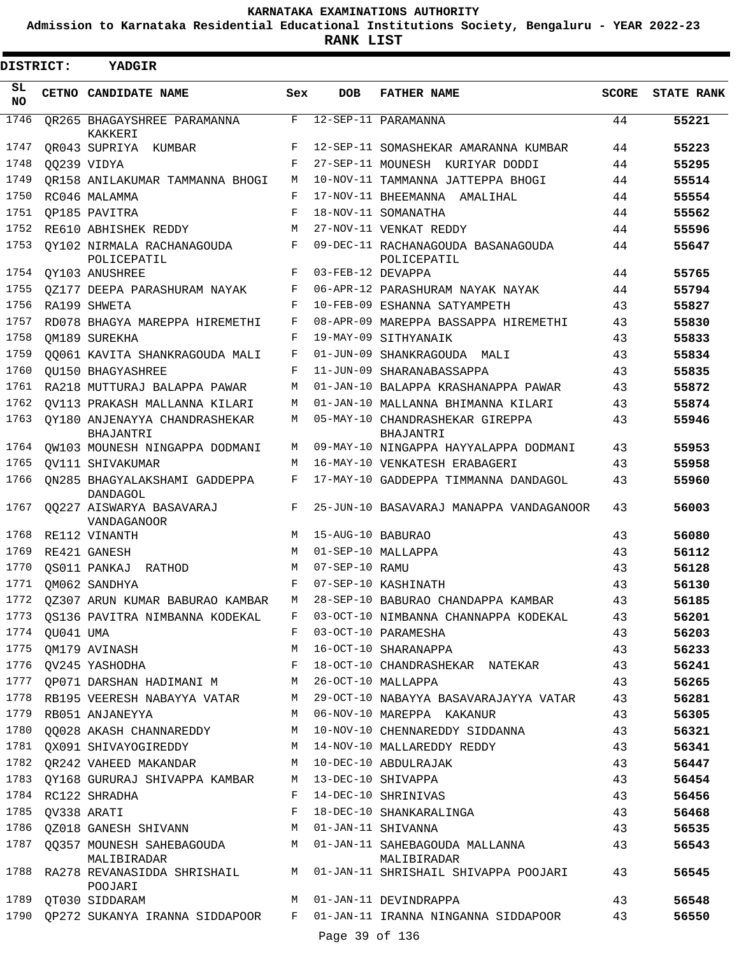**Admission to Karnataka Residential Educational Institutions Society, Bengaluru - YEAR 2022-23**

**RANK LIST**

ı

| <b>DISTRICT:</b> |                | YADGIR                                             |            |                   |                                                                      |              |                   |
|------------------|----------------|----------------------------------------------------|------------|-------------------|----------------------------------------------------------------------|--------------|-------------------|
| SL<br>NO.        |                | CETNO CANDIDATE NAME                               | Sex        | DOB               | <b>FATHER NAME</b>                                                   | <b>SCORE</b> | <b>STATE RANK</b> |
| 1746             |                | OR265 BHAGAYSHREE PARAMANNA<br>KAKKERI             | F          |                   | 12-SEP-11 PARAMANNA                                                  | 44           | 55221             |
| 1747             |                | OR043 SUPRIYA KUMBAR                               | F          |                   | 12-SEP-11 SOMASHEKAR AMARANNA KUMBAR                                 | 44           | 55223             |
| 1748             |                | QQ239 VIDYA                                        | F          |                   | 27-SEP-11 MOUNESH KURIYAR DODDI                                      | 44           | 55295             |
| 1749             |                | OR158 ANILAKUMAR TAMMANNA BHOGI                    | М          |                   | 10-NOV-11 TAMMANNA JATTEPPA BHOGI                                    | 44           | 55514             |
| 1750             |                | RC046 MALAMMA                                      | F          |                   | 17-NOV-11 BHEEMANNA AMALIHAL                                         | 44           | 55554             |
| 1751             |                | OP185 PAVITRA                                      | $_{\rm F}$ |                   | 18-NOV-11 SOMANATHA                                                  | 44           | 55562             |
| 1752             |                | RE610 ABHISHEK REDDY                               | M          |                   | 27-NOV-11 VENKAT REDDY                                               | 44           | 55596             |
| 1753             |                | OY102 NIRMALA RACHANAGOUDA<br>POLICEPATIL          | F          |                   | 09-DEC-11 RACHANAGOUDA BASANAGOUDA<br>POLICEPATIL                    | 44           | 55647             |
| 1754             |                | OY103 ANUSHREE                                     | F          | 03-FEB-12 DEVAPPA |                                                                      | 44           | 55765             |
| 1755             |                | OZ177 DEEPA PARASHURAM NAYAK                       | F          |                   | 06-APR-12 PARASHURAM NAYAK NAYAK                                     | 44           | 55794             |
| 1756             |                | RA199 SHWETA                                       | F          |                   | 10-FEB-09 ESHANNA SATYAMPETH                                         | 43           | 55827             |
| 1757             |                | RD078 BHAGYA MAREPPA HIREMETHI                     | $_{\rm F}$ |                   | 08-APR-09 MAREPPA BASSAPPA HIREMETHI                                 | 43           | 55830             |
| 1758             |                | OM189 SUREKHA                                      | F          |                   | 19-MAY-09 SITHYANAIK                                                 | 43           | 55833             |
| 1759             |                | 00061 KAVITA SHANKRAGOUDA MALI                     | F          |                   | 01-JUN-09 SHANKRAGOUDA MALI                                          | 43           | 55834             |
| 1760             |                | <b>OU150 BHAGYASHREE</b>                           | F          |                   | 11-JUN-09 SHARANABASSAPPA                                            | 43           | 55835             |
| 1761             |                | RA218 MUTTURAJ BALAPPA PAWAR                       | М          |                   | 01-JAN-10 BALAPPA KRASHANAPPA PAWAR                                  | 43           | 55872             |
| 1762             |                | OV113 PRAKASH MALLANNA KILARI                      | M          |                   | 01-JAN-10 MALLANNA BHIMANNA KILARI                                   | 43           | 55874             |
| 1763             |                | OY180 ANJENAYYA CHANDRASHEKAR<br><b>BHAJANTRI</b>  | М          |                   | 05-MAY-10 CHANDRASHEKAR GIREPPA<br>BHAJANTRI                         | 43           | 55946             |
| 1764             |                | OW103 MOUNESH NINGAPPA DODMANI                     | M          |                   | 09-MAY-10 NINGAPPA HAYYALAPPA DODMANI                                | 43           | 55953             |
| 1765             |                | OV111 SHIVAKUMAR                                   | М          |                   | 16-MAY-10 VENKATESH ERABAGERI                                        | 43           | 55958             |
| 1766             |                | ON285 BHAGYALAKSHAMI GADDEPPA<br>DANDAGOL          | F          |                   | 17-MAY-10 GADDEPPA TIMMANNA DANDAGOL                                 | 43           | 55960             |
| 1767             |                | 00227 AISWARYA BASAVARAJ<br>VANDAGANOOR            | F          |                   | 25-JUN-10 BASAVARAJ MANAPPA VANDAGANOOR                              | 43           | 56003             |
| 1768             |                | RE112 VINANTH                                      | M          | 15-AUG-10 BABURAO |                                                                      | 43           | 56080             |
| 1769             |                | RE421 GANESH                                       | M          |                   | 01-SEP-10 MALLAPPA                                                   | 43           | 56112             |
| 1770             |                | OS011 PANKAJ RATHOD                                | M          | 07-SEP-10 RAMU    |                                                                      | 43           | 56128             |
| 1771             |                | QM062 SANDHYA                                      | F          |                   | 07-SEP-10 KASHINATH                                                  | 43           | 56130             |
|                  |                | 1772 QZ307 ARUN KUMAR BABURAO KAMBAR               | M          |                   | 28-SEP-10 BABURAO CHANDAPPA KAMBAR                                   | 43           | 56185             |
|                  |                | 1773 QS136 PAVITRA NIMBANNA KODEKAL                |            |                   | F 03-OCT-10 NIMBANNA CHANNAPPA KODEKAL                               | 43           | 56201             |
|                  | 1774 QU041 UMA |                                                    | F          |                   | 03-OCT-10 PARAMESHA                                                  | 43           | 56203             |
| 1775             |                | QM179 AVINASH                                      | M          |                   | 16-OCT-10 SHARANAPPA                                                 | 43           | 56233             |
| 1776             |                | QV245 YASHODHA QV245                               | F          |                   | 18-OCT-10 CHANDRASHEKAR NATEKAR                                      | 43           | 56241             |
| 1777             |                | QP071 DARSHAN HADIMANI M M 26-OCT-10 MALLAPPA      |            |                   |                                                                      | 43           | 56265             |
|                  |                | 1778 RB195 VEERESH NABAYYA VATAR                   |            |                   | M 29-OCT-10 NABAYYA BASAVARAJAYYA VATAR                              | 43           | 56281             |
| 1779             |                | RB051 ANJANEYYA                                    |            |                   | M 06-NOV-10 MAREPPA KAKANUR                                          | 43           | 56305             |
| 1780             |                | QQ028 AKASH CHANNAREDDY                            |            |                   | M 10-NOV-10 CHENNAREDDY SIDDANNA                                     | 43           | 56321             |
|                  |                | 1781 QX091 SHIVAYOGIREDDY                          |            |                   | M 14-NOV-10 MALLAREDDY REDDY                                         | 43           | 56341             |
|                  |                | 1782 QR242 VAHEED MAKANDAR M 10-DEC-10 ABDULRAJAK  |            |                   |                                                                      | 43           | 56447             |
| 1783             |                | QY168 GURURAJ SHIVAPPA KAMBAR M 13-DEC-10 SHIVAPPA |            |                   |                                                                      | 43           | 56454             |
| 1784             |                | RC122 SHRADHA                                      |            |                   | F 14-DEC-10 SHRINIVAS                                                | 43           | 56456             |
| 1785             |                | QV338 ARATI                                        |            |                   | F 18-DEC-10 SHANKARALINGA                                            | 43           | 56468             |
|                  |                | 1786 QZ018 GANESH SHIVANN M O1-JAN-11 SHIVANNA     |            |                   |                                                                      | 43           | 56535             |
| 1787             |                | QQ357 MOUNESH SAHEBAGOUDA<br>MALIBIRADAR           |            |                   | M 01-JAN-11 SAHEBAGOUDA MALLANNA<br>MALIBIRADAR                      | 43           | 56543             |
|                  |                | 1788 RA278 REVANASIDDA SHRISHAIL<br>POOJARI        |            |                   | M 01-JAN-11 SHRISHAIL SHIVAPPA POOJARI                               | 43           | 56545             |
|                  |                | 1789 QT030 SIDDARAM                                |            |                   | M 01-JAN-11 DEVINDRAPPA                                              | 43           | 56548             |
| 1790             |                |                                                    |            | Page 39 of 136    | QP272 SUKANYA IRANNA SIDDAPOOR F 01-JAN-11 IRANNA NINGANNA SIDDAPOOR | 43           | 56550             |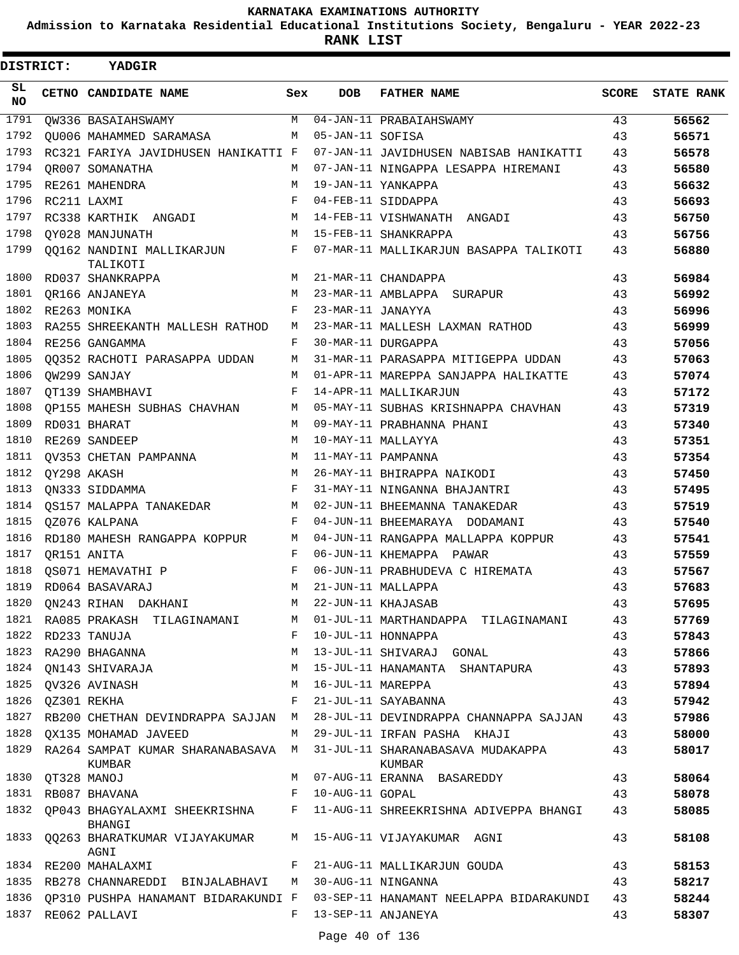**Admission to Karnataka Residential Educational Institutions Society, Bengaluru - YEAR 2022-23**

**RANK LIST**

| DISTRICT: |                  | YADGIR                                                             |              |                   |                                                                             |              |                   |
|-----------|------------------|--------------------------------------------------------------------|--------------|-------------------|-----------------------------------------------------------------------------|--------------|-------------------|
| SL<br>NO. |                  | CETNO CANDIDATE NAME                                               | Sex          | <b>DOB</b>        | <b>FATHER NAME</b>                                                          | <b>SCORE</b> | <b>STATE RANK</b> |
| 1791      |                  | QW336 BASAIAHSWAMY                                                 | M            |                   | 04-JAN-11 PRABAIAHSWAMY                                                     | 43           | 56562             |
| 1792      |                  | OU006 MAHAMMED SARAMASA                                            | M            | 05-JAN-11 SOFISA  |                                                                             | 43           | 56571             |
| 1793      |                  | RC321 FARIYA JAVIDHUSEN HANIKATTI F                                |              |                   | 07-JAN-11 JAVIDHUSEN NABISAB HANIKATTI                                      | 43           | 56578             |
| 1794      |                  | OR007 SOMANATHA                                                    | M            |                   | 07-JAN-11 NINGAPPA LESAPPA HIREMANI                                         | 43           | 56580             |
| 1795      |                  | RE261 MAHENDRA                                                     | M            |                   | 19-JAN-11 YANKAPPA                                                          | 43           | 56632             |
| 1796      |                  | RC211 LAXMI                                                        | F            |                   | 04-FEB-11 SIDDAPPA                                                          | 43           | 56693             |
| 1797      |                  | RC338 KARTHIK ANGADI                                               | M            |                   | 14-FEB-11 VISHWANATH ANGADI                                                 | 43           | 56750             |
| 1798      |                  | OY028 MANJUNATH                                                    | M            |                   | 15-FEB-11 SHANKRAPPA                                                        | 43           | 56756             |
| 1799      |                  | QQ162 NANDINI MALLIKARJUN<br>TALIKOTI                              | F            |                   | 07-MAR-11 MALLIKARJUN BASAPPA TALIKOTI                                      | 43           | 56880             |
| 1800      |                  | RD037 SHANKRAPPA                                                   | M            |                   | 21-MAR-11 CHANDAPPA                                                         | 43           | 56984             |
| 1801      |                  | OR166 ANJANEYA                                                     | M            |                   | 23-MAR-11 AMBLAPPA SURAPUR                                                  | 43           | 56992             |
| 1802      |                  | RE263 MONIKA                                                       | F            | 23-MAR-11 JANAYYA |                                                                             | 43           | 56996             |
| 1803      |                  | RA255 SHREEKANTH MALLESH RATHOD                                    | М            |                   | 23-MAR-11 MALLESH LAXMAN RATHOD                                             | 43           | 56999             |
| 1804      |                  | RE256 GANGAMMA                                                     | F            |                   | 30-MAR-11 DURGAPPA                                                          | 43           | 57056             |
| 1805      |                  | 00352 RACHOTI PARASAPPA UDDAN                                      | М            |                   | 31-MAR-11 PARASAPPA MITIGEPPA UDDAN                                         | 43           | 57063             |
| 1806      |                  | OW299 SANJAY                                                       | M            |                   | 01-APR-11 MAREPPA SANJAPPA HALIKATTE                                        | 43           | 57074             |
| 1807      |                  | OT139 SHAMBHAVI                                                    | F            |                   | 14-APR-11 MALLIKARJUN                                                       | 43           | 57172             |
| 1808      |                  | OP155 MAHESH SUBHAS CHAVHAN                                        | M            |                   | 05-MAY-11 SUBHAS KRISHNAPPA CHAVHAN                                         | 43           | 57319             |
| 1809      |                  | RD031 BHARAT                                                       | M            |                   | 09-MAY-11 PRABHANNA PHANI                                                   | 43           | 57340             |
| 1810      |                  | RE269 SANDEEP                                                      | M            |                   | 10-MAY-11 MALLAYYA                                                          | 43           | 57351             |
| 1811      |                  | QV353 CHETAN PAMPANNA                                              | M            |                   | 11-MAY-11 PAMPANNA                                                          | 43           | 57354             |
| 1812      |                  | QY298 AKASH                                                        | M            |                   | 26-MAY-11 BHIRAPPA NAIKODI                                                  | 43           | 57450             |
| 1813      |                  | ON333 SIDDAMMA                                                     | F            |                   | 31-MAY-11 NINGANNA BHAJANTRI                                                | 43           | 57495             |
| 1814      |                  | OS157 MALAPPA TANAKEDAR                                            | M            |                   | 02-JUN-11 BHEEMANNA TANAKEDAR                                               | 43           | 57519             |
| 1815      |                  | OZ076 KALPANA                                                      | F            |                   | 04-JUN-11 BHEEMARAYA DODAMANI                                               | 43           | 57540             |
| 1816      |                  | RD180 MAHESH RANGAPPA KOPPUR                                       | М            |                   | 04-JUN-11 RANGAPPA MALLAPPA KOPPUR                                          | 43           | 57541             |
| 1817      |                  | OR151 ANITA                                                        | F            |                   | 06-JUN-11 KHEMAPPA PAWAR                                                    | 43           | 57559             |
| 1818      |                  | <b>QS071 HEMAVATHI P</b>                                           | F            |                   | 06-JUN-11 PRABHUDEVA C HIREMATA                                             | 43           | 57567             |
| 1819      |                  | RD064 BASAVARAJ                                                    | M            |                   | 21-JUN-11 MALLAPPA                                                          | 43           | 57683             |
| 1820      |                  | QN243 RIHAN DAKHANI                                                | М            |                   | 22-JUN-11 KHAJASAB                                                          | 43           | 57695             |
| 1821      |                  | RA085 PRAKASH TILAGINAMANI                                         | M            |                   | 01-JUL-11 MARTHANDAPPA TILAGINAMANI                                         | 43           | 57769             |
| 1822      |                  | RD233 TANUJA                                                       | F            |                   | 10-JUL-11 HONNAPPA                                                          | 43           | 57843             |
| 1823      |                  | RA290 BHAGANNA                                                     | М            |                   | 13-JUL-11 SHIVARAJ GONAL                                                    | 43           | 57866             |
| 1824      |                  | QN143 SHIVARAJA                                                    | М            |                   | 15-JUL-11 HANAMANTA SHANTAPURA                                              | 43           | 57893             |
| 1825      |                  | QV326 AVINASH                                                      | M            | 16-JUL-11 MAREPPA |                                                                             | 43           | 57894             |
|           | 1826 QZ301 REKHA |                                                                    | F            |                   | 21-JUL-11 SAYABANNA                                                         | 43           | 57942             |
| 1827      |                  | RB200 CHETHAN DEVINDRAPPA SAJJAN                                   | M            |                   | 28-JUL-11 DEVINDRAPPA CHANNAPPA SAJJAN                                      | 43           | 57986             |
| 1828      |                  | QX135 MOHAMAD JAVEED                                               | М            |                   | 29-JUL-11 IRFAN PASHA KHAJI                                                 | 43           | 58000             |
| 1829      |                  | RA264 SAMPAT KUMAR SHARANABASAVA M<br>KUMBAR                       |              |                   | 31-JUL-11 SHARANABASAVA MUDAKAPPA<br>KUMBAR                                 | 43           | 58017             |
| 1830      |                  | QT328 MANOJ                                                        | M            |                   | 07-AUG-11 ERANNA BASAREDDY                                                  | 43           | 58064             |
|           |                  | 1831 RB087 BHAVANA                                                 | $\mathbf{F}$ | 10-AUG-11 GOPAL   |                                                                             | 43           | 58078             |
|           |                  | BHANGI                                                             |              |                   | 1832 QP043 BHAGYALAXMI SHEEKRISHNA F 11-AUG-11 SHREEKRISHNA ADIVEPPA BHANGI | 43           | 58085             |
| 1833      |                  | QQ263 BHARATKUMAR VIJAYAKUMAR M 15-AUG-11 VIJAYAKUMAR AGNI<br>AGNI |              |                   |                                                                             | 43           | 58108             |
| 1834      |                  | RE200 MAHALAXMI                                                    | F            |                   | 21-AUG-11 MALLIKARJUN GOUDA                                                 | 43           | 58153             |
|           |                  | 1835 RB278 CHANNAREDDI BINJALABHAVI M                              |              |                   | 30-AUG-11 NINGANNA                                                          | 43           | 58217             |
| 1836      |                  | OP310 PUSHPA HANAMANT BIDARAKUNDI F                                |              |                   | 03-SEP-11 HANAMANT NEELAPPA BIDARAKUNDI                                     | 43           | 58244             |
|           |                  | 1837 RE062 PALLAVI                                                 |              |                   | F 13-SEP-11 ANJANEYA                                                        | 43           | 58307             |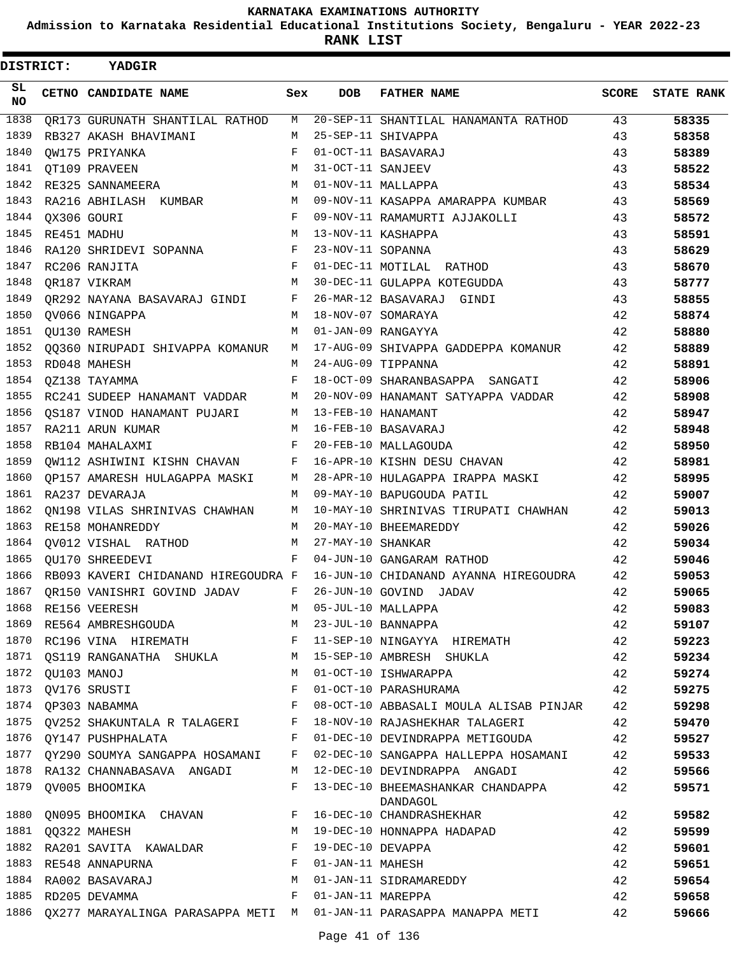**Admission to Karnataka Residential Educational Institutions Society, Bengaluru - YEAR 2022-23**

**RANK LIST**

| <b>DISTRICT:</b> |                  | <b>YADGIR</b>                                                                 |              |                   |                                                                     |       |                   |
|------------------|------------------|-------------------------------------------------------------------------------|--------------|-------------------|---------------------------------------------------------------------|-------|-------------------|
| SL.<br>NO.       |                  | CETNO CANDIDATE NAME                                                          | Sex          | DOB               | <b>FATHER NAME</b>                                                  | SCORE | <b>STATE RANK</b> |
| 1838             |                  | QR173 GURUNATH SHANTILAL RATHOD                                               | M            |                   | 20-SEP-11 SHANTILAL HANAMANTA RATHOD                                | 43    | 58335             |
| 1839             |                  | RB327 AKASH BHAVIMANI                                                         | M            |                   | 25-SEP-11 SHIVAPPA                                                  | 43    | 58358             |
| 1840             |                  | OW175 PRIYANKA                                                                | F            |                   | 01-OCT-11 BASAVARAJ                                                 | 43    | 58389             |
| 1841             |                  | QT109 PRAVEEN                                                                 | M            | 31-OCT-11 SANJEEV |                                                                     | 43    | 58522             |
| 1842             |                  | RE325 SANNAMEERA                                                              | M            |                   | 01-NOV-11 MALLAPPA                                                  | 43    | 58534             |
| 1843             |                  | RA216 ABHILASH KUMBAR                                                         | M            |                   | 09-NOV-11 KASAPPA AMARAPPA KUMBAR                                   | 43    | 58569             |
| 1844             | QX306 GOURI      |                                                                               | F            |                   | 09-NOV-11 RAMAMURTI AJJAKOLLI                                       | 43    | 58572             |
| 1845             |                  | RE451 MADHU                                                                   | М            |                   | 13-NOV-11 KASHAPPA                                                  | 43    | 58591             |
| 1846             |                  | RA120 SHRIDEVI SOPANNA                                                        | $\mathbf{F}$ | 23-NOV-11 SOPANNA |                                                                     | 43    | 58629             |
| 1847             |                  | RC206 RANJITA                                                                 | $\mathbf{F}$ |                   | 01-DEC-11 MOTILAL RATHOD                                            | 43    | 58670             |
| 1848             |                  | OR187 VIKRAM                                                                  | M            |                   | 30-DEC-11 GULAPPA KOTEGUDDA                                         | 43    | 58777             |
| 1849             |                  | QR292 NAYANA BASAVARAJ GINDI F                                                |              |                   | 26-MAR-12 BASAVARAJ GINDI                                           | 43    | 58855             |
| 1850             |                  | QV066 NINGAPPA                                                                |              |                   | M 18-NOV-07 SOMARAYA                                                | 42    | 58874             |
|                  |                  | 1851 QU130 RAMESH                                                             | M            |                   | 01-JAN-09 RANGAYYA                                                  | 42    | 58880             |
| 1852             |                  | QQ360 NIRUPADI SHIVAPPA KOMANUR                                               |              |                   | M 17-AUG-09 SHIVAPPA GADDEPPA KOMANUR                               | 42    | 58889             |
| 1853             |                  | RD048 MAHESH                                                                  | M            |                   | 24-AUG-09 TIPPANNA                                                  | 42    | 58891             |
| 1854             |                  | OZ138 TAYAMMA                                                                 | F            |                   | 18-OCT-09 SHARANBASAPPA SANGATI                                     | 42    | 58906             |
| 1855             |                  |                                                                               |              |                   | RC241 SUDEEP HANAMANT VADDAR M 20-NOV-09 HANAMANT SATYAPPA VADDAR   | 42    | 58908             |
| 1856             |                  | QS187 VINOD HANAMANT PUJARI M 13-FEB-10 HANAMANT                              |              |                   |                                                                     | 42    | 58947             |
| 1857             |                  | RA211 ARUN KUMAR                                                              |              |                   | M 16-FEB-10 BASAVARAJ                                               | 42    | 58948             |
| 1858             |                  | RB104 MAHALAXMI                                                               | $F$ –        |                   | 20-FEB-10 MALLAGOUDA                                                | 42    | 58950             |
| 1859             |                  | QW112 ASHIWINI KISHN CHAVAN F                                                 |              |                   | 16-APR-10 KISHN DESU CHAVAN                                         | 42    | 58981             |
| 1860             |                  |                                                                               |              |                   | QP157 AMARESH HULAGAPPA MASKI MARA 28-APR-10 HULAGAPPA IRAPPA MASKI | 42    | 58995             |
| 1861             |                  | RA237 DEVARAJA                                                                |              |                   | M 09-MAY-10 BAPUGOUDA PATIL                                         | 42    | 59007             |
| 1862             |                  | ON198 VILAS SHRINIVAS CHAWHAN                                                 | M            |                   | 10-MAY-10 SHRINIVAS TIRUPATI CHAWHAN                                | 42    | 59013             |
| 1863             |                  | RE158 MOHANREDDY                                                              | M            |                   | 20-MAY-10 BHEEMAREDDY                                               | 42    | 59026             |
|                  |                  | 1864 QV012 VISHAL RATHOD                                                      | M            | 27-MAY-10 SHANKAR |                                                                     | 42    | 59034             |
| 1865             |                  | QU170 SHREEDEVI                                                               | F            |                   | 04-JUN-10 GANGARAM RATHOD                                           | 42    | 59046             |
| 1866             |                  | RB093 KAVERI CHIDANAND HIREGOUDRA F                                           |              |                   | 16-JUN-10 CHIDANAND AYANNA HIREGOUDRA                               | 42    | 59053             |
| 1867             |                  | $\mathbf{F}$ and $\mathbf{F}$ and $\mathbf{F}$<br>OR150 VANISHRI GOVIND JADAV |              |                   | 26-JUN-10 GOVIND JADAV                                              | 42    | 59065             |
| 1868             |                  | RE156 VEERESH                                                                 | M            |                   | 05-JUL-10 MALLAPPA                                                  | 42    | 59083             |
|                  |                  | 1869 RE564 AMBRESHGOUDA                                                       | M            |                   | 23-JUL-10 BANNAPPA                                                  | 42    | 59107             |
|                  |                  | 1870 RC196 VINA HIREMATH F                                                    |              |                   | 11-SEP-10 NINGAYYA HIREMATH                                         | 42    | 59223             |
|                  |                  | 1871 QS119 RANGANATHA SHUKLA M                                                |              |                   | 15-SEP-10 AMBRESH SHUKLA                                            | 42    | 59234             |
|                  | 1872 QU103 MANOJ |                                                                               | M            |                   | 01-OCT-10 ISHWARAPPA                                                | 42    | 59274             |
| 1873             |                  | QV176 SRUSTI                                                                  | F            |                   | 01-OCT-10 PARASHURAMA                                               | 42    | 59275             |
| 1874             |                  | QP303 NABAMMA                                                                 | $\mathbf{F}$ |                   | 08-OCT-10 ABBASALI MOULA ALISAB PINJAR                              | 42    | 59298             |
|                  |                  | 1875 QV252 SHAKUNTALA R TALAGERI F                                            |              |                   | 18-NOV-10 RAJASHEKHAR TALAGERI                                      | 42    | 59470             |
|                  |                  | 1876 QY147 PUSHPHALATA                                                        | F            |                   | 01-DEC-10 DEVINDRAPPA METIGOUDA                                     | 42    | 59527             |
|                  |                  | 1877 QY290 SOUMYA SANGAPPA HOSAMANI                                           | F            |                   | 02-DEC-10 SANGAPPA HALLEPPA HOSAMANI                                | 42    | 59533             |
|                  |                  | 1878 RA132 CHANNABASAVA ANGADI                                                | M            |                   | 12-DEC-10 DEVINDRAPPA ANGADI                                        | 42    | 59566             |
|                  |                  | 1879 QV005 BHOOMIKA                                                           | F            |                   | 13-DEC-10 BHEEMASHANKAR CHANDAPPA<br>DANDAGOL                       | 42    | 59571             |
| 1880             |                  | QN095 BHOOMIKA CHAVAN F                                                       |              |                   | 16-DEC-10 CHANDRASHEKHAR                                            | 42    | 59582             |
|                  |                  | 1881 QQ322 MAHESH                                                             | M            |                   | 19-DEC-10 HONNAPPA HADAPAD                                          | 42    | 59599             |
| 1882             |                  | RA201 SAVITA KAWALDAR                                                         | F            | 19-DEC-10 DEVAPPA |                                                                     | 42    | 59601             |
|                  |                  | 1883 RE548 ANNAPURNA                                                          | F            | 01-JAN-11 MAHESH  |                                                                     | 42    | 59651             |
| 1884             |                  | RA002 BASAVARAJ                                                               | М            |                   | 01-JAN-11 SIDRAMAREDDY                                              | 42    | 59654             |
|                  |                  | 1885 RD205 DEVAMMA                                                            | F            | 01-JAN-11 MAREPPA |                                                                     | 42    | 59658             |
| 1886             |                  |                                                                               |              |                   | QX277 MARAYALINGA PARASAPPA METI M 01-JAN-11 PARASAPPA MANAPPA METI | 42    | 59666             |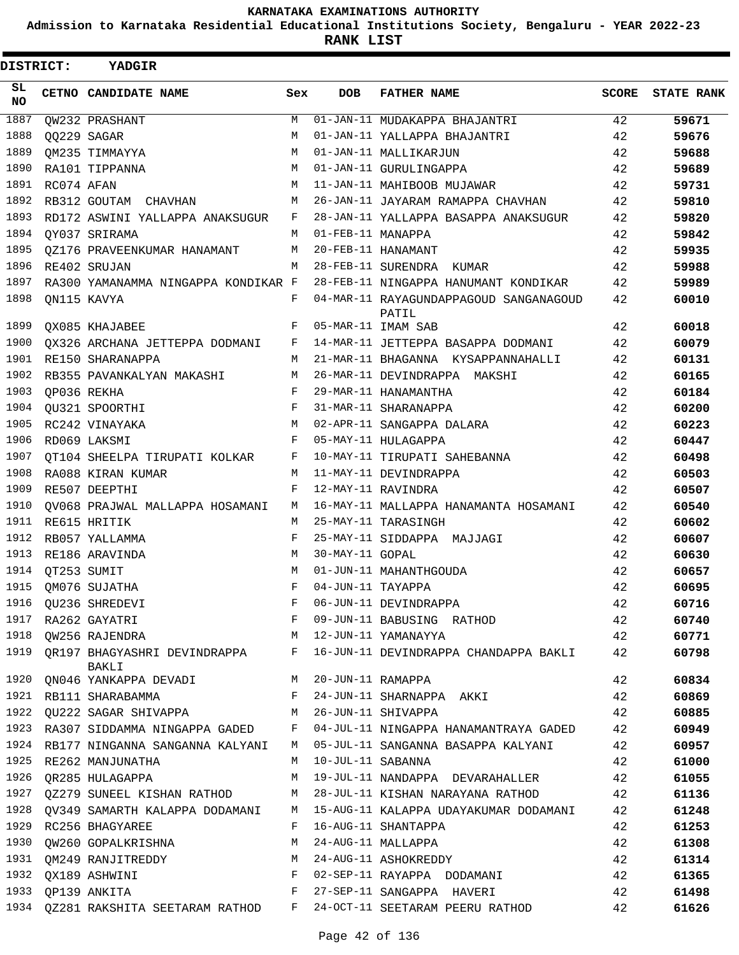**Admission to Karnataka Residential Educational Institutions Society, Bengaluru - YEAR 2022-23**

**RANK LIST**

| <b>DISTRICT:</b> |             | YADGIR                                                             |              |                     |                                                                             |       |                   |
|------------------|-------------|--------------------------------------------------------------------|--------------|---------------------|-----------------------------------------------------------------------------|-------|-------------------|
| SL.<br>NO.       |             | CETNO CANDIDATE NAME                                               | Sex          | <b>DOB</b>          | <b>FATHER NAME</b>                                                          | SCORE | <b>STATE RANK</b> |
| 1887             |             | <b>OW232 PRASHANT</b>                                              | M            |                     | 01-JAN-11 MUDAKAPPA BHAJANTRI                                               | 42    | 59671             |
| 1888             |             | QQ229 SAGAR                                                        | M            |                     | 01-JAN-11 YALLAPPA BHAJANTRI                                                | 42    | 59676             |
| 1889             |             | OM235 TIMMAYYA                                                     | M            |                     | 01-JAN-11 MALLIKARJUN                                                       | 42    | 59688             |
| 1890             |             | RA101 TIPPANNA                                                     | M            |                     | 01-JAN-11 GURULINGAPPA                                                      | 42    | 59689             |
| 1891             | RC074 AFAN  |                                                                    | M            |                     | 11-JAN-11 MAHIBOOB MUJAWAR                                                  | 42    | 59731             |
| 1892             |             | RB312 GOUTAM CHAVHAN                                               | M            |                     | 26-JAN-11 JAYARAM RAMAPPA CHAVHAN                                           | 42    | 59810             |
| 1893             |             | RD172 ASWINI YALLAPPA ANAKSUGUR                                    | F            |                     | 28-JAN-11 YALLAPPA BASAPPA ANAKSUGUR                                        | 42    | 59820             |
| 1894             |             | OY037 SRIRAMA                                                      |              | M 01-FEB-11 MANAPPA |                                                                             | 42    | 59842             |
| 1895             |             | 0Z176 PRAVEENKUMAR HANAMANT                                        | M            |                     | 20-FEB-11 HANAMANT                                                          | 42    | 59935             |
| 1896             |             | RE402 SRUJAN                                                       | M            |                     | 28-FEB-11 SURENDRA KUMAR                                                    | 42    | 59988             |
| 1897             |             | RA300 YAMANAMMA NINGAPPA KONDIKAR F                                |              |                     | 28-FEB-11 NINGAPPA HANUMANT KONDIKAR                                        | 42    | 59989             |
| 1898             |             | ON115 KAVYA                                                        | F            |                     | 04-MAR-11 RAYAGUNDAPPAGOUD SANGANAGOUD<br>PATIL                             | 42    | 60010             |
| 1899             |             | OX085 KHAJABEE                                                     | F            |                     | 05-MAR-11 IMAM SAB                                                          | 42    | 60018             |
| 1900             |             | QX326 ARCHANA JETTEPPA DODMANI F                                   |              |                     | 14-MAR-11 JETTEPPA BASAPPA DODMANI                                          | 42    | 60079             |
| 1901             |             | RE150 SHARANAPPA                                                   | M            |                     | 21-MAR-11 BHAGANNA KYSAPPANNAHALLI                                          | 42    | 60131             |
| 1902             |             | RB355 PAVANKALYAN MAKASHI                                          | M            |                     | 26-MAR-11 DEVINDRAPPA MAKSHI                                                | 42    | 60165             |
| 1903             |             | OP036 REKHA                                                        | $\mathbf{F}$ |                     | 29-MAR-11 HANAMANTHA                                                        | 42    | 60184             |
| 1904             |             | OU321 SPOORTHI                                                     | $\mathbf{F}$ |                     | 31-MAR-11 SHARANAPPA                                                        | 42    | 60200             |
| 1905             |             | RC242 VINAYAKA                                                     | M            |                     | 02-APR-11 SANGAPPA DALARA                                                   | 42    | 60223             |
| 1906             |             | RD069 LAKSMI                                                       | F            |                     | 05-MAY-11 HULAGAPPA                                                         | 42    | 60447             |
| 1907             |             | QT104 SHEELPA TIRUPATI KOLKAR F                                    |              |                     | 10-MAY-11 TIRUPATI SAHEBANNA                                                | 42    | 60498             |
| 1908             |             | RA088 KIRAN KUMAR                                                  | M            |                     | 11-MAY-11 DEVINDRAPPA                                                       | 42    | 60503             |
| 1909             |             | RE507 DEEPTHI                                                      | F            |                     | 12-MAY-11 RAVINDRA                                                          | 42    | 60507             |
| 1910             |             | QV068 PRAJWAL MALLAPPA HOSAMANI M                                  |              |                     | 16-MAY-11 MALLAPPA HANAMANTA HOSAMANI                                       | 42    | 60540             |
| 1911             |             | RE615 HRITIK                                                       | M            |                     | 25-MAY-11 TARASINGH                                                         | 42    | 60602             |
| 1912             |             | RB057 YALLAMMA                                                     | F            |                     | 25-MAY-11 SIDDAPPA MAJJAGI                                                  | 42    | 60607             |
| 1913             |             | RE186 ARAVINDA                                                     | M            | 30-MAY-11 GOPAL     |                                                                             | 42    | 60630             |
| 1914             | OT253 SUMIT |                                                                    | M            |                     | 01-JUN-11 MAHANTHGOUDA                                                      | 42    | 60657             |
| 1915             |             | OM076 SUJATHA                                                      | F            | 04-JUN-11 TAYAPPA   |                                                                             | 42    | 60695             |
| 1916             |             | QU236 SHREDEVI<br>RA262 GAYATRI<br>QW256 RAJENDRA                  | F            |                     | 06-JUN-11 DEVINDRAPPA                                                       | 42    | 60716             |
| 1917             |             |                                                                    | F            |                     | 09-JUN-11 BABUSING RATHOD                                                   | 42    | 60740             |
| 1918             |             |                                                                    | M            |                     | 12-JUN-11 YAMANAYYA                                                         | 42    | 60771             |
|                  |             | BAKLI                                                              |              |                     | 1919 QR197 BHAGYASHRI DEVINDRAPPA F 16-JUN-11 DEVINDRAPPA CHANDAPPA BAKLI   | 42    | 60798             |
|                  |             | 1920 QN046 YANKAPPA DEVADI M 20-JUN-11 RAMAPPA                     |              |                     |                                                                             | 42    | 60834             |
|                  |             | 1921 RB111 SHARABAMMA                                              | $F$ and      |                     | 24-JUN-11 SHARNAPPA AKKI                                                    | 42    | 60869             |
| 1922             |             | QU222 SAGAR SHIVAPPA M 26-JUN-11 SHIVAPPA                          |              |                     |                                                                             | 42    | 60885             |
|                  |             |                                                                    |              |                     | 1923 RA307 SIDDAMMA NINGAPPA GADED F 04-JUL-11 NINGAPPA HANAMANTRAYA GADED  | 42    | 60949             |
|                  |             |                                                                    |              |                     | 1924 RB177 NINGANNA SANGANNA KALYANI M 05-JUL-11 SANGANNA BASAPPA KALYANI   | 42    | 60957             |
|                  |             | 1925 RE262 MANJUNATHA                                              | M            | 10-JUL-11 SABANNA   |                                                                             | 42    | 61000             |
| 1926             |             | QR285 HULAGAPPA                                                    | M            |                     | 19-JUL-11 NANDAPPA DEVARAHALLER                                             | 42    | 61055             |
|                  |             | 1927 QZ279 SUNEEL KISHAN RATHOD M 28-JUL-11 KISHAN NARAYANA RATHOD |              |                     |                                                                             | 42    | 61136             |
|                  |             |                                                                    |              |                     | 1928 QV349 SAMARTH KALAPPA DODAMANI M 15-AUG-11 KALAPPA UDAYAKUMAR DODAMANI | 42    | 61248             |
| 1929             |             | RC256 BHAGYAREE                                                    | F            |                     | 16-AUG-11 SHANTAPPA                                                         | 42    | 61253             |
| 1930             |             | QW260 GOPALKRISHNA                                                 | M            |                     | 24-AUG-11 MALLAPPA                                                          | 42    | 61308             |
|                  |             | 1931 QM249 RANJITREDDY<br>1932 QX189 ASHWINI                       | M            |                     | 24-AUG-11 ASHOKREDDY                                                        | 42    | 61314             |
|                  |             |                                                                    | F            |                     | 02-SEP-11 RAYAPPA DODAMANI                                                  | 42    | 61365             |
| 1933             |             | QP139 ANKITA                                                       | F            |                     | 27-SEP-11 SANGAPPA HAVERI                                                   | 42    | 61498             |
|                  |             | 1934 QZ281 RAKSHITA SEETARAM RATHOD F                              |              |                     | 24-OCT-11 SEETARAM PEERU RATHOD                                             | 42    | 61626             |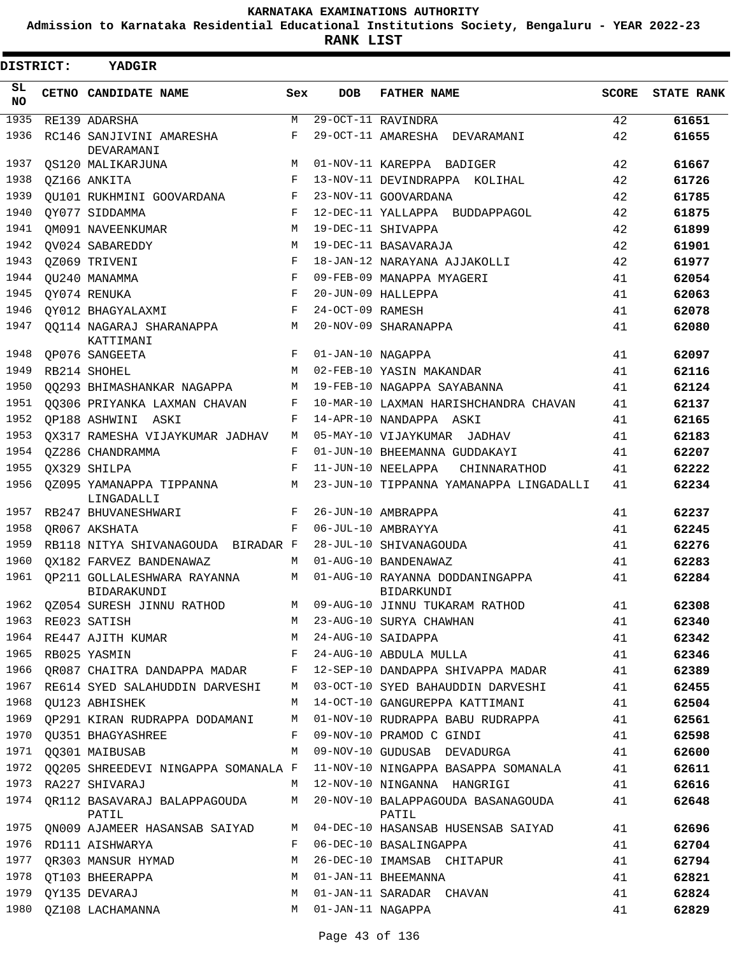**Admission to Karnataka Residential Educational Institutions Society, Bengaluru - YEAR 2022-23**

**RANK LIST**

| <b>DISTRICT:</b> | <b>YADGIR</b>                              |            |                   |                                                                         |              |                   |
|------------------|--------------------------------------------|------------|-------------------|-------------------------------------------------------------------------|--------------|-------------------|
| SL<br><b>NO</b>  | CETNO CANDIDATE NAME                       | Sex        | <b>DOB</b>        | <b>FATHER NAME</b>                                                      | <b>SCORE</b> | <b>STATE RANK</b> |
| 1935             | RE139 ADARSHA                              | М          |                   | 29-OCT-11 RAVINDRA                                                      | 42           | 61651             |
| 1936             | RC146 SANJIVINI AMARESHA<br>DEVARAMANI     | F          |                   | 29-OCT-11 AMARESHA DEVARAMANI                                           | 42           | 61655             |
| 1937             | OS120 MALIKARJUNA                          | M          |                   | 01-NOV-11 KAREPPA BADIGER                                               | 42           | 61667             |
| 1938             | OZ166 ANKITA                               | F          |                   | 13-NOV-11 DEVINDRAPPA KOLIHAL                                           | 42           | 61726             |
| 1939             | OU101 RUKHMINI GOOVARDANA                  | F          |                   | 23-NOV-11 GOOVARDANA                                                    | 42           | 61785             |
| 1940             | OY077 SIDDAMMA                             | $_{\rm F}$ |                   | 12-DEC-11 YALLAPPA BUDDAPPAGOL                                          | 42           | 61875             |
| 1941             | OM091 NAVEENKUMAR                          | М          |                   | 19-DEC-11 SHIVAPPA                                                      | 42           | 61899             |
| 1942             | OV024 SABAREDDY                            | M          |                   | 19-DEC-11 BASAVARAJA                                                    | 42           | 61901             |
| 1943             | OZ069 TRIVENI                              | F          |                   | 18-JAN-12 NARAYANA AJJAKOLLI                                            | 42           | 61977             |
| 1944             | OU240 MANAMMA                              | $_{\rm F}$ |                   | 09-FEB-09 MANAPPA MYAGERI                                               | 41           | 62054             |
| 1945             | OY074 RENUKA                               | $_{\rm F}$ |                   | 20-JUN-09 HALLEPPA                                                      | 41           | 62063             |
| 1946             | OY012 BHAGYALAXMI                          | $_{\rm F}$ | 24-OCT-09 RAMESH  |                                                                         | 41           | 62078             |
| 1947             | 00114 NAGARAJ SHARANAPPA<br>KATTIMANI      | М          |                   | 20-NOV-09 SHARANAPPA                                                    | 41           | 62080             |
| 1948             | OP076 SANGEETA                             | F          | 01-JAN-10 NAGAPPA |                                                                         | 41           | 62097             |
| 1949             | RB214 SHOHEL                               | M          |                   | 02-FEB-10 YASIN MAKANDAR                                                | 41           | 62116             |
| 1950             | 00293 BHIMASHANKAR NAGAPPA                 | М          |                   | 19-FEB-10 NAGAPPA SAYABANNA                                             | 41           | 62124             |
| 1951             | 00306 PRIYANKA LAXMAN CHAVAN               | F          |                   | 10-MAR-10 LAXMAN HARISHCHANDRA CHAVAN                                   | 41           | 62137             |
| 1952             | OP188 ASHWINI ASKI                         | F          |                   | 14-APR-10 NANDAPPA ASKI                                                 | 41           | 62165             |
| 1953             | OX317 RAMESHA VIJAYKUMAR JADHAV            | M          |                   | 05-MAY-10 VIJAYKUMAR<br>JADHAV                                          | 41           | 62183             |
| 1954             | OZ286 CHANDRAMMA                           | F          |                   | 01-JUN-10 BHEEMANNA GUDDAKAYI                                           | 41           | 62207             |
| 1955             | OX329 SHILPA                               | $_{\rm F}$ |                   | 11-JUN-10 NEELAPPA<br>CHINNARATHOD                                      | 41           | 62222             |
| 1956             | 0Z095 YAMANAPPA TIPPANNA<br>LINGADALLI     | М          |                   | 23-JUN-10 TIPPANNA YAMANAPPA LINGADALLI                                 | 41           | 62234             |
| 1957             | RB247 BHUVANESHWARI                        | F          |                   | 26-JUN-10 AMBRAPPA                                                      | 41           | 62237             |
| 1958             | OR067 AKSHATA                              | F          |                   | 06-JUL-10 AMBRAYYA                                                      | 41           | 62245             |
| 1959             | RB118 NITYA SHIVANAGOUDA BIRADAR F         |            |                   | 28-JUL-10 SHIVANAGOUDA                                                  | 41           | 62276             |
| 1960             | OX182 FARVEZ BANDENAWAZ                    | M          |                   | 01-AUG-10 BANDENAWAZ                                                    | 41           | 62283             |
| 1961             | OP211 GOLLALESHWARA RAYANNA<br>BIDARAKUNDI | M          |                   | 01-AUG-10 RAYANNA DODDANINGAPPA<br>BIDARKUNDI                           | 41           | 62284             |
|                  | 1962 QZ054 SURESH JINNU RATHOD             | M          |                   | 09-AUG-10 JINNU TUKARAM RATHOD                                          | 41           | 62308             |
|                  | 1963 RE023 SATISH                          |            |                   | M 23-AUG-10 SURYA CHAWHAN                                               | 41           | 62340             |
|                  | 1964 RE447 AJITH KUMAR                     |            |                   | M 24-AUG-10 SAIDAPPA                                                    | 41           | 62342             |
|                  | 1965 RB025 YASMIN                          | F          |                   | 24-AUG-10 ABDULA MULLA                                                  | 41           | 62346             |
|                  | 1966 QR087 CHAITRA DANDAPPA MADAR F        |            |                   | 12-SEP-10 DANDAPPA SHIVAPPA MADAR                                       | 41           | 62389             |
|                  |                                            |            |                   | 1967 RE614 SYED SALAHUDDIN DARVESHI M 03-OCT-10 SYED BAHAUDDIN DARVESHI | 41           | 62455             |
| 1968             | QU123 ABHISHEK                             | М          |                   | 14-OCT-10 GANGUREPPA KATTIMANI                                          | 41           | 62504             |
| 1969             | OP291 KIRAN RUDRAPPA DODAMANI              | М          |                   | 01-NOV-10 RUDRAPPA BABU RUDRAPPA                                        | 41           | 62561             |
| 1970             | OU351 BHAGYASHREE                          | F          |                   | 09-NOV-10 PRAMOD C GINDI                                                | 41           | 62598             |
|                  | 1971 00301 MAIBUSAB                        | М          |                   | 09-NOV-10 GUDUSAB DEVADURGA                                             | 41           | 62600             |
| 1972             | QQ205 SHREEDEVI NINGAPPA SOMANALA F        |            |                   | 11-NOV-10 NINGAPPA BASAPPA SOMANALA                                     | 41           | 62611             |
| 1973             | RA227 SHIVARAJ                             | M          |                   | 12-NOV-10 NINGANNA HANGRIGI                                             | 41           | 62616             |
| 1974             | QR112 BASAVARAJ BALAPPAGOUDA<br>PATIL      | M          |                   | 20-NOV-10 BALAPPAGOUDA BASANAGOUDA<br>PATIL                             | 41           | 62648             |
| 1975             | QN009 AJAMEER HASANSAB SAIYAD              | M          |                   | 04-DEC-10 HASANSAB HUSENSAB SAIYAD                                      | 41           | 62696             |
|                  | 1976 RD111 AISHWARYA                       | F          |                   | 06-DEC-10 BASALINGAPPA                                                  | 41           | 62704             |
| 1977             | QR303 MANSUR HYMAD                         | М          |                   | 26-DEC-10 IMAMSAB CHITAPUR                                              | 41           | 62794             |
|                  | 1978 QT103 BHEERAPPA                       | M          |                   | 01-JAN-11 BHEEMANNA                                                     | 41           | 62821             |
| 1979             | QY135 DEVARAJ                              | M          |                   | 01-JAN-11 SARADAR CHAVAN                                                | 41           | 62824             |
|                  | 1980 QZ108 LACHAMANNA                      | M          | 01-JAN-11 NAGAPPA |                                                                         | 41           | 62829             |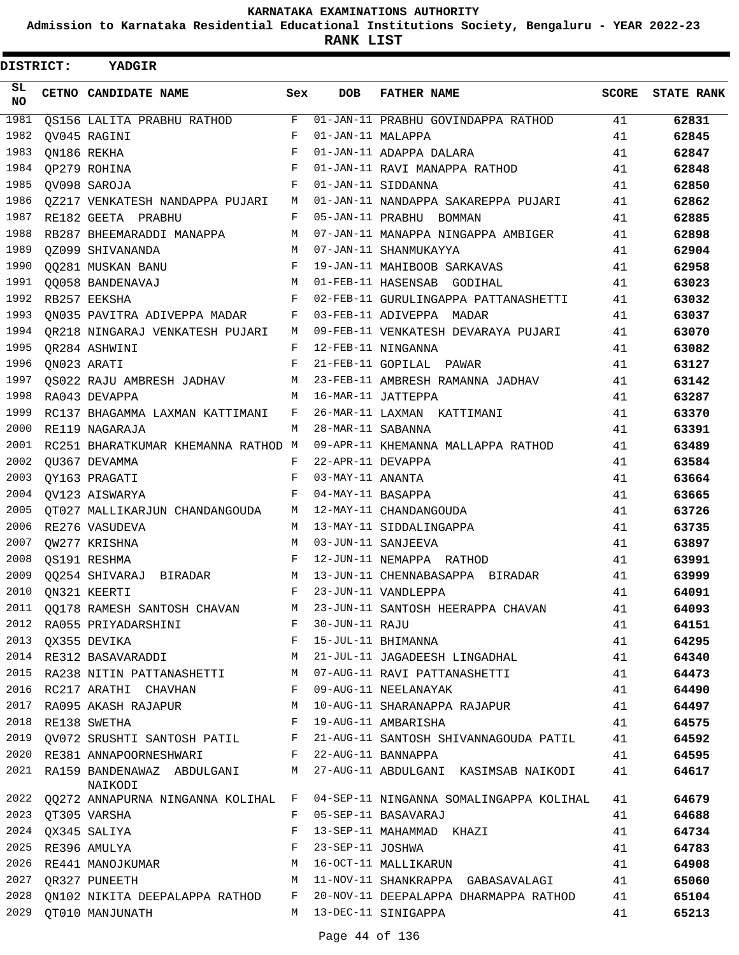**Admission to Karnataka Residential Educational Institutions Society, Bengaluru - YEAR 2022-23**

**RANK LIST**

| <b>DISTRICT:</b> | YADGIR                                                              |              |                   |                                                                          |              |                   |
|------------------|---------------------------------------------------------------------|--------------|-------------------|--------------------------------------------------------------------------|--------------|-------------------|
| SL<br>NO.        | CETNO CANDIDATE NAME                                                | Sex          | <b>DOB</b>        | <b>FATHER NAME</b>                                                       | <b>SCORE</b> | <b>STATE RANK</b> |
| 1981             | QS156 LALITA PRABHU RATHOD                                          | F            |                   | 01-JAN-11 PRABHU GOVINDAPPA RATHOD                                       | 41           | 62831             |
| 1982             | OV045 RAGINI                                                        | $\mathbf{F}$ | 01-JAN-11 MALAPPA |                                                                          | 41           | 62845             |
| 1983             | QN186 REKHA                                                         | F            |                   | 01-JAN-11 ADAPPA DALARA                                                  | 41           | 62847             |
| 1984             | QP279 ROHINA                                                        | $\mathbf{F}$ |                   | 01-JAN-11 RAVI MANAPPA RATHOD                                            | 41           | 62848             |
| 1985             | QV098 SAROJA                                                        | F            |                   | 01-JAN-11 SIDDANNA                                                       | 41           | 62850             |
| 1986             | QZ217 VENKATESH NANDAPPA PUJARI                                     |              |                   | M 01-JAN-11 NANDAPPA SAKAREPPA PUJARI                                    | 41           | 62862             |
| 1987             | RE182 GEETA PRABHU                                                  | F            |                   | 05-JAN-11 PRABHU BOMMAN                                                  | 41           | 62885             |
| 1988             | RB287 BHEEMARADDI MANAPPA                                           | М            |                   | 07-JAN-11 MANAPPA NINGAPPA AMBIGER                                       | 41           | 62898             |
| 1989             | OZ099 SHIVANANDA                                                    | M            |                   | 07-JAN-11 SHANMUKAYYA                                                    | 41           | 62904             |
| 1990             | QQ281 MUSKAN BANU                                                   | F            |                   | 19-JAN-11 MAHIBOOB SARKAVAS                                              | 41           | 62958             |
| 1991             | 00058 BANDENAVAJ                                                    | M            |                   | 01-FEB-11 HASENSAB GODIHAL                                               | 41           | 63023             |
| 1992             | RB257 EEKSHA                                                        | F            |                   | 02-FEB-11 GURULINGAPPA PATTANASHETTI                                     | 41           | 63032             |
| 1993             | QN035 PAVITRA ADIVEPPA MADAR                                        |              |                   | F 03-FEB-11 ADIVEPPA MADAR                                               | 41           | 63037             |
|                  | 1994 QR218 NINGARAJ VENKATESH PUJARI M                              |              |                   | 09-FEB-11 VENKATESH DEVARAYA PUJARI                                      | 41           | 63070             |
| 1995             | OR284 ASHWINI                                                       | F            |                   | 12-FEB-11 NINGANNA                                                       | 41           | 63082             |
| 1996             | ON023 ARATI                                                         | F            |                   | 21-FEB-11 GOPILAL PAWAR                                                  | 41           | 63127             |
| 1997             | QS022 RAJU AMBRESH JADHAV                                           |              |                   | M 23-FEB-11 AMBRESH RAMANNA JADHAV                                       | 41           | 63142             |
| 1998             | RA043 DEVAPPA                                                       | M            |                   | 16-MAR-11 JATTEPPA                                                       | 41           | 63287             |
| 1999             | RC137 BHAGAMMA LAXMAN KATTIMANI                                     | F            |                   | 26-MAR-11 LAXMAN KATTIMANI                                               | 41           | 63370             |
| 2000             | RE119 NAGARAJA                                                      | M            | 28-MAR-11 SABANNA |                                                                          | 41           | 63391             |
| 2001             | RC251 BHARATKUMAR KHEMANNA RATHOD M                                 |              |                   | 09-APR-11 KHEMANNA MALLAPPA RATHOD                                       | 41           | 63489             |
| 2002             | QU367 DEVAMMA                                                       | F            | 22-APR-11 DEVAPPA |                                                                          | 41           | 63584             |
| 2003             | QY163 PRAGATI                                                       | $\mathbf{F}$ | 03-MAY-11 ANANTA  |                                                                          | 41           | 63664             |
| 2004             | OV123 AISWARYA                                                      | F            | 04-MAY-11 BASAPPA |                                                                          | 41           | 63665             |
| 2005             | OT027 MALLIKARJUN CHANDANGOUDA                                      | M            |                   | 12-MAY-11 CHANDANGOUDA                                                   | 41           | 63726             |
| 2006             | RE276 VASUDEVA                                                      | М            |                   | 13-MAY-11 SIDDALINGAPPA                                                  | 41           | 63735             |
| 2007             | QW277 KRISHNA                                                       | M            |                   | 03-JUN-11 SANJEEVA                                                       | 41           | 63897             |
| 2008             | QS191 RESHMA                                                        | F            |                   | 12-JUN-11 NEMAPPA RATHOD                                                 | 41           | 63991             |
| 2009             | QQ254 SHIVARAJ BIRADAR                                              | М            |                   | 13-JUN-11 CHENNABASAPPA BIRADAR                                          | 41           | 63999             |
| 2010             | ON321 KEERTI                                                        | F            |                   | 23-JUN-11 VANDLEPPA                                                      | 41           | 64091             |
|                  | 2011 QQ178 RAMESH SANTOSH CHAVAN                                    | М            |                   | 23-JUN-11 SANTOSH HEERAPPA CHAVAN                                        | 41           | 64093             |
| 2012             | RA055 PRIYADARSHINI                                                 |              | F 30-JUN-11 RAJU  |                                                                          | 41           | 64151             |
|                  | 2013 QX355 DEVIKA<br>$\mathbf{F}$ and $\mathbf{F}$ and $\mathbf{F}$ |              |                   | 15-JUL-11 BHIMANNA                                                       | 41           | 64295             |
|                  |                                                                     |              |                   | 2014 RE312 BASAVARADDI M 21-JUL-11 JAGADEESH LINGADHAL                   | 41           | 64340             |
|                  |                                                                     |              |                   | 2015 RA238 NITIN PATTANASHETTI M 07-AUG-11 RAVI PATTANASHETTI            | 41           | 64473             |
|                  | 2016 RC217 ARATHI CHAVHAN                                           | F            |                   | 09-AUG-11 NEELANAYAK                                                     | 41           | 64490             |
| 2017             | RA095 AKASH RAJAPUR M                                               |              |                   | 10-AUG-11 SHARANAPPA RAJAPUR                                             | 41           | 64497             |
|                  | 2018 RE138 SWETHA                                                   | $\mathbf{F}$ |                   | 19-AUG-11 AMBARISHA                                                      | 41           | 64575             |
|                  |                                                                     |              |                   | 2019 QV072 SRUSHTI SANTOSH PATIL F 21-AUG-11 SANTOSH SHIVANNAGOUDA PATIL | 41           | 64592             |
|                  | 2020 RE381 ANNAPOORNESHWARI                                         |              |                   | F 22-AUG-11 BANNAPPA                                                     | 41           | 64595             |
|                  | 2021 RA159 BANDENAWAZ ABDULGANI                                     |              |                   | M 27-AUG-11 ABDULGANI KASIMSAB NAIKODI                                   | 41           | 64617             |
|                  | NAIKODI                                                             |              |                   |                                                                          |              |                   |
|                  | 2022 QQ272 ANNAPURNA NINGANNA KOLIHAL F                             |              |                   | 04-SEP-11 NINGANNA SOMALINGAPPA KOLIHAL                                  | 41           | 64679             |
|                  | 2023 QT305 VARSHA                                                   | F            |                   | 05-SEP-11 BASAVARAJ                                                      | 41           | 64688             |
|                  | 2024 QX345 SALIYA                                                   | F            |                   | 13-SEP-11 MAHAMMAD KHAZI                                                 | 41           | 64734             |
| 2025             | RE396 AMULYA                                                        | F            |                   | 23-SEP-11 JOSHWA                                                         | 41           | 64783             |
| 2026             | RE441 MANOJKUMAR                                                    | М            |                   | 16-OCT-11 MALLIKARUN                                                     | 41           | 64908             |
|                  | <b>M</b><br>2027 QR327 PUNEETH                                      |              |                   | 11-NOV-11 SHANKRAPPA GABASAVALAGI                                        | 41           | 65060             |
|                  | 2028 QN102 NIKITA DEEPALAPPA RATHOD F                               |              |                   | 20-NOV-11 DEEPALAPPA DHARMAPPA RATHOD                                    | 41           | 65104             |
|                  | 2029 QT010 MANJUNATH                                                |              |                   | M 13-DEC-11 SINIGAPPA                                                    | 41           | 65213             |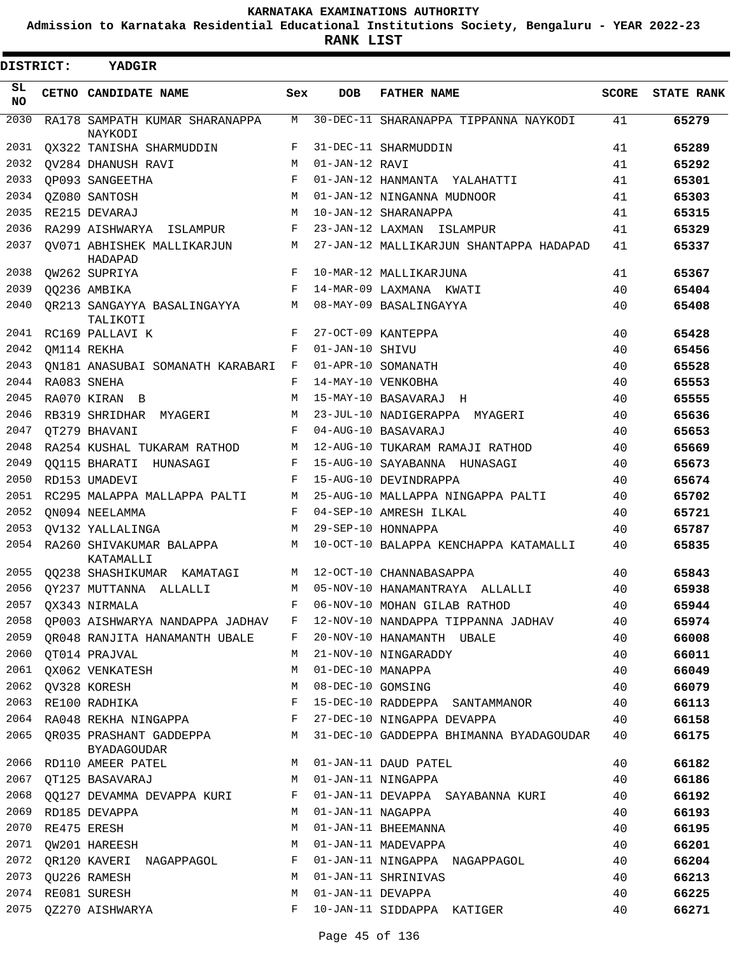**Admission to Karnataka Residential Educational Institutions Society, Bengaluru - YEAR 2022-23**

**RANK LIST**

| DISTRICT:       | <b>YADGIR</b>                                 |            |                   |                                         |              |                   |
|-----------------|-----------------------------------------------|------------|-------------------|-----------------------------------------|--------------|-------------------|
| SL<br><b>NO</b> | CETNO CANDIDATE NAME                          | Sex        | <b>DOB</b>        | <b>FATHER NAME</b>                      | <b>SCORE</b> | <b>STATE RANK</b> |
| 2030            | RA178 SAMPATH KUMAR SHARANAPPA<br>NAYKODI     | М          |                   | 30-DEC-11 SHARANAPPA TIPPANNA NAYKODI   | 41           | 65279             |
| 2031            | QX322 TANISHA SHARMUDDIN                      | F          |                   | 31-DEC-11 SHARMUDDIN                    | 41           | 65289             |
| 2032            | OV284 DHANUSH RAVI                            | M          | 01-JAN-12 RAVI    |                                         | 41           | 65292             |
| 2033            | OP093 SANGEETHA                               | F          |                   | 01-JAN-12 HANMANTA YALAHATTI            | 41           | 65301             |
| 2034            | OZ080 SANTOSH                                 | M          |                   | 01-JAN-12 NINGANNA MUDNOOR              | 41           | 65303             |
| 2035            | RE215 DEVARAJ                                 | M          |                   | 10-JAN-12 SHARANAPPA                    | 41           | 65315             |
| 2036            | RA299 AISHWARYA ISLAMPUR                      | F          |                   | 23-JAN-12 LAXMAN ISLAMPUR               | 41           | 65329             |
| 2037            | OV071 ABHISHEK MALLIKARJUN<br>HADAPAD         | М          |                   | 27-JAN-12 MALLIKARJUN SHANTAPPA HADAPAD | 41           | 65337             |
| 2038            | QW262 SUPRIYA                                 | F          |                   | 10-MAR-12 MALLIKARJUNA                  | 41           | 65367             |
| 2039            | QQ236 AMBIKA                                  | $_{\rm F}$ |                   | 14-MAR-09 LAXMANA KWATI                 | 40           | 65404             |
| 2040            | OR213 SANGAYYA BASALINGAYYA<br>TALIKOTI       | М          |                   | 08-MAY-09 BASALINGAYYA                  | 40           | 65408             |
| 2041            | RC169 PALLAVI K                               | F          |                   | 27-OCT-09 KANTEPPA                      | 40           | 65428             |
| 2042            | OM114 REKHA                                   | F          | 01-JAN-10 SHIVU   |                                         | 40           | 65456             |
| 2043            | ON181 ANASUBAI SOMANATH KARABARI              | F          |                   | 01-APR-10 SOMANATH                      | 40           | 65528             |
| 2044            | RA083 SNEHA                                   | F          |                   | 14-MAY-10 VENKOBHA                      | 40           | 65553             |
| 2045            | RA070 KIRAN<br>$\Box$                         | M          |                   | 15-MAY-10 BASAVARAJ<br>$_{\rm H}$       | 40           | 65555             |
| 2046            | RB319 SHRIDHAR<br>MYAGERI                     | M          |                   | 23-JUL-10 NADIGERAPPA<br>MYAGERI        | 40           | 65636             |
| 2047            | OT279 BHAVANI                                 | F          |                   | 04-AUG-10 BASAVARAJ                     | 40           | 65653             |
| 2048            | RA254 KUSHAL TUKARAM RATHOD                   | М          |                   | 12-AUG-10 TUKARAM RAMAJI RATHOD         | 40           | 65669             |
| 2049            | 00115 BHARATI HUNASAGI                        | F          |                   | 15-AUG-10 SAYABANNA HUNASAGI            | 40           | 65673             |
| 2050            | RD153 UMADEVI                                 | F          |                   | 15-AUG-10 DEVINDRAPPA                   | 40           | 65674             |
| 2051            | RC295 MALAPPA MALLAPPA PALTI                  | M          |                   | 25-AUG-10 MALLAPPA NINGAPPA PALTI       | 40           | 65702             |
| 2052            | ON094 NEELAMMA                                | F          |                   | 04-SEP-10 AMRESH ILKAL                  | 40           | 65721             |
| 2053            | OV132 YALLALINGA                              | M          |                   | 29-SEP-10 HONNAPPA                      | 40           | 65787             |
| 2054            | RA260 SHIVAKUMAR BALAPPA<br>KATAMALLI         | M          |                   | 10-OCT-10 BALAPPA KENCHAPPA KATAMALLI   | 40           | 65835             |
| 2055            | QQ238 SHASHIKUMAR KAMATAGI                    | M          |                   | 12-OCT-10 CHANNABASAPPA                 | 40           | 65843             |
| 2056            | OY237 MUTTANNA ALLALLI                        | М          |                   | 05-NOV-10 HANAMANTRAYA ALLALLI          | 40           | 65938             |
| 2057            | QX343 NIRMALA                                 | F          |                   | 06-NOV-10 MOHAN GILAB RATHOD            | 40           | 65944             |
| 2058            | QP003 AISHWARYA NANDAPPA JADHAV               | F          |                   | 12-NOV-10 NANDAPPA TIPPANNA JADHAV      | 40           | 65974             |
| 2059            | OR048 RANJITA HANAMANTH UBALE                 | F          |                   | 20-NOV-10 HANAMANTH UBALE               | 40           | 66008             |
| 2060            | QT014 PRAJVAL                                 | М          |                   | 21-NOV-10 NINGARADDY                    | 40           | 66011             |
| 2061            | QX062 VENKATESH                               | М          | 01-DEC-10 MANAPPA |                                         | 40           | 66049             |
| 2062            | QV328 KORESH                                  | М          |                   | 08-DEC-10 GOMSING                       | 40           | 66079             |
| 2063            | RE100 RADHIKA                                 | F          |                   | 15-DEC-10 RADDEPPA SANTAMMANOR          | 40           | 66113             |
| 2064            | RA048 REKHA NINGAPPA                          | F          |                   | 27-DEC-10 NINGAPPA DEVAPPA              | 40           | 66158             |
| 2065            | QR035 PRASHANT GADDEPPA<br><b>BYADAGOUDAR</b> | M          |                   | 31-DEC-10 GADDEPPA BHIMANNA BYADAGOUDAR | 40           | 66175             |
| 2066            | RD110 AMEER PATEL                             | М          |                   | 01-JAN-11 DAUD PATEL                    | 40           | 66182             |
| 2067            | QT125 BASAVARAJ                               | М          |                   | 01-JAN-11 NINGAPPA                      | 40           | 66186             |
| 2068            | QQ127 DEVAMMA DEVAPPA KURI                    | F          |                   | 01-JAN-11 DEVAPPA SAYABANNA KURI        | 40           | 66192             |
| 2069            | RD185 DEVAPPA                                 | М          | 01-JAN-11 NAGAPPA |                                         | 40           | 66193             |
| 2070            | RE475 ERESH                                   | M          |                   | 01-JAN-11 BHEEMANNA                     | 40           | 66195             |
| 2071            | OW201 HAREESH                                 | М          |                   | 01-JAN-11 MADEVAPPA                     | 40           | 66201             |
|                 | 2072 QR120 KAVERI NAGAPPAGOL                  | F          |                   | 01-JAN-11 NINGAPPA NAGAPPAGOL           | 40           | 66204             |
| 2073            | QU226 RAMESH                                  | M          |                   | 01-JAN-11 SHRINIVAS                     | 40           | 66213             |
| 2074            | RE081 SURESH                                  | М          | 01-JAN-11 DEVAPPA |                                         | 40           | 66225             |
| 2075            | QZ270 AISHWARYA                               | F          |                   | 10-JAN-11 SIDDAPPA KATIGER              | 40           | 66271             |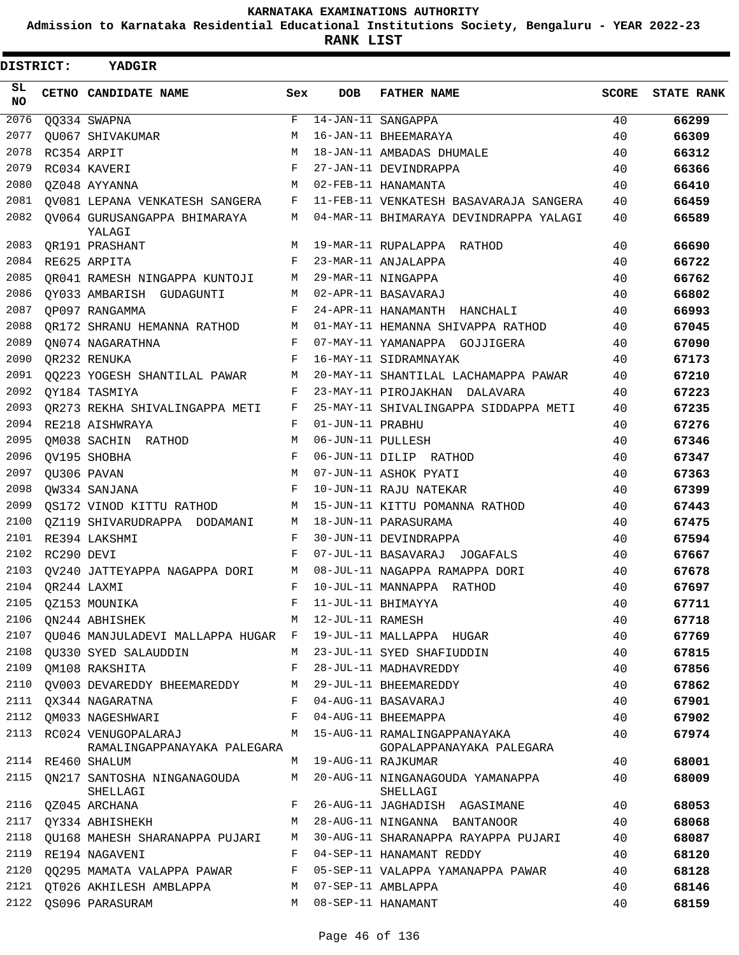**Admission to Karnataka Residential Educational Institutions Society, Bengaluru - YEAR 2022-23**

**RANK LIST**

| <b>DISTRICT:</b> |                  | <b>YADGIR</b>                                    |     |                   |                                                               |              |                   |
|------------------|------------------|--------------------------------------------------|-----|-------------------|---------------------------------------------------------------|--------------|-------------------|
| SL.<br><b>NO</b> |                  | <b>CETNO CANDIDATE NAME</b>                      | Sex | <b>DOB</b>        | <b>FATHER NAME</b>                                            | <b>SCORE</b> | <b>STATE RANK</b> |
| 2076             |                  | 00334 SWAPNA                                     | F   |                   | $14-JAN-11$ SANGAPPA                                          | 40           | 66299             |
| 2077             |                  | OU067 SHIVAKUMAR                                 | M   |                   | 16-JAN-11 BHEEMARAYA                                          | 40           | 66309             |
| 2078             |                  | RC354 ARPIT                                      | M   |                   | 18-JAN-11 AMBADAS DHUMALE                                     | 40           | 66312             |
| 2079             |                  | RC034 KAVERI                                     | F   |                   | 27-JAN-11 DEVINDRAPPA                                         | 40           | 66366             |
| 2080             |                  | OZ048 AYYANNA                                    | M   |                   | 02-FEB-11 HANAMANTA                                           | 40           | 66410             |
| 2081             |                  | QV081 LEPANA VENKATESH SANGERA                   | F   |                   | 11-FEB-11 VENKATESH BASAVARAJA SANGERA                        | 40           | 66459             |
| 2082             |                  | OV064 GURUSANGAPPA BHIMARAYA<br>YALAGI           | М   |                   | 04-MAR-11 BHIMARAYA DEVINDRAPPA YALAGI                        | 40           | 66589             |
| 2083             |                  | OR191 PRASHANT                                   | М   |                   | 19-MAR-11 RUPALAPPA RATHOD                                    | 40           | 66690             |
| 2084             |                  | RE625 ARPITA                                     | F   |                   | 23-MAR-11 ANJALAPPA                                           | 40           | 66722             |
| 2085             |                  | OR041 RAMESH NINGAPPA KUNTOJI                    | M   |                   | 29-MAR-11 NINGAPPA                                            | 40           | 66762             |
| 2086             |                  | QY033 AMBARISH GUDAGUNTI                         | M   |                   | 02-APR-11 BASAVARAJ                                           | 40           | 66802             |
| 2087             |                  | OP097 RANGAMMA                                   | F   |                   | 24-APR-11 HANAMANTH HANCHALI                                  | 40           | 66993             |
| 2088             |                  | OR172 SHRANU HEMANNA RATHOD                      | M   |                   | 01-MAY-11 HEMANNA SHIVAPPA RATHOD                             | 40           | 67045             |
| 2089             |                  | ON074 NAGARATHNA                                 | F   |                   | 07-MAY-11 YAMANAPPA GOJJIGERA                                 | 40           | 67090             |
| 2090             |                  | QR232 RENUKA                                     | F   |                   | 16-MAY-11 SIDRAMNAYAK                                         | 40           | 67173             |
| 2091             |                  | 00223 YOGESH SHANTILAL PAWAR                     | М   |                   | 20-MAY-11 SHANTILAL LACHAMAPPA PAWAR                          | 40           | 67210             |
| 2092             |                  | OY184 TASMIYA                                    | F   |                   | 23-MAY-11 PIROJAKHAN DALAVARA                                 | 40           | 67223             |
| 2093             |                  | OR273 REKHA SHIVALINGAPPA METI                   | F   |                   | 25-MAY-11 SHIVALINGAPPA SIDDAPPA METI                         | 40           | 67235             |
| 2094             |                  | RE218 AISHWRAYA                                  | F   | 01-JUN-11 PRABHU  |                                                               | 40           | 67276             |
| 2095             |                  | QM038 SACHIN RATHOD                              | М   | 06-JUN-11 PULLESH |                                                               | 40           | 67346             |
| 2096             |                  | QV195 SHOBHA                                     | F   |                   | 06-JUN-11 DILIP RATHOD                                        | 40           | 67347             |
| 2097             |                  | QU306 PAVAN                                      | M   |                   | 07-JUN-11 ASHOK PYATI                                         | 40           | 67363             |
| 2098             |                  | OW334 SANJANA                                    | F   |                   | 10-JUN-11 RAJU NATEKAR                                        | 40           | 67399             |
| 2099             |                  | OS172 VINOD KITTU RATHOD                         | M   |                   | 15-JUN-11 KITTU POMANNA RATHOD                                | 40           | 67443             |
| 2100             |                  | QZ119 SHIVARUDRAPPA DODAMANI                     | М   |                   | 18-JUN-11 PARASURAMA                                          | 40           | 67475             |
| 2101             |                  | RE394 LAKSHMI                                    | F   |                   | 30-JUN-11 DEVINDRAPPA                                         | 40           | 67594             |
| 2102             | RC290 DEVI       |                                                  | F   |                   | 07-JUL-11 BASAVARAJ JOGAFALS                                  | 40           | 67667             |
| 2103             |                  | OV240 JATTEYAPPA NAGAPPA DORI                    | M   |                   | 08-JUL-11 NAGAPPA RAMAPPA DORI                                | 40           | 67678             |
|                  | 2104 QR244 LAXMI |                                                  | F   |                   | 10-JUL-11 MANNAPPA RATHOD                                     | 40           | 67697             |
| 2105             |                  | OZ153 MOUNIKA                                    | F   |                   | 11-JUL-11 BHIMAYYA                                            | 40           | 67711             |
| 2106             |                  | ON244 ABHISHEK                                   | М   | 12-JUL-11 RAMESH  |                                                               | 40           | 67718             |
| 2107             |                  | QU046 MANJULADEVI MALLAPPA HUGAR F               |     |                   | 19-JUL-11 MALLAPPA HUGAR                                      | 40           | 67769             |
| 2108             |                  | QU330 SYED SALAUDDIN                             | M   |                   | 23-JUL-11 SYED SHAFIUDDIN                                     | 40           | 67815             |
| 2109             |                  | QM108 RAKSHITA                                   | F   |                   | 28-JUL-11 MADHAVREDDY                                         | 40           | 67856             |
| 2110             |                  | QV003 DEVAREDDY BHEEMAREDDY                      | М   |                   | 29-JUL-11 BHEEMAREDDY                                         | 40           | 67862             |
| 2111             |                  | OX344 NAGARATNA                                  | F   |                   | 04-AUG-11 BASAVARAJ                                           | 40           | 67901             |
| 2112             |                  | OM033 NAGESHWARI                                 | F   |                   | 04-AUG-11 BHEEMAPPA                                           | 40           | 67902             |
|                  |                  | 2113 RC024 VENUGOPALARAJ                         | M   |                   | 15-AUG-11 RAMALINGAPPANAYAKA                                  | 40           | 67974             |
|                  |                  | RAMALINGAPPANAYAKA PALEGARA<br>2114 RE460 SHALUM | M   |                   | GOPALAPPANAYAKA PALEGARA<br>19-AUG-11 RAJKUMAR                | 40           | 68001             |
|                  |                  | 2115 QN217 SANTOSHA NINGANAGOUDA                 | M   |                   | 20-AUG-11 NINGANAGOUDA YAMANAPPA                              | 40           | 68009             |
| 2116             |                  | SHELLAGI                                         | F   |                   | SHELLAGI                                                      |              |                   |
| 2117             |                  | QZ045 ARCHANA                                    | M   |                   | 26-AUG-11 JAGHADISH AGASIMANE<br>28-AUG-11 NINGANNA BANTANOOR | 40           | 68053             |
|                  |                  | QY334 ABHISHEKH                                  |     |                   |                                                               | 40           | 68068             |
| 2118             |                  | QU168 MAHESH SHARANAPPA PUJARI                   | M   |                   | 30-AUG-11 SHARANAPPA RAYAPPA PUJARI                           | 40           | 68087             |
| 2119             |                  | RE194 NAGAVENI                                   | F   |                   | 04-SEP-11 HANAMANT REDDY                                      | 40           | 68120             |
| 2120             |                  | 00295 MAMATA VALAPPA PAWAR                       | F   |                   | 05-SEP-11 VALAPPA YAMANAPPA PAWAR                             | 40           | 68128             |
|                  |                  | 2121 OT026 AKHILESH AMBLAPPA                     | M   |                   | 07-SEP-11 AMBLAPPA                                            | 40           | 68146             |
| 2122             |                  | QS096 PARASURAM                                  | M   |                   | 08-SEP-11 HANAMANT                                            | 40           | 68159             |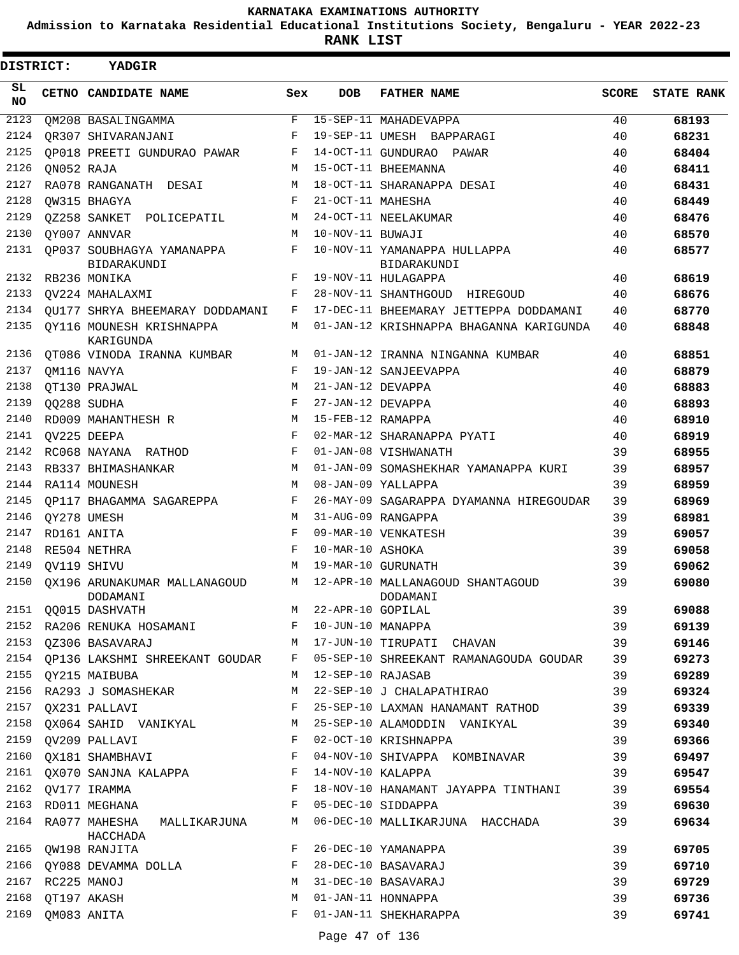**Admission to Karnataka Residential Educational Institutions Society, Bengaluru - YEAR 2022-23**

**RANK LIST**

| DISTRICT: |                  | YADGIR                                                   |     |                   |                                                                                 |       |                   |
|-----------|------------------|----------------------------------------------------------|-----|-------------------|---------------------------------------------------------------------------------|-------|-------------------|
| SL<br>NO. |                  | CETNO CANDIDATE NAME                                     | Sex | <b>DOB</b>        | <b>FATHER NAME</b>                                                              | SCORE | <b>STATE RANK</b> |
| 2123      |                  | OM208 BASALINGAMMA                                       | F   |                   | 15-SEP-11 MAHADEVAPPA                                                           | 40    | 68193             |
| 2124      |                  | OR307 SHIVARANJANI                                       | F   |                   | 19-SEP-11 UMESH BAPPARAGI                                                       | 40    | 68231             |
| 2125      |                  | OP018 PREETI GUNDURAO PAWAR                              | F   |                   | 14-OCT-11 GUNDURAO PAWAR                                                        | 40    | 68404             |
| 2126      | ON052 RAJA       |                                                          | M   |                   | 15-OCT-11 BHEEMANNA                                                             | 40    | 68411             |
| 2127      |                  | RA078 RANGANATH DESAI                                    | М   |                   | 18-OCT-11 SHARANAPPA DESAI                                                      | 40    | 68431             |
| 2128      |                  | OW315 BHAGYA                                             | F   | 21-OCT-11 MAHESHA |                                                                                 | 40    | 68449             |
| 2129      |                  | OZ258 SANKET POLICEPATIL                                 | М   |                   | 24-OCT-11 NEELAKUMAR                                                            | 40    | 68476             |
| 2130      |                  | OY007 ANNVAR                                             | М   | 10-NOV-11 BUWAJI  |                                                                                 | 40    | 68570             |
| 2131      |                  | OP037 SOUBHAGYA YAMANAPPA<br>BIDARAKUNDI                 | F   |                   | 10-NOV-11 YAMANAPPA HULLAPPA<br>BIDARAKUNDI                                     | 40    | 68577             |
| 2132      |                  | RB236 MONIKA                                             | F   |                   | 19-NOV-11 HULAGAPPA                                                             | 40    | 68619             |
| 2133      |                  | OV224 MAHALAXMI                                          | F   |                   | 28-NOV-11 SHANTHGOUD HIREGOUD                                                   | 40    | 68676             |
| 2134      |                  | OU177 SHRYA BHEEMARAY DODDAMANI                          | F   |                   | 17-DEC-11 BHEEMARAY JETTEPPA DODDAMANI                                          | 40    | 68770             |
| 2135      |                  | OY116 MOUNESH KRISHNAPPA<br>KARIGUNDA                    | М   |                   | 01-JAN-12 KRISHNAPPA BHAGANNA KARIGUNDA                                         | 40    | 68848             |
| 2136      |                  | QT086 VINODA IRANNA KUMBAR                               | M   |                   | 01-JAN-12 IRANNA NINGANNA KUMBAR                                                | 40    | 68851             |
| 2137      |                  | OM116 NAVYA                                              | F   |                   | 19-JAN-12 SANJEEVAPPA                                                           | 40    | 68879             |
| 2138      |                  | QT130 PRAJWAL                                            | М   | 21-JAN-12 DEVAPPA |                                                                                 | 40    | 68883             |
| 2139      |                  | QQ288 SUDHA                                              | F   | 27-JAN-12 DEVAPPA |                                                                                 | 40    | 68893             |
| 2140      |                  | RD009 MAHANTHESH R                                       | М   | 15-FEB-12 RAMAPPA |                                                                                 | 40    | 68910             |
| 2141      |                  | OV225 DEEPA                                              | F   |                   | 02-MAR-12 SHARANAPPA PYATI                                                      | 40    | 68919             |
| 2142      |                  | RC068 NAYANA RATHOD                                      | F   |                   | 01-JAN-08 VISHWANATH                                                            | 39    | 68955             |
| 2143      |                  | RB337 BHIMASHANKAR                                       | М   |                   | 01-JAN-09 SOMASHEKHAR YAMANAPPA KURI                                            | 39    | 68957             |
| 2144      |                  | RA114 MOUNESH                                            | М   |                   | 08-JAN-09 YALLAPPA                                                              | 39    | 68959             |
| 2145      |                  | OP117 BHAGAMMA SAGAREPPA                                 | F   |                   | 26-MAY-09 SAGARAPPA DYAMANNA HIREGOUDAR                                         | 39    | 68969             |
| 2146      |                  | QY278 UMESH                                              | М   |                   | 31-AUG-09 RANGAPPA                                                              | 39    | 68981             |
| 2147      |                  | RD161 ANITA                                              | F   |                   | 09-MAR-10 VENKATESH                                                             | 39    | 69057             |
| 2148      |                  | RE504 NETHRA                                             | F   | 10-MAR-10 ASHOKA  |                                                                                 | 39    | 69058             |
| 2149      |                  | OV119 SHIVU                                              | М   |                   | 19-MAR-10 GURUNATH                                                              | 39    | 69062             |
| 2150      |                  | OX196 ARUNAKUMAR MALLANAGOUD<br>DODAMANI                 | M   |                   | 12-APR-10 MALLANAGOUD SHANTAGOUD<br>DODAMANT                                    | 39    | 69080             |
|           |                  | 2151 QQ015 DASHVATH                                      |     |                   | M 22-APR-10 GOPILAL                                                             | 39    | 69088             |
|           |                  | 2152 RA206 RENUKA HOSAMANI KWA KWA KWA KWA TUNIO MANAPPA |     |                   |                                                                                 | 39    | 69139             |
|           |                  |                                                          |     |                   | 2153 QZ306 BASAVARAJ M 17-JUN-10 TIRUPATI CHAVAN                                | 39    | 69146             |
|           |                  |                                                          |     |                   | 2154 QP136 LAKSHMI SHREEKANT GOUDAR F 05-SEP-10 SHREEKANT RAMANAGOUDA GOUDAR 39 |       | 69273             |
|           |                  | 2155 QY215 MAIBUBA                                       |     |                   | M 12-SEP-10 RAJASAB                                                             | 39    | 69289             |
| 2156      |                  | RA293 J SOMASHEKAR                                       |     |                   | M 22-SEP-10 J CHALAPATHIRAO                                                     | 39    | 69324             |
|           |                  | 2157 QX231 PALLAVI                                       |     |                   | F 25-SEP-10 LAXMAN HANAMANT RATHOD 39                                           |       | 69339             |
|           |                  |                                                          |     |                   | 2158 QX064 SAHID VANIKYAL M 25-SEP-10 ALAMODDIN VANIKYAL 39                     |       | 69340             |
|           |                  | 2159 QV209 PALLAVI                                       |     |                   | F 02-OCT-10 KRISHNAPPA                                                          | 39    | 69366             |
|           |                  |                                                          |     |                   | 2160 QX181 SHAMBHAVI F 04-NOV-10 SHIVAPPA KOMBINAVAR 39                         |       | 69497             |
|           |                  |                                                          |     |                   | 2161 QX070 SANJNA KALAPPA F 14-NOV-10 KALAPPA                                   | 39    | 69547             |
|           |                  | 2162 QV177 IRAMMA                                        |     |                   | F 18-NOV-10 HANAMANT JAYAPPA TINTHANI 39                                        |       | 69554             |
| 2163      |                  | RD011 MEGHANA                                            |     |                   | F 05-DEC-10 SIDDAPPA                                                            | 39    | 69630             |
|           |                  | 2164 RA077 MAHESHA MALLIKARJUNA<br>HACCHADA              |     |                   | M 06-DEC-10 MALLIKARJUNA HACCHADA                                               | 39    | 69634             |
|           |                  | 2165 QW198 RANJITA                                       | F   |                   | 26-DEC-10 YAMANAPPA                                                             | 39    | 69705             |
|           |                  | 2166 QY088 DEVAMMA DOLLA $F$ 28-DEC-10 BASAVARAJ         |     |                   |                                                                                 | 39    | 69710             |
|           | 2167 RC225 MANOJ |                                                          | M   |                   | 31-DEC-10 BASAVARAJ                                                             | 39    | 69729             |
|           | 2168 QT197 AKASH |                                                          | M   |                   | 01-JAN-11 HONNAPPA                                                              | 39    | 69736             |
|           | 2169 QM083 ANITA |                                                          |     |                   | F 01-JAN-11 SHEKHARAPPA                                                         | 39    | 69741             |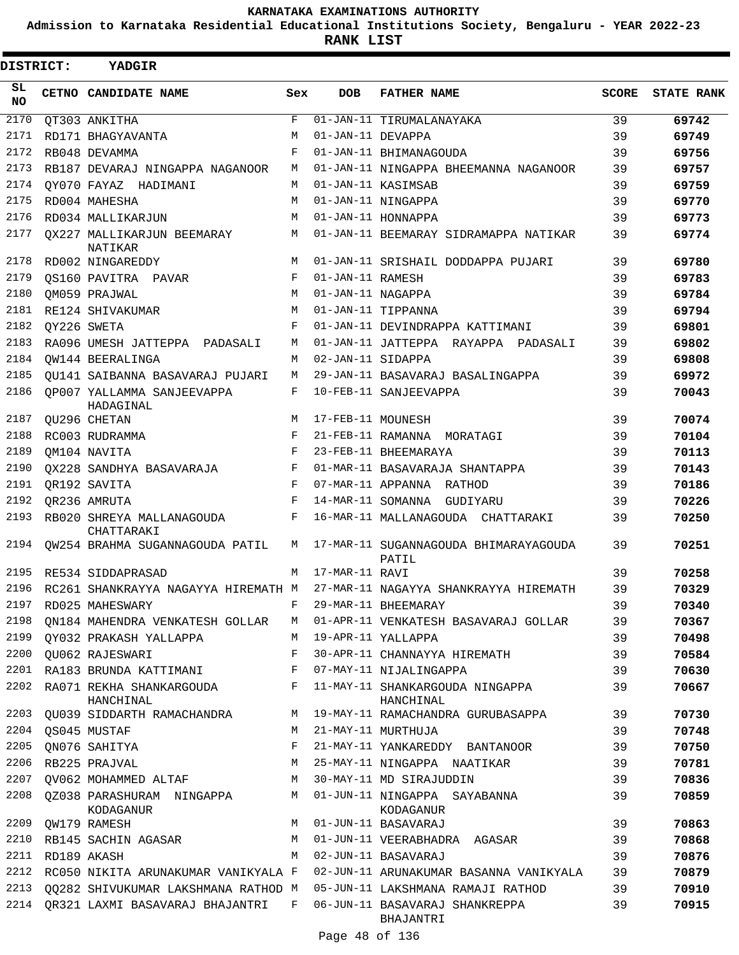**Admission to Karnataka Residential Educational Institutions Society, Bengaluru - YEAR 2022-23**

**RANK LIST**

 $\blacksquare$ 

| DISTRICT: | YADGIR                                  |            |                   |                                                |              |                   |
|-----------|-----------------------------------------|------------|-------------------|------------------------------------------------|--------------|-------------------|
| SL<br>NO. | CETNO CANDIDATE NAME                    | Sex        | <b>DOB</b>        | <b>FATHER NAME</b>                             | <b>SCORE</b> | <b>STATE RANK</b> |
| 2170      | QT303 ANKITHA                           | F          |                   | 01-JAN-11 TIRUMALANAYAKA                       | 39           | 69742             |
| 2171      | RD171 BHAGYAVANTA                       | М          | 01-JAN-11 DEVAPPA |                                                | 39           | 69749             |
| 2172      | RB048 DEVAMMA                           | F          |                   | 01-JAN-11 BHIMANAGOUDA                         | 39           | 69756             |
| 2173      | RB187 DEVARAJ NINGAPPA NAGANOOR         | М          |                   | 01-JAN-11 NINGAPPA BHEEMANNA NAGANOOR          | 39           | 69757             |
| 2174      | OY070 FAYAZ HADIMANI                    | M          |                   | 01-JAN-11 KASIMSAB                             | 39           | 69759             |
| 2175      | RD004 MAHESHA                           | M          |                   | 01-JAN-11 NINGAPPA                             | 39           | 69770             |
| 2176      | RD034 MALLIKARJUN                       | M          |                   | 01-JAN-11 HONNAPPA                             | 39           | 69773             |
| 2177      | OX227 MALLIKARJUN BEEMARAY<br>NATIKAR   | M          |                   | 01-JAN-11 BEEMARAY SIDRAMAPPA NATIKAR          | 39           | 69774             |
| 2178      | RD002 NINGAREDDY                        | M          |                   | 01-JAN-11 SRISHAIL DODDAPPA PUJARI             | 39           | 69780             |
| 2179      | OS160 PAVITRA PAVAR                     | F          | 01-JAN-11 RAMESH  |                                                | 39           | 69783             |
| 2180      | QM059 PRAJWAL                           | M          | 01-JAN-11 NAGAPPA |                                                | 39           | 69784             |
| 2181      | RE124 SHIVAKUMAR                        | M          |                   | 01-JAN-11 TIPPANNA                             | 39           | 69794             |
| 2182      | OY226 SWETA                             | F          |                   | 01-JAN-11 DEVINDRAPPA KATTIMANI                | 39           | 69801             |
| 2183      | RA096 UMESH JATTEPPA PADASALI           | M          |                   | 01-JAN-11 JATTEPPA RAYAPPA PADASALI            | 39           | 69802             |
| 2184      | OW144 BEERALINGA                        | M          | 02-JAN-11 SIDAPPA |                                                | 39           | 69808             |
| 2185      | OU141 SAIBANNA BASAVARAJ PUJARI         | M          |                   | 29-JAN-11 BASAVARAJ BASALINGAPPA               | 39           | 69972             |
| 2186      | OP007 YALLAMMA SANJEEVAPPA<br>HADAGINAL | F          |                   | 10-FEB-11 SANJEEVAPPA                          | 39           | 70043             |
| 2187      | QU296 CHETAN                            | M          | 17-FEB-11 MOUNESH |                                                | 39           | 70074             |
| 2188      | RC003 RUDRAMMA                          | F          |                   | 21-FEB-11 RAMANNA MORATAGI                     | 39           | 70104             |
| 2189      | OM104 NAVITA                            | $_{\rm F}$ |                   | 23-FEB-11 BHEEMARAYA                           | 39           | 70113             |
| 2190      | OX228 SANDHYA BASAVARAJA                | F          |                   | 01-MAR-11 BASAVARAJA SHANTAPPA                 | 39           | 70143             |
| 2191      | OR192 SAVITA                            | $_{\rm F}$ |                   | 07-MAR-11 APPANNA RATHOD                       | 39           | 70186             |
| 2192      | OR236 AMRUTA                            | $_{\rm F}$ |                   | 14-MAR-11 SOMANNA GUDIYARU                     | 39           | 70226             |
| 2193      | RB020 SHREYA MALLANAGOUDA<br>CHATTARAKI | F          |                   | 16-MAR-11 MALLANAGOUDA CHATTARAKI              | 39           | 70250             |
| 2194      | QW254 BRAHMA SUGANNAGOUDA PATIL         | M          |                   | 17-MAR-11 SUGANNAGOUDA BHIMARAYAGOUDA<br>PATIL | 39           | 70251             |
| 2195      | RE534 SIDDAPRASAD                       | M          | 17-MAR-11 RAVI    |                                                | 39           | 70258             |
| 2196      | RC261 SHANKRAYYA NAGAYYA HIREMATH M     |            |                   | 27-MAR-11 NAGAYYA SHANKRAYYA HIREMATH          | 39           | 70329             |
| 2197      | RD025 MAHESWARY                         | F          |                   | 29-MAR-11 BHEEMARAY                            | 39           | 70340             |
| 2198      | ON184 MAHENDRA VENKATESH GOLLAR         | M          |                   | 01-APR-11 VENKATESH BASAVARAJ GOLLAR           | 39           | 70367             |
| 2199      | OY032 PRAKASH YALLAPPA                  | М          |                   | 19-APR-11 YALLAPPA                             | 39           | 70498             |
| 2200      | OU062 RAJESWARI                         | F          |                   | 30-APR-11 CHANNAYYA HIREMATH                   | 39           | 70584             |
| 2201      | RA183 BRUNDA KATTIMANI                  | F          |                   | 07-MAY-11 NIJALINGAPPA                         | 39           | 70630             |
| 2202      | RA071 REKHA SHANKARGOUDA<br>HANCHINAL   | F          |                   | 11-MAY-11 SHANKARGOUDA NINGAPPA<br>HANCHINAL   | 39           | 70667             |
| 2203      | QU039 SIDDARTH RAMACHANDRA              | М          |                   | 19-MAY-11 RAMACHANDRA GURUBASAPPA              | 39           | 70730             |
| 2204      | OS045 MUSTAF                            | M          |                   | 21-MAY-11 MURTHUJA                             | 39           | 70748             |
| 2205      | QN076 SAHITYA                           | F          |                   | 21-MAY-11 YANKAREDDY BANTANOOR                 | 39           | 70750             |
| 2206      | RB225 PRAJVAL                           | M          |                   | 25-MAY-11 NINGAPPA NAATIKAR                    | 39           | 70781             |
| 2207      | OV062 MOHAMMED ALTAF                    | М          |                   | 30-MAY-11 MD SIRAJUDDIN                        | 39           | 70836             |
| 2208      | 0Z038 PARASHURAM NINGAPPA<br>KODAGANUR  | M          |                   | 01-JUN-11 NINGAPPA SAYABANNA<br>KODAGANUR      | 39           | 70859             |
| 2209      | OW179 RAMESH                            | М          |                   | 01-JUN-11 BASAVARAJ                            | 39           | 70863             |
| 2210      | RB145 SACHIN AGASAR                     | M          |                   | 01-JUN-11 VEERABHADRA AGASAR                   | 39           | 70868             |
| 2211      | RD189 AKASH                             | M          |                   | 02-JUN-11 BASAVARAJ                            | 39           | 70876             |
| 2212      | RC050 NIKITA ARUNAKUMAR VANIKYALA F     |            |                   | 02-JUN-11 ARUNAKUMAR BASANNA VANIKYALA         | 39           | 70879             |
| 2213      | QQ282 SHIVUKUMAR LAKSHMANA RATHOD M     |            |                   | 05-JUN-11 LAKSHMANA RAMAJI RATHOD              | 39           | 70910             |
| 2214      | QR321 LAXMI BASAVARAJ BHAJANTRI         | F          |                   | 06-JUN-11 BASAVARAJ SHANKREPPA<br>BHAJANTRI    | 39           | 70915             |

Page 48 of 136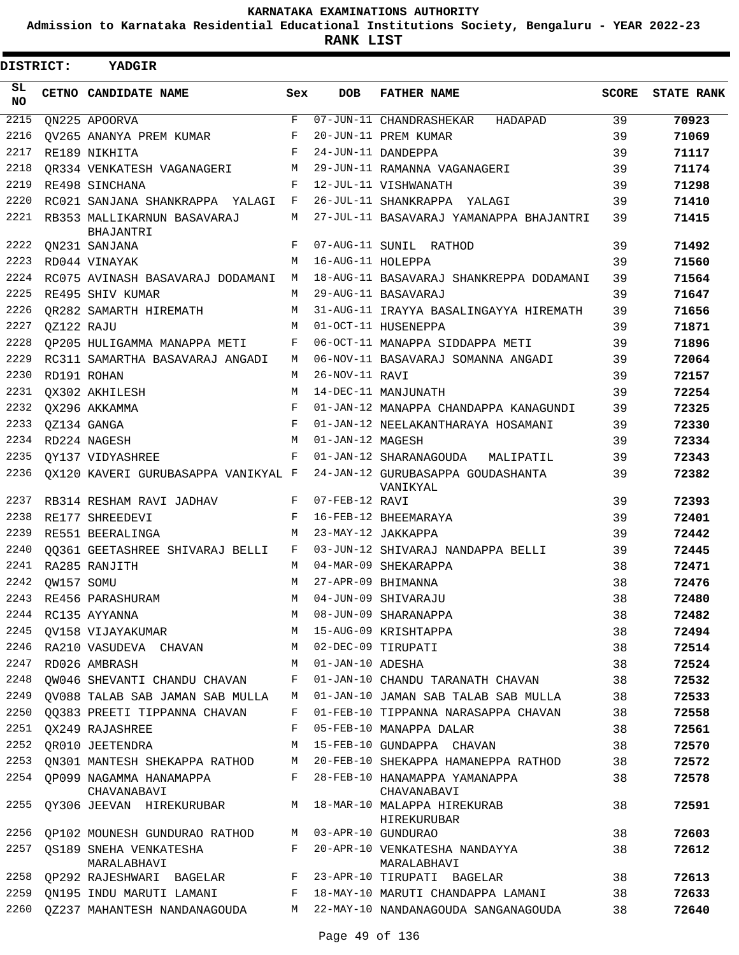**Admission to Karnataka Residential Educational Institutions Society, Bengaluru - YEAR 2022-23**

| DISTRICT:        |                 | YADGIR                                                 |         |                   |                                                                                   |       |                   |
|------------------|-----------------|--------------------------------------------------------|---------|-------------------|-----------------------------------------------------------------------------------|-------|-------------------|
| SL.<br><b>NO</b> |                 | CETNO CANDIDATE NAME                                   | Sex     | DOB               | <b>FATHER NAME</b>                                                                | SCORE | <b>STATE RANK</b> |
| 2215             |                 | ON225 APOORVA                                          | F       |                   | 07-JUN-11 CHANDRASHEKAR HADAPAD                                                   | 39    | 70923             |
| 2216             |                 | OV265 ANANYA PREM KUMAR                                | F       |                   | 20-JUN-11 PREM KUMAR                                                              | 39    | 71069             |
| 2217             |                 | RE189 NIKHITA                                          | F       |                   | 24-JUN-11 DANDEPPA                                                                | 39    | 71117             |
| 2218             |                 | QR334 VENKATESH VAGANAGERI                             | M       |                   | 29-JUN-11 RAMANNA VAGANAGERI                                                      | 39    | 71174             |
| 2219             |                 | RE498 SINCHANA                                         | F       |                   | 12-JUL-11 VISHWANATH                                                              | 39    | 71298             |
| 2220             |                 | RC021 SANJANA SHANKRAPPA YALAGI                        | F       |                   | 26-JUL-11 SHANKRAPPA YALAGI                                                       | 39    | 71410             |
| 2221             |                 | RB353 MALLIKARNUN BASAVARAJ<br>BHAJANTRI               | М       |                   | 27-JUL-11 BASAVARAJ YAMANAPPA BHAJANTRI                                           | 39    | 71415             |
| 2222             |                 | QN231 SANJANA                                          | F       |                   | 07-AUG-11 SUNIL RATHOD                                                            | 39    | 71492             |
| 2223             |                 | RD044 VINAYAK                                          | М       | 16-AUG-11 HOLEPPA |                                                                                   | 39    | 71560             |
| 2224             |                 | RC075 AVINASH BASAVARAJ DODAMANI                       | M       |                   | 18-AUG-11 BASAVARAJ SHANKREPPA DODAMANI                                           | 39    | 71564             |
| 2225             |                 | RE495 SHIV KUMAR                                       | M       |                   | 29-AUG-11 BASAVARAJ                                                               | 39    | 71647             |
| 2226             |                 | QR282 SAMARTH HIREMATH                                 | М       |                   | 31-AUG-11 IRAYYA BASALINGAYYA HIREMATH                                            | 39    | 71656             |
| 2227             | QZ122 RAJU      |                                                        | M       |                   | 01-OCT-11 HUSENEPPA                                                               | 39    | 71871             |
| 2228             |                 | QP205 HULIGAMMA MANAPPA METI                           | F       |                   | 06-OCT-11 MANAPPA SIDDAPPA METI                                                   | 39    | 71896             |
| 2229             |                 | RC311 SAMARTHA BASAVARAJ ANGADI                        | M       |                   | 06-NOV-11 BASAVARAJ SOMANNA ANGADI                                                | 39    | 72064             |
| 2230             |                 | RD191 ROHAN                                            | М       | 26-NOV-11 RAVI    |                                                                                   | 39    | 72157             |
| 2231             |                 | QX302 AKHILESH                                         | M       |                   | 14-DEC-11 MANJUNATH                                                               | 39    | 72254             |
| 2232             |                 | OX296 AKKAMMA                                          | F       |                   | 01-JAN-12 MANAPPA CHANDAPPA KANAGUNDI                                             | 39    | 72325             |
| 2233             |                 | QZ134 GANGA                                            | F       |                   | 01-JAN-12 NEELAKANTHARAYA HOSAMANI                                                | 39    | 72330             |
| 2234             |                 | RD224 NAGESH                                           | M       | 01-JAN-12 MAGESH  |                                                                                   | 39    | 72334             |
| 2235             |                 | QY137 VIDYASHREE                                       | F       |                   | 01-JAN-12 SHARANAGOUDA MALIPATIL                                                  | 39    | 72343             |
| 2236             |                 |                                                        |         |                   | QX120 KAVERI GURUBASAPPA VANIKYAL F 24-JAN-12 GURUBASAPPA GOUDASHANTA<br>VANIKYAL | 39    | 72382             |
| 2237             |                 | RB314 RESHAM RAVI JADHAV                               |         | F 07-FEB-12 RAVI  |                                                                                   | 39    | 72393             |
| 2238             |                 | RE177 SHREEDEVI                                        | F       |                   | 16-FEB-12 BHEEMARAYA                                                              | 39    | 72401             |
| 2239             |                 | RE551 BEERALINGA                                       | М       |                   | 23-MAY-12 JAKKAPPA                                                                | 39    | 72442             |
| 2240             |                 | 00361 GEETASHREE SHIVARAJ BELLI                        |         |                   | F 03-JUN-12 SHIVARAJ NANDAPPA BELLI                                               | 39    | 72445             |
| 2241             |                 | RA285 RANJITH                                          | M       |                   | 04-MAR-09 SHEKARAPPA                                                              | 38    | 72471             |
|                  | 2242 QW157 SOMU |                                                        | М       |                   | 27-APR-09 BHIMANNA                                                                | 38    | 72476             |
|                  |                 | 2243 RE456 PARASHURAM                                  |         |                   | M 04-JUN-09 SHIVARAJU                                                             | 38    | 72480             |
| 2244             |                 | RC135 AYYANNA                                          | M       |                   | 08-JUN-09 SHARANAPPA                                                              | 38    | 72482             |
| 2245             |                 | QV158 VIJAYAKUMAR                                      | М       |                   | 15-AUG-09 KRISHTAPPA                                                              | 38    | 72494             |
| 2246             |                 | RA210 VASUDEVA CHAVAN                                  | M       |                   | 02-DEC-09 TIRUPATI                                                                | 38    | 72514             |
| 2247             |                 | RD026 AMBRASH                                          | М       | 01-JAN-10 ADESHA  |                                                                                   | 38    | 72524             |
| 2248             |                 | OW046 SHEVANTI CHANDU CHAVAN                           | F       |                   | 01-JAN-10 CHANDU TARANATH CHAVAN                                                  | 38    | 72532             |
| 2249             |                 | QV088 TALAB SAB JAMAN SAB MULLA                        | M       |                   | 01-JAN-10 JAMAN SAB TALAB SAB MULLA                                               | 38    | 72533             |
| 2250             |                 | QQ383 PREETI TIPPANNA CHAVAN                           | F       |                   | 01-FEB-10 TIPPANNA NARASAPPA CHAVAN                                               | 38    | 72558             |
| 2251             |                 | OX249 RAJASHREE                                        | F       |                   | 05-FEB-10 MANAPPA DALAR                                                           | 38    | 72561             |
| 2252             |                 | OR010 JEETENDRA                                        | М       |                   | 15-FEB-10 GUNDAPPA CHAVAN                                                         | 38    | 72570             |
| 2253             |                 | QN301 MANTESH SHEKAPPA RATHOD M                        |         |                   | 20-FEB-10 SHEKAPPA HAMANEPPA RATHOD                                               | 38    | 72572             |
|                  |                 | 2254 OP099 NAGAMMA HANAMAPPA<br>CHAVANABAVI            | $F$ and |                   | 28-FEB-10 HANAMAPPA YAMANAPPA<br>CHAVANABAVI                                      | 38    | 72578             |
| 2255             |                 | QY306 JEEVAN HIREKURUBAR M 18-MAR-10 MALAPPA HIREKURAB |         |                   | HIREKURUBAR                                                                       | 38    | 72591             |
| 2256             |                 | QP102 MOUNESH GUNDURAO RATHOD M 03-APR-10 GUNDURAO     |         |                   |                                                                                   | 38    | 72603             |
|                  |                 | 2257 QS189 SNEHA VENKATESHA                            |         |                   | F 20-APR-10 VENKATESHA NANDAYYA                                                   | 38    | 72612             |
|                  |                 | MARALABHAVI                                            |         |                   | MARALABHAVI                                                                       |       |                   |
| 2258             |                 | QP292 RAJESHWARI BAGELAR F 23-APR-10 TIRUPATI BAGELAR  |         |                   |                                                                                   | 38    | 72613             |
|                  |                 |                                                        |         |                   | 2259 QN195 INDU MARUTI LAMANI F 18-MAY-10 MARUTI CHANDAPPA LAMANI                 | 38    | 72633             |
| 2260             |                 |                                                        |         |                   | QZ237 MAHANTESH NANDANAGOUDA MASA 22-MAY-10 NANDANAGOUDA SANGANAGOUDA             | 38    | 72640             |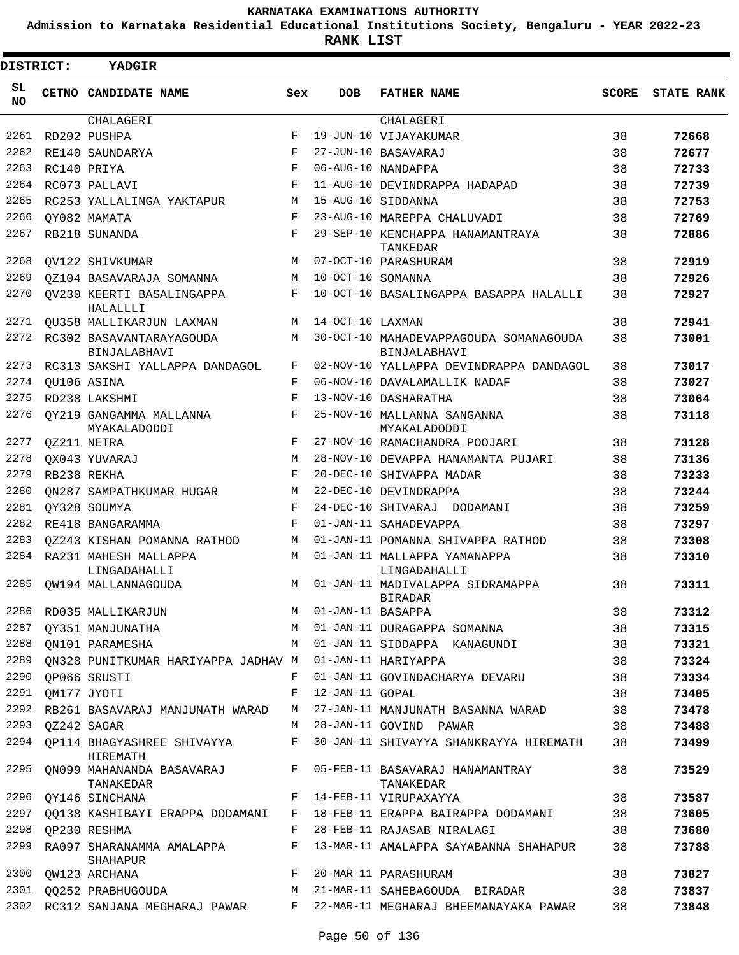**Admission to Karnataka Residential Educational Institutions Society, Bengaluru - YEAR 2022-23**

**RANK LIST**

| DISTRICT: |                  | YADGIR                                                  |            |                     |                                                                               |              |                   |
|-----------|------------------|---------------------------------------------------------|------------|---------------------|-------------------------------------------------------------------------------|--------------|-------------------|
| SL<br>NO. |                  | CETNO CANDIDATE NAME                                    | Sex        | <b>DOB</b>          | <b>FATHER NAME</b>                                                            | <b>SCORE</b> | <b>STATE RANK</b> |
|           |                  | <b>CHALAGERI</b>                                        |            |                     | CHALAGERI                                                                     |              |                   |
| 2261      |                  | RD202 PUSHPA                                            | F          |                     | 19-JUN-10 VIJAYAKUMAR                                                         | 38           | 72668             |
| 2262      |                  | RE140 SAUNDARYA                                         | F          |                     | 27-JUN-10 BASAVARAJ                                                           | 38           | 72677             |
| 2263      |                  | RC140 PRIYA                                             | F          |                     | 06-AUG-10 NANDAPPA                                                            | 38           | 72733             |
| 2264      |                  | RC073 PALLAVI                                           | F          |                     | 11-AUG-10 DEVINDRAPPA HADAPAD                                                 | 38           | 72739             |
| 2265      |                  | RC253 YALLALINGA YAKTAPUR                               | М          |                     | 15-AUG-10 SIDDANNA                                                            | 38           | 72753             |
| 2266      |                  | OY082 MAMATA                                            | F          |                     | 23-AUG-10 MAREPPA CHALUVADI                                                   | 38           | 72769             |
| 2267      |                  | RB218 SUNANDA                                           | $_{\rm F}$ |                     | 29-SEP-10 KENCHAPPA HANAMANTRAYA<br>TANKEDAR                                  | 38           | 72886             |
| 2268      |                  | OV122 SHIVKUMAR                                         | M          |                     | 07-OCT-10 PARASHURAM                                                          | 38           | 72919             |
| 2269      |                  | OZ104 BASAVARAJA SOMANNA                                | М          | 10-OCT-10 SOMANNA   |                                                                               | 38           | 72926             |
| 2270      |                  | OV230 KEERTI BASALINGAPPA<br>HALALLLI                   | F          |                     | 10-OCT-10 BASALINGAPPA BASAPPA HALALLI                                        | 38           | 72927             |
| 2271      |                  | OU358 MALLIKARJUN LAXMAN                                | M          | 14-OCT-10 LAXMAN    |                                                                               | 38           | 72941             |
| 2272      |                  | RC302 BASAVANTARAYAGOUDA<br>BINJALABHAVI                | M          |                     | 30-OCT-10 MAHADEVAPPAGOUDA SOMANAGOUDA<br>BINJALABHAVI                        | 38           | 73001             |
| 2273      |                  | RC313 SAKSHI YALLAPPA DANDAGOL                          | F          |                     | 02-NOV-10 YALLAPPA DEVINDRAPPA DANDAGOL                                       | 38           | 73017             |
| 2274      |                  | OU106 ASINA                                             | F          |                     | 06-NOV-10 DAVALAMALLIK NADAF                                                  | 38           | 73027             |
| 2275      |                  | RD238 LAKSHMI                                           | F          |                     | 13-NOV-10 DASHARATHA                                                          | 38           | 73064             |
| 2276      |                  | OY219 GANGAMMA MALLANNA<br>MYAKALADODDI                 | F          |                     | 25-NOV-10 MALLANNA SANGANNA<br>MYAKALADODDI                                   | 38           | 73118             |
| 2277      |                  | QZ211 NETRA                                             | F          |                     | 27-NOV-10 RAMACHANDRA POOJARI                                                 | 38           | 73128             |
| 2278      |                  | OX043 YUVARAJ                                           | M          |                     | 28-NOV-10 DEVAPPA HANAMANTA PUJARI                                            | 38           | 73136             |
| 2279      |                  | RB238 REKHA                                             | $_{\rm F}$ |                     | 20-DEC-10 SHIVAPPA MADAR                                                      | 38           | 73233             |
| 2280      |                  | ON287 SAMPATHKUMAR HUGAR                                | M          |                     | 22-DEC-10 DEVINDRAPPA                                                         | 38           | 73244             |
| 2281      |                  | OY328 SOUMYA                                            | $_{\rm F}$ |                     | 24-DEC-10 SHIVARAJ DODAMANI                                                   | 38           | 73259             |
| 2282      |                  | RE418 BANGARAMMA                                        | F          |                     | 01-JAN-11 SAHADEVAPPA                                                         | 38           | 73297             |
| 2283      |                  | 0Z243 KISHAN POMANNA RATHOD                             | М          |                     | 01-JAN-11 POMANNA SHIVAPPA RATHOD                                             | 38           | 73308             |
| 2284      |                  | RA231 MAHESH MALLAPPA<br>LINGADAHALLI                   | М          |                     | 01-JAN-11 MALLAPPA YAMANAPPA<br>LINGADAHALLI                                  | 38           | 73310             |
| 2285      |                  | OW194 MALLANNAGOUDA                                     | М          |                     | 01-JAN-11 MADIVALAPPA SIDRAMAPPA<br><b>BIRADAR</b>                            | 38           | 73311             |
|           |                  | 2286 RD035 MALLIKARJUN                                  |            | M 01-JAN-11 BASAPPA |                                                                               | 38           | 73312             |
|           |                  | 2287 QY351 MANJUNATHA M 01-JAN-11 DURAGAPPA SOMANNA     |            |                     |                                                                               | 38           | 73315             |
|           |                  | 2288 QN101 PARAMESHA                                    |            |                     | M 01-JAN-11 SIDDAPPA KANAGUNDI 38                                             |              | 73321             |
| 2289      |                  | ON328 PUNITKUMAR HARIYAPPA JADHAV M 01-JAN-11 HARIYAPPA |            |                     |                                                                               | 38           | 73324             |
| 2290      |                  | OP066 SRUSTI                                            | F          |                     | 01-JAN-11 GOVINDACHARYA DEVARU                                                | 38           | 73334             |
| 2291      |                  | QM177 JYOTI                                             | F          | 12-JAN-11 GOPAL     |                                                                               | 38           | 73405             |
|           |                  | 2292 RB261 BASAVARAJ MANJUNATH WARAD                    |            |                     | M 27-JAN-11 MANJUNATH BASANNA WARAD                                           | 38           | 73478             |
|           | 2293 QZ242 SAGAR |                                                         |            |                     | M 28-JAN-11 GOVIND PAWAR                                                      | 38           | 73488             |
|           |                  | 2294 QP114 BHAGYASHREE SHIVAYYA<br>HIREMATH             | F          |                     | 30-JAN-11 SHIVAYYA SHANKRAYYA HIREMATH 38                                     |              | 73499             |
|           |                  | TANAKEDAR                                               |            |                     | 2295 QN099 MAHANANDA BASAVARAJ F 05-FEB-11 BASAVARAJ HANAMANTRAY<br>TANAKEDAR | 38           | 73529             |
|           |                  | 2296 QY146 SINCHANA                                     |            |                     | F 14-FEB-11 VIRUPAXAYYA                                                       | 38           | 73587             |
|           |                  |                                                         |            |                     | 2297 QQ138 KASHIBAYI ERAPPA DODAMANI F 18-FEB-11 ERAPPA BAIRAPPA DODAMANI 38  |              | 73605             |
| 2298      |                  | QP230 RESHMA                                            | F          |                     | 28-FEB-11 RAJASAB NIRALAGI                                                    | 38           | 73680             |
|           |                  | SHAHAPUR                                                |            |                     | 2299 RA097 SHARANAMMA AMALAPPA F 13-MAR-11 AMALAPPA SAYABANNA SHAHAPUR        | 38           | 73788             |
|           |                  | 2300 QW123 ARCHANA                                      |            |                     | F 20-MAR-11 PARASHURAM                                                        | 38           | 73827             |
|           |                  | 2301 QQ252 PRABHUGOUDA                                  |            |                     | M 21-MAR-11 SAHEBAGOUDA BIRADAR                                               | 38           | 73837             |
|           |                  |                                                         |            |                     | 2302 RC312 SANJANA MEGHARAJ PAWAR F 22-MAR-11 MEGHARAJ BHEEMANAYAKA PAWAR 38  |              | 73848             |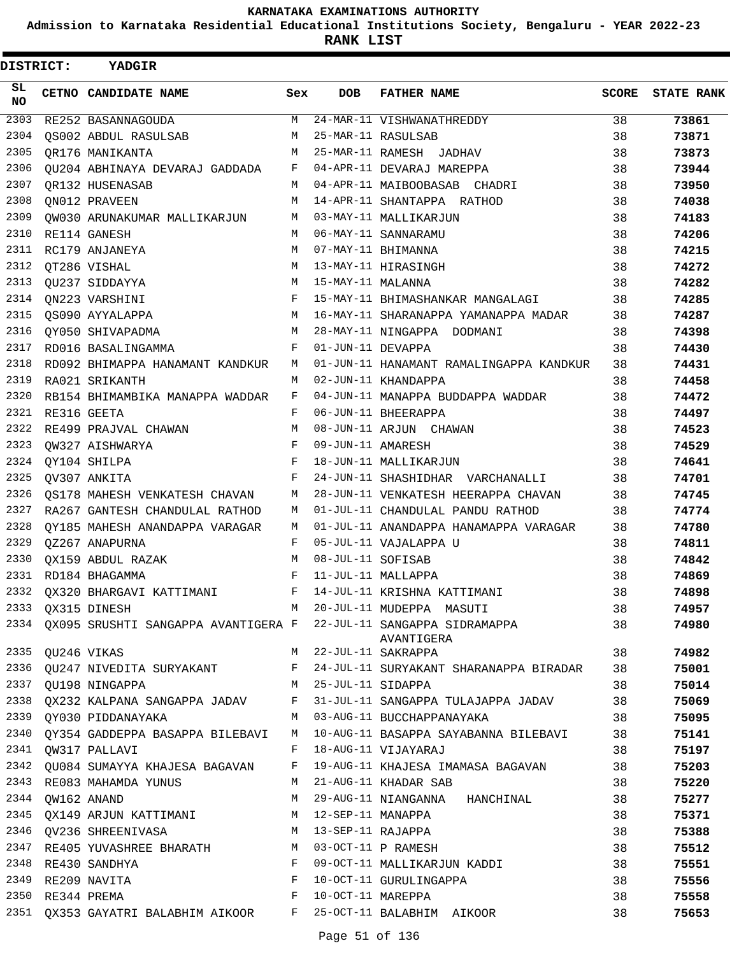**Admission to Karnataka Residential Educational Institutions Society, Bengaluru - YEAR 2022-23**

**RANK LIST**

| DISTRICT:        |                  | YADGIR                                                         |              |                    |                                                                                |       |                   |
|------------------|------------------|----------------------------------------------------------------|--------------|--------------------|--------------------------------------------------------------------------------|-------|-------------------|
| SL.<br>NO.       |                  | CETNO CANDIDATE NAME                                           | Sex          | <b>DOB</b>         | <b>FATHER NAME</b>                                                             | SCORE | <b>STATE RANK</b> |
| $\frac{2303}{ }$ |                  | RE252 BASANNAGOUDA                                             | M            |                    | 24-MAR-11 VISHWANATHREDDY                                                      | 38    | 73861             |
| 2304             |                  | QS002 ABDUL RASULSAB                                           | M            | 25-MAR-11 RASULSAB |                                                                                | 38    | 73871             |
| 2305             |                  | OR176 MANIKANTA                                                | М            |                    | 25-MAR-11 RAMESH JADHAV                                                        | 38    | 73873             |
| 2306             |                  | QU204 ABHINAYA DEVARAJ GADDADA                                 |              |                    | F 04-APR-11 DEVARAJ MAREPPA                                                    | 38    | 73944             |
| 2307             |                  | OR132 HUSENASAB                                                | М            |                    | 04-APR-11 MAIBOOBASAB CHADRI                                                   | 38    | 73950             |
| 2308             |                  | ON012 PRAVEEN                                                  | M            |                    | 14-APR-11 SHANTAPPA RATHOD                                                     | 38    | 74038             |
| 2309             |                  | QW030 ARUNAKUMAR MALLIKARJUN                                   | M            |                    | 03-MAY-11 MALLIKARJUN                                                          | 38    | 74183             |
| 2310             |                  | RE114 GANESH                                                   | M            |                    | 06-MAY-11 SANNARAMU                                                            | 38    | 74206             |
| 2311             |                  | RC179 ANJANEYA                                                 | M            |                    | 07-MAY-11 BHIMANNA                                                             | 38    | 74215             |
| 2312             |                  | OT286 VISHAL                                                   | М            |                    | 13-MAY-11 HIRASINGH                                                            | 38    | 74272             |
| 2313             |                  | QU237 SIDDAYYA                                                 | M            | 15-MAY-11 MALANNA  |                                                                                | 38    | 74282             |
| 2314             |                  | ON223 VARSHINI                                                 | F            |                    | 15-MAY-11 BHIMASHANKAR MANGALAGI                                               | 38    | 74285             |
| 2315             |                  | OS090 AYYALAPPA                                                |              |                    | M 16-MAY-11 SHARANAPPA YAMANAPPA MADAR                                         | 38    | 74287             |
| 2316             |                  | QY050 SHIVAPADMA                                               | M            |                    | 28-MAY-11 NINGAPPA DODMANI                                                     | 38    | 74398             |
| 2317             |                  | RD016 BASALINGAMMA                                             | F            | 01-JUN-11 DEVAPPA  |                                                                                | 38    | 74430             |
| 2318             |                  | RD092 BHIMAPPA HANAMANT KANDKUR                                | М            |                    | 01-JUN-11 HANAMANT RAMALINGAPPA KANDKUR                                        | 38    | 74431             |
| 2319             |                  | RA021 SRIKANTH                                                 | M            |                    | 02-JUN-11 KHANDAPPA                                                            | 38    | 74458             |
| 2320             |                  | RB154 BHIMAMBIKA MANAPPA WADDAR                                | F            |                    | 04-JUN-11 MANAPPA BUDDAPPA WADDAR                                              | 38    | 74472             |
| 2321             |                  | RE316 GEETA                                                    | F            |                    | 06-JUN-11 BHEERAPPA                                                            | 38    | 74497             |
| 2322             |                  | RE499 PRAJVAL CHAWAN                                           | М            |                    | 08-JUN-11 ARJUN CHAWAN                                                         | 38    | 74523             |
| 2323             |                  | QW327 AISHWARYA                                                | F            | 09-JUN-11 AMARESH  |                                                                                | 38    | 74529             |
|                  |                  | 2324 QY104 SHILPA                                              | F            |                    | 18-JUN-11 MALLIKARJUN                                                          | 38    | 74641             |
| 2325             |                  | QV307 ANKITA                                                   | F            |                    | 24-JUN-11 SHASHIDHAR VARCHANALLI                                               | 38    | 74701             |
| 2326             |                  | OS178 MAHESH VENKATESH CHAVAN                                  | М            |                    | 28-JUN-11 VENKATESH HEERAPPA CHAVAN                                            | 38    | 74745             |
| 2327             |                  | RA267 GANTESH CHANDULAL RATHOD                                 | М            |                    | 01-JUL-11 CHANDULAL PANDU RATHOD                                               | 38    | 74774             |
| 2328             |                  | QY185 MAHESH ANANDAPPA VARAGAR                                 | М            |                    | 01-JUL-11 ANANDAPPA HANAMAPPA VARAGAR                                          | 38    | 74780             |
| 2329             |                  | QZ267 ANAPURNA                                                 | F            |                    | 05-JUL-11 VAJALAPPA U                                                          | 38    | 74811             |
| 2330             |                  | QX159 ABDUL RAZAK                                              | М            | 08-JUL-11 SOFISAB  |                                                                                | 38    | 74842             |
| 2331             |                  | RD184 BHAGAMMA                                                 | F            |                    | 11-JUL-11 MALLAPPA                                                             | 38    | 74869             |
|                  |                  | 2332 QX320 BHARGAVI KATTIMANI                                  | F            |                    | 14-JUL-11 KRISHNA KATTIMANI                                                    | 38    | 74898             |
|                  |                  | 2333 QX315 DINESH                                              |              |                    | M 20-JUL-11 MUDEPPA MASUTI                                                     | 38    | 74957             |
|                  |                  |                                                                |              |                    | 2334 QX095 SRUSHTI SANGAPPA AVANTIGERA F 22-JUL-11 SANGAPPA SIDRAMAPPA 38      |       | 74980             |
|                  |                  |                                                                |              |                    | AVANTIGERA                                                                     |       |                   |
|                  | 2335 QU246 VIKAS |                                                                |              |                    | M 22-JUL-11 SAKRAPPA                                                           | 38    | 74982             |
|                  |                  |                                                                |              |                    | 2336 QU247 NIVEDITA SURYAKANT F 24-JUL-11 SURYAKANT SHARANAPPA BIRADAR 38      |       | 75001             |
| 2337             |                  | M 25-JUL-11 SIDAPPA<br>QU198 NINGAPPA                          |              |                    |                                                                                | 38    | 75014             |
|                  |                  |                                                                |              |                    | 2338 QX232 KALPANA SANGAPPA JADAV F 31-JUL-11 SANGAPPA TULAJAPPA JADAV 38      |       | 75069             |
|                  |                  | 2339 QY030 PIDDANAYAKA                                         |              |                    | M 03-AUG-11 BUCCHAPPANAYAKA                                                    | 38    | 75095             |
|                  |                  |                                                                |              |                    | 2340 QY354 GADDEPPA BASAPPA BILEBAVI M 10-AUG-11 BASAPPA SAYABANNA BILEBAVI 38 |       | 75141             |
|                  |                  | 2341 QW317 PALLAVI                                             |              |                    | F 18-AUG-11 VIJAYARAJ                                                          | 38    | 75197             |
|                  |                  |                                                                |              |                    | 2342 QU084 SUMAYYA KHAJESA BAGAVAN F 19-AUG-11 KHAJESA IMAMASA BAGAVAN         | 38    | 75203             |
| 2343             |                  | RE083 MAHAMDA YUNUS                                            |              |                    | M 21-AUG-11 KHADAR SAB                                                         | 38    | 75220             |
|                  | 2344 QW162 ANAND |                                                                |              |                    | M 29-AUG-11 NIANGANNA HANCHINAL                                                | 38    | 75277             |
|                  |                  | 2345 QX149 ARJUN KATTIMANI M 12-SEP-11 MANAPPA                 |              |                    |                                                                                | 38    | 75371             |
|                  |                  | 2346 QV236 SHREENIVASA M 13-SEP-11 RAJAPPA                     |              |                    |                                                                                | 38    | 75388             |
|                  |                  | 2347 RE405 YUVASHREE BHARATH M 03-OCT-11 P RAMESH              |              |                    |                                                                                | 38    | 75512             |
| 2348             |                  | RE430 SANDHYA                                                  |              |                    | F 09-OCT-11 MALLIKARJUN KADDI                                                  | 38    | 75551             |
| 2349             |                  | $\mathbf{F}$<br>RE209 NAVITA                                   |              |                    | 10-OCT-11 GURULINGAPPA                                                         | 38    | 75556             |
|                  | 2350 RE344 PREMA |                                                                | $\mathbf{F}$ | 10-OCT-11 MAREPPA  |                                                                                | 38    | 75558             |
|                  |                  | 2351 QX353 GAYATRI BALABHIM AIKOOR F 25-OCT-11 BALABHIM AIKOOR |              |                    |                                                                                | 38    | 75653             |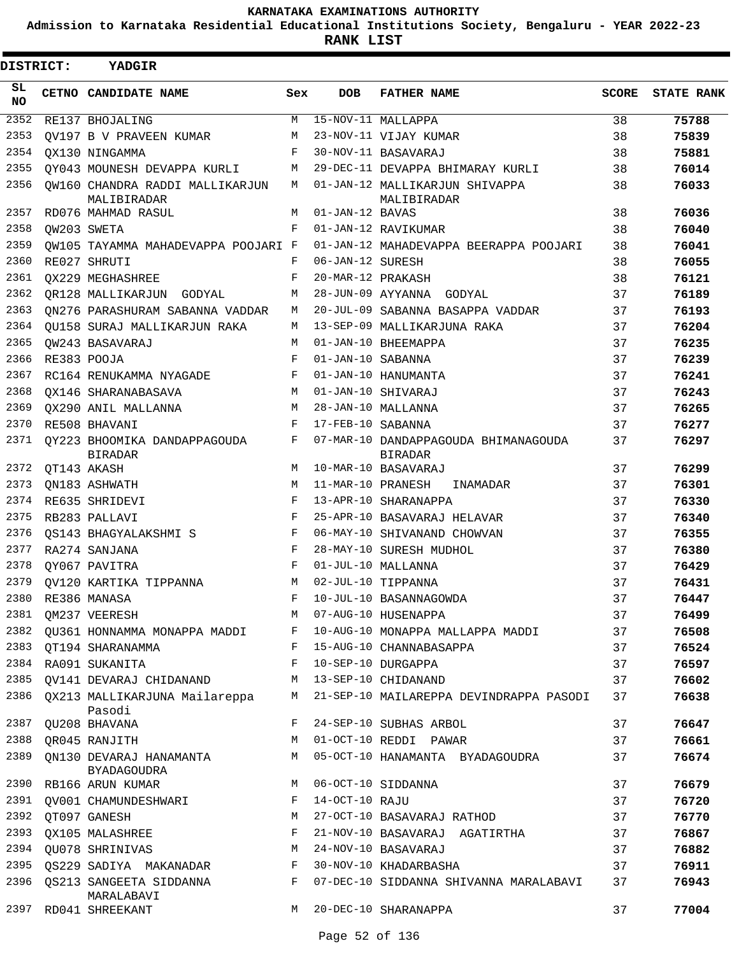**Admission to Karnataka Residential Educational Institutions Society, Bengaluru - YEAR 2022-23**

**RANK LIST**

| DISTRICT:       |  | YADGIR                                         |            |                   |                                                        |              |                   |
|-----------------|--|------------------------------------------------|------------|-------------------|--------------------------------------------------------|--------------|-------------------|
| SL<br><b>NO</b> |  | CETNO CANDIDATE NAME                           | Sex        | <b>DOB</b>        | <b>FATHER NAME</b>                                     | <b>SCORE</b> | <b>STATE RANK</b> |
| 2352            |  | RE137 BHOJALING                                | М          |                   | $15-NOV-11$ MALLAPPA                                   | 38           | 75788             |
| 2353            |  | OV197 B V PRAVEEN KUMAR                        | M          |                   | 23-NOV-11 VIJAY KUMAR                                  | 38           | 75839             |
| 2354            |  | OX130 NINGAMMA                                 | $_{\rm F}$ |                   | 30-NOV-11 BASAVARAJ                                    | 38           | 75881             |
| 2355            |  | OY043 MOUNESH DEVAPPA KURLI                    | M          |                   | 29-DEC-11 DEVAPPA BHIMARAY KURLI                       | 38           | 76014             |
| 2356            |  | OW160 CHANDRA RADDI MALLIKARJUN<br>MALIBIRADAR | M          |                   | 01-JAN-12 MALLIKARJUN SHIVAPPA<br>MALIBIRADAR          | 38           | 76033             |
| 2357            |  | RD076 MAHMAD RASUL                             | М          | 01-JAN-12 BAVAS   |                                                        | 38           | 76036             |
| 2358            |  | OW203 SWETA                                    | F          |                   | 01-JAN-12 RAVIKUMAR                                    | 38           | 76040             |
| 2359            |  | OW105 TAYAMMA MAHADEVAPPA POOJARI F            |            |                   | 01-JAN-12 MAHADEVAPPA BEERAPPA POOJARI                 | 38           | 76041             |
| 2360            |  | RE027 SHRUTI                                   | F          | 06-JAN-12 SURESH  |                                                        | 38           | 76055             |
| 2361            |  | OX229 MEGHASHREE                               | F          | 20-MAR-12 PRAKASH |                                                        | 38           | 76121             |
| 2362            |  | QR128 MALLIKARJUN GODYAL                       | M          |                   | 28-JUN-09 AYYANNA GODYAL                               | 37           | 76189             |
| 2363            |  | ON276 PARASHURAM SABANNA VADDAR                | M          |                   | 20-JUL-09 SABANNA BASAPPA VADDAR                       | 37           | 76193             |
| 2364            |  | OU158 SURAJ MALLIKARJUN RAKA                   | М          |                   | 13-SEP-09 MALLIKARJUNA RAKA                            | 37           | 76204             |
| 2365            |  | OW243 BASAVARAJ                                | М          |                   | 01-JAN-10 BHEEMAPPA                                    | 37           | 76235             |
| 2366            |  | RE383 POOJA                                    | F          | 01-JAN-10 SABANNA |                                                        | 37           | 76239             |
| 2367            |  | RC164 RENUKAMMA NYAGADE                        | F          |                   | 01-JAN-10 HANUMANTA                                    | 37           | 76241             |
| 2368            |  | OX146 SHARANABASAVA                            | M          |                   | 01-JAN-10 SHIVARAJ                                     | 37           | 76243             |
| 2369            |  | OX290 ANIL MALLANNA                            | M          |                   | 28-JAN-10 MALLANNA                                     | 37           | 76265             |
| 2370            |  | RE508 BHAVANI                                  | F          | 17-FEB-10 SABANNA |                                                        | 37           | 76277             |
| 2371            |  | OY223 BHOOMIKA DANDAPPAGOUDA<br><b>BIRADAR</b> | F          |                   | 07-MAR-10 DANDAPPAGOUDA BHIMANAGOUDA<br><b>BIRADAR</b> | 37           | 76297             |
| 2372            |  | QT143 AKASH                                    | M          |                   | 10-MAR-10 BASAVARAJ                                    | 37           | 76299             |
| 2373            |  | ON183 ASHWATH                                  | М          | 11-MAR-10 PRANESH | INAMADAR                                               | 37           | 76301             |
| 2374            |  | RE635 SHRIDEVI                                 | F          |                   | 13-APR-10 SHARANAPPA                                   | 37           | 76330             |
| 2375            |  | RB283 PALLAVI                                  | F          |                   | 25-APR-10 BASAVARAJ HELAVAR                            | 37           | 76340             |
| 2376            |  | OS143 BHAGYALAKSHMI S                          | F          |                   | 06-MAY-10 SHIVANAND CHOWVAN                            | 37           | 76355             |
| 2377            |  | RA274 SANJANA                                  | F          |                   | 28-MAY-10 SURESH MUDHOL                                | 37           | 76380             |
| 2378            |  | OY067 PAVITRA                                  | F          |                   | 01-JUL-10 MALLANNA                                     | 37           | 76429             |
| 2379            |  | OV120 KARTIKA TIPPANNA                         | M          |                   | 02-JUL-10 TIPPANNA                                     | 37           | 76431             |
|                 |  | 2380 RE386 MANASA                              |            |                   | F 10-JUL-10 BASANNAGOWDA                               | 37           | 76447             |
|                 |  | 2381 QM237 VEERESH                             | М          |                   | 07-AUG-10 HUSENAPPA                                    | 37           | 76499             |
| 2382            |  | QU361 HONNAMMA MONAPPA MADDI                   | F          |                   | 10-AUG-10 MONAPPA MALLAPPA MADDI                       | 37           | 76508             |
| 2383            |  | QT194 SHARANAMMA                               | F          |                   | 15-AUG-10 CHANNABASAPPA                                | 37           | 76524             |
|                 |  | 2384 RA091 SUKANITA                            | F          |                   | 10-SEP-10 DURGAPPA                                     | 37           | 76597             |
| 2385            |  | QV141 DEVARAJ CHIDANAND                        | M          |                   | 13-SEP-10 CHIDANAND                                    | 37           | 76602             |
| 2386            |  | QX213 MALLIKARJUNA Mailareppa<br>Pasodi        | М          |                   | 21-SEP-10 MAILAREPPA DEVINDRAPPA PASODI                | 37           | 76638             |
| 2387            |  | QU208 BHAVANA                                  | F          |                   | 24-SEP-10 SUBHAS ARBOL                                 | 37           | 76647             |
| 2388            |  | QR045 RANJITH                                  | M          |                   | 01-OCT-10 REDDI PAWAR                                  | 37           | 76661             |
| 2389            |  | QN130 DEVARAJ HANAMANTA<br><b>BYADAGOUDRA</b>  | М          |                   | 05-OCT-10 HANAMANTA BYADAGOUDRA                        | 37           | 76674             |
| 2390            |  | RB166 ARUN KUMAR                               | М          |                   | 06-OCT-10 SIDDANNA                                     | 37           | 76679             |
|                 |  | 2391 QV001 CHAMUNDESHWARI                      | F          | 14-OCT-10 RAJU    |                                                        | 37           | 76720             |
|                 |  | 2392 QT097 GANESH                              | M          |                   | 27-OCT-10 BASAVARAJ RATHOD                             | 37           | 76770             |
| 2393            |  | QX105 MALASHREE                                | F          |                   | 21-NOV-10 BASAVARAJ AGATIRTHA                          | 37           | 76867             |
| 2394            |  | QU078 SHRINIVAS                                | М          |                   | 24-NOV-10 BASAVARAJ                                    | 37           | 76882             |
| 2395            |  | QS229 SADIYA MAKANADAR                         | F          |                   | 30-NOV-10 KHADARBASHA                                  | 37           | 76911             |
| 2396            |  | QS213 SANGEETA SIDDANNA<br>MARALABAVI          | F          |                   | 07-DEC-10 SIDDANNA SHIVANNA MARALABAVI                 | 37           | 76943             |
|                 |  | 2397 RD041 SHREEKANT                           | М          |                   | 20-DEC-10 SHARANAPPA                                   | 37           | 77004             |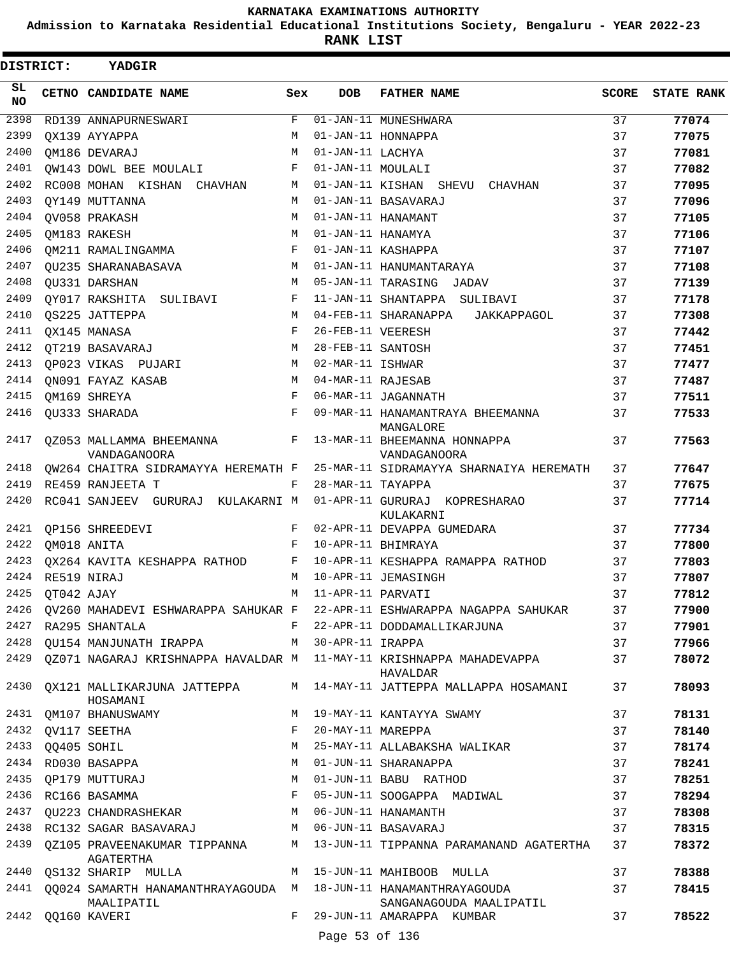**Admission to Karnataka Residential Educational Institutions Society, Bengaluru - YEAR 2022-23**

ı

**RANK LIST**

| DISTRICT: |            | YADGIR                                                                             |     |                   |                                                                                  |       |                   |
|-----------|------------|------------------------------------------------------------------------------------|-----|-------------------|----------------------------------------------------------------------------------|-------|-------------------|
| SL<br>NO. |            | CETNO CANDIDATE NAME                                                               | Sex | <b>DOB</b>        | <b>FATHER NAME</b>                                                               | SCORE | <b>STATE RANK</b> |
| 2398      |            | RD139 ANNAPURNESWARI                                                               | F   |                   | 01-JAN-11 MUNESHWARA                                                             | 37    | 77074             |
| 2399      |            | OX139 AYYAPPA                                                                      | M   |                   | 01-JAN-11 HONNAPPA                                                               | 37    | 77075             |
| 2400      |            | QM186 DEVARAJ                                                                      | M   | 01-JAN-11 LACHYA  |                                                                                  | 37    | 77081             |
| 2401      |            | QW143 DOWL BEE MOULALI                                                             | F   | 01-JAN-11 MOULALI |                                                                                  | 37    | 77082             |
| 2402      |            | RC008 MOHAN KISHAN CHAVHAN                                                         | М   |                   | 01-JAN-11 KISHAN SHEVU CHAVHAN                                                   | 37    | 77095             |
| 2403      |            | QY149 MUTTANNA                                                                     | М   |                   | 01-JAN-11 BASAVARAJ                                                              | 37    | 77096             |
| 2404      |            | OV058 PRAKASH                                                                      | M   |                   | 01-JAN-11 HANAMANT                                                               | 37    | 77105             |
| 2405      |            | OM183 RAKESH                                                                       | М   | 01-JAN-11 HANAMYA |                                                                                  | 37    | 77106             |
| 2406      |            | QM211 RAMALINGAMMA                                                                 | F   |                   | 01-JAN-11 KASHAPPA                                                               | 37    | 77107             |
| 2407      |            | OU235 SHARANABASAVA                                                                | М   |                   | 01-JAN-11 HANUMANTARAYA                                                          | 37    | 77108             |
| 2408      |            | QU331 DARSHAN                                                                      | М   |                   | 05-JAN-11 TARASING JADAV                                                         | 37    | 77139             |
| 2409      |            | QY017 RAKSHITA SULIBAVI                                                            | F   |                   | 11-JAN-11 SHANTAPPA SULIBAVI                                                     | 37    | 77178             |
| 2410      |            | <b>QS225 JATTEPPA</b>                                                              | М   |                   | 04-FEB-11 SHARANAPPA<br>JAKKAPPAGOL                                              | 37    | 77308             |
| 2411      |            | QX145 MANASA                                                                       | F   | 26-FEB-11 VEERESH |                                                                                  | 37    | 77442             |
| 2412      |            | OT219 BASAVARAJ                                                                    | М   | 28-FEB-11 SANTOSH |                                                                                  | 37    | 77451             |
| 2413      |            | OP023 VIKAS PUJARI                                                                 | М   | 02-MAR-11 ISHWAR  |                                                                                  | 37    | 77477             |
| 2414      |            | QN091 FAYAZ KASAB                                                                  | М   | 04-MAR-11 RAJESAB |                                                                                  | 37    | 77487             |
| 2415      |            | QM169 SHREYA                                                                       | F   |                   | 06-MAR-11 JAGANNATH                                                              | 37    | 77511             |
| 2416      |            | QU333 SHARADA                                                                      | F   |                   | 09-MAR-11 HANAMANTRAYA BHEEMANNA<br>MANGALORE                                    | 37    | 77533             |
| 2417      |            | 0Z053 MALLAMMA BHEEMANNA<br>VANDAGANOORA                                           | F   |                   | 13-MAR-11 BHEEMANNA HONNAPPA<br>VANDAGANOORA                                     | 37    | 77563             |
| 2418      |            | QW264 CHAITRA SIDRAMAYYA HEREMATH F                                                |     |                   | 25-MAR-11 SIDRAMAYYA SHARNAIYA HEREMATH                                          | 37    | 77647             |
| 2419      |            | RE459 RANJEETA T                                                                   | F   | 28-MAR-11 TAYAPPA |                                                                                  | 37    | 77675             |
| 2420      |            | RC041 SANJEEV GURURAJ KULAKARNI M                                                  |     |                   | 01-APR-11 GURURAJ KOPRESHARAO<br>KULAKARNI                                       | 37    | 77714             |
| 2421      |            | QP156 SHREEDEVI                                                                    | F   |                   | 02-APR-11 DEVAPPA GUMEDARA                                                       | 37    | 77734             |
| 2422      |            | QM018 ANITA                                                                        | F   |                   | 10-APR-11 BHIMRAYA                                                               | 37    | 77800             |
| 2423      |            | QX264 KAVITA KESHAPPA RATHOD                                                       | F   |                   | 10-APR-11 KESHAPPA RAMAPPA RATHOD                                                | 37    | 77803             |
| 2424      |            | RE519 NIRAJ                                                                        | M   |                   | 10-APR-11 JEMASINGH                                                              | 37    | 77807             |
| 2425      | QT042 AJAY |                                                                                    | M   | 11-APR-11 PARVATI |                                                                                  | 37    | 77812             |
| 2426      |            |                                                                                    |     |                   | QV260 MAHADEVI ESHWARAPPA SAHUKAR F 22-APR-11 ESHWARAPPA NAGAPPA SAHUKAR         | 37    | 77900             |
| 2427      |            | RA295 SHANTALA                                                                     |     |                   | F 22-APR-11 DODDAMALLIKARJUNA                                                    | 37    | 77901             |
| 2428      |            | QU154 MANJUNATH IRAPPA M 30-APR-11 IRAPPA                                          |     |                   |                                                                                  | 37    | 77966             |
| 2429      |            |                                                                                    |     |                   | QZ071 NAGARAJ KRISHNAPPA HAVALDAR M 11-MAY-11 KRISHNAPPA MAHADEVAPPA<br>HAVALDAR | 37    | 78072             |
| 2430      |            | QX121 MALLIKARJUNA JATTEPPA<br>HOSAMANI                                            |     |                   | M 14-MAY-11 JATTEPPA MALLAPPA HOSAMANI                                           | 37    | 78093             |
|           |            | 2431 QM107 BHANUSWAMY                                                              | M   |                   | 19-MAY-11 KANTAYYA SWAMY                                                         | 37    | 78131             |
| 2432      |            | QV117 SEETHA                                                                       | F   | 20-MAY-11 MAREPPA |                                                                                  | 37    | 78140             |
| 2433      |            | QQ405 SOHIL                                                                        | М   |                   | 25-MAY-11 ALLABAKSHA WALIKAR                                                     | 37    | 78174             |
| 2434      |            | RD030 BASAPPA                                                                      | М   |                   | 01-JUN-11 SHARANAPPA                                                             | 37    | 78241             |
|           |            | 2435 QP179 MUTTURAJ                                                                | М   |                   | 01-JUN-11 BABU RATHOD                                                            | 37    | 78251             |
|           |            | 2436 RC166 BASAMMA                                                                 | F   |                   | 05-JUN-11 SOOGAPPA MADIWAL                                                       | 37    | 78294             |
|           |            | 2437 QU223 CHANDRASHEKAR                                                           | M   |                   | 06-JUN-11 HANAMANTH                                                              | 37    | 78308             |
| 2438      |            | RC132 SAGAR BASAVARAJ                                                              |     |                   | M 06-JUN-11 BASAVARAJ                                                            | 37    | 78315             |
| 2439      |            | QZ105 PRAVEENAKUMAR TIPPANNA<br>AGATERTHA                                          |     |                   | M 13-JUN-11 TIPPANNA PARAMANAND AGATERTHA                                        | 37    | 78372             |
| 2440      |            | QS132 SHARIP MULLA                                                                 |     |                   | M 15-JUN-11 MAHIBOOB MULLA                                                       | 37    | 78388             |
|           |            | 2441 QQ024 SAMARTH HANAMANTHRAYAGOUDA M 18-JUN-11 HANAMANTHRAYAGOUDA<br>MAALIPATIL |     |                   | SANGANAGOUDA MAALIPATIL                                                          | 37    | 78415             |
| 2442      |            | QQ160 KAVERI                                                                       | F   |                   | 29-JUN-11 AMARAPPA KUMBAR                                                        | 37    | 78522             |
|           |            |                                                                                    |     | Page 53 of 136    |                                                                                  |       |                   |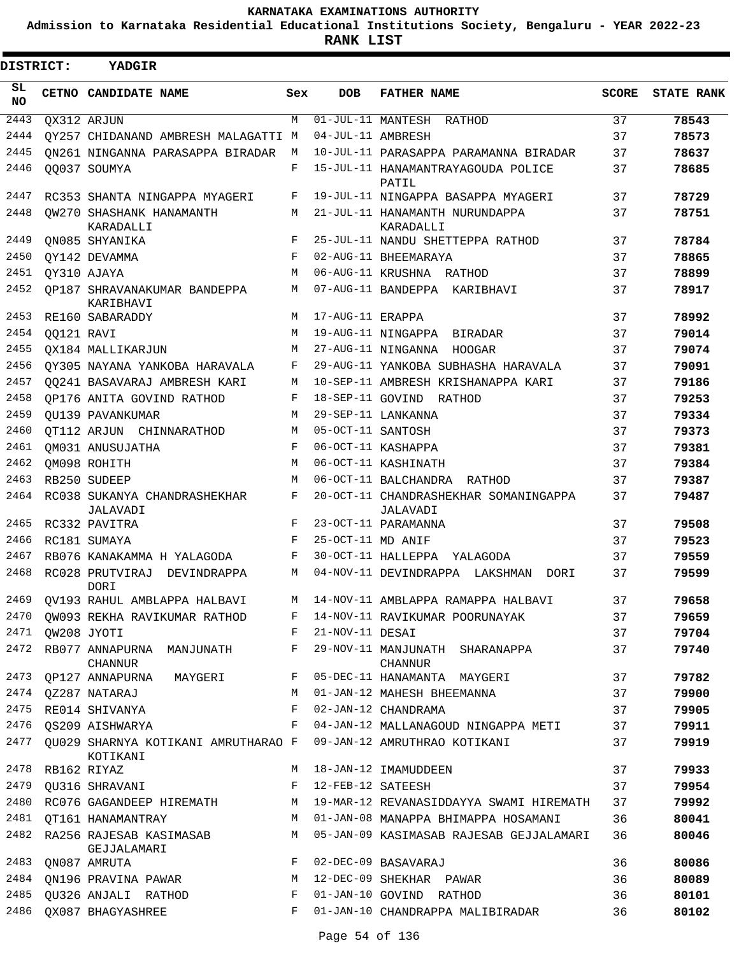**Admission to Karnataka Residential Educational Institutions Society, Bengaluru - YEAR 2022-23**

**RANK LIST**

| <b>DISTRICT:</b> |            | YADGIR                                          |     |                   |                                                   |       |                   |
|------------------|------------|-------------------------------------------------|-----|-------------------|---------------------------------------------------|-------|-------------------|
| SL<br><b>NO</b>  |            | CETNO CANDIDATE NAME                            | Sex | <b>DOB</b>        | <b>FATHER NAME</b>                                | SCORE | <b>STATE RANK</b> |
| 2443             |            | OX312 ARJUN                                     | M   |                   | $01$ -JUL-11 MANTESH RATHOD                       | 37    | 78543             |
| 2444             |            | QY257 CHIDANAND AMBRESH MALAGATTI M             |     | 04-JUL-11 AMBRESH |                                                   | 37    | 78573             |
| 2445             |            | ON261 NINGANNA PARASAPPA BIRADAR                | М   |                   | 10-JUL-11 PARASAPPA PARAMANNA BIRADAR             | 37    | 78637             |
| 2446             |            | 00037 SOUMYA                                    | F   |                   | 15-JUL-11 HANAMANTRAYAGOUDA POLICE<br>PATIL       | 37    | 78685             |
| 2447             |            | RC353 SHANTA NINGAPPA MYAGERI                   | F   |                   | 19-JUL-11 NINGAPPA BASAPPA MYAGERI                | 37    | 78729             |
| 2448             |            | OW270 SHASHANK HANAMANTH<br>KARADALLI           | М   |                   | 21-JUL-11 HANAMANTH NURUNDAPPA<br>KARADALLI       | 37    | 78751             |
| 2449             |            | ON085 SHYANIKA                                  | F   |                   | 25-JUL-11 NANDU SHETTEPPA RATHOD                  | 37    | 78784             |
| 2450             |            | QY142 DEVAMMA                                   | F   |                   | 02-AUG-11 BHEEMARAYA                              | 37    | 78865             |
| 2451             |            | QY310 AJAYA                                     | М   |                   | 06-AUG-11 KRUSHNA RATHOD                          | 37    | 78899             |
| 2452             |            | OP187 SHRAVANAKUMAR BANDEPPA<br>KARIBHAVI       | М   |                   | 07-AUG-11 BANDEPPA KARIBHAVI                      | 37    | 78917             |
| 2453             |            | RE160 SABARADDY                                 | М   | 17-AUG-11 ERAPPA  |                                                   | 37    | 78992             |
| 2454             | QQ121 RAVI |                                                 | М   |                   | 19-AUG-11 NINGAPPA BIRADAR                        | 37    | 79014             |
| 2455             |            | OX184 MALLIKARJUN                               | M   |                   | 27-AUG-11 NINGANNA HOOGAR                         | 37    | 79074             |
| 2456             |            | OY305 NAYANA YANKOBA HARAVALA                   | F   |                   | 29-AUG-11 YANKOBA SUBHASHA HARAVALA               | 37    | 79091             |
| 2457             |            | 00241 BASAVARAJ AMBRESH KARI                    | М   |                   | 10-SEP-11 AMBRESH KRISHANAPPA KARI                | 37    | 79186             |
| 2458             |            | OP176 ANITA GOVIND RATHOD                       | F   |                   | 18-SEP-11 GOVIND RATHOD                           | 37    | 79253             |
| 2459             |            | OU139 PAVANKUMAR                                | М   |                   | 29-SEP-11 LANKANNA                                | 37    | 79334             |
| 2460             |            | OT112 ARJUN CHINNARATHOD                        | М   | 05-OCT-11 SANTOSH |                                                   | 37    | 79373             |
| 2461             |            | OM031 ANUSUJATHA                                | F   |                   | 06-OCT-11 KASHAPPA                                | 37    | 79381             |
| 2462             |            | OM098 ROHITH                                    | М   |                   | 06-OCT-11 KASHINATH                               | 37    | 79384             |
| 2463             |            | RB250 SUDEEP                                    | М   |                   | 06-OCT-11 BALCHANDRA RATHOD                       | 37    | 79387             |
| 2464             |            | RC038 SUKANYA CHANDRASHEKHAR<br>JALAVADI        | F   |                   | 20-OCT-11 CHANDRASHEKHAR SOMANINGAPPA<br>JALAVADI | 37    | 79487             |
| 2465             |            | RC332 PAVITRA                                   | F   |                   | 23-OCT-11 PARAMANNA                               | 37    | 79508             |
| 2466             |            | RC181 SUMAYA                                    | F   | 25-OCT-11 MD ANIF |                                                   | 37    | 79523             |
| 2467             |            | RB076 KANAKAMMA H YALAGODA                      | F   |                   | 30-OCT-11 HALLEPPA<br>YALAGODA                    | 37    | 79559             |
| 2468             |            | RC028 PRUTVIRAJ<br>DEVINDRAPPA<br><b>DORI</b>   | М   |                   | 04-NOV-11 DEVINDRAPPA LAKSHMAN<br>DORI            | 37    | 79599             |
| 2469             |            | QV193 RAHUL AMBLAPPA HALBAVI                    | M   |                   | 14-NOV-11 AMBLAPPA RAMAPPA HALBAVI                | 37    | 79658             |
| 2470             |            | OW093 REKHA RAVIKUMAR RATHOD                    | F   |                   | 14-NOV-11 RAVIKUMAR POORUNAYAK                    | 37    | 79659             |
| 2471             |            | QW208 JYOTI                                     | F   | 21-NOV-11 DESAI   |                                                   | 37    | 79704             |
| 2472             |            | RB077 ANNAPURNA MANJUNATH<br><b>CHANNUR</b>     | F   |                   | 29-NOV-11 MANJUNATH SHARANAPPA<br><b>CHANNUR</b>  | 37    | 79740             |
| 2473             |            | OP127 ANNAPURNA MAYGERI                         | F   |                   | 05-DEC-11 HANAMANTA MAYGERI                       | 37    | 79782             |
| 2474             |            | QZ287 NATARAJ                                   | М   |                   | 01-JAN-12 MAHESH BHEEMANNA                        | 37    | 79900             |
| 2475             |            | RE014 SHIVANYA                                  | F   |                   | 02-JAN-12 CHANDRAMA                               | 37    | 79905             |
| 2476             |            | OS209 AISHWARYA                                 | F   |                   | 04-JAN-12 MALLANAGOUD NINGAPPA METI               | 37    | 79911             |
| 2477             |            | QU029 SHARNYA KOTIKANI AMRUTHARAO F<br>KOTIKANI |     |                   | 09-JAN-12 AMRUTHRAO KOTIKANI                      | 37    | 79919             |
| 2478             |            | RB162 RIYAZ                                     | М   |                   | 18-JAN-12 IMAMUDDEEN                              | 37    | 79933             |
| 2479             |            | QU316 SHRAVANI                                  | F   | 12-FEB-12 SATEESH |                                                   | 37    | 79954             |
| 2480             |            | RC076 GAGANDEEP HIREMATH                        | М   |                   | 19-MAR-12 REVANASIDDAYYA SWAMI HIREMATH           | 37    | 79992             |
| 2481             |            | OT161 HANAMANTRAY                               | М   |                   | 01-JAN-08 MANAPPA BHIMAPPA HOSAMANI               | 36    | 80041             |
| 2482             |            | RA256 RAJESAB KASIMASAB<br>GEJJALAMARI          | М   |                   | 05-JAN-09 KASIMASAB RAJESAB GEJJALAMARI           | 36    | 80046             |
| 2483             |            | QN087 AMRUTA                                    | F   |                   | 02-DEC-09 BASAVARAJ                               | 36    | 80086             |
| 2484             |            | QN196 PRAVINA PAWAR                             | М   |                   | 12-DEC-09 SHEKHAR PAWAR                           | 36    | 80089             |
| 2485             |            | QU326 ANJALI RATHOD                             | F   |                   | 01-JAN-10 GOVIND RATHOD                           | 36    | 80101             |
| 2486             |            | QX087 BHAGYASHREE                               | F   |                   | 01-JAN-10 CHANDRAPPA MALIBIRADAR                  | 36    | 80102             |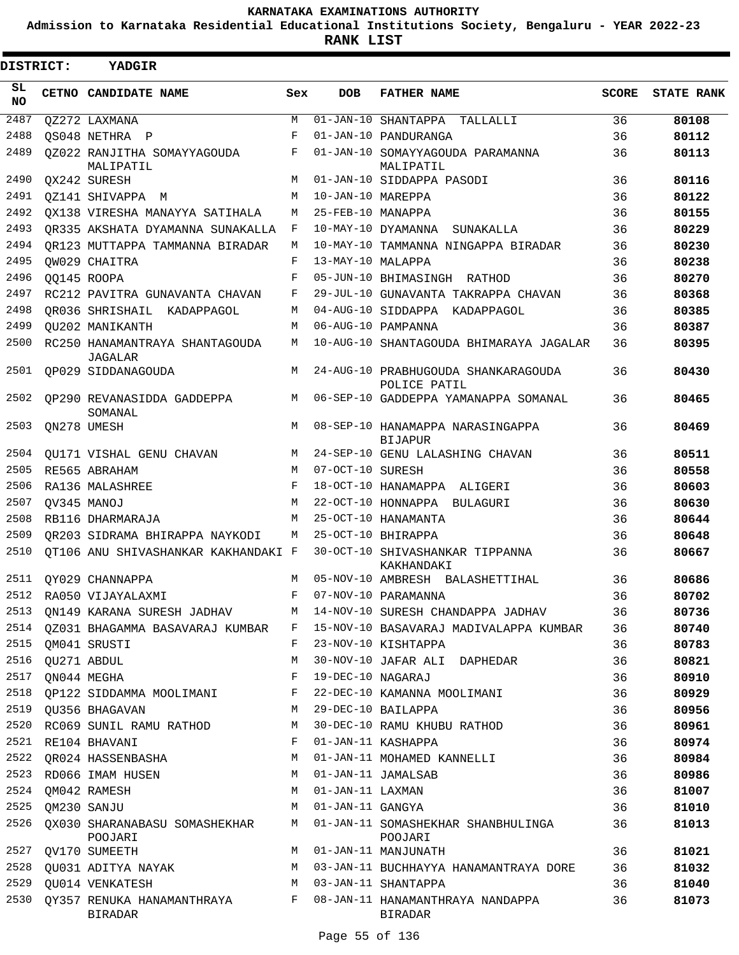**Admission to Karnataka Residential Educational Institutions Society, Bengaluru - YEAR 2022-23**

 $\blacksquare$ 

**RANK LIST**

Е

| DISTRICT:        | YADGIR                                         |     |                   |                                                     |              |                   |
|------------------|------------------------------------------------|-----|-------------------|-----------------------------------------------------|--------------|-------------------|
| SL.<br><b>NO</b> | CETNO CANDIDATE NAME                           | Sex | <b>DOB</b>        | <b>FATHER NAME</b>                                  | <b>SCORE</b> | <b>STATE RANK</b> |
| 2487             | OZ272 LAXMANA                                  | М   |                   | 01-JAN-10 SHANTAPPA TALLALLI                        | 36           | 80108             |
| 2488             | OS048 NETHRA P                                 | F   |                   | 01-JAN-10 PANDURANGA                                | 36           | 80112             |
| 2489             | QZ022 RANJITHA SOMAYYAGOUDA<br>MALIPATIL       | F   |                   | 01-JAN-10 SOMAYYAGOUDA PARAMANNA<br>MALIPATIL       | 36           | 80113             |
| 2490             | OX242 SURESH                                   | М   |                   | 01-JAN-10 SIDDAPPA PASODI                           | 36           | 80116             |
| 2491             | OZ141 SHIVAPPA M                               | M   | 10-JAN-10 MAREPPA |                                                     | 36           | 80122             |
| 2492             | OX138 VIRESHA MANAYYA SATIHALA                 | М   | 25-FEB-10 MANAPPA |                                                     | 36           | 80155             |
| 2493             | OR335 AKSHATA DYAMANNA SUNAKALLA               | F   |                   | 10-MAY-10 DYAMANNA SUNAKALLA                        | 36           | 80229             |
| 2494             | OR123 MUTTAPPA TAMMANNA BIRADAR                | М   |                   | 10-MAY-10 TAMMANNA NINGAPPA BIRADAR                 | 36           | 80230             |
| 2495             | OW029 CHAITRA                                  | F   | 13-MAY-10 MALAPPA |                                                     | 36           | 80238             |
| 2496             | OO145 ROOPA                                    | F   |                   | 05-JUN-10 BHIMASINGH RATHOD                         | 36           | 80270             |
| 2497             | RC212 PAVITRA GUNAVANTA CHAVAN                 | F   |                   | 29-JUL-10 GUNAVANTA TAKRAPPA CHAVAN                 | 36           | 80368             |
| 2498             | OR036 SHRISHAIL KADAPPAGOL                     | M   |                   | 04-AUG-10 SIDDAPPA KADAPPAGOL                       | 36           | 80385             |
| 2499             | <b>OU202 MANIKANTH</b>                         | М   |                   | 06-AUG-10 PAMPANNA                                  | 36           | 80387             |
| 2500             | RC250 HANAMANTRAYA SHANTAGOUDA<br>JAGALAR      | М   |                   | 10-AUG-10 SHANTAGOUDA BHIMARAYA JAGALAR             | 36           | 80395             |
| 2501             | QP029 SIDDANAGOUDA                             | M   |                   | 24-AUG-10 PRABHUGOUDA SHANKARAGOUDA<br>POLICE PATIL | 36           | 80430             |
| 2502             | OP290 REVANASIDDA GADDEPPA<br>SOMANAL          | M   |                   | 06-SEP-10 GADDEPPA YAMANAPPA SOMANAL                | 36           | 80465             |
| 2503             | QN278 UMESH                                    | M   |                   | 08-SEP-10 HANAMAPPA NARASINGAPPA<br><b>BIJAPUR</b>  | 36           | 80469             |
| 2504             | OU171 VISHAL GENU CHAVAN                       | M   |                   | 24-SEP-10 GENU LALASHING CHAVAN                     | 36           | 80511             |
| 2505             | RE565 ABRAHAM                                  | M   | 07-OCT-10 SURESH  |                                                     | 36           | 80558             |
| 2506             | RA136 MALASHREE                                | F   |                   | 18-OCT-10 HANAMAPPA ALIGERI                         | 36           | 80603             |
| 2507             | OV345 MANOJ                                    | M   |                   | 22-OCT-10 HONNAPPA BULAGURI                         | 36           | 80630             |
| 2508             | RB116 DHARMARAJA                               | M   |                   | 25-OCT-10 HANAMANTA                                 | 36           | 80644             |
| 2509             | OR203 SIDRAMA BHIRAPPA NAYKODI                 | M   |                   | 25-OCT-10 BHIRAPPA                                  | 36           | 80648             |
| 2510             | OT106 ANU SHIVASHANKAR KAKHANDAKI F            |     |                   | 30-OCT-10 SHIVASHANKAR TIPPANNA                     | 36           | 80667             |
| 2511             | OY029 CHANNAPPA                                | M   |                   | KAKHANDAKI<br>05-NOV-10 AMBRESH BALASHETTIHAL       | 36           | 80686             |
|                  | 2512 RA050 VIJAYALAXMI                         |     |                   | F 07-NOV-10 PARAMANNA                               | 36           | 80702             |
|                  |                                                |     |                   |                                                     |              |                   |
| 2513             | QN149 KARANA SURESH JADHAV                     | M   |                   | 14-NOV-10 SURESH CHANDAPPA JADHAV                   | 36           | 80736             |
| 2514             | QZ031 BHAGAMMA BASAVARAJ KUMBAR                | F   |                   | 15-NOV-10 BASAVARAJ MADIVALAPPA KUMBAR              | 36           | 80740             |
| 2515             | QM041 SRUSTI                                   | F   |                   | 23-NOV-10 KISHTAPPA                                 | 36           | 80783             |
| 2516             | QU271 ABDUL                                    | M   |                   | 30-NOV-10 JAFAR ALI DAPHEDAR                        | 36           | 80821             |
| 2517             | ON044 MEGHA                                    | F   | 19-DEC-10 NAGARAJ |                                                     | 36           | 80910             |
| 2518             | QP122 SIDDAMMA MOOLIMANI                       | F   |                   | 22-DEC-10 KAMANNA MOOLIMANI                         | 36           | 80929             |
| 2519             | QU356 BHAGAVAN                                 | M   |                   | 29-DEC-10 BAILAPPA                                  | 36           | 80956             |
| 2520             | RC069 SUNIL RAMU RATHOD                        | М   |                   | 30-DEC-10 RAMU KHUBU RATHOD                         | 36           | 80961             |
| 2521             | RE104 BHAVANI                                  | F   |                   | 01-JAN-11 KASHAPPA                                  | 36           | 80974             |
| 2522             | QR024 HASSENBASHA                              | М   |                   | 01-JAN-11 MOHAMED KANNELLI                          | 36           | 80984             |
| 2523             | RD066 IMAM HUSEN                               | M   |                   | 01-JAN-11 JAMALSAB                                  | 36           | 80986             |
| 2524             | QM042 RAMESH                                   | М   | 01-JAN-11 LAXMAN  |                                                     | 36           | 81007             |
| 2525             | QM230 SANJU                                    | M   | 01-JAN-11 GANGYA  |                                                     | 36           | 81010             |
| 2526             | QX030 SHARANABASU SOMASHEKHAR<br>POOJARI       | M   |                   | 01-JAN-11 SOMASHEKHAR SHANBHULINGA<br>POOJARI       | 36           | 81013             |
| 2527             | QV170 SUMEETH                                  | M   |                   | 01-JAN-11 MANJUNATH                                 | 36           | 81021             |
| 2528             | QU031 ADITYA NAYAK                             | M   |                   | 03-JAN-11 BUCHHAYYA HANAMANTRAYA DORE               | 36           | 81032             |
| 2529             | <b>OU014 VENKATESH</b>                         | M   |                   | 03-JAN-11 SHANTAPPA                                 | 36           | 81040             |
| 2530             | QY357 RENUKA HANAMANTHRAYA F<br><b>BIRADAR</b> |     |                   | 08-JAN-11 HANAMANTHRAYA NANDAPPA<br><b>BIRADAR</b>  | 36           | 81073             |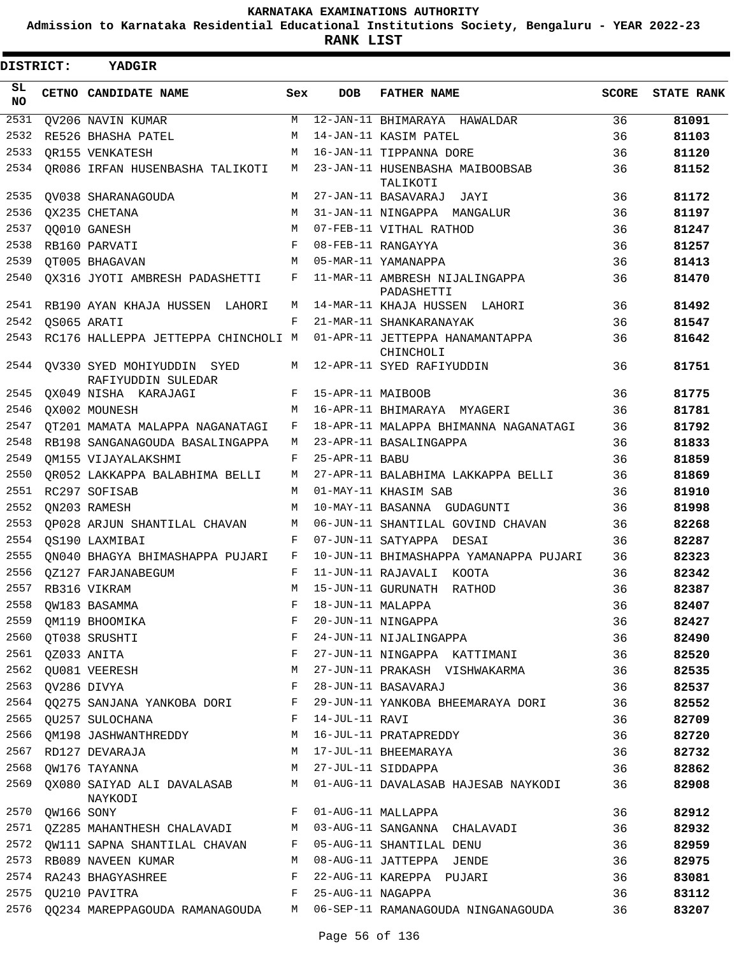**Admission to Karnataka Residential Educational Institutions Society, Bengaluru - YEAR 2022-23**

| <b>DISTRICT:</b> |                 | <b>YADGIR</b>                                    |              |                   |                                              |       |                   |
|------------------|-----------------|--------------------------------------------------|--------------|-------------------|----------------------------------------------|-------|-------------------|
| SL.<br><b>NO</b> |                 | CETNO CANDIDATE NAME                             | Sex          | <b>DOB</b>        | <b>FATHER NAME</b>                           | SCORE | <b>STATE RANK</b> |
| 2531             |                 | QV206 NAVIN KUMAR                                | M            |                   | 12-JAN-11 BHIMARAYA HAWALDAR                 | 36    | 81091             |
| 2532             |                 | RE526 BHASHA PATEL                               | М            |                   | 14-JAN-11 KASIM PATEL                        | 36    | 81103             |
| 2533             |                 | OR155 VENKATESH                                  | М            |                   | 16-JAN-11 TIPPANNA DORE                      | 36    | 81120             |
| 2534             |                 | QR086 IRFAN HUSENBASHA TALIKOTI                  | M            |                   | 23-JAN-11 HUSENBASHA MAIBOOBSAB<br>TALIKOTI  | 36    | 81152             |
| 2535             |                 | QV038 SHARANAGOUDA                               | M            |                   | 27-JAN-11 BASAVARAJ JAYI                     | 36    | 81172             |
| 2536             |                 | OX235 CHETANA                                    | М            |                   | 31-JAN-11 NINGAPPA MANGALUR                  | 36    | 81197             |
| 2537             |                 | OO010 GANESH                                     | М            |                   | 07-FEB-11 VITHAL RATHOD                      | 36    | 81247             |
| 2538             |                 | RB160 PARVATI                                    | F            |                   | 08-FEB-11 RANGAYYA                           | 36    | 81257             |
| 2539             |                 | OT005 BHAGAVAN                                   | М            |                   | 05-MAR-11 YAMANAPPA                          | 36    | 81413             |
| 2540             |                 | QX316 JYOTI AMBRESH PADASHETTI                   | F            |                   | 11-MAR-11 AMBRESH NIJALINGAPPA<br>PADASHETTI | 36    | 81470             |
| 2541             |                 | RB190 AYAN KHAJA HUSSEN LAHORI                   | М            |                   | 14-MAR-11 KHAJA HUSSEN LAHORI                | 36    | 81492             |
| 2542             |                 | OS065 ARATI                                      | F            |                   | 21-MAR-11 SHANKARANAYAK                      | 36    | 81547             |
| 2543             |                 | RC176 HALLEPPA JETTEPPA CHINCHOLI M              |              |                   | 01-APR-11 JETTEPPA HANAMANTAPPA<br>CHINCHOLI | 36    | 81642             |
| 2544             |                 | QV330 SYED MOHIYUDDIN SYED<br>RAFIYUDDIN SULEDAR | M            |                   | 12-APR-11 SYED RAFIYUDDIN                    | 36    | 81751             |
| 2545             |                 | QX049 NISHA KARAJAGI                             | F            | 15-APR-11 MAIBOOB |                                              | 36    | 81775             |
| 2546             |                 | OX002 MOUNESH                                    | M            |                   | 16-APR-11 BHIMARAYA MYAGERI                  | 36    | 81781             |
| 2547             |                 | OT201 MAMATA MALAPPA NAGANATAGI                  | F            |                   | 18-APR-11 MALAPPA BHIMANNA NAGANATAGI        | 36    | 81792             |
| 2548             |                 | RB198 SANGANAGOUDA BASALINGAPPA                  | М            |                   | 23-APR-11 BASALINGAPPA                       | 36    | 81833             |
| 2549             |                 | OM155 VIJAYALAKSHMI                              | F            | 25-APR-11 BABU    |                                              | 36    | 81859             |
| 2550             |                 | OR052 LAKKAPPA BALABHIMA BELLI                   | М            |                   | 27-APR-11 BALABHIMA LAKKAPPA BELLI           | 36    | 81869             |
| 2551             |                 | RC297 SOFISAB                                    | М            |                   | 01-MAY-11 KHASIM SAB                         | 36    | 81910             |
| 2552             |                 | ON203 RAMESH                                     | M            |                   | 10-MAY-11 BASANNA GUDAGUNTI                  | 36    | 81998             |
| 2553             |                 | OP028 ARJUN SHANTILAL CHAVAN                     | M            |                   | 06-JUN-11 SHANTILAL GOVIND CHAVAN            | 36    | 82268             |
| 2554             |                 | OS190 LAXMIBAI                                   | F            |                   | 07-JUN-11 SATYAPPA DESAI                     | 36    | 82287             |
| 2555             |                 | ON040 BHAGYA BHIMASHAPPA PUJARI                  | F            |                   | 10-JUN-11 BHIMASHAPPA YAMANAPPA PUJARI       | 36    | 82323             |
| 2556             |                 | OZ127 FARJANABEGUM                               | F            |                   | 11-JUN-11 RAJAVALI KOOTA                     | 36    | 82342             |
| 2557             |                 | RB316 VIKRAM                                     | M            |                   | 15-JUN-11 GURUNATH RATHOD                    | 36    | 82387             |
| 2558             |                 | QW183 BASAMMA                                    | F            | 18-JUN-11 MALAPPA |                                              | 36    | 82407             |
| 2559             |                 | QM119 BHOOMIKA                                   | F            |                   | 20-JUN-11 NINGAPPA                           | 36    | 82427             |
| 2560             |                 | QT038 SRUSHTI                                    | F            |                   | 24-JUN-11 NIJALINGAPPA                       | 36    | 82490             |
| 2561             |                 | QZ033 ANITA                                      | F            |                   | 27-JUN-11 NINGAPPA KATTIMANI                 | 36    | 82520             |
| 2562             |                 | QU081 VEERESH                                    | М            |                   | 27-JUN-11 PRAKASH VISHWAKARMA                | 36    | 82535             |
| 2563             |                 | QV286 DIVYA                                      | F            |                   | 28-JUN-11 BASAVARAJ                          | 36    | 82537             |
|                  |                 | 2564 QQ275 SANJANA YANKOBA DORI F                |              |                   | 29-JUN-11 YANKOBA BHEEMARAYA DORI            | 36    | 82552             |
|                  |                 | 2565 QU257 SULOCHANA                             | F            | 14-JUL-11 RAVI    |                                              | 36    | 82709             |
| 2566             |                 | QM198 JASHWANTHREDDY                             | M            |                   | 16-JUL-11 PRATAPREDDY                        | 36    | 82720             |
| 2567             |                 | RD127 DEVARAJA                                   | М            |                   | 17-JUL-11 BHEEMARAYA                         | 36    | 82732             |
| 2568             |                 | QW176 TAYANNA                                    | М            |                   | 27-JUL-11 SIDDAPPA                           | 36    | 82862             |
|                  |                 | 2569 QX080 SAIYAD ALI DAVALASAB<br>NAYKODI       |              |                   | M 01-AUG-11 DAVALASAB HAJESAB NAYKODI        | 36    | 82908             |
|                  | 2570 QW166 SONY |                                                  | F            |                   | 01-AUG-11 MALLAPPA                           | 36    | 82912             |
|                  |                 | 2571 QZ285 MAHANTHESH CHALAVADI                  | M            |                   | 03-AUG-11 SANGANNA CHALAVADI                 | 36    | 82932             |
|                  |                 | 2572 QW111 SAPNA SHANTILAL CHAVAN                |              |                   | F 05-AUG-11 SHANTILAL DENU                   | 36    | 82959             |
|                  |                 | 2573 RB089 NAVEEN KUMAR                          |              |                   | M 08-AUG-11 JATTEPPA JENDE                   | 36    | 82975             |
|                  |                 | 2574 RA243 BHAGYASHREE                           | F            |                   | 22-AUG-11 KAREPPA PUJARI                     | 36    | 83081             |
| 2575             |                 | QU210 PAVITRA                                    | $\mathbf{F}$ | 25-AUG-11 NAGAPPA |                                              | 36    | 83112             |
| 2576             |                 | QQ234 MAREPPAGOUDA RAMANAGOUDA                   |              |                   | M 06-SEP-11 RAMANAGOUDA NINGANAGOUDA         | 36    | 83207             |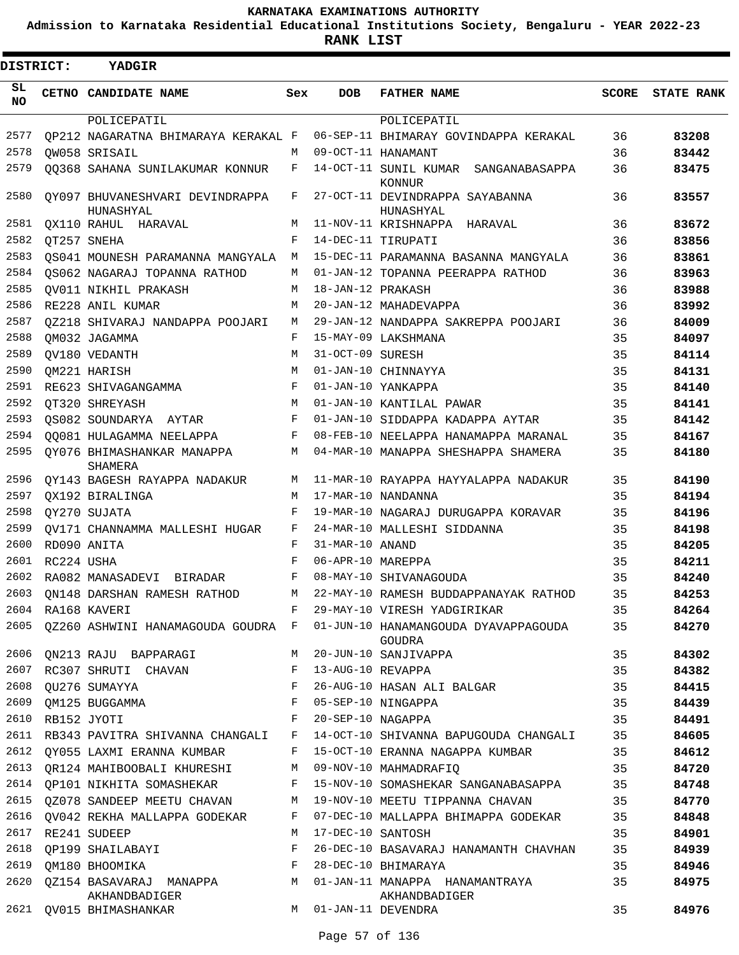**Admission to Karnataka Residential Educational Institutions Society, Bengaluru - YEAR 2022-23**

| DISTRICT:  |                  | <b>YADGIR</b>                                                       |     |                   |                                                                                           |       |                   |
|------------|------------------|---------------------------------------------------------------------|-----|-------------------|-------------------------------------------------------------------------------------------|-------|-------------------|
| SL.<br>NO. |                  | CETNO CANDIDATE NAME                                                | Sex | <b>DOB</b>        | <b>FATHER NAME</b>                                                                        | SCORE | <b>STATE RANK</b> |
|            |                  | POLICEPATIL                                                         |     |                   | POLICEPATIL                                                                               |       |                   |
| 2577       |                  | OP212 NAGARATNA BHIMARAYA KERAKAL F                                 |     |                   | 06-SEP-11 BHIMARAY GOVINDAPPA KERAKAL                                                     | 36    | 83208             |
| 2578       |                  | OW058 SRISAIL                                                       | M   |                   | 09-OCT-11 HANAMANT                                                                        | 36    | 83442             |
| 2579       |                  | QQ368 SAHANA SUNILAKUMAR KONNUR                                     | F   |                   | 14-OCT-11 SUNIL KUMAR SANGANABASAPPA<br><b>KONNUR</b>                                     | 36    | 83475             |
| 2580       |                  | OY097 BHUVANESHVARI DEVINDRAPPA<br>HUNASHYAL                        | F   |                   | 27-OCT-11 DEVINDRAPPA SAYABANNA<br>HUNASHYAL                                              | 36    | 83557             |
| 2581       |                  | OX110 RAHUL HARAVAL                                                 | M   |                   | 11-NOV-11 KRISHNAPPA HARAVAL                                                              | 36    | 83672             |
| 2582       |                  | OT257 SNEHA                                                         | F   |                   | 14-DEC-11 TIRUPATI                                                                        | 36    | 83856             |
| 2583       |                  | QS041 MOUNESH PARAMANNA MANGYALA M                                  |     |                   | 15-DEC-11 PARAMANNA BASANNA MANGYALA                                                      | 36    | 83861             |
| 2584       |                  | QS062 NAGARAJ TOPANNA RATHOD                                        | M   |                   | 01-JAN-12 TOPANNA PEERAPPA RATHOD                                                         | 36    | 83963             |
| 2585       |                  | OV011 NIKHIL PRAKASH                                                | M   | 18-JAN-12 PRAKASH |                                                                                           | 36    | 83988             |
| 2586       |                  | RE228 ANIL KUMAR                                                    | М   |                   | 20-JAN-12 MAHADEVAPPA                                                                     | 36    | 83992             |
| 2587       |                  | 0Z218 SHIVARAJ NANDAPPA POOJARI                                     | M   |                   | 29-JAN-12 NANDAPPA SAKREPPA POOJARI                                                       | 36    | 84009             |
| 2588       |                  | OM032 JAGAMMA                                                       | F   |                   | 15-MAY-09 LAKSHMANA                                                                       | 35    | 84097             |
| 2589       |                  | OV180 VEDANTH                                                       | M   | 31-OCT-09 SURESH  |                                                                                           | 35    | 84114             |
| 2590       |                  | OM221 HARISH                                                        | M   |                   | 01-JAN-10 CHINNAYYA                                                                       | 35    | 84131             |
| 2591       |                  | RE623 SHIVAGANGAMMA                                                 | F   |                   | 01-JAN-10 YANKAPPA                                                                        | 35    | 84140             |
| 2592       |                  | OT320 SHREYASH                                                      | M   |                   | 01-JAN-10 KANTILAL PAWAR                                                                  | 35    | 84141             |
| 2593       |                  | OS082 SOUNDARYA AYTAR                                               | F   |                   | 01-JAN-10 SIDDAPPA KADAPPA AYTAR                                                          | 35    | 84142             |
| 2594       |                  | 00081 HULAGAMMA NEELAPPA                                            | F   |                   | 08-FEB-10 NEELAPPA HANAMAPPA MARANAL                                                      | 35    | 84167             |
| 2595       |                  | OY076 BHIMASHANKAR MANAPPA<br>SHAMERA                               | M   |                   | 04-MAR-10 MANAPPA SHESHAPPA SHAMERA                                                       | 35    | 84180             |
| 2596       |                  | OY143 BAGESH RAYAPPA NADAKUR                                        | М   |                   | 11-MAR-10 RAYAPPA HAYYALAPPA NADAKUR                                                      | 35    | 84190             |
| 2597       |                  | OX192 BIRALINGA                                                     | М   |                   | 17-MAR-10 NANDANNA                                                                        | 35    | 84194             |
| 2598       |                  | QY270 SUJATA                                                        | F   |                   | 19-MAR-10 NAGARAJ DURUGAPPA KORAVAR                                                       | 35    | 84196             |
| 2599       |                  | OV171 CHANNAMMA MALLESHI HUGAR                                      | F   |                   | 24-MAR-10 MALLESHI SIDDANNA                                                               | 35    | 84198             |
| 2600       |                  | RD090 ANITA                                                         | F   | 31-MAR-10 ANAND   |                                                                                           | 35    | 84205             |
| 2601       | RC224 USHA       |                                                                     | F   | 06-APR-10 MAREPPA |                                                                                           | 35    | 84211             |
| 2602       |                  | RA082 MANASADEVI BIRADAR                                            | F   |                   | 08-MAY-10 SHIVANAGOUDA                                                                    | 35    | 84240             |
|            |                  | 2603 QN148 DARSHAN RAMESH RATHOD                                    |     |                   | M 22-MAY-10 RAMESH BUDDAPPANAYAK RATHOD                                                   | 35    | 84253             |
|            |                  | 2604 RA168 KAVERI                                                   |     |                   | F 29-MAY-10 VIRESH YADGIRIKAR                                                             | 35    | 84264             |
|            |                  |                                                                     |     |                   | 2605 QZ260 ASHWINI HANAMAGOUDA GOUDRA F 01-JUN-10 HANAMANGOUDA DYAVAPPAGOUDA 35<br>GOUDRA |       | 84270             |
|            |                  | 2606 QN213 RAJU BAPPARAGI                                           |     |                   | M 20-JUN-10 SANJIVAPPA                                                                    | 35    | 84302             |
|            |                  | 2607 RC307 SHRUTI CHAVAN F 13-AUG-10 REVAPPA                        |     |                   |                                                                                           | 35    | 84382             |
| 2608       |                  |                                                                     |     |                   | QU276 SUMAYYA                   F   26-AUG-10 HASAN ALI BALGAR                            | 35    | 84415             |
|            |                  |                                                                     |     |                   |                                                                                           | 35    | 84439             |
|            | 2610 RB152 JYOTI | $\mathbf{F}$                                                        |     |                   | 20-SEP-10 NAGAPPA                                                                         | 35    | 84491             |
|            |                  |                                                                     |     |                   | 2611 RB343 PAVITRA SHIVANNA CHANGALI F 14-OCT-10 SHIVANNA BAPUGOUDA CHANGALI 35           |       | 84605             |
|            |                  | 2612 QY055 LAXMI ERANNA KUMBAR                                      |     |                   | F 15-OCT-10 ERANNA NAGAPPA KUMBAR                                                         | 35    | 84612             |
|            |                  | 2613 QR124 MAHIBOOBALI KHURESHI M 09-NOV-10 MAHMADRAFIO             |     |                   |                                                                                           | 35    | 84720             |
|            |                  |                                                                     |     |                   | 2614 QP101 NIKHITA SOMASHEKAR F 15-NOV-10 SOMASHEKAR SANGANABASAPPA 35                    |       | 84748             |
|            |                  |                                                                     |     |                   | 2615 QZ078 SANDEEP MEETU CHAVAN M 19-NOV-10 MEETU TIPPANNA CHAVAN 35                      |       | 84770             |
|            |                  |                                                                     |     |                   | 2616 QV042 REKHA MALLAPPA GODEKAR F 07-DEC-10 MALLAPPA BHIMAPPA GODEKAR                   | 35    | 84848             |
| 2617       |                  | RE241 SUDEEP                                                        | M   | 17-DEC-10 SANTOSH |                                                                                           | 35    | 84901             |
|            |                  | $\mathbb{F}$ .<br><br><br>For $\mathbb{F}$<br>2618 QP199 SHAILABAYI |     |                   | 26-DEC-10 BASAVARAJ HANAMANTH CHAVHAN                                                     | 35    | 84939             |
| 2619       |                  | QM180 BHOOMIKA F 28-DEC-10 BHIMARAYA                                |     |                   |                                                                                           | 35    | 84946             |
|            |                  | AKHANDBADIGER                                                       |     |                   | 2620 QZ154 BASAVARAJ MANAPPA M 01-JAN-11 MANAPPA HANAMANTRAYA<br>AKHANDBADIGER            | 35    | 84975             |
|            |                  | 2621 QV015 BHIMASHANKAR                                             |     |                   | M 01-JAN-11 DEVENDRA                                                                      | 35    | 84976             |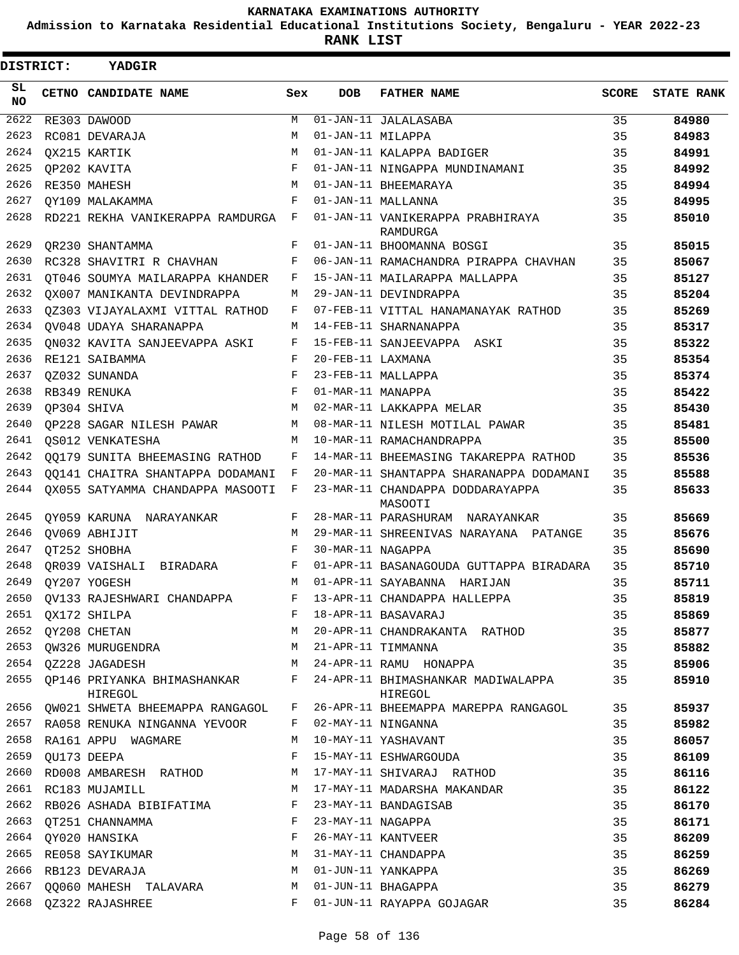**Admission to Karnataka Residential Educational Institutions Society, Bengaluru - YEAR 2022-23**

**RANK LIST**

| DISTRICT:       |  | YADGIR                                                                                                          |                    |                   |                                               |    |                  |
|-----------------|--|-----------------------------------------------------------------------------------------------------------------|--------------------|-------------------|-----------------------------------------------|----|------------------|
| SL<br><b>NO</b> |  | CETNO CANDIDATE NAME                                                                                            | Sex                | <b>DOB</b>        | <b>FATHER NAME</b>                            |    | SCORE STATE RANK |
| 2622            |  | RE303 DAWOOD                                                                                                    | М                  |                   | 01-JAN-11 JALALASABA                          | 35 | 84980            |
| 2623            |  | RC081 DEVARAJA                                                                                                  | М                  | 01-JAN-11 MILAPPA |                                               | 35 | 84983            |
| 2624            |  | OX215 KARTIK                                                                                                    | M                  |                   | 01-JAN-11 KALAPPA BADIGER                     | 35 | 84991            |
| 2625            |  | QP202 KAVITA                                                                                                    | F                  |                   | 01-JAN-11 NINGAPPA MUNDINAMANI                | 35 | 84992            |
| 2626            |  | RE350 MAHESH                                                                                                    | M                  |                   | 01-JAN-11 BHEEMARAYA                          | 35 | 84994            |
| 2627            |  | OY109 MALAKAMMA                                                                                                 | $_{\rm F}$         |                   | 01-JAN-11 MALLANNA                            | 35 | 84995            |
| 2628            |  | RD221 REKHA VANIKERAPPA RAMDURGA F                                                                              |                    |                   | 01-JAN-11 VANIKERAPPA PRABHIRAYA<br>RAMDURGA  | 35 | 85010            |
| 2629            |  | QR230 SHANTAMMA                                                                                                 | F                  |                   | 01-JAN-11 BHOOMANNA BOSGI                     | 35 | 85015            |
| 2630            |  | RC328 SHAVITRI R CHAVHAN                                                                                        | F                  |                   | 06-JAN-11 RAMACHANDRA PIRAPPA CHAVHAN         | 35 | 85067            |
| 2631            |  | OT046 SOUMYA MAILARAPPA KHANDER                                                                                 | F                  |                   | 15-JAN-11 MAILARAPPA MALLAPPA                 | 35 | 85127            |
| 2632            |  | OX007 MANIKANTA DEVINDRAPPA                                                                                     | М                  |                   | 29-JAN-11 DEVINDRAPPA                         | 35 | 85204            |
| 2633            |  | 0Z303 VIJAYALAXMI VITTAL RATHOD                                                                                 | F                  |                   | 07-FEB-11 VITTAL HANAMANAYAK RATHOD           | 35 | 85269            |
| 2634            |  | OV048 UDAYA SHARANAPPA                                                                                          | М                  |                   | 14-FEB-11 SHARNANAPPA                         | 35 | 85317            |
| 2635            |  | ON032 KAVITA SANJEEVAPPA ASKI                                                                                   | F                  |                   | 15-FEB-11 SANJEEVAPPA ASKI                    | 35 | 85322            |
| 2636            |  | RE121 SAIBAMMA                                                                                                  | $_{\rm F}$         | 20-FEB-11 LAXMANA |                                               | 35 | 85354            |
| 2637            |  | OZ032 SUNANDA                                                                                                   | F                  |                   | 23-FEB-11 MALLAPPA                            | 35 | 85374            |
| 2638            |  | RB349 RENUKA                                                                                                    | $\mathbf{F}% _{0}$ | 01-MAR-11 MANAPPA |                                               | 35 | 85422            |
| 2639            |  | OP304 SHIVA                                                                                                     | M                  |                   | 02-MAR-11 LAKKAPPA MELAR                      | 35 | 85430            |
| 2640            |  | OP228 SAGAR NILESH PAWAR                                                                                        | M                  |                   | 08-MAR-11 NILESH MOTILAL PAWAR                | 35 | 85481            |
| 2641            |  | OS012 VENKATESHA                                                                                                | M                  |                   | 10-MAR-11 RAMACHANDRAPPA                      | 35 | 85500            |
| 2642            |  | 00179 SUNITA BHEEMASING RATHOD                                                                                  | F                  |                   | 14-MAR-11 BHEEMASING TAKAREPPA RATHOD         | 35 | 85536            |
| 2643            |  | 00141 CHAITRA SHANTAPPA DODAMANI                                                                                | F                  |                   | 20-MAR-11 SHANTAPPA SHARANAPPA DODAMANI       | 35 | 85588            |
| 2644            |  | QX055 SATYAMMA CHANDAPPA MASOOTI                                                                                | F                  |                   | 23-MAR-11 CHANDAPPA DODDARAYAPPA<br>MASOOTI   | 35 | 85633            |
| 2645            |  | OY059 KARUNA NARAYANKAR                                                                                         | F                  |                   | 28-MAR-11 PARASHURAM NARAYANKAR               | 35 | 85669            |
| 2646            |  | OV069 ABHIJIT                                                                                                   | M                  |                   | 29-MAR-11 SHREENIVAS NARAYANA PATANGE         | 35 | 85676            |
| 2647            |  | OT252 SHOBHA                                                                                                    | F                  | 30-MAR-11 NAGAPPA |                                               | 35 | 85690            |
| 2648            |  | OR039 VAISHALI BIRADARA                                                                                         | F                  |                   | 01-APR-11 BASANAGOUDA GUTTAPPA BIRADARA       | 35 | 85710            |
| 2649            |  | OY207 YOGESH                                                                                                    | M                  |                   | 01-APR-11 SAYABANNA HARIJAN                   | 35 | 85711            |
|                 |  | 2650 QV133 RAJESHWARI CHANDAPPA                                                                                 |                    |                   | F 13-APR-11 CHANDAPPA HALLEPPA                | 35 | 85819            |
| 2651            |  | QX172 SHILPA                                                                                                    | F                  |                   | 18-APR-11 BASAVARAJ                           | 35 | 85869            |
| 2652            |  | QY208 CHETAN                                                                                                    | М                  |                   | 20-APR-11 CHANDRAKANTA RATHOD                 | 35 | 85877            |
| 2653            |  | QW326 MURUGENDRA                                                                                                | М                  |                   | 21-APR-11 TIMMANNA                            | 35 | 85882            |
| 2654            |  | QZ228 JAGADESH                                                                                                  | М                  |                   | 24-APR-11 RAMU HONAPPA                        | 35 | 85906            |
| 2655            |  | QP146 PRIYANKA BHIMASHANKAR<br>HIREGOL                                                                          | $F$ and            |                   | 24-APR-11 BHIMASHANKAR MADIWALAPPA<br>HIREGOL | 35 | 85910            |
| 2656            |  | QW021 SHWETA BHEEMAPPA RANGAGOL                                                                                 | F                  |                   | 26-APR-11 BHEEMAPPA MAREPPA RANGAGOL          | 35 | 85937            |
| 2657            |  | RA058 RENUKA NINGANNA YEVOOR                                                                                    | F                  |                   | 02-MAY-11 NINGANNA                            | 35 | 85982            |
| 2658            |  | RA161 APPU WAGMARE                                                                                              | M                  |                   | 10-MAY-11 YASHAVANT                           | 35 | 86057            |
| 2659            |  | QU173 DEEPA                                                                                                     | F                  |                   | 15-MAY-11 ESHWARGOUDA                         | 35 | 86109            |
| 2660            |  | RD008 AMBARESH RATHOD                                                                                           | М                  |                   | 17-MAY-11 SHIVARAJ RATHOD                     | 35 | 86116            |
| 2661            |  | RC183 MUJAMILL NATIONAL SERVICE SERVICE SERVICE SERVICE SERVICE SERVICE SERVICE SERVICE SERVICE SERVICE SERVICE | М                  |                   | 17-MAY-11 MADARSHA MAKANDAR                   | 35 | 86122            |
| 2662            |  | RB026 ASHADA BIBIFATIMA                                                                                         | F                  |                   | 23-MAY-11 BANDAGISAB                          | 35 | 86170            |
| 2663            |  | OT251 CHANNAMMA                                                                                                 | F                  | 23-MAY-11 NAGAPPA |                                               | 35 | 86171            |
| 2664            |  | QY020 HANSIKA                                                                                                   | F                  |                   | 26-MAY-11 KANTVEER                            | 35 | 86209            |
| 2665            |  | RE058 SAYIKUMAR                                                                                                 | М                  |                   | 31-MAY-11 CHANDAPPA                           | 35 | 86259            |
| 2666            |  | RB123 DEVARAJA                                                                                                  | M                  |                   | 01-JUN-11 YANKAPPA                            | 35 | 86269            |
| 2667            |  | QQ060 MAHESH TALAVARA                                                                                           | М                  |                   | 01-JUN-11 BHAGAPPA                            | 35 | 86279            |
| 2668            |  | QZ322 RAJASHREE                                                                                                 | F                  |                   | 01-JUN-11 RAYAPPA GOJAGAR                     | 35 | 86284            |
|                 |  |                                                                                                                 |                    |                   |                                               |    |                  |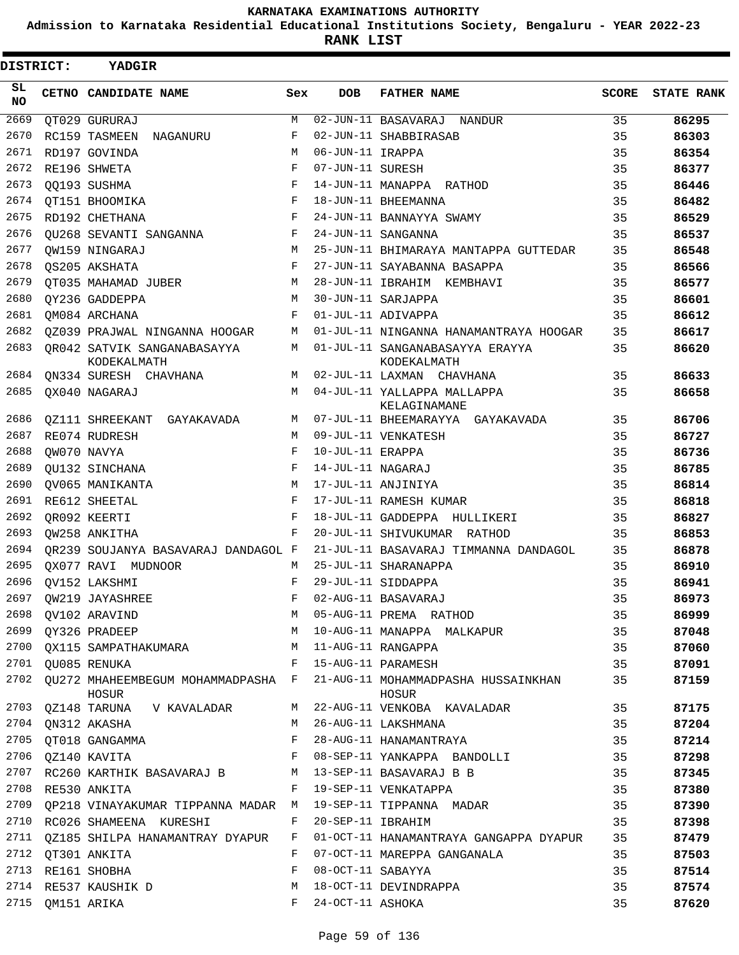**Admission to Karnataka Residential Educational Institutions Society, Bengaluru - YEAR 2022-23**

**RANK LIST**

| <b>DISTRICT:</b> |                  | <b>YADGIR</b>                                                       |            |                   |                                                                                      |              |                   |
|------------------|------------------|---------------------------------------------------------------------|------------|-------------------|--------------------------------------------------------------------------------------|--------------|-------------------|
| SL<br><b>NO</b>  |                  | CETNO CANDIDATE NAME                                                | Sex        | <b>DOB</b>        | <b>FATHER NAME</b>                                                                   | <b>SCORE</b> | <b>STATE RANK</b> |
| 2669             |                  | QT029 GURURAJ                                                       | M          |                   | 02-JUN-11 BASAVARAJ NANDUR                                                           | 35           | 86295             |
| 2670             |                  | RC159 TASMEEN NAGANURU                                              | F          |                   | 02-JUN-11 SHABBIRASAB                                                                | 35           | 86303             |
| 2671             |                  | RD197 GOVINDA                                                       | M          | 06-JUN-11 IRAPPA  |                                                                                      | 35           | 86354             |
| 2672             |                  | RE196 SHWETA                                                        | $_{\rm F}$ | 07-JUN-11 SURESH  |                                                                                      | 35           | 86377             |
| 2673             |                  | 00193 SUSHMA                                                        | F          |                   | 14-JUN-11 MANAPPA RATHOD                                                             | 35           | 86446             |
| 2674             |                  | QT151 BHOOMIKA                                                      | F          |                   | 18-JUN-11 BHEEMANNA                                                                  | 35           | 86482             |
| 2675             |                  | RD192 CHETHANA                                                      | F          |                   | 24-JUN-11 BANNAYYA SWAMY                                                             | 35           | 86529             |
| 2676             |                  | OU268 SEVANTI SANGANNA                                              | F          |                   | 24-JUN-11 SANGANNA                                                                   | 35           | 86537             |
| 2677             |                  | OW159 NINGARAJ                                                      | M          |                   | 25-JUN-11 BHIMARAYA MANTAPPA GUTTEDAR                                                | 35           | 86548             |
| 2678             |                  | OS205 AKSHATA                                                       | F          |                   | 27-JUN-11 SAYABANNA BASAPPA                                                          | 35           | 86566             |
| 2679             |                  | OT035 MAHAMAD JUBER                                                 | M          |                   | 28-JUN-11 IBRAHIM KEMBHAVI                                                           | 35           | 86577             |
| 2680             |                  | OY236 GADDEPPA                                                      | M          |                   | 30-JUN-11 SARJAPPA                                                                   | 35           | 86601             |
| 2681             |                  | OM084 ARCHANA                                                       | F          |                   | 01-JUL-11 ADIVAPPA                                                                   | 35           | 86612             |
| 2682             |                  | 0Z039 PRAJWAL NINGANNA HOOGAR                                       | M          |                   | 01-JUL-11 NINGANNA HANAMANTRAYA HOOGAR                                               | 35           | 86617             |
| 2683             |                  | QR042 SATVIK SANGANABASAYYA<br>KODEKALMATH                          | M          |                   | 01-JUL-11 SANGANABASAYYA ERAYYA<br>KODEKALMATH                                       | 35           | 86620             |
| 2684             |                  | QN334 SURESH CHAVHANA                                               | M          |                   | 02-JUL-11 LAXMAN CHAVHANA                                                            | 35           | 86633             |
| 2685             |                  | OX040 NAGARAJ                                                       | M          |                   | 04-JUL-11 YALLAPPA MALLAPPA<br>KELAGINAMANE                                          | 35           | 86658             |
| 2686             |                  | 0Z111 SHREEKANT GAYAKAVADA                                          | М          |                   | 07-JUL-11 BHEEMARAYYA GAYAKAVADA                                                     | 35           | 86706             |
| 2687             |                  | RE074 RUDRESH                                                       | M          |                   | 09-JUL-11 VENKATESH                                                                  | 35           | 86727             |
| 2688             |                  | OW070 NAVYA                                                         | F          | 10-JUL-11 ERAPPA  |                                                                                      | 35           | 86736             |
| 2689             |                  | QU132 SINCHANA                                                      | F          | 14-JUL-11 NAGARAJ |                                                                                      | 35           | 86785             |
| 2690             |                  | OV065 MANIKANTA                                                     | M          |                   | 17-JUL-11 ANJINIYA                                                                   | 35           | 86814             |
| 2691             |                  | RE612 SHEETAL                                                       | F          |                   | 17-JUL-11 RAMESH KUMAR                                                               | 35           | 86818             |
| 2692             |                  | QR092 KEERTI                                                        | F          |                   | 18-JUL-11 GADDEPPA HULLIKERI                                                         | 35           | 86827             |
| 2693             |                  | OW258 ANKITHA                                                       | F          |                   | 20-JUL-11 SHIVUKUMAR RATHOD                                                          | 35           | 86853             |
| 2694             |                  | OR239 SOUJANYA BASAVARAJ DANDAGOL F                                 |            |                   | 21-JUL-11 BASAVARAJ TIMMANNA DANDAGOL                                                | 35           | 86878             |
| 2695             |                  | OX077 RAVI MUDNOOR                                                  | M          |                   | 25-JUL-11 SHARANAPPA                                                                 | 35           | 86910             |
| 2696             |                  | OV152 LAKSHMI                                                       | F          |                   | 29-JUL-11 SIDDAPPA                                                                   | 35           | 86941             |
|                  |                  | 2697 QW219 JAYASHREE                                                |            |                   | F 02-AUG-11 BASAVARAJ                                                                | 35           | 86973             |
| 2698             |                  | OV102 ARAVIND                                                       | M          |                   | 05-AUG-11 PREMA RATHOD                                                               | 35           | 86999             |
|                  |                  | 2699 QY326 PRADEEP                                                  | М          |                   | 10-AUG-11 MANAPPA MALKAPUR                                                           | 35           | 87048             |
| 2700             |                  | QX115 SAMPATHAKUMARA M 11-AUG-11 RANGAPPA                           |            |                   |                                                                                      | 35           | 87060             |
|                  |                  | 2701 QU085 RENUKA                                                   |            |                   | F 15-AUG-11 PARAMESH                                                                 | 35           | 87091             |
|                  |                  | HOSUR                                                               |            |                   | 2702 QU272 MHAHEEMBEGUM MOHAMMADPASHA F 21-AUG-11 MOHAMMADPASHA HUSSAINKHAN<br>HOSUR | 35           | 87159             |
|                  |                  | 2703 QZ148 TARUNA V KAVALADAR                                       |            |                   | M 22-AUG-11 VENKOBA KAVALADAR                                                        | 35           | 87175             |
|                  |                  | 2704 QN312 AKASHA                                                   | M          |                   | 26-AUG-11 LAKSHMANA                                                                  | 35           | 87204             |
| 2705             |                  | QT018 GANGAMMA                                                      | F          |                   | 28-AUG-11 HANAMANTRAYA                                                               | 35           | 87214             |
|                  |                  | 2706 QZ140 KAVITA<br>$\mathbf{F}$ and $\mathbf{F}$ and $\mathbf{F}$ |            |                   | 08-SEP-11 YANKAPPA BANDOLLI                                                          | 35           | 87298             |
|                  |                  | 2707 RC260 KARTHIK BASAVARAJ B M 13-SEP-11 BASAVARAJ B B            |            |                   |                                                                                      | 35           | 87345             |
| 2708             |                  | RE530 ANKITA                                                        |            |                   | F 19-SEP-11 VENKATAPPA                                                               | 35           | 87380             |
| 2709             |                  | QP218 VINAYAKUMAR TIPPANNA MADAR M                                  |            |                   | 19-SEP-11 TIPPANNA MADAR                                                             | 35           | 87390             |
| 2710             |                  | RC026 SHAMEENA KURESHI                                              | F          |                   | 20-SEP-11 IBRAHIM                                                                    | 35           | 87398             |
|                  |                  | 2711 QZ185 SHILPA HANAMANTRAY DYAPUR                                | F          |                   | 01-OCT-11 HANAMANTRAYA GANGAPPA DYAPUR                                               | 35           | 87479             |
|                  |                  | 2712 QT301 ANKITA                                                   | F          |                   | 07-OCT-11 MAREPPA GANGANALA                                                          | 35           | 87503             |
|                  |                  | 2713 RE161 SHOBHA                                                   | F          | 08-OCT-11 SABAYYA |                                                                                      | 35           | 87514             |
|                  |                  | 2714 RE537 KAUSHIK D                                                | M          |                   | 18-OCT-11 DEVINDRAPPA                                                                | 35           | 87574             |
|                  | 2715 QM151 ARIKA |                                                                     | F          | 24-OCT-11 ASHOKA  |                                                                                      | 35           | 87620             |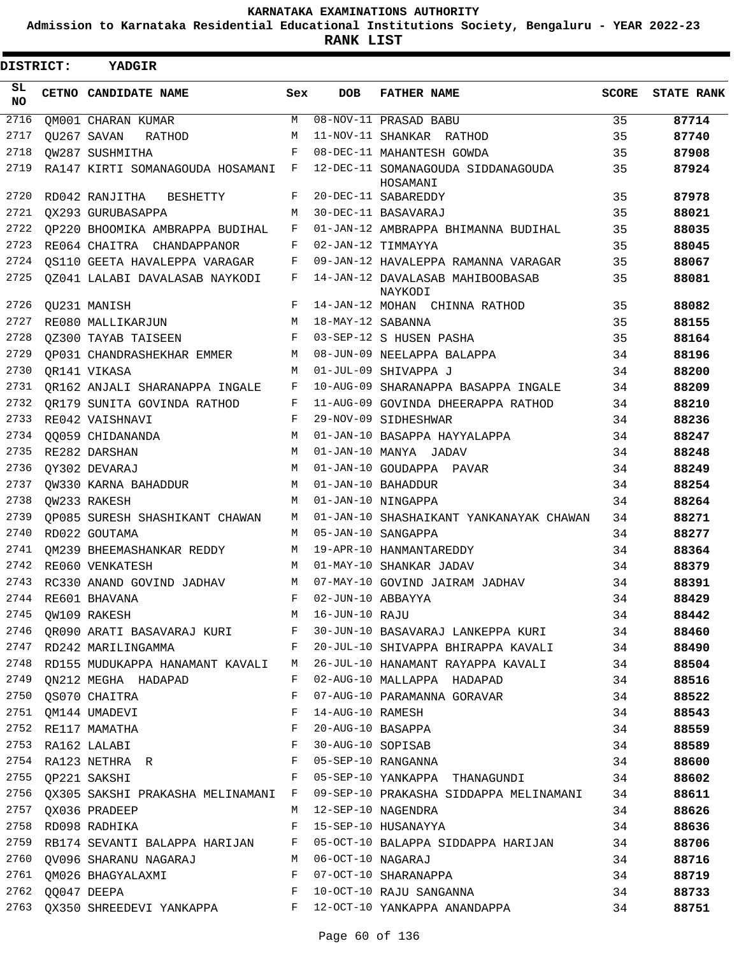**Admission to Karnataka Residential Educational Institutions Society, Bengaluru - YEAR 2022-23**

| DISTRICT:        | YADGIR                                                                                                                             |     |                   |                                                                                   |       |                   |
|------------------|------------------------------------------------------------------------------------------------------------------------------------|-----|-------------------|-----------------------------------------------------------------------------------|-------|-------------------|
| SL.<br><b>NO</b> | CETNO CANDIDATE NAME                                                                                                               | Sex | <b>DOB</b>        | <b>FATHER NAME</b>                                                                | SCORE | <b>STATE RANK</b> |
| 2716             | QM001 CHARAN KUMAR                                                                                                                 | M   |                   | 08-NOV-11 PRASAD BABU                                                             | 35    | 87714             |
| 2717             | OU267 SAVAN<br>RATHOD                                                                                                              | М   |                   | 11-NOV-11 SHANKAR RATHOD                                                          | 35    | 87740             |
| 2718             | OW287 SUSHMITHA                                                                                                                    | F   |                   | 08-DEC-11 MAHANTESH GOWDA                                                         | 35    | 87908             |
| 2719             | RA147 KIRTI SOMANAGOUDA HOSAMANI F                                                                                                 |     |                   | 12-DEC-11 SOMANAGOUDA SIDDANAGOUDA<br>HOSAMANI                                    | 35    | 87924             |
| 2720             | RD042 RANJITHA<br>BESHETTY                                                                                                         | F   |                   | 20-DEC-11 SABAREDDY                                                               | 35    | 87978             |
| 2721             | <b>OX293 GURUBASAPPA</b>                                                                                                           | M   |                   | 30-DEC-11 BASAVARAJ                                                               | 35    | 88021             |
| 2722             | QP220 BHOOMIKA AMBRAPPA BUDIHAL                                                                                                    | F   |                   | 01-JAN-12 AMBRAPPA BHIMANNA BUDIHAL                                               | 35    | 88035             |
| 2723             | RE064 CHAITRA CHANDAPPANOR                                                                                                         | F   |                   | 02-JAN-12 TIMMAYYA                                                                | 35    | 88045             |
| 2724             | OS110 GEETA HAVALEPPA VARAGAR                                                                                                      | F   |                   | 09-JAN-12 HAVALEPPA RAMANNA VARAGAR                                               | 35    | 88067             |
| 2725             | QZ041 LALABI DAVALASAB NAYKODI                                                                                                     | F   |                   | 14-JAN-12 DAVALASAB MAHIBOOBASAB<br>NAYKODI                                       | 35    | 88081             |
| 2726             | QU231 MANISH                                                                                                                       | F   |                   | 14-JAN-12 MOHAN CHINNA RATHOD                                                     | 35    | 88082             |
| 2727             | RE080 MALLIKARJUN                                                                                                                  | M   | 18-MAY-12 SABANNA |                                                                                   | 35    | 88155             |
| 2728             | OZ300 TAYAB TAISEEN                                                                                                                | F   |                   | 03-SEP-12 S HUSEN PASHA                                                           | 35    | 88164             |
| 2729             | OP031 CHANDRASHEKHAR EMMER                                                                                                         | М   |                   | 08-JUN-09 NEELAPPA BALAPPA                                                        | 34    | 88196             |
| 2730             | OR141 VIKASA                                                                                                                       | M   |                   | 01-JUL-09 SHIVAPPA J                                                              | 34    | 88200             |
| 2731             | QR162 ANJALI SHARANAPPA INGALE                                                                                                     | F   |                   | 10-AUG-09 SHARANAPPA BASAPPA INGALE                                               | 34    | 88209             |
| 2732             | OR179 SUNITA GOVINDA RATHOD                                                                                                        | F   |                   | 11-AUG-09 GOVINDA DHEERAPPA RATHOD                                                | 34    | 88210             |
| 2733             | RE042 VAISHNAVI                                                                                                                    | F   |                   | 29-NOV-09 SIDHESHWAR                                                              | 34    | 88236             |
| 2734             | 00059 CHIDANANDA                                                                                                                   | M   |                   | 01-JAN-10 BASAPPA HAYYALAPPA                                                      | 34    | 88247             |
| 2735             | RE282 DARSHAN                                                                                                                      | M   |                   | 01-JAN-10 MANYA JADAV                                                             | 34    | 88248             |
| 2736             | OY302 DEVARAJ                                                                                                                      | M   |                   | 01-JAN-10 GOUDAPPA PAVAR                                                          | 34    | 88249             |
| 2737             | OW330 KARNA BAHADDUR                                                                                                               | М   |                   | 01-JAN-10 BAHADDUR                                                                | 34    | 88254             |
| 2738             | OW233 RAKESH                                                                                                                       | M   |                   | 01-JAN-10 NINGAPPA                                                                | 34    | 88264             |
| 2739             | QP085 SURESH SHASHIKANT CHAWAN                                                                                                     | M   |                   | 01-JAN-10 SHASHAIKANT YANKANAYAK CHAWAN                                           | 34    | 88271             |
| 2740             | RD022 GOUTAMA                                                                                                                      | M   |                   | 05-JAN-10 SANGAPPA                                                                | 34    | 88277             |
| 2741             | OM239 BHEEMASHANKAR REDDY                                                                                                          | М   |                   | 19-APR-10 HANMANTAREDDY                                                           | 34    | 88364             |
| 2742             | RE060 VENKATESH                                                                                                                    | M   |                   | 01-MAY-10 SHANKAR JADAV                                                           | 34    | 88379             |
|                  | 2743 RC330 ANAND GOVIND JADHAV                                                                                                     | M   |                   | 07-MAY-10 GOVIND JAIRAM JADHAV                                                    | 34    | 88391             |
| 2744             |                                                                                                                                    |     | 02-JUN-10 ABBAYYA |                                                                                   | 34    | 88429             |
| 2745             | ${\tt RE601\  BHAVANA} \begin{tabular}{lcccc} & & & & & & & \\ & & & & & & & \\ \hline QW109 \  RAKESH & & & & & \\ \end{tabular}$ |     |                   |                                                                                   | 34    | 88442             |
| 2746             |                                                                                                                                    |     |                   | QR090 ARATI BASAVARAJ KURI F 30-JUN-10 BASAVARAJ LANKEPPA KURI 34                 |       | 88460             |
|                  |                                                                                                                                    |     |                   | 2747 RD242 MARILINGAMMA F 20-JUL-10 SHIVAPPA BHIRAPPA KAVALI 34                   |       | 88490             |
|                  |                                                                                                                                    |     |                   | 2748 RD155 MUDUKAPPA HANAMANT KAVALI M 26-JUL-10 HANAMANT RAYAPPA KAVALI 34       |       | 88504             |
|                  | 2749 QN212 MEGHA HADAPAD                                                                                                           |     |                   | F 02-AUG-10 MALLAPPA HADAPAD                                                      | 34    | 88516             |
|                  |                                                                                                                                    |     |                   | 07-AUG-10 PARAMANNA GORAVAR                                                       | 34    | 88522             |
|                  |                                                                                                                                    |     | 14-AUG-10 RAMESH  |                                                                                   | 34    | 88543             |
|                  |                                                                                                                                    |     |                   | 20-AUG-10 BASAPPA                                                                 | 34    | 88559             |
|                  | 2750 QS070 CHAITRA F<br>2751 QM144 UMADEVI F<br>2752 RE117 MAMATHA F<br>2753 RA162 LALABI F                                        |     |                   |                                                                                   |       | 88589             |
|                  |                                                                                                                                    |     |                   |                                                                                   |       | 88600             |
|                  |                                                                                                                                    |     |                   |                                                                                   |       | 88602             |
|                  |                                                                                                                                    |     |                   | 2756 QX305 SAKSHI PRAKASHA MELINAMANI F 09-SEP-10 PRAKASHA SIDDAPPA MELINAMANI 34 |       | 88611             |
|                  | 2757 QX036 PRADEEP                                                                                                                 |     |                   | M 12-SEP-10 NAGENDRA                                                              | 34    | 88626             |
|                  | 2758 RD098 RADHIKA                                                                                                                 |     |                   | F 15-SEP-10 HUSANAYYA                                                             | 34    | 88636             |
|                  |                                                                                                                                    |     |                   | 2759 RB174 SEVANTI BALAPPA HARIJAN F 05-OCT-10 BALAPPA SIDDAPPA HARIJAN 34        |       | 88706             |
|                  | 2760 QV096 SHARANU NAGARAJ M 06-OCT-10 NAGARAJ                                                                                     |     |                   |                                                                                   | 34    | 88716             |
|                  |                                                                                                                                    |     |                   |                                                                                   | 34    | 88719             |
|                  |                                                                                                                                    |     |                   | 10-OCT-10 RAJU SANGANNA                                                           | 34    | 88733             |
|                  |                                                                                                                                    |     |                   |                                                                                   | 34    | 88751             |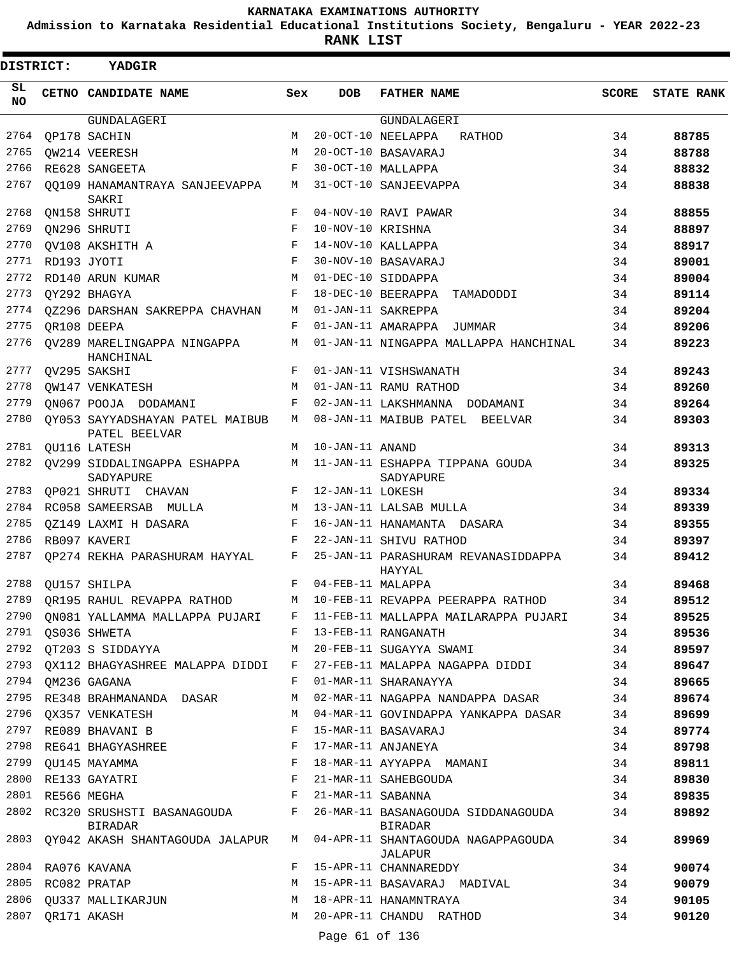**Admission to Karnataka Residential Educational Institutions Society, Bengaluru - YEAR 2022-23**

| <b>DISTRICT:</b> |                  | <b>YADGIR</b>                                    |            |                   |                                               |       |                   |
|------------------|------------------|--------------------------------------------------|------------|-------------------|-----------------------------------------------|-------|-------------------|
| SL.<br>NO        |                  | CETNO CANDIDATE NAME                             | Sex        | <b>DOB</b>        | <b>FATHER NAME</b>                            | SCORE | <b>STATE RANK</b> |
|                  |                  | GUNDALAGERI                                      |            |                   | GUNDALAGERI                                   |       |                   |
| 2764             |                  | OP178 SACHIN                                     | M          |                   | 20-OCT-10 NEELAPPA<br>RATHOD                  | 34    | 88785             |
| 2765             |                  | QW214 VEERESH                                    | M          |                   | 20-OCT-10 BASAVARAJ                           | 34    | 88788             |
| 2766             |                  | RE628 SANGEETA                                   | F          |                   | 30-OCT-10 MALLAPPA                            | 34    | 88832             |
| 2767             |                  | 00109 HANAMANTRAYA SANJEEVAPPA<br>SAKRI          | М          |                   | 31-OCT-10 SANJEEVAPPA                         | 34    | 88838             |
| 2768             |                  | ON158 SHRUTI                                     | F          |                   | 04-NOV-10 RAVI PAWAR                          | 34    | 88855             |
| 2769             |                  | QN296 SHRUTI                                     | F          | 10-NOV-10 KRISHNA |                                               | 34    | 88897             |
| 2770             |                  | OV108 AKSHITH A                                  | F          |                   | 14-NOV-10 KALLAPPA                            | 34    | 88917             |
| 2771             |                  | RD193 JYOTI                                      | F          |                   | 30-NOV-10 BASAVARAJ                           | 34    | 89001             |
| 2772             |                  | RD140 ARUN KUMAR                                 | M          |                   | 01-DEC-10 SIDDAPPA                            | 34    | 89004             |
| 2773             |                  | QY292 BHAGYA                                     | $_{\rm F}$ |                   | 18-DEC-10 BEERAPPA TAMADODDI                  | 34    | 89114             |
| 2774             |                  | OZ296 DARSHAN SAKREPPA CHAVHAN                   | М          |                   | 01-JAN-11 SAKREPPA                            | 34    | 89204             |
| 2775             |                  | OR108 DEEPA                                      | F          |                   | 01-JAN-11 AMARAPPA JUMMAR                     | 34    | 89206             |
| 2776             |                  | OV289 MARELINGAPPA NINGAPPA<br>HANCHINAL         | М          |                   | 01-JAN-11 NINGAPPA MALLAPPA HANCHINAL         | 34    | 89223             |
| 2777             |                  | QV295 SAKSHI                                     | F          |                   | 01-JAN-11 VISHSWANATH                         | 34    | 89243             |
| 2778             |                  | OW147 VENKATESH                                  | M          |                   | 01-JAN-11 RAMU RATHOD                         | 34    | 89260             |
| 2779             |                  | QN067 POOJA DODAMANI                             | F          |                   | 02-JAN-11 LAKSHMANNA DODAMANI                 | 34    | 89264             |
| 2780             |                  | QY053 SAYYADSHAYAN PATEL MAIBUB<br>PATEL BEELVAR | M          |                   | 08-JAN-11 MAIBUB PATEL BEELVAR                | 34    | 89303             |
| 2781             |                  | QU116 LATESH                                     | M          | 10-JAN-11 ANAND   |                                               | 34    | 89313             |
| 2782             |                  | OV299 SIDDALINGAPPA ESHAPPA<br>SADYAPURE         | M          |                   | 11-JAN-11 ESHAPPA TIPPANA GOUDA<br>SADYAPURE  | 34    | 89325             |
| 2783             |                  | QP021 SHRUTI CHAVAN                              | F          | 12-JAN-11 LOKESH  |                                               | 34    | 89334             |
| 2784             |                  | RC058 SAMEERSAB MULLA                            | M          |                   | 13-JAN-11 LALSAB MULLA                        | 34    | 89339             |
| 2785             |                  | OZ149 LAXMI H DASARA                             | F          |                   | 16-JAN-11 HANAMANTA DASARA                    | 34    | 89355             |
| 2786             |                  | RB097 KAVERI                                     | F          |                   | 22-JAN-11 SHIVU RATHOD                        | 34    | 89397             |
| 2787             |                  | OP274 REKHA PARASHURAM HAYYAL                    | F          |                   | 25-JAN-11 PARASHURAM REVANASIDDAPPA<br>HAYYAL | 34    | 89412             |
| 2788             |                  | OU157 SHILPA                                     | F          | 04-FEB-11 MALAPPA |                                               | 34    | 89468             |
| 2789             |                  | QR195 RAHUL REVAPPA RATHOD                       | M          |                   | 10-FEB-11 REVAPPA PEERAPPA RATHOD             | 34    | 89512             |
| 2790             |                  | QN081 YALLAMMA MALLAPPA PUJARI F                 |            |                   | 11-FEB-11 MALLAPPA MAILARAPPA PUJARI          | 34    | 89525             |
|                  |                  | 2791 QS036 SHWETA                                | F          |                   | 13-FEB-11 RANGANATH                           | 34    | 89536             |
| 2792             |                  | QT203 S SIDDAYYA                                 | М          |                   | 20-FEB-11 SUGAYYA SWAMI                       | 34    | 89597             |
| 2793             |                  | OX112 BHAGYASHREE MALAPPA DIDDI                  | F          |                   | 27-FEB-11 MALAPPA NAGAPPA DIDDI               | 34    | 89647             |
| 2794             |                  | QM236 GAGANA                                     | F          |                   | 01-MAR-11 SHARANAYYA                          | 34    | 89665             |
| 2795             |                  | RE348 BRAHMANANDA DASAR                          | М          |                   | 02-MAR-11 NAGAPPA NANDAPPA DASAR              | 34    | 89674             |
| 2796             |                  | OX357 VENKATESH                                  | M          |                   | 04-MAR-11 GOVINDAPPA YANKAPPA DASAR           | 34    | 89699             |
| 2797             |                  | RE089 BHAVANI B                                  | F          |                   | 15-MAR-11 BASAVARAJ                           | 34    | 89774             |
| 2798             |                  | RE641 BHAGYASHREE                                | F          |                   | 17-MAR-11 ANJANEYA                            | 34    | 89798             |
|                  |                  | 2799 QU145 MAYAMMA                               | F          |                   | 18-MAR-11 AYYAPPA MAMANI                      | 34    |                   |
|                  |                  |                                                  |            |                   |                                               |       | 89811             |
| 2800             |                  | RE133 GAYATRI                                    | F<br>F     |                   | 21-MAR-11 SAHEBGOUDA                          | 34    | 89830             |
| 2801             | RE566 MEGHA      |                                                  |            | 21-MAR-11 SABANNA |                                               | 34    | 89835             |
| 2802             |                  | RC320 SRUSHSTI BASANAGOUDA<br>BIRADAR            | F          |                   | 26-MAR-11 BASANAGOUDA SIDDANAGOUDA<br>BIRADAR | 34    | 89892             |
|                  |                  | 2803 QY042 AKASH SHANTAGOUDA JALAPUR             | M          |                   | 04-APR-11 SHANTAGOUDA NAGAPPAGOUDA<br>JALAPUR | 34    | 89969             |
| 2804             |                  | RA076 KAVANA                                     | F          |                   | 15-APR-11 CHANNAREDDY                         | 34    | 90074             |
| 2805             |                  | RC082 PRATAP                                     | M          |                   | 15-APR-11 BASAVARAJ MADIVAL                   | 34    | 90079             |
| 2806             |                  | QU337 MALLIKARJUN                                | M          |                   | 18-APR-11 HANAMNTRAYA                         | 34    | 90105             |
|                  | 2807 QR171 AKASH |                                                  | M          | Page 61 of 136    | 20-APR-11 CHANDU RATHOD                       | 34    | 90120             |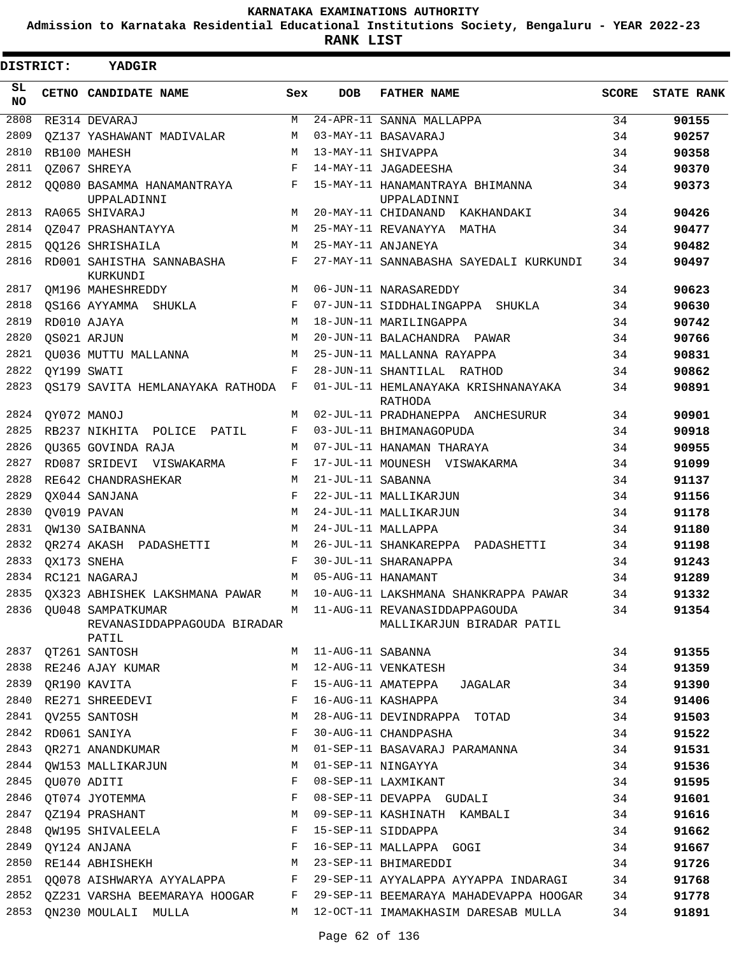**Admission to Karnataka Residential Educational Institutions Society, Bengaluru - YEAR 2022-23**

| DISTRICT:       | <b>YADGIR</b>                                             |     |                   |                                                              |              |                   |
|-----------------|-----------------------------------------------------------|-----|-------------------|--------------------------------------------------------------|--------------|-------------------|
| SL<br><b>NO</b> | CETNO CANDIDATE NAME                                      | Sex | <b>DOB</b>        | <b>FATHER NAME</b>                                           | <b>SCORE</b> | <b>STATE RANK</b> |
| 2808            | RE314 DEVARAJ                                             | М   |                   | 24-APR-11 SANNA MALLAPPA                                     | 34           | 90155             |
| 2809            | OZ137 YASHAWANT MADIVALAR                                 | М   |                   | 03-MAY-11 BASAVARAJ                                          | 34           | 90257             |
| 2810            | RB100 MAHESH                                              | М   |                   | 13-MAY-11 SHIVAPPA                                           | 34           | 90358             |
| 2811            | OZ067 SHREYA                                              | F   |                   | 14-MAY-11 JAGADEESHA                                         | 34           | 90370             |
| 2812            | 00080 BASAMMA HANAMANTRAYA<br>UPPALADINNI                 | F   |                   | 15-MAY-11 HANAMANTRAYA BHIMANNA<br>UPPALADINNI               | 34           | 90373             |
| 2813            | RA065 SHIVARAJ                                            | М   |                   | 20-MAY-11 CHIDANAND KAKHANDAKI                               | 34           | 90426             |
| 2814            | 0Z047 PRASHANTAYYA                                        | М   |                   | 25-MAY-11 REVANAYYA MATHA                                    | 34           | 90477             |
| 2815            | 00126 SHRISHAILA                                          | М   |                   | 25-MAY-11 ANJANEYA                                           | 34           | 90482             |
| 2816            | RD001 SAHISTHA SANNABASHA<br>KURKUNDI                     | F   |                   | 27-MAY-11 SANNABASHA SAYEDALI KURKUNDI                       | 34           | 90497             |
| 2817            | <b>OM196 MAHESHREDDY</b>                                  | M   |                   | 06-JUN-11 NARASAREDDY                                        | 34           | 90623             |
| 2818            | OS166 AYYAMMA SHUKLA                                      | F   |                   | 07-JUN-11 SIDDHALINGAPPA SHUKLA                              | 34           | 90630             |
| 2819            | RD010 AJAYA                                               | М   |                   | 18-JUN-11 MARILINGAPPA                                       | 34           | 90742             |
| 2820            | OS021 ARJUN                                               | M   |                   | 20-JUN-11 BALACHANDRA PAWAR                                  | 34           | 90766             |
| 2821            | OU036 MUTTU MALLANNA                                      | M   |                   | 25-JUN-11 MALLANNA RAYAPPA                                   | 34           | 90831             |
| 2822            | OY199 SWATI                                               | F   |                   | 28-JUN-11 SHANTILAL RATHOD                                   | 34           | 90862             |
| 2823            | QS179 SAVITA HEMLANAYAKA RATHODA F                        |     |                   | 01-JUL-11 HEMLANAYAKA KRISHNANAYAKA<br>RATHODA               | 34           | 90891             |
| 2824            | OY072 MANOJ                                               | М   |                   | 02-JUL-11 PRADHANEPPA ANCHESURUR                             | 34           | 90901             |
| 2825            | RB237 NIKHITA POLICE PATIL                                | F   |                   | 03-JUL-11 BHIMANAGOPUDA                                      | 34           | 90918             |
| 2826            | OU365 GOVINDA RAJA                                        | M   |                   | 07-JUL-11 HANAMAN THARAYA                                    | 34           | 90955             |
| 2827            | RD087 SRIDEVI VISWAKARMA                                  | F   |                   | 17-JUL-11 MOUNESH VISWAKARMA                                 | 34           | 91099             |
| 2828            | RE642 CHANDRASHEKAR                                       | М   | 21-JUL-11 SABANNA |                                                              | 34           | 91137             |
| 2829            | OX044 SANJANA                                             | F   |                   | 22-JUL-11 MALLIKARJUN                                        | 34           | 91156             |
| 2830            | QV019 PAVAN                                               | M   |                   | 24-JUL-11 MALLIKARJUN                                        | 34           | 91178             |
| 2831            | OW130 SAIBANNA                                            | M   |                   | 24-JUL-11 MALLAPPA                                           | 34           | 91180             |
| 2832            | OR274 AKASH PADASHETTI                                    | M   |                   | 26-JUL-11 SHANKAREPPA PADASHETTI                             | 34           | 91198             |
| 2833            | QX173 SNEHA                                               | F   |                   | 30-JUL-11 SHARANAPPA                                         | 34           | 91243             |
| 2834            | RC121 NAGARAJ                                             | М   |                   | 05-AUG-11 HANAMANT                                           | 34           | 91289             |
| 2835            | QX323 ABHISHEK LAKSHMANA PAWAR                            | М   |                   | 10-AUG-11 LAKSHMANA SHANKRAPPA PAWAR                         | 34           | 91332             |
| 2836            | QU048 SAMPATKUMAR<br>REVANASIDDAPPAGOUDA BIRADAR<br>PATIL |     |                   | M 11-AUG-11 REVANASIDDAPPAGOUDA<br>MALLIKARJUN BIRADAR PATIL | 34           | 91354             |
| 2837            | QT261 SANTOSH                                             | М   | 11-AUG-11 SABANNA |                                                              | 34           | 91355             |
| 2838            | RE246 AJAY KUMAR                                          | M   |                   | 12-AUG-11 VENKATESH                                          | 34           | 91359             |
| 2839            | QR190 KAVITA                                              | F   |                   | 15-AUG-11 AMATEPPA<br>JAGALAR                                | 34           | 91390             |
| 2840            | RE271 SHREEDEVI                                           | F   |                   | 16-AUG-11 KASHAPPA                                           | 34           | 91406             |
|                 | 2841 QV255 SANTOSH                                        | М   |                   | 28-AUG-11 DEVINDRAPPA TOTAD                                  | 34           | 91503             |
| 2842            | RD061 SANIYA                                              | F   |                   | 30-AUG-11 CHANDPASHA                                         | 34           | 91522             |
| 2843            | QR271 ANANDKUMAR                                          | М   |                   | 01-SEP-11 BASAVARAJ PARAMANNA                                | 34           | 91531             |
| 2844            | QW153 MALLIKARJUN                                         | M   |                   | 01-SEP-11 NINGAYYA                                           | 34           | 91536             |
| 2845            | QU070 ADITI                                               | F   |                   | 08-SEP-11 LAXMIKANT                                          | 34           | 91595             |
| 2846            | QT074 JYOTEMMA                                            | F   |                   | 08-SEP-11 DEVAPPA GUDALI                                     | 34           | 91601             |
| 2847            | QZ194 PRASHANT                                            | М   |                   | 09-SEP-11 KASHINATH KAMBALI                                  | 34           | 91616             |
| 2848            | OW195 SHIVALEELA                                          | F   |                   | 15-SEP-11 SIDDAPPA                                           | 34           | 91662             |
| 2849            | QY124 ANJANA                                              | F   |                   | 16-SEP-11 MALLAPPA GOGI                                      | 34           | 91667             |
| 2850            | RE144 ABHISHEKH                                           | М   |                   | 23-SEP-11 BHIMAREDDI                                         | 34           | 91726             |
| 2851            | QQ078 AISHWARYA AYYALAPPA                                 | F   |                   | 29-SEP-11 AYYALAPPA AYYAPPA INDARAGI                         | 34           | 91768             |
| 2852            | QZ231 VARSHA BEEMARAYA HOOGAR                             | F   |                   | 29-SEP-11 BEEMARAYA MAHADEVAPPA HOOGAR                       | 34           | 91778             |
| 2853            | ON230 MOULALI MULLA                                       |     |                   | M 12-OCT-11 IMAMAKHASIM DARESAB MULLA                        | 34           | 91891             |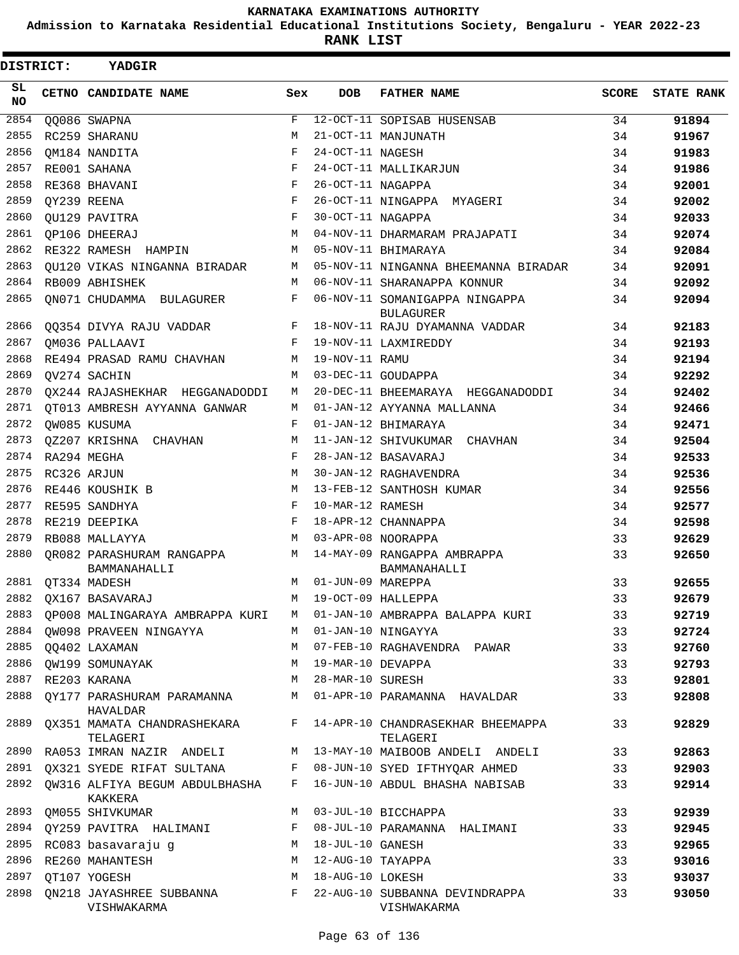**Admission to Karnataka Residential Educational Institutions Society, Bengaluru - YEAR 2022-23**

**RANK LIST**

| <b>DISTRICT:</b> | YADGIR                                                                   |                    |                     |                                                    |              |                   |
|------------------|--------------------------------------------------------------------------|--------------------|---------------------|----------------------------------------------------|--------------|-------------------|
| SL.<br><b>NO</b> | CETNO CANDIDATE NAME                                                     | Sex                | <b>DOB</b>          | <b>FATHER NAME</b>                                 | <b>SCORE</b> | <b>STATE RANK</b> |
| 2854             | QQ086 SWAPNA                                                             | F                  |                     | 12-OCT-11 SOPISAB HUSENSAB                         | 34           | 91894             |
| 2855             | RC259 SHARANU                                                            | M                  |                     | 21-OCT-11 MANJUNATH                                | 34           | 91967             |
| 2856             | OM184 NANDITA                                                            | $\mathbf{F}% _{0}$ | 24-OCT-11 NAGESH    |                                                    | 34           | 91983             |
| 2857             | RE001 SAHANA                                                             | F                  |                     | 24-OCT-11 MALLIKARJUN                              | 34           | 91986             |
| 2858             | RE368 BHAVANI                                                            | F                  | 26-OCT-11 NAGAPPA   |                                                    | 34           | 92001             |
| 2859             | QY239 REENA                                                              | F                  |                     | 26-OCT-11 NINGAPPA MYAGERI                         | 34           | 92002             |
| 2860             | QU129 PAVITRA                                                            | $\mathbf F$        | 30-OCT-11 NAGAPPA   |                                                    | 34           | 92033             |
| 2861<br>2862     | <b>QP106 DHEERAJ</b>                                                     | M                  |                     | 04-NOV-11 DHARMARAM PRAJAPATI                      | 34           | 92074             |
| 2863             | RE322 RAMESH HAMPIN                                                      | M                  |                     | 05-NOV-11 BHIMARAYA                                | 34           | 92084             |
| 2864             | OU120 VIKAS NINGANNA BIRADAR<br>RB009 ABHISHEK                           | М<br>M             |                     | 05-NOV-11 NINGANNA BHEEMANNA BIRADAR               | 34           | 92091             |
| 2865             |                                                                          | F                  |                     | 06-NOV-11 SHARANAPPA KONNUR                        | 34           | 92092             |
|                  | QN071 CHUDAMMA BULAGURER                                                 |                    |                     | 06-NOV-11 SOMANIGAPPA NINGAPPA<br><b>BULAGURER</b> | 34           | 92094             |
| 2866             | QQ354 DIVYA RAJU VADDAR                                                  | $F -$              |                     | 18-NOV-11 RAJU DYAMANNA VADDAR                     | 34           | 92183             |
| 2867             | OM036 PALLAAVI                                                           | F                  |                     | 19-NOV-11 LAXMIREDDY                               | 34           | 92193             |
| 2868             | RE494 PRASAD RAMU CHAVHAN                                                | М                  | 19-NOV-11 RAMU      |                                                    | 34           | 92194             |
| 2869             | OV274 SACHIN                                                             | М                  |                     | 03-DEC-11 GOUDAPPA                                 | 34           | 92292             |
| 2870             | OX244 RAJASHEKHAR HEGGANADODDI                                           | М                  |                     | 20-DEC-11 BHEEMARAYA HEGGANADODDI                  | 34           | 92402             |
| 2871             | OT013 AMBRESH AYYANNA GANWAR                                             | М                  |                     | 01-JAN-12 AYYANNA MALLANNA                         | 34           | 92466             |
| 2872             | QW085 KUSUMA                                                             | $_{\rm F}$         |                     | 01-JAN-12 BHIMARAYA                                | 34           | 92471             |
| 2873             | 0Z207 KRISHNA CHAVHAN                                                    | М                  |                     | 11-JAN-12 SHIVUKUMAR CHAVHAN                       | 34           | 92504             |
| 2874             | RA294 MEGHA                                                              | $_{\rm F}$         |                     | 28-JAN-12 BASAVARAJ                                | 34           | 92533             |
| 2875             | RC326 ARJUN                                                              | М                  |                     | 30-JAN-12 RAGHAVENDRA                              | 34           | 92536             |
| 2876             | RE446 KOUSHIK B                                                          | M                  |                     | 13-FEB-12 SANTHOSH KUMAR                           | 34           | 92556             |
| 2877             | RE595 SANDHYA                                                            | F                  | 10-MAR-12 RAMESH    |                                                    | 34           | 92577             |
| 2878             | RE219 DEEPIKA                                                            | F                  |                     | 18-APR-12 CHANNAPPA                                | 34           | 92598             |
| 2879             | RB088 MALLAYYA                                                           | M                  |                     | 03-APR-08 NOORAPPA                                 | 33           | 92629             |
| 2880             | OR082 PARASHURAM RANGAPPA<br>BAMMANAHALLI                                | M                  |                     | 14-MAY-09 RANGAPPA AMBRAPPA<br>BAMMANAHALLI        | 33           | 92650             |
|                  | 2881 OT334 MADESH                                                        |                    | M 01-JUN-09 MAREPPA |                                                    | 33           | 92655             |
|                  | 2882 QX167 BASAVARAJ                                                     |                    |                     | M 19-OCT-09 HALLEPPA                               | 33           | 92679             |
| 2883             | OP008 MALINGARAYA AMBRAPPA KURI                                          | M                  |                     | 01-JAN-10 AMBRAPPA BALAPPA KURI                    | 33           | 92719             |
| 2884             | OW098 PRAVEEN NINGAYYA                                                   | М                  |                     | 01-JAN-10 NINGAYYA                                 | 33           | 92724             |
| 2885             | 00402 LAXAMAN                                                            | M                  |                     | 07-FEB-10 RAGHAVENDRA PAWAR                        | 33           | 92760             |
| 2886             | QW199 SOMUNAYAK                                                          | M                  | 19-MAR-10 DEVAPPA   |                                                    | 33           | 92793             |
| 2887             | RE203 KARANA                                                             | M                  | 28-MAR-10 SURESH    |                                                    | 33           | 92801             |
| 2888             | OY177 PARASHURAM PARAMANNA<br>HAVALDAR                                   | M                  |                     | 01-APR-10 PARAMANNA HAVALDAR                       | 33           | 92808             |
| 2889             | QX351 MAMATA CHANDRASHEKARA<br>TELAGERI                                  | F                  |                     | 14-APR-10 CHANDRASEKHAR BHEEMAPPA<br>TELAGERI      | 33           | 92829             |
| 2890             | RA053 IMRAN NAZIR ANDELI                                                 |                    |                     | M 13-MAY-10 MAIBOOB ANDELI ANDELI                  | 33           | 92863             |
| 2891             | QX321 SYEDE RIFAT SULTANA                                                | F                  |                     | 08-JUN-10 SYED IFTHYQAR AHMED                      | 33           | 92903             |
| 2892             | OW316 ALFIYA BEGUM ABDULBHASHA<br>KAKKERA                                | F                  |                     | 16-JUN-10 ABDUL BHASHA NABISAB                     | 33           | 92914             |
| 2893             | QM055 SHIVKUMAR                                                          | M                  |                     | 03-JUL-10 BICCHAPPA                                | 33           | 92939             |
| 2894             | QY259 PAVITRA HALIMANI                                                   | F                  |                     | 08-JUL-10 PARAMANNA HALIMANI                       | 33           | 92945             |
| 2895             | RC083 basavaraju g                                                       | М                  | 18-JUL-10 GANESH    |                                                    | 33           | 92965             |
| 2896             | RE260 MAHANTESH                                                          | М                  | 12-AUG-10 TAYAPPA   |                                                    | 33           | 93016             |
| 2897             | OT107 YOGESH                                                             | M                  | 18-AUG-10 LOKESH    |                                                    | 33           | 93037             |
| 2898             | QN218 JAYASHREE SUBBANNA F 22-AUG-10 SUBBANNA DEVINDRAPPA<br>VISHWAKARMA |                    |                     | VISHWAKARMA                                        | 33           | 93050             |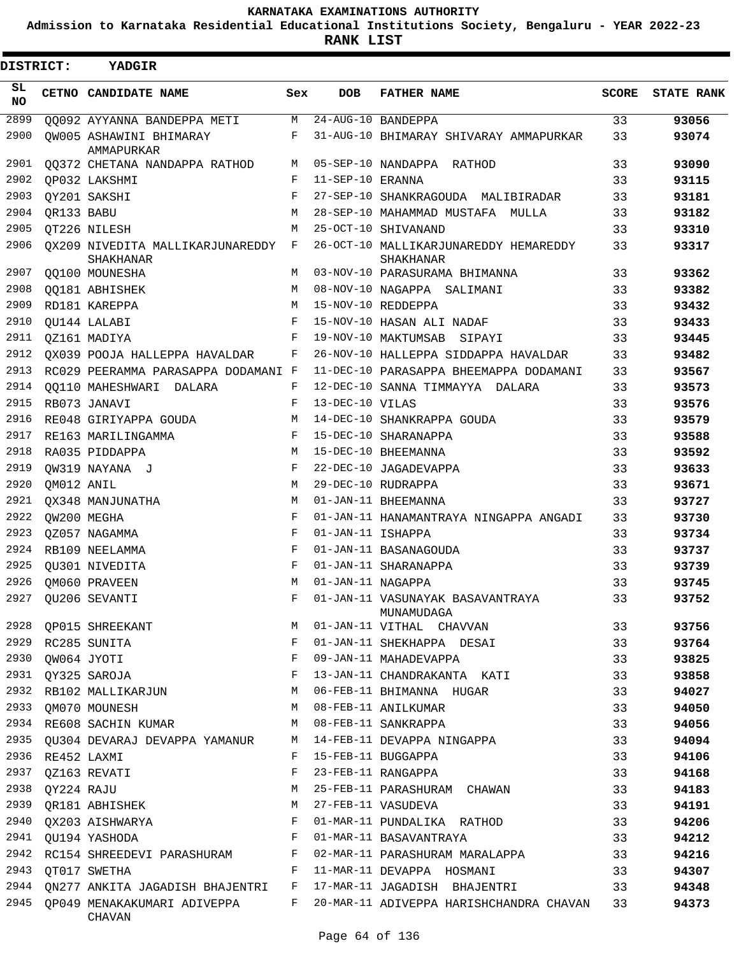**Admission to Karnataka Residential Educational Institutions Society, Bengaluru - YEAR 2022-23**

**RANK LIST**

| <b>DISTRICT:</b> |                  | <b>YADGIR</b>                                 |              |                   |                                                    |              |                   |
|------------------|------------------|-----------------------------------------------|--------------|-------------------|----------------------------------------------------|--------------|-------------------|
| SL<br><b>NO</b>  |                  | <b>CETNO CANDIDATE NAME</b>                   | Sex          | <b>DOB</b>        | <b>FATHER NAME</b>                                 | <b>SCORE</b> | <b>STATE RANK</b> |
| 2899             |                  | QQ092 AYYANNA BANDEPPA METI                   | M            |                   | $24 - AUG - 10$ BANDEPPA                           | 33           | 93056             |
| 2900             |                  | OW005 ASHAWINI BHIMARAY<br>AMMAPURKAR         | F            |                   | 31-AUG-10 BHIMARAY SHIVARAY AMMAPURKAR             | 33           | 93074             |
| 2901             |                  | QQ372 CHETANA NANDAPPA RATHOD                 | M            |                   | 05-SEP-10 NANDAPPA RATHOD                          | 33           | 93090             |
| 2902             |                  | OP032 LAKSHMI                                 | F            | 11-SEP-10 ERANNA  |                                                    | 33           | 93115             |
| 2903             |                  | OY201 SAKSHI                                  | $_{\rm F}$   |                   | 27-SEP-10 SHANKRAGOUDA MALIBIRADAR                 | 33           | 93181             |
| 2904             | QR133 BABU       |                                               | M            |                   | 28-SEP-10 MAHAMMAD MUSTAFA MULLA                   | 33           | 93182             |
| 2905             |                  | OT226 NILESH                                  | M            |                   | 25-OCT-10 SHIVANAND                                | 33           | 93310             |
| 2906             |                  | OX209 NIVEDITA MALLIKARJUNAREDDY<br>SHAKHANAR | F            |                   | 26-OCT-10 MALLIKARJUNAREDDY HEMAREDDY<br>SHAKHANAR | 33           | 93317             |
| 2907             |                  | <b>QQ100 MOUNESHA</b>                         | M            |                   | 03-NOV-10 PARASURAMA BHIMANNA                      | 33           | 93362             |
| 2908             |                  | QQ181 ABHISHEK                                | M            |                   | 08-NOV-10 NAGAPPA SALIMANI                         | 33           | 93382             |
| 2909             |                  | RD181 KAREPPA                                 | M            |                   | 15-NOV-10 REDDEPPA                                 | 33           | 93432             |
| 2910             |                  | OU144 LALABI                                  | F            |                   | 15-NOV-10 HASAN ALI NADAF                          | 33           | 93433             |
| 2911             |                  | OZ161 MADIYA                                  | F            |                   | 19-NOV-10 MAKTUMSAB SIPAYI                         | 33           | 93445             |
| 2912             |                  | OX039 POOJA HALLEPPA HAVALDAR                 | F            |                   | 26-NOV-10 HALLEPPA SIDDAPPA HAVALDAR               | 33           | 93482             |
| 2913             |                  | RC029 PEERAMMA PARASAPPA DODAMANI F           |              |                   | 11-DEC-10 PARASAPPA BHEEMAPPA DODAMANI             | 33           | 93567             |
| 2914             |                  | <b>QQ110 MAHESHWARI DALARA</b>                | F            |                   | 12-DEC-10 SANNA TIMMAYYA DALARA                    | 33           | 93573             |
| 2915             |                  | RB073 JANAVI                                  | F            | 13-DEC-10 VILAS   |                                                    | 33           | 93576             |
| 2916             |                  | RE048 GIRIYAPPA GOUDA                         | М            |                   | 14-DEC-10 SHANKRAPPA GOUDA                         | 33           | 93579             |
| 2917             |                  | RE163 MARILINGAMMA                            | F            |                   | 15-DEC-10 SHARANAPPA                               | 33           | 93588             |
| 2918             |                  | RA035 PIDDAPPA                                | M            |                   | 15-DEC-10 BHEEMANNA                                | 33           | 93592             |
| 2919             |                  | OW319 NAYANA J                                | F            |                   | 22-DEC-10 JAGADEVAPPA                              | 33           | 93633             |
| 2920             | QM012 ANIL       |                                               | M            |                   | 29-DEC-10 RUDRAPPA                                 | 33           | 93671             |
| 2921             |                  | OX348 MANJUNATHA                              | M            |                   | 01-JAN-11 BHEEMANNA                                | 33           | 93727             |
| 2922             |                  | OW200 MEGHA                                   | F            |                   | 01-JAN-11 HANAMANTRAYA NINGAPPA ANGADI             | 33           | 93730             |
| 2923             |                  | OZ057 NAGAMMA                                 | F            | 01-JAN-11 ISHAPPA |                                                    | 33           | 93734             |
| 2924             |                  | RB109 NEELAMMA                                | F            |                   | 01-JAN-11 BASANAGOUDA                              | 33           | 93737             |
| 2925             |                  | QU301 NIVEDITA                                | F            |                   | 01-JAN-11 SHARANAPPA                               | 33           | 93739             |
| 2926             |                  | OM060 PRAVEEN                                 | M            | 01-JAN-11 NAGAPPA |                                                    | 33           | 93745             |
|                  |                  | 2927 QU206 SEVANTI                            | F            |                   | 01-JAN-11 VASUNAYAK BASAVANTRAYA<br>MUNAMUDAGA     | 33           | 93752             |
|                  |                  | 2928 QP015 SHREEKANT                          | M            |                   | 01-JAN-11 VITHAL CHAVVAN                           | 33           | 93756             |
| 2929             |                  | RC285 SUNITA                                  | F            |                   | 01-JAN-11 SHEKHAPPA DESAI                          | 33           | 93764             |
| 2930             |                  | QW064 JYOTI                                   | F            |                   | 09-JAN-11 MAHADEVAPPA                              | 33           | 93825             |
| 2931             |                  | QY325 SAROJA                                  | F            |                   | 13-JAN-11 CHANDRAKANTA KATI                        | 33           | 93858             |
| 2932             |                  | RB102 MALLIKARJUN                             | М            |                   | 06-FEB-11 BHIMANNA HUGAR                           | 33           | 94027             |
| 2933             |                  | QM070 MOUNESH                                 | М            |                   | 08-FEB-11 ANILKUMAR                                | 33           | 94050             |
| 2934             |                  | RE608 SACHIN KUMAR                            | M            |                   | 08-FEB-11 SANKRAPPA                                | 33           | 94056             |
| 2935             |                  | QU304 DEVARAJ DEVAPPA YAMANUR                 | M            |                   | 14-FEB-11 DEVAPPA NINGAPPA                         | 33           | 94094             |
|                  | 2936 RE452 LAXMI |                                               | F            |                   | 15-FEB-11 BUGGAPPA                                 | 33           | 94106             |
| 2937             |                  | QZ163 REVATI                                  | F            |                   | 23-FEB-11 RANGAPPA                                 | 33           | 94168             |
| 2938             | QY224 RAJU       |                                               | М            |                   | 25-FEB-11 PARASHURAM CHAWAN                        | 33           | 94183             |
| 2939             |                  | QR181 ABHISHEK                                | М            |                   | 27-FEB-11 VASUDEVA                                 | 33           | 94191             |
|                  |                  | 2940 QX203 AISHWARYA                          | F            |                   | 01-MAR-11 PUNDALIKA RATHOD                         | 33           | 94206             |
| 2941             |                  | QU194 YASHODA                                 | F            |                   | 01-MAR-11 BASAVANTRAYA                             | 33           | 94212             |
| 2942             |                  | RC154 SHREEDEVI PARASHURAM                    | F            |                   | 02-MAR-11 PARASHURAM MARALAPPA                     | 33           | 94216             |
| 2943             |                  | QT017 SWETHA                                  | $\mathbf{F}$ |                   | 11-MAR-11 DEVAPPA HOSMANI                          | 33           | 94307             |
| 2944             |                  | QN277 ANKITA JAGADISH BHAJENTRI F             |              |                   | 17-MAR-11 JAGADISH BHAJENTRI                       | 33           | 94348             |
| 2945             |                  | OP049 MENAKAKUMARI ADIVEPPA<br><b>CHAVAN</b>  | F            |                   | 20-MAR-11 ADIVEPPA HARISHCHANDRA CHAVAN            | 33           | 94373             |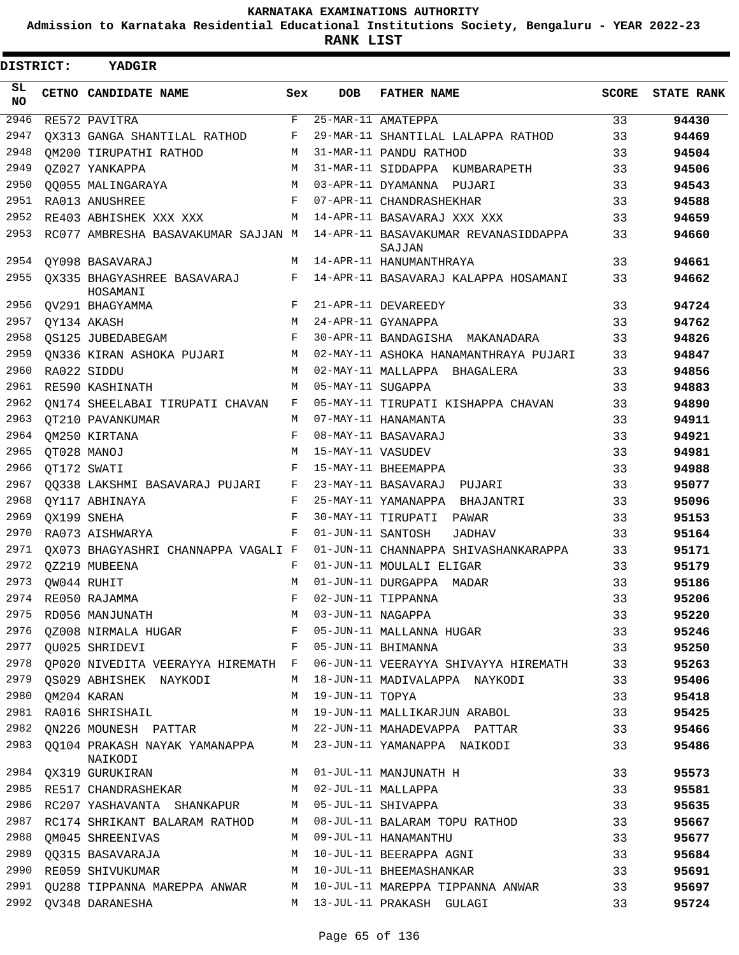**Admission to Karnataka Residential Educational Institutions Society, Bengaluru - YEAR 2022-23**

**RANK LIST**

Е

| DISTRICT:  | YADGIR                                     |            |                   |                                                                         |    |                  |
|------------|--------------------------------------------|------------|-------------------|-------------------------------------------------------------------------|----|------------------|
| SL.<br>NO. | CETNO CANDIDATE NAME                       | Sex        | <b>DOB</b>        | <b>FATHER NAME</b>                                                      |    | SCORE STATE RANK |
| 2946       | RE572 PAVITRA                              | F          |                   | 25-MAR-11 AMATEPPA                                                      | 33 | 94430            |
| 2947       | OX313 GANGA SHANTILAL RATHOD               | F          |                   | 29-MAR-11 SHANTILAL LALAPPA RATHOD                                      | 33 | 94469            |
| 2948       | OM200 TIRUPATHI RATHOD                     | М          |                   | 31-MAR-11 PANDU RATHOD                                                  | 33 | 94504            |
| 2949       | OZ027 YANKAPPA                             | M          |                   | 31-MAR-11 SIDDAPPA KUMBARAPETH                                          | 33 | 94506            |
| 2950       | 00055 MALINGARAYA                          | M          |                   | 03-APR-11 DYAMANNA PUJARI                                               | 33 | 94543            |
| 2951       | RA013 ANUSHREE                             | F          |                   | 07-APR-11 CHANDRASHEKHAR                                                | 33 | 94588            |
| 2952       | RE403 ABHISHEK XXX XXX                     | М          |                   | 14-APR-11 BASAVARAJ XXX XXX                                             | 33 | 94659            |
| 2953       | RC077 AMBRESHA BASAVAKUMAR SAJJAN M        |            |                   | 14-APR-11 BASAVAKUMAR REVANASIDDAPPA<br>SAJJAN                          | 33 | 94660            |
| 2954       | OY098 BASAVARAJ                            | М          |                   | 14-APR-11 HANUMANTHRAYA                                                 | 33 | 94661            |
| 2955       | OX335 BHAGYASHREE BASAVARAJ<br>HOSAMANI    |            |                   | F 14-APR-11 BASAVARAJ KALAPPA HOSAMANI                                  | 33 | 94662            |
| 2956       | OV291 BHAGYAMMA                            | F          |                   | 21-APR-11 DEVAREEDY                                                     | 33 | 94724            |
| 2957       | QY134 AKASH                                | M          |                   | 24-APR-11 GYANAPPA                                                      | 33 | 94762            |
| 2958       | OS125 JUBEDABEGAM                          | F          |                   | 30-APR-11 BANDAGISHA MAKANADARA                                         | 33 | 94826            |
| 2959       | ON336 KIRAN ASHOKA PUJARI                  | М          |                   | 02-MAY-11 ASHOKA HANAMANTHRAYA PUJARI                                   | 33 | 94847            |
| 2960       | RA022 SIDDU                                | М          |                   | 02-MAY-11 MALLAPPA BHAGALERA                                            | 33 | 94856            |
| 2961       | RE590 KASHINATH                            | М          | 05-MAY-11 SUGAPPA |                                                                         | 33 | 94883            |
| 2962       | ON174 SHEELABAI TIRUPATI CHAVAN            | F          |                   | 05-MAY-11 TIRUPATI KISHAPPA CHAVAN                                      | 33 | 94890            |
| 2963       | OT210 PAVANKUMAR                           | M          |                   | 07-MAY-11 HANAMANTA                                                     | 33 | 94911            |
| 2964       | OM250 KIRTANA                              | F          |                   | 08-MAY-11 BASAVARAJ                                                     | 33 | 94921            |
| 2965       | QT028 MANOJ                                | M          | 15-MAY-11 VASUDEV |                                                                         | 33 | 94981            |
| 2966       | OT172 SWATI                                | F          |                   | 15-MAY-11 BHEEMAPPA                                                     | 33 | 94988            |
| 2967       | 00338 LAKSHMI BASAVARAJ PUJARI             | F          |                   | 23-MAY-11 BASAVARAJ PUJARI                                              | 33 | 95077            |
| 2968       | OY117 ABHINAYA                             | F          |                   | 25-MAY-11 YAMANAPPA BHAJANTRI                                           | 33 | 95096            |
| 2969       | OX199 SNEHA                                | $_{\rm F}$ |                   | 30-MAY-11 TIRUPATI PAWAR                                                | 33 | 95153            |
| 2970       | RA073 AISHWARYA                            | F          | 01-JUN-11 SANTOSH | <b>JADHAV</b>                                                           | 33 | 95164            |
| 2971       | OX073 BHAGYASHRI CHANNAPPA VAGALI F        |            |                   | 01-JUN-11 CHANNAPPA SHIVASHANKARAPPA                                    | 33 | 95171            |
| 2972       | QZ219 MUBEENA                              | F          |                   | 01-JUN-11 MOULALI ELIGAR                                                | 33 | 95179            |
| 2973       | OW044 RUHIT                                | М          |                   | 01-JUN-11 DURGAPPA MADAR                                                | 33 | 95186            |
|            | 2974 RE050 RAJAMMA                         |            |                   | F 02-JUN-11 TIPPANNA                                                    | 33 | 95206            |
| 2975       | RD056 MANJUNATH                            | М          | 03-JUN-11 NAGAPPA |                                                                         | 33 | 95220            |
| 2976       | QZ008 NIRMALA HUGAR                        | F          |                   | 05-JUN-11 MALLANNA HUGAR                                                | 33 | 95246            |
| 2977       | OU025 SHRIDEVI                             | F          |                   | 05-JUN-11 BHIMANNA                                                      | 33 | 95250            |
| 2978       |                                            |            |                   | QP020 NIVEDITA VEERAYYA HIREMATH F 06-JUN-11 VEERAYYA SHIVAYYA HIREMATH | 33 | 95263            |
| 2979       | OS029 ABHISHEK NAYKODI                     | M          |                   | 18-JUN-11 MADIVALAPPA NAYKODI                                           | 33 | 95406            |
| 2980       | QM204 KARAN                                | М          | 19-JUN-11 TOPYA   |                                                                         | 33 | 95418            |
|            | 2981 RA016 SHRISHAIL                       | M          |                   | 19-JUN-11 MALLIKARJUN ARABOL                                            | 33 | 95425            |
| 2982       | QN226 MOUNESH PATTAR                       |            |                   | M 22-JUN-11 MAHADEVAPPA PATTAR                                          | 33 | 95466            |
| 2983       | QQ104 PRAKASH NAYAK YAMANAPPA M<br>NAIKODI |            |                   | 23-JUN-11 YAMANAPPA NAIKODI                                             | 33 | 95486            |
| 2984       | QX319 GURUKIRAN                            | M          |                   | 01-JUL-11 MANJUNATH H                                                   | 33 | 95573            |
| 2985       | RE517 CHANDRASHEKAR                        | M          |                   | 02-JUL-11 MALLAPPA                                                      | 33 | 95581            |
| 2986       | RC207 YASHAVANTA SHANKAPUR                 | M          |                   | 05-JUL-11 SHIVAPPA                                                      | 33 | 95635            |
| 2987       | RC174 SHRIKANT BALARAM RATHOD              | М          |                   | 08-JUL-11 BALARAM TOPU RATHOD                                           | 33 | 95667            |
| 2988       | OM045 SHREENIVAS                           | М          |                   | 09-JUL-11 HANAMANTHU                                                    | 33 | 95677            |
| 2989       | QQ315 BASAVARAJA                           | M          |                   | 10-JUL-11 BEERAPPA AGNI                                                 | 33 | 95684            |
| 2990       | RE059 SHIVUKUMAR                           | M          |                   | 10-JUL-11 BHEEMASHANKAR                                                 | 33 | 95691            |
| 2991       | QU288 TIPPANNA MAREPPA ANWAR               | M          |                   | 10-JUL-11 MAREPPA TIPPANNA ANWAR                                        | 33 | 95697            |
| 2992       | QV348 DARANESHA                            | M          |                   | 13-JUL-11 PRAKASH GULAGI                                                | 33 | 95724            |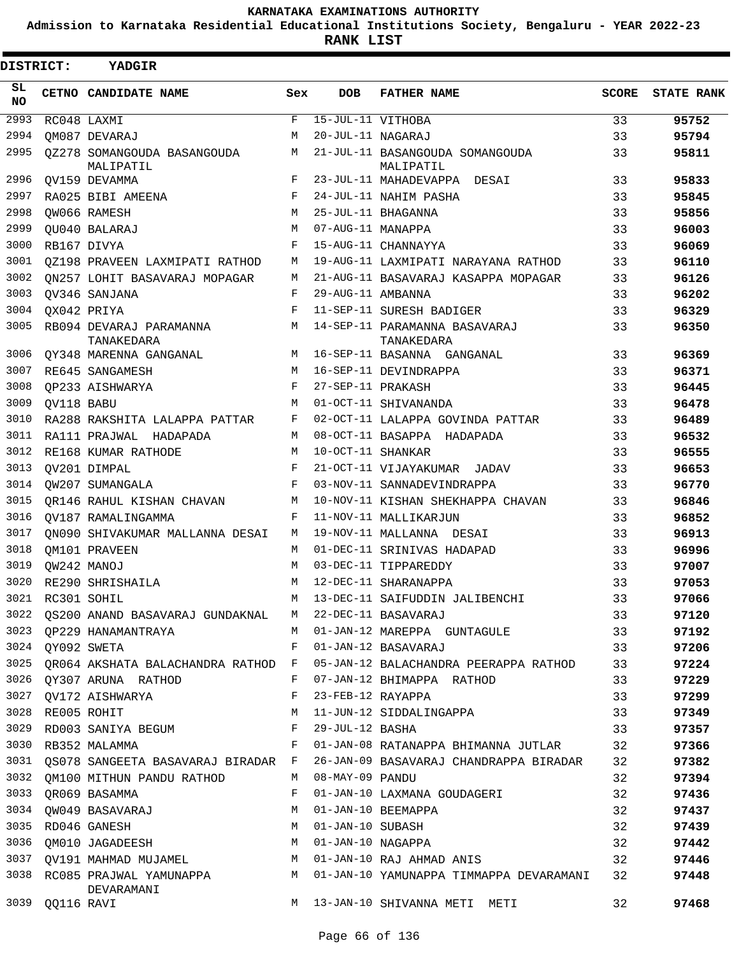**Admission to Karnataka Residential Educational Institutions Society, Bengaluru - YEAR 2022-23**

**RANK LIST**

| DISTRICT:       |                  | YADGIR                                                     |            |                    |                                                                                  |              |                   |
|-----------------|------------------|------------------------------------------------------------|------------|--------------------|----------------------------------------------------------------------------------|--------------|-------------------|
| SL<br><b>NO</b> |                  | CETNO CANDIDATE NAME                                       | Sex        | <b>DOB</b>         | <b>FATHER NAME</b>                                                               | <b>SCORE</b> | <b>STATE RANK</b> |
| 2993            |                  | RC048 LAXMI                                                | F          | 15-JUL-11 VITHOBA  |                                                                                  | 33           | 95752             |
| 2994            |                  | OM087 DEVARAJ                                              | M          | 20-JUL-11 NAGARAJ  |                                                                                  | 33           | 95794             |
| 2995            |                  | 0Z278 SOMANGOUDA BASANGOUDA<br>MALIPATIL                   | M          |                    | 21-JUL-11 BASANGOUDA SOMANGOUDA<br>MALIPATIL                                     | 33           | 95811             |
| 2996            |                  | OV159 DEVAMMA                                              | F          |                    | 23-JUL-11 MAHADEVAPPA DESAI                                                      | 33           | 95833             |
| 2997            |                  | RA025 BIBI AMEENA                                          | F          |                    | 24-JUL-11 NAHIM PASHA                                                            | 33           | 95845             |
| 2998            |                  | OW066 RAMESH                                               | M          |                    | 25-JUL-11 BHAGANNA                                                               | 33           | 95856             |
| 2999            |                  | OU040 BALARAJ                                              | M          | 07-AUG-11 MANAPPA  |                                                                                  | 33           | 96003             |
| 3000            |                  | RB167 DIVYA                                                | $_{\rm F}$ |                    | 15-AUG-11 CHANNAYYA                                                              | 33           | 96069             |
| 3001            |                  | QZ198 PRAVEEN LAXMIPATI RATHOD                             | М          |                    | 19-AUG-11 LAXMIPATI NARAYANA RATHOD                                              | 33           | 96110             |
| 3002            |                  | ON257 LOHIT BASAVARAJ MOPAGAR                              | M          |                    | 21-AUG-11 BASAVARAJ KASAPPA MOPAGAR                                              | 33           | 96126             |
| 3003            |                  | OV346 SANJANA                                              | $_{\rm F}$ | 29-AUG-11 AMBANNA  |                                                                                  | 33           | 96202             |
| 3004            |                  | OX042 PRIYA                                                | F          |                    | 11-SEP-11 SURESH BADIGER                                                         | 33           | 96329             |
| 3005            |                  | RB094 DEVARAJ PARAMANNA<br>TANAKEDARA                      | M          |                    | 14-SEP-11 PARAMANNA BASAVARAJ<br>TANAKEDARA                                      | 33           | 96350             |
| 3006            |                  | OY348 MARENNA GANGANAL                                     | M          |                    | 16-SEP-11 BASANNA GANGANAL                                                       | 33           | 96369             |
| 3007            |                  | RE645 SANGAMESH                                            | M          |                    | 16-SEP-11 DEVINDRAPPA                                                            | 33           | 96371             |
| 3008            |                  | OP233 AISHWARYA                                            | F          | 27-SEP-11 PRAKASH  |                                                                                  | 33           | 96445             |
| 3009            | QV118 BABU       |                                                            | М          |                    | 01-OCT-11 SHIVANANDA                                                             | 33           | 96478             |
| 3010            |                  | RA288 RAKSHITA LALAPPA PATTAR                              | F          |                    | 02-OCT-11 LALAPPA GOVINDA PATTAR                                                 | 33           | 96489             |
| 3011            |                  | RA111 PRAJWAL HADAPADA                                     | M          |                    | 08-OCT-11 BASAPPA HADAPADA                                                       | 33           | 96532             |
| 3012            |                  | RE168 KUMAR RATHODE                                        | М          | 10-OCT-11 SHANKAR  |                                                                                  | 33           | 96555             |
| 3013            |                  | OV201 DIMPAL                                               | F          |                    | 21-OCT-11 VIJAYAKUMAR JADAV                                                      | 33           | 96653             |
| 3014            |                  | OW207 SUMANGALA                                            | $_{\rm F}$ |                    | 03-NOV-11 SANNADEVINDRAPPA                                                       | 33           | 96770             |
| 3015            |                  | OR146 RAHUL KISHAN CHAVAN                                  | М          |                    | 10-NOV-11 KISHAN SHEKHAPPA CHAVAN                                                | 33           | 96846             |
| 3016            |                  | OV187 RAMALINGAMMA                                         | F          |                    | 11-NOV-11 MALLIKARJUN                                                            | 33           | 96852             |
| 3017            |                  | ON090 SHIVAKUMAR MALLANNA DESAI                            | M          |                    | 19-NOV-11 MALLANNA DESAI                                                         | 33           | 96913             |
| 3018            |                  | QM101 PRAVEEN                                              | M          |                    | 01-DEC-11 SRINIVAS HADAPAD                                                       | 33           | 96996             |
| 3019            |                  | OW242 MANOJ                                                | M          |                    | 03-DEC-11 TIPPAREDDY                                                             | 33           | 97007             |
| 3020            |                  | RE290 SHRISHAILA                                           | M          |                    | 12-DEC-11 SHARANAPPA                                                             | 33           | 97053             |
|                 | 3021 RC301 SOHIL |                                                            |            |                    | M 13-DEC-11 SAIFUDDIN JALIBENCHI                                                 | 33           | 97066             |
|                 |                  | 3022 QS200 ANAND BASAVARAJ GUNDAKNAL M 22-DEC-11 BASAVARAJ |            |                    |                                                                                  | 33           | 97120             |
|                 |                  |                                                            |            |                    | 3023 QP229 HANAMANTRAYA M 01-JAN-12 MAREPPA GUNTAGULE 33                         |              | 97192             |
|                 | 3024 QY092 SWETA |                                                            |            |                    | F 01-JAN-12 BASAVARAJ<br>$\sim$ 33                                               |              | 97206             |
|                 |                  |                                                            |            |                    | 3025 QR064 AKSHATA BALACHANDRA RATHOD F 05-JAN-12 BALACHANDRA PEERAPPA RATHOD 33 |              | 97224             |
|                 |                  | 3026 QY307 ARUNA RATHOD F 07-JAN-12 BHIMAPPA RATHOD        |            |                    |                                                                                  | 33           | 97229             |
|                 |                  | 3027 QV172 AISHWARYA                                       | F          |                    | 23-FEB-12 RAYAPPA                                                                | 33           | 97299             |
|                 | 3028 RE005 ROHIT |                                                            |            |                    | M 11-JUN-12 SIDDALINGAPPA                                                        | 33           | 97349             |
|                 |                  | 3029 RD003 SANIYA BEGUM F 29-JUL-12 BASHA                  |            |                    |                                                                                  | 33           | 97357             |
|                 |                  | 3030 RB352 MALAMMA                                         |            |                    | F 01-JAN-08 RATANAPPA BHIMANNA JUTLAR                                            | 32           | 97366             |
|                 |                  |                                                            |            |                    | 3031 QS078 SANGEETA BASAVARAJ BIRADAR F 26-JAN-09 BASAVARAJ CHANDRAPPA BIRADAR   | 32           | 97382             |
|                 |                  | 3032 QM100 MITHUN PANDU RATHOD                             |            | M 08-MAY-09 PANDU  |                                                                                  | 32           | 97394             |
|                 |                  | 3033 QR069 BASAMMA                                         | F          |                    | 01-JAN-10 LAXMANA GOUDAGERI                                                      | 32           | 97436             |
|                 |                  | 3034 QW049 BASAVARAJ                                       | M          |                    | 01-JAN-10 BEEMAPPA                                                               | 32           | 97437             |
|                 |                  | 3035 RD046 GANESH                                          |            | M 01-JAN-10 SUBASH |                                                                                  | 32           | 97439             |
|                 |                  | 3036 QM010 JAGADEESH NO M 01-JAN-10 NAGAPPA                |            |                    |                                                                                  | 32           | 97442             |
|                 |                  |                                                            |            |                    | 3037 QV191 MAHMAD MUJAMEL M O1-JAN-10 RAJ AHMAD ANIS                             | 32           | 97446             |
|                 |                  | DEVARAMANI                                                 |            |                    | 3038 RC085 PRAJWAL YAMUNAPPA M 01-JAN-10 YAMUNAPPA TIMMAPPA DEVARAMANI 32        |              | 97448             |
|                 | 3039 QQ116 RAVI  |                                                            |            |                    | M 13-JAN-10 SHIVANNA METI METI                                                   | 32           | 97468             |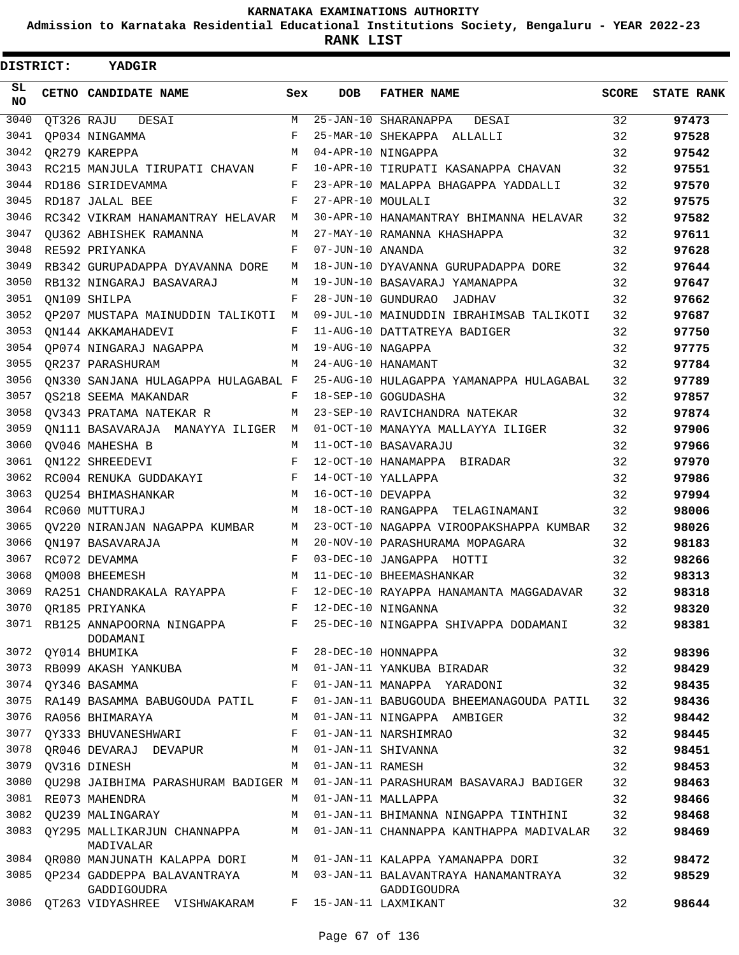**Admission to Karnataka Residential Educational Institutions Society, Bengaluru - YEAR 2022-23**

| <b>DISTRICT:</b> | <b>YADGIR</b>                              |         |                   |                                                    |       |                   |
|------------------|--------------------------------------------|---------|-------------------|----------------------------------------------------|-------|-------------------|
| SL.<br><b>NO</b> | CETNO CANDIDATE NAME                       | Sex     | <b>DOB</b>        | <b>FATHER NAME</b>                                 | SCORE | <b>STATE RANK</b> |
| 3040             | QT326 RAJU DESAI                           | M       |                   | $25 - JAN - 10$ SHARANAPPA<br>DESAI                | 32    | 97473             |
| 3041             | OP034 NINGAMMA                             | F       |                   | 25-MAR-10 SHEKAPPA ALLALLI                         | 32    | 97528             |
| 3042             | OR279 KAREPPA                              | M       |                   | 04-APR-10 NINGAPPA                                 | 32    | 97542             |
| 3043             | RC215 MANJULA TIRUPATI CHAVAN              | F       |                   | 10-APR-10 TIRUPATI KASANAPPA CHAVAN                | 32    | 97551             |
| 3044             | RD186 SIRIDEVAMMA                          | F       |                   | 23-APR-10 MALAPPA BHAGAPPA YADDALLI                | 32    | 97570             |
| 3045             | RD187 JALAL BEE                            | F       | 27-APR-10 MOULALI |                                                    | 32    | 97575             |
| 3046             | RC342 VIKRAM HANAMANTRAY HELAVAR M         |         |                   | 30-APR-10 HANAMANTRAY BHIMANNA HELAVAR             | 32    | 97582             |
| 3047             | OU362 ABHISHEK RAMANNA                     | M       |                   | 27-MAY-10 RAMANNA KHASHAPPA                        | 32    | 97611             |
| 3048             | RE592 PRIYANKA                             | F       | 07-JUN-10 ANANDA  |                                                    | 32    | 97628             |
| 3049             | RB342 GURUPADAPPA DYAVANNA DORE            | M       |                   | 18-JUN-10 DYAVANNA GURUPADAPPA DORE                | 32    | 97644             |
| 3050             | RB132 NINGARAJ BASAVARAJ                   | M       |                   | 19-JUN-10 BASAVARAJ YAMANAPPA                      | 32    | 97647             |
| 3051             | ON109 SHILPA                               | F       |                   | 28-JUN-10 GUNDURAO JADHAV                          | 32    | 97662             |
| 3052             | QP207 MUSTAPA MAINUDDIN TALIKOTI M         |         |                   | 09-JUL-10 MAINUDDIN IBRAHIMSAB TALIKOTI            | 32    | 97687             |
| 3053             | ON144 AKKAMAHADEVI                         | F       |                   | 11-AUG-10 DATTATREYA BADIGER                       | 32    | 97750             |
| 3054             | QP074 NINGARAJ NAGAPPA                     | M       | 19-AUG-10 NAGAPPA |                                                    | 32    | 97775             |
| 3055             | OR237 PARASHURAM                           | M       |                   | 24-AUG-10 HANAMANT                                 | 32    | 97784             |
| 3056             | ON330 SANJANA HULAGAPPA HULAGABAL F        |         |                   | 25-AUG-10 HULAGAPPA YAMANAPPA HULAGABAL            | 32    | 97789             |
| 3057             | OS218 SEEMA MAKANDAR                       | $F -$   |                   | 18-SEP-10 GOGUDASHA                                | 32    | 97857             |
| 3058             | OV343 PRATAMA NATEKAR R                    | M       |                   | 23-SEP-10 RAVICHANDRA NATEKAR                      | 32    | 97874             |
| 3059             | ON111 BASAVARAJA MANAYYA ILIGER M          |         |                   | 01-OCT-10 MANAYYA MALLAYYA ILIGER                  | 32    | 97906             |
| 3060             | OV046 MAHESHA B                            | M       |                   | 11-OCT-10 BASAVARAJU                               | 32    | 97966             |
| 3061             | ON122 SHREEDEVI                            | F       |                   | 12-OCT-10 HANAMAPPA BIRADAR                        | 32    | 97970             |
| 3062             | RC004 RENUKA GUDDAKAYI                     | F       |                   | 14-OCT-10 YALLAPPA                                 | 32    | 97986             |
| 3063             | OU254 BHIMASHANKAR                         | M       | 16-OCT-10 DEVAPPA |                                                    | 32    | 97994             |
| 3064             | RC060 MUTTURAJ                             | M       |                   | 18-OCT-10 RANGAPPA TELAGINAMANI                    | 32    | 98006             |
| 3065             | OV220 NIRANJAN NAGAPPA KUMBAR              | M       |                   | 23-OCT-10 NAGAPPA VIROOPAKSHAPPA KUMBAR            | 32    | 98026             |
| 3066             | ON197 BASAVARAJA                           | M       |                   | 20-NOV-10 PARASHURAMA MOPAGARA                     | 32    | 98183             |
| 3067             | RC072 DEVAMMA                              | F       |                   | 03-DEC-10 JANGAPPA HOTTI                           | 32    | 98266             |
| 3068             | OM008 BHEEMESH                             | M       |                   | 11-DEC-10 BHEEMASHANKAR                            | 32    | 98313             |
| 3069             | RA251 CHANDRAKALA RAYAPPA                  | $F$ and |                   | 12-DEC-10 RAYAPPA HANAMANTA MAGGADAVAR             | 32    | 98318             |
| 3070             | OR185 PRIYANKA                             | F       |                   | 12-DEC-10 NINGANNA                                 | 32    | 98320             |
|                  | 3071 RB125 ANNAPOORNA NINGAPPA<br>DODAMANI | F       |                   | 25-DEC-10 NINGAPPA SHIVAPPA DODAMANI               | 32    | 98381             |
| 3072             | QY014 BHUMIKA                              | F       |                   | 28-DEC-10 HONNAPPA                                 | 32    | 98396             |
| 3073             | RB099 AKASH YANKUBA                        | М       |                   | 01-JAN-11 YANKUBA BIRADAR                          | 32    | 98429             |
| 3074             | OY346 BASAMMA                              | F       |                   | 01-JAN-11 MANAPPA YARADONI                         | 32    | 98435             |
| 3075             | RA149 BASAMMA BABUGOUDA PATIL              | F       |                   | 01-JAN-11 BABUGOUDA BHEEMANAGOUDA PATIL            | 32    | 98436             |
| 3076             | RA056 BHIMARAYA                            | М       |                   | 01-JAN-11 NINGAPPA AMBIGER                         | 32    | 98442             |
| 3077             | QY333 BHUVANESHWARI                        | F       |                   | 01-JAN-11 NARSHIMRAO                               | 32    | 98445             |
| 3078             | OR046 DEVARAJ DEVAPUR                      | М       |                   | 01-JAN-11 SHIVANNA                                 | 32    | 98451             |
| 3079             | OV316 DINESH                               | М       | 01-JAN-11 RAMESH  |                                                    | 32    | 98453             |
| 3080             | OU298 JAIBHIMA PARASHURAM BADIGER M        |         |                   | 01-JAN-11 PARASHURAM BASAVARAJ BADIGER             | 32    | 98463             |
| 3081             | RE073 MAHENDRA                             | М       |                   | 01-JAN-11 MALLAPPA                                 | 32    | 98466             |
| 3082             | OU239 MALINGARAY                           | M       |                   | 01-JAN-11 BHIMANNA NINGAPPA TINTHINI               | 32    | 98468             |
| 3083             | QY295 MALLIKARJUN CHANNAPPA<br>MADIVALAR   | М       |                   | 01-JAN-11 CHANNAPPA KANTHAPPA MADIVALAR            | 32    | 98469             |
| 3084             | QR080 MANJUNATH KALAPPA DORI               | M       |                   | 01-JAN-11 KALAPPA YAMANAPPA DORI                   | 32    | 98472             |
| 3085             | OP234 GADDEPPA BALAVANTRAYA<br>GADDIGOUDRA | M       |                   | 03-JAN-11 BALAVANTRAYA HANAMANTRAYA<br>GADDIGOUDRA | 32    | 98529             |
| 3086             | QT263 VIDYASHREE VISHWAKARAM               | F       |                   | 15-JAN-11 LAXMIKANT                                | 32    | 98644             |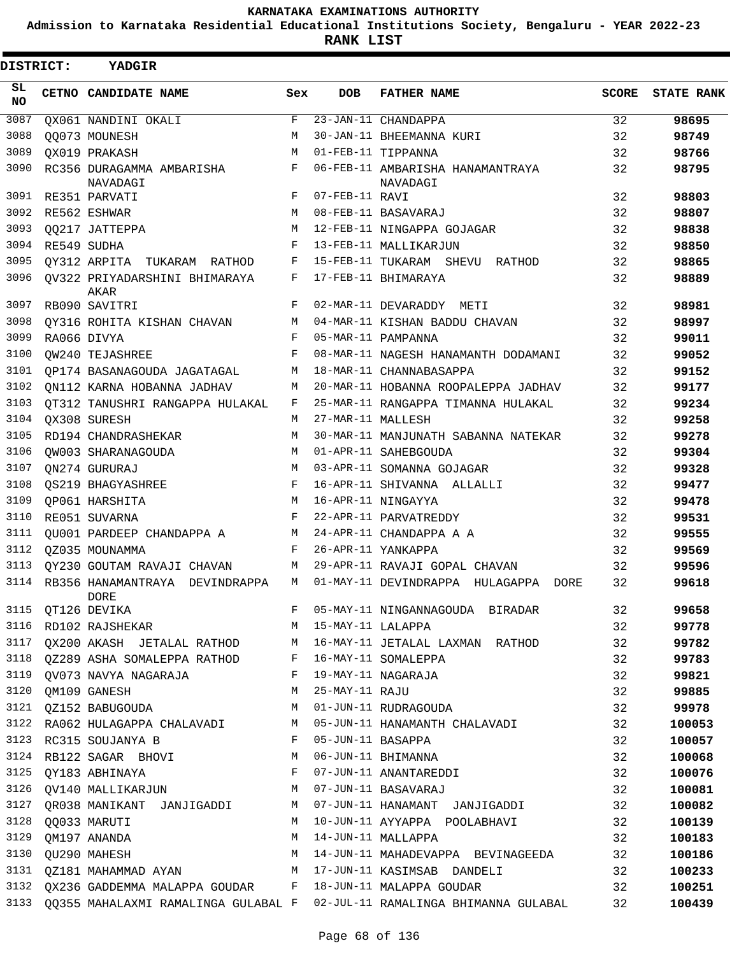**Admission to Karnataka Residential Educational Institutions Society, Bengaluru - YEAR 2022-23**

**RANK LIST**

| <b>DISTRICT:</b> | YADGIR                                                                                                                                                                                                            |     |                   |                                                                             |       |                   |
|------------------|-------------------------------------------------------------------------------------------------------------------------------------------------------------------------------------------------------------------|-----|-------------------|-----------------------------------------------------------------------------|-------|-------------------|
| SL.<br><b>NO</b> | CETNO CANDIDATE NAME                                                                                                                                                                                              | Sex | <b>DOB</b>        | <b>FATHER NAME</b>                                                          | SCORE | <b>STATE RANK</b> |
| 3087             | QX061 NANDINI OKALI                                                                                                                                                                                               | F   |                   | 23-JAN-11 CHANDAPPA                                                         | 32    | 98695             |
| 3088             | 00073 MOUNESH                                                                                                                                                                                                     | M   |                   | 30-JAN-11 BHEEMANNA KURI                                                    | 32    | 98749             |
| 3089             | OX019 PRAKASH                                                                                                                                                                                                     | M   |                   | 01-FEB-11 TIPPANNA                                                          | 32    | 98766             |
| 3090             | RC356 DURAGAMMA AMBARISHA<br>NAVADAGI                                                                                                                                                                             | F   |                   | 06-FEB-11 AMBARISHA HANAMANTRAYA<br>NAVADAGI                                | 32    | 98795             |
| 3091             | RE351 PARVATI                                                                                                                                                                                                     | F   | 07-FEB-11 RAVI    |                                                                             | 32    | 98803             |
| 3092             | RE562 ESHWAR                                                                                                                                                                                                      | M   |                   | 08-FEB-11 BASAVARAJ                                                         | 32    | 98807             |
| 3093             | 00217 JATTEPPA                                                                                                                                                                                                    | M   |                   | 12-FEB-11 NINGAPPA GOJAGAR                                                  | 32    | 98838             |
| 3094             | RE549 SUDHA                                                                                                                                                                                                       | F   |                   | 13-FEB-11 MALLIKARJUN                                                       | 32    | 98850             |
| 3095             | OY312 ARPITA TUKARAM RATHOD                                                                                                                                                                                       | F   |                   | 15-FEB-11 TUKARAM SHEVU RATHOD                                              | 32    | 98865             |
| 3096             | OV322 PRIYADARSHINI BHIMARAYA<br>AKAR                                                                                                                                                                             | F   |                   | 17-FEB-11 BHIMARAYA                                                         | 32    | 98889             |
| 3097             | RB090 SAVITRI                                                                                                                                                                                                     | F   |                   | 02-MAR-11 DEVARADDY METI                                                    | 32    | 98981             |
| 3098             | QY316 ROHITA KISHAN CHAVAN                                                                                                                                                                                        | М   |                   | 04-MAR-11 KISHAN BADDU CHAVAN                                               | 32    | 98997             |
| 3099             | RA066 DIVYA                                                                                                                                                                                                       | F   |                   | 05-MAR-11 PAMPANNA                                                          | 32    | 99011             |
| 3100             | OW240 TEJASHREE                                                                                                                                                                                                   | F   |                   | 08-MAR-11 NAGESH HANAMANTH DODAMANI                                         | 32    | 99052             |
| 3101             | QP174 BASANAGOUDA JAGATAGAL                                                                                                                                                                                       | M   |                   | 18-MAR-11 CHANNABASAPPA                                                     | 32    | 99152             |
| 3102             | ON112 KARNA HOBANNA JADHAV                                                                                                                                                                                        | М   |                   | 20-MAR-11 HOBANNA ROOPALEPPA JADHAV                                         | 32    | 99177             |
| 3103             | OT312 TANUSHRI RANGAPPA HULAKAL                                                                                                                                                                                   | F   |                   | 25-MAR-11 RANGAPPA TIMANNA HULAKAL                                          | 32    | 99234             |
| 3104             | OX308 SURESH                                                                                                                                                                                                      | M   | 27-MAR-11 MALLESH |                                                                             | 32    | 99258             |
| 3105             | RD194 CHANDRASHEKAR                                                                                                                                                                                               | М   |                   | 30-MAR-11 MANJUNATH SABANNA NATEKAR                                         | 32    | 99278             |
| 3106             | OW003 SHARANAGOUDA                                                                                                                                                                                                | М   |                   | 01-APR-11 SAHEBGOUDA                                                        | 32    | 99304             |
| 3107             | QN274 GURURAJ                                                                                                                                                                                                     | M   |                   | 03-APR-11 SOMANNA GOJAGAR                                                   | 32    | 99328             |
| 3108             | OS219 BHAGYASHREE                                                                                                                                                                                                 | F   |                   | 16-APR-11 SHIVANNA ALLALLI                                                  | 32    | 99477             |
| 3109             | OP061 HARSHITA                                                                                                                                                                                                    | M   |                   | 16-APR-11 NINGAYYA                                                          | 32    | 99478             |
| 3110             | RE051 SUVARNA                                                                                                                                                                                                     | F   |                   | 22-APR-11 PARVATREDDY                                                       | 32    | 99531             |
| 3111             | QU001 PARDEEP CHANDAPPA A                                                                                                                                                                                         | M   |                   | 24-APR-11 CHANDAPPA A A                                                     | 32    | 99555             |
| 3112             | OZ035 MOUNAMMA                                                                                                                                                                                                    | F   |                   | 26-APR-11 YANKAPPA                                                          | 32    | 99569             |
| 3113             | QY230 GOUTAM RAVAJI CHAVAN                                                                                                                                                                                        | М   |                   | 29-APR-11 RAVAJI GOPAL CHAVAN                                               | 32    | 99596             |
|                  | 3114 RB356 HANAMANTRAYA DEVINDRAPPA<br>DORE                                                                                                                                                                       | М   |                   | 01-MAY-11 DEVINDRAPPA HULAGAPPA DORE                                        | 32    | 99618             |
|                  |                                                                                                                                                                                                                   |     |                   | 05-MAY-11 NINGANNAGOUDA BIRADAR                                             | 32    | 99658             |
|                  | 3115 QT126 DEVIKA<br>3116 RD102 RAJSHEKAR MARIAN MARIAN MARIAN MARIAN MARIAN MARIAN MARIAN MARIAN MARIAN MARIAN MARIAN MARIAN MENT<br>MARIAN MARIAN MARIAN MARIAN MARIAN MARIAN MARIAN MARIAN MARIAN MARIAN MENGE |     |                   |                                                                             | 32    | 99778             |
|                  |                                                                                                                                                                                                                   |     |                   | 3117 QX200 AKASH JETALAL RATHOD M 16-MAY-11 JETALAL LAXMAN RATHOD           | 32    | 99782             |
|                  | 3118 QZ289 ASHA SOMALEPPA RATHOD F                                                                                                                                                                                |     |                   | 16-MAY-11 SOMALEPPA                                                         | 32    | 99783             |
| 3119             | QV073 NAVYA NAGARAJA                                                                                                                                                                                              | F   |                   | 19-MAY-11 NAGARAJA                                                          | 32    | 99821             |
|                  | 3120 QM109 GANESH                                                                                                                                                                                                 | М   | 25-MAY-11 RAJU    |                                                                             | 32    | 99885             |
|                  | 3121 QZ152 BABUGOUDA                                                                                                                                                                                              | M   |                   | 01-JUN-11 RUDRAGOUDA                                                        | 32    | 99978             |
|                  | 3122 RA062 HULAGAPPA CHALAVADI M                                                                                                                                                                                  |     |                   | 05-JUN-11 HANAMANTH CHALAVADI                                               | 32    | 100053            |
|                  | $\mathbf{F}$<br>3123 RC315 SOUJANYA B                                                                                                                                                                             |     | 05-JUN-11 BASAPPA |                                                                             | 32    | 100057            |
|                  | 3124 RB122 SAGAR BHOVI M                                                                                                                                                                                          |     |                   | 06-JUN-11 BHIMANNA                                                          | 32    | 100068            |
| 3125             | QY183 ABHINAYA F                                                                                                                                                                                                  |     |                   | 07-JUN-11 ANANTAREDDI                                                       | 32    | 100076            |
| 3126             | QV140 MALLIKARJUN M                                                                                                                                                                                               |     |                   | 07-JUN-11 BASAVARAJ                                                         | 32    | 100081            |
| 3127             | QR038 MANIKANT JANJIGADDI                                                                                                                                                                                         | M   |                   | 07-JUN-11 HANAMANT JANJIGADDI                                               | 32    | 100082            |
| 3128             | QQ033 MARUTI                                                                                                                                                                                                      | М   |                   | 10-JUN-11 AYYAPPA POOLABHAVI                                                | 32    | 100139            |
| 3129             | QM197 ANANDA                                                                                                                                                                                                      | М   |                   | 14-JUN-11 MALLAPPA                                                          | 32    | 100183            |
| 3130             | QU290 MAHESH                                                                                                                                                                                                      | M   |                   | 14-JUN-11 MAHADEVAPPA BEVINAGEEDA 32                                        |       | 100186            |
|                  |                                                                                                                                                                                                                   |     |                   | 3131 QZ181 MAHAMMAD AYAN M 17-JUN-11 KASIMSAB DANDELI                       | 32    | 100233            |
|                  |                                                                                                                                                                                                                   |     |                   | 3132 QX236 GADDEMMA MALAPPA GOUDAR F 18-JUN-11 MALAPPA GOUDAR               | 32    | 100251            |
| 3133             |                                                                                                                                                                                                                   |     |                   | QQ355 MAHALAXMI RAMALINGA GULABAL F 02-JUL-11 RAMALINGA BHIMANNA GULABAL 32 |       | 100439            |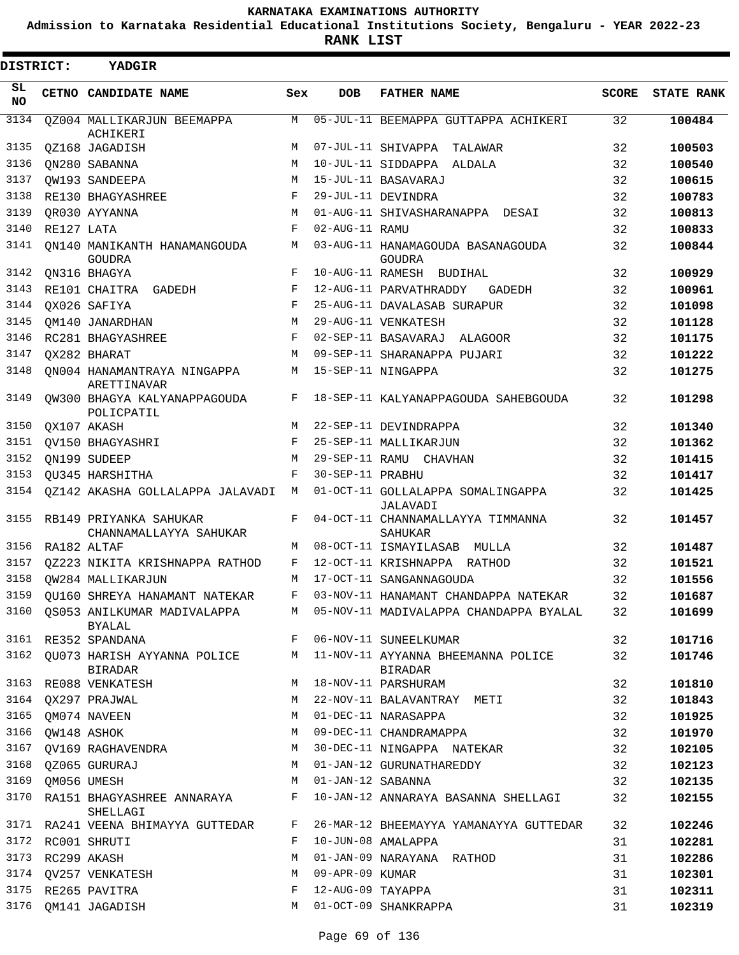**Admission to Karnataka Residential Educational Institutions Society, Bengaluru - YEAR 2022-23**

**RANK LIST**

| DISTRICT: |                  | <b>YADGIR</b>                                     |        |                   |                                                                               |              |                   |
|-----------|------------------|---------------------------------------------------|--------|-------------------|-------------------------------------------------------------------------------|--------------|-------------------|
| SL<br>NO. |                  | CETNO CANDIDATE NAME                              | Sex    | <b>DOB</b>        | <b>FATHER NAME</b>                                                            | <b>SCORE</b> | <b>STATE RANK</b> |
| 3134      |                  | QZ004 MALLIKARJUN BEEMAPPA<br>ACHIKERI            | M      |                   | 05-JUL-11 BEEMAPPA GUTTAPPA ACHIKERI                                          | 32           | 100484            |
| 3135      |                  | QZ168 JAGADISH                                    | М      |                   | 07-JUL-11 SHIVAPPA TALAWAR                                                    | 32           | 100503            |
| 3136      |                  | QN280 SABANNA                                     | M      |                   | 10-JUL-11 SIDDAPPA ALDALA                                                     | 32           | 100540            |
| 3137      |                  | OW193 SANDEEPA                                    | M      |                   | 15-JUL-11 BASAVARAJ                                                           | 32           | 100615            |
| 3138      |                  | RE130 BHAGYASHREE                                 | F      |                   | 29-JUL-11 DEVINDRA                                                            | 32           | 100783            |
| 3139      |                  | OR030 AYYANNA                                     | M      |                   | 01-AUG-11 SHIVASHARANAPPA DESAI                                               | 32           | 100813            |
| 3140      | RE127 LATA       |                                                   | F      | 02-AUG-11 RAMU    |                                                                               | 32           | 100833            |
| 3141      |                  | ON140 MANIKANTH HANAMANGOUDA<br><b>GOUDRA</b>     | M      |                   | 03-AUG-11 HANAMAGOUDA BASANAGOUDA<br><b>GOUDRA</b>                            | 32           | 100844            |
| 3142      |                  | ON316 BHAGYA                                      | F      |                   | 10-AUG-11 RAMESH BUDIHAL                                                      | 32           | 100929            |
| 3143      |                  | RE101 CHAITRA GADEDH                              | F      |                   | 12-AUG-11 PARVATHRADDY<br>GADEDH                                              | 32           | 100961            |
| 3144      |                  | OX026 SAFIYA                                      | F      |                   | 25-AUG-11 DAVALASAB SURAPUR                                                   | 32           | 101098            |
| 3145      |                  | OM140 JANARDHAN                                   | M      |                   | 29-AUG-11 VENKATESH                                                           | 32           | 101128            |
| 3146      |                  | RC281 BHAGYASHREE                                 | F      |                   | 02-SEP-11 BASAVARAJ ALAGOOR                                                   | 32           | 101175            |
| 3147      |                  | OX282 BHARAT                                      | M      |                   | 09-SEP-11 SHARANAPPA PUJARI                                                   | 32           | 101222            |
| 3148      |                  | ON004 HANAMANTRAYA NINGAPPA<br>ARETTINAVAR        | M      |                   | 15-SEP-11 NINGAPPA                                                            | 32           | 101275            |
| 3149      |                  | QW300 BHAGYA KALYANAPPAGOUDA<br>POLICPATIL        | F      |                   | 18-SEP-11 KALYANAPPAGOUDA SAHEBGOUDA                                          | 32           | 101298            |
| 3150      |                  | QX107 AKASH                                       | M      |                   | 22-SEP-11 DEVINDRAPPA                                                         | 32           | 101340            |
| 3151      |                  | QV150 BHAGYASHRI                                  | F      |                   | 25-SEP-11 MALLIKARJUN                                                         | 32           | 101362            |
| 3152      |                  | ON199 SUDEEP                                      | M      |                   | 29-SEP-11 RAMU CHAVHAN                                                        | 32           | 101415            |
| 3153      |                  | OU345 HARSHITHA                                   | F      | 30-SEP-11 PRABHU  |                                                                               | 32           | 101417            |
| 3154      |                  | QZ142 AKASHA GOLLALAPPA JALAVADI                  | М      |                   | 01-OCT-11 GOLLALAPPA SOMALINGAPPA<br><b>JALAVADI</b>                          | 32           | 101425            |
| 3155      |                  | RB149 PRIYANKA SAHUKAR<br>CHANNAMALLAYYA SAHUKAR  | F      |                   | 04-OCT-11 CHANNAMALLAYYA TIMMANNA<br><b>SAHUKAR</b>                           | 32           | 101457            |
| 3156      |                  | RA182 ALTAF                                       | М      |                   | 08-OCT-11 ISMAYILASAB MULLA                                                   | 32           | 101487            |
| 3157      |                  | QZ223 NIKITA KRISHNAPPA RATHOD                    | F      |                   | 12-OCT-11 KRISHNAPPA RATHOD                                                   | 32           | 101521            |
| 3158      |                  | OW284 MALLIKARJUN                                 | M      |                   | 17-OCT-11 SANGANNAGOUDA                                                       | 32           | 101556            |
| 3159      |                  | QU160 SHREYA HANAMANT NATEKAR                     | F      |                   | 03-NOV-11 HANAMANT CHANDAPPA NATEKAR                                          | 32           | 101687            |
|           |                  | 3160 QS053 ANILKUMAR MADIVALAPPA<br><b>BYALAL</b> | M      |                   | 05-NOV-11 MADIVALAPPA CHANDAPPA BYALAL                                        | 32           | 101699            |
|           |                  | 3161 RE352 SPANDANA                               | $F -$  |                   | 06-NOV-11 SUNEELKUMAR                                                         | 32           | 101716            |
| 3162      |                  | QU073 HARISH AYYANNA POLICE<br><b>BIRADAR</b>     |        |                   | M 11-NOV-11 AYYANNA BHEEMANNA POLICE<br><b>BIRADAR</b><br>18-NOV-11 PARSHURAM | 32           | 101746            |
|           |                  | 3163 RE088 VENKATESH<br>3164 QX297 PRAJWAL        | M<br>М |                   |                                                                               | 32           | 101810            |
|           |                  | 3165 QM074 NAVEEN                                 | M      |                   | 22-NOV-11 BALAVANTRAY METI<br>01-DEC-11 NARASAPPA                             | 32<br>32     | 101843            |
| 3166      |                  |                                                   | М      |                   | 09-DEC-11 CHANDRAMAPPA                                                        | 32           | 101925<br>101970  |
| 3167      |                  | QW148 ASHOK<br>QV169 RAGHAVENDRA                  |        |                   | 30-DEC-11 NINGAPPA NATEKAR                                                    | 32           | 102105            |
| 3168      |                  |                                                   | М<br>М |                   |                                                                               |              |                   |
| 3169      |                  | QZ065 GURURAJ                                     | M      | 01-JAN-12 SABANNA | 01-JAN-12 GURUNATHAREDDY                                                      | 32           | 102123            |
| 3170      |                  | QM056 UMESH                                       | F      |                   |                                                                               | 32           | 102135            |
|           |                  | RA151 BHAGYASHREE ANNARAYA<br>SHELLAGI            |        |                   | 10-JAN-12 ANNARAYA BASANNA SHELLAGI                                           | 32           | 102155            |
|           |                  | 3171 RA241 VEENA BHIMAYYA GUTTEDAR                | F      |                   | 26-MAR-12 BHEEMAYYA YAMANAYYA GUTTEDAR                                        | 32           | 102246            |
|           |                  | 3172 RC001 SHRUTI                                 | F      |                   | 10-JUN-08 AMALAPPA                                                            | 31           | 102281            |
|           | 3173 RC299 AKASH |                                                   | М      |                   | 01-JAN-09 NARAYANA RATHOD                                                     | 31           | 102286            |
|           |                  | 3174 QV257 VENKATESH                              | М      | 09-APR-09 KUMAR   |                                                                               | 31           | 102301            |
|           |                  | 3175 RE265 PAVITRA                                | F      |                   | 12-AUG-09 TAYAPPA                                                             | 31           | 102311            |
| 3176      |                  | QM141 JAGADISH                                    | М      |                   | 01-OCT-09 SHANKRAPPA                                                          | 31           | 102319            |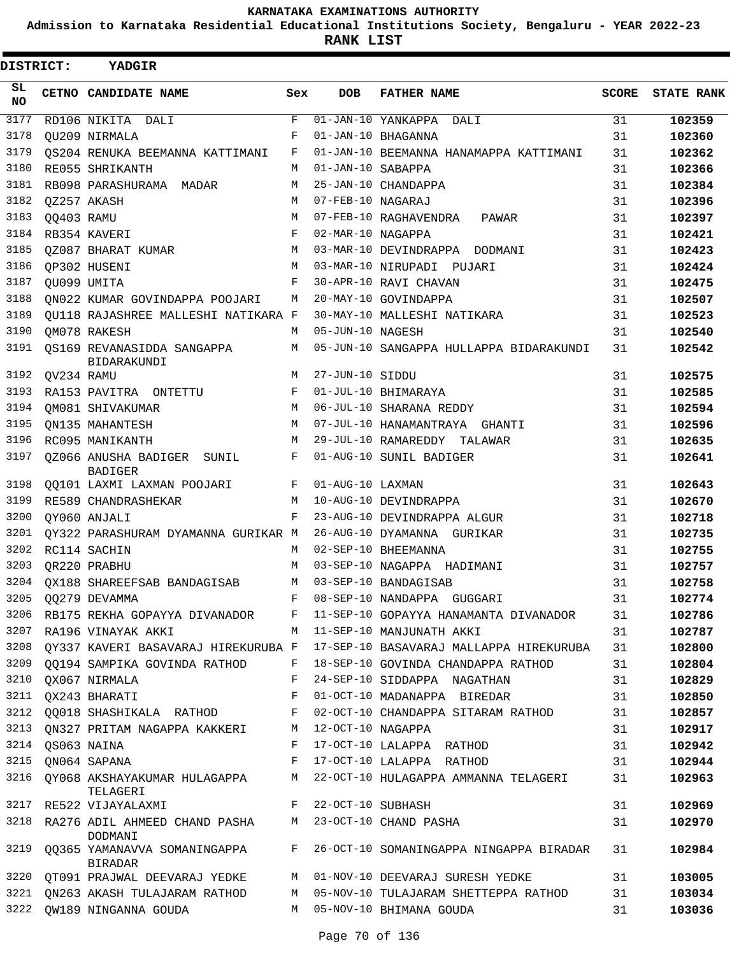**Admission to Karnataka Residential Educational Institutions Society, Bengaluru - YEAR 2022-23**

| DISTRICT:       |                  | YADGIR                                                                |             |                   |                                                                                  |              |                   |
|-----------------|------------------|-----------------------------------------------------------------------|-------------|-------------------|----------------------------------------------------------------------------------|--------------|-------------------|
| SL<br><b>NO</b> |                  | CETNO CANDIDATE NAME                                                  | Sex         | <b>DOB</b>        | <b>FATHER NAME</b>                                                               | <b>SCORE</b> | <b>STATE RANK</b> |
| 3177            |                  | RD106 NIKITA DALI                                                     | $\mathbf F$ |                   | 01-JAN-10 YANKAPPA DALI                                                          | 31           | 102359            |
| 3178            |                  | OU209 NIRMALA                                                         | F           |                   | 01-JAN-10 BHAGANNA                                                               | 31           | 102360            |
| 3179            |                  | QS204 RENUKA BEEMANNA KATTIMANI                                       | F           |                   | 01-JAN-10 BEEMANNA HANAMAPPA KATTIMANI                                           | 31           | 102362            |
| 3180            |                  | RE055 SHRIKANTH                                                       | M           | 01-JAN-10 SABAPPA |                                                                                  | 31           | 102366            |
| 3181            |                  | RB098 PARASHURAMA MADAR                                               | М           |                   | 25-JAN-10 CHANDAPPA                                                              | 31           | 102384            |
| 3182            |                  | OZ257 AKASH                                                           | М           | 07-FEB-10 NAGARAJ |                                                                                  | 31           | 102396            |
| 3183            | QQ403 RAMU       |                                                                       | М           |                   | 07-FEB-10 RAGHAVENDRA<br>PAWAR                                                   | 31           | 102397            |
| 3184            |                  | RB354 KAVERI                                                          | F           | 02-MAR-10 NAGAPPA |                                                                                  | 31           | 102421            |
| 3185            |                  | QZ087 BHARAT KUMAR                                                    | М           |                   | 03-MAR-10 DEVINDRAPPA DODMANI                                                    | 31           | 102423            |
| 3186            |                  | QP302 HUSENI                                                          | M           |                   | 03-MAR-10 NIRUPADI PUJARI                                                        | 31           | 102424            |
| 3187            |                  | OU099 UMITA                                                           | F           |                   | 30-APR-10 RAVI CHAVAN                                                            | 31           | 102475            |
| 3188            |                  | ON022 KUMAR GOVINDAPPA POOJARI                                        | М           |                   | 20-MAY-10 GOVINDAPPA                                                             | 31           | 102507            |
| 3189            |                  | OU118 RAJASHREE MALLESHI NATIKARA F                                   |             |                   | 30-MAY-10 MALLESHI NATIKARA                                                      | 31           | 102523            |
| 3190            |                  | OM078 RAKESH                                                          | М           | 05-JUN-10 NAGESH  |                                                                                  | 31           | 102540            |
| 3191            |                  | QS169 REVANASIDDA SANGAPPA<br>BIDARAKUNDI                             | М           |                   | 05-JUN-10 SANGAPPA HULLAPPA BIDARAKUNDI                                          | 31           | 102542            |
| 3192            | QV234 RAMU       |                                                                       | М           | 27-JUN-10 SIDDU   |                                                                                  | 31           | 102575            |
| 3193            |                  | RA153 PAVITRA ONTETTU                                                 | F           |                   | 01-JUL-10 BHIMARAYA                                                              | 31           | 102585            |
| 3194            |                  | OM081 SHIVAKUMAR                                                      | M           |                   | 06-JUL-10 SHARANA REDDY                                                          | 31           | 102594            |
| 3195            |                  | ON135 MAHANTESH                                                       | М           |                   | 07-JUL-10 HANAMANTRAYA GHANTI                                                    | 31           | 102596            |
| 3196            |                  | RC095 MANIKANTH                                                       | М           |                   | 29-JUL-10 RAMAREDDY TALAWAR                                                      | 31           | 102635            |
| 3197            |                  | QZ066 ANUSHA BADIGER SUNIL<br><b>BADIGER</b>                          | F           |                   | 01-AUG-10 SUNIL BADIGER                                                          | 31           | 102641            |
| 3198            |                  | QQ101 LAXMI LAXMAN POOJARI                                            | F           | 01-AUG-10 LAXMAN  |                                                                                  | 31           | 102643            |
| 3199            |                  | RE589 CHANDRASHEKAR                                                   | М           |                   | 10-AUG-10 DEVINDRAPPA                                                            | 31           | 102670            |
| 3200            |                  | OY060 ANJALI                                                          | F           |                   | 23-AUG-10 DEVINDRAPPA ALGUR                                                      | 31           | 102718            |
| 3201            |                  | QY322 PARASHURAM DYAMANNA GURIKAR M                                   |             |                   | 26-AUG-10 DYAMANNA GURIKAR                                                       | 31           | 102735            |
| 3202            |                  | RC114 SACHIN                                                          | M           |                   | 02-SEP-10 BHEEMANNA                                                              | 31           | 102755            |
| 3203            |                  | QR220 PRABHU                                                          | M           |                   | 03-SEP-10 NAGAPPA HADIMANI                                                       | 31           | 102757            |
| 3204            |                  | OX188 SHAREEFSAB BANDAGISAB                                           | М           |                   | 03-SEP-10 BANDAGISAB                                                             | 31           | 102758            |
|                 |                  |                                                                       | $F$ –       |                   | 08-SEP-10 NANDAPPA GUGGARI                                                       | 31           | 102774            |
|                 |                  |                                                                       |             |                   | 3206 RB175 REKHA GOPAYYA DIVANADOR F 11-SEP-10 GOPAYYA HANAMANTA DIVANADOR       | 31           | 102786            |
|                 |                  | 3207 RA196 VINAYAK AKKI                                               |             |                   | M 11-SEP-10 MANJUNATH AKKI                                                       | 31           | 102787            |
|                 |                  |                                                                       |             |                   | 3208 QY337 KAVERI BASAVARAJ HIREKURUBA F 17-SEP-10 BASAVARAJ MALLAPPA HIREKURUBA | 31           | 102800            |
|                 |                  |                                                                       |             |                   | 3209 QQ194 SAMPIKA GOVINDA RATHOD F 18-SEP-10 GOVINDA CHANDAPPA RATHOD           | 31           | 102804            |
|                 |                  | 3210 QX067 NIRMALA                                                    | F           |                   | 24-SEP-10 SIDDAPPA NAGATHAN                                                      | 31           | 102829            |
|                 |                  | 3211 QX243 BHARATI                                                    | F           |                   | 01-OCT-10 MADANAPPA BIREDAR                                                      | 31           | 102850            |
|                 |                  |                                                                       |             |                   | 3212 QQ018 SHASHIKALA RATHOD F 02-OCT-10 CHANDAPPA SITARAM RATHOD                | 31           | 102857            |
|                 |                  | 3213 QN327 PRITAM NAGAPPA KAKKERI M 12-OCT-10 NAGAPPA                 |             |                   |                                                                                  | 31           | 102917            |
|                 | 3214 QS063 NAINA |                                                                       |             |                   | F 17-OCT-10 LALAPPA RATHOD                                                       | 31           | 102942            |
|                 |                  | 3215 QN064 SAPANA<br>F 17-OCT-10 LALAPPA RATHOD                       |             |                   |                                                                                  | 31           | 102944            |
|                 |                  | TELAGERI                                                              |             |                   | 3216 QY068 AKSHAYAKUMAR HULAGAPPA MAN 22-OCT-10 HULAGAPPA AMMANNA TELAGERI       | 31           | 102963            |
|                 |                  | 3217 RE522 VIJAYALAXMI F 22-OCT-10 SUBHASH                            |             |                   |                                                                                  | 31           | 102969            |
|                 |                  | 3218 RA276 ADIL AHMEED CHAND PASHA M 23-OCT-10 CHAND PASHA<br>DODMANI |             |                   |                                                                                  | 31           | 102970            |
|                 |                  | BIRADAR                                                               |             |                   | 3219 QQ365 YAMANAVVA SOMANINGAPPA F 26-OCT-10 SOMANINGAPPA NINGAPPA BIRADAR      | 31           | 102984            |
|                 |                  |                                                                       |             |                   | 3220 QT091 PRAJWAL DEEVARAJ YEDKE M 01-NOV-10 DEEVARAJ SURESH YEDKE              | 31           | 103005            |
|                 |                  |                                                                       |             |                   | 3221 QN263 AKASH TULAJARAM RATHOD M 05-NOV-10 TULAJARAM SHETTEPPA RATHOD         | 31           | 103034            |
|                 |                  | 3222 QW189 NINGANNA GOUDA                                             |             |                   | M 05-NOV-10 BHIMANA GOUDA                                                        | 31           | 103036            |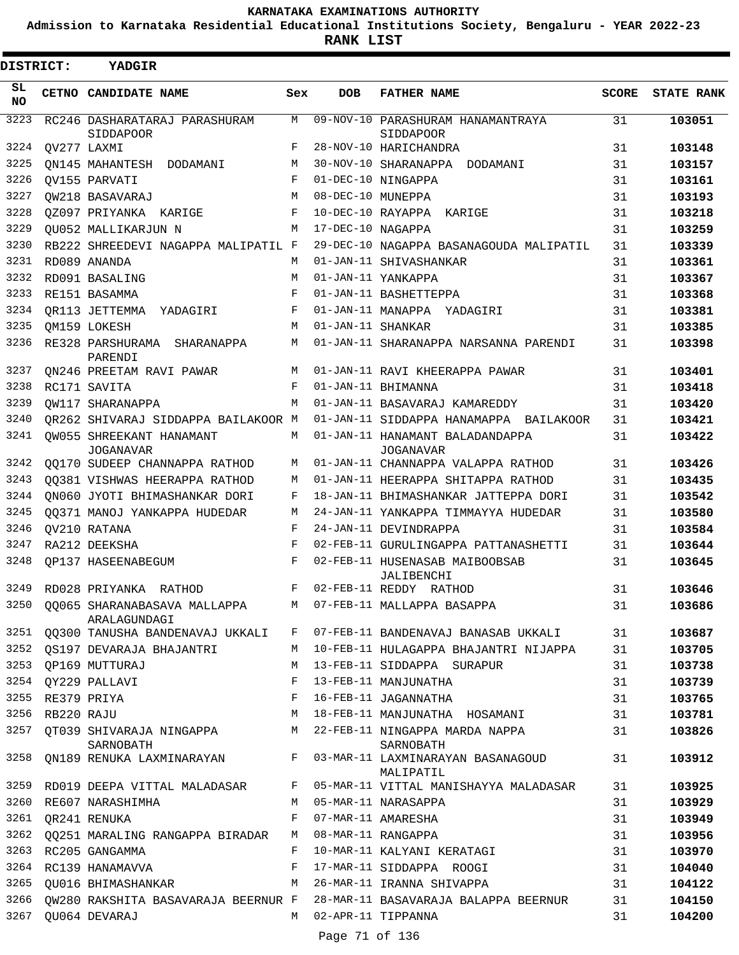**Admission to Karnataka Residential Educational Institutions Society, Bengaluru - YEAR 2022-23**

**RANK LIST**

| DISTRICT:       |            | YADGIR                                            |       |                   |                                                     |              |                   |
|-----------------|------------|---------------------------------------------------|-------|-------------------|-----------------------------------------------------|--------------|-------------------|
| SL<br><b>NO</b> |            | CETNO CANDIDATE NAME                              | Sex   | <b>DOB</b>        | <b>FATHER NAME</b>                                  | <b>SCORE</b> | <b>STATE RANK</b> |
| 3223            |            | RC246 DASHARATARAJ PARASHURAM<br><b>SIDDAPOOR</b> | М     |                   | 09-NOV-10 PARASHURAM HANAMANTRAYA<br>SIDDAPOOR      | 31           | 103051            |
| 3224            |            | OV277 LAXMI                                       | F     |                   | 28-NOV-10 HARICHANDRA                               | 31           | 103148            |
| 3225            |            | ON145 MAHANTESH DODAMANI                          | М     |                   | 30-NOV-10 SHARANAPPA<br>DODAMANI                    | 31           | 103157            |
| 3226            |            | OV155 PARVATI                                     | F     |                   | 01-DEC-10 NINGAPPA                                  | 31           | 103161            |
| 3227            |            | OW218 BASAVARAJ                                   | М     | 08-DEC-10 MUNEPPA |                                                     | 31           | 103193            |
| 3228            |            | OZ097 PRIYANKA KARIGE                             | F     |                   | 10-DEC-10 RAYAPPA<br>KARIGE                         | 31           | 103218            |
| 3229            |            | OU052 MALLIKARJUN N                               | М     | 17-DEC-10 NAGAPPA |                                                     | 31           | 103259            |
| 3230            |            | RB222 SHREEDEVI NAGAPPA MALIPATIL F               |       |                   | 29-DEC-10 NAGAPPA BASANAGOUDA MALIPATIL             | 31           | 103339            |
| 3231            |            | RD089 ANANDA                                      | М     |                   | 01-JAN-11 SHIVASHANKAR                              | 31           | 103361            |
| 3232            |            | RD091 BASALING                                    | М     |                   | 01-JAN-11 YANKAPPA                                  | 31           | 103367            |
| 3233            |            | RE151 BASAMMA                                     | F     |                   | 01-JAN-11 BASHETTEPPA                               | 31           | 103368            |
| 3234            |            | OR113 JETTEMMA YADAGIRI                           | F     |                   | 01-JAN-11 MANAPPA YADAGIRI                          | 31           | 103381            |
| 3235            |            | OM159 LOKESH                                      | М     | 01-JAN-11 SHANKAR |                                                     | 31           | 103385            |
| 3236            |            | RE328 PARSHURAMA<br>SHARANAPPA<br>PARENDI         | М     |                   | 01-JAN-11 SHARANAPPA NARSANNA PARENDI               | 31           | 103398            |
| 3237            |            | ON246 PREETAM RAVI PAWAR                          | М     |                   | 01-JAN-11 RAVI KHEERAPPA PAWAR                      | 31           | 103401            |
| 3238            |            | RC171 SAVITA                                      | F     |                   | 01-JAN-11 BHIMANNA                                  | 31           | 103418            |
| 3239            |            | OW117 SHARANAPPA                                  | М     |                   | 01-JAN-11 BASAVARAJ KAMAREDDY                       | 31           | 103420            |
| 3240            |            | OR262 SHIVARAJ SIDDAPPA BAILAKOOR M               |       |                   | 01-JAN-11 SIDDAPPA HANAMAPPA BAILAKOOR              | 31           | 103421            |
| 3241            |            | OW055 SHREEKANT HANAMANT<br><b>JOGANAVAR</b>      | М     |                   | 01-JAN-11 HANAMANT BALADANDAPPA<br><b>JOGANAVAR</b> | 31           | 103422            |
| 3242            |            | 00170 SUDEEP CHANNAPPA RATHOD                     | М     |                   | 01-JAN-11 CHANNAPPA VALAPPA RATHOD                  | 31           | 103426            |
| 3243            |            | 00381 VISHWAS HEERAPPA RATHOD                     | М     |                   | 01-JAN-11 HEERAPPA SHITAPPA RATHOD                  | 31           | 103435            |
| 3244            |            | ON060 JYOTI BHIMASHANKAR DORI                     | F     |                   | 18-JAN-11 BHIMASHANKAR JATTEPPA DORI                | 31           | 103542            |
| 3245            |            | 00371 MANOJ YANKAPPA HUDEDAR                      | М     |                   | 24-JAN-11 YANKAPPA TIMMAYYA HUDEDAR                 | 31           | 103580            |
| 3246            |            | OV210 RATANA                                      | F     |                   | 24-JAN-11 DEVINDRAPPA                               | 31           | 103584            |
| 3247            |            | RA212 DEEKSHA                                     | F     |                   | 02-FEB-11 GURULINGAPPA PATTANASHETTI                | 31           | 103644            |
| 3248            |            | <b>OP137 HASEENABEGUM</b>                         | F     |                   | 02-FEB-11 HUSENASAB MAIBOOBSAB<br>JALIBENCHI        | 31           | 103645            |
| 3249            |            | RD028 PRIYANKA RATHOD                             | F     |                   | 02-FEB-11 REDDY RATHOD                              | 31           | 103646            |
| 3250            |            | QQ065 SHARANABASAVA MALLAPPA<br>ARALAGUNDAGI      | M     |                   | 07-FEB-11 MALLAPPA BASAPPA                          | 31           | 103686            |
| 3251            |            | QQ300 TANUSHA BANDENAVAJ UKKALI                   | $F$ – |                   | 07-FEB-11 BANDENAVAJ BANASAB UKKALI                 | 31           | 103687            |
| 3252            |            | OS197 DEVARAJA BHAJANTRI                          | M     |                   | 10-FEB-11 HULAGAPPA BHAJANTRI NIJAPPA               | 31           | 103705            |
| 3253            |            | QP169 MUTTURAJ                                    | М     |                   | 13-FEB-11 SIDDAPPA SURAPUR                          | 31           | 103738            |
| 3254            |            | QY229 PALLAVI                                     | F     |                   | 13-FEB-11 MANJUNATHA                                | 31           | 103739            |
| 3255            |            | RE379 PRIYA                                       | F     |                   | 16-FEB-11 JAGANNATHA                                | 31           | 103765            |
| 3256            | RB220 RAJU |                                                   | М     |                   | 18-FEB-11 MANJUNATHA HOSAMANI                       | 31           | 103781            |
|                 |            | 3257 QT039 SHIVARAJA NINGAPPA<br>SARNOBATH        | M     |                   | 22-FEB-11 NINGAPPA MARDA NAPPA<br>SARNOBATH         | 31           | 103826            |
| 3258            |            | QN189 RENUKA LAXMINARAYAN                         | $F$ – |                   | 03-MAR-11 LAXMINARAYAN BASANAGOUD<br>MALIPATIL      | 31           | 103912            |
| 3259            |            | RD019 DEEPA VITTAL MALADASAR                      | F     |                   | 05-MAR-11 VITTAL MANISHAYYA MALADASAR               | 31           | 103925            |
| 3260            |            | RE607 NARASHIMHA                                  | М     |                   | 05-MAR-11 NARASAPPA                                 | 31           | 103929            |
| 3261            |            | QR241 RENUKA                                      | F     |                   | 07-MAR-11 AMARESHA                                  | 31           | 103949            |
| 3262            |            | QQ251 MARALING RANGAPPA BIRADAR                   | М     |                   | 08-MAR-11 RANGAPPA                                  | 31           | 103956            |
| 3263            |            | RC205 GANGAMMA                                    | F     |                   | 10-MAR-11 KALYANI KERATAGI                          | 31           | 103970            |
| 3264            |            | RC139 HANAMAVVA                                   | F     |                   | 17-MAR-11 SIDDAPPA ROOGI                            | 31           | 104040            |
| 3265            |            | QU016 BHIMASHANKAR                                | М     |                   | 26-MAR-11 IRANNA SHIVAPPA                           | 31           | 104122            |
| 3266            |            | OW280 RAKSHITA BASAVARAJA BEERNUR F               |       |                   | 28-MAR-11 BASAVARAJA BALAPPA BEERNUR                | 31           | 104150            |
| 3267            |            | QU064 DEVARAJ                                     | M     |                   | 02-APR-11 TIPPANNA                                  | 31           | 104200            |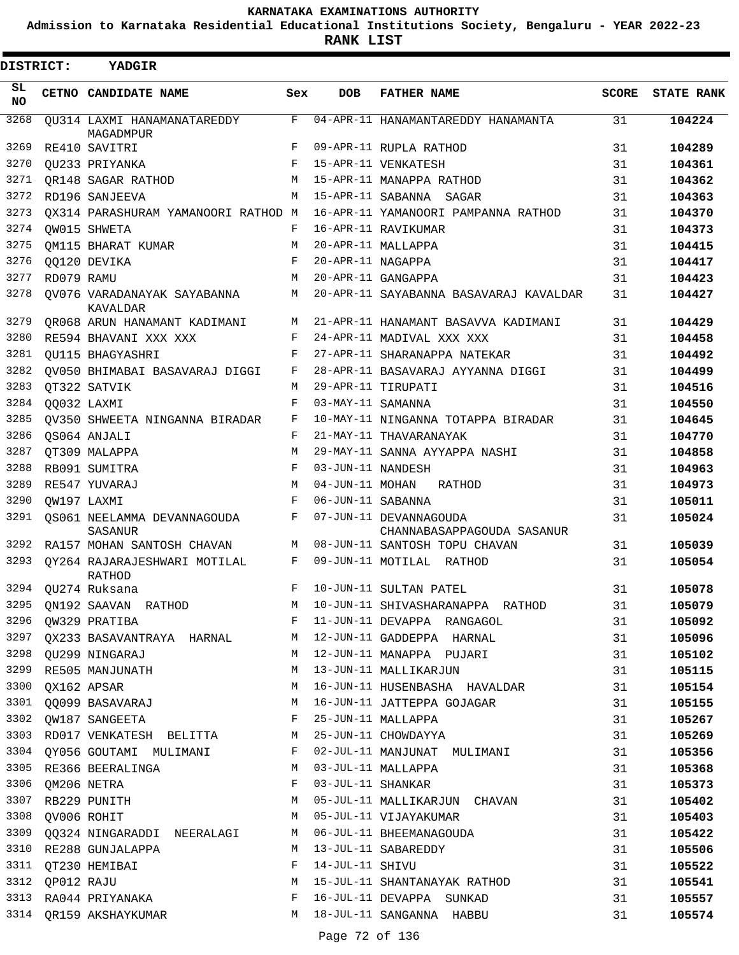**Admission to Karnataka Residential Educational Institutions Society, Bengaluru - YEAR 2022-23**

**RANK LIST**

| DISTRICT: |            | <b>YADGIR</b>                                 |              |                   |                                                      |       |                   |
|-----------|------------|-----------------------------------------------|--------------|-------------------|------------------------------------------------------|-------|-------------------|
| SL<br>NO. |            | CETNO CANDIDATE NAME                          | Sex          | <b>DOB</b>        | <b>FATHER NAME</b>                                   | SCORE | <b>STATE RANK</b> |
| 3268      |            | QU314 LAXMI HANAMANATAREDDY<br>MAGADMPUR      | F            |                   | 04-APR-11 HANAMANTAREDDY HANAMANTA                   | 31    | 104224            |
| 3269      |            | RE410 SAVITRI                                 | F            |                   | 09-APR-11 RUPLA RATHOD                               | 31    | 104289            |
| 3270      |            | OU233 PRIYANKA                                | $\mathbf{F}$ |                   | 15-APR-11 VENKATESH                                  | 31    | 104361            |
| 3271      |            | OR148 SAGAR RATHOD                            | M            |                   | 15-APR-11 MANAPPA RATHOD                             | 31    | 104362            |
| 3272      |            | RD196 SANJEEVA                                | M            |                   | 15-APR-11 SABANNA SAGAR                              | 31    | 104363            |
| 3273      |            | QX314 PARASHURAM YAMANOORI RATHOD M           |              |                   | 16-APR-11 YAMANOORI PAMPANNA RATHOD                  | 31    | 104370            |
| 3274      |            | OW015 SHWETA                                  | F            |                   | 16-APR-11 RAVIKUMAR                                  | 31    | 104373            |
| 3275      |            | OM115 BHARAT KUMAR                            | M            |                   | 20-APR-11 MALLAPPA                                   | 31    | 104415            |
| 3276      |            | QQ120 DEVIKA                                  | F            | 20-APR-11 NAGAPPA |                                                      | 31    | 104417            |
| 3277      | RD079 RAMU |                                               | M            |                   | 20-APR-11 GANGAPPA                                   | 31    | 104423            |
| 3278      |            | OV076 VARADANAYAK SAYABANNA<br>KAVALDAR       | М            |                   | 20-APR-11 SAYABANNA BASAVARAJ KAVALDAR               | 31    | 104427            |
| 3279      |            | OR068 ARUN HANAMANT KADIMANI                  | М            |                   | 21-APR-11 HANAMANT BASAVVA KADIMANI                  | 31    | 104429            |
| 3280      |            | RE594 BHAVANI XXX XXX                         | F            |                   | 24-APR-11 MADIVAL XXX XXX                            | 31    | 104458            |
| 3281      |            | OU115 BHAGYASHRI                              | F            |                   | 27-APR-11 SHARANAPPA NATEKAR                         | 31    | 104492            |
| 3282      |            | OV050 BHIMABAI BASAVARAJ DIGGI                | F            |                   | 28-APR-11 BASAVARAJ AYYANNA DIGGI                    | 31    | 104499            |
| 3283      |            | OT322 SATVIK                                  | М            |                   | 29-APR-11 TIRUPATI                                   | 31    | 104516            |
| 3284      |            | QQ032 LAXMI                                   | F            | 03-MAY-11 SAMANNA |                                                      | 31    | 104550            |
| 3285      |            | OV350 SHWEETA NINGANNA BIRADAR                | $_{\rm F}$   |                   | 10-MAY-11 NINGANNA TOTAPPA BIRADAR                   | 31    | 104645            |
| 3286      |            | OS064 ANJALI                                  | $_{\rm F}$   |                   | 21-MAY-11 THAVARANAYAK                               | 31    | 104770            |
| 3287      |            | OT309 MALAPPA                                 | М            |                   | 29-MAY-11 SANNA AYYAPPA NASHI                        | 31    | 104858            |
| 3288      |            | RB091 SUMITRA                                 | F            | 03-JUN-11 NANDESH |                                                      | 31    | 104963            |
| 3289      |            | RE547 YUVARAJ                                 | M            | 04-JUN-11 MOHAN   | RATHOD                                               | 31    | 104973            |
| 3290      |            | OW197 LAXMI                                   | F            | 06-JUN-11 SABANNA |                                                      | 31    | 105011            |
| 3291      |            | OS061 NEELAMMA DEVANNAGOUDA<br><b>SASANUR</b> | F            |                   | 07-JUN-11 DEVANNAGOUDA<br>CHANNABASAPPAGOUDA SASANUR | 31    | 105024            |
| 3292      |            | RA157 MOHAN SANTOSH CHAVAN                    | М            |                   | 08-JUN-11 SANTOSH TOPU CHAVAN                        | 31    | 105039            |
| 3293      |            | QY264 RAJARAJESHWARI MOTILAL<br>RATHOD        | F            |                   | 09-JUN-11 MOTILAL RATHOD                             | 31    | 105054            |
| 3294      |            | QU274 Ruksana                                 | F            |                   | 10-JUN-11 SULTAN PATEL                               | 31    | 105078            |
| 3295      |            | QN192 SAAVAN RATHOD                           | М            |                   | 10-JUN-11 SHIVASHARANAPPA RATHOD                     | 31    | 105079            |
| 3296      |            | QW329 PRATIBA                                 | F            |                   | 11-JUN-11 DEVAPPA RANGAGOL                           | 31    | 105092            |
| 3297      |            | QX233 BASAVANTRAYA HARNAL                     | M            |                   | 12-JUN-11 GADDEPPA HARNAL                            | 31    | 105096            |
| 3298      |            | QU299 NINGARAJ                                | М            |                   | 12-JUN-11 MANAPPA PUJARI                             | 31    | 105102            |
| 3299      |            | RE505 MANJUNATH                               | М            |                   | 13-JUN-11 MALLIKARJUN                                | 31    | 105115            |
| 3300      |            | QX162 APSAR                                   | М            |                   | 16-JUN-11 HUSENBASHA HAVALDAR                        | 31    | 105154            |
| 3301      |            | QQ099 BASAVARAJ                               | М            |                   | 16-JUN-11 JATTEPPA GOJAGAR                           | 31    | 105155            |
| 3302      |            | QW187 SANGEETA                                | F            |                   | 25-JUN-11 MALLAPPA                                   | 31    | 105267            |
| 3303      |            | RD017 VENKATESH BELITTA                       | M            |                   | 25-JUN-11 CHOWDAYYA                                  | 31    | 105269            |
| 3304      |            | QY056 GOUTAMI MULIMANI                        | F            |                   | 02-JUL-11 MANJUNAT MULIMANI                          | 31    | 105356            |
| 3305      |            | RE366 BEERALINGA                              | М            |                   | 03-JUL-11 MALLAPPA                                   | 31    | 105368            |
| 3306      |            | QM206 NETRA                                   | F            | 03-JUL-11 SHANKAR |                                                      | 31    | 105373            |
| 3307      |            | RB229 PUNITH                                  | М            |                   | 05-JUL-11 MALLIKARJUN CHAVAN                         | 31    | 105402            |
| 3308      |            | QV006 ROHIT                                   | М            |                   | 05-JUL-11 VIJAYAKUMAR                                | 31    | 105403            |
| 3309      |            | QQ324 NINGARADDI NEERALAGI                    | М            |                   | 06-JUL-11 BHEEMANAGOUDA                              | 31    | 105422            |
| 3310      |            | RE288 GUNJALAPPA                              | М            |                   | 13-JUL-11 SABAREDDY                                  | 31    | 105506            |
| 3311      |            | QT230 HEMIBAI                                 | F            | 14-JUL-11 SHIVU   |                                                      | 31    | 105522            |
| 3312      | QP012 RAJU |                                               | М            |                   | 15-JUL-11 SHANTANAYAK RATHOD                         | 31    | 105541            |
| 3313      |            | RA044 PRIYANAKA                               | F            |                   | 16-JUL-11 DEVAPPA SUNKAD                             | 31    | 105557            |
|           |            | 3314 QR159 AKSHAYKUMAR                        | М            |                   | 18-JUL-11 SANGANNA HABBU                             | 31    | 105574            |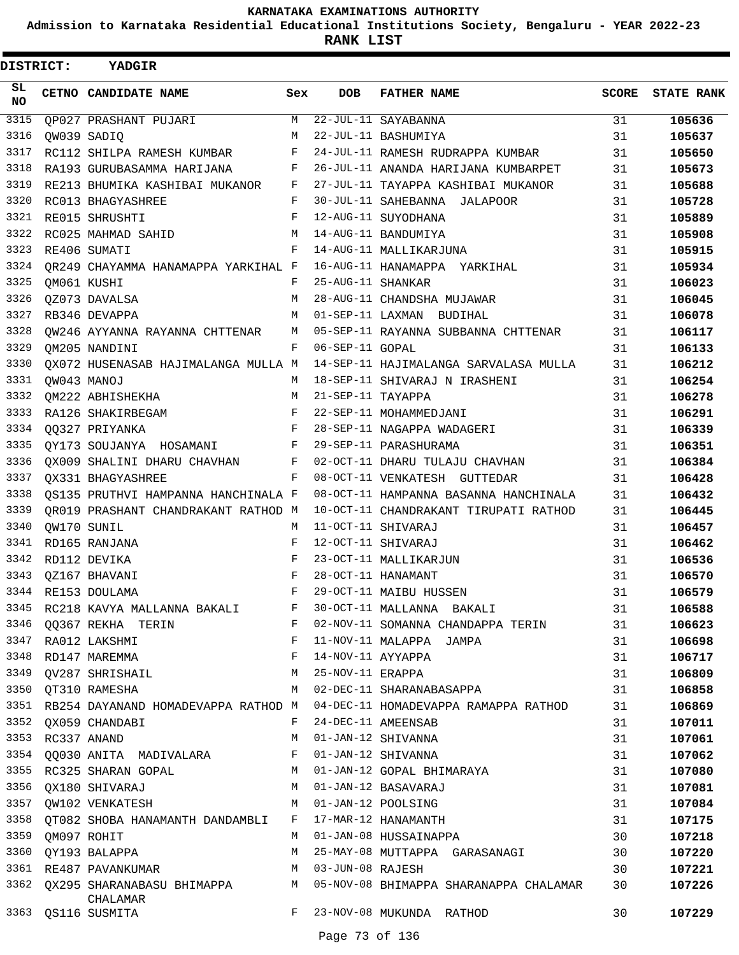**Admission to Karnataka Residential Educational Institutions Society, Bengaluru - YEAR 2022-23**

**RANK LIST**

| DISTRICT:  |                  | YADGIR                                                                                                                                                                                     |              |                   |                                                                          |       |                   |
|------------|------------------|--------------------------------------------------------------------------------------------------------------------------------------------------------------------------------------------|--------------|-------------------|--------------------------------------------------------------------------|-------|-------------------|
| SL.<br>NO. |                  | <b>CETNO CANDIDATE NAME</b>                                                                                                                                                                | Sex          | <b>DOB</b>        | <b>FATHER NAME</b>                                                       | SCORE | <b>STATE RANK</b> |
| 3315       |                  | QP027 PRASHANT PUJARI                                                                                                                                                                      | M            |                   | 22-JUL-11 SAYABANNA                                                      | 31    | 105636            |
| 3316       |                  | QW039 SADIQ                                                                                                                                                                                | M            |                   | 22-JUL-11 BASHUMIYA                                                      | 31    | 105637            |
| 3317       |                  | RC112 SHILPA RAMESH KUMBAR                                                                                                                                                                 | F            |                   | 24-JUL-11 RAMESH RUDRAPPA KUMBAR                                         | 31    | 105650            |
| 3318       |                  | RA193 GURUBASAMMA HARIJANA                                                                                                                                                                 | F            |                   | 26-JUL-11 ANANDA HARIJANA KUMBARPET                                      | 31    | 105673            |
| 3319       |                  | RE213 BHUMIKA KASHIBAI MUKANOR F                                                                                                                                                           |              |                   | 27-JUL-11 TAYAPPA KASHIBAI MUKANOR                                       | 31    | 105688            |
| 3320       |                  | RC013 BHAGYASHREE                                                                                                                                                                          | $\mathbf{F}$ |                   | 30-JUL-11 SAHEBANNA JALAPOOR                                             | 31    | 105728            |
| 3321       |                  | RE015 SHRUSHTI                                                                                                                                                                             | F            |                   | 12-AUG-11 SUYODHANA                                                      | 31    | 105889            |
| 3322       |                  | RC025 MAHMAD SAHID                                                                                                                                                                         | М            |                   | 14-AUG-11 BANDUMIYA                                                      | 31    | 105908            |
| 3323       |                  | RE406 SUMATI                                                                                                                                                                               | F            |                   | 14-AUG-11 MALLIKARJUNA                                                   | 31    | 105915            |
| 3324       |                  | QR249 CHAYAMMA HANAMAPPA YARKIHAL F                                                                                                                                                        |              |                   | 16-AUG-11 HANAMAPPA YARKIHAL                                             | 31    | 105934            |
| 3325       |                  | OM061 KUSHI                                                                                                                                                                                | F            | 25-AUG-11 SHANKAR |                                                                          | 31    | 106023            |
| 3326       |                  | QZ073 DAVALSA                                                                                                                                                                              | М            |                   | 28-AUG-11 CHANDSHA MUJAWAR                                               | 31    | 106045            |
| 3327       |                  | RB346 DEVAPPA                                                                                                                                                                              | M            |                   | 01-SEP-11 LAXMAN BUDIHAL                                                 | 31    | 106078            |
| 3328       |                  |                                                                                                                                                                                            |              |                   | $QW246$ AYYANNA RAYANNA CHTTENAR M 05-SEP-11 RAYANNA SUBBANNA CHTTENAR   | 31    | 106117            |
| 3329       |                  | OM205 NANDINI                                                                                                                                                                              | F            | 06-SEP-11 GOPAL   |                                                                          | 31    | 106133            |
| 3330       |                  | QX072 HUSENASAB HAJIMALANGA MULLA M                                                                                                                                                        |              |                   | 14-SEP-11 HAJIMALANGA SARVALASA MULLA                                    | 31    | 106212            |
| 3331       |                  | OW043 MANOJ                                                                                                                                                                                | M            |                   | 18-SEP-11 SHIVARAJ N IRASHENI                                            | 31    | 106254            |
| 3332       |                  | QM222 ABHISHEKHA M                                                                                                                                                                         |              | 21-SEP-11 TAYAPPA |                                                                          | 31    | 106278            |
| 3333       |                  | RA126 SHAKIRBEGAM                                                                                                                                                                          | F            |                   | 22-SEP-11 MOHAMMEDJANI                                                   | 31    | 106291            |
| 3334       |                  | $\mathbf{F}$ and $\mathbf{F}$ are the set of $\mathbf{F}$<br>00327 PRIYANKA                                                                                                                |              |                   | 28-SEP-11 NAGAPPA WADAGERI                                               | 31    | 106339            |
| 3335       |                  | QY173 SOUJANYA HOSAMANI F 29-SEP-11 PARASHURAMA                                                                                                                                            |              |                   |                                                                          | 31    | 106351            |
| 3336       |                  | QX009 SHALINI DHARU CHAVHAN F                                                                                                                                                              |              |                   | 02-OCT-11 DHARU TULAJU CHAVHAN                                           | 31    | 106384            |
| 3337       |                  | $\mathbf{F}$ and $\mathbf{F}$ and $\mathbf{F}$<br>QX331 BHAGYASHREE                                                                                                                        |              |                   | 08-OCT-11 VENKATESH GUTTEDAR                                             | 31    | 106428            |
| 3338       |                  | QS135 PRUTHVI HAMPANNA HANCHINALA F                                                                                                                                                        |              |                   | 08-OCT-11 HAMPANNA BASANNA HANCHINALA                                    | 31    | 106432            |
| 3339       |                  | OR019 PRASHANT CHANDRAKANT RATHOD M                                                                                                                                                        |              |                   | 10-OCT-11 CHANDRAKANT TIRUPATI RATHOD                                    | 31    | 106445            |
| 3340       |                  | QW170 SUNIL                                                                                                                                                                                | М            |                   | 11-OCT-11 SHIVARAJ                                                       | 31    | 106457            |
| 3341       |                  | RD165 RANJANA                                                                                                                                                                              | F            |                   | 12-OCT-11 SHIVARAJ                                                       | 31    | 106462            |
| 3342       |                  | RD112 DEVIKA                                                                                                                                                                               | F            |                   | 23-OCT-11 MALLIKARJUN                                                    | 31    | 106536            |
| 3343       |                  | OZ167 BHAVANI                                                                                                                                                                              | F            |                   | 28-OCT-11 HANAMANT                                                       | 31    | 106570            |
|            |                  | 3344 RE153 DOULAMA                                                                                                                                                                         | F            |                   | 29-OCT-11 MAIBU HUSSEN                                                   | 31    | 106579            |
|            |                  | 3345 RC218 KAVYA MALLANNA BAKALI F                                                                                                                                                         |              |                   | 30-OCT-11 MALLANNA BAKALI                                                | 31    | 106588            |
|            |                  | 3346 QQ367 REKHA TERIN                                                                                                                                                                     |              |                   | F 02-NOV-11 SOMANNA CHANDAPPA TERIN                                      | 31    | 106623            |
|            |                  | $\mathbf{F}$ and $\mathbf{F}$ are the set of $\mathbf{F}$<br>3347 RA012 LAKSHMI                                                                                                            |              |                   | 11-NOV-11 MALAPPA JAMPA                                                  | 31    | 106698            |
|            |                  |                                                                                                                                                                                            |              |                   |                                                                          | 31    | 106717            |
|            |                  | 3348 RD147 MAREMMA<br>3349 QV287 SHRISHAIL MAREMAN M 25-NOV-11 ERAPPA                                                                                                                      |              |                   |                                                                          | 31    | 106809            |
|            |                  | M <sub>N</sub><br>3350 QT310 RAMESHA                                                                                                                                                       |              |                   | 02-DEC-11 SHARANABASAPPA                                                 | 31    | 106858            |
| 3351       |                  | RB254 DAYANAND HOMADEVAPPA RATHOD M                                                                                                                                                        |              |                   | 04-DEC-11 HOMADEVAPPA RAMAPPA RATHOD                                     | 31    | 106869            |
|            |                  | 3352 QX059 CHANDABI                                                                                                                                                                        | F            |                   | 24-DEC-11 AMEENSAB                                                       | 31    | 107011            |
|            | 3353 RC337 ANAND |                                                                                                                                                                                            | M            |                   | 01-JAN-12 SHIVANNA                                                       | 31    | 107061            |
|            |                  | 3354 QQ030 ANITA MADIVALARA F                                                                                                                                                              |              |                   | 01-JAN-12 SHIVANNA                                                       | 31    | 107062            |
|            |                  |                                                                                                                                                                                            |              |                   | 3355 RC325 SHARAN GOPAL M 01-JAN-12 GOPAL BHIMARAYA                      | 31    | 107080            |
|            |                  | M <sub>N</sub><br>3356 QX180 SHIVARAJ                                                                                                                                                      |              |                   | 01-JAN-12 BASAVARAJ                                                      | 31    | 107081            |
|            |                  | A USA SASAVARAJ AND A USA SASAVARAJ A VENERISH MARAJ MARAJ MARAJ POOLSING<br>3358 OTO82 SHORA HANAMANTULE ALLERA DANIALA DANGARA DAN ANGLE DAN ANGLE DAN ANGLE DAN ANGLE DAN ANGLE DAN ANG |              |                   |                                                                          | 31    | 107084            |
|            |                  | 3358 QT082 SHOBA HANAMANTH DANDAMBLI F 17-MAR-12 HANAMANTH                                                                                                                                 |              |                   |                                                                          | 31    | 107175            |
|            | 3359 QM097 ROHIT |                                                                                                                                                                                            |              |                   | M 01-JAN-08 HUSSAINAPPA                                                  | 30    | 107218            |
|            |                  | 3360 QY193 BALAPPA                                                                                                                                                                         | M            |                   | 25-MAY-08 MUTTAPPA GARASANAGI                                            | 30    | 107220            |
|            |                  | 3361 RE487 PAVANKUMAR M 03-JUN-08 RAJESH                                                                                                                                                   |              |                   |                                                                          | 30    | 107221            |
|            |                  | CHALAMAR                                                                                                                                                                                   |              |                   | 3362 QX295 SHARANABASU BHIMAPPA M 05-NOV-08 BHIMAPPA SHARANAPPA CHALAMAR | 30    | 107226            |
|            |                  | 3363 QS116 SUSMITA                                                                                                                                                                         | F            |                   | 23-NOV-08 MUKUNDA RATHOD                                                 | 30    | 107229            |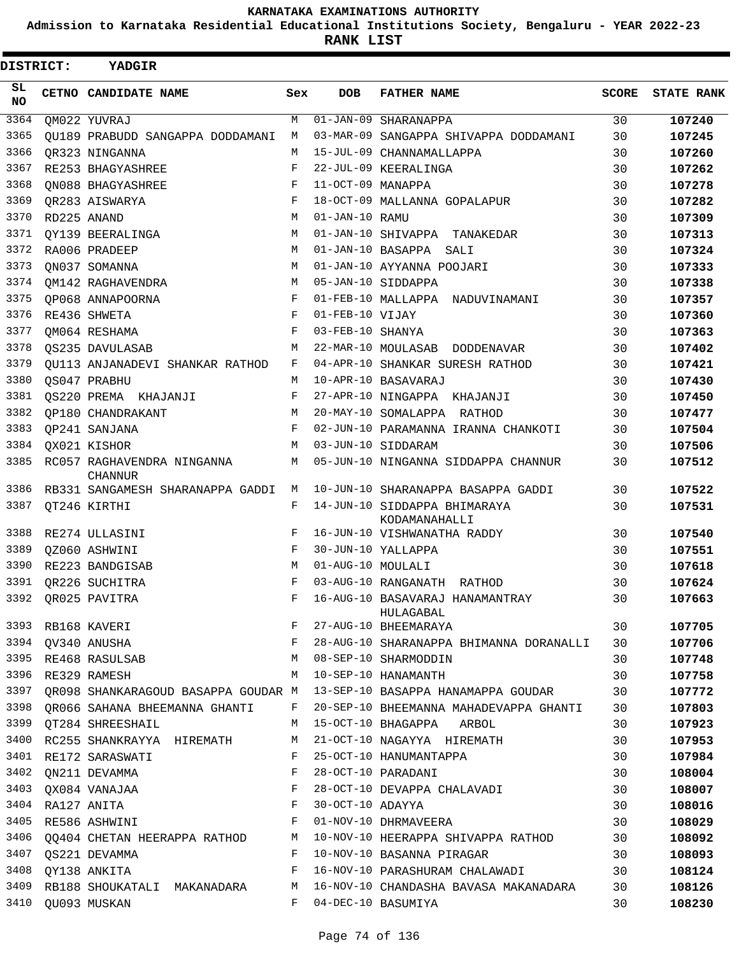**Admission to Karnataka Residential Educational Institutions Society, Bengaluru - YEAR 2022-23**

**RANK LIST**

| DISTRICT:    | YADGIR                                                                                                          |     |                   |                                                                           |              |                   |
|--------------|-----------------------------------------------------------------------------------------------------------------|-----|-------------------|---------------------------------------------------------------------------|--------------|-------------------|
| SL<br>NO.    | CETNO CANDIDATE NAME                                                                                            | Sex | <b>DOB</b>        | <b>FATHER NAME</b>                                                        | <b>SCORE</b> | <b>STATE RANK</b> |
| 3364         | QM022 YUVRAJ                                                                                                    | M   |                   | $01 - JAN - 09$ SHARANAPPA                                                | 30           | 107240            |
| 3365         | OU189 PRABUDD SANGAPPA DODDAMANI                                                                                | М   |                   | 03-MAR-09 SANGAPPA SHIVAPPA DODDAMANI                                     | 30           | 107245            |
| 3366         | OR323 NINGANNA                                                                                                  | M   |                   | 15-JUL-09 CHANNAMALLAPPA                                                  | 30           | 107260            |
| 3367         | RE253 BHAGYASHREE                                                                                               | F   |                   | 22-JUL-09 KEERALINGA                                                      | 30           | 107262            |
| 3368         | ON088 BHAGYASHREE                                                                                               | F   | 11-OCT-09 MANAPPA |                                                                           | 30           | 107278            |
| 3369         | QR283 AISWARYA                                                                                                  | F   |                   | 18-OCT-09 MALLANNA GOPALAPUR                                              | 30           | 107282            |
| 3370         | RD225 ANAND                                                                                                     | M   | 01-JAN-10 RAMU    |                                                                           | 30           | 107309            |
| 3371         | QY139 BEERALINGA                                                                                                | М   |                   | 01-JAN-10 SHIVAPPA TANAKEDAR                                              | 30           | 107313            |
| 3372         | RA006 PRADEEP                                                                                                   | М   |                   | 01-JAN-10 BASAPPA<br>SALI                                                 | 30           | 107324            |
| 3373         | ON037 SOMANNA                                                                                                   | M   |                   | 01-JAN-10 AYYANNA POOJARI                                                 | 30           | 107333            |
| 3374         | OM142 RAGHAVENDRA                                                                                               | M   |                   | 05-JAN-10 SIDDAPPA                                                        | 30           | 107338            |
| 3375         | OP068 ANNAPOORNA                                                                                                | F   |                   | 01-FEB-10 MALLAPPA NADUVINAMANI                                           | 30           | 107357            |
| 3376         | RE436 SHWETA                                                                                                    | F   | 01-FEB-10 VIJAY   |                                                                           | 30           | 107360            |
| 3377         | QM064 RESHAMA                                                                                                   | F   | 03-FEB-10 SHANYA  |                                                                           | 30           | 107363            |
| 3378         | OS235 DAVULASAB                                                                                                 | М   |                   | 22-MAR-10 MOULASAB DODDENAVAR                                             | 30           | 107402            |
| 3379         | OU113 ANJANADEVI SHANKAR RATHOD                                                                                 | F   |                   | 04-APR-10 SHANKAR SURESH RATHOD                                           | 30           | 107421            |
| 3380         | QS047 PRABHU                                                                                                    | М   |                   | 10-APR-10 BASAVARAJ                                                       | 30           | 107430            |
| 3381         | QS220 PREMA KHAJANJI                                                                                            | F   |                   | 27-APR-10 NINGAPPA KHAJANJI                                               | 30           | 107450            |
| 3382         | OP180 CHANDRAKANT                                                                                               | М   |                   | 20-MAY-10 SOMALAPPA RATHOD                                                | 30           | 107477            |
| 3383         | OP241 SANJANA                                                                                                   | F   |                   | 02-JUN-10 PARAMANNA IRANNA CHANKOTI                                       | 30           | 107504            |
| 3384         | QX021 KISHOR                                                                                                    | М   |                   | 03-JUN-10 SIDDARAM                                                        | 30           | 107506            |
| 3385         | RC057 RAGHAVENDRA NINGANNA<br><b>CHANNUR</b>                                                                    | М   |                   | 05-JUN-10 NINGANNA SIDDAPPA CHANNUR                                       | 30           | 107512            |
| 3386         | RB331 SANGAMESH SHARANAPPA GADDI                                                                                | М   |                   | 10-JUN-10 SHARANAPPA BASAPPA GADDI                                        | 30           | 107522            |
| 3387         | QT246 KIRTHI                                                                                                    | F   |                   | 14-JUN-10 SIDDAPPA BHIMARAYA<br>KODAMANAHALLI                             | 30           | 107531            |
| 3388         | RE274 ULLASINI                                                                                                  | F   |                   | 16-JUN-10 VISHWANATHA RADDY                                               | 30           | 107540            |
| 3389         | OZ060 ASHWINI                                                                                                   | F   |                   | 30-JUN-10 YALLAPPA                                                        | 30           | 107551            |
| 3390         | RE223 BANDGISAB                                                                                                 | М   | 01-AUG-10 MOULALI |                                                                           | 30           | 107618            |
| 3391         | OR226 SUCHITRA                                                                                                  | F   |                   | 03-AUG-10 RANGANATH RATHOD                                                | 30           | 107624            |
|              | 3392 QR025 PAVITRA                                                                                              |     |                   | F 16-AUG-10 BASAVARAJ HANAMANTRAY<br>HULAGABAL                            | 30           | 107663            |
|              |                                                                                                                 |     |                   |                                                                           | 30           | 107705            |
|              | 19393 RB168 KAVERI<br>3394 QV340 ANUSHA<br>3395 RE468 RASULSAB<br>3395 RE468 RASULSAB<br>M 08-SEP-10 SHARMODDIN |     |                   | 28-AUG-10 SHARANAPPA BHIMANNA DORANALLI 30                                |              | 107706            |
|              |                                                                                                                 |     |                   |                                                                           | 30           | 107748            |
|              | 3396 RE329 RAMESH                                                                                               | M   |                   | 10-SEP-10 HANAMANTH                                                       | 30           | 107758            |
| 3397         |                                                                                                                 |     |                   | QR098 SHANKARAGOUD BASAPPA GOUDAR M 13-SEP-10 BASAPPA HANAMAPPA GOUDAR 30 |              | 107772            |
|              | 3398 QR066 SAHANA BHEEMANNA GHANTI F                                                                            |     |                   | 20-SEP-10 BHEEMANNA MAHADEVAPPA GHANTI 30                                 |              | 107803            |
|              | 3399 QT284 SHREESHAIL                                                                                           | M   |                   | 15-OCT-10 BHAGAPPA ARBOL                                                  | 30           | 107923            |
| 3400         | RC255 SHANKRAYYA HIREMATH M                                                                                     |     |                   | 21-OCT-10 NAGAYYA HIREMATH                                                | 30           | 107953            |
|              | 3401 RE172 SARASWATI<br>$\mathbf{F}$ and $\mathbf{F}$ and $\mathbf{F}$ and $\mathbf{F}$<br>$\mathbf{F}$         |     |                   | 25-OCT-10 HANUMANTAPPA                                                    | 30           | 107984            |
|              | 3402 QN211 DEVAMMA<br>$\mathbf{F}$                                                                              |     |                   | 28-OCT-10 PARADANI                                                        | 30           | 108004            |
|              | 3403 QX084 VANAJAA<br>$\frac{1}{F}$                                                                             |     |                   | 28-OCT-10 DEVAPPA CHALAVADI                                               | 30           | 108007            |
| 3404<br>3405 | RA127 ANITA<br>$\mathbf{F}$<br>RE586 ASHWINI                                                                    |     |                   | 30-OCT-10 ADAYYA<br>01-NOV-10 DHRMAVEERA                                  | 30<br>30     | 108016<br>108029  |
|              | 3406 QQ404 CHETAN HEERAPPA RATHOD M                                                                             |     |                   |                                                                           |              | 108092            |
|              | 3407 QS221 DEVAMMA                                                                                              | F   |                   | 10-NOV-10 HEERAPPA SHIVAPPA RATHOD 30<br>10-NOV-10 BASANNA PIRAGAR        |              |                   |
|              | 3408 QY138 ANKITA                                                                                               | F   |                   | 30<br>16-NOV-10 PARASHURAM CHALAWADI 30                                   |              | 108093<br>108124  |
| 3409         | RB188 SHOUKATALI MAKANADARA                                                                                     | M   |                   | 16-NOV-10 CHANDASHA BAVASA MAKANADARA                                     | 30           | 108126            |
|              | 3410 QU093 MUSKAN                                                                                               | F   |                   | 04-DEC-10 BASUMIYA                                                        | 30           | 108230            |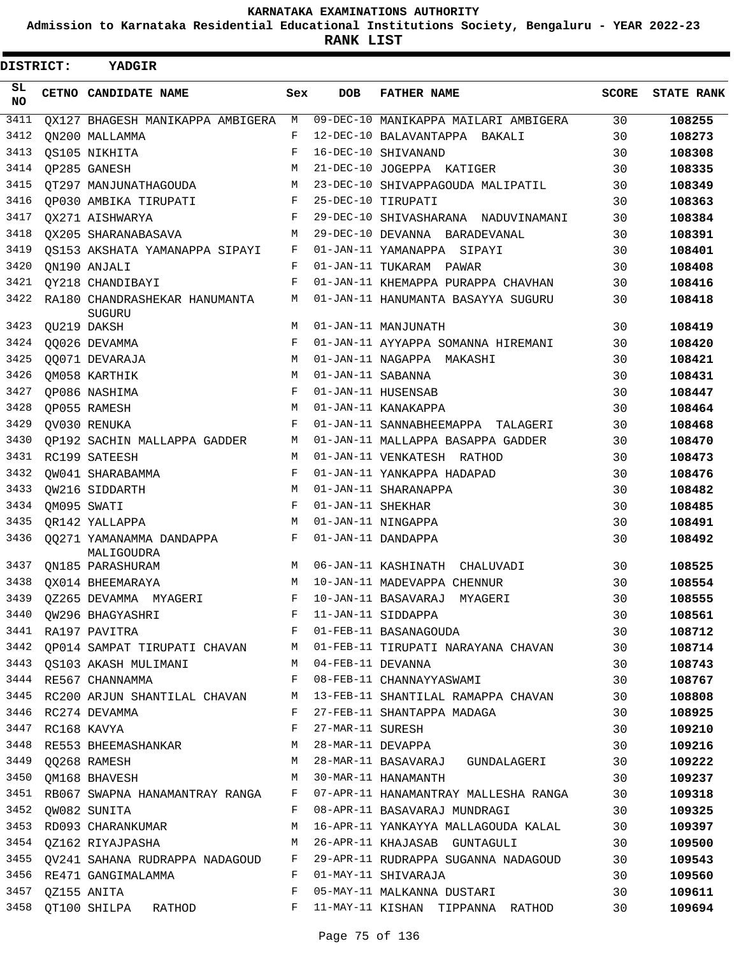**Admission to Karnataka Residential Educational Institutions Society, Bengaluru - YEAR 2022-23**

**RANK LIST**

| DISTRICT: | YADGIR                                  |            |                   |                                                                                                                                                                                                     |              |                   |
|-----------|-----------------------------------------|------------|-------------------|-----------------------------------------------------------------------------------------------------------------------------------------------------------------------------------------------------|--------------|-------------------|
| SL<br>NO. | CETNO CANDIDATE NAME                    | Sex        | <b>DOB</b>        | <b>FATHER NAME</b>                                                                                                                                                                                  | <b>SCORE</b> | <b>STATE RANK</b> |
| 3411      | OX127 BHAGESH MANIKAPPA AMBIGERA        | М          |                   | 09-DEC-10 MANIKAPPA MAILARI AMBIGERA                                                                                                                                                                | 30           | 108255            |
| 3412      | ON200 MALLAMMA                          | F          |                   | 12-DEC-10 BALAVANTAPPA BAKALI                                                                                                                                                                       | 30           | 108273            |
| 3413      | QS105 NIKHITA                           | F          |                   | 16-DEC-10 SHIVANAND                                                                                                                                                                                 | 30           | 108308            |
| 3414      | QP285 GANESH                            | М          |                   | 21-DEC-10 JOGEPPA KATIGER                                                                                                                                                                           | 30           | 108335            |
| 3415      | OT297 MANJUNATHAGOUDA                   | М          |                   | 23-DEC-10 SHIVAPPAGOUDA MALIPATIL                                                                                                                                                                   | 30           | 108349            |
| 3416      | OP030 AMBIKA TIRUPATI                   | $_{\rm F}$ |                   | 25-DEC-10 TIRUPATI                                                                                                                                                                                  | 30           | 108363            |
| 3417      | OX271 AISHWARYA                         | F          |                   | 29-DEC-10 SHIVASHARANA NADUVINAMANI                                                                                                                                                                 | 30           | 108384            |
| 3418      | OX205 SHARANABASAVA                     | М          |                   | 29-DEC-10 DEVANNA BARADEVANAL                                                                                                                                                                       | 30           | 108391            |
| 3419      | OS153 AKSHATA YAMANAPPA SIPAYI          | F          |                   | 01-JAN-11 YAMANAPPA SIPAYI                                                                                                                                                                          | 30           | 108401            |
| 3420      | QN190 ANJALI                            | F          |                   | 01-JAN-11 TUKARAM PAWAR                                                                                                                                                                             | 30           | 108408            |
| 3421      | OY218 CHANDIBAYI                        | F          |                   | 01-JAN-11 KHEMAPPA PURAPPA CHAVHAN                                                                                                                                                                  | 30           | 108416            |
| 3422      | RA180 CHANDRASHEKAR HANUMANTA<br>SUGURU | М          |                   | 01-JAN-11 HANUMANTA BASAYYA SUGURU                                                                                                                                                                  | 30           | 108418            |
| 3423      | QU219 DAKSH                             | M          |                   | 01-JAN-11 MANJUNATH                                                                                                                                                                                 | 30           | 108419            |
| 3424      | QQ026 DEVAMMA                           | F          |                   | 01-JAN-11 AYYAPPA SOMANNA HIREMANI                                                                                                                                                                  | 30           | 108420            |
| 3425      | QQ071 DEVARAJA                          | M          |                   | 01-JAN-11 NAGAPPA MAKASHI                                                                                                                                                                           | 30           | 108421            |
| 3426      | OM058 KARTHIK                           | M          | 01-JAN-11 SABANNA |                                                                                                                                                                                                     | 30           | 108431            |
| 3427      | OP086 NASHIMA                           | F          |                   | 01-JAN-11 HUSENSAB                                                                                                                                                                                  | 30           | 108447            |
| 3428      | <b>OP055 RAMESH</b>                     | M          |                   | 01-JAN-11 KANAKAPPA                                                                                                                                                                                 | 30           | 108464            |
| 3429      | OV030 RENUKA                            | F          |                   | 01-JAN-11 SANNABHEEMAPPA TALAGERI                                                                                                                                                                   | 30           | 108468            |
| 3430      | OP192 SACHIN MALLAPPA GADDER            | М          |                   | 01-JAN-11 MALLAPPA BASAPPA GADDER                                                                                                                                                                   | 30           | 108470            |
| 3431      | RC199 SATEESH                           | М          |                   | 01-JAN-11 VENKATESH RATHOD                                                                                                                                                                          | 30           | 108473            |
| 3432      | OW041 SHARABAMMA                        | F          |                   | 01-JAN-11 YANKAPPA HADAPAD                                                                                                                                                                          | 30           | 108476            |
| 3433      | OW216 SIDDARTH                          | М          |                   | 01-JAN-11 SHARANAPPA                                                                                                                                                                                | 30           | 108482            |
| 3434      | OM095 SWATI                             | F          | 01-JAN-11 SHEKHAR |                                                                                                                                                                                                     | 30           | 108485            |
| 3435      | OR142 YALLAPPA                          | М          |                   | 01-JAN-11 NINGAPPA                                                                                                                                                                                  | 30           | 108491            |
| 3436      | 00271 YAMANAMMA DANDAPPA<br>MALIGOUDRA  | F          |                   | 01-JAN-11 DANDAPPA                                                                                                                                                                                  | 30           | 108492            |
| 3437      | ON185 PARASHURAM                        | M          |                   | 06-JAN-11 KASHINATH CHALUVADI                                                                                                                                                                       | 30           | 108525            |
| 3438      | OX014 BHEEMARAYA                        |            |                   | M 10-JAN-11 MADEVAPPA CHENNUR                                                                                                                                                                       | 30           | 108554            |
|           |                                         |            |                   | 3439 QZ265 DEVAMMA MYAGERI F 10-JAN-11 BASAVARAJ MYAGERI                                                                                                                                            | 30           | 108555            |
|           |                                         |            |                   |                                                                                                                                                                                                     |              | 108561            |
|           |                                         |            |                   |                                                                                                                                                                                                     |              | 108712            |
|           |                                         |            |                   |                                                                                                                                                                                                     |              | 108714            |
|           |                                         |            |                   | 3442 QP014 SAMPAT TIRUPATI CHAVAN MO1-FEB-11 TIRUPATI NARAYANA CHAVAN 30<br>3443 QS103 AKASH MULIMANI MO4-FEB-11 DEVANNA 30<br>3444 RE567 CHANNAMMA MOST ROS-FEB-11 CHANNAYYASWAMI 30               |              | 108743            |
|           |                                         |            |                   |                                                                                                                                                                                                     |              | 108767            |
|           |                                         |            |                   | 3445 RC200 ARJUN SHANTILAL CHAVAN M 13-FEB-11 SHANTILAL RAMAPPA CHAVAN 30                                                                                                                           |              | 108808            |
|           |                                         |            |                   | 3446 RC274 DEVAMMA 6 80 F 27-FEB-11 SHANTAPPA MADAGA                                                                                                                                                |              | 108925            |
|           | $3440$ RC168 KAVYA                      |            |                   | 3447 RC168 KAVYA<br>30 3448 RE553 BHEEMASHANKAR M 28-MAR-11 DEVAPPA                                                                                                                                 | 30           | 109210            |
|           |                                         |            |                   |                                                                                                                                                                                                     |              | 109216            |
|           |                                         |            |                   | 3449 QQ268 RAMESH                               M   28-MAR-11 BASAVARAJ   GUNDALAGERI                       30<br>3450  QM168  BHAVESH                                   M     30-MAR-11  HANAMANTH |              | 109222            |
|           |                                         |            |                   |                                                                                                                                                                                                     |              | 109237            |
|           |                                         |            |                   | 3451 RB067 SWAPNA HANAMANTRAY RANGA F 07-APR-11 HANAMANTRAY MALLESHA RANGA 30                                                                                                                       |              | 109318            |
|           | 3452 QW082 SUNITA                       |            |                   | F 08-APR-11 BASAVARAJ MUNDRAGI 30                                                                                                                                                                   |              | 109325            |
|           |                                         |            |                   | 30 3453 RD093 CHARANKUMAR M 16-APR-11 YANKAYYA MALLAGOUDA KALAL 30                                                                                                                                  |              | 109397            |
|           |                                         |            |                   | 3454 QZ162 RIYAJPASHA M 26-APR-11 KHAJASAB GUNTAGULI 30                                                                                                                                             |              | 109500            |
|           |                                         |            |                   | 3455 QV241 SAHANA RUDRAPPA NADAGOUD F 29-APR-11 RUDRAPPA SUGANNA NADAGOUD 30                                                                                                                        |              | 109543            |
|           |                                         |            |                   | 3456 RE471 GANGIMALAMMA F 01-MAY-11 SHIVARAJA                                                                                                                                                       |              | 109560            |
|           | 3457 QZ155 ANITA                        |            |                   | F 05-MAY-11 MALKANNA DUSTARI 30                                                                                                                                                                     |              | 109611            |
|           |                                         |            |                   | 3458 QT100 SHILPA RATHOD F 11-MAY-11 KISHAN TIPPANNA RATHOD 30                                                                                                                                      |              | 109694            |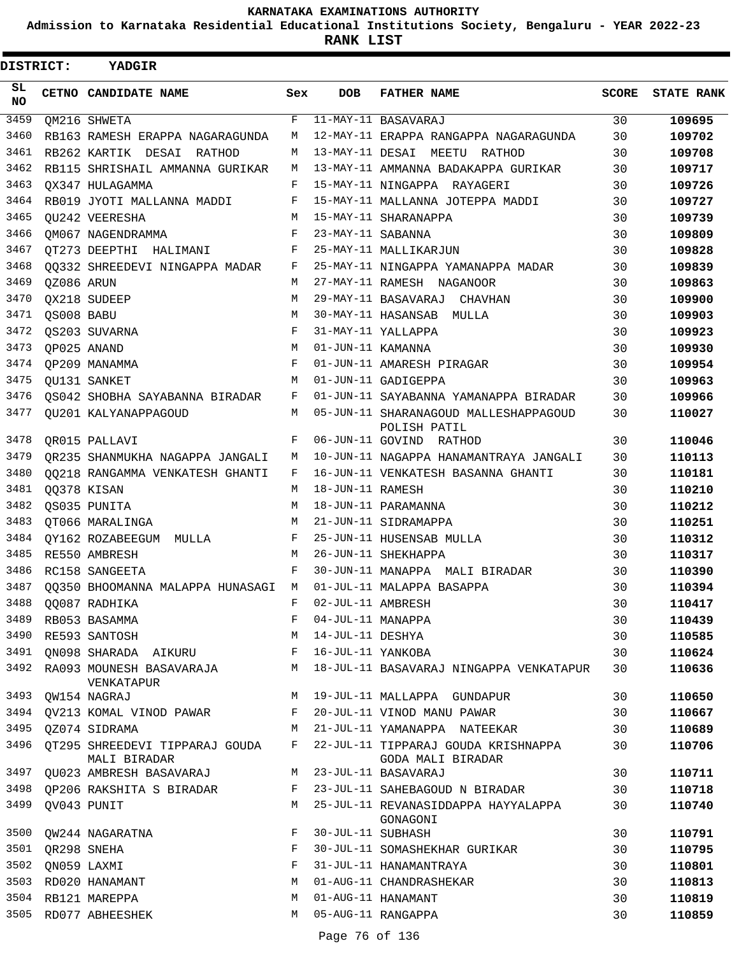**Admission to Karnataka Residential Educational Institutions Society, Bengaluru - YEAR 2022-23**

| <b>DISTRICT:</b> |            | <b>YADGIR</b>                                  |     |                   |                                                          |       |                   |
|------------------|------------|------------------------------------------------|-----|-------------------|----------------------------------------------------------|-------|-------------------|
| SL.<br><b>NO</b> |            | CETNO CANDIDATE NAME                           | Sex | <b>DOB</b>        | <b>FATHER NAME</b>                                       | SCORE | <b>STATE RANK</b> |
| 3459             |            | QM216 SHWETA                                   | F   |                   | 11-MAY-11 BASAVARAJ                                      | 30    | 109695            |
| 3460             |            | RB163 RAMESH ERAPPA NAGARAGUNDA                | М   |                   | 12-MAY-11 ERAPPA RANGAPPA NAGARAGUNDA                    | 30    | 109702            |
| 3461             |            | RB262 KARTIK DESAI RATHOD                      | М   |                   | 13-MAY-11 DESAI MEETU RATHOD                             | 30    | 109708            |
| 3462             |            | RB115 SHRISHAIL AMMANNA GURIKAR                | М   |                   | 13-MAY-11 AMMANNA BADAKAPPA GURIKAR                      | 30    | 109717            |
| 3463             |            | OX347 HULAGAMMA                                | F   |                   | 15-MAY-11 NINGAPPA RAYAGERI                              | 30    | 109726            |
| 3464             |            | RB019 JYOTI MALLANNA MADDI                     | F   |                   | 15-MAY-11 MALLANNA JOTEPPA MADDI                         | 30    | 109727            |
| 3465             |            | QU242 VEERESHA                                 | M   |                   | 15-MAY-11 SHARANAPPA                                     | 30    | 109739            |
| 3466             |            | OM067 NAGENDRAMMA                              | F   | 23-MAY-11 SABANNA |                                                          | 30    | 109809            |
| 3467             |            | QT273 DEEPTHI HALIMANI                         | F   |                   | 25-MAY-11 MALLIKARJUN                                    | 30    | 109828            |
| 3468             |            | 00332 SHREEDEVI NINGAPPA MADAR                 | F   |                   | 25-MAY-11 NINGAPPA YAMANAPPA MADAR                       | 30    | 109839            |
| 3469             | QZ086 ARUN |                                                | М   |                   | 27-MAY-11 RAMESH NAGANOOR                                | 30    | 109863            |
| 3470             |            | QX218 SUDEEP                                   | М   |                   | 29-MAY-11 BASAVARAJ CHAVHAN                              | 30    | 109900            |
| 3471             | QS008 BABU |                                                | М   |                   | 30-MAY-11 HASANSAB MULLA                                 | 30    | 109903            |
| 3472             |            | OS203 SUVARNA                                  | F   |                   | 31-MAY-11 YALLAPPA                                       | 30    | 109923            |
| 3473             |            | QP025 ANAND                                    | M   | 01-JUN-11 KAMANNA |                                                          | 30    | 109930            |
| 3474             |            | OP209 MANAMMA                                  | F   |                   | 01-JUN-11 AMARESH PIRAGAR                                | 30    | 109954            |
| 3475             |            | OU131 SANKET                                   | M   |                   | 01-JUN-11 GADIGEPPA                                      | 30    | 109963            |
| 3476             |            | OS042 SHOBHA SAYABANNA BIRADAR                 | F   |                   | 01-JUN-11 SAYABANNA YAMANAPPA BIRADAR                    | 30    | 109966            |
| 3477             |            | QU201 KALYANAPPAGOUD                           | M   |                   | 05-JUN-11 SHARANAGOUD MALLESHAPPAGOUD<br>POLISH PATIL    | 30    | 110027            |
| 3478             |            | OR015 PALLAVI                                  | F   |                   | 06-JUN-11 GOVIND RATHOD                                  | 30    | 110046            |
| 3479             |            | OR235 SHANMUKHA NAGAPPA JANGALI                | М   |                   | 10-JUN-11 NAGAPPA HANAMANTRAYA JANGALI                   | 30    | 110113            |
| 3480             |            | 00218 RANGAMMA VENKATESH GHANTI                | F   |                   | 16-JUN-11 VENKATESH BASANNA GHANTI                       | 30    | 110181            |
| 3481             |            | QQ378 KISAN                                    | М   | 18-JUN-11 RAMESH  |                                                          | 30    | 110210            |
| 3482             |            | QS035 PUNITA                                   | M   |                   | 18-JUN-11 PARAMANNA                                      | 30    | 110212            |
| 3483             |            | OT066 MARALINGA                                | M   |                   | 21-JUN-11 SIDRAMAPPA                                     | 30    | 110251            |
| 3484             |            | OY162 ROZABEEGUM MULLA                         | F   |                   | 25-JUN-11 HUSENSAB MULLA                                 | 30    | 110312            |
| 3485             |            | RE550 AMBRESH                                  | М   |                   | 26-JUN-11 SHEKHAPPA                                      | 30    | 110317            |
| 3486             |            | RC158 SANGEETA                                 | F   |                   | 30-JUN-11 MANAPPA MALI BIRADAR                           | 30    | 110390            |
| 3487             |            | QQ350 BHOOMANNA MALAPPA HUNASAGI M             |     |                   | 01-JUL-11 MALAPPA BASAPPA                                | 30    | 110394            |
| 3488             |            | QQ087 RADHIKA                                  | F   | 02-JUL-11 AMBRESH |                                                          | 30    | 110417            |
| 3489             |            | RB053 BASAMMA                                  | F   | 04-JUL-11 MANAPPA |                                                          | 30    | 110439            |
| 3490             |            | RE593 SANTOSH                                  | М   | 14-JUL-11 DESHYA  |                                                          | 30    | 110585            |
| 3491             |            | QN098 SHARADA AIKURU                           | F   | 16-JUL-11 YANKOBA |                                                          | 30    | 110624            |
| 3492             |            | RA093 MOUNESH BASAVARAJA<br>VENKATAPUR         | М   |                   | 18-JUL-11 BASAVARAJ NINGAPPA VENKATAPUR                  | 30    | 110636            |
| 3493             |            | QW154 NAGRAJ                                   | М   |                   | 19-JUL-11 MALLAPPA GUNDAPUR                              | 30    | 110650            |
| 3494             |            | QV213 KOMAL VINOD PAWAR                        | F   |                   | 20-JUL-11 VINOD MANU PAWAR                               | 30    | 110667            |
| 3495             |            | QZ074 SIDRAMA                                  | М   |                   | 21-JUL-11 YAMANAPPA NATEEKAR                             | 30    | 110689            |
| 3496             |            | OT295 SHREEDEVI TIPPARAJ GOUDA<br>MALI BIRADAR | F   |                   | 22-JUL-11 TIPPARAJ GOUDA KRISHNAPPA<br>GODA MALI BIRADAR | 30    | 110706            |
| 3497             |            | QU023 AMBRESH BASAVARAJ                        | М   |                   | 23-JUL-11 BASAVARAJ                                      | 30    | 110711            |
| 3498             |            | QP206 RAKSHITA S BIRADAR                       | F   |                   | 23-JUL-11 SAHEBAGOUD N BIRADAR                           | 30    | 110718            |
| 3499             |            | QV043 PUNIT                                    | М   |                   | 25-JUL-11 REVANASIDDAPPA HAYYALAPPA<br>GONAGONI          | 30    | 110740            |
|                  |            | 3500 QW244 NAGARATNA                           | F   | 30-JUL-11 SUBHASH |                                                          | 30    | 110791            |
| 3501             |            | OR298 SNEHA                                    | F   |                   | 30-JUL-11 SOMASHEKHAR GURIKAR                            | 30    | 110795            |
| 3502             |            | QN059 LAXMI                                    | F   |                   | 31-JUL-11 HANAMANTRAYA                                   | 30    | 110801            |
| 3503             |            | RD020 HANAMANT                                 | М   |                   | 01-AUG-11 CHANDRASHEKAR                                  | 30    | 110813            |
|                  |            | 3504 RB121 MAREPPA                             | М   |                   | 01-AUG-11 HANAMANT                                       | 30    | 110819            |
|                  |            | 3505 RD077 ABHEESHEK                           | М   |                   | 05-AUG-11 RANGAPPA                                       | 30    | 110859            |
|                  |            |                                                |     |                   |                                                          |       |                   |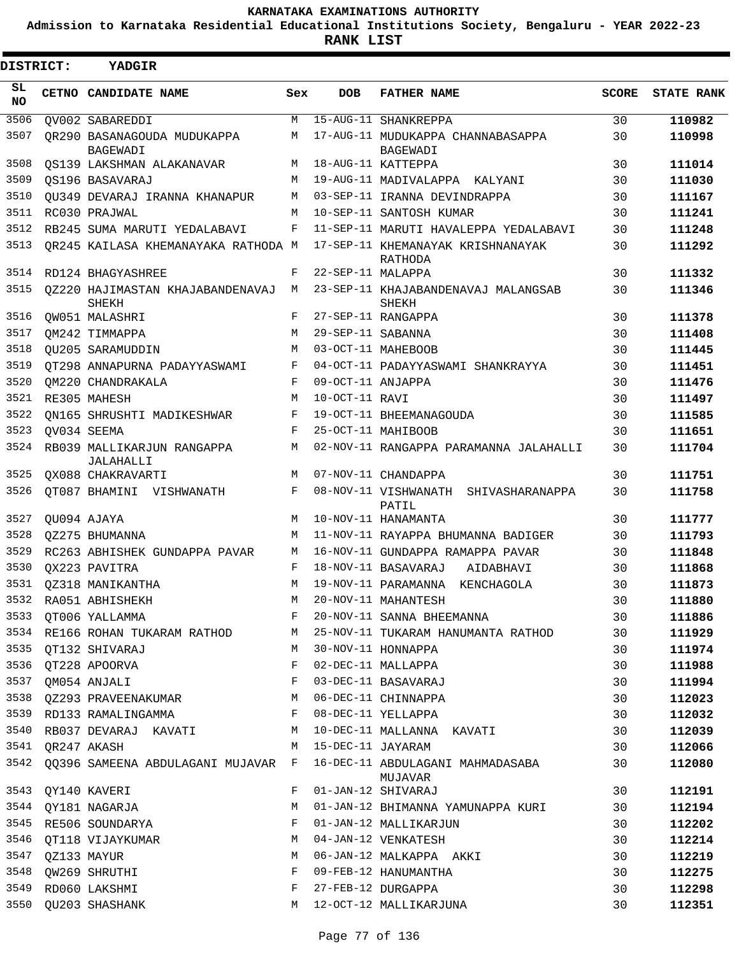**Admission to Karnataka Residential Educational Institutions Society, Bengaluru - YEAR 2022-23**

**RANK LIST**

| DISTRICT:       |                  | YADGIR                                                            |     |                   |                                                  |              |                   |
|-----------------|------------------|-------------------------------------------------------------------|-----|-------------------|--------------------------------------------------|--------------|-------------------|
| SL<br><b>NO</b> |                  | CETNO CANDIDATE NAME                                              | Sex | <b>DOB</b>        | <b>FATHER NAME</b>                               | <b>SCORE</b> | <b>STATE RANK</b> |
| 3506            |                  | QV002 SABAREDDI                                                   | M   |                   | 15-AUG-11 SHANKREPPA                             | 30           | 110982            |
| 3507            |                  | OR290 BASANAGOUDA MUDUKAPPA<br>BAGEWADI                           | М   |                   | 17-AUG-11 MUDUKAPPA CHANNABASAPPA<br>BAGEWADI    | 30           | 110998            |
| 3508            |                  | OS139 LAKSHMAN ALAKANAVAR                                         | M   |                   | 18-AUG-11 KATTEPPA                               | 30           | 111014            |
| 3509            |                  | OS196 BASAVARAJ                                                   | М   |                   | 19-AUG-11 MADIVALAPPA KALYANI                    | 30           | 111030            |
| 3510            |                  | OU349 DEVARAJ IRANNA KHANAPUR                                     | M   |                   | 03-SEP-11 IRANNA DEVINDRAPPA                     | 30           | 111167            |
| 3511            |                  | RC030 PRAJWAL                                                     | M   |                   | 10-SEP-11 SANTOSH KUMAR                          | 30           | 111241            |
| 3512            |                  | RB245 SUMA MARUTI YEDALABAVI                                      | F   |                   | 11-SEP-11 MARUTI HAVALEPPA YEDALABAVI            | 30           | 111248            |
| 3513            |                  | OR245 KAILASA KHEMANAYAKA RATHODA M                               |     |                   | 17-SEP-11 KHEMANAYAK KRISHNANAYAK<br>RATHODA     | 30           | 111292            |
| 3514            |                  | RD124 BHAGYASHREE                                                 | F   | 22-SEP-11 MALAPPA |                                                  | 30           | 111332            |
| 3515            |                  | 0Z220 HAJIMASTAN KHAJABANDENAVAJ<br>SHEKH                         | M   |                   | 23-SEP-11 KHAJABANDENAVAJ MALANGSAB<br>SHEKH     | 30           | 111346            |
| 3516            |                  | OW051 MALASHRI                                                    | F   |                   | 27-SEP-11 RANGAPPA                               | 30           | 111378            |
| 3517            |                  | OM242 TIMMAPPA                                                    | M   | 29-SEP-11 SABANNA |                                                  | 30           | 111408            |
| 3518            |                  | OU205 SARAMUDDIN                                                  | М   |                   | 03-OCT-11 MAHEBOOB                               | 30           | 111445            |
| 3519            |                  | OT298 ANNAPURNA PADAYYASWAMI                                      | F   |                   | 04-OCT-11 PADAYYASWAMI SHANKRAYYA                | 30           | 111451            |
| 3520            |                  | OM220 CHANDRAKALA                                                 | F   | 09-OCT-11 ANJAPPA |                                                  | 30           | 111476            |
| 3521            |                  | RE305 MAHESH                                                      | M   | 10-OCT-11 RAVI    |                                                  | 30           | 111497            |
| 3522            |                  | ON165 SHRUSHTI MADIKESHWAR                                        | F   |                   | 19-OCT-11 BHEEMANAGOUDA                          | 30           | 111585            |
| 3523            |                  | QV034 SEEMA                                                       | F   |                   | 25-OCT-11 MAHIBOOB                               | 30           | 111651            |
| 3524            |                  | RB039 MALLIKARJUN RANGAPPA<br>JALAHALLI                           | М   |                   | 02-NOV-11 RANGAPPA PARAMANNA JALAHALLI           | 30           | 111704            |
| 3525            |                  | QX088 CHAKRAVARTI                                                 | M   |                   | 07-NOV-11 CHANDAPPA                              | 30           | 111751            |
| 3526            |                  | OT087 BHAMINI VISHWANATH                                          | F   |                   | 08-NOV-11 VISHWANATH<br>SHIVASHARANAPPA<br>PATIL | 30           | 111758            |
| 3527            |                  | QU094 AJAYA                                                       | M   |                   | 10-NOV-11 HANAMANTA                              | 30           | 111777            |
| 3528            |                  | OZ275 BHUMANNA                                                    | M   |                   | 11-NOV-11 RAYAPPA BHUMANNA BADIGER               | 30           | 111793            |
| 3529            |                  | RC263 ABHISHEK GUNDAPPA PAVAR                                     | М   |                   | 16-NOV-11 GUNDAPPA RAMAPPA PAVAR                 | 30           | 111848            |
| 3530            |                  | OX223 PAVITRA                                                     | F   |                   | 18-NOV-11 BASAVARAJ<br>AIDABHAVI                 | 30           | 111868            |
| 3531            |                  | OZ318 MANIKANTHA                                                  | М   |                   | 19-NOV-11 PARAMANNA KENCHAGOLA                   | 30           | 111873            |
|                 |                  | 3532 RA051 ABHISHEKH                                              | M   |                   | 20-NOV-11 MAHANTESH                              | 30           | 111880            |
| 3533            |                  | QT006 YALLAMMA                                                    | F   |                   | 20-NOV-11 SANNA BHEEMANNA                        | 30           | 111886            |
| 3534            |                  | RE166 ROHAN TUKARAM RATHOD                                        | M   |                   | 25-NOV-11 TUKARAM HANUMANTA RATHOD               | 30           | 111929            |
| 3535            |                  | QT132 SHIVARAJ                                                    | М   |                   | 30-NOV-11 HONNAPPA                               | 30           | 111974            |
|                 |                  | 3536 QT228 APOORVA                                                | F   |                   | 02-DEC-11 MALLAPPA                               | 30           | 111988            |
| 3537            |                  | QM054 ANJALI                                                      | F   |                   | 03-DEC-11 BASAVARAJ                              | 30           | 111994            |
|                 |                  | 3538 QZ293 PRAVEENAKUMAR                                          | M   |                   | 06-DEC-11 CHINNAPPA                              | 30           | 112023            |
|                 |                  | $\mathbf{F}$ . The set of $\mathbf{F}$<br>3539 RD133 RAMALINGAMMA |     |                   | 08-DEC-11 YELLAPPA                               | 30           | 112032            |
|                 |                  | 3540 RB037 DEVARAJ KAVATI                                         | M   |                   | 10-DEC-11 MALLANNA KAVATI                        | 30           | 112039            |
| 3541            |                  | OR247 AKASH                                                       | M   | 15-DEC-11 JAYARAM |                                                  | 30           | 112066            |
| 3542            |                  | QQ396 SAMEENA ABDULAGANI MUJAVAR F                                |     |                   | 16-DEC-11 ABDULAGANI MAHMADASABA<br>MUJAVAR      | 30           | 112080            |
| 3543            |                  | QY140 KAVERI                                                      | F   |                   | 01-JAN-12 SHIVARAJ                               | 30           | 112191            |
| 3544            |                  | QY181 NAGARJA                                                     | М   |                   | 01-JAN-12 BHIMANNA YAMUNAPPA KURI                | 30           | 112194            |
| 3545            |                  | RE506 SOUNDARYA                                                   | F   |                   | 01-JAN-12 MALLIKARJUN                            | 30           | 112202            |
| 3546            |                  | QT118 VIJAYKUMAR                                                  | М   |                   | 04-JAN-12 VENKATESH                              | 30           | 112214            |
|                 | 3547 QZ133 MAYUR |                                                                   | М   |                   | 06-JAN-12 MALKAPPA AKKI                          | 30           | 112219            |
| 3548            |                  | QW269 SHRUTHI                                                     | F   |                   | 09-FEB-12 HANUMANTHA                             | 30           | 112275            |
| 3549            |                  | RD060 LAKSHMI                                                     | F   |                   | 27-FEB-12 DURGAPPA                               | 30           | 112298            |
| 3550            |                  | QU203 SHASHANK                                                    | М   |                   | 12-OCT-12 MALLIKARJUNA                           | 30           | 112351            |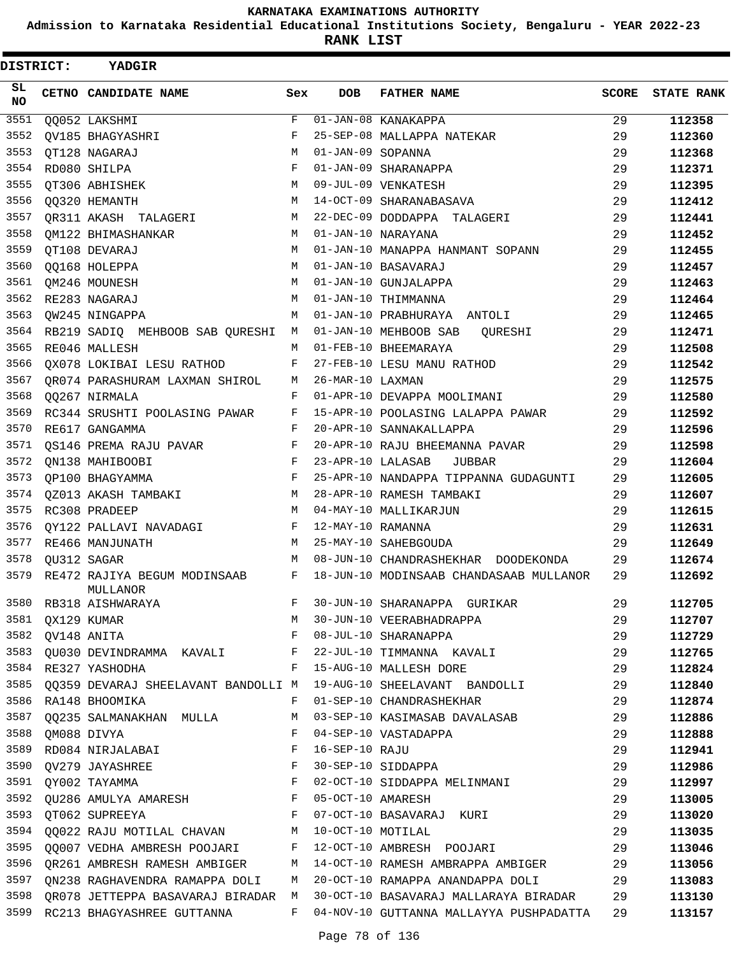**Admission to Karnataka Residential Educational Institutions Society, Bengaluru - YEAR 2022-23**

| <b>DISTRICT:</b> | <b>YADGIR</b>                                                                    |             |                   |                                                                        |       |                   |
|------------------|----------------------------------------------------------------------------------|-------------|-------------------|------------------------------------------------------------------------|-------|-------------------|
| SL<br><b>NO</b>  | CETNO CANDIDATE NAME                                                             | Sex         | DOB               | <b>FATHER NAME</b>                                                     | SCORE | <b>STATE RANK</b> |
| 3551             | QQ052 LAKSHMI                                                                    | $\mathbf F$ |                   | 01-JAN-08 KANAKAPPA                                                    | 29    | 112358            |
| 3552             | <b>OV185 BHAGYASHRI</b>                                                          | F           |                   | 25-SEP-08 MALLAPPA NATEKAR                                             | 29    | 112360            |
| 3553             | QT128 NAGARAJ                                                                    | M           | 01-JAN-09 SOPANNA |                                                                        | 29    | 112368            |
| 3554             | RD080 SHILPA                                                                     | F           |                   | 01-JAN-09 SHARANAPPA                                                   | 29    | 112371            |
| 3555             | QT306 ABHISHEK                                                                   | M           |                   | 09-JUL-09 VENKATESH                                                    | 29    | 112395            |
| 3556             | <b>00320 HEMANTH</b>                                                             | M           |                   | 14-OCT-09 SHARANABASAVA                                                | 29    | 112412            |
| 3557             | QR311 AKASH TALAGERI                                                             | М           |                   | 22-DEC-09 DODDAPPA TALAGERI                                            | 29    | 112441            |
| 3558             | OM122 BHIMASHANKAR                                                               | M           |                   | 01-JAN-10 NARAYANA                                                     | 29    | 112452            |
| 3559             | QT108 DEVARAJ                                                                    | M           |                   | 01-JAN-10 MANAPPA HANMANT SOPANN                                       | 29    | 112455            |
| 3560             | QQ168 HOLEPPA                                                                    | M           |                   | 01-JAN-10 BASAVARAJ                                                    | 29    | 112457            |
| 3561             | QM246 MOUNESH                                                                    | M           |                   | 01-JAN-10 GUNJALAPPA                                                   | 29    | 112463            |
| 3562             | RE283 NAGARAJ                                                                    | M           |                   | 01-JAN-10 THIMMANNA                                                    | 29    | 112464            |
| 3563             | OW245 NINGAPPA                                                                   | M           |                   | 01-JAN-10 PRABHURAYA ANTOLI                                            | 29    | 112465            |
| 3564             | RB219 SADIQ MEHBOOB SAB QURESHI                                                  | М           |                   | 01-JAN-10 MEHBOOB SAB<br>QURESHI                                       | 29    | 112471            |
| 3565             | RE046 MALLESH                                                                    | М           |                   | 01-FEB-10 BHEEMARAYA                                                   | 29    | 112508            |
| 3566             | QX078 LOKIBAI LESU RATHOD                                                        | F           |                   | 27-FEB-10 LESU MANU RATHOD                                             | 29    | 112542            |
| 3567             | QR074 PARASHURAM LAXMAN SHIROL                                                   | М           | 26-MAR-10 LAXMAN  |                                                                        | 29    | 112575            |
| 3568             | 00267 NIRMALA                                                                    | F           |                   | 01-APR-10 DEVAPPA MOOLIMANI                                            | 29    | 112580            |
| 3569             | RC344 SRUSHTI POOLASING PAWAR                                                    | F           |                   | 15-APR-10 POOLASING LALAPPA PAWAR                                      | 29    | 112592            |
| 3570             | RE617 GANGAMMA                                                                   | F           |                   | 20-APR-10 SANNAKALLAPPA                                                | 29    | 112596            |
| 3571             | QS146 PREMA RAJU PAVAR                                                           | F           |                   | 20-APR-10 RAJU BHEEMANNA PAVAR                                         | 29    | 112598            |
| 3572             | ON138 MAHIBOOBI                                                                  | F           | 23-APR-10 LALASAB | JUBBAR                                                                 | 29    | 112604            |
| 3573             | QP100 BHAGYAMMA                                                                  | F           |                   | 25-APR-10 NANDAPPA TIPPANNA GUDAGUNTI                                  | 29    | 112605            |
| 3574             | OZ013 AKASH TAMBAKI                                                              | М           |                   | 28-APR-10 RAMESH TAMBAKI                                               | 29    | 112607            |
| 3575             | RC308 PRADEEP                                                                    | М           |                   | 04-MAY-10 MALLIKARJUN                                                  | 29    | 112615            |
| 3576             | QY122 PALLAVI NAVADAGI                                                           | F           | 12-MAY-10 RAMANNA |                                                                        | 29    | 112631            |
| 3577             | RE466 MANJUNATH                                                                  | M           |                   | 25-MAY-10 SAHEBGOUDA                                                   | 29    | 112649            |
| 3578             | OU312 SAGAR                                                                      | М           |                   | 08-JUN-10 CHANDRASHEKHAR DOODEKONDA                                    | 29    | 112674            |
| 3579             | RE472 RAJIYA BEGUM MODINSAAB<br>MULLANOR                                         | F           |                   | 18-JUN-10 MODINSAAB CHANDASAAB MULLANOR                                | 29    | 112692            |
| 3580             | RB318 AISHWARAYA                                                                 | $F -$       |                   | 30-JUN-10 SHARANAPPA GURIKAR                                           | 29    | 112705            |
| 3581             | QX129 KUMAR                                                                      | М           |                   | 30-JUN-10 VEERABHADRAPPA                                               | 29    | 112707            |
| 3582             | QV148 ANITA                                                                      | F           |                   | 08-JUL-10 SHARANAPPA                                                   | 29    | 112729            |
|                  | 3583 QU030 DEVINDRAMMA KAVALI F                                                  |             |                   | 22-JUL-10 TIMMANNA KAVALI                                              | 29    | 112765            |
| 3584             | RE327 YASHODHA                                                                   | F           |                   | 15-AUG-10 MALLESH DORE                                                 | 29    | 112824            |
|                  |                                                                                  |             |                   | 3585 QQ359 DEVARAJ SHEELAVANT BANDOLLI M 19-AUG-10 SHEELAVANT BANDOLLI | 29    | 112840            |
|                  | 3586 RA148 BHOOMIKA                                                              | F           |                   | 01-SEP-10 CHANDRASHEKHAR                                               | 29    | 112874            |
|                  | 3587 QQ235 SALMANAKHAN MULLA                                                     | M           |                   | 03-SEP-10 KASIMASAB DAVALASAB                                          | 29    | 112886            |
|                  | 3588 QM088 DIVYA                                                                 | F           |                   | 04-SEP-10 VASTADAPPA                                                   | 29    | 112888            |
| 3589             | RD084 NIRJALABAI F                                                               |             | 16-SEP-10 RAJU    |                                                                        | 29    | 112941            |
|                  | $\mathbf{F}$ and $\mathbf{F}$ and $\mathbf{F}$<br>3590 QV279 JAYASHREE           |             |                   | 30-SEP-10 SIDDAPPA                                                     | 29    | 112986            |
|                  | $\mathbf{F}$<br>3591 QY002 TAYAMMA                                               |             |                   | 02-OCT-10 SIDDAPPA MELINMANI                                           | 29    | 112997            |
| 3592             | QU286 AMULYA AMARESH F                                                           |             | 05-OCT-10 AMARESH |                                                                        | 29    | 113005            |
| 3593             | $\mathbf{F}$ and the contract of the contract $\mathbf{F}$ and<br>QT062 SUPREEYA |             |                   | 07-OCT-10 BASAVARAJ KURI                                               | 29    | 113020            |
|                  | 3594 QQ022 RAJU MOTILAL CHAVAN M 10-OCT-10 MOTILAL                               |             |                   |                                                                        | 29    | 113035            |
|                  | 3595 QQ007 VEDHA AMBRESH POOJARI F 12-OCT-10 AMBRESH POOJARI                     |             |                   |                                                                        | 29    | 113046            |
| 3596             |                                                                                  |             |                   | QR261 AMBRESH RAMESH AMBIGER M 14-OCT-10 RAMESH AMBRAPPA AMBIGER       | 29    | 113056            |
| 3597             | ON238 RAGHAVENDRA RAMAPPA DOLI                                                   | M           |                   | 20-OCT-10 RAMAPPA ANANDAPPA DOLI                                       | 29    | 113083            |
| 3598             | QR078 JETTEPPA BASAVARAJ BIRADAR M                                               |             |                   | 30-OCT-10 BASAVARAJ MALLARAYA BIRADAR 29                               |       | 113130            |
|                  | 3599 RC213 BHAGYASHREE GUTTANNA                                                  | $F -$       |                   | 04-NOV-10 GUTTANNA MALLAYYA PUSHPADATTA                                | 29    | 113157            |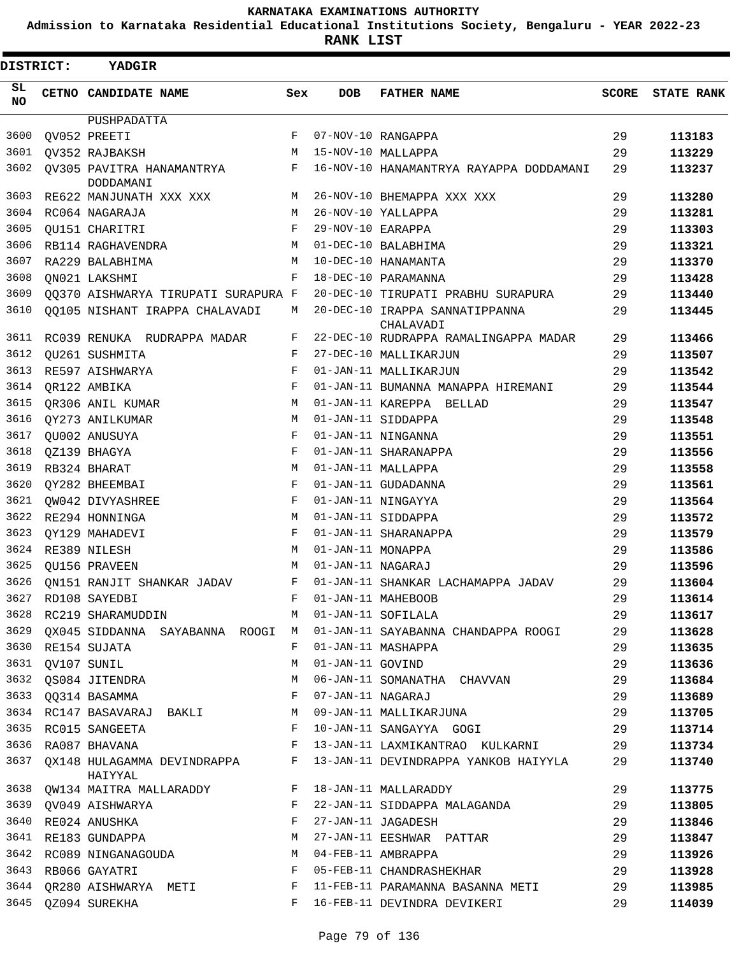**Admission to Karnataka Residential Educational Institutions Society, Bengaluru - YEAR 2022-23**

**RANK LIST**

Е

| <b>DISTRICT:</b> |             | YADGIR                                   |            |                   |                                             |              |                   |
|------------------|-------------|------------------------------------------|------------|-------------------|---------------------------------------------|--------------|-------------------|
| SL.<br>NO.       |             | <b>CETNO CANDIDATE NAME</b>              | Sex        | <b>DOB</b>        | <b>FATHER NAME</b>                          | <b>SCORE</b> | <b>STATE RANK</b> |
|                  |             | PUSHPADATTA                              |            |                   |                                             |              |                   |
| 3600             |             | OV052 PREETI                             | F          |                   | 07-NOV-10 RANGAPPA                          | 29           | 113183            |
| 3601             |             | QV352 RAJBAKSH                           | M          |                   | 15-NOV-10 MALLAPPA                          | 29           | 113229            |
| 3602             |             | QV305 PAVITRA HANAMANTRYA F<br>DODDAMANI |            |                   | 16-NOV-10 HANAMANTRYA RAYAPPA DODDAMANI     | 29           | 113237            |
| 3603             |             | RE622 MANJUNATH XXX XXX                  | М          |                   | 26-NOV-10 BHEMAPPA XXX XXX                  | 29           | 113280            |
| 3604             |             | RC064 NAGARAJA                           | M          |                   | 26-NOV-10 YALLAPPA                          | 29           | 113281            |
| 3605             |             | QU151 CHARITRI                           | F          | 29-NOV-10 EARAPPA |                                             | 29           | 113303            |
| 3606             |             | RB114 RAGHAVENDRA                        | M          |                   | 01-DEC-10 BALABHIMA                         | 29           | 113321            |
| 3607             |             | RA229 BALABHIMA                          | M          |                   | 10-DEC-10 HANAMANTA                         | 29           | 113370            |
| 3608             |             | ON021 LAKSHMI                            | F          |                   | 18-DEC-10 PARAMANNA                         | 29           | 113428            |
| 3609             |             | QQ370 AISHWARYA TIRUPATI SURAPURA F      |            |                   | 20-DEC-10 TIRUPATI PRABHU SURAPURA          | 29           | 113440            |
| 3610             |             | QQ105 NISHANT IRAPPA CHALAVADI           | М          |                   | 20-DEC-10 IRAPPA SANNATIPPANNA<br>CHALAVADI | 29           | 113445            |
| 3611             |             | RC039 RENUKA RUDRAPPA MADAR              | F          |                   | 22-DEC-10 RUDRAPPA RAMALINGAPPA MADAR       | 29           | 113466            |
| 3612             |             | QU261 SUSHMITA                           | F          |                   | 27-DEC-10 MALLIKARJUN                       | 29           | 113507            |
| 3613             |             | RE597 AISHWARYA                          | F          |                   | 01-JAN-11 MALLIKARJUN                       | 29           | 113542            |
|                  |             | 3614 QR122 AMBIKA                        | F          |                   | 01-JAN-11 BUMANNA MANAPPA HIREMANI          | 29           | 113544            |
| 3615             |             | QR306 ANIL KUMAR                         | М          |                   | 01-JAN-11 KAREPPA BELLAD                    | 29           | 113547            |
| 3616             |             | QY273 ANILKUMAR                          | М          |                   | 01-JAN-11 SIDDAPPA                          | 29           | 113548            |
| 3617             |             | QU002 ANUSUYA                            | F          |                   | 01-JAN-11 NINGANNA                          | 29           | 113551            |
| 3618             |             | QZ139 BHAGYA                             | $_{\rm F}$ |                   | 01-JAN-11 SHARANAPPA                        | 29           | 113556            |
| 3619             |             | RB324 BHARAT                             | М          |                   | 01-JAN-11 MALLAPPA                          | 29           | 113558            |
| 3620             |             | QY282 BHEEMBAI                           | F          |                   | 01-JAN-11 GUDADANNA                         | 29           | 113561            |
| 3621             |             | QW042 DIVYASHREE                         | F          |                   | 01-JAN-11 NINGAYYA                          | 29           | 113564            |
| 3622             |             | RE294 HONNINGA                           | M          |                   | 01-JAN-11 SIDDAPPA                          | 29           | 113572            |
| 3623             |             | QY129 MAHADEVI                           | F          |                   | 01-JAN-11 SHARANAPPA                        | 29           | 113579            |
| 3624             |             | RE389 NILESH                             | М          | 01-JAN-11 MONAPPA |                                             | 29           | 113586            |
| 3625             |             | <b>OU156 PRAVEEN</b>                     | M          | 01-JAN-11 NAGARAJ |                                             | 29           | 113596            |
|                  |             | 3626 QN151 RANJIT SHANKAR JADAV          | F          |                   | 01-JAN-11 SHANKAR LACHAMAPPA JADAV          | 29           | 113604            |
|                  |             | 3627 RD108 SAYEDBI                       |            |                   | F 01-JAN-11 MAHEBOOB                        | 29           | 113614            |
| 3628             |             | RC219 SHARAMUDDIN                        | М          |                   | 01-JAN-11 SOFILALA                          | 29           | 113617            |
| 3629             |             | QX045 SIDDANNA SAYABANNA ROOGI           | M          |                   | 01-JAN-11 SAYABANNA CHANDAPPA ROOGI         | 29           | 113628            |
|                  |             | 3630 RE154 SUJATA                        | F          |                   | 01-JAN-11 MASHAPPA                          | 29           | 113635            |
| 3631             | QV107 SUNIL |                                          | М          | 01-JAN-11 GOVIND  |                                             | 29           | 113636            |
| 3632             |             | QS084 JITENDRA                           | М          |                   | 06-JAN-11 SOMANATHA CHAVVAN                 | 29           | 113684            |
| 3633             |             | QQ314 BASAMMA                            | F          | 07-JAN-11 NAGARAJ |                                             | 29           | 113689            |
|                  |             | 3634 RC147 BASAVARAJ BAKLI               | М          |                   | 09-JAN-11 MALLIKARJUNA                      | 29           | 113705            |
| 3635             |             | RC015 SANGEETA                           | F          |                   | 10-JAN-11 SANGAYYA GOGI                     | 29           | 113714            |
| 3636             |             | RA087 BHAVANA                            | F          |                   | 13-JAN-11 LAXMIKANTRAO KULKARNI             | 29           | 113734            |
| 3637             |             | QX148 HULAGAMMA DEVINDRAPPA              | F          |                   | 13-JAN-11 DEVINDRAPPA YANKOB HAIYYLA        | 29           | 113740            |
| 3638             |             | HAIYYAL<br>QW134 MAITRA MALLARADDY       | F          |                   | 18-JAN-11 MALLARADDY                        | 29           | 113775            |
| 3639             |             | QV049 AISHWARYA                          | F          |                   | 22-JAN-11 SIDDAPPA MALAGANDA                | 29           | 113805            |
| 3640             |             | RE024 ANUSHKA                            | F          |                   | 27-JAN-11 JAGADESH                          | 29           | 113846            |
| 3641             |             | RE183 GUNDAPPA                           | М          |                   | 27-JAN-11 EESHWAR PATTAR                    | 29           | 113847            |
| 3642             |             | RC089 NINGANAGOUDA                       | М          |                   | 04-FEB-11 AMBRAPPA                          | 29           | 113926            |
| 3643             |             | RB066 GAYATRI                            | F          |                   | 05-FEB-11 CHANDRASHEKHAR                    | 29           | 113928            |
| 3644             |             | QR280 AISHWARYA METI                     | F          |                   | 11-FEB-11 PARAMANNA BASANNA METI            | 29           | 113985            |
| 3645             |             |                                          | F          |                   | 16-FEB-11 DEVINDRA DEVIKERI                 | 29           |                   |
|                  |             | QZ094 SUREKHA                            |            |                   |                                             |              | 114039            |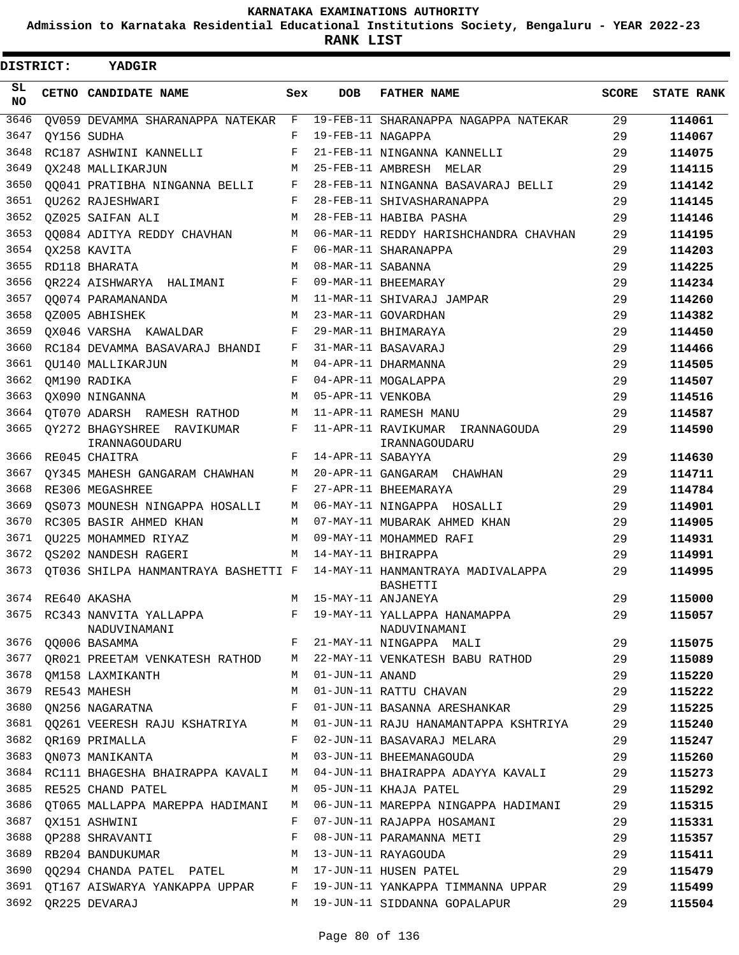**Admission to Karnataka Residential Educational Institutions Society, Bengaluru - YEAR 2022-23**

**RANK LIST**

| <b>DISTRICT:</b> | <b>YADGIR</b>                                |              |                      |                                                                                                            |              |                   |
|------------------|----------------------------------------------|--------------|----------------------|------------------------------------------------------------------------------------------------------------|--------------|-------------------|
| SL<br><b>NO</b>  | CETNO CANDIDATE NAME                         | Sex          | <b>DOB</b>           | <b>FATHER NAME</b>                                                                                         | <b>SCORE</b> | <b>STATE RANK</b> |
| 3646             | QV059 DEVAMMA SHARANAPPA NATEKAR             | $\mathbf{F}$ |                      | 19-FEB-11 SHARANAPPA NAGAPPA NATEKAR                                                                       | 29           | 114061            |
| 3647             | OY156 SUDHA                                  | F            | 19-FEB-11 NAGAPPA    |                                                                                                            | 29           | 114067            |
| 3648             | RC187 ASHWINI KANNELLI                       | F            |                      | 21-FEB-11 NINGANNA KANNELLI                                                                                | 29           | 114075            |
| 3649             | OX248 MALLIKARJUN                            | M            |                      | 25-FEB-11 AMBRESH MELAR                                                                                    | 29           | 114115            |
| 3650             | 00041 PRATIBHA NINGANNA BELLI                | F            |                      | 28-FEB-11 NINGANNA BASAVARAJ BELLI                                                                         | 29           | 114142            |
| 3651             | OU262 RAJESHWARI                             | F            |                      | 28-FEB-11 SHIVASHARANAPPA                                                                                  | 29           | 114145            |
| 3652             | OZ025 SAIFAN ALI                             | M            |                      | 28-FEB-11 HABIBA PASHA                                                                                     | 29           | 114146            |
| 3653             | 00084 ADITYA REDDY CHAVHAN                   | M            |                      | 06-MAR-11 REDDY HARISHCHANDRA CHAVHAN                                                                      | 29           | 114195            |
| 3654             | OX258 KAVITA                                 | F            |                      | 06-MAR-11 SHARANAPPA                                                                                       | 29           | 114203            |
| 3655             | RD118 BHARATA                                | M            | 08-MAR-11 SABANNA    |                                                                                                            | 29           | 114225            |
| 3656             | OR224 AISHWARYA HALIMANI                     | F            |                      | 09-MAR-11 BHEEMARAY                                                                                        | 29           | 114234            |
| 3657             | 00074 PARAMANANDA                            | M            |                      | 11-MAR-11 SHIVARAJ JAMPAR                                                                                  | 29           | 114260            |
| 3658             | OZ005 ABHISHEK                               | M            |                      | 23-MAR-11 GOVARDHAN                                                                                        | 29           | 114382            |
| 3659             | OX046 VARSHA KAWALDAR                        | F            |                      | 29-MAR-11 BHIMARAYA                                                                                        | 29           | 114450            |
| 3660             | RC184 DEVAMMA BASAVARAJ BHANDI               | F            |                      | 31-MAR-11 BASAVARAJ                                                                                        | 29           | 114466            |
| 3661             | OU140 MALLIKARJUN                            | M            |                      | 04-APR-11 DHARMANNA                                                                                        | 29           | 114505            |
| 3662             | OM190 RADIKA                                 | F            |                      | 04-APR-11 MOGALAPPA                                                                                        | 29           | 114507            |
| 3663             | OX090 NINGANNA                               | M            | 05-APR-11 VENKOBA    |                                                                                                            | 29           | 114516            |
| 3664             | QT070 ADARSH RAMESH RATHOD                   | M            |                      | 11-APR-11 RAMESH MANU                                                                                      | 29           | 114587            |
| 3665             | OY272 BHAGYSHREE RAVIKUMAR<br>IRANNAGOUDARU  | F            |                      | 11-APR-11 RAVIKUMAR IRANNAGOUDA<br>IRANNAGOUDARU                                                           | 29           | 114590            |
| 3666             | RE045 CHAITRA                                | F            | 14-APR-11 SABAYYA    |                                                                                                            | 29           | 114630            |
| 3667             | OY345 MAHESH GANGARAM CHAWHAN                | M            |                      | 20-APR-11 GANGARAM CHAWHAN                                                                                 | 29           | 114711            |
| 3668             | RE306 MEGASHREE                              | F            |                      | 27-APR-11 BHEEMARAYA                                                                                       | 29           | 114784            |
| 3669             | QS073 MOUNESH NINGAPPA HOSALLI               | <b>M</b>     |                      | 06-MAY-11 NINGAPPA HOSALLI                                                                                 | 29           | 114901            |
| 3670             | RC305 BASIR AHMED KHAN                       | M            |                      | 07-MAY-11 MUBARAK AHMED KHAN                                                                               | 29           | 114905            |
| 3671             | OU225 MOHAMMED RIYAZ                         | M            |                      | 09-MAY-11 MOHAMMED RAFI                                                                                    | 29           | 114931            |
| 3672             | OS202 NANDESH RAGERI                         | M            |                      | 14-MAY-11 BHIRAPPA                                                                                         | 29           | 114991            |
| 3673             | OT036 SHILPA HANMANTRAYA BASHETTI F          |              |                      | 14-MAY-11 HANMANTRAYA MADIVALAPPA<br>BASHETTI                                                              | 29           | 114995            |
|                  | 3674 RE640 AKASHA                            |              | M 15-MAY-11 ANJANEYA |                                                                                                            | 29           | 115000            |
|                  | NADUVINAMANI                                 |              |                      | 3675 RC343 NANVITA YALLAPPA<br>F 19-MAY-11 YALLAPPA HANAMAPPA<br>NADUVINAMANI<br>F 21-MAY-11 NINGAPPA MALI | 29           | 115057            |
|                  | 3676 QQ006 BASAMMA                           |              |                      |                                                                                                            | 29           | 115075            |
|                  |                                              |              |                      | 3677 QR021 PREETAM VENKATESH RATHOD M 22-MAY-11 VENKATESH BABU RATHOD                                      | 29           | 115089            |
|                  | 3678 QM158 LAXMIKANTH M 01-JUN-11 ANAND      |              |                      |                                                                                                            | 29           | 115220            |
|                  | 3679 RE543 MAHESH<br>$M_{\odot}$             |              |                      | 01-JUN-11 RATTU CHAVAN                                                                                     | 29           | 115222            |
| 3680             | QN256 NAGARATNA F                            |              |                      | 01-JUN-11 BASANNA ARESHANKAR                                                                               | 29           | 115225            |
|                  |                                              |              |                      | 3681 QQ261 VEERESH RAJU KSHATRIYA M 01-JUN-11 RAJU HANAMANTAPPA KSHTRIYA                                   | 29           | 115240            |
|                  | 3682 QR169 PRIMALLA                          |              |                      | F 02-JUN-11 BASAVARAJ MELARA                                                                               | 29           | 115247            |
|                  | 3683 QN073 MANIKANTA 63-JUN-11 BHEEMANAGOUDA |              |                      |                                                                                                            | 29           | 115260            |
|                  |                                              |              |                      | 3684 RC111 BHAGESHA BHAIRAPPA KAVALI M 04-JUN-11 BHAIRAPPA ADAYYA KAVALI 29                                |              | 115273            |
|                  | 3685 RE525 CHAND PATEL                       |              |                      | M 05-JUN-11 KHAJA PATEL                                                                                    | 29           | 115292            |
|                  |                                              |              |                      | 3686 QT065 MALLAPPA MAREPPA HADIMANI M 06-JUN-11 MAREPPA NINGAPPA HADIMANI 29                              |              | 115315            |
| 3687             | QX151 ASHWINI                                | F            |                      | 07-JUN-11 RAJAPPA HOSAMANI                                                                                 | 29           | 115331            |
| 3688             | QP288 SHRAVANTI                              | F            |                      | 08-JUN-11 PARAMANNA METI                                                                                   | 29           | 115357            |
|                  | 3689 RB204 BANDUKUMAR                        |              |                      | M 13-JUN-11 RAYAGOUDA                                                                                      | 29           | 115411            |
|                  |                                              |              |                      | 3690 QQ294 CHANDA PATEL PATEL M 17-JUN-11 HUSEN PATEL                                                      | 29           | 115479            |
|                  |                                              |              |                      | 3691 QT167 AISWARYA YANKAPPA UPPAR F 19-JUN-11 YANKAPPA TIMMANNA UPPAR 29                                  |              | 115499            |
|                  | 3692 QR225 DEVARAJ                           |              |                      | M 19-JUN-11 SIDDANNA GOPALAPUR                                                                             | 29           | 115504            |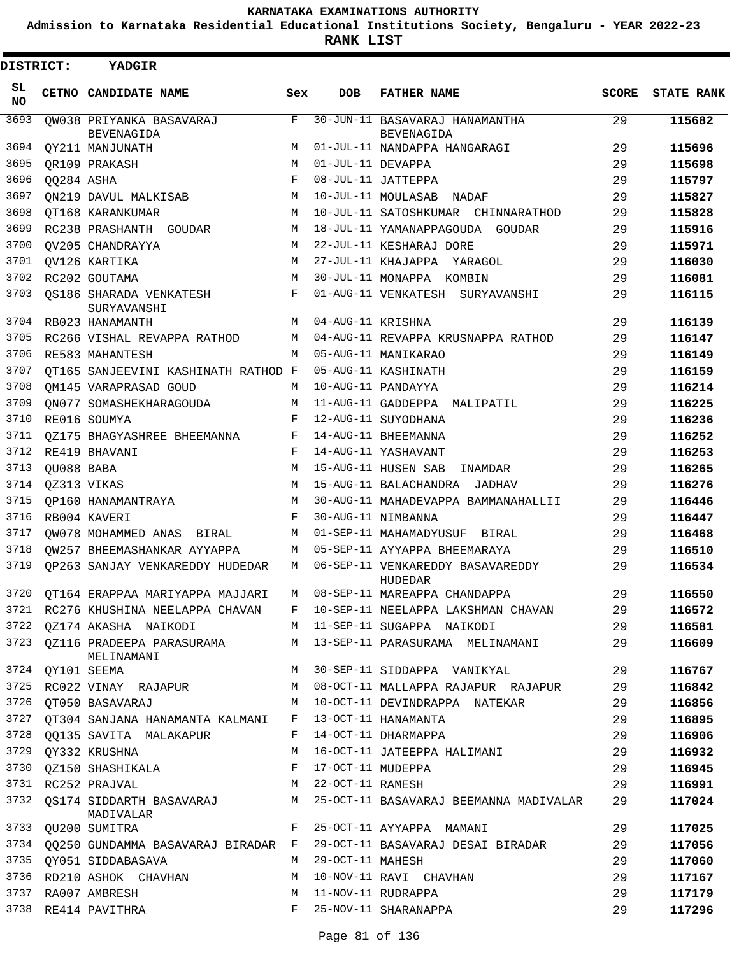**Admission to Karnataka Residential Educational Institutions Society, Bengaluru - YEAR 2022-23**

| DISTRICT: |            | YADGIR                                                |         |                    |                                                     |              |                   |
|-----------|------------|-------------------------------------------------------|---------|--------------------|-----------------------------------------------------|--------------|-------------------|
| SL<br>NO. |            | CETNO CANDIDATE NAME                                  | Sex     | <b>DOB</b>         | <b>FATHER NAME</b>                                  | <b>SCORE</b> | <b>STATE RANK</b> |
| 3693      |            | OW038 PRIYANKA BASAVARAJ<br><b>BEVENAGIDA</b>         | F       |                    | 30-JUN-11 BASAVARAJ HANAMANTHA<br><b>BEVENAGIDA</b> | 29           | 115682            |
| 3694      |            | OY211 MANJUNATH                                       | M       |                    | 01-JUL-11 NANDAPPA HANGARAGI                        | 29           | 115696            |
| 3695      |            | OR109 PRAKASH                                         | M       | 01-JUL-11 DEVAPPA  |                                                     | 29           | 115698            |
| 3696      | QQ284 ASHA |                                                       | F       |                    | 08-JUL-11 JATTEPPA                                  | 29           | 115797            |
| 3697      |            | ON219 DAVUL MALKISAB                                  | М       |                    | 10-JUL-11 MOULASAB NADAF                            | 29           | 115827            |
| 3698      |            | OT168 KARANKUMAR                                      | M       |                    | 10-JUL-11 SATOSHKUMAR CHINNARATHOD                  | 29           | 115828            |
| 3699      |            | RC238 PRASHANTH GOUDAR                                | M       |                    | 18-JUL-11 YAMANAPPAGOUDA GOUDAR                     | 29           | 115916            |
| 3700      |            | OV205 CHANDRAYYA                                      | М       |                    | 22-JUL-11 KESHARAJ DORE                             | 29           | 115971            |
| 3701      |            | OV126 KARTIKA                                         | M       |                    | 27-JUL-11 KHAJAPPA YARAGOL                          | 29           | 116030            |
| 3702      |            | RC202 GOUTAMA                                         | M       |                    | 30-JUL-11 MONAPPA KOMBIN                            | 29           | 116081            |
| 3703      |            | OS186 SHARADA VENKATESH<br>SURYAVANSHI                | F       |                    | 01-AUG-11 VENKATESH SURYAVANSHI                     | 29           | 116115            |
| 3704      |            | RB023 HANAMANTH                                       | M       | 04-AUG-11 KRISHNA  |                                                     | 29           | 116139            |
| 3705      |            | RC266 VISHAL REVAPPA RATHOD                           | М       |                    | 04-AUG-11 REVAPPA KRUSNAPPA RATHOD                  | 29           | 116147            |
| 3706      |            | RE583 MAHANTESH                                       | M       |                    | 05-AUG-11 MANIKARAO                                 | 29           | 116149            |
| 3707      |            | OT165 SANJEEVINI KASHINATH RATHOD F                   |         |                    | 05-AUG-11 KASHINATH                                 | 29           | 116159            |
| 3708      |            | OM145 VARAPRASAD GOUD                                 | M       |                    | 10-AUG-11 PANDAYYA                                  | 29           | 116214            |
| 3709      |            | ON077 SOMASHEKHARAGOUDA                               | М       |                    | 11-AUG-11 GADDEPPA MALIPATIL                        | 29           | 116225            |
| 3710      |            | RE016 SOUMYA                                          | F       |                    | 12-AUG-11 SUYODHANA                                 | 29           | 116236            |
| 3711      |            | OZ175 BHAGYASHREE BHEEMANNA                           | F       |                    | 14-AUG-11 BHEEMANNA                                 | 29           | 116252            |
| 3712      |            | RE419 BHAVANI                                         | F       |                    | 14-AUG-11 YASHAVANT                                 | 29           | 116253            |
| 3713      | OU088 BABA |                                                       | М       |                    | 15-AUG-11 HUSEN SAB<br>INAMDAR                      | 29           | 116265            |
| 3714      |            | OZ313 VIKAS                                           | M       |                    | 15-AUG-11 BALACHANDRA JADHAV                        | 29           | 116276            |
| 3715      |            | OP160 HANAMANTRAYA                                    | М       |                    | 30-AUG-11 MAHADEVAPPA BAMMANAHALLII                 | 29           | 116446            |
| 3716      |            | RB004 KAVERI                                          | F       |                    | 30-AUG-11 NIMBANNA                                  | 29           | 116447            |
| 3717      |            | OW078 MOHAMMED ANAS<br>BIRAL                          | M       |                    | 01-SEP-11 MAHAMADYUSUF<br>BIRAL                     | 29           | 116468            |
| 3718      |            | OW257 BHEEMASHANKAR AYYAPPA                           | M       |                    | 05-SEP-11 AYYAPPA BHEEMARAYA                        | 29           | 116510            |
| 3719      |            | OP263 SANJAY VENKAREDDY HUDEDAR                       | M       |                    | 06-SEP-11 VENKAREDDY BASAVAREDDY<br>HUDEDAR         | 29           | 116534            |
| 3720      |            | OT164 ERAPPAA MARIYAPPA MAJJARI                       | M       |                    | 08-SEP-11 MAREAPPA CHANDAPPA                        | 29           | 116550            |
|           |            | 3721 RC276 KHUSHINA NEELAPPA CHAVAN                   | $F$ and |                    | 10-SEP-11 NEELAPPA LAKSHMAN CHAVAN                  | 29           | 116572            |
| 3722      |            | QZ174 AKASHA NAIKODI                                  |         |                    | M 11-SEP-11 SUGAPPA NAIKODI                         | 29           | 116581            |
| 3723      |            | QZ116 PRADEEPA PARASURAMA<br>MELINAMANI               |         |                    | M 13-SEP-11 PARASURAMA MELINAMANI                   | 29           | 116609            |
| 3724      |            | QY101 SEEMA                                           | М       |                    | 30-SEP-11 SIDDAPPA VANIKYAL                         | 29           | 116767            |
| 3725      |            | RC022 VINAY RAJAPUR                                   | M       |                    | 08-OCT-11 MALLAPPA RAJAPUR  RAJAPUR                 | 29           | 116842            |
| 3726      |            | QT050 BASAVARAJ                                       |         |                    | M 10-OCT-11 DEVINDRAPPA NATEKAR                     | 29           | 116856            |
| 3727      |            | QT304 SANJANA HANAMANTA KALMANI F 13-OCT-11 HANAMANTA |         |                    |                                                     | 29           | 116895            |
| 3728      |            | QQ135 SAVITA MALAKAPUR                                | F       |                    | 14-OCT-11 DHARMAPPA                                 | 29           | 116906            |
| 3729      |            | QY332 KRUSHNA                                         | М       |                    | 16-OCT-11 JATEEPPA HALIMANI                         | 29           | 116932            |
| 3730      |            | QZ150 SHASHIKALA                                      | F       | 17-OCT-11 MUDEPPA  |                                                     | 29           | 116945            |
|           |            | 3731 RC252 PRAJVAL                                    | М       | 22-OCT-11 RAMESH   |                                                     | 29           | 116991            |
| 3732      |            | QS174 SIDDARTH BASAVARAJ<br>MADIVALAR                 | М       |                    | 25-OCT-11 BASAVARAJ BEEMANNA MADIVALAR              | 29           | 117024            |
| 3733      |            | QU200 SUMITRA                                         | F       |                    | 25-OCT-11 AYYAPPA MAMANI                            | 29           | 117025            |
| 3734      |            | QQ250 GUNDAMMA BASAVARAJ BIRADAR F                    |         |                    | 29-OCT-11 BASAVARAJ DESAI BIRADAR                   | 29           | 117056            |
| 3735      |            | QY051 SIDDABASAVA                                     |         | M 29-OCT-11 MAHESH |                                                     | 29           | 117060            |
|           |            | 3736 RD210 ASHOK CHAVHAN                              | M       |                    | 10-NOV-11 RAVI CHAVHAN                              | 29           | 117167            |
|           |            | 3737 RA007 AMBRESH                                    | M       |                    | 11-NOV-11 RUDRAPPA                                  | 29           | 117179            |
|           |            | 3738 RE414 PAVITHRA                                   | F       |                    | 25-NOV-11 SHARANAPPA                                | 29           | 117296            |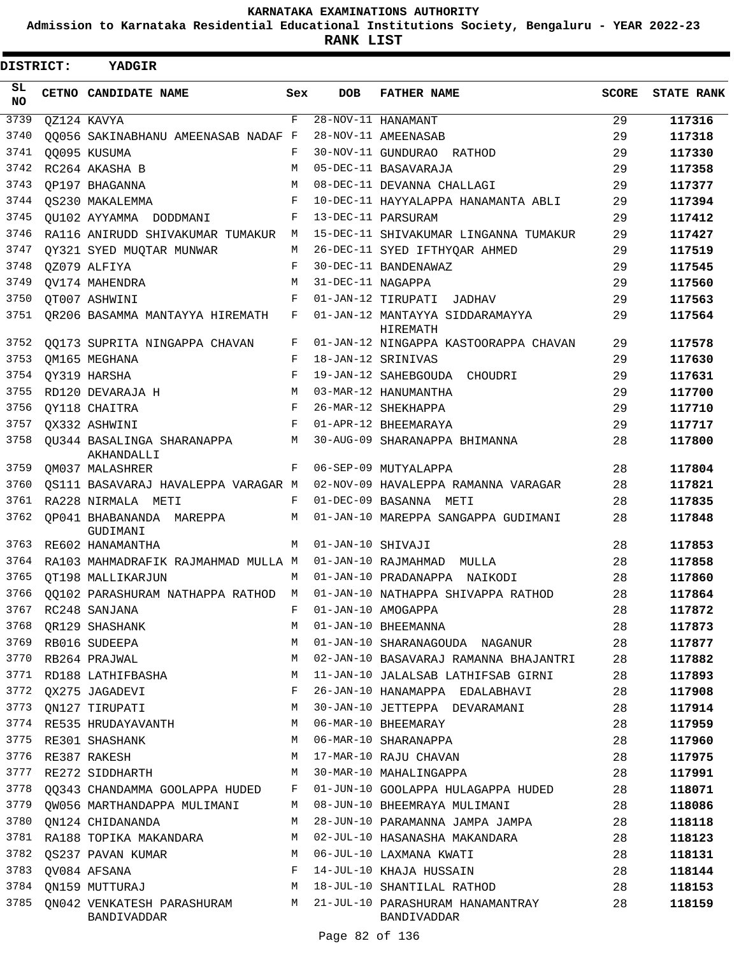**Admission to Karnataka Residential Educational Institutions Society, Bengaluru - YEAR 2022-23**

ı

| <b>DISTRICT:</b> | YADGIR                                                                |              |                    |                                                 |       |                   |
|------------------|-----------------------------------------------------------------------|--------------|--------------------|-------------------------------------------------|-------|-------------------|
| SL<br>NO.        | CETNO CANDIDATE NAME                                                  | Sex          | DOB                | <b>FATHER NAME</b>                              | SCORE | <b>STATE RANK</b> |
| 3739             | QZ124 KAVYA                                                           | $\mathbf{F}$ |                    | 28-NOV-11 HANAMANT                              | 29    | 117316            |
| 3740             | OO056 SAKINABHANU AMEENASAB NADAF F                                   |              |                    | 28-NOV-11 AMEENASAB                             | 29    | 117318            |
| 3741             | 00095 KUSUMA                                                          | F            |                    | 30-NOV-11 GUNDURAO RATHOD                       | 29    | 117330            |
| 3742             | RC264 AKASHA B                                                        | M            |                    | 05-DEC-11 BASAVARAJA                            | 29    | 117358            |
| 3743             | OP197 BHAGANNA                                                        | M            |                    | 08-DEC-11 DEVANNA CHALLAGI                      | 29    | 117377            |
| 3744             | OS230 MAKALEMMA                                                       | F            |                    | 10-DEC-11 HAYYALAPPA HANAMANTA ABLI             | 29    | 117394            |
| 3745             | QU102 AYYAMMA DODDMANI                                                | F            |                    | 13-DEC-11 PARSURAM                              | 29    | 117412            |
| 3746             | RA116 ANIRUDD SHIVAKUMAR TUMAKUR                                      | M            |                    | 15-DEC-11 SHIVAKUMAR LINGANNA TUMAKUR           | 29    | 117427            |
| 3747             | QY321 SYED MUQTAR MUNWAR                                              | М            |                    | 26-DEC-11 SYED IFTHYQAR AHMED                   | 29    | 117519            |
| 3748             | QZ079 ALFIYA                                                          | F            |                    | 30-DEC-11 BANDENAWAZ                            | 29    | 117545            |
| 3749             | <b>OV174 MAHENDRA</b>                                                 | M            | 31-DEC-11 NAGAPPA  |                                                 | 29    | 117560            |
| 3750             | QT007 ASHWINI                                                         | F            |                    | 01-JAN-12 TIRUPATI JADHAV                       | 29    | 117563            |
| 3751             | OR206 BASAMMA MANTAYYA HIREMATH                                       | F            |                    | 01-JAN-12 MANTAYYA SIDDARAMAYYA<br>HIREMATH     | 29    | 117564            |
| 3752             | 00173 SUPRITA NINGAPPA CHAVAN                                         | F            |                    | 01-JAN-12 NINGAPPA KASTOORAPPA CHAVAN           | 29    | 117578            |
| 3753             | OM165 MEGHANA                                                         | F            | 18-JAN-12 SRINIVAS |                                                 | 29    | 117630            |
| 3754             | QY319 HARSHA                                                          | F            |                    | 19-JAN-12 SAHEBGOUDA CHOUDRI                    | 29    | 117631            |
| 3755             | RD120 DEVARAJA H                                                      | M            |                    | 03-MAR-12 HANUMANTHA                            | 29    | 117700            |
| 3756             | OY118 CHAITRA                                                         | F            |                    | 26-MAR-12 SHEKHAPPA                             | 29    | 117710            |
| 3757             | OX332 ASHWINI                                                         | F            |                    | 01-APR-12 BHEEMARAYA                            | 29    | 117717            |
| 3758             | QU344 BASALINGA SHARANAPPA<br>AKHANDALLI                              | M            |                    | 30-AUG-09 SHARANAPPA BHIMANNA                   | 28    | 117800            |
| 3759             | OM037 MALASHRER                                                       | F            |                    | 06-SEP-09 MUTYALAPPA                            | 28    | 117804            |
| 3760             | QS111 BASAVARAJ HAVALEPPA VARAGAR M                                   |              |                    | 02-NOV-09 HAVALEPPA RAMANNA VARAGAR             | 28    | 117821            |
| 3761             | RA228 NIRMALA METI                                                    | F            |                    | 01-DEC-09 BASANNA METI                          | 28    | 117835            |
| 3762             | OP041 BHABANANDA MAREPPA<br>GUDIMANI                                  | M            |                    | 01-JAN-10 MAREPPA SANGAPPA GUDIMANI             | 28    | 117848            |
| 3763             | RE602 HANAMANTHA                                                      | M            | 01-JAN-10 SHIVAJI  |                                                 | 28    | 117853            |
| 3764             | RA103 MAHMADRAFIK RAJMAHMAD MULLA M                                   |              |                    | 01-JAN-10 RAJMAHMAD MULLA                       | 28    | 117858            |
| 3765             | OT198 MALLIKARJUN                                                     | M            |                    | 01-JAN-10 PRADANAPPA NAIKODI                    | 28    | 117860            |
| 3766             | QQ102 PARASHURAM NATHAPPA RATHOD M 01-JAN-10 NATHAPPA SHIVAPPA RATHOD |              |                    |                                                 | 28    | 117864            |
| 3767             | RC248 SANJANA                                                         | F            |                    | 01-JAN-10 AMOGAPPA                              | 28    | 117872            |
| 3768             | OR129 SHASHANK                                                        | М            |                    | 01-JAN-10 BHEEMANNA                             | 28    | 117873            |
| 3769             | RB016 SUDEEPA                                                         | М            |                    | 01-JAN-10 SHARANAGOUDA NAGANUR                  | 28    | 117877            |
| 3770             | RB264 PRAJWAL                                                         | М            |                    | 02-JAN-10 BASAVARAJ RAMANNA BHAJANTRI           | 28    | 117882            |
| 3771             | RD188 LATHIFBASHA                                                     | М            |                    | 11-JAN-10 JALALSAB LATHIFSAB GIRNI              | 28    | 117893            |
| 3772             | OX275 JAGADEVI                                                        | F            |                    | 26-JAN-10 HANAMAPPA EDALABHAVI                  | 28    | 117908            |
| 3773             | QN127 TIRUPATI                                                        | М            |                    | 30-JAN-10 JETTEPPA DEVARAMANI                   | 28    | 117914            |
| 3774             | RE535 HRUDAYAVANTH                                                    | М            |                    | 06-MAR-10 BHEEMARAY                             | 28    | 117959            |
| 3775             | RE301 SHASHANK                                                        | М            |                    | 06-MAR-10 SHARANAPPA                            | 28    | 117960            |
| 3776             | RE387 RAKESH                                                          | М            |                    | 17-MAR-10 RAJU CHAVAN                           | 28    | 117975            |
| 3777             | RE272 SIDDHARTH                                                       | M            |                    | 30-MAR-10 MAHALINGAPPA                          | 28    | 117991            |
| 3778             | QQ343 CHANDAMMA GOOLAPPA HUDED                                        | F            |                    | 01-JUN-10 GOOLAPPA HULAGAPPA HUDED              | 28    | 118071            |
| 3779             | OW056 MARTHANDAPPA MULIMANI                                           | М            |                    | 08-JUN-10 BHEEMRAYA MULIMANI                    | 28    | 118086            |
| 3780             | ON124 CHIDANANDA                                                      | М            |                    | 28-JUN-10 PARAMANNA JAMPA JAMPA                 | 28    | 118118            |
| 3781             | RA188 TOPIKA MAKANDARA                                                | М            |                    | 02-JUL-10 HASANASHA MAKANDARA                   | 28    | 118123            |
| 3782             | QS237 PAVAN KUMAR                                                     | М            |                    | 06-JUL-10 LAXMANA KWATI                         | 28    | 118131            |
| 3783             | QV084 AFSANA                                                          | F            |                    | 14-JUL-10 KHAJA HUSSAIN                         | 28    | 118144            |
| 3784             | QN159 MUTTURAJ                                                        | М            |                    | 18-JUL-10 SHANTILAL RATHOD                      | 28    | 118153            |
| 3785             | QN042 VENKATESH PARASHURAM<br>BANDIVADDAR                             | M            |                    | 21-JUL-10 PARASHURAM HANAMANTRAY<br>BANDIVADDAR | 28    | 118159            |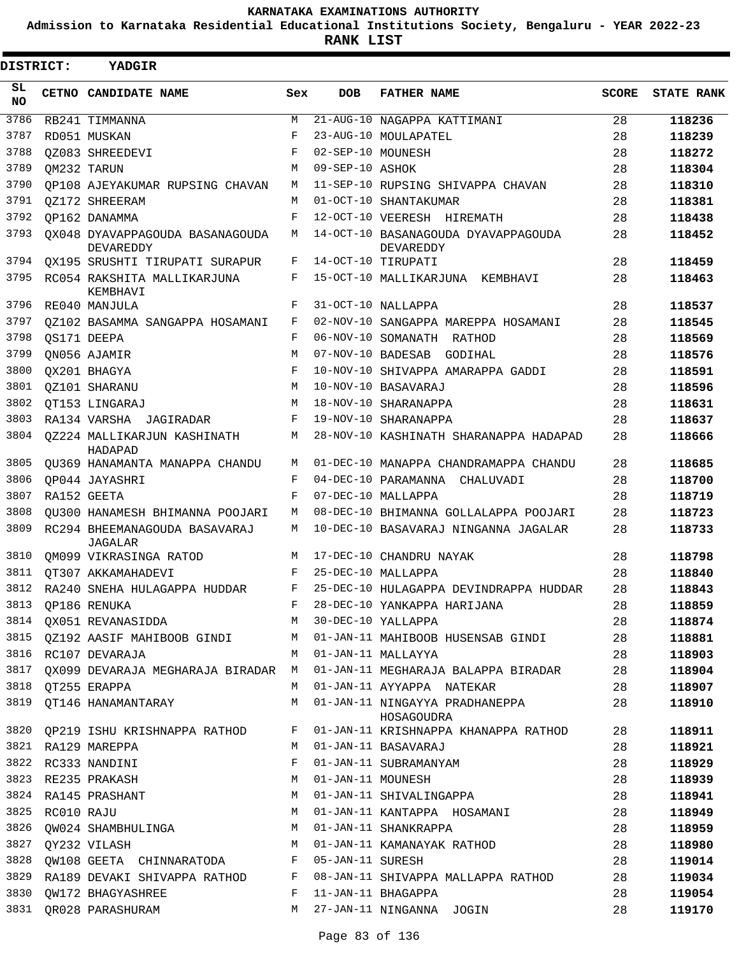**Admission to Karnataka Residential Educational Institutions Society, Bengaluru - YEAR 2022-23**

**RANK LIST**

| DISTRICT: |            | <b>YADGIR</b>                                |     |                   |                                                  |              |                   |
|-----------|------------|----------------------------------------------|-----|-------------------|--------------------------------------------------|--------------|-------------------|
| SL<br>NO. |            | CETNO CANDIDATE NAME                         | Sex | <b>DOB</b>        | <b>FATHER NAME</b>                               | <b>SCORE</b> | <b>STATE RANK</b> |
| 3786      |            | RB241 TIMMANNA                               | М   |                   | 21-AUG-10 NAGAPPA KATTIMANI                      | 28           | 118236            |
| 3787      |            | RD051 MUSKAN                                 | F   |                   | 23-AUG-10 MOULAPATEL                             | 28           | 118239            |
| 3788      |            | OZ083 SHREEDEVI                              | F   | 02-SEP-10 MOUNESH |                                                  | 28           | 118272            |
| 3789      |            | OM232 TARUN                                  | М   | 09-SEP-10 ASHOK   |                                                  | 28           | 118304            |
| 3790      |            | OP108 AJEYAKUMAR RUPSING CHAVAN              | М   |                   | 11-SEP-10 RUPSING SHIVAPPA CHAVAN                | 28           | 118310            |
| 3791      |            | OZ172 SHREERAM                               | М   |                   | 01-OCT-10 SHANTAKUMAR                            | 28           | 118381            |
| 3792      |            | OP162 DANAMMA                                | F   |                   | 12-OCT-10 VEERESH HIREMATH                       | 28           | 118438            |
| 3793      |            | OX048 DYAVAPPAGOUDA BASANAGOUDA<br>DEVAREDDY | М   |                   | 14-OCT-10 BASANAGOUDA DYAVAPPAGOUDA<br>DEVAREDDY | 28           | 118452            |
| 3794      |            | OX195 SRUSHTI TIRUPATI SURAPUR               | F   |                   | 14-OCT-10 TIRUPATI                               | 28           | 118459            |
| 3795      |            | RC054 RAKSHITA MALLIKARJUNA<br>KEMBHAVI      | F   |                   | 15-OCT-10 MALLIKARJUNA<br>KEMBHAVI               | 28           | 118463            |
| 3796      |            | RE040 MANJULA                                | F   |                   | 31-OCT-10 NALLAPPA                               | 28           | 118537            |
| 3797      |            | OZ102 BASAMMA SANGAPPA HOSAMANI              | F   |                   | 02-NOV-10 SANGAPPA MAREPPA HOSAMANI              | 28           | 118545            |
| 3798      |            | OS171 DEEPA                                  | F   |                   | 06-NOV-10 SOMANATH RATHOD                        | 28           | 118569            |
| 3799      |            | ON056 AJAMIR                                 | М   | 07-NOV-10 BADESAB | GODIHAL                                          | 28           | 118576            |
| 3800      |            | OX201 BHAGYA                                 | F   |                   | 10-NOV-10 SHIVAPPA AMARAPPA GADDI                | 28           | 118591            |
| 3801      |            | OZ101 SHARANU                                | М   |                   | 10-NOV-10 BASAVARAJ                              | 28           | 118596            |
| 3802      |            | OT153 LINGARAJ                               | M   |                   | 18-NOV-10 SHARANAPPA                             | 28           | 118631            |
| 3803      |            | RA134 VARSHA JAGIRADAR                       | F   |                   | 19-NOV-10 SHARANAPPA                             | 28           | 118637            |
| 3804      |            | 0Z224 MALLIKARJUN KASHINATH<br>HADAPAD       | М   |                   | 28-NOV-10 KASHINATH SHARANAPPA HADAPAD           | 28           | 118666            |
| 3805      |            | OU369 HANAMANTA MANAPPA CHANDU               | M   |                   | 01-DEC-10 MANAPPA CHANDRAMAPPA CHANDU            | 28           | 118685            |
| 3806      |            | OP044 JAYASHRI                               | F   |                   | 04-DEC-10 PARAMANNA CHALUVADI                    | 28           | 118700            |
| 3807      |            | RA152 GEETA                                  | F   |                   | 07-DEC-10 MALLAPPA                               | 28           | 118719            |
| 3808      |            | OU300 HANAMESH BHIMANNA POOJARI              | М   |                   | 08-DEC-10 BHIMANNA GOLLALAPPA POOJARI            | 28           | 118723            |
| 3809      |            | RC294 BHEEMANAGOUDA BASAVARAJ<br>JAGALAR     | М   |                   | 10-DEC-10 BASAVARAJ NINGANNA JAGALAR             | 28           | 118733            |
| 3810      |            | OM099 VIKRASINGA RATOD                       | М   |                   | 17-DEC-10 CHANDRU NAYAK                          | 28           | 118798            |
| 3811      |            | OT307 AKKAMAHADEVI                           | F   |                   | 25-DEC-10 MALLAPPA                               | 28           | 118840            |
| 3812      |            | RA240 SNEHA HULAGAPPA HUDDAR                 | F   |                   | 25-DEC-10 HULAGAPPA DEVINDRAPPA HUDDAR           | 28           | 118843            |
| 3813      |            | QP186 RENUKA                                 | F   |                   | 28-DEC-10 YANKAPPA HARIJANA                      | 28           | 118859            |
| 3814      |            | OX051 REVANASIDDA                            | М   |                   | 30-DEC-10 YALLAPPA                               | 28           | 118874            |
| 3815      |            | QZ192 AASIF MAHIBOOB GINDI                   | М   |                   | 01-JAN-11 MAHIBOOB HUSENSAB GINDI                | 28           | 118881            |
| 3816      |            | RC107 DEVARAJA                               | М   |                   | 01-JAN-11 MALLAYYA                               | 28           | 118903            |
| 3817      |            | OX099 DEVARAJA MEGHARAJA BIRADAR             | M   |                   | 01-JAN-11 MEGHARAJA BALAPPA BIRADAR              | 28           | 118904            |
| 3818      |            | OT255 ERAPPA                                 | M   |                   | 01-JAN-11 AYYAPPA NATEKAR                        | 28           | 118907            |
| 3819      |            | OT146 HANAMANTARAY                           | М   |                   | 01-JAN-11 NINGAYYA PRADHANEPPA<br>HOSAGOUDRA     | 28           | 118910            |
| 3820      |            | QP219 ISHU KRISHNAPPA RATHOD                 | F   |                   | 01-JAN-11 KRISHNAPPA KHANAPPA RATHOD             | 28           | 118911            |
|           |            | 3821 RA129 MAREPPA                           | М   |                   | 01-JAN-11 BASAVARAJ                              | 28           | 118921            |
| 3822      |            | RC333 NANDINI                                | F   |                   | 01-JAN-11 SUBRAMANYAM                            | 28           | 118929            |
| 3823      |            | RE235 PRAKASH                                | М   |                   | 01-JAN-11 MOUNESH                                | 28           | 118939            |
|           |            | 3824 RA145 PRASHANT                          | М   |                   | 01-JAN-11 SHIVALINGAPPA                          | 28           | 118941            |
| 3825      | RC010 RAJU |                                              | М   |                   | 01-JAN-11 KANTAPPA HOSAMANI                      | 28           | 118949            |
| 3826      |            | QW024 SHAMBHULINGA                           | М   |                   | 01-JAN-11 SHANKRAPPA                             | 28           | 118959            |
| 3827      |            | QY232 VILASH                                 | М   |                   | 01-JAN-11 KAMANAYAK RATHOD                       | 28           | 118980            |
| 3828      |            | QW108 GEETA CHINNARATODA                     | F   | 05-JAN-11 SURESH  |                                                  | 28           | 119014            |
| 3829      |            | RA189 DEVAKI SHIVAPPA RATHOD                 | F   |                   | 08-JAN-11 SHIVAPPA MALLAPPA RATHOD               | 28           | 119034            |
| 3830      |            | OW172 BHAGYASHREE                            | F   |                   | 11-JAN-11 BHAGAPPA                               | 28           | 119054            |
| 3831      |            | QR028 PARASHURAM                             | М   |                   | 27-JAN-11 NINGANNA JOGIN                         | 28           | 119170            |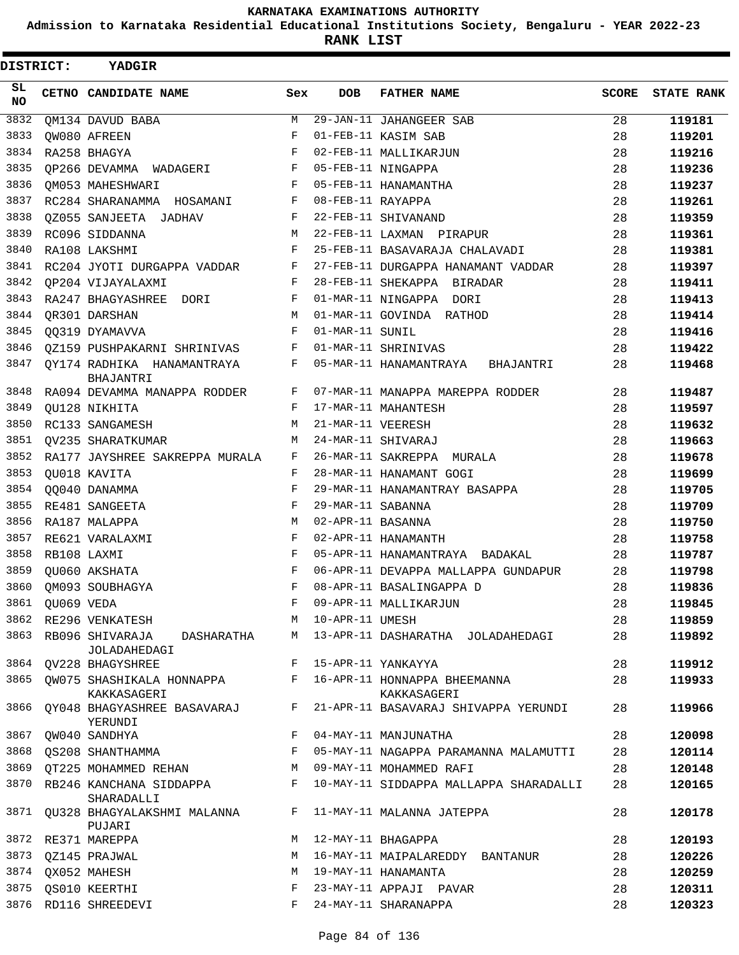**Admission to Karnataka Residential Educational Institutions Society, Bengaluru - YEAR 2022-23**

| <b>DISTRICT:</b> |            | YADGIR                                                                  |            |                   |                                        |              |                   |
|------------------|------------|-------------------------------------------------------------------------|------------|-------------------|----------------------------------------|--------------|-------------------|
| SL.<br><b>NO</b> |            | CETNO CANDIDATE NAME                                                    | Sex        | <b>DOB</b>        | <b>FATHER NAME</b>                     | <b>SCORE</b> | <b>STATE RANK</b> |
| 3832             |            | QM134 DAVUD BABA                                                        | M          |                   | 29-JAN-11 JAHANGEER SAB                | 28           | 119181            |
| 3833             |            | OW080 AFREEN                                                            | F          |                   | 01-FEB-11 KASIM SAB                    | 28           | 119201            |
| 3834             |            | RA258 BHAGYA                                                            | F          |                   | 02-FEB-11 MALLIKARJUN                  | 28           | 119216            |
| 3835             |            | QP266 DEVAMMA WADAGERI                                                  | F          |                   | 05-FEB-11 NINGAPPA                     | 28           | 119236            |
| 3836             |            | OM053 MAHESHWARI                                                        | F          |                   | 05-FEB-11 HANAMANTHA                   | 28           | 119237            |
| 3837             |            | RC284 SHARANAMMA HOSAMANI                                               | $_{\rm F}$ | 08-FEB-11 RAYAPPA |                                        | 28           | 119261            |
| 3838             |            | OZ055 SANJEETA JADHAV                                                   | F          |                   | 22-FEB-11 SHIVANAND                    | 28           | 119359            |
| 3839             |            | RC096 SIDDANNA                                                          | M          |                   | 22-FEB-11 LAXMAN PIRAPUR               | 28           | 119361            |
| 3840             |            | RA108 LAKSHMI                                                           | F          |                   | 25-FEB-11 BASAVARAJA CHALAVADI         | 28           | 119381            |
| 3841             |            | RC204 JYOTI DURGAPPA VADDAR                                             | F          |                   | 27-FEB-11 DURGAPPA HANAMANT VADDAR     | 28           | 119397            |
| 3842             |            | OP204 VIJAYALAXMI                                                       | F          |                   | 28-FEB-11 SHEKAPPA BIRADAR             | 28           | 119411            |
| 3843             |            | RA247 BHAGYASHREE DORI                                                  | F          |                   | 01-MAR-11 NINGAPPA DORI                | 28           | 119413            |
| 3844             |            | OR301 DARSHAN                                                           | М          |                   | 01-MAR-11 GOVINDA RATHOD               | 28           | 119414            |
| 3845             |            | 00319 DYAMAVVA                                                          | F          | 01-MAR-11 SUNIL   |                                        | 28           | 119416            |
| 3846             |            | QZ159 PUSHPAKARNI SHRINIVAS                                             | F          |                   | 01-MAR-11 SHRINIVAS                    | 28           | 119422            |
| 3847             |            | QY174 RADHIKA HANAMANTRAYA<br>BHAJANTRI                                 | F          |                   | 05-MAR-11 HANAMANTRAYA BHAJANTRI       | 28           | 119468            |
| 3848             |            | RA094 DEVAMMA MANAPPA RODDER                                            | F          |                   | 07-MAR-11 MANAPPA MAREPPA RODDER       | 28           | 119487            |
| 3849             |            | OU128 NIKHITA                                                           | F          |                   | 17-MAR-11 MAHANTESH                    | 28           | 119597            |
| 3850             |            | RC133 SANGAMESH                                                         | М          | 21-MAR-11 VEERESH |                                        | 28           | 119632            |
| 3851             |            | OV235 SHARATKUMAR                                                       | М          |                   | 24-MAR-11 SHIVARAJ                     | 28           | 119663            |
| 3852             |            | RA177 JAYSHREE SAKREPPA MURALA                                          | F          |                   | 26-MAR-11 SAKREPPA MURALA              | 28           | 119678            |
| 3853             |            | OU018 KAVITA                                                            | F          |                   | 28-MAR-11 HANAMANT GOGI                | 28           | 119699            |
| 3854             |            | QQ040 DANAMMA                                                           | F          |                   | 29-MAR-11 HANAMANTRAY BASAPPA          | 28           | 119705            |
| 3855             |            | RE481 SANGEETA                                                          | F          | 29-MAR-11 SABANNA |                                        | 28           | 119709            |
| 3856             |            | RA187 MALAPPA                                                           | M          | 02-APR-11 BASANNA |                                        | 28           | 119750            |
| 3857             |            | RE621 VARALAXMI                                                         | F          |                   | 02-APR-11 HANAMANTH                    | 28           | 119758            |
| 3858             |            | RB108 LAXMI                                                             | F          |                   | 05-APR-11 HANAMANTRAYA BADAKAL         | 28           | 119787            |
| 3859             |            | QU060 AKSHATA                                                           | F          |                   | 06-APR-11 DEVAPPA MALLAPPA GUNDAPUR    | 28           | 119798            |
| 3860             |            | OM093 SOUBHAGYA                                                         | F          |                   | 08-APR-11 BASALINGAPPA D               | 28           | 119836            |
| 3861             | QU069 VEDA |                                                                         | $F^-$      |                   | 09-APR-11 MALLIKARJUN                  | 28           | 119845            |
| 3862             |            | RE296 VENKATESH                                                         | M          | 10-APR-11 UMESH   |                                        | 28           | 119859            |
| 3863             |            | RB096 SHIVARAJA DASHARATHA<br>JOLADAHEDAGI                              | M          |                   | 13-APR-11 DASHARATHA JOLADAHEDAGI      | 28           | 119892            |
|                  |            | 3864 QV228 BHAGYSHREE                                                   |            |                   | F 15-APR-11 YANKAYYA                   | 28           | 119912            |
| 3865             |            | QW075 SHASHIKALA HONNAPPA F 16-APR-11 HONNAPPA BHEEMANNA<br>KAKKASAGERI |            |                   | KAKKASAGERI                            | 28           | 119933            |
| 3866             |            | QY048 BHAGYASHREE BASAVARAJ<br>YERUNDI                                  | F          |                   | 21-APR-11 BASAVARAJ SHIVAPPA YERUNDI   | 28           | 119966            |
| 3867             |            | QW040 SANDHYA                                                           | F          |                   | 04-MAY-11 MANJUNATHA                   | 28           | 120098            |
| 3868             |            | QS208 SHANTHAMMA                                                        | F          |                   | 05-MAY-11 NAGAPPA PARAMANNA MALAMUTTI  | 28           | 120114            |
| 3869             |            | QT225 MOHAMMED REHAN                                                    | М          |                   | 09-MAY-11 MOHAMMED RAFI                | 28           | 120148            |
| 3870             |            | RB246 KANCHANA SIDDAPPA<br>SHARADALLI                                   | F          |                   | 10-MAY-11 SIDDAPPA MALLAPPA SHARADALLI | 28           | 120165            |
|                  |            | 3871 QU328 BHAGYALAKSHMI MALANNA<br>PUJARI                              | F          |                   | 11-MAY-11 MALANNA JATEPPA              | 28           | 120178            |
|                  |            | 3872 RE371 MAREPPA                                                      | M          |                   | 12-MAY-11 BHAGAPPA                     | 28           | 120193            |
| 3873             |            | QZ145 PRAJWAL                                                           | M          |                   | 16-MAY-11 MAIPALAREDDY BANTANUR        | 28           | 120226            |
|                  |            | 3874 QX052 MAHESH                                                       | М          |                   | 19-MAY-11 HANAMANTA                    | 28           | 120259            |
| 3875             |            | <b>QS010 KEERTHI</b>                                                    | F          |                   | 23-MAY-11 APPAJI PAVAR                 | 28           | 120311            |
|                  |            | 3876 RD116 SHREEDEVI                                                    | F          |                   | 24-MAY-11 SHARANAPPA                   | 28           | 120323            |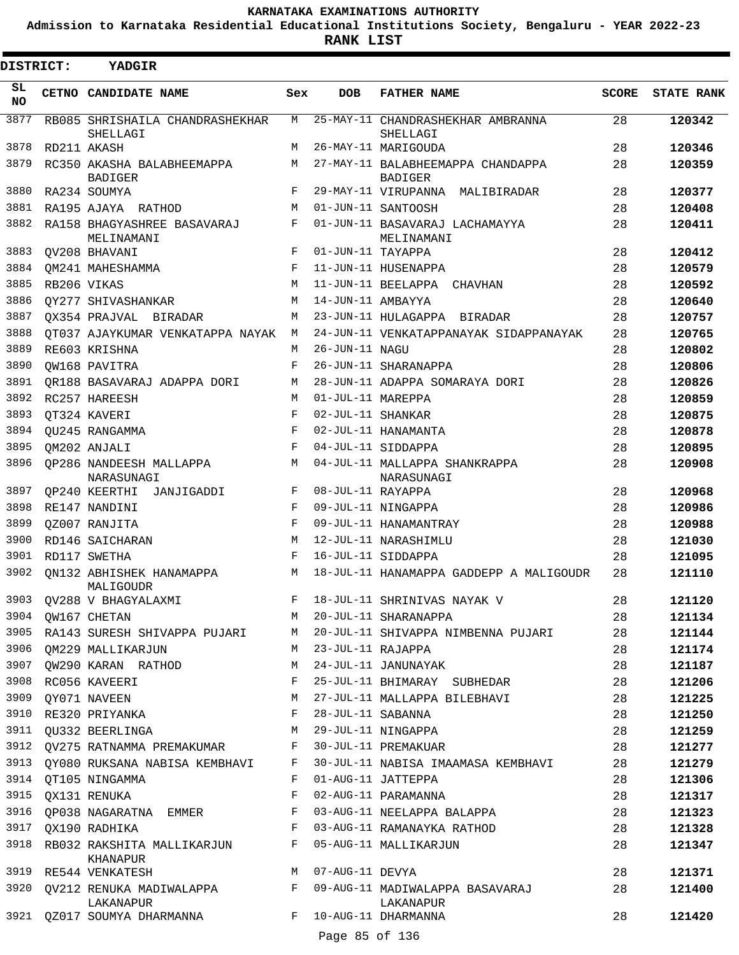**Admission to Karnataka Residential Educational Institutions Society, Bengaluru - YEAR 2022-23**

 $\blacksquare$ 

| <b>DISTRICT:</b> | YADGIR                                            |            |                   |                                                      |          |                   |
|------------------|---------------------------------------------------|------------|-------------------|------------------------------------------------------|----------|-------------------|
| SL<br>NO.        | CETNO CANDIDATE NAME                              | Sex        | <b>DOB</b>        | <b>FATHER NAME</b>                                   | SCORE    | <b>STATE RANK</b> |
| 3877             | RB085 SHRISHAILA CHANDRASHEKHAR<br>SHELLAGI       | M          |                   | 25-MAY-11 CHANDRASHEKHAR AMBRANNA<br>SHELLAGI        | 28       | 120342            |
| 3878             | RD211 AKASH                                       | М          |                   | 26-MAY-11 MARIGOUDA                                  | 28       | 120346            |
| 3879             | RC350 AKASHA BALABHEEMAPPA                        | M          |                   | 27-MAY-11 BALABHEEMAPPA CHANDAPPA                    | 28       | 120359            |
|                  | <b>BADIGER</b>                                    |            |                   | <b>BADIGER</b>                                       |          |                   |
| 3880<br>3881     | RA234 SOUMYA                                      | F          |                   | 29-MAY-11 VIRUPANNA MALIBIRADAR                      | 28<br>28 | 120377            |
| 3882             | RA195 AJAYA RATHOD<br>RA158 BHAGYASHREE BASAVARAJ | M<br>F     |                   | 01-JUN-11 SANTOOSH<br>01-JUN-11 BASAVARAJ LACHAMAYYA | 28       | 120408<br>120411  |
|                  | MELINAMANI                                        |            |                   | MELINAMANI                                           |          |                   |
| 3883             | OV208 BHAVANI                                     | F          | 01-JUN-11 TAYAPPA |                                                      | 28       | 120412            |
| 3884             | OM241 MAHESHAMMA                                  | F          |                   | 11-JUN-11 HUSENAPPA                                  | 28       | 120579            |
| 3885             | RB206 VIKAS                                       | M          |                   | 11-JUN-11 BEELAPPA CHAVHAN                           | 28       | 120592            |
| 3886             | OY277 SHIVASHANKAR                                | M          | 14-JUN-11 AMBAYYA |                                                      | 28       | 120640            |
| 3887             | OX354 PRAJVAL BIRADAR                             | M          |                   | 23-JUN-11 HULAGAPPA BIRADAR                          | 28       | 120757            |
| 3888             | OT037 AJAYKUMAR VENKATAPPA NAYAK                  | M          |                   | 24-JUN-11 VENKATAPPANAYAK SIDAPPANAYAK               | 28       | 120765            |
| 3889             | RE603 KRISHNA                                     | M          | 26-JUN-11 NAGU    |                                                      | 28       | 120802            |
| 3890             | OW168 PAVITRA                                     | F          |                   | 26-JUN-11 SHARANAPPA                                 | 28       | 120806            |
| 3891             | OR188 BASAVARAJ ADAPPA DORI                       | М          |                   | 28-JUN-11 ADAPPA SOMARAYA DORI                       | 28       | 120826            |
| 3892             | RC257 HAREESH                                     | M          | 01-JUL-11 MAREPPA |                                                      | 28       | 120859            |
| 3893             | OT324 KAVERI                                      | F          | 02-JUL-11 SHANKAR |                                                      | 28       | 120875            |
| 3894             | OU245 RANGAMMA                                    | $_{\rm F}$ |                   | 02-JUL-11 HANAMANTA                                  | 28       | 120878            |
| 3895             | QM202 ANJALI                                      | F          |                   | 04-JUL-11 SIDDAPPA                                   | 28       | 120895            |
| 3896             | OP286 NANDEESH MALLAPPA<br>NARASUNAGI             | М          |                   | 04-JUL-11 MALLAPPA SHANKRAPPA<br>NARASUNAGI          | 28       | 120908            |
| 3897             | QP240 KEERTHI JANJIGADDI                          | F          | 08-JUL-11 RAYAPPA |                                                      | 28       | 120968            |
| 3898             | RE147 NANDINI                                     | F          |                   | 09-JUL-11 NINGAPPA                                   | 28       | 120986            |
| 3899             | OZ007 RANJITA                                     | F          |                   | 09-JUL-11 HANAMANTRAY                                | 28       | 120988            |
| 3900             | RD146 SAICHARAN                                   | M          |                   | 12-JUL-11 NARASHIMLU                                 | 28       | 121030            |
| 3901             | RD117 SWETHA                                      | F          |                   | 16-JUL-11 SIDDAPPA                                   | 28       | 121095            |
| 3902             | ON132 ABHISHEK HANAMAPPA<br>MALIGOUDR             | M          |                   | 18-JUL-11 HANAMAPPA GADDEPP A MALIGOUDR              | 28       | 121110            |
|                  | 3903 QV288 V BHAGYALAXMI                          |            |                   | F 18-JUL-11 SHRINIVAS NAYAK V                        | 28       | 121120            |
| 3904             | QW167 CHETAN                                      | M          |                   | 20-JUL-11 SHARANAPPA                                 | 28       | 121134            |
| 3905             | RA143 SURESH SHIVAPPA PUJARI                      | M          |                   | 20-JUL-11 SHIVAPPA NIMBENNA PUJARI                   | 28       | 121144            |
| 3906             | OM229 MALLIKARJUN                                 | M          | 23-JUL-11 RAJAPPA |                                                      | 28       | 121174            |
|                  | 3907 QW290 KARAN RATHOD                           | M          |                   | 24-JUL-11 JANUNAYAK                                  | 28       | 121187            |
| 3908             | RC056 KAVEERI                                     | F          |                   | 25-JUL-11 BHIMARAY SUBHEDAR                          | 28       | 121206            |
| 3909             | OY071 NAVEEN                                      | М<br>F     |                   | 27-JUL-11 MALLAPPA BILEBHAVI                         | 28       | 121225<br>121250  |
|                  | 3910 RE320 PRIYANKA<br>3911 QU332 BEERLINGA       | M          | 28-JUL-11 SABANNA | 29-JUL-11 NINGAPPA                                   | 28<br>28 |                   |
|                  | 3912 QV275 RATNAMMA PREMAKUMAR                    | F          |                   | 30-JUL-11 PREMAKUAR                                  | 28       | 121259<br>121277  |
| 3913             | OY080 RUKSANA NABISA KEMBHAVI                     | F          |                   | 30-JUL-11 NABISA IMAAMASA KEMBHAVI                   | 28       | 121279            |
| 3914             | OT105 NINGAMMA                                    | F          |                   | 01-AUG-11 JATTEPPA                                   | 28       | 121306            |
| 3915             | QX131 RENUKA                                      | F          |                   | 02-AUG-11 PARAMANNA                                  | 28       | 121317            |
| 3916             | QP038 NAGARATNA EMMER                             | F          |                   | 03-AUG-11 NEELAPPA BALAPPA                           | 28       | 121323            |
| 3917             | OX190 RADHIKA                                     | F          |                   | 03-AUG-11 RAMANAYKA RATHOD                           | 28       | 121328            |
| 3918             | RB032 RAKSHITA MALLIKARJUN                        | F          |                   | 05-AUG-11 MALLIKARJUN                                | 28       | 121347            |
|                  | KHANAPUR<br>3919 RE544 VENKATESH                  | M          | 07-AUG-11 DEVYA   |                                                      | 28       | 121371            |
| 3920             | QV212 RENUKA MADIWALAPPA F                        |            |                   | 09-AUG-11 MADIWALAPPA BASAVARAJ                      | 28       | 121400            |
|                  | LAKANAPUR<br>3921 QZ017 SOUMYA DHARMANNA          | F          |                   | LAKANAPUR<br>10-AUG-11 DHARMANNA                     | 28       | 121420            |
|                  |                                                   |            | Page 85 of 136    |                                                      |          |                   |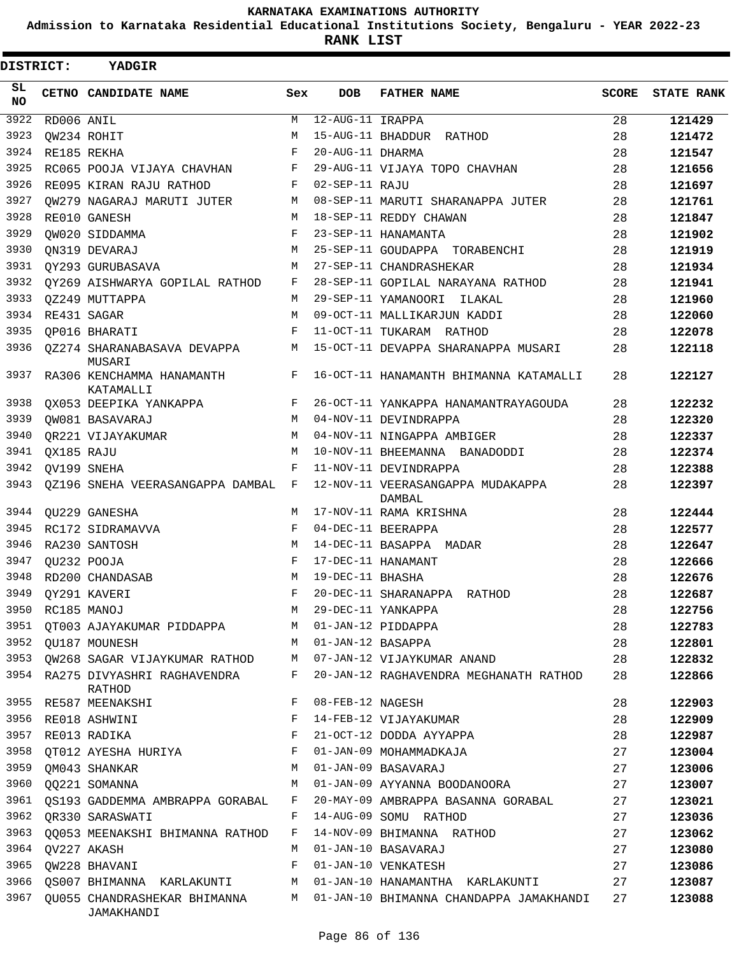**Admission to Karnataka Residential Educational Institutions Society, Bengaluru - YEAR 2022-23**

 $\blacksquare$ 

**RANK LIST**

| DISTRICT: |            | <b>YADGIR</b>                              |              |                   |                                           |       |                   |
|-----------|------------|--------------------------------------------|--------------|-------------------|-------------------------------------------|-------|-------------------|
| SL<br>NO. |            | CETNO CANDIDATE NAME                       | Sex          | <b>DOB</b>        | <b>FATHER NAME</b>                        | SCORE | <b>STATE RANK</b> |
| 3922      | RD006 ANIL |                                            | М            | 12-AUG-11 IRAPPA  |                                           | 28    | 121429            |
| 3923      |            | OW234 ROHIT                                | M            |                   | 15-AUG-11 BHADDUR RATHOD                  | 28    | 121472            |
| 3924      |            | RE185 REKHA                                | F            | 20-AUG-11 DHARMA  |                                           | 28    | 121547            |
| 3925      |            | RC065 POOJA VIJAYA CHAVHAN                 | F            |                   | 29-AUG-11 VIJAYA TOPO CHAVHAN             | 28    | 121656            |
| 3926      |            | RE095 KIRAN RAJU RATHOD                    | F            | 02-SEP-11 RAJU    |                                           | 28    | 121697            |
| 3927      |            | OW279 NAGARAJ MARUTI JUTER                 | M            |                   | 08-SEP-11 MARUTI SHARANAPPA JUTER         | 28    | 121761            |
| 3928      |            | RE010 GANESH                               | M            |                   | 18-SEP-11 REDDY CHAWAN                    | 28    | 121847            |
| 3929      |            | OW020 SIDDAMMA                             | F            |                   | 23-SEP-11 HANAMANTA                       | 28    | 121902            |
| 3930      |            | ON319 DEVARAJ                              | M            |                   | 25-SEP-11 GOUDAPPA TORABENCHI             | 28    | 121919            |
| 3931      |            | OY293 GURUBASAVA                           | M            |                   | 27-SEP-11 CHANDRASHEKAR                   | 28    | 121934            |
| 3932      |            | OY269 AISHWARYA GOPILAL RATHOD             | F            |                   | 28-SEP-11 GOPILAL NARAYANA RATHOD         | 28    | 121941            |
| 3933      |            | OZ249 MUTTAPPA                             | M            |                   | 29-SEP-11 YAMANOORI ILAKAL                | 28    | 121960            |
| 3934      |            | RE431 SAGAR                                | M            |                   | 09-OCT-11 MALLIKARJUN KADDI               | 28    | 122060            |
| 3935      |            | OP016 BHARATI                              | F            |                   | 11-OCT-11 TUKARAM RATHOD                  | 28    | 122078            |
| 3936      |            | 0Z274 SHARANABASAVA DEVAPPA<br>MUSARI      | М            |                   | 15-OCT-11 DEVAPPA SHARANAPPA MUSARI       | 28    | 122118            |
| 3937      |            | RA306 KENCHAMMA HANAMANTH<br>KATAMALLI     | F            |                   | 16-OCT-11 HANAMANTH BHIMANNA KATAMALLI    | 28    | 122127            |
| 3938      |            | OX053 DEEPIKA YANKAPPA                     | F            |                   | 26-OCT-11 YANKAPPA HANAMANTRAYAGOUDA      | 28    | 122232            |
| 3939      |            | QW081 BASAVARAJ                            | M            |                   | 04-NOV-11 DEVINDRAPPA                     | 28    | 122320            |
| 3940      |            | OR221 VIJAYAKUMAR                          | M            |                   | 04-NOV-11 NINGAPPA AMBIGER                | 28    | 122337            |
| 3941      | OX185 RAJU |                                            | M            |                   | 10-NOV-11 BHEEMANNA BANADODDI             | 28    | 122374            |
| 3942      |            | OV199 SNEHA                                | F            |                   | 11-NOV-11 DEVINDRAPPA                     | 28    | 122388            |
| 3943      |            | OZ196 SNEHA VEERASANGAPPA DAMBAL F         |              |                   | 12-NOV-11 VEERASANGAPPA MUDAKAPPA         | 28    | 122397            |
| 3944      |            | OU229 GANESHA                              | M            |                   | DAMBAL<br>17-NOV-11 RAMA KRISHNA          | 28    | 122444            |
| 3945      |            | RC172 SIDRAMAVVA                           | $\mathbf{F}$ |                   | 04-DEC-11 BEERAPPA                        | 28    | 122577            |
| 3946      |            | RA230 SANTOSH                              | M            |                   | 14-DEC-11 BASAPPA MADAR                   | 28    | 122647            |
| 3947      |            | QU232 POOJA                                | $_{\rm F}$   |                   | 17-DEC-11 HANAMANT                        | 28    | 122666            |
| 3948      |            | RD200 CHANDASAB                            | M            | 19-DEC-11 BHASHA  |                                           | 28    | 122676            |
| 3949      |            | OY291 KAVERI                               | F            |                   | 20-DEC-11 SHARANAPPA RATHOD               | 28    | 122687            |
| 3950      |            | RC185 MANOJ                                | M            |                   | 29-DEC-11 YANKAPPA                        | 28    | 122756            |
| 3951      |            | QT003 AJAYAKUMAR PIDDAPPA                  |              |                   | M 01-JAN-12 PIDDAPPA                      | 28    | 122783            |
| 3952      |            | OU187 MOUNESH                              | M            | 01-JAN-12 BASAPPA |                                           | 28    | 122801            |
| 3953      |            | QW268 SAGAR VIJAYKUMAR RATHOD              | M            |                   | 07-JAN-12 VIJAYKUMAR ANAND                | 28    | 122832            |
| 3954      |            | RA275 DIVYASHRI RAGHAVENDRA<br>RATHOD      | F            |                   | 20-JAN-12 RAGHAVENDRA MEGHANATH RATHOD    | 28    | 122866            |
| 3955      |            | RE587 MEENAKSHI                            | F            | 08-FEB-12 NAGESH  |                                           | 28    | 122903            |
| 3956      |            | RE018 ASHWINI                              | F            |                   | 14-FEB-12 VIJAYAKUMAR                     | 28    | 122909            |
| 3957      |            | RE013 RADIKA                               | F            |                   | 21-OCT-12 DODDA AYYAPPA                   | 28    | 122987            |
| 3958      |            | QT012 AYESHA HURIYA                        | F            |                   | 01-JAN-09 MOHAMMADKAJA                    | 27    | 123004            |
| 3959      |            | QM043 SHANKAR                              | M            |                   | 01-JAN-09 BASAVARAJ                       | 27    | 123006            |
| 3960      |            | QQ221 SOMANNA                              | M            |                   | 01-JAN-09 AYYANNA BOODANOORA              | 27    | 123007            |
| 3961      |            | OS193 GADDEMMA AMBRAPPA GORABAL            | F            |                   | 20-MAY-09 AMBRAPPA BASANNA GORABAL        | 27    | 123021            |
| 3962      |            | QR330 SARASWATI                            | F            |                   | 14-AUG-09 SOMU RATHOD                     | 27    | 123036            |
| 3963      |            | QQ053 MEENAKSHI BHIMANNA RATHOD            | F            |                   | 14-NOV-09 BHIMANNA RATHOD                 | 27    | 123062            |
| 3964      |            | QV227 AKASH                                | M            |                   | 01-JAN-10 BASAVARAJ                       | 27    | 123080            |
| 3965      |            | QW228 BHAVANI                              | F            |                   | 01-JAN-10 VENKATESH                       | 27    | 123086            |
| 3966      |            | QS007 BHIMANNA KARLAKUNTI                  | M            |                   | 01-JAN-10 HANAMANTHA KARLAKUNTI           | 27    | 123087            |
| 3967      |            | QU055 CHANDRASHEKAR BHIMANNA<br>JAMAKHANDI |              |                   | M 01-JAN-10 BHIMANNA CHANDAPPA JAMAKHANDI | 27    | 123088            |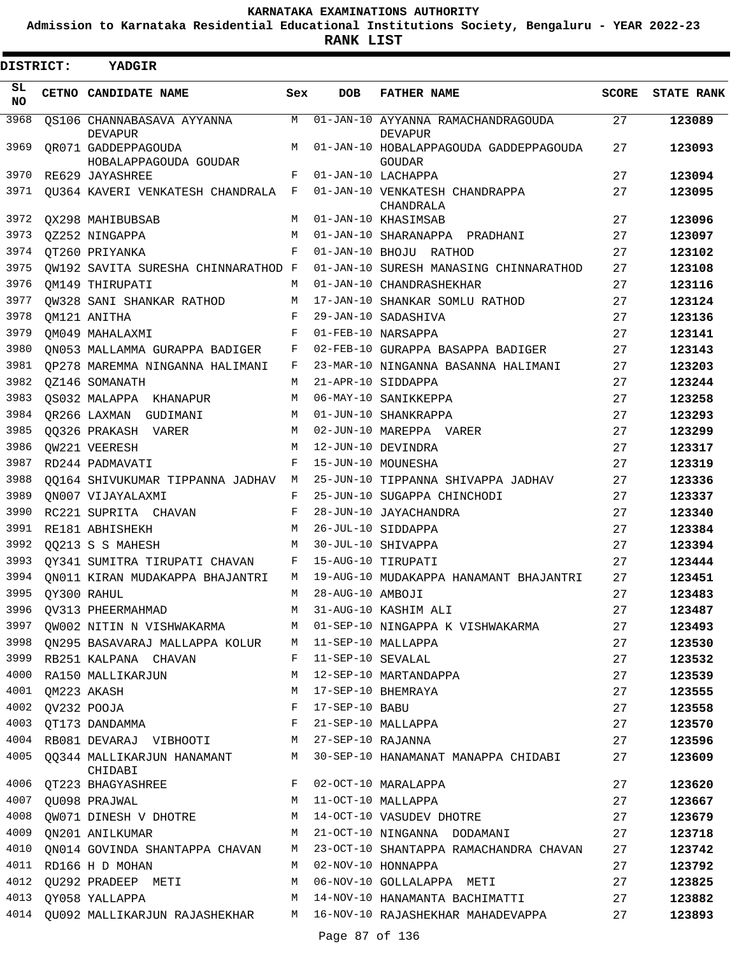**Admission to Karnataka Residential Educational Institutions Society, Bengaluru - YEAR 2022-23**

**RANK LIST**

| DISTRICT:       |                  | YADGIR                                                   |        |                   |                                                              |              |                   |
|-----------------|------------------|----------------------------------------------------------|--------|-------------------|--------------------------------------------------------------|--------------|-------------------|
| SL<br><b>NO</b> |                  | CETNO CANDIDATE NAME                                     | Sex    | <b>DOB</b>        | <b>FATHER NAME</b>                                           | <b>SCORE</b> | <b>STATE RANK</b> |
| 3968            |                  | OS106 CHANNABASAVA AYYANNA<br><b>DEVAPUR</b>             | M      |                   | 01-JAN-10 AYYANNA RAMACHANDRAGOUDA<br><b>DEVAPUR</b>         | 27           | 123089            |
| 3969            |                  | OR071 GADDEPPAGOUDA<br>HOBALAPPAGOUDA GOUDAR             | М      |                   | 01-JAN-10 HOBALAPPAGOUDA GADDEPPAGOUDA<br>GOUDAR             | 27           | 123093            |
| 3970            |                  | RE629 JAYASHREE                                          | F      |                   | 01-JAN-10 LACHAPPA                                           | 27           | 123094            |
| 3971            |                  | OU364 KAVERI VENKATESH CHANDRALA                         | F      |                   | 01-JAN-10 VENKATESH CHANDRAPPA<br>CHANDRALA                  | 27           | 123095            |
| 3972            |                  | OX298 MAHIBUBSAB                                         | M      |                   | 01-JAN-10 KHASIMSAB                                          | 27           | 123096            |
| 3973            |                  | OZ252 NINGAPPA                                           | M      |                   | 01-JAN-10 SHARANAPPA PRADHANI                                | 27           | 123097            |
| 3974            |                  | OT260 PRIYANKA                                           | F      |                   | 01-JAN-10 BHOJU RATHOD                                       | 27           | 123102            |
| 3975            |                  | OW192 SAVITA SURESHA CHINNARATHOD F                      |        |                   | 01-JAN-10 SURESH MANASING CHINNARATHOD                       | 27           | 123108            |
| 3976            |                  | OM149 THIRUPATI                                          | М      |                   | 01-JAN-10 CHANDRASHEKHAR                                     | 27           | 123116            |
| 3977            |                  | OW328 SANI SHANKAR RATHOD                                | М      |                   | 17-JAN-10 SHANKAR SOMLU RATHOD                               | 27           | 123124            |
| 3978            |                  | OM121 ANITHA                                             | F      |                   | 29-JAN-10 SADASHIVA                                          | 27           | 123136            |
| 3979            |                  | OM049 MAHALAXMI                                          | F      |                   | 01-FEB-10 NARSAPPA                                           | 27           | 123141            |
| 3980            |                  | ON053 MALLAMMA GURAPPA BADIGER                           | F      |                   | 02-FEB-10 GURAPPA BASAPPA BADIGER                            | 27           | 123143            |
| 3981            |                  | OP278 MAREMMA NINGANNA HALIMANI                          | F      |                   | 23-MAR-10 NINGANNA BASANNA HALIMANI                          | 27           | 123203            |
| 3982            |                  | OZ146 SOMANATH                                           | М      |                   | 21-APR-10 SIDDAPPA                                           | 27           | 123244            |
| 3983            |                  | OS032 MALAPPA KHANAPUR                                   | М      |                   | 06-MAY-10 SANIKKEPPA                                         | 27           | 123258            |
| 3984            |                  | OR266 LAXMAN GUDIMANI                                    | М      |                   | 01-JUN-10 SHANKRAPPA                                         | 27           | 123293            |
| 3985            |                  | 00326 PRAKASH VARER                                      | М      |                   | 02-JUN-10 MAREPPA VARER                                      | 27           | 123299            |
| 3986            |                  | OW221 VEERESH                                            | М      |                   | 12-JUN-10 DEVINDRA                                           | 27           | 123317            |
| 3987            |                  | RD244 PADMAVATI                                          | F      |                   | 15-JUN-10 MOUNESHA                                           | 27           | 123319            |
| 3988            |                  | 00164 SHIVUKUMAR TIPPANNA JADHAV                         | М      |                   | 25-JUN-10 TIPPANNA SHIVAPPA JADHAV                           | 27           | 123336            |
| 3989            |                  | ON007 VIJAYALAXMI                                        | F      |                   | 25-JUN-10 SUGAPPA CHINCHODI                                  | 27           | 123337            |
| 3990            |                  | RC221 SUPRITA CHAVAN                                     | F      |                   | 28-JUN-10 JAYACHANDRA                                        | 27           | 123340            |
| 3991            |                  | RE181 ABHISHEKH                                          | М      |                   | 26-JUL-10 SIDDAPPA                                           | 27           | 123384            |
| 3992            |                  | QQ213 S S MAHESH                                         | М      |                   | 30-JUL-10 SHIVAPPA                                           | 27           | 123394            |
| 3993            |                  | OY341 SUMITRA TIRUPATI CHAVAN                            | F      |                   | 15-AUG-10 TIRUPATI                                           | 27           | 123444            |
| 3994            |                  | ON011 KIRAN MUDAKAPPA BHAJANTRI                          | М      |                   | 19-AUG-10 MUDAKAPPA HANAMANT BHAJANTRI                       | 27           | 123451            |
| 3995            |                  | OY300 RAHUL                                              | M      | 28-AUG-10 AMBOJI  |                                                              | 27           | 123483            |
| 3996            |                  |                                                          | M      |                   | 31-AUG-10 KASHIM ALI                                         | 27           | 123487            |
| 3997            |                  | QV313 PHEERMAHMAD                                        |        |                   |                                                              |              |                   |
|                 |                  | 3998 QN295 BASAVARAJ MALLAPPA KOLUR M 11-SEP-10 MALLAPPA |        |                   | QW002 NITIN N VISHWAKARMA M 01-SEP-10 NINGAPPA K VISHWAKARMA | 27           | 123493            |
| 3999            |                  |                                                          | F      |                   |                                                              | 27           | 123530            |
| 4000            |                  | RB251 KALPANA CHAVAN<br>RA150 MALLIKARJUN                | М      | 11-SEP-10 SEVALAL |                                                              | 27           | 123532            |
| 4001            |                  |                                                          |        |                   | 12-SEP-10 MARTANDAPPA<br>17-SEP-10 BHEMRAYA                  | 27           | 123539            |
|                 |                  | QM223 AKASH                                              | М      | 17-SEP-10 BABU    |                                                              | 27           | 123555            |
| 4003            | 4002 QV232 POOJA |                                                          | F<br>F |                   |                                                              | 27           | 123558            |
| 4004            |                  | QT173 DANDAMMA                                           |        |                   | 21-SEP-10 MALLAPPA                                           | 27           | 123570            |
|                 |                  | RB081 DEVARAJ VIBHOOTI M 27-SEP-10 RAJANNA               |        |                   |                                                              | 27           | 123596            |
| 4005            |                  | QQ344 MALLIKARJUN HANAMANT<br>CHIDABI                    | M      |                   | 30-SEP-10 HANAMANAT MANAPPA CHIDABI                          | 27           | 123609            |
|                 |                  | 4006 QT223 BHAGYASHREE                                   | F      |                   | 02-OCT-10 MARALAPPA                                          | 27           | 123620            |
| 4007            |                  | QU098 PRAJWAL                                            |        |                   | M 11-OCT-10 MALLAPPA                                         | 27           | 123667            |
| 4008            |                  | QW071 DINESH V DHOTRE M                                  |        |                   | 14-OCT-10 VASUDEV DHOTRE                                     | 27           | 123679            |
| 4009            |                  | QN201 ANILKUMAR                                          | M      |                   | 21-OCT-10 NINGANNA DODAMANI                                  | 27           | 123718            |
| 4010            |                  | QN014 GOVINDA SHANTAPPA CHAVAN                           | М      |                   | 23-OCT-10 SHANTAPPA RAMACHANDRA CHAVAN                       | 27           | 123742            |
| 4011            |                  | RD166 H D MOHAN                                          | М      |                   | 02-NOV-10 HONNAPPA                                           | 27           | 123792            |
| 4012            |                  | QU292 PRADEEP METI                                       | M      |                   | 06-NOV-10 GOLLALAPPA METI                                    | 27           | 123825            |
| 4013            |                  | QY058 YALLAPPA                                           | М      |                   | 14-NOV-10 HANAMANTA BACHIMATTI                               | 27           | 123882            |
|                 |                  | 4014 QU092 MALLIKARJUN RAJASHEKHAR M                     |        |                   | 16-NOV-10 RAJASHEKHAR MAHADEVAPPA                            | 27           | 123893            |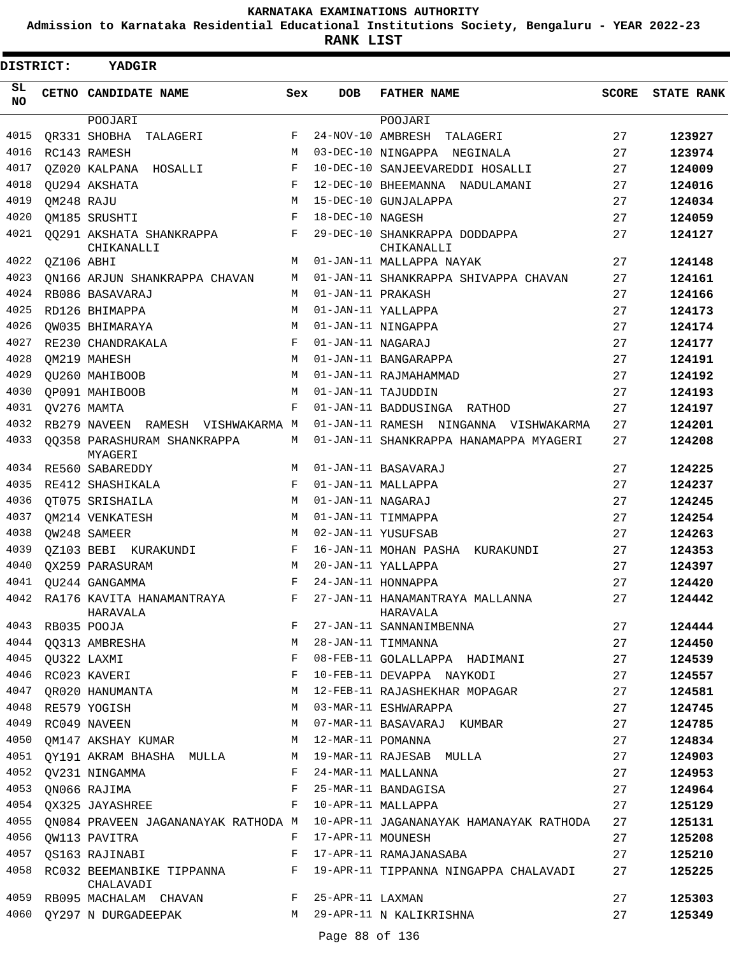**Admission to Karnataka Residential Educational Institutions Society, Bengaluru - YEAR 2022-23**

**RANK LIST**

| DISTRICT: |                  | <b>YADGIR</b>                                 |         |                     |                                                                             |       |                   |
|-----------|------------------|-----------------------------------------------|---------|---------------------|-----------------------------------------------------------------------------|-------|-------------------|
| SL<br>NO. |                  | CETNO CANDIDATE NAME                          | Sex     | <b>DOB</b>          | <b>FATHER NAME</b>                                                          | SCORE | <b>STATE RANK</b> |
|           |                  | POOJARI                                       |         |                     | POOJARI                                                                     |       |                   |
| 4015      |                  | OR331 SHOBHA TALAGERI                         | F       | 24-NOV-10 AMBRESH   | TALAGERI                                                                    | 27    | 123927            |
| 4016      |                  | RC143 RAMESH                                  | M       |                     | 03-DEC-10 NINGAPPA NEGINALA                                                 | 27    | 123974            |
| 4017      |                  | 0Z020 KALPANA HOSALLI                         | F       |                     | 10-DEC-10 SANJEEVAREDDI HOSALLI                                             | 27    | 124009            |
| 4018      |                  | OU294 AKSHATA                                 | F       |                     | 12-DEC-10 BHEEMANNA NADULAMANI                                              | 27    | 124016            |
| 4019      | QM248 RAJU       |                                               | M       |                     | 15-DEC-10 GUNJALAPPA                                                        | 27    | 124034            |
| 4020      |                  | OM185 SRUSHTI                                 | F       | 18-DEC-10 NAGESH    |                                                                             | 27    | 124059            |
| 4021      |                  | 00291 AKSHATA SHANKRAPPA<br>CHIKANALLI        | F       |                     | 29-DEC-10 SHANKRAPPA DODDAPPA<br>CHIKANALLI                                 | 27    | 124127            |
| 4022      | QZ106 ABHI       |                                               | M       |                     | 01-JAN-11 MALLAPPA NAYAK                                                    | 27    | 124148            |
| 4023      |                  | ON166 ARJUN SHANKRAPPA CHAVAN                 | M       |                     | 01-JAN-11 SHANKRAPPA SHIVAPPA CHAVAN                                        | 27    | 124161            |
| 4024      |                  | RB086 BASAVARAJ                               | М       | 01-JAN-11 PRAKASH   |                                                                             | 27    | 124166            |
| 4025      |                  | RD126 BHIMAPPA                                | М       |                     | 01-JAN-11 YALLAPPA                                                          | 27    | 124173            |
| 4026      |                  | OW035 BHIMARAYA                               | M       |                     | 01-JAN-11 NINGAPPA                                                          | 27    | 124174            |
| 4027      |                  | RE230 CHANDRAKALA                             | F       | 01-JAN-11 NAGARAJ   |                                                                             | 27    | 124177            |
| 4028      |                  | OM219 MAHESH                                  | M       |                     | 01-JAN-11 BANGARAPPA                                                        | 27    | 124191            |
| 4029      |                  | OU260 MAHIBOOB                                | M       |                     | 01-JAN-11 RAJMAHAMMAD                                                       | 27    | 124192            |
| 4030      |                  | OP091 MAHIBOOB                                | M       |                     | 01-JAN-11 TAJUDDIN                                                          | 27    | 124193            |
| 4031      |                  | QV276 MAMTA                                   | F       |                     | 01-JAN-11 BADDUSINGA RATHOD                                                 | 27    | 124197            |
| 4032      |                  | RB279 NAVEEN RAMESH VISHWAKARMA M             |         |                     | 01-JAN-11 RAMESH NINGANNA VISHWAKARMA                                       | 27    | 124201            |
| 4033      |                  | 00358 PARASHURAM SHANKRAPPA<br>MYAGERI        | М       |                     | 01-JAN-11 SHANKRAPPA HANAMAPPA MYAGERI                                      | 27    | 124208            |
| 4034      |                  | RE560 SABAREDDY                               | М       |                     | 01-JAN-11 BASAVARAJ                                                         | 27    | 124225            |
| 4035      |                  | RE412 SHASHIKALA                              | F       |                     | 01-JAN-11 MALLAPPA                                                          | 27    | 124237            |
| 4036      |                  | OT075 SRISHAILA                               | M       | 01-JAN-11 NAGARAJ   |                                                                             | 27    | 124245            |
| 4037      |                  | OM214 VENKATESH                               | М       |                     | 01-JAN-11 TIMMAPPA                                                          | 27    | 124254            |
| 4038      |                  | OW248 SAMEER                                  | М       |                     | 02-JAN-11 YUSUFSAB                                                          | 27    | 124263            |
| 4039      |                  | OZ103 BEBI KURAKUNDI                          | F       |                     | 16-JAN-11 MOHAN PASHA KURAKUNDI                                             | 27    | 124353            |
| 4040      |                  | OX259 PARASURAM                               | M       |                     | 20-JAN-11 YALLAPPA                                                          | 27    | 124397            |
| 4041      |                  | OU244 GANGAMMA                                | F       |                     | 24-JAN-11 HONNAPPA                                                          | 27    | 124420            |
|           |                  | 4042 RA176 KAVITA HANAMANTRAYA<br>HARAVALA    | F       |                     | 27-JAN-11 HANAMANTRAYA MALLANNA<br>HARAVALA                                 | 27    | 124442            |
|           | 4043 RB035 POOJA |                                               | $F$ and |                     | 27-JAN-11 SANNANIMBENNA                                                     | 27    | 124444            |
|           |                  | 4044 QQ313 AMBRESHA                           | M       |                     | 28-JAN-11 TIMMANNA                                                          | 27    | 124450            |
| 4045      |                  | QU322 LAXMI                                   | F       |                     | 08-FEB-11 GOLALLAPPA HADIMANI                                               | 27    | 124539            |
| 4046      |                  | RC023 KAVERI                                  | F       |                     | 10-FEB-11 DEVAPPA NAYKODI                                                   | 27    | 124557            |
| 4047      |                  | OR020 HANUMANTA                               | М       |                     | 12-FEB-11 RAJASHEKHAR MOPAGAR                                               | 27    | 124581            |
|           |                  | 4048 RE579 YOGISH                             | М       |                     | 03-MAR-11 ESHWARAPPA                                                        | 27    | 124745            |
| 4049      |                  | RC049 NAVEEN                                  | М       |                     | 07-MAR-11 BASAVARAJ KUMBAR                                                  | 27    | 124785            |
| 4050      |                  | QM147 AKSHAY KUMAR M                          |         |                     | 12-MAR-11 POMANNA                                                           | 27    | 124834            |
|           |                  |                                               |         |                     | 4051 QY191 AKRAM BHASHA MULLA M 19-MAR-11 RAJESAB MULLA                     | 27    | 124903            |
|           |                  | 4052 QV231 NINGAMMA                           |         |                     | F 24-MAR-11 MALLANNA                                                        | 27    | 124953            |
| 4053      |                  | QN066 RAJIMA                                  |         |                     | F 25-MAR-11 BANDAGISA                                                       | 27    | 124964            |
| 4054      |                  | QX325 JAYASHREE                               | F       |                     | 10-APR-11 MALLAPPA                                                          | 27    | 125129            |
| 4055      |                  |                                               |         |                     | QN084 PRAVEEN JAGANANAYAK RATHODA M 10-APR-11 JAGANANAYAK HAMANAYAK RATHODA | 27    | 125131            |
| 4056      |                  | QW113 PAVITRA                                 |         | F 17-APR-11 MOUNESH |                                                                             | 27    | 125208            |
| 4057      |                  | QS163 RAJINABI                                | F       |                     | 17-APR-11 RAMAJANASABA                                                      | 27    | 125210            |
| 4058      |                  | RC032 BEEMANBIKE TIPPANNA F<br>CHALAVADI      |         |                     | 19-APR-11 TIPPANNA NINGAPPA CHALAVADI                                       | 27    | 125225            |
|           |                  | 4059 RB095 MACHALAM CHAVAN F 25-APR-11 LAXMAN |         |                     |                                                                             | 27    | 125303            |
| 4060      |                  | QY297 N DURGADEEPAK                           |         |                     | M 29-APR-11 N KALIKRISHNA                                                   | 27    | 125349            |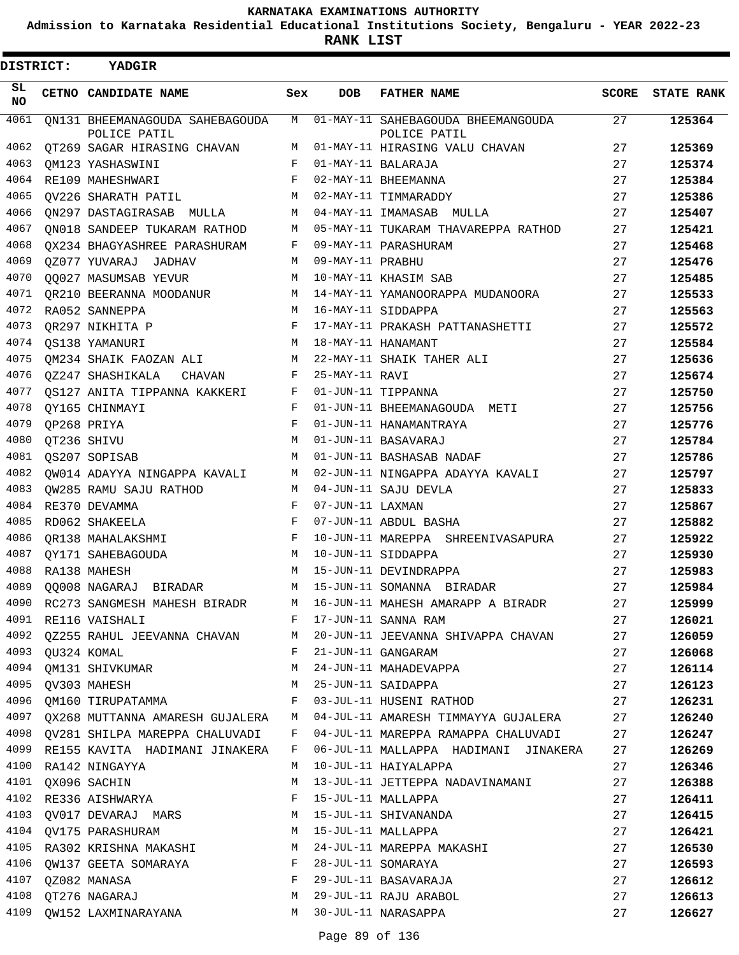**Admission to Karnataka Residential Educational Institutions Society, Bengaluru - YEAR 2022-23**

**RANK LIST**

 $\blacksquare$ 

| <b>DISTRICT:</b> | YADGIR                                          |     |                  |                                                    |       |                   |
|------------------|-------------------------------------------------|-----|------------------|----------------------------------------------------|-------|-------------------|
| SL<br>NO.        | CETNO CANDIDATE NAME                            | Sex | <b>DOB</b>       | <b>FATHER NAME</b>                                 | SCORE | <b>STATE RANK</b> |
| 4061             | ON131 BHEEMANAGOUDA SAHEBAGOUDA<br>POLICE PATIL | M   |                  | 01-MAY-11 SAHEBAGOUDA BHEEMANGOUDA<br>POLICE PATIL | 27    | 125364            |
| 4062             | OT269 SAGAR HIRASING CHAVAN                     | М   |                  | 01-MAY-11 HIRASING VALU CHAVAN                     | 27    | 125369            |
| 4063             | OM123 YASHASWINI                                | F   |                  | 01-MAY-11 BALARAJA                                 | 27    | 125374            |
| 4064             | RE109 MAHESHWARI                                | F   |                  | 02-MAY-11 BHEEMANNA                                | 27    | 125384            |
| 4065             | OV226 SHARATH PATIL                             | М   |                  | 02-MAY-11 TIMMARADDY                               | 27    | 125386            |
| 4066             | QN297 DASTAGIRASAB MULLA                        | М   |                  | 04-MAY-11 IMAMASAB MULLA                           | 27    | 125407            |
| 4067             | ON018 SANDEEP TUKARAM RATHOD                    | М   |                  | 05-MAY-11 TUKARAM THAVAREPPA RATHOD                | 27    | 125421            |
| 4068             | QX234 BHAGYASHREE PARASHURAM                    | F   |                  | 09-MAY-11 PARASHURAM                               | 27    | 125468            |
| 4069             | 0Z077 YUVARAJ JADHAV                            | М   | 09-MAY-11 PRABHU |                                                    | 27    | 125476            |
| 4070             | 00027 MASUMSAB YEVUR                            | М   |                  | 10-MAY-11 KHASIM SAB                               | 27    | 125485            |
| 4071             | OR210 BEERANNA MOODANUR                         | М   |                  | 14-MAY-11 YAMANOORAPPA MUDANOORA                   | 27    | 125533            |
| 4072             | RA052 SANNEPPA                                  | M   |                  | 16-MAY-11 SIDDAPPA                                 | 27    | 125563            |
| 4073             | OR297 NIKHITA P                                 | F   |                  | 17-MAY-11 PRAKASH PATTANASHETTI                    | 27    | 125572            |
| 4074             | OS138 YAMANURI                                  | М   |                  | 18-MAY-11 HANAMANT                                 | 27    | 125584            |
| 4075             | OM234 SHAIK FAOZAN ALI                          | М   |                  | 22-MAY-11 SHAIK TAHER ALI                          | 27    | 125636            |
| 4076             | QZ247 SHASHIKALA<br>CHAVAN                      | F   | 25-MAY-11 RAVI   |                                                    | 27    | 125674            |
| 4077             | OS127 ANITA TIPPANNA KAKKERI                    | F   |                  | 01-JUN-11 TIPPANNA                                 | 27    | 125750            |
| 4078             | OY165 CHINMAYI                                  | F   |                  | 01-JUN-11 BHEEMANAGOUDA METI                       | 27    | 125756            |
| 4079             | QP268 PRIYA                                     | F   |                  | 01-JUN-11 HANAMANTRAYA                             | 27    | 125776            |
| 4080             | QT236 SHIVU                                     | М   |                  | 01-JUN-11 BASAVARAJ                                | 27    | 125784            |
| 4081             | QS207 SOPISAB                                   | M   |                  | 01-JUN-11 BASHASAB NADAF                           | 27    | 125786            |
| 4082             | OW014 ADAYYA NINGAPPA KAVALI                    | М   |                  | 02-JUN-11 NINGAPPA ADAYYA KAVALI                   | 27    | 125797            |
| 4083             | OW285 RAMU SAJU RATHOD                          | М   |                  | 04-JUN-11 SAJU DEVLA                               | 27    | 125833            |
| 4084             | RE370 DEVAMMA                                   | F   | 07-JUN-11 LAXMAN |                                                    | 27    | 125867            |
| 4085             | RD062 SHAKEELA                                  | F   |                  | 07-JUN-11 ABDUL BASHA                              | 27    | 125882            |
| 4086             | OR138 MAHALAKSHMI                               | F   |                  | 10-JUN-11 MAREPPA SHREENIVASAPURA                  | 27    | 125922            |
| 4087             | QY171 SAHEBAGOUDA                               | M   |                  | 10-JUN-11 SIDDAPPA                                 | 27    | 125930            |
| 4088             | RA138 MAHESH                                    | М   |                  | 15-JUN-11 DEVINDRAPPA                              | 27    | 125983            |
| 4089             | QQ008 NAGARAJ BIRADAR                           | M   |                  | 15-JUN-11 SOMANNA BIRADAR                          | 27    | 125984            |
| 4090             | RC273 SANGMESH MAHESH BIRADR                    | M   |                  | 16-JUN-11 MAHESH AMARAPP A BIRADR                  | 27    | 125999            |
| 4091             | RE116 VAISHALI                                  | F   |                  | 17-JUN-11 SANNA RAM                                | 27    | 126021            |
| 4092             | QZ255 RAHUL JEEVANNA CHAVAN M                   |     |                  | 20-JUN-11 JEEVANNA SHIVAPPA CHAVAN                 | 27    | 126059            |
| 4093             | QU324 KOMAL                                     | F   |                  | 21-JUN-11 GANGARAM                                 | 27    | 126068            |
| 4094             | QM131 SHIVKUMAR                                 | M   |                  | 24-JUN-11 MAHADEVAPPA                              | 27    | 126114            |
| 4095             | QV303 MAHESH                                    | M   |                  | 25-JUN-11 SAIDAPPA                                 | 27    | 126123            |
|                  | 4096 OM160 TIRUPATAMMA                          | F   |                  | 03-JUL-11 HUSENI RATHOD                            | 27    | 126231            |
|                  | 4097 QX268 MUTTANNA AMARESH GUJALERA            | M   |                  | 04-JUL-11 AMARESH TIMMAYYA GUJALERA                | 27    | 126240            |
|                  | 4098 QV281 SHILPA MAREPPA CHALUVADI             | F   |                  | 04-JUL-11 MAREPPA RAMAPPA CHALUVADI                | 27    | 126247            |
| 4099             | RE155 KAVITA HADIMANI JINAKERA                  | F   |                  | 06-JUL-11 MALLAPPA HADIMANI JINAKERA               | 27    | 126269            |
|                  | 4100 RA142 NINGAYYA                             | М   |                  | 10-JUL-11 HAIYALAPPA                               | 27    | 126346            |
|                  | 4101 QX096 SACHIN                               | М   |                  | 13-JUL-11 JETTEPPA NADAVINAMANI                    | 27    | 126388            |
| 4102             | RE336 AISHWARYA                                 | F   |                  | 15-JUL-11 MALLAPPA                                 | 27    | 126411            |
| 4103             | QV017 DEVARAJ MARS                              | M   |                  | 15-JUL-11 SHIVANANDA                               | 27    | 126415            |
|                  | 4104 QV175 PARASHURAM                           | M   |                  | 15-JUL-11 MALLAPPA                                 | 27    | 126421            |
| 4105             | RA302 KRISHNA MAKASHI                           | M   |                  | 24-JUL-11 MAREPPA MAKASHI                          | 27    | 126530            |
| 4106             | QW137 GEETA SOMARAYA                            | F   |                  | 28-JUL-11 SOMARAYA                                 | 27    | 126593            |
| 4107             | QZ082 MANASA                                    | F   |                  | 29-JUL-11 BASAVARAJA                               | 27    | 126612            |
|                  | 4108 QT276 NAGARAJ                              | М   |                  | 29-JUL-11 RAJU ARABOL                              | 27    | 126613            |
| 4109             | OW152 LAXMINARAYANA                             |     |                  | M 30-JUL-11 NARASAPPA                              | 27    | 126627            |
|                  |                                                 |     |                  |                                                    |       |                   |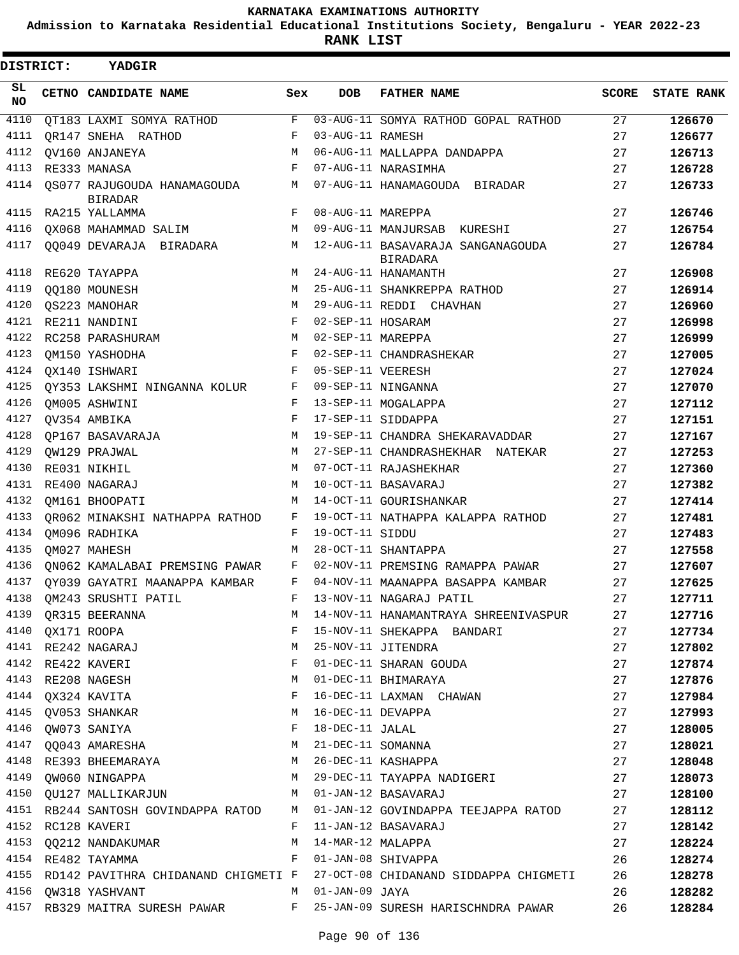**Admission to Karnataka Residential Educational Institutions Society, Bengaluru - YEAR 2022-23**

 $\blacksquare$ 

**RANK LIST**

| DISTRICT: | YADGIR                                        |       |                   |                                                                                   |              |                   |
|-----------|-----------------------------------------------|-------|-------------------|-----------------------------------------------------------------------------------|--------------|-------------------|
| SL<br>NO. | CETNO CANDIDATE NAME                          | Sex   | <b>DOB</b>        | <b>FATHER NAME</b>                                                                | <b>SCORE</b> | <b>STATE RANK</b> |
| 4110      | QT183 LAXMI SOMYA RATHOD                      | F     |                   | 03-AUG-11 SOMYA RATHOD GOPAL RATHOD                                               | 27           | 126670            |
| 4111      | OR147 SNEHA RATHOD                            | F     | 03-AUG-11 RAMESH  |                                                                                   | 27           | 126677            |
| 4112      | OV160 ANJANEYA                                | M     |                   | 06-AUG-11 MALLAPPA DANDAPPA                                                       | 27           | 126713            |
| 4113      | RE333 MANASA                                  | F     |                   | 07-AUG-11 NARASIMHA                                                               | 27           | 126728            |
| 4114      | OS077 RAJUGOUDA HANAMAGOUDA<br><b>BIRADAR</b> | M     |                   | 07-AUG-11 HANAMAGOUDA BIRADAR                                                     | 27           | 126733            |
| 4115      | RA215 YALLAMMA                                | F     | 08-AUG-11 MAREPPA |                                                                                   | 27           | 126746            |
| 4116      | QX068 MAHAMMAD SALIM                          | М     |                   | 09-AUG-11 MANJURSAB KURESHI                                                       | 27           | 126754            |
| 4117      | QQ049 DEVARAJA BIRADARA                       | M     |                   | 12-AUG-11 BASAVARAJA SANGANAGOUDA<br><b>BIRADARA</b>                              | 27           | 126784            |
| 4118      | RE620 TAYAPPA                                 | M     |                   | 24-AUG-11 HANAMANTH                                                               | 27           | 126908            |
| 4119      | QQ180 MOUNESH                                 | M     |                   | 25-AUG-11 SHANKREPPA RATHOD                                                       | 27           | 126914            |
| 4120      | OS223 MANOHAR                                 | M     |                   | 29-AUG-11 REDDI CHAVHAN                                                           | 27           | 126960            |
| 4121      | RE211 NANDINI                                 | F     | 02-SEP-11 HOSARAM |                                                                                   | 27           | 126998            |
| 4122      | RC258 PARASHURAM                              | М     | 02-SEP-11 MAREPPA |                                                                                   | 27           | 126999            |
| 4123      | OM150 YASHODHA                                | F     |                   | 02-SEP-11 CHANDRASHEKAR                                                           | 27           | 127005            |
| 4124      | QX140 ISHWARI                                 | F     | 05-SEP-11 VEERESH |                                                                                   | 27           | 127024            |
| 4125      | QY353 LAKSHMI NINGANNA KOLUR                  | F     |                   | 09-SEP-11 NINGANNA                                                                | 27           | 127070            |
| 4126      | QM005 ASHWINI                                 | F     |                   | 13-SEP-11 MOGALAPPA                                                               | 27           | 127112            |
| 4127      | QV354 AMBIKA                                  | F     |                   | 17-SEP-11 SIDDAPPA                                                                | 27           | 127151            |
| 4128      | OP167 BASAVARAJA                              | M     |                   | 19-SEP-11 CHANDRA SHEKARAVADDAR                                                   | 27           | 127167            |
| 4129      | OW129 PRAJWAL                                 | M     |                   | 27-SEP-11 CHANDRASHEKHAR NATEKAR                                                  | 27           | 127253            |
| 4130      | RE031 NIKHIL                                  | M     |                   | 07-OCT-11 RAJASHEKHAR                                                             | 27           | 127360            |
| 4131      | RE400 NAGARAJ                                 | M     |                   | 10-OCT-11 BASAVARAJ                                                               | 27           | 127382            |
| 4132      | OM161 BHOOPATI                                | M     |                   | 14-OCT-11 GOURISHANKAR                                                            | 27           | 127414            |
| 4133      | OR062 MINAKSHI NATHAPPA RATHOD                | F     |                   | 19-OCT-11 NATHAPPA KALAPPA RATHOD                                                 | 27           | 127481            |
| 4134      | OM096 RADHIKA                                 | F     | 19-OCT-11 SIDDU   |                                                                                   | 27           | 127483            |
| 4135      | OM027 MAHESH                                  | M     |                   | 28-OCT-11 SHANTAPPA                                                               | 27           | 127558            |
| 4136      | ON062 KAMALABAI PREMSING PAWAR                | F     |                   | 02-NOV-11 PREMSING RAMAPPA PAWAR                                                  | 27           | 127607            |
| 4137      | OY039 GAYATRI MAANAPPA KAMBAR                 | F     |                   | 04-NOV-11 MAANAPPA BASAPPA KAMBAR                                                 | 27           | 127625            |
|           | 4138 QM243 SRUSHTI PATIL                      |       |                   | F 13-NOV-11 NAGARAJ PATIL                                                         | 27           | 127711            |
|           | 4139 QR315 BEERANNA                           |       |                   | M 14-NOV-11 HANAMANTRAYA SHREENIVASPUR                                            | 27           | 127716            |
|           | 4140 QX171 ROOPA                              |       |                   | F 15-NOV-11 SHEKAPPA BANDARI                                                      | 27           | 127734            |
|           | 4141 RE242 NAGARAJ                            |       |                   | M 25-NOV-11 JITENDRA                                                              | 27           | 127802            |
|           | 4142 RE422 KAVERI                             | $F -$ |                   | 01-DEC-11 SHARAN GOUDA                                                            | 27           | 127874            |
|           | 4143 RE208 NAGESH                             |       |                   | M 01-DEC-11 BHIMARAYA                                                             | 27           | 127876            |
|           | 4144 QX324 KAVITA                             |       |                   | F 16-DEC-11 LAXMAN CHAWAN                                                         | 27           | 127984            |
|           | 4145 QV053 SHANKAR                            |       |                   | M 16-DEC-11 DEVAPPA                                                               | 27           | 127993            |
|           | 4146 QW073 SANIYA                             |       | F 18-DEC-11 JALAL |                                                                                   | 27           | 128005            |
|           | 4147 QQ043 AMARESHA                           |       |                   | M 21-DEC-11 SOMANNA                                                               | 27           | 128021            |
|           | 4148 RE393 BHEEMARAYA M 26-DEC-11 KASHAPPA    |       |                   |                                                                                   | 27           | 128048            |
|           |                                               |       |                   | 4149 QW060 NINGAPPA (MERRY 29-DEC-11 TAYAPPA NADIGERI                             | 27           | 128073            |
|           | 4150 QU127 MALLIKARJUN M 01-JAN-12 BASAVARAJ  |       |                   |                                                                                   | 27           | 128100            |
|           |                                               |       |                   | 4151 RB244 SANTOSH GOVINDAPPA RATOD M 01-JAN-12 GOVINDAPPA TEEJAPPA RATOD         | 27           | 128112            |
|           | 4152 RC128 KAVERI                             |       |                   | F 11-JAN-12 BASAVARAJ                                                             | 27           | 128142            |
|           | 4153 QQ212 NANDAKUMAR M 14-MAR-12 MALAPPA     |       |                   |                                                                                   | 27           | 128224            |
|           | 4154 RE482 TAYAMMA                            |       |                   | F 01-JAN-08 SHIVAPPA                                                              | 26           | 128274            |
|           |                                               |       |                   | 4155 RD142 PAVITHRA CHIDANAND CHIGMETI F 27-OCT-08 CHIDANAND SIDDAPPA CHIGMETI 26 |              | 128278            |
|           | 4156 QW318 YASHVANT M 01-JAN-09 JAYA          |       |                   |                                                                                   | 26           | 128282            |
|           |                                               |       |                   | 4157 RB329 MAITRA SURESH PAWAR F 25-JAN-09 SURESH HARISCHNDRA PAWAR               | 26           | 128284            |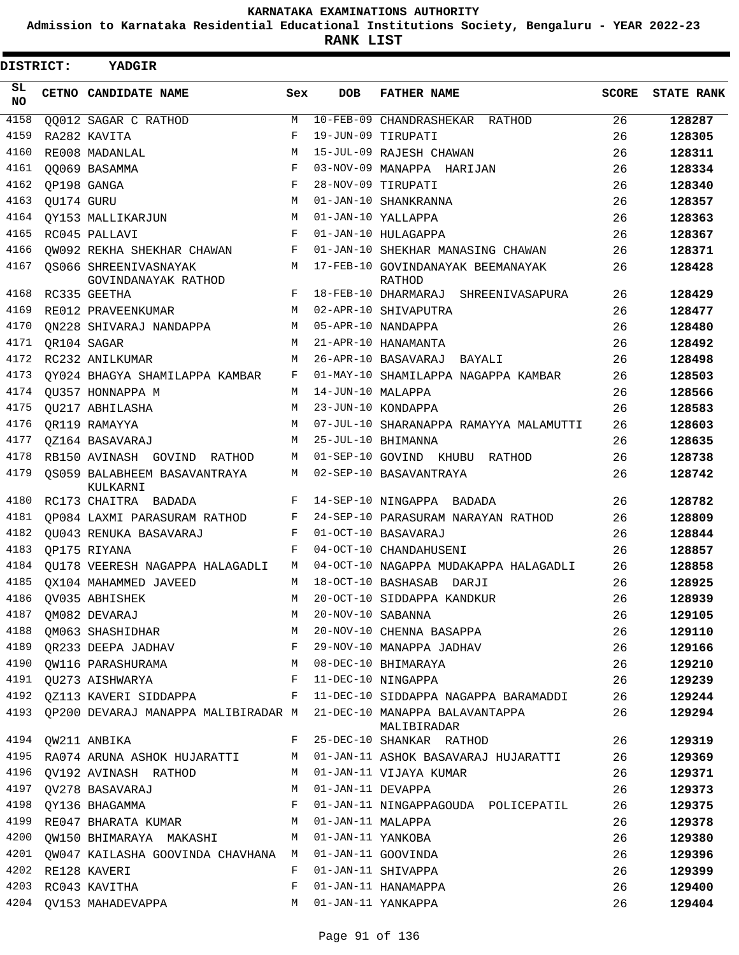**Admission to Karnataka Residential Educational Institutions Society, Bengaluru - YEAR 2022-23**

**RANK LIST**

| DISTRICT:       |            | YADGIR                                                             |            |                   |                                                                                         |              |                   |
|-----------------|------------|--------------------------------------------------------------------|------------|-------------------|-----------------------------------------------------------------------------------------|--------------|-------------------|
| SL<br><b>NO</b> |            | CETNO CANDIDATE NAME                                               | Sex        | <b>DOB</b>        | <b>FATHER NAME</b>                                                                      | <b>SCORE</b> | <b>STATE RANK</b> |
| 4158            |            | QQ012 SAGAR C RATHOD                                               | M          |                   | 10-FEB-09 CHANDRASHEKAR RATHOD                                                          | 26           | 128287            |
| 4159            |            | RA282 KAVITA                                                       | F          |                   | 19-JUN-09 TIRUPATI                                                                      | 26           | 128305            |
| 4160            |            | RE008 MADANLAL                                                     | М          |                   | 15-JUL-09 RAJESH CHAWAN                                                                 | 26           | 128311            |
| 4161            |            | 00069 BASAMMA                                                      | F          |                   | 03-NOV-09 MANAPPA HARIJAN                                                               | 26           | 128334            |
| 4162            |            | OP198 GANGA                                                        | F          |                   | 28-NOV-09 TIRUPATI                                                                      | 26           | 128340            |
| 4163            | QU174 GURU |                                                                    | M          |                   | 01-JAN-10 SHANKRANNA                                                                    | 26           | 128357            |
| 4164            |            | OY153 MALLIKARJUN                                                  | M          |                   | 01-JAN-10 YALLAPPA                                                                      | 26           | 128363            |
| 4165            |            | RC045 PALLAVI                                                      | F          |                   | 01-JAN-10 HULAGAPPA                                                                     | 26           | 128367            |
| 4166            |            | OW092 REKHA SHEKHAR CHAWAN                                         | F          |                   | 01-JAN-10 SHEKHAR MANASING CHAWAN                                                       | 26           | 128371            |
| 4167            |            | OS066 SHREENIVASNAYAK<br>GOVINDANAYAK RATHOD                       | M          |                   | 17-FEB-10 GOVINDANAYAK BEEMANAYAK<br>RATHOD                                             | 26           | 128428            |
| 4168            |            | RC335 GEETHA                                                       | F          |                   | 18-FEB-10 DHARMARAJ SHREENIVASAPURA                                                     | 26           | 128429            |
| 4169            |            | RE012 PRAVEENKUMAR                                                 | M          |                   | 02-APR-10 SHIVAPUTRA                                                                    | 26           | 128477            |
| 4170            |            | ON228 SHIVARAJ NANDAPPA                                            | М          |                   | 05-APR-10 NANDAPPA                                                                      | 26           | 128480            |
| 4171            |            | OR104 SAGAR                                                        | М          |                   | 21-APR-10 HANAMANTA                                                                     | 26           | 128492            |
| 4172            |            | RC232 ANILKUMAR                                                    | М          |                   | 26-APR-10 BASAVARAJ BAYALI                                                              | 26           | 128498            |
| 4173            |            | OY024 BHAGYA SHAMILAPPA KAMBAR                                     | F          |                   | 01-MAY-10 SHAMILAPPA NAGAPPA KAMBAR                                                     | 26           | 128503            |
| 4174            |            | OU357 HONNAPPA M                                                   | М          | 14-JUN-10 MALAPPA |                                                                                         | 26           | 128566            |
| 4175            |            | OU217 ABHILASHA                                                    | М          |                   | 23-JUN-10 KONDAPPA                                                                      | 26           | 128583            |
| 4176            |            | OR119 RAMAYYA                                                      | M          |                   | 07-JUL-10 SHARANAPPA RAMAYYA MALAMUTTI                                                  | 26           | 128603            |
| 4177            |            | QZ164 BASAVARAJ                                                    | M          |                   | 25-JUL-10 BHIMANNA                                                                      | 26           | 128635            |
| 4178            |            | RB150 AVINASH GOVIND RATHOD                                        | М          |                   | 01-SEP-10 GOVIND KHUBU<br>RATHOD                                                        | 26           | 128738            |
| 4179            |            | <b>QS059 BALABHEEM BASAVANTRAYA</b><br>KULKARNI                    | М          |                   | 02-SEP-10 BASAVANTRAYA                                                                  | 26           | 128742            |
| 4180            |            | RC173 CHAITRA BADADA                                               | F          |                   | 14-SEP-10 NINGAPPA BADADA                                                               | 26           | 128782            |
| 4181            |            | QP084 LAXMI PARASURAM RATHOD                                       | F          |                   | 24-SEP-10 PARASURAM NARAYAN RATHOD                                                      | 26           | 128809            |
| 4182            |            | OU043 RENUKA BASAVARAJ                                             | F          |                   | 01-OCT-10 BASAVARAJ                                                                     | 26           | 128844            |
| 4183            |            | OP175 RIYANA                                                       | $_{\rm F}$ |                   | 04-OCT-10 CHANDAHUSENI                                                                  | 26           | 128857            |
| 4184            |            | OU178 VEERESH NAGAPPA HALAGADLI                                    | M          |                   | 04-OCT-10 NAGAPPA MUDAKAPPA HALAGADLI                                                   | 26           | 128858            |
| 4185            |            | OX104 MAHAMMED JAVEED                                              | М          |                   | 18-OCT-10 BASHASAB DARJI                                                                | 26           | 128925            |
|                 |            | 4186 QV035 ABHISHEK                                                | M          |                   | 20-OCT-10 SIDDAPPA KANDKUR                                                              | 26           | 128939            |
|                 |            | 4186 QV035 ABHISHEK<br>4187 QM082 DEVARAJ<br>4188 QM063 SHASHIDHAR | М          | 20-NOV-10 SABANNA |                                                                                         | 26           | 129105            |
|                 |            |                                                                    |            |                   | M 20-NOV-10 CHENNA BASAPPA                                                              | 26           | 129110            |
| 4189            |            | QR233 DEEPA JADHAV F                                               |            |                   | 29-NOV-10 MANAPPA JADHAV                                                                | 26           | 129166            |
|                 |            | 4190 QW116 PARASHURAMA M                                           |            |                   | 08-DEC-10 BHIMARAYA                                                                     | 26           | 129210            |
|                 |            | 4191 QU273 AISHWARYA $F$ 11-DEC-10 NINGAPPA                        |            |                   |                                                                                         | 26           | 129239            |
|                 |            |                                                                    |            |                   | 4192 QZ113 KAVERI SIDDAPPA           F   11-DEC-10 SIDDAPPA NAGAPPA BARAMADDI           | 26           | 129244            |
|                 |            |                                                                    |            |                   | 4193 QP200 DEVARAJ MANAPPA MALIBIRADAR M  21-DEC-10 MANAPPA BALAVANTAPPA<br>MALIBIRADAR | 26           | 129294            |
|                 |            | 4194 QW211 ANBIKA                                                  |            |                   | F 25-DEC-10 SHANKAR RATHOD                                                              | 26           | 129319            |
|                 |            |                                                                    |            |                   | 4195 RA074 ARUNA ASHOK HUJARATTI MANUM MUJAN-11 ASHOK BASAVARAJ HUJARATTI               | 26           | 129369            |
|                 |            | 4196 QV192 AVINASH RATHOD M 01-JAN-11 VIJAYA KUMAR                 |            |                   |                                                                                         | 26           | 129371            |
|                 |            | 4197 QV278 BASAVARAJ<br>M                                          |            | 01-JAN-11 DEVAPPA |                                                                                         | 26           | 129373            |
| 4198            |            | QY136 BHAGAMMA                                                     | F          |                   | 01-JAN-11 NINGAPPAGOUDA POLICEPATIL                                                     | 26           | 129375            |
| 4199            |            | RE047 BHARATA KUMAR M                                              |            | 01-JAN-11 MALAPPA |                                                                                         | 26           | 129378            |
|                 |            | 4200 QW150 BHIMARAYA MAKASHI M                                     |            | 01-JAN-11 YANKOBA |                                                                                         | 26           | 129380            |
| 4201            |            | QW047 KAILASHA GOOVINDA CHAVHANA M                                 |            |                   | 01-JAN-11 GOOVINDA                                                                      | 26           | 129396            |
|                 |            | 4202 RE128 KAVERI                                                  | F          |                   | 01-JAN-11 SHIVAPPA                                                                      | 26           | 129399            |
|                 |            | 4203 RC043 KAVITHA                                                 | F          |                   | 01-JAN-11 HANAMAPPA                                                                     | 26           | 129400            |
|                 |            | 4204 QV153 MAHADEVAPPA                                             | M          |                   | 01-JAN-11 YANKAPPA                                                                      | 26           | 129404            |
|                 |            |                                                                    |            |                   |                                                                                         |              |                   |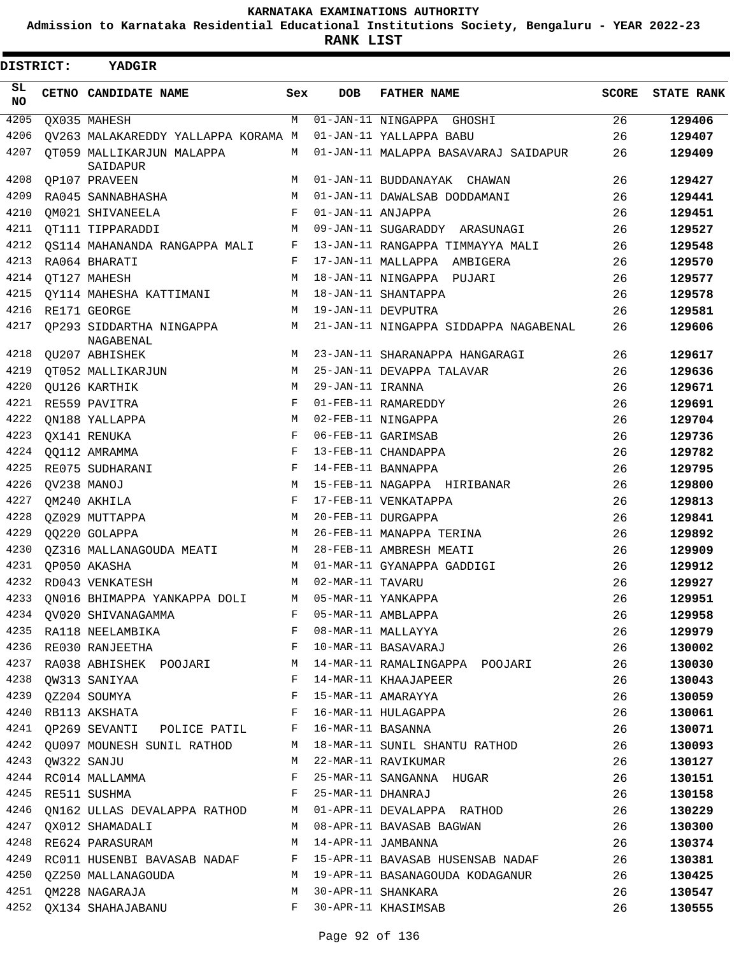**Admission to Karnataka Residential Educational Institutions Society, Bengaluru - YEAR 2022-23**

**RANK LIST**

| <b>DISTRICT:</b> |  | <b>YADGIR</b>                                                                                                                                                                                                                                        |              |                    |                                                                     |              |                   |
|------------------|--|------------------------------------------------------------------------------------------------------------------------------------------------------------------------------------------------------------------------------------------------------|--------------|--------------------|---------------------------------------------------------------------|--------------|-------------------|
| SL<br><b>NO</b>  |  | CETNO CANDIDATE NAME                                                                                                                                                                                                                                 | Sex          | <b>DOB</b>         | <b>FATHER NAME</b>                                                  | <b>SCORE</b> | <b>STATE RANK</b> |
| 4205             |  | QX035 MAHESH                                                                                                                                                                                                                                         | M            |                    | 01-JAN-11 NINGAPPA GHOSHI                                           | 26           | 129406            |
| 4206             |  | QV263 MALAKAREDDY YALLAPPA KORAMA M                                                                                                                                                                                                                  |              |                    | 01-JAN-11 YALLAPPA BABU                                             | 26           | 129407            |
| 4207             |  | OT059 MALLIKARJUN MALAPPA<br>SAIDAPUR                                                                                                                                                                                                                | М            |                    | 01-JAN-11 MALAPPA BASAVARAJ SAIDAPUR                                | 26           | 129409            |
| 4208             |  | OP107 PRAVEEN                                                                                                                                                                                                                                        | М            |                    | 01-JAN-11 BUDDANAYAK CHAWAN                                         | 26           | 129427            |
| 4209             |  | RA045 SANNABHASHA                                                                                                                                                                                                                                    | М            |                    | 01-JAN-11 DAWALSAB DODDAMANI                                        | 26           | 129441            |
| 4210             |  | QM021 SHIVANEELA                                                                                                                                                                                                                                     | F            | 01-JAN-11 ANJAPPA  |                                                                     | 26           | 129451            |
| 4211             |  | QT111 TIPPARADDI                                                                                                                                                                                                                                     | M            |                    | 09-JAN-11 SUGARADDY ARASUNAGI                                       | 26           | 129527            |
| 4212             |  | OS114 MAHANANDA RANGAPPA MALI                                                                                                                                                                                                                        | F            |                    | 13-JAN-11 RANGAPPA TIMMAYYA MALI                                    | 26           | 129548            |
| 4213             |  | RA064 BHARATI                                                                                                                                                                                                                                        | F            |                    | 17-JAN-11 MALLAPPA AMBIGERA                                         | 26           | 129570            |
| 4214             |  | OT127 MAHESH                                                                                                                                                                                                                                         | М            |                    | 18-JAN-11 NINGAPPA PUJARI                                           | 26           | 129577            |
| 4215             |  | QY114 MAHESHA KATTIMANI                                                                                                                                                                                                                              | M            |                    | 18-JAN-11 SHANTAPPA                                                 | 26           | 129578            |
| 4216             |  | RE171 GEORGE                                                                                                                                                                                                                                         | М            |                    | 19-JAN-11 DEVPUTRA                                                  | 26           | 129581            |
| 4217             |  | OP293 SIDDARTHA NINGAPPA<br>NAGABENAL                                                                                                                                                                                                                | М            |                    | 21-JAN-11 NINGAPPA SIDDAPPA NAGABENAL                               | 26           | 129606            |
| 4218             |  | QU207 ABHISHEK                                                                                                                                                                                                                                       | M            |                    | 23-JAN-11 SHARANAPPA HANGARAGI                                      | 26           | 129617            |
| 4219             |  | QT052 MALLIKARJUN                                                                                                                                                                                                                                    | М            |                    | 25-JAN-11 DEVAPPA TALAVAR                                           | 26           | 129636            |
| 4220             |  | QU126 KARTHIK                                                                                                                                                                                                                                        | M            | 29-JAN-11 IRANNA   |                                                                     | 26           | 129671            |
| 4221             |  | RE559 PAVITRA                                                                                                                                                                                                                                        | F            |                    | 01-FEB-11 RAMAREDDY                                                 | 26           | 129691            |
| 4222             |  | QN188 YALLAPPA                                                                                                                                                                                                                                       | М            |                    | 02-FEB-11 NINGAPPA                                                  | 26           | 129704            |
| 4223             |  | QX141 RENUKA                                                                                                                                                                                                                                         | F            |                    | 06-FEB-11 GARIMSAB                                                  | 26           | 129736            |
| 4224             |  | QQ112 AMRAMMA                                                                                                                                                                                                                                        | F            |                    | 13-FEB-11 CHANDAPPA                                                 | 26           | 129782            |
| 4225             |  | RE075 SUDHARANI                                                                                                                                                                                                                                      | F            |                    | 14-FEB-11 BANNAPPA                                                  | 26           | 129795            |
| 4226             |  | QV238 MANOJ                                                                                                                                                                                                                                          | М            |                    | 15-FEB-11 NAGAPPA HIRIBANAR                                         | 26           | 129800            |
| 4227             |  | QM240 AKHILA                                                                                                                                                                                                                                         | F            |                    | 17-FEB-11 VENKATAPPA                                                | 26           | 129813            |
| 4228             |  | QZ029 MUTTAPPA                                                                                                                                                                                                                                       | M            | 20-FEB-11 DURGAPPA |                                                                     | 26           | 129841            |
| 4229             |  | QQ220 GOLAPPA                                                                                                                                                                                                                                        | M            |                    | 26-FEB-11 MANAPPA TERINA                                            | 26           | 129892            |
| 4230             |  | QZ316 MALLANAGOUDA MEATI                                                                                                                                                                                                                             | M            |                    | 28-FEB-11 AMBRESH MEATI                                             | 26           | 129909            |
| 4231             |  | QP050 AKASHA                                                                                                                                                                                                                                         | M            |                    | 01-MAR-11 GYANAPPA GADDIGI                                          | 26           | 129912            |
|                  |  | 4232 RD043 VENKATESH                                                                                                                                                                                                                                 | M            | 02-MAR-11 TAVARU   |                                                                     | 26           | 129927            |
|                  |  | 4233 QN016 BHIMAPPA YANKAPPA DOLI M 05-MAR-11 YANKAPPA                                                                                                                                                                                               |              |                    |                                                                     | 26           | 129951            |
| 4234             |  | QV020 SHIVANAGAMMA F                                                                                                                                                                                                                                 |              |                    | 05-MAR-11 AMBLAPPA                                                  | 26           | 129958            |
| 4235             |  | RA118 NEELAMBIKA F                                                                                                                                                                                                                                   |              |                    | 08-MAR-11 MALLAYYA                                                  | 26           | 129979            |
|                  |  | 4236 RE030 RANJEETHA F                                                                                                                                                                                                                               |              |                    | 10-MAR-11 BASAVARAJ                                                 | 26           | 130002            |
|                  |  | 4237 RA038 ABHISHEK POOJARI M                                                                                                                                                                                                                        |              |                    | 14-MAR-11 RAMALINGAPPA POOJARI                                      | 26           | 130030            |
| 4238             |  | OW313 SANIYAA<br><b>Example 2</b> Experience of the second series of the series of the series of the series of the series of the series of the series of the series of the series of the series of the series of the series of the series of the ser |              |                    | 14-MAR-11 KHAAJAPEER                                                | 26           | 130043            |
| 4239             |  | QZ204 SOUMYA<br>$\mathbf{F}$                                                                                                                                                                                                                         |              |                    | 15-MAR-11 AMARAYYA                                                  | 26           | 130059            |
|                  |  | 4240 RB113 AKSHATA                                                                                                                                                                                                                                   | $\mathbf{F}$ |                    | 16-MAR-11 HULAGAPPA                                                 | 26           | 130061            |
|                  |  | 4241 QP269 SEVANTI POLICE PATIL F 16-MAR-11 BASANNA                                                                                                                                                                                                  |              |                    |                                                                     | 26           | 130071            |
|                  |  |                                                                                                                                                                                                                                                      |              |                    | 4242 QU097 MOUNESH SUNIL RATHOD M 18-MAR-11 SUNIL SHANTU RATHOD     | 26           | 130093            |
| 4243             |  | QW322 SANJU                                                                                                                                                                                                                                          | М            |                    | 22-MAR-11 RAVIKUMAR                                                 | 26           | 130127            |
|                  |  | 4244 RC014 MALLAMMA                                                                                                                                                                                                                                  | F            |                    | 25-MAR-11 SANGANNA HUGAR                                            | 26           | 130151            |
|                  |  | 4245 RE511 SUSHMA                                                                                                                                                                                                                                    | $\mathbf{F}$ |                    | 25-MAR-11 DHANRAJ                                                   | 26           | 130158            |
| 4246             |  |                                                                                                                                                                                                                                                      |              |                    | QN162 ULLAS DEVALAPPA RATHOD M 01-APR-11 DEVALAPPA RATHOD           | 26           | 130229            |
| 4247             |  | QX012 SHAMADALI                                                                                                                                                                                                                                      | M            |                    | 08-APR-11 BAVASAB BAGWAN                                            | 26           | 130300            |
|                  |  | 4248 RE624 PARASURAM                                                                                                                                                                                                                                 |              |                    | M 14-APR-11 JAMBANNA                                                | 26           | 130374            |
|                  |  |                                                                                                                                                                                                                                                      |              |                    | 4249 RC011 HUSENBI BAVASAB NADAF F 15-APR-11 BAVASAB HUSENSAB NADAF | 26           | 130381            |
|                  |  | 4250 QZ250 MALLANAGOUDA                                                                                                                                                                                                                              | M            |                    | 19-APR-11 BASANAGOUDA KODAGANUR                                     | 26           | 130425            |
|                  |  | 4251 QM228 NAGARAJA                                                                                                                                                                                                                                  | M            |                    | 30-APR-11 SHANKARA                                                  | 26           | 130547            |
|                  |  | 4252 QX134 SHAHAJABANU                                                                                                                                                                                                                               | $F$ and      |                    | 30-APR-11 KHASIMSAB                                                 | 26           | 130555            |
|                  |  |                                                                                                                                                                                                                                                      |              |                    |                                                                     |              |                   |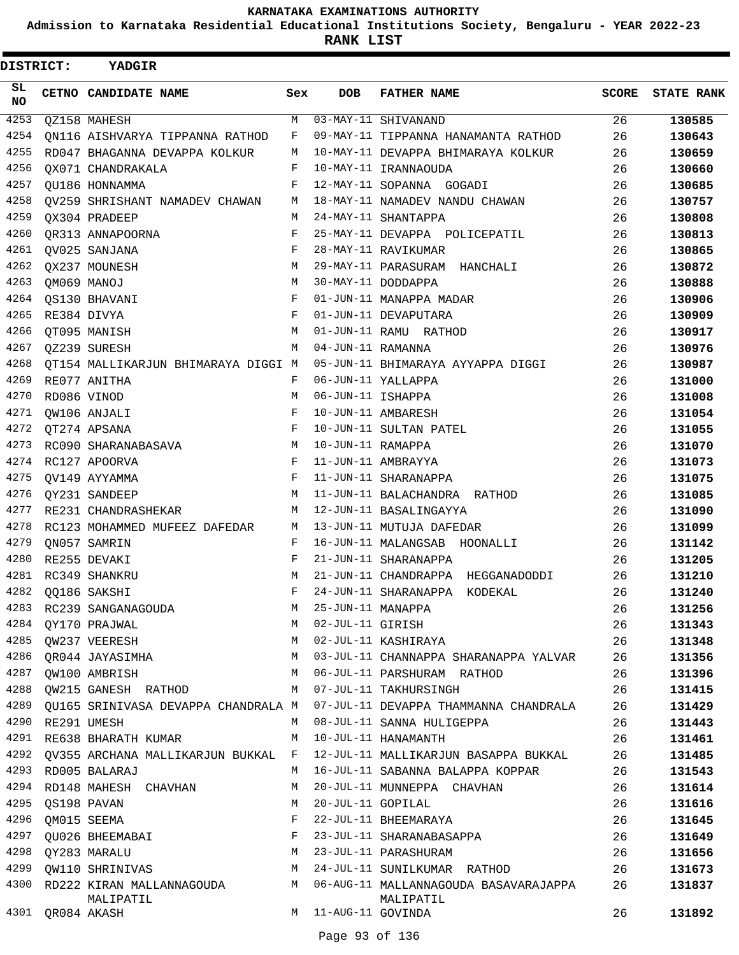**Admission to Karnataka Residential Educational Institutions Society, Bengaluru - YEAR 2022-23**

| <b>DISTRICT:</b> |                  | <b>YADGIR</b>                          |     |                     |                                                    |              |                   |
|------------------|------------------|----------------------------------------|-----|---------------------|----------------------------------------------------|--------------|-------------------|
| SL<br>NO         |                  | CETNO CANDIDATE NAME                   | Sex | <b>DOB</b>          | <b>FATHER NAME</b>                                 | <b>SCORE</b> | <b>STATE RANK</b> |
| 4253             |                  | QZ158 MAHESH                           | M   |                     | 03-MAY-11 SHIVANAND                                | 26           | 130585            |
| 4254             |                  | QN116 AISHVARYA TIPPANNA RATHOD        | F   |                     | 09-MAY-11 TIPPANNA HANAMANTA RATHOD                | 26           | 130643            |
| 4255             |                  | RD047 BHAGANNA DEVAPPA KOLKUR          | М   |                     | 10-MAY-11 DEVAPPA BHIMARAYA KOLKUR                 | 26           | 130659            |
| 4256             |                  | OX071 CHANDRAKALA                      | F   |                     | 10-MAY-11 IRANNAOUDA                               | 26           | 130660            |
| 4257             |                  | QU186 HONNAMMA                         | F   |                     | 12-MAY-11 SOPANNA GOGADI                           | 26           | 130685            |
| 4258             |                  | QV259 SHRISHANT NAMADEV CHAWAN         | М   |                     | 18-MAY-11 NAMADEV NANDU CHAWAN                     | 26           | 130757            |
| 4259             |                  | OX304 PRADEEP                          | M   |                     | 24-MAY-11 SHANTAPPA                                | 26           | 130808            |
| 4260             |                  | OR313 ANNAPOORNA                       | F   |                     | 25-MAY-11 DEVAPPA POLICEPATIL                      | 26           | 130813            |
| 4261             |                  | QV025 SANJANA                          | F   |                     | 28-MAY-11 RAVIKUMAR                                | 26           | 130865            |
| 4262             |                  | QX237 MOUNESH                          | М   |                     | 29-MAY-11 PARASURAM HANCHALI                       | 26           | 130872            |
| 4263             | QM069 MANOJ      |                                        | М   |                     | 30-MAY-11 DODDAPPA                                 | 26           | 130888            |
| 4264             |                  | QS130 BHAVANI                          | F   |                     | 01-JUN-11 MANAPPA MADAR                            | 26           | 130906            |
| 4265             |                  | RE384 DIVYA                            | F   |                     | 01-JUN-11 DEVAPUTARA                               | 26           | 130909            |
| 4266             |                  | OT095 MANISH                           | М   |                     | 01-JUN-11 RAMU RATHOD                              | 26           | 130917            |
| 4267             |                  | QZ239 SURESH                           | M   | 04-JUN-11 RAMANNA   |                                                    | 26           | 130976            |
| 4268             |                  | QT154 MALLIKARJUN BHIMARAYA DIGGI M    |     |                     | 05-JUN-11 BHIMARAYA AYYAPPA DIGGI                  | 26           | 130987            |
| 4269             |                  | RE077 ANITHA                           | F   |                     | 06-JUN-11 YALLAPPA                                 | 26           | 131000            |
| 4270             | RD086 VINOD      |                                        | M   | 06-JUN-11 ISHAPPA   |                                                    | 26           | 131008            |
| 4271             |                  | OW106 ANJALI                           | F   | 10-JUN-11 AMBARESH  |                                                    | 26           | 131054            |
| 4272             |                  | QT274 APSANA                           | F   |                     | 10-JUN-11 SULTAN PATEL                             | 26           | 131055            |
| 4273             |                  | RC090 SHARANABASAVA                    | М   | 10-JUN-11 RAMAPPA   |                                                    | 26           | 131070            |
| 4274             |                  | RC127 APOORVA                          | F   |                     | 11-JUN-11 AMBRAYYA                                 | 26           | 131073            |
| 4275             |                  | QV149 AYYAMMA                          | F   |                     | 11-JUN-11 SHARANAPPA                               | 26           | 131075            |
| 4276             |                  | QY231 SANDEEP                          | М   |                     | 11-JUN-11 BALACHANDRA RATHOD                       | 26           | 131085            |
| 4277             |                  | RE231 CHANDRASHEKAR                    | М   |                     | 12-JUN-11 BASALINGAYYA                             | 26           | 131090            |
| 4278             |                  | RC123 MOHAMMED MUFEEZ DAFEDAR          | М   |                     | 13-JUN-11 MUTUJA DAFEDAR                           | 26           | 131099            |
| 4279             |                  | QN057 SAMRIN                           | F   |                     | 16-JUN-11 MALANGSAB HOONALLI                       | 26           | 131142            |
| 4280             |                  | RE255 DEVAKI                           | F   |                     | 21-JUN-11 SHARANAPPA                               | 26           | 131205            |
| 4281             |                  | RC349 SHANKRU                          | М   |                     | 21-JUN-11 CHANDRAPPA<br>HEGGANADODDI               | 26           | 131210            |
| 4282             |                  | 00186 SAKSHI                           | F   |                     | 24-JUN-11 SHARANAPPA<br>KODEKAL                    | 26           | 131240            |
| 4283             |                  | RC239 SANGANAGOUDA                     | М   | 25-JUN-11 MANAPPA   |                                                    | 26           | 131256            |
| 4284             |                  | QY170 PRAJWAL                          | M   | 02-JUL-11 GIRISH    |                                                    | 26           | 131343            |
| 4285             |                  | QW237 VEERESH                          | М   |                     | 02-JUL-11 KASHIRAYA                                | 26           | 131348            |
| 4286             |                  | QR044 JAYASIMHA                        | М   |                     | 03-JUL-11 CHANNAPPA SHARANAPPA YALVAR              | 26           | 131356            |
| 4287             |                  | QW100 AMBRISH                          | M   |                     | 06-JUL-11 PARSHURAM RATHOD                         | 26           | 131396            |
| 4288             |                  | QW215 GANESH RATHOD                    | M   |                     | 07-JUL-11 TAKHURSINGH                              | 26           | 131415            |
| 4289             |                  | QU165 SRINIVASA DEVAPPA CHANDRALA M    |     |                     | 07-JUL-11 DEVAPPA THAMMANNA CHANDRALA              | 26           | 131429            |
| 4290             |                  | RE291 UMESH                            | М   |                     | 08-JUL-11 SANNA HULIGEPPA                          | 26           | 131443            |
| 4291             |                  | RE638 BHARATH KUMAR                    | М   |                     | 10-JUL-11 HANAMANTH                                | 26           | 131461            |
| 4292             |                  | QV355 ARCHANA MALLIKARJUN BUKKAL F     |     |                     | 12-JUL-11 MALLIKARJUN BASAPPA BUKKAL               | 26           | 131485            |
| 4293             |                  | RD005 BALARAJ                          | М   |                     | 16-JUL-11 SABANNA BALAPPA KOPPAR                   | 26           | 131543            |
| 4294             |                  | RD148 MAHESH CHAVHAN                   | М   |                     | 20-JUL-11 MUNNEPPA CHAVHAN                         | 26           | 131614            |
| 4295             |                  | QS198 PAVAN                            | М   | 20-JUL-11 GOPILAL   |                                                    | 26           | 131616            |
| 4296             |                  | QM015 SEEMA                            | F   |                     | 22-JUL-11 BHEEMARAYA                               | 26           | 131645            |
| 4297             |                  | QU026 BHEEMABAI                        | F   |                     | 23-JUL-11 SHARANABASAPPA                           | 26           | 131649            |
| 4298             |                  | QY283 MARALU                           | М   |                     | 23-JUL-11 PARASHURAM                               | 26           | 131656            |
| 4299             |                  | QW110 SHRINIVAS                        | М   |                     | 24-JUL-11 SUNILKUMAR RATHOD                        | 26           | 131673            |
| 4300             |                  | RD222 KIRAN MALLANNAGOUDA<br>MALIPATIL | M   |                     | 06-AUG-11 MALLANNAGOUDA BASAVARAJAPPA<br>MALIPATIL | 26           | 131837            |
|                  | 4301 QR084 AKASH |                                        |     | M 11-AUG-11 GOVINDA |                                                    | 26           | 131892            |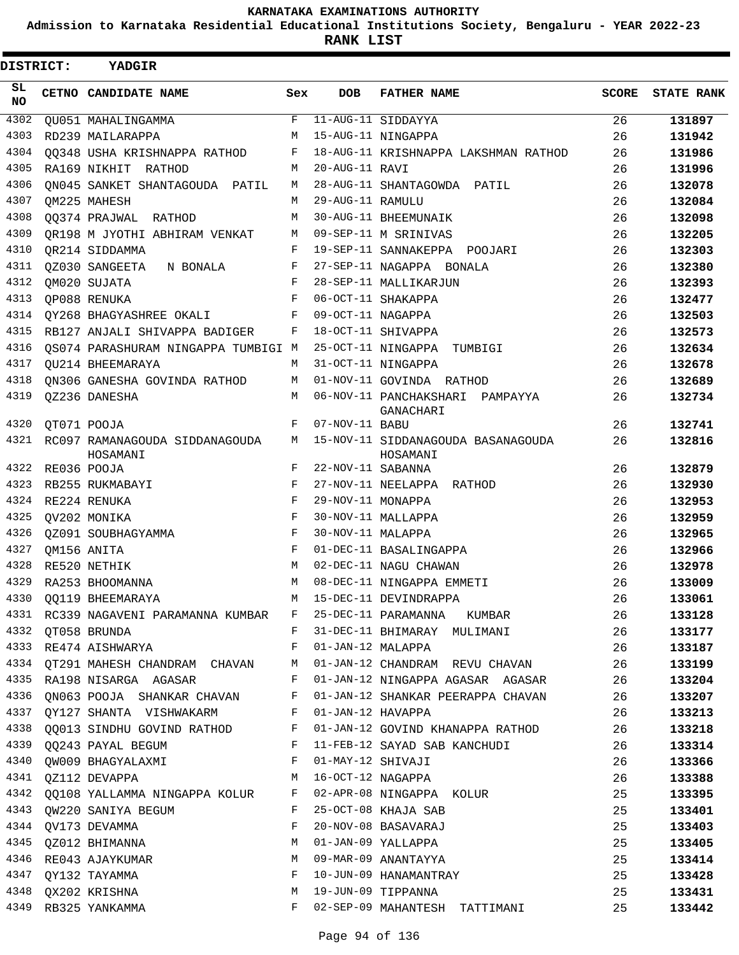**Admission to Karnataka Residential Educational Institutions Society, Bengaluru - YEAR 2022-23**

**RANK LIST**

| <b>DISTRICT:</b> | YADGIR                                                                                                         |     |                   |                                                                                       |              |                   |
|------------------|----------------------------------------------------------------------------------------------------------------|-----|-------------------|---------------------------------------------------------------------------------------|--------------|-------------------|
| SL<br>NO.        | CETNO CANDIDATE NAME                                                                                           | Sex | <b>DOB</b>        | <b>FATHER NAME</b>                                                                    | <b>SCORE</b> | <b>STATE RANK</b> |
| 4302             | QU051 MAHALINGAMMA                                                                                             | F   |                   | 11-AUG-11 SIDDAYYA                                                                    | 26           | 131897            |
| 4303             | RD239 MAILARAPPA                                                                                               | M   |                   | 15-AUG-11 NINGAPPA                                                                    | 26           | 131942            |
| 4304             | 00348 USHA KRISHNAPPA RATHOD                                                                                   | F   |                   | 18-AUG-11 KRISHNAPPA LAKSHMAN RATHOD                                                  | 26           | 131986            |
| 4305             | RA169 NIKHIT<br>RATHOD                                                                                         | М   | 20-AUG-11 RAVI    |                                                                                       | 26           | 131996            |
| 4306             | ON045 SANKET SHANTAGOUDA PATIL                                                                                 | М   |                   | 28-AUG-11 SHANTAGOWDA PATIL                                                           | 26           | 132078            |
| 4307             | QM225 MAHESH                                                                                                   | M   | 29-AUG-11 RAMULU  |                                                                                       | 26           | 132084            |
| 4308             | QQ374 PRAJWAL RATHOD                                                                                           | M   |                   | 30-AUG-11 BHEEMUNAIK                                                                  | 26           | 132098            |
| 4309             | OR198 M JYOTHI ABHIRAM VENKAT                                                                                  | M   |                   | 09-SEP-11 M SRINIVAS                                                                  | 26           | 132205            |
| 4310             | OR214 SIDDAMMA                                                                                                 | F   |                   | 19-SEP-11 SANNAKEPPA POOJARI                                                          | 26           | 132303            |
| 4311             | QZ030 SANGEETA<br>N BONALA                                                                                     | F   |                   | 27-SEP-11 NAGAPPA BONALA                                                              | 26           | 132380            |
| 4312             | QM020 SUJATA                                                                                                   | F   |                   | 28-SEP-11 MALLIKARJUN                                                                 | 26           | 132393            |
| 4313             | QP088 RENUKA                                                                                                   | F   |                   | 06-OCT-11 SHAKAPPA                                                                    | 26           | 132477            |
| 4314             | QY268 BHAGYASHREE OKALI                                                                                        | F   | 09-OCT-11 NAGAPPA |                                                                                       | 26           | 132503            |
| 4315             | RB127 ANJALI SHIVAPPA BADIGER                                                                                  | F   |                   | 18-OCT-11 SHIVAPPA                                                                    | 26           | 132573            |
| 4316             | OS074 PARASHURAM NINGAPPA TUMBIGI M                                                                            |     |                   | 25-OCT-11 NINGAPPA TUMBIGI                                                            | 26           | 132634            |
| 4317             | OU214 BHEEMARAYA                                                                                               | M   |                   | 31-OCT-11 NINGAPPA                                                                    | 26           | 132678            |
| 4318             | ON306 GANESHA GOVINDA RATHOD                                                                                   | M   |                   | 01-NOV-11 GOVINDA RATHOD                                                              | 26           | 132689            |
| 4319             | QZ236 DANESHA                                                                                                  | M   |                   | 06-NOV-11 PANCHAKSHARI PAMPAYYA<br>GANACHARI                                          | 26           | 132734            |
| 4320             | QT071 POOJA                                                                                                    | F   | 07-NOV-11 BABU    |                                                                                       | 26           | 132741            |
| 4321             | RC097 RAMANAGOUDA SIDDANAGOUDA<br>HOSAMANI                                                                     | M   |                   | 15-NOV-11 SIDDANAGOUDA BASANAGOUDA<br>HOSAMANI                                        | 26           | 132816            |
| 4322             | RE036 POOJA                                                                                                    | F   | 22-NOV-11 SABANNA |                                                                                       | 26           | 132879            |
| 4323             | RB255 RUKMABAYI                                                                                                | F   |                   | 27-NOV-11 NEELAPPA RATHOD                                                             | 26           | 132930            |
| 4324             | RE224 RENUKA                                                                                                   | F   | 29-NOV-11 MONAPPA |                                                                                       | 26           | 132953            |
| 4325             | QV202 MONIKA                                                                                                   | F   |                   | 30-NOV-11 MALLAPPA                                                                    | 26           | 132959            |
| 4326             | OZ091 SOUBHAGYAMMA                                                                                             | F   | 30-NOV-11 MALAPPA |                                                                                       | 26           | 132965            |
| 4327             | OM156 ANITA                                                                                                    | F   |                   | 01-DEC-11 BASALINGAPPA                                                                | 26           | 132966            |
| 4328             | RE520 NETHIK                                                                                                   | M   |                   | 02-DEC-11 NAGU CHAWAN                                                                 | 26           | 132978            |
| 4329             | RA253 BHOOMANNA                                                                                                | M   |                   | 08-DEC-11 NINGAPPA EMMETI                                                             | 26           | 133009            |
|                  | 4330 QQ119 BHEEMARAYA                                                                                          |     |                   | M 15-DEC-11 DEVINDRAPPA                                                               | 26           | 133061            |
|                  |                                                                                                                |     |                   | 4331 RC339 NAGAVENI PARAMANNA KUMBAR F 25-DEC-11 PARAMANNA KUMBAR                     | 26           | 133128            |
|                  |                                                                                                                |     |                   | 4332 QT058 BRUNDA 6 26 CHORO BROWN BY 31-DEC-11 BHIMARAY MULIMANI                     |              | 133177            |
|                  | 4333 RE474 AISHWARYA 6 F 01-JAN-12 MALAPPA                                                                     |     |                   | $\sim$ 26                                                                             |              | 133187            |
|                  |                                                                                                                |     |                   | 4334 QT291 MAHESH CHANDRAM CHAVAN M 01-JAN-12 CHANDRAM REVU CHAVAN 26                 |              | 133199            |
|                  |                                                                                                                |     |                   | 4335 RA198 NISARGA AGASAR           F   01-JAN-12 NINGAPPA AGASAR   AGASAR         26 |              | 133204            |
|                  |                                                                                                                |     |                   | 4336 QN063 POOJA SHANKAR CHAVAN F 01-JAN-12 SHANKAR PEERAPPA CHAVAN 26                |              | 133207            |
|                  | 4337 QY127 SHANTA VISHWAKARM F 01-JAN-12 HAVAPPA                                                               |     |                   |                                                                                       | 26           | 133213            |
|                  |                                                                                                                |     |                   | 4338 QQ013 SINDHU GOVIND RATHOD F 01-JAN-12 GOVIND KHANAPPA RATHOD 26<br>A222 RAILL   |              | 133218            |
|                  |                                                                                                                |     |                   | 4339 QQ243 PAYAL BEGUM F $11$ -FEB-12 SAYAD SAB KANCHUDI 26                           |              | 133314            |
|                  | 4340 QW009 BHAGYALAXMI F 01-MAY-12 SHIVAJI                                                                     |     |                   |                                                                                       | 26           | 133366            |
|                  | 4341 QZ112 DEVAPPA M 16-OCT-12 NAGAPPA                                                                         |     |                   |                                                                                       | 26           | 133388            |
|                  |                                                                                                                |     |                   |                                                                                       | 25           | 133395            |
|                  | 4342 QQ108 YALLAMMA NINGAPPA KOLUR F 02-APR-08 NINGAPPA KOLUR<br>4343 QW220 SANIYA BEGUM F 25-OCT-08 KHAJA SAB |     |                   |                                                                                       | 25           | 133401            |
|                  | 4344 QV173 DEVAMMA F                                                                                           |     |                   | 20-NOV-08 BASAVARAJ                                                                   | 25           | 133403            |
|                  | 4345 QZ012 BHIMANNA M M 01-JAN-09 YALLAPPA                                                                     |     |                   |                                                                                       | 25           | 133405            |
|                  |                                                                                                                |     |                   |                                                                                       | 25           |                   |
|                  |                                                                                                                |     |                   |                                                                                       | 25           | 133414            |
|                  |                                                                                                                |     |                   |                                                                                       |              | 133428            |
|                  |                                                                                                                |     |                   | F 02-SEP-09 MAHANTESH TATTIMANI                                                       | 25           | 133431            |
|                  | 4349 RB325 YANKAMMA                                                                                            |     |                   |                                                                                       | 25           | 133442            |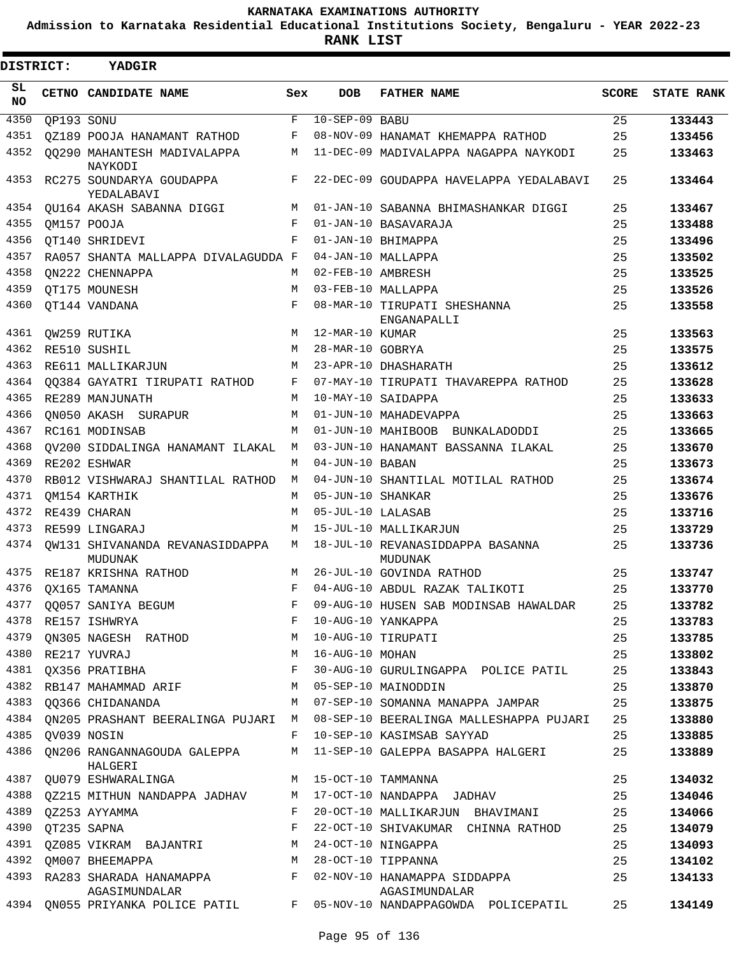**Admission to Karnataka Residential Educational Institutions Society, Bengaluru - YEAR 2022-23**

**RANK LIST**

| <b>DISTRICT:</b> |            | YADGIR                                       |     |                   |                                                      |              |                   |
|------------------|------------|----------------------------------------------|-----|-------------------|------------------------------------------------------|--------------|-------------------|
| SL<br><b>NO</b>  |            | CETNO CANDIDATE NAME                         | Sex | <b>DOB</b>        | <b>FATHER NAME</b>                                   | <b>SCORE</b> | <b>STATE RANK</b> |
| 4350             | QP193 SONU |                                              | F   | $10-SEP-09$ BABU  |                                                      | 25           | 133443            |
| 4351             |            | OZ189 POOJA HANAMANT RATHOD                  | F   |                   | 08-NOV-09 HANAMAT KHEMAPPA RATHOD                    | 25           | 133456            |
| 4352             |            | 00290 MAHANTESH MADIVALAPPA<br>NAYKODI       | М   |                   | 11-DEC-09 MADIVALAPPA NAGAPPA NAYKODI                | 25           | 133463            |
| 4353             |            | RC275 SOUNDARYA GOUDAPPA<br>YEDALABAVI       | F   |                   | 22-DEC-09 GOUDAPPA HAVELAPPA YEDALABAVI              | 25           | 133464            |
| 4354             |            | QU164 AKASH SABANNA DIGGI                    | М   |                   | 01-JAN-10 SABANNA BHIMASHANKAR DIGGI                 | 25           | 133467            |
| 4355             |            | QM157 POOJA                                  | F   |                   | 01-JAN-10 BASAVARAJA                                 | 25           | 133488            |
| 4356             |            | OT140 SHRIDEVI                               | F   |                   | 01-JAN-10 BHIMAPPA                                   | 25           | 133496            |
| 4357             |            | RA057 SHANTA MALLAPPA DIVALAGUDDA F          |     |                   | 04-JAN-10 MALLAPPA                                   | 25           | 133502            |
| 4358             |            | ON222 CHENNAPPA                              | М   | 02-FEB-10 AMBRESH |                                                      | 25           | 133525            |
| 4359             |            | QT175 MOUNESH                                | М   |                   | 03-FEB-10 MALLAPPA                                   | 25           | 133526            |
| 4360             |            | QT144 VANDANA                                | F   |                   | 08-MAR-10 TIRUPATI SHESHANNA<br>ENGANAPALLI          | 25           | 133558            |
| 4361             |            | QW259 RUTIKA                                 | М   | 12-MAR-10 KUMAR   |                                                      | 25           | 133563            |
| 4362             |            | RE510 SUSHIL                                 | М   | 28-MAR-10 GOBRYA  |                                                      | 25           | 133575            |
| 4363             |            | RE611 MALLIKARJUN                            | M   |                   | 23-APR-10 DHASHARATH                                 | 25           | 133612            |
| 4364             |            | 00384 GAYATRI TIRUPATI RATHOD                | F   |                   | 07-MAY-10 TIRUPATI THAVAREPPA RATHOD                 | 25           | 133628            |
| 4365             |            | RE289 MANJUNATH                              | М   |                   | 10-MAY-10 SAIDAPPA                                   | 25           | 133633            |
| 4366             |            | ON050 AKASH SURAPUR                          | М   |                   | 01-JUN-10 MAHADEVAPPA                                | 25           | 133663            |
| 4367             |            | RC161 MODINSAB                               | М   |                   | 01-JUN-10 MAHIBOOB BUNKALADODDI                      | 25           | 133665            |
| 4368             |            | OV200 SIDDALINGA HANAMANT ILAKAL             | M   |                   | 03-JUN-10 HANAMANT BASSANNA ILAKAL                   | 25           | 133670            |
| 4369             |            | RE202 ESHWAR                                 | М   | 04-JUN-10 BABAN   |                                                      | 25           | 133673            |
| 4370             |            | RB012 VISHWARAJ SHANTILAL RATHOD             | M   |                   | 04-JUN-10 SHANTILAL MOTILAL RATHOD                   | 25           | 133674            |
| 4371             |            | OM154 KARTHIK                                | M   | 05-JUN-10 SHANKAR |                                                      | 25           | 133676            |
| 4372             |            | RE439 CHARAN                                 | М   | 05-JUL-10 LALASAB |                                                      | 25           | 133716            |
| 4373             |            | RE599 LINGARAJ                               | М   |                   | 15-JUL-10 MALLIKARJUN                                | 25           | 133729            |
| 4374             |            | OW131 SHIVANANDA REVANASIDDAPPA<br>MUDUNAK   | М   |                   | 18-JUL-10 REVANASIDDAPPA BASANNA<br>MUDUNAK          | 25           | 133736            |
| 4375             |            | RE187 KRISHNA RATHOD                         | М   |                   | 26-JUL-10 GOVINDA RATHOD                             | 25           | 133747            |
| 4376             |            | OX165 TAMANNA                                | F   |                   | 04-AUG-10 ABDUL RAZAK TALIKOTI                       | 25           | 133770            |
| 4377             |            | QQ057 SANIYA BEGUM                           | F   |                   | 09-AUG-10 HUSEN SAB MODINSAB HAWALDAR                | 25           | 133782            |
|                  |            | 4378 RE157 ISHWRYA                           | F   |                   | 10-AUG-10 YANKAPPA                                   | 25           | 133783            |
| 4379             |            | ON305 NAGESH RATHOD                          | M   |                   | 10-AUG-10 TIRUPATI                                   | 25           | 133785            |
| 4380             |            | RE217 YUVRAJ                                 | M   | 16-AUG-10 MOHAN   |                                                      | 25           | 133802            |
| 4381             |            | QX356 PRATIBHA                               | F   |                   | 30-AUG-10 GURULINGAPPA POLICE PATIL                  | 25           | 133843            |
|                  |            | 4382 RB147 MAHAMMAD ARIF                     | M   |                   | 05-SEP-10 MAINODDIN                                  | 25           | 133870            |
| 4383             |            | QQ366 CHIDANANDA                             | М   |                   | 07-SEP-10 SOMANNA MANAPPA JAMPAR                     | 25           | 133875            |
| 4384             |            | ON205 PRASHANT BEERALINGA PUJARI             | M   |                   | 08-SEP-10 BEERALINGA MALLESHAPPA PUJARI              | 25           | 133880            |
| 4385             |            | QV039 NOSIN                                  | F   |                   | 10-SEP-10 KASIMSAB SAYYAD                            | 25           | 133885            |
| 4386             |            | QN206 RANGANNAGOUDA GALEPPA<br>HALGERI       | M   |                   | 11-SEP-10 GALEPPA BASAPPA HALGERI                    | 25           | 133889            |
| 4387             |            | QU079 ESHWARALINGA                           |     |                   | M 15-OCT-10 TAMMANNA                                 | 25           | 134032            |
| 4388             |            | QZ215 MITHUN NANDAPPA JADHAV                 | M   |                   | 17-OCT-10 NANDAPPA JADHAV                            | 25           | 134046            |
| 4389             |            | QZ253 AYYAMMA                                | F   |                   | 20-OCT-10 MALLIKARJUN BHAVIMANI                      | 25           | 134066            |
| 4390             |            | QT235 SAPNA                                  | F   |                   | 22-OCT-10 SHIVAKUMAR CHINNA RATHOD                   | 25           | 134079            |
|                  |            | 4391 QZ085 VIKRAM BAJANTRI                   | M   |                   | 24-OCT-10 NINGAPPA                                   | 25           | 134093            |
| 4392             |            | OM007 BHEEMAPPA                              | М   |                   | 28-OCT-10 TIPPANNA                                   | 25           | 134102            |
| 4393             |            | RA283 SHARADA HANAMAPPA                      | F   |                   | 02-NOV-10 HANAMAPPA SIDDAPPA                         | 25           | 134133            |
| 4394             |            | AGASIMUNDALAR<br>QN055 PRIYANKA POLICE PATIL | F   |                   | AGASIMUNDALAR<br>05-NOV-10 NANDAPPAGOWDA POLICEPATIL | 25           | 134149            |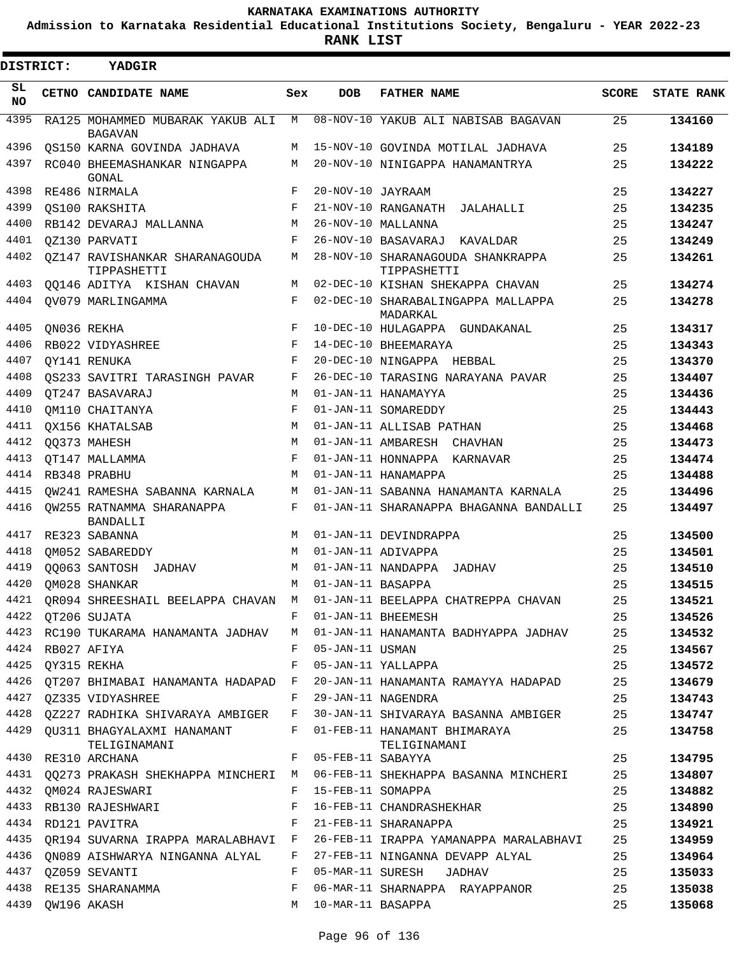**Admission to Karnataka Residential Educational Institutions Society, Bengaluru - YEAR 2022-23**

**RANK LIST**

Е

| DISTRICT: |                  | <b>YADGIR</b>                                                         |     |                     |                                                                                |              |                   |
|-----------|------------------|-----------------------------------------------------------------------|-----|---------------------|--------------------------------------------------------------------------------|--------------|-------------------|
| SL<br>NO. |                  | CETNO CANDIDATE NAME                                                  | Sex | <b>DOB</b>          | <b>FATHER NAME</b>                                                             | <b>SCORE</b> | <b>STATE RANK</b> |
| 4395      |                  | RA125 MOHAMMED MUBARAK YAKUB ALI                                      | М   |                     | 08-NOV-10 YAKUB ALI NABISAB BAGAVAN                                            | 25           | 134160            |
| 4396      |                  | <b>BAGAVAN</b><br>OS150 KARNA GOVINDA JADHAVA                         | М   |                     | 15-NOV-10 GOVINDA MOTILAL JADHAVA                                              | 25           | 134189            |
| 4397      |                  | RC040 BHEEMASHANKAR NINGAPPA                                          | М   |                     | 20-NOV-10 NINIGAPPA HANAMANTRYA                                                | 25           | 134222            |
|           |                  | GONAL                                                                 |     |                     |                                                                                |              |                   |
| 4398      |                  | RE486 NIRMALA                                                         | F   | 20-NOV-10 JAYRAAM   |                                                                                | 25           | 134227            |
| 4399      |                  | OS100 RAKSHITA                                                        | F   |                     | 21-NOV-10 RANGANATH JALAHALLI                                                  | 25           | 134235            |
| 4400      |                  | RB142 DEVARAJ MALLANNA                                                | М   |                     | 26-NOV-10 MALLANNA                                                             | 25           | 134247            |
| 4401      |                  | OZ130 PARVATI                                                         | F   |                     | 26-NOV-10 BASAVARAJ KAVALDAR                                                   | 25           | 134249            |
| 4402      |                  | QZ147 RAVISHANKAR SHARANAGOUDA<br>TIPPASHETTI                         | М   |                     | 28-NOV-10 SHARANAGOUDA SHANKRAPPA<br>TIPPASHETTI                               | 25           | 134261            |
| 4403      |                  | 00146 ADITYA KISHAN CHAVAN                                            | М   |                     | 02-DEC-10 KISHAN SHEKAPPA CHAVAN                                               | 25           | 134274            |
| 4404      |                  | OV079 MARLINGAMMA                                                     | F   |                     | 02-DEC-10 SHARABALINGAPPA MALLAPPA<br>MADARKAL                                 | 25           | 134278            |
| 4405      |                  | QN036 REKHA                                                           | F   |                     | 10-DEC-10 HULAGAPPA GUNDAKANAL                                                 | 25           | 134317            |
| 4406      |                  | RB022 VIDYASHREE                                                      | F   |                     | 14-DEC-10 BHEEMARAYA                                                           | 25           | 134343            |
| 4407      |                  | OY141 RENUKA                                                          | F   |                     | 20-DEC-10 NINGAPPA HEBBAL                                                      | 25           | 134370            |
| 4408      |                  | OS233 SAVITRI TARASINGH PAVAR                                         | F   |                     | 26-DEC-10 TARASING NARAYANA PAVAR                                              | 25           | 134407            |
| 4409      |                  | OT247 BASAVARAJ                                                       | М   |                     | 01-JAN-11 HANAMAYYA                                                            | 25           | 134436            |
| 4410      |                  | OM110 CHAITANYA                                                       | F   |                     | 01-JAN-11 SOMAREDDY                                                            | 25           | 134443            |
| 4411      |                  | OX156 KHATALSAB                                                       | М   |                     | 01-JAN-11 ALLISAB PATHAN                                                       | 25           | 134468            |
| 4412      |                  | 00373 MAHESH                                                          | M   |                     | 01-JAN-11 AMBARESH CHAVHAN                                                     | 25           | 134473            |
| 4413      |                  | OT147 MALLAMMA                                                        | F   |                     | 01-JAN-11 HONNAPPA KARNAVAR                                                    | 25           | 134474            |
| 4414      |                  | RB348 PRABHU                                                          | M   |                     | 01-JAN-11 HANAMAPPA                                                            | 25           | 134488            |
| 4415      |                  | OW241 RAMESHA SABANNA KARNALA                                         | M   |                     | 01-JAN-11 SABANNA HANAMANTA KARNALA                                            | 25           | 134496            |
| 4416      |                  | OW255 RATNAMMA SHARANAPPA<br><b>BANDALLI</b>                          | F   |                     | 01-JAN-11 SHARANAPPA BHAGANNA BANDALLI                                         | 25           | 134497            |
| 4417      |                  | RE323 SABANNA                                                         | М   |                     | 01-JAN-11 DEVINDRAPPA                                                          | 25           | 134500            |
| 4418      |                  | OM052 SABAREDDY                                                       | M   |                     | 01-JAN-11 ADIVAPPA                                                             | 25           | 134501            |
| 4419      |                  | 00063 SANTOSH JADHAV                                                  | M   |                     | 01-JAN-11 NANDAPPA JADHAV                                                      | 25           | 134510            |
| 4420      |                  | QM028 SHANKAR                                                         | M   | 01-JAN-11 BASAPPA   |                                                                                | 25           | 134515            |
| 4421      |                  | QR094 SHREESHAIL BEELAPPA CHAVAN M                                    |     |                     | 01-JAN-11 BEELAPPA CHATREPPA CHAVAN                                            | 25           | 134521            |
| 4422      |                  | OT206 SUJATA                                                          | F   |                     | 01-JAN-11 BHEEMESH                                                             | 25           | 134526            |
|           |                  |                                                                       |     |                     | 4423 RC190 TUKARAMA HANAMANTA JADHAV   M  01-JAN-11 HANAMANTA BADHYAPPA JADHAV | 25           | 134532            |
|           | 4424 RB027 AFIYA |                                                                       | F   | 05-JAN-11 USMAN     |                                                                                | 25           | 134567            |
|           | 4425 QY315 REKHA |                                                                       | F   |                     | 05-JAN-11 YALLAPPA                                                             | 25           | 134572            |
|           |                  |                                                                       |     |                     | 4426 QT207 BHIMABAI HANAMANTA HADAPAD F 20-JAN-11 HANAMANTA RAMAYYA HADAPAD    | 25           | 134679            |
|           |                  | 4427 QZ335 VIDYASHREE                                                 |     |                     | F 29-JAN-11 NAGENDRA                                                           | 25           | 134743            |
|           |                  |                                                                       |     |                     | 4428 QZ227 RADHIKA SHIVARAYA AMBIGER F 30-JAN-11 SHIVARAYA BASANNA AMBIGER     | 25           | 134747            |
|           |                  | 4429 QU311 BHAGYALAXMI HANAMANT<br>TELIGINAMANI                       |     |                     | F 01-FEB-11 HANAMANT BHIMARAYA<br>TELIGINAMANI                                 | 25           | 134758            |
|           |                  | 4430 RE310 ARCHANA                                                    |     | F 05-FEB-11 SABAYYA |                                                                                | 25           | 134795            |
|           |                  |                                                                       |     |                     | 4431 QQ273 PRAKASH SHEKHAPPA MINCHERI M 06-FEB-11 SHEKHAPPA BASANNA MINCHERI   | 25           | 134807            |
| 4432      |                  | QM024 RAJESWARI                                                       | F   | 15-FEB-11 SOMAPPA   |                                                                                | 25           | 134882            |
|           |                  | 4433 RB130 RAJESHWARI                                                 | F   |                     | 16-FEB-11 CHANDRASHEKHAR                                                       | 25           | 134890            |
|           |                  | 4434 RD121 PAVITRA                                                    | F   |                     | 21-FEB-11 SHARANAPPA                                                           | 25           | 134921            |
|           |                  |                                                                       |     |                     | 4435 QR194 SUVARNA IRAPPA MARALABHAVI F 26-FEB-11 IRAPPA YAMANAPPA MARALABHAVI | 25           | 134959            |
|           |                  | 4436 QN089 AISHWARYA NINGANNA ALYAL F 27-FEB-11 NINGANNA DEVAPP ALYAL |     |                     |                                                                                | 25           | 134964            |
|           |                  | 4437 QZ059 SEVANTI                                                    | F   |                     | 05-MAR-11 SURESH JADHAV                                                        | 25           | 135033            |
| 4438      |                  | RE135 SHARANAMMA                                                      | F   |                     | 06-MAR-11 SHARNAPPA RAYAPPANOR                                                 | 25           | 135038            |
| 4439      |                  | QW196 AKASH                                                           | М   | 10-MAR-11 BASAPPA   |                                                                                | 25           | 135068            |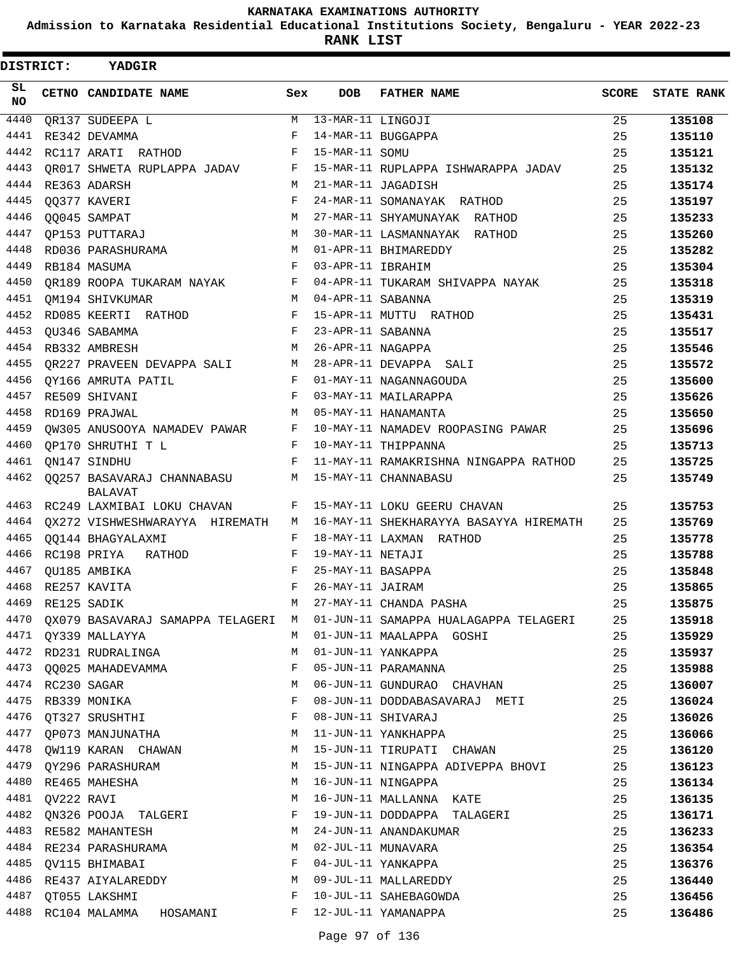**Admission to Karnataka Residential Educational Institutions Society, Bengaluru - YEAR 2022-23**

**RANK LIST**

| DISTRICT:        |                  | YADGIR                                       |     |                   |                                        |       |                   |
|------------------|------------------|----------------------------------------------|-----|-------------------|----------------------------------------|-------|-------------------|
| SL.<br><b>NO</b> |                  | CETNO CANDIDATE NAME                         | Sex | <b>DOB</b>        | <b>FATHER NAME</b>                     | SCORE | <b>STATE RANK</b> |
| 4440             |                  | OR137 SUDEEPA L                              | М   | 13-MAR-11 LINGOJI |                                        | 25    | 135108            |
| 4441             |                  | RE342 DEVAMMA                                | F   |                   | 14-MAR-11 BUGGAPPA                     | 25    | 135110            |
| 4442             |                  | RC117 ARATI RATHOD                           | F   | 15-MAR-11 SOMU    |                                        | 25    | 135121            |
| 4443             |                  | OR017 SHWETA RUPLAPPA JADAV                  | F   |                   | 15-MAR-11 RUPLAPPA ISHWARAPPA JADAV    | 25    | 135132            |
| 4444             |                  | RE363 ADARSH                                 | М   |                   | 21-MAR-11 JAGADISH                     | 25    | 135174            |
| 4445             |                  | QQ377 KAVERI                                 | F   |                   | 24-MAR-11 SOMANAYAK RATHOD             | 25    | 135197            |
| 4446             |                  | 00045 SAMPAT                                 | M   |                   | 27-MAR-11 SHYAMUNAYAK RATHOD           | 25    | 135233            |
| 4447             |                  | QP153 PUTTARAJ                               | М   |                   | 30-MAR-11 LASMANNAYAK RATHOD           | 25    | 135260            |
| 4448             |                  | RD036 PARASHURAMA                            | M   |                   | 01-APR-11 BHIMAREDDY                   | 25    | 135282            |
| 4449             |                  | RB184 MASUMA                                 | F   | 03-APR-11 IBRAHIM |                                        | 25    | 135304            |
| 4450             |                  | OR189 ROOPA TUKARAM NAYAK                    | F   |                   | 04-APR-11 TUKARAM SHIVAPPA NAYAK       | 25    | 135318            |
| 4451             |                  | OM194 SHIVKUMAR                              | М   | 04-APR-11 SABANNA |                                        | 25    | 135319            |
| 4452             |                  | RD085 KEERTI RATHOD                          | F   |                   | 15-APR-11 MUTTU RATHOD                 | 25    | 135431            |
| 4453             |                  | OU346 SABAMMA                                | F   | 23-APR-11 SABANNA |                                        | 25    | 135517            |
| 4454             |                  | RB332 AMBRESH                                | M   | 26-APR-11 NAGAPPA |                                        | 25    | 135546            |
| 4455             |                  | OR227 PRAVEEN DEVAPPA SALI                   | М   |                   | 28-APR-11 DEVAPPA SALI                 | 25    | 135572            |
| 4456             |                  | OY166 AMRUTA PATIL                           | F   |                   | 01-MAY-11 NAGANNAGOUDA                 | 25    | 135600            |
| 4457             |                  | RE509 SHIVANI                                | F   |                   | 03-MAY-11 MAILARAPPA                   | 25    | 135626            |
| 4458             |                  | RD169 PRAJWAL                                | M   |                   | 05-MAY-11 HANAMANTA                    | 25    | 135650            |
| 4459             |                  | QW305 ANUSOOYA NAMADEV PAWAR                 | F   |                   | 10-MAY-11 NAMADEV ROOPASING PAWAR      | 25    | 135696            |
| 4460             |                  | OP170 SHRUTHI T L                            | F   |                   | 10-MAY-11 THIPPANNA                    | 25    | 135713            |
| 4461             |                  | QN147 SINDHU                                 | F   |                   | 11-MAY-11 RAMAKRISHNA NINGAPPA RATHOD  | 25    | 135725            |
| 4462             |                  | QQ257 BASAVARAJ CHANNABASU<br><b>BALAVAT</b> | М   |                   | 15-MAY-11 CHANNABASU                   | 25    | 135749            |
| 4463             |                  | RC249 LAXMIBAI LOKU CHAVAN                   | F   |                   | 15-MAY-11 LOKU GEERU CHAVAN            | 25    | 135753            |
| 4464             |                  | QX272 VISHWESHWARAYYA HIREMATH               | M   |                   | 16-MAY-11 SHEKHARAYYA BASAYYA HIREMATH | 25    | 135769            |
| 4465             |                  | QQ144 BHAGYALAXMI                            | F   |                   | 18-MAY-11 LAXMAN RATHOD                | 25    | 135778            |
| 4466             |                  | RC198 PRIYA<br>RATHOD                        | F   | 19-MAY-11 NETAJI  |                                        | 25    | 135788            |
| 4467             |                  | QU185 AMBIKA                                 | F   | 25-MAY-11 BASAPPA |                                        | 25    | 135848            |
| 4468             |                  | RE257 KAVITA                                 | F   | 26-MAY-11 JAIRAM  |                                        | 25    | 135865            |
| 4469             |                  | RE125 SADIK                                  | M   |                   | 27-MAY-11 CHANDA PASHA                 | 25    | 135875            |
| 4470             |                  | QX079 BASAVARAJ SAMAPPA TELAGERI M           |     |                   | 01-JUN-11 SAMAPPA HUALAGAPPA TELAGERI  | 25    | 135918            |
| 4471             |                  | QY339 MALLAYYA                               | М   |                   | 01-JUN-11 MAALAPPA GOSHI               | 25    | 135929            |
| 4472             |                  | RD231 RUDRALINGA                             | М   |                   | 01-JUN-11 YANKAPPA                     | 25    | 135937            |
| 4473             |                  | QQ025 MAHADEVAMMA                            | F   |                   | 05-JUN-11 PARAMANNA                    | 25    | 135988            |
|                  | 4474 RC230 SAGAR |                                              | М   |                   | 06-JUN-11 GUNDURAO CHAVHAN             | 25    | 136007            |
| 4475             |                  | RB339 MONIKA                                 | F   |                   | 08-JUN-11 DODDABASAVARAJ METI          | 25    | 136024            |
| 4476             |                  | QT327 SRUSHTHI                               | F   |                   | 08-JUN-11 SHIVARAJ                     | 25    | 136026            |
| 4477             |                  | QP073 MANJUNATHA                             | М   |                   | 11-JUN-11 YANKHAPPA                    | 25    | 136066            |
| 4478             |                  | QW119 KARAN CHAWAN                           | М   |                   | 15-JUN-11 TIRUPATI CHAWAN              | 25    | 136120            |
| 4479             |                  | QY296 PARASHURAM                             | М   |                   | 15-JUN-11 NINGAPPA ADIVEPPA BHOVI      | 25    | 136123            |
| 4480             |                  | RE465 MAHESHA                                | М   |                   | 16-JUN-11 NINGAPPA                     | 25    | 136134            |
| 4481             | QV222 RAVI       |                                              | М   |                   | 16-JUN-11 MALLANNA KATE                | 25    | 136135            |
| 4482             |                  | QN326 POOJA TALGERI                          | F   |                   | 19-JUN-11 DODDAPPA TALAGERI            | 25    | 136171            |
| 4483             |                  | RE582 MAHANTESH                              | М   |                   | 24-JUN-11 ANANDAKUMAR                  | 25    | 136233            |
|                  |                  | 4484 RE234 PARASHURAMA                       | M   |                   | 02-JUL-11 MUNAVARA                     | 25    | 136354            |
| 4485             |                  | QV115 BHIMABAI                               | F   |                   | 04-JUL-11 YANKAPPA                     | 25    | 136376            |
| 4486             |                  | RE437 AIYALAREDDY                            | М   |                   | 09-JUL-11 MALLAREDDY                   | 25    | 136440            |
| 4487             |                  | QT055 LAKSHMI                                | F   |                   | 10-JUL-11 SAHEBAGOWDA                  | 25    | 136456            |
| 4488             |                  | RC104 MALAMMA<br>HOSAMANI                    | F   |                   | 12-JUL-11 YAMANAPPA                    | 25    | 136486            |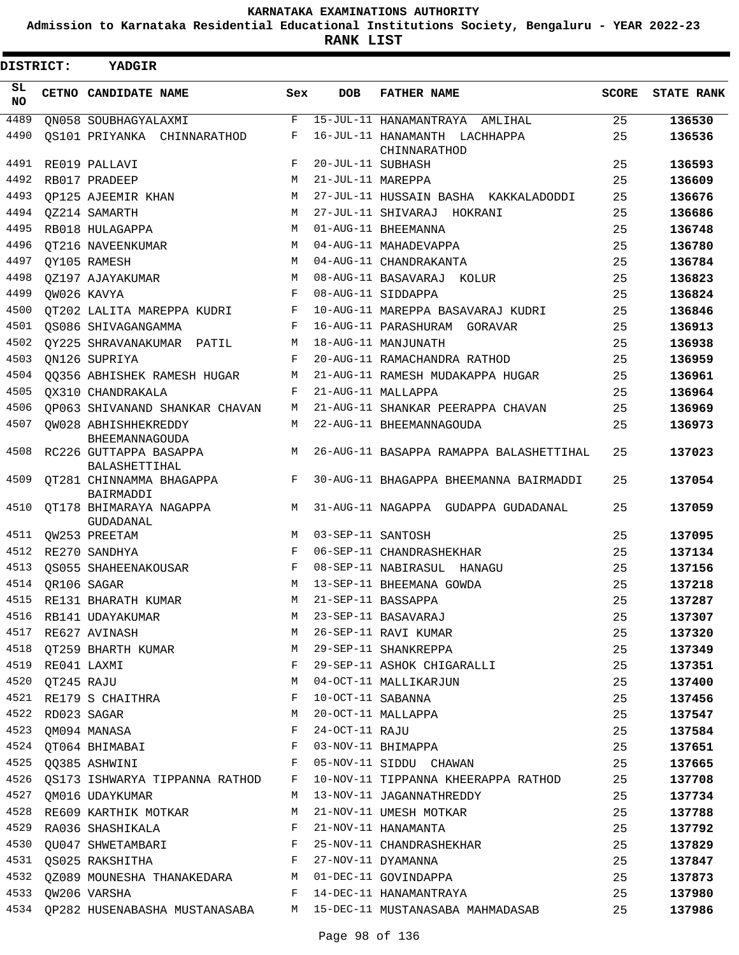**Admission to Karnataka Residential Educational Institutions Society, Bengaluru - YEAR 2022-23**

**RANK LIST**

| DISTRICT:    |                  | YADGIR                                                                           |        |                   |                                                                       |          |                   |
|--------------|------------------|----------------------------------------------------------------------------------|--------|-------------------|-----------------------------------------------------------------------|----------|-------------------|
| SL<br>NO.    |                  | CETNO CANDIDATE NAME                                                             | Sex    | <b>DOB</b>        | <b>FATHER NAME</b>                                                    | SCORE    | <b>STATE RANK</b> |
| 4489         |                  | ON058 SOUBHAGYALAXMI                                                             | F      |                   | 15-JUL-11 HANAMANTRAYA AMLIHAL                                        | 25       | 136530            |
| 4490         |                  | OS101 PRIYANKA CHINNARATHOD                                                      | F      |                   | 16-JUL-11 HANAMANTH LACHHAPPA                                         | 25       | 136536            |
|              |                  |                                                                                  |        |                   | CHINNARATHOD                                                          |          |                   |
| 4491         |                  | RE019 PALLAVI                                                                    | F      | 20-JUL-11 SUBHASH |                                                                       | 25       | 136593            |
| 4492<br>4493 |                  | RB017 PRADEEP                                                                    | M<br>М | 21-JUL-11 MAREPPA |                                                                       | 25       | 136609            |
| 4494         |                  | OP125 AJEEMIR KHAN<br>OZ214 SAMARTH                                              | M      |                   | 27-JUL-11 HUSSAIN BASHA KAKKALADODDI<br>27-JUL-11 SHIVARAJ HOKRANI    | 25<br>25 | 136676<br>136686  |
| 4495         |                  | RB018 HULAGAPPA                                                                  | M      |                   | 01-AUG-11 BHEEMANNA                                                   | 25       | 136748            |
| 4496         |                  |                                                                                  | M      |                   | 04-AUG-11 MAHADEVAPPA                                                 | 25       | 136780            |
| 4497         |                  | OT216 NAVEENKUMAR                                                                | М      |                   | 04-AUG-11 CHANDRAKANTA                                                | 25       | 136784            |
| 4498         |                  | QY105 RAMESH<br>OZ197 AJAYAKUMAR                                                 | M      |                   | 08-AUG-11 BASAVARAJ KOLUR                                             | 25       | 136823            |
| 4499         |                  | QW026 KAVYA                                                                      | F      |                   | 08-AUG-11 SIDDAPPA                                                    | 25       | 136824            |
| 4500         |                  | OT202 LALITA MAREPPA KUDRI                                                       | F      |                   | 10-AUG-11 MAREPPA BASAVARAJ KUDRI                                     | 25       | 136846            |
| 4501         |                  | OS086 SHIVAGANGAMMA                                                              | F      |                   | 16-AUG-11 PARASHURAM GORAVAR                                          | 25       | 136913            |
| 4502         |                  | OY225 SHRAVANAKUMAR PATIL                                                        | М      |                   | 18-AUG-11 MANJUNATH                                                   | 25       | 136938            |
| 4503         |                  |                                                                                  | F      |                   | 20-AUG-11 RAMACHANDRA RATHOD                                          | 25       | 136959            |
| 4504         |                  | QN126 SUPRIYA                                                                    | М      |                   | 21-AUG-11 RAMESH MUDAKAPPA HUGAR                                      |          |                   |
| 4505         |                  | 00356 ABHISHEK RAMESH HUGAR                                                      | F      |                   | 21-AUG-11 MALLAPPA                                                    | 25<br>25 | 136961            |
| 4506         |                  | OX310 CHANDRAKALA                                                                | M      |                   | 21-AUG-11 SHANKAR PEERAPPA CHAVAN                                     | 25       | 136964            |
| 4507         |                  | OP063 SHIVANAND SHANKAR CHAVAN                                                   | M      |                   |                                                                       | 25       | 136969            |
|              |                  | OW028 ABHISHHEKREDDY<br><b>BHEEMANNAGOUDA</b>                                    |        |                   | 22-AUG-11 BHEEMANNAGOUDA                                              |          | 136973            |
| 4508         |                  | RC226 GUTTAPPA BASAPPA<br><b>BALASHETTIHAL</b>                                   | M      |                   | 26-AUG-11 BASAPPA RAMAPPA BALASHETTIHAL                               | 25       | 137023            |
| 4509         |                  | OT281 CHINNAMMA BHAGAPPA<br>BAIRMADDI                                            | F      |                   | 30-AUG-11 BHAGAPPA BHEEMANNA BAIRMADDI                                | 25       | 137054            |
| 4510         |                  | OT178 BHIMARAYA NAGAPPA<br>GUDADANAL                                             | M      |                   | 31-AUG-11 NAGAPPA GUDAPPA GUDADANAL                                   | 25       | 137059            |
| 4511         |                  | QW253 PREETAM                                                                    | M      | 03-SEP-11 SANTOSH |                                                                       | 25       | 137095            |
| 4512         |                  | RE270 SANDHYA                                                                    | F      |                   | 06-SEP-11 CHANDRASHEKHAR                                              | 25       | 137134            |
| 4513         |                  | OS055 SHAHEENAKOUSAR                                                             | F      |                   | 08-SEP-11 NABIRASUL HANAGU                                            | 25       | 137156            |
| 4514         |                  | OR106 SAGAR                                                                      | М      |                   | 13-SEP-11 BHEEMANA GOWDA                                              | 25       | 137218            |
|              |                  | 4515 RE131 BHARATH KUMAR                                                         | M      |                   | 21-SEP-11 BASSAPPA                                                    | 25       | 137287            |
|              |                  | 4516 RB141 UDAYAKUMAR                                                            | M      |                   | 21-SEP-11 BASSAPPA<br>23-SEP-11 BASAVARAJ<br>26-SEP-11 RAVI KUMAR     | 25       | 137307            |
|              |                  | 4517 RE627 AVINASH                                                               | M      |                   |                                                                       | 25       | 137320            |
|              |                  | 4518 QT259 BHARTH KUMAR M                                                        |        |                   | 29-SEP-11 SHANKREPPA                                                  | 25       | 137349            |
|              | 4519 RE041 LAXMI |                                                                                  | F      |                   | 29-SEP-11 ASHOK CHIGARALLI                                            | 25       | 137351            |
|              | 4520 QT245 RAJU  |                                                                                  | M      |                   | 04-OCT-11 MALLIKARJUN                                                 | 25       | 137400            |
|              |                  | 4521 RE179 S CHAITHRA                                                            | F      | 10-OCT-11 SABANNA |                                                                       | 25       | 137456            |
|              |                  | 4522 RD023 SAGAR                                                                 | M      |                   | 20-OCT-11 MALLAPPA                                                    | 25       | 137547            |
|              |                  | 4523 QM094 MANASA                                                                | F      | 24-OCT-11 RAJU    |                                                                       | 25       | 137584            |
|              |                  | 4524 QT064 BHIMABAI F                                                            |        |                   | 03-NOV-11 BHIMAPPA                                                    | 25       | 137651            |
|              |                  | $\mathbf{F}$ and the contract of the contract $\mathbf{F}$<br>4525 QQ385 ASHWINI |        |                   | 05-NOV-11 SIDDU CHAWAN                                                | 25       | 137665            |
|              |                  | 4526 QS173 ISHWARYA TIPPANNA RATHOD F                                            |        |                   | 10-NOV-11 TIPPANNA KHEERAPPA RATHOD                                   | 25       | 137708            |
|              |                  | 4527 QM016 UDAYKUMAR                                                             | M      |                   | 13-NOV-11 JAGANNATHREDDY                                              | 25       | 137734            |
|              |                  | 4528 RE609 KARTHIK MOTKAR                                                        | M      |                   | 21-NOV-11 UMESH MOTKAR                                                | 25       | 137788            |
|              |                  | 4529 RA036 SHASHIKALA F                                                          |        |                   | 21-NOV-11 HANAMANTA                                                   | 25       | 137792            |
|              |                  | 4530 QU047 SHWETAMBARI F 25-NOV-11 CHANDRASHEKHAR                                |        |                   |                                                                       | 25       | 137829            |
|              |                  | 4531 QS025 RAKSHITHA F 27-NOV-11 DYAMANNA                                        |        |                   |                                                                       | 25       | 137847            |
|              |                  | 4532 QZ089 MOUNESHA THANAKEDARA M 01-DEC-11 GOVINDAPPA                           |        |                   |                                                                       | 25       | 137873            |
|              |                  |                                                                                  |        |                   |                                                                       | 25       | 137980            |
|              |                  |                                                                                  |        |                   | 4534 QP282 HUSENABASHA MUSTANASABA M 15-DEC-11 MUSTANASABA MAHMADASAB | 25       | 137986            |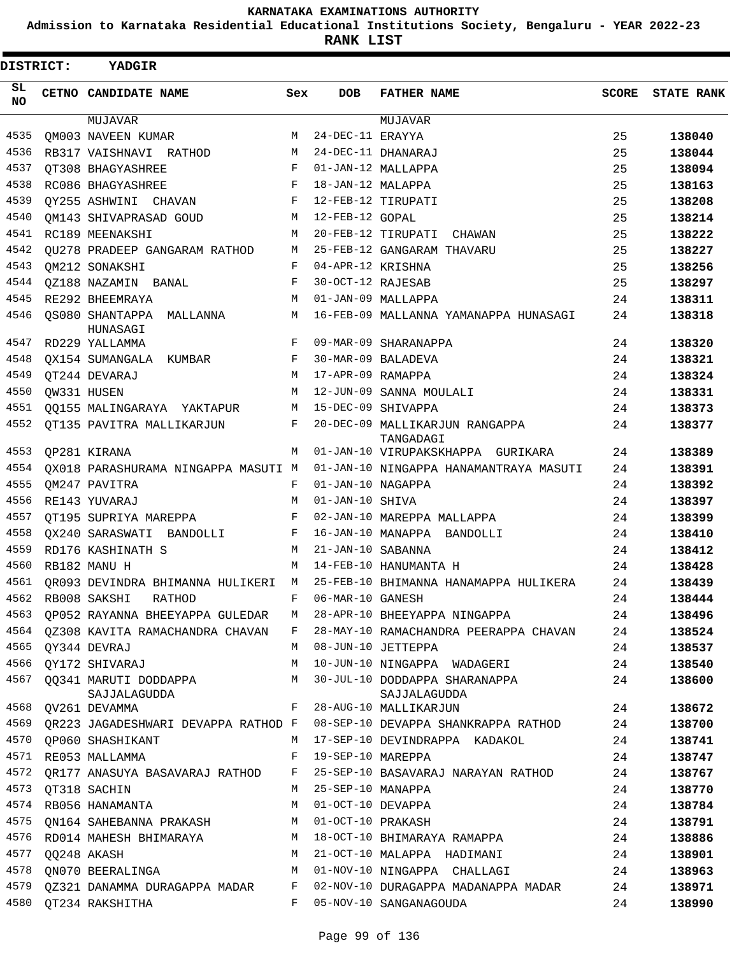**Admission to Karnataka Residential Educational Institutions Society, Bengaluru - YEAR 2022-23**

| DISTRICT:  |  | YADGIR                                |     |                    |                                               |       |                   |
|------------|--|---------------------------------------|-----|--------------------|-----------------------------------------------|-------|-------------------|
| SL.<br>NO. |  | CETNO CANDIDATE NAME                  | Sex | <b>DOB</b>         | <b>FATHER NAME</b>                            | SCORE | <b>STATE RANK</b> |
|            |  | MUJAVAR                               |     |                    | MUJAVAR                                       |       |                   |
| 4535       |  | OM003 NAVEEN KUMAR                    | М   | 24-DEC-11 ERAYYA   |                                               | 25    | 138040            |
| 4536       |  | RB317 VAISHNAVI RATHOD                | М   |                    | 24-DEC-11 DHANARAJ                            | 25    | 138044            |
| 4537       |  | OT308 BHAGYASHREE                     | F   |                    | 01-JAN-12 MALLAPPA                            | 25    | 138094            |
| 4538       |  | RC086 BHAGYASHREE                     | F   | 18-JAN-12 MALAPPA  |                                               | 25    | 138163            |
| 4539       |  | QY255 ASHWINI CHAVAN                  | F   | 12-FEB-12 TIRUPATI |                                               | 25    | 138208            |
| 4540       |  | OM143 SHIVAPRASAD GOUD                | М   | 12-FEB-12 GOPAL    |                                               | 25    | 138214            |
| 4541       |  | RC189 MEENAKSHI                       | М   |                    | 20-FEB-12 TIRUPATI CHAWAN                     | 25    | 138222            |
| 4542       |  | OU278 PRADEEP GANGARAM RATHOD         | М   |                    | 25-FEB-12 GANGARAM THAVARU                    | 25    | 138227            |
| 4543       |  | OM212 SONAKSHI                        | F   | 04-APR-12 KRISHNA  |                                               | 25    | 138256            |
| 4544       |  | OZ188 NAZAMIN BANAL                   | F   | 30-OCT-12 RAJESAB  |                                               | 25    | 138297            |
| 4545       |  | RE292 BHEEMRAYA                       | М   |                    | 01-JAN-09 MALLAPPA                            | 24    | 138311            |
| 4546       |  | QS080 SHANTAPPA MALLANNA<br>HUNASAGI  | М   |                    | 16-FEB-09 MALLANNA YAMANAPPA HUNASAGI         | 24    | 138318            |
| 4547       |  | RD229 YALLAMMA                        | F   |                    | 09-MAR-09 SHARANAPPA                          | 24    | 138320            |
| 4548       |  | QX154 SUMANGALA KUMBAR                | F   |                    | 30-MAR-09 BALADEVA                            | 24    | 138321            |
| 4549       |  | OT244 DEVARAJ                         | M   | 17-APR-09 RAMAPPA  |                                               | 24    | 138324            |
| 4550       |  | OW331 HUSEN                           | М   |                    | 12-JUN-09 SANNA MOULALI                       | 24    | 138331            |
| 4551       |  | QQ155 MALINGARAYA YAKTAPUR            | М   |                    | 15-DEC-09 SHIVAPPA                            | 24    | 138373            |
| 4552       |  | QT135 PAVITRA MALLIKARJUN             | F   |                    | 20-DEC-09 MALLIKARJUN RANGAPPA<br>TANGADAGI   | 24    | 138377            |
| 4553       |  | OP281 KIRANA                          | М   |                    | 01-JAN-10 VIRUPAKSKHAPPA GURIKARA             | 24    | 138389            |
| 4554       |  | OX018 PARASHURAMA NINGAPPA MASUTI M   |     |                    | 01-JAN-10 NINGAPPA HANAMANTRAYA MASUTI        | 24    | 138391            |
| 4555       |  | OM247 PAVITRA                         | F   | 01-JAN-10 NAGAPPA  |                                               | 24    | 138392            |
| 4556       |  | RE143 YUVARAJ                         | M   | 01-JAN-10 SHIVA    |                                               | 24    | 138397            |
| 4557       |  | OT195 SUPRIYA MAREPPA                 | F   |                    | 02-JAN-10 MAREPPA MALLAPPA                    | 24    | 138399            |
| 4558       |  | OX240 SARASWATI BANDOLLI              | F   |                    | 16-JAN-10 MANAPPA BANDOLLI                    | 24    | 138410            |
| 4559       |  | RD176 KASHINATH S                     | М   | 21-JAN-10 SABANNA  |                                               | 24    | 138412            |
| 4560       |  | RB182 MANU H                          | M   |                    | 14-FEB-10 HANUMANTA H                         | 24    | 138428            |
| 4561       |  | QR093 DEVINDRA BHIMANNA HULIKERI M    |     |                    | 25-FEB-10 BHIMANNA HANAMAPPA HULIKERA         | 24    | 138439            |
|            |  | 4562 RB008 SAKSHI<br>RATHOD           |     | F 06-MAR-10 GANESH |                                               | 24    | 138444            |
| 4563       |  | QP052 RAYANNA BHEEYAPPA GULEDAR       | M   |                    | 28-APR-10 BHEEYAPPA NINGAPPA                  | 24    | 138496            |
| 4564       |  | 0Z308 KAVITA RAMACHANDRA CHAVAN       | F   |                    | 28-MAY-10 RAMACHANDRA PEERAPPA CHAVAN         | 24    | 138524            |
| 4565       |  | QY344 DEVRAJ                          | M   |                    | 08-JUN-10 JETTEPPA                            | 24    | 138537            |
| 4566       |  | QY172 SHIVARAJ                        | М   |                    | 10-JUN-10 NINGAPPA WADAGERI                   | 24    | 138540            |
| 4567       |  | 00341 MARUTI DODDAPPA<br>SAJJALAGUDDA | М   |                    | 30-JUL-10 DODDAPPA SHARANAPPA<br>SAJJALAGUDDA | 24    | 138600            |
| 4568       |  | OV261 DEVAMMA                         | F   |                    | 28-AUG-10 MALLIKARJUN                         | 24    | 138672            |
| 4569       |  | OR223 JAGADESHWARI DEVAPPA RATHOD F   |     |                    | 08-SEP-10 DEVAPPA SHANKRAPPA RATHOD           | 24    | 138700            |
| 4570       |  | OP060 SHASHIKANT                      | М   |                    | 17-SEP-10 DEVINDRAPPA KADAKOL                 | 24    | 138741            |
| 4571       |  | RE053 MALLAMMA                        | F   | 19-SEP-10 MAREPPA  |                                               | 24    | 138747            |
| 4572       |  | OR177 ANASUYA BASAVARAJ RATHOD        | F   |                    | 25-SEP-10 BASAVARAJ NARAYAN RATHOD            | 24    | 138767            |
| 4573       |  | QT318 SACHIN                          | М   | 25-SEP-10 MANAPPA  |                                               | 24    | 138770            |
| 4574       |  | RB056 HANAMANTA                       | М   | 01-OCT-10 DEVAPPA  |                                               | 24    | 138784            |
| 4575       |  | QN164 SAHEBANNA PRAKASH               | М   | 01-OCT-10 PRAKASH  |                                               | 24    | 138791            |
| 4576       |  | RD014 MAHESH BHIMARAYA                | М   |                    | 18-OCT-10 BHIMARAYA RAMAPPA                   | 24    | 138886            |
| 4577       |  | QQ248 AKASH                           | М   |                    | 21-OCT-10 MALAPPA HADIMANI                    | 24    | 138901            |
| 4578       |  | ON070 BEERALINGA                      | М   |                    | 01-NOV-10 NINGAPPA CHALLAGI                   | 24    | 138963            |
| 4579       |  | 0Z321 DANAMMA DURAGAPPA MADAR         | F   |                    | 02-NOV-10 DURAGAPPA MADANAPPA MADAR           | 24    | 138971            |
| 4580       |  | QT234 RAKSHITHA                       | F   |                    | 05-NOV-10 SANGANAGOUDA                        | 24    | 138990            |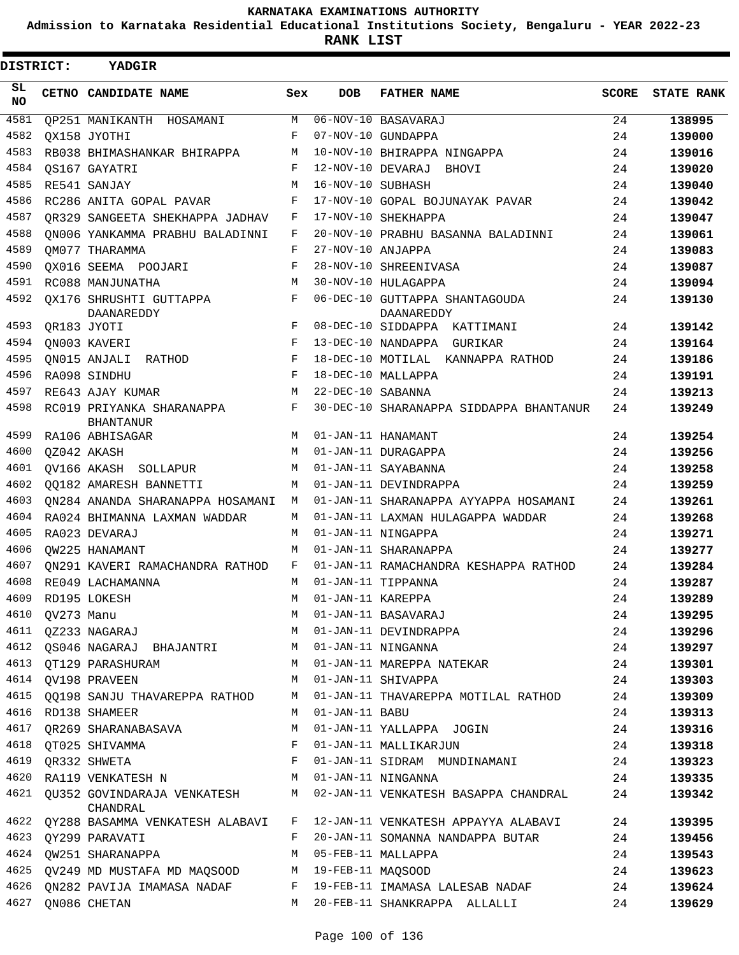**Admission to Karnataka Residential Educational Institutions Society, Bengaluru - YEAR 2022-23**

| <b>DISTRICT:</b> | YADGIR                                                                |     |                   |                                                                                                                                  |       |                   |
|------------------|-----------------------------------------------------------------------|-----|-------------------|----------------------------------------------------------------------------------------------------------------------------------|-------|-------------------|
| SL.<br><b>NO</b> | CETNO CANDIDATE NAME                                                  | Sex | <b>DOB</b>        | <b>FATHER NAME</b>                                                                                                               | SCORE | <b>STATE RANK</b> |
| 4581             | OP251 MANIKANTH HOSAMANI                                              | М   |                   | 06-NOV-10 BASAVARAJ                                                                                                              | 24    | 138995            |
| 4582             | OX158 JYOTHI                                                          | F   |                   | 07-NOV-10 GUNDAPPA                                                                                                               | 24    | 139000            |
| 4583             | RB038 BHIMASHANKAR BHIRAPPA                                           | М   |                   | 10-NOV-10 BHIRAPPA NINGAPPA                                                                                                      | 24    | 139016            |
| 4584             | OS167 GAYATRI                                                         | F   | 12-NOV-10 DEVARAJ | BHOVI                                                                                                                            | 24    | 139020            |
| 4585             | RE541 SANJAY                                                          | М   | 16-NOV-10 SUBHASH |                                                                                                                                  | 24    | 139040            |
| 4586             | RC286 ANITA GOPAL PAVAR                                               | F   |                   | 17-NOV-10 GOPAL BOJUNAYAK PAVAR                                                                                                  | 24    | 139042            |
| 4587             | OR329 SANGEETA SHEKHAPPA JADHAV                                       | F   |                   | 17-NOV-10 SHEKHAPPA                                                                                                              | 24    | 139047            |
| 4588             | ON006 YANKAMMA PRABHU BALADINNI                                       | F   |                   | 20-NOV-10 PRABHU BASANNA BALADINNI                                                                                               | 24    | 139061            |
| 4589             | OM077 THARAMMA                                                        | F   | 27-NOV-10 ANJAPPA |                                                                                                                                  | 24    | 139083            |
| 4590             | OX016 SEEMA POOJARI                                                   | F   |                   | 28-NOV-10 SHREENIVASA                                                                                                            | 24    | 139087            |
| 4591             | RC088 MANJUNATHA                                                      | M   |                   | 30-NOV-10 HULAGAPPA                                                                                                              | 24    | 139094            |
| 4592             | OX176 SHRUSHTI GUTTAPPA<br>DAANAREDDY                                 | F   |                   | 06-DEC-10 GUTTAPPA SHANTAGOUDA<br>DAANAREDDY                                                                                     | 24    | 139130            |
| 4593             | QR183 JYOTI                                                           | F   |                   | 08-DEC-10 SIDDAPPA KATTIMANI                                                                                                     | 24    | 139142            |
| 4594             | ON003 KAVERI                                                          | F   |                   | 13-DEC-10 NANDAPPA GURIKAR                                                                                                       | 24    | 139164            |
| 4595             | ON015 ANJALI RATHOD                                                   | F   |                   | 18-DEC-10 MOTILAL KANNAPPA RATHOD                                                                                                | 24    | 139186            |
| 4596             | RA098 SINDHU                                                          | F   |                   | 18-DEC-10 MALLAPPA                                                                                                               | 24    | 139191            |
| 4597             | RE643 AJAY KUMAR                                                      | M   | 22-DEC-10 SABANNA |                                                                                                                                  | 24    | 139213            |
| 4598             | RC019 PRIYANKA SHARANAPPA<br><b>BHANTANUR</b>                         | F   |                   | 30-DEC-10 SHARANAPPA SIDDAPPA BHANTANUR                                                                                          | 24    | 139249            |
| 4599             | RA106 ABHISAGAR                                                       | М   |                   | 01-JAN-11 HANAMANT                                                                                                               | 24    | 139254            |
| 4600             | QZ042 AKASH                                                           | M   |                   | 01-JAN-11 DURAGAPPA                                                                                                              | 24    | 139256            |
| 4601             | QV166 AKASH SOLLAPUR                                                  | М   |                   | 01-JAN-11 SAYABANNA                                                                                                              | 24    | 139258            |
| 4602             | QQ182 AMARESH BANNETTI                                                | M   |                   | 01-JAN-11 DEVINDRAPPA                                                                                                            | 24    | 139259            |
| 4603             | ON284 ANANDA SHARANAPPA HOSAMANI                                      | М   |                   | 01-JAN-11 SHARANAPPA AYYAPPA HOSAMANI                                                                                            | 24    | 139261            |
| 4604             | RA024 BHIMANNA LAXMAN WADDAR                                          | М   |                   | 01-JAN-11 LAXMAN HULAGAPPA WADDAR                                                                                                | 24    | 139268            |
| 4605             | RA023 DEVARAJ                                                         | М   |                   | 01-JAN-11 NINGAPPA                                                                                                               | 24    | 139271            |
| 4606             | QW225 HANAMANT                                                        | М   |                   | 01-JAN-11 SHARANAPPA                                                                                                             | 24    | 139277            |
| 4607             | ON291 KAVERI RAMACHANDRA RATHOD                                       | F   |                   | 01-JAN-11 RAMACHANDRA KESHAPPA RATHOD                                                                                            | 24    | 139284            |
| 4608             | RE049 LACHAMANNA                                                      | М   |                   | 01-JAN-11 TIPPANNA                                                                                                               | 24    | 139287            |
| 4609             | RD195 LOKESH                                                          | M   | 01-JAN-11 KAREPPA |                                                                                                                                  | 24    | 139289            |
|                  |                                                                       |     |                   |                                                                                                                                  | 24    | 139295            |
|                  |                                                                       |     |                   | 4609 RDI95 LOKESH $M$ 01-JAN-11 BASAVARAJ<br>4610 QV273 Manu M 01-JAN-11 BASAVARAJ<br>4611 QZ233 NAGARAJ M 01-JAN-11 DEVINDRAPPA | 24    | 139296            |
|                  | 4612 QS046 NAGARAJ BHAJANTRI M 01-JAN-11 NINGANNA                     |     |                   |                                                                                                                                  | 24    | 139297            |
|                  | 4613 QT129 PARASHURAM M                                               |     |                   | 01-JAN-11 MAREPPA NATEKAR                                                                                                        | 24    | 139301            |
|                  | 4614 QV198 PRAVEEN                                                    |     |                   | M 01-JAN-11 SHIVAPPA                                                                                                             | 24    | 139303            |
|                  |                                                                       |     |                   | 4615 QQ198 SANJU THAVAREPPA RATHOD M 01-JAN-11 THAVAREPPA MOTILAL RATHOD                                                         | 24    | 139309            |
|                  | 4616 RD138 SHAMEER                                                    | M   | 01-JAN-11 BABU    |                                                                                                                                  | 24    | 139313            |
|                  | 4617 QR269 SHARANABASAVA M                                            |     |                   | 01-JAN-11 YALLAPPA JOGIN                                                                                                         | 24    | 139316            |
|                  | 4618 QT025 SHIVAMMA                                                   |     |                   | F 01-JAN-11 MALLIKARJUN                                                                                                          | 24    | 139318            |
|                  | 4619 QR332 SHWETA                                                     |     |                   | F 01-JAN-11 SIDRAM MUNDINAMANI 24                                                                                                |       | 139323            |
|                  |                                                                       |     |                   | 4620 RA119 VENKATESH N M O1-JAN-11 NINGANNA 24                                                                                   |       | 139335            |
|                  | CHANDRAL                                                              |     |                   | 4621 QU352 GOVINDARAJA VENKATESH M 02-JAN-11 VENKATESH BASAPPA CHANDRAL                                                          | 24    | 139342            |
|                  |                                                                       |     |                   | 4622 QY288 BASAMMA VENKATESH ALABAVI F 12-JAN-11 VENKATESH APPAYYA ALABAVI 24                                                    |       | 139395            |
|                  | 4623 QY299 PARAVATI<br>$\mathbf{F}$ and $\mathbf{F}$ and $\mathbf{F}$ |     |                   | 20-JAN-11 SOMANNA NANDAPPA BUTAR                                                                                                 | 24    | 139456            |
|                  | 4624 QW251 SHARANAPPA<br>M 05-FEB-11 MALLAPPA                         |     |                   |                                                                                                                                  | 24    | 139543            |
|                  | 4625 QV249 MD MUSTAFA MD MAQSOOD M 19-FEB-11 MAQSOOD                  |     |                   |                                                                                                                                  | 24    | 139623            |
|                  |                                                                       |     |                   | 4626 QN282 PAVIJA IMAMASA NADAF F 19-FEB-11 IMAMASA LALESAB NADAF                                                                | 24    | 139624            |
|                  | 4627 QN086 CHETAN                                                     |     |                   | M 20-FEB-11 SHANKRAPPA ALLALLI                                                                                                   | 24    | 139629            |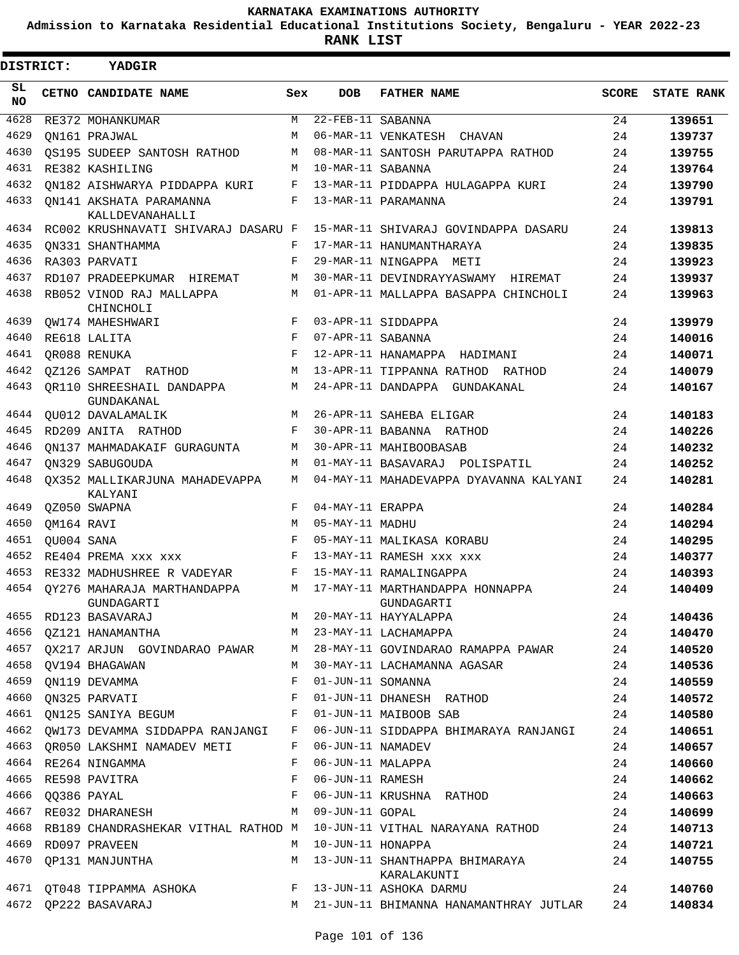**Admission to Karnataka Residential Educational Institutions Society, Bengaluru - YEAR 2022-23**

**RANK LIST**

 $\blacksquare$ 

| <b>DISTRICT:</b> |            | <b>YADGIR</b>                                  |     |                   |                                               |              |                   |
|------------------|------------|------------------------------------------------|-----|-------------------|-----------------------------------------------|--------------|-------------------|
| SL<br>NO.        |            | CETNO CANDIDATE NAME                           | Sex | <b>DOB</b>        | <b>FATHER NAME</b>                            | <b>SCORE</b> | <b>STATE RANK</b> |
| 4628             |            | RE372 MOHANKUMAR                               | M   | 22-FEB-11 SABANNA |                                               | 24           | 139651            |
| 4629             |            | ON161 PRAJWAL                                  | М   |                   | 06-MAR-11 VENKATESH CHAVAN                    | 24           | 139737            |
| 4630             |            | OS195 SUDEEP SANTOSH RATHOD                    | M   |                   | 08-MAR-11 SANTOSH PARUTAPPA RATHOD            | 24           | 139755            |
| 4631             |            | RE382 KASHILING                                | M   | 10-MAR-11 SABANNA |                                               | 24           | 139764            |
| 4632             |            | ON182 AISHWARYA PIDDAPPA KURI                  | F   |                   | 13-MAR-11 PIDDAPPA HULAGAPPA KURI             | 24           | 139790            |
| 4633             |            | QN141 AKSHATA PARAMANNA<br>KALLDEVANAHALLI     | F   |                   | 13-MAR-11 PARAMANNA                           | 24           | 139791            |
| 4634             |            | RC002 KRUSHNAVATI SHIVARAJ DASARU F            |     |                   | 15-MAR-11 SHIVARAJ GOVINDAPPA DASARU          | 24           | 139813            |
| 4635             |            | ON331 SHANTHAMMA                               | F   |                   | 17-MAR-11 HANUMANTHARAYA                      | 24           | 139835            |
| 4636             |            | RA303 PARVATI                                  | F   |                   | 29-MAR-11 NINGAPPA METI                       | 24           | 139923            |
| 4637             |            | RD107 PRADEEPKUMAR HIREMAT                     | M   |                   | 30-MAR-11 DEVINDRAYYASWAMY HIREMAT            | 24           | 139937            |
| 4638             |            | RB052 VINOD RAJ MALLAPPA<br>CHINCHOLI          | M   |                   | 01-APR-11 MALLAPPA BASAPPA CHINCHOLI          | 24           | 139963            |
| 4639             |            | OW174 MAHESHWARI                               | F   |                   | 03-APR-11 SIDDAPPA                            | 24           | 139979            |
| 4640             |            | RE618 LALITA                                   | F   | 07-APR-11 SABANNA |                                               | 24           | 140016            |
| 4641             |            | OR088 RENUKA                                   | F   |                   | 12-APR-11 HANAMAPPA HADIMANI                  | 24           | 140071            |
| 4642             |            | OZ126 SAMPAT RATHOD                            | M   |                   | 13-APR-11 TIPPANNA RATHOD RATHOD              | 24           | 140079            |
| 4643             |            | OR110 SHREESHAIL DANDAPPA<br><b>GUNDAKANAL</b> | M   |                   | 24-APR-11 DANDAPPA GUNDAKANAL                 | 24           | 140167            |
| 4644             |            | QU012 DAVALAMALIK                              | М   |                   | 26-APR-11 SAHEBA ELIGAR                       | 24           | 140183            |
| 4645             |            | RD209 ANITA RATHOD                             | F   |                   | 30-APR-11 BABANNA RATHOD                      | 24           | 140226            |
| 4646             |            | ON137 MAHMADAKAIF GURAGUNTA                    | M   |                   | 30-APR-11 MAHIBOOBASAB                        | 24           | 140232            |
| 4647             |            | ON329 SABUGOUDA                                | M   |                   | 01-MAY-11 BASAVARAJ POLISPATIL                | 24           | 140252            |
| 4648             |            | OX352 MALLIKARJUNA MAHADEVAPPA<br>KALYANI      | М   |                   | 04-MAY-11 MAHADEVAPPA DYAVANNA KALYANI        | 24           | 140281            |
| 4649             |            | QZ050 SWAPNA                                   | F   | 04-MAY-11 ERAPPA  |                                               | 24           | 140284            |
| 4650             | QM164 RAVI |                                                | М   | 05-MAY-11 MADHU   |                                               | 24           | 140294            |
| 4651             | OU004 SANA |                                                | F   |                   | 05-MAY-11 MALIKASA KORABU                     | 24           | 140295            |
| 4652             |            | RE404 PREMA XXX XXX                            | F   |                   | 13-MAY-11 RAMESH XXX XXX                      | 24           | 140377            |
| 4653             |            | RE332 MADHUSHREE R VADEYAR                     | F   |                   | 15-MAY-11 RAMALINGAPPA                        | 24           | 140393            |
| 4654             |            | OY276 MAHARAJA MARTHANDAPPA<br>GUNDAGARTI      | M   |                   | 17-MAY-11 MARTHANDAPPA HONNAPPA<br>GUNDAGARTI | 24           | 140409            |
| 4655             |            | RD123 BASAVARAJ                                |     |                   | M 20-MAY-11 HAYYALAPPA                        | 24           | 140436            |
| 4656             |            | $M_{\rm H}$<br>QZ121 HANAMANTHA                |     |                   | 23-MAY-11 LACHAMAPPA                          | 24           | 140470            |
| 4657             |            | QX217 ARJUN GOVINDARAO PAWAR                   | M   |                   | 28-MAY-11 GOVINDARAO RAMAPPA PAWAR            | 24           | 140520            |
| 4658             |            | OV194 BHAGAWAN                                 | М   |                   | 30-MAY-11 LACHAMANNA AGASAR                   | 24           | 140536            |
| 4659             |            | ON119 DEVAMMA                                  | F   | 01-JUN-11 SOMANNA |                                               | 24           | 140559            |
| 4660             |            | ON325 PARVATI                                  | F   |                   | 01-JUN-11 DHANESH RATHOD                      | 24           | 140572            |
| 4661             |            | QN125 SANIYA BEGUM                             | F   |                   | 01-JUN-11 MAIBOOB SAB                         | 24           | 140580            |
| 4662             |            | QW173 DEVAMMA SIDDAPPA RANJANGI                | F   |                   | 06-JUN-11 SIDDAPPA BHIMARAYA RANJANGI         | 24           | 140651            |
| 4663             |            | OR050 LAKSHMI NAMADEV METI                     | F   | 06-JUN-11 NAMADEV |                                               | 24           | 140657            |
| 4664             |            | RE264 NINGAMMA                                 | F   | 06-JUN-11 MALAPPA |                                               | 24           | 140660            |
| 4665             |            | RE598 PAVITRA                                  | F   | 06-JUN-11 RAMESH  |                                               | 24           | 140662            |
| 4666             |            | QQ386 PAYAL                                    | F   |                   | 06-JUN-11 KRUSHNA RATHOD                      | 24           | 140663            |
| 4667             |            | RE032 DHARANESH                                | M   | 09-JUN-11 GOPAL   |                                               | 24           | 140699            |
| 4668             |            | RB189 CHANDRASHEKAR VITHAL RATHOD M            |     |                   | 10-JUN-11 VITHAL NARAYANA RATHOD              | 24           | 140713            |
| 4669             |            | RD097 PRAVEEN                                  | M   | 10-JUN-11 HONAPPA |                                               | 24           | 140721            |
| 4670             |            | QP131 MANJUNTHA                                | M   |                   | 13-JUN-11 SHANTHAPPA BHIMARAYA<br>KARALAKUNTI | 24           | 140755            |
|                  |            | 4671 QT048 TIPPAMMA ASHOKA                     | F   |                   | 13-JUN-11 ASHOKA DARMU                        | 24           | 140760            |
| 4672             |            | QP222 BASAVARAJ                                |     |                   | M 21-JUN-11 BHIMANNA HANAMANTHRAY JUTLAR      | 24           | 140834            |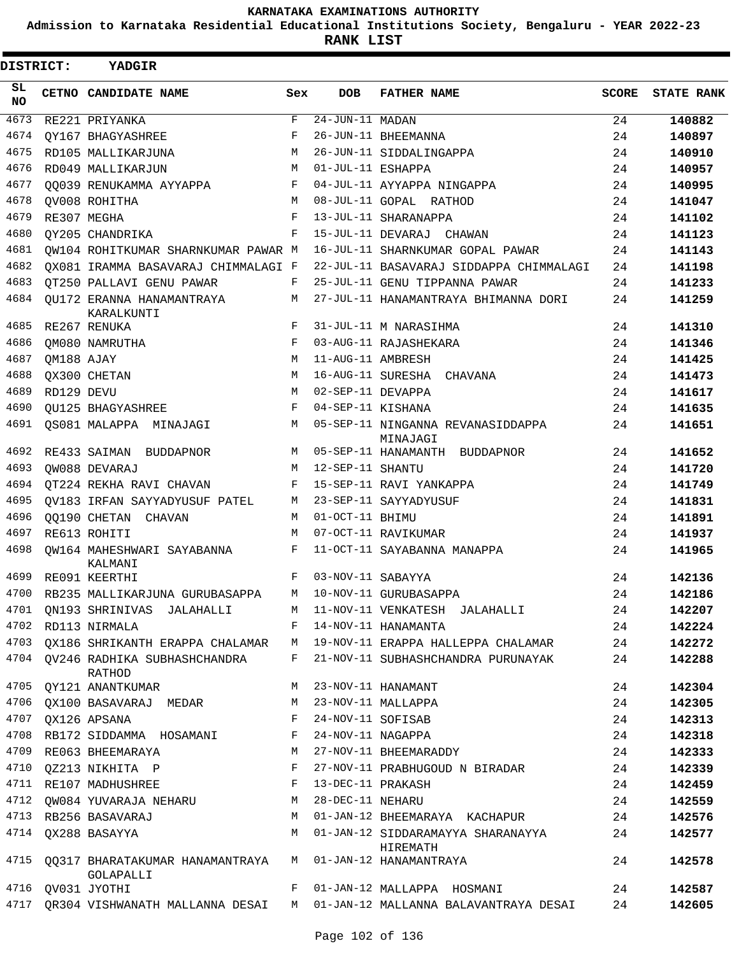**Admission to Karnataka Residential Educational Institutions Society, Bengaluru - YEAR 2022-23**

| DISTRICT:        |            | <b>YADGIR</b>                                |     |                   |                                               |              |                   |
|------------------|------------|----------------------------------------------|-----|-------------------|-----------------------------------------------|--------------|-------------------|
| SL.<br><b>NO</b> |            | CETNO CANDIDATE NAME                         | Sex | <b>DOB</b>        | <b>FATHER NAME</b>                            | <b>SCORE</b> | <b>STATE RANK</b> |
| 4673             |            | RE221 PRIYANKA                               | F   | $24-JUN-11$ MADAN |                                               | 24           | 140882            |
| 4674             |            | OY167 BHAGYASHREE                            | F   |                   | 26-JUN-11 BHEEMANNA                           | 24           | 140897            |
| 4675             |            | RD105 MALLIKARJUNA                           | М   |                   | 26-JUN-11 SIDDALINGAPPA                       | 24           | 140910            |
| 4676             |            | RD049 MALLIKARJUN                            | M   | 01-JUL-11 ESHAPPA |                                               | 24           | 140957            |
| 4677             |            | 00039 RENUKAMMA AYYAPPA                      | F   |                   | 04-JUL-11 AYYAPPA NINGAPPA                    | 24           | 140995            |
| 4678             |            | OV008 ROHITHA                                | M   |                   | 08-JUL-11 GOPAL RATHOD                        | 24           | 141047            |
| 4679             |            | RE307 MEGHA                                  | F   |                   | 13-JUL-11 SHARANAPPA                          | 24           | 141102            |
| 4680             |            | OY205 CHANDRIKA                              | F   |                   | 15-JUL-11 DEVARAJ CHAWAN                      | 24           | 141123            |
| 4681             |            | OW104 ROHITKUMAR SHARNKUMAR PAWAR M          |     |                   | 16-JUL-11 SHARNKUMAR GOPAL PAWAR              | 24           | 141143            |
| 4682             |            | OX081 IRAMMA BASAVARAJ CHIMMALAGI F          |     |                   | 22-JUL-11 BASAVARAJ SIDDAPPA CHIMMALAGI       | 24           | 141198            |
| 4683             |            | QT250 PALLAVI GENU PAWAR                     | F   |                   | 25-JUL-11 GENU TIPPANNA PAWAR                 | 24           | 141233            |
| 4684             |            | OU172 ERANNA HANAMANTRAYA<br>KARALKUNTI      | М   |                   | 27-JUL-11 HANAMANTRAYA BHIMANNA DORI          | 24           | 141259            |
| 4685             |            | RE267 RENUKA                                 | F   |                   | 31-JUL-11 M NARASIHMA                         | 24           | 141310            |
| 4686             |            | OM080 NAMRUTHA                               | F   |                   | 03-AUG-11 RAJASHEKARA                         | 24           | 141346            |
| 4687             | QM188 AJAY |                                              | M   | 11-AUG-11 AMBRESH |                                               | 24           | 141425            |
| 4688             |            | QX300 CHETAN                                 | М   |                   | 16-AUG-11 SURESHA<br>CHAVANA                  | 24           | 141473            |
| 4689             | RD129 DEVU |                                              | M   | 02-SEP-11 DEVAPPA |                                               | 24           | 141617            |
| 4690             |            | <b>OU125 BHAGYASHREE</b>                     | F   | 04-SEP-11 KISHANA |                                               | 24           | 141635            |
| 4691             |            | QS081 MALAPPA MINAJAGI                       | М   |                   | 05-SEP-11 NINGANNA REVANASIDDAPPA<br>MINAJAGI | 24           | 141651            |
| 4692             |            | RE433 SAIMAN BUDDAPNOR                       | М   |                   | 05-SEP-11 HANAMANTH BUDDAPNOR                 | 24           | 141652            |
| 4693             |            | OW088 DEVARAJ                                | M   | 12-SEP-11 SHANTU  |                                               | 24           | 141720            |
| 4694             |            | QT224 REKHA RAVI CHAVAN                      | F   |                   | 15-SEP-11 RAVI YANKAPPA                       | 24           | 141749            |
| 4695             |            | QV183 IRFAN SAYYADYUSUF PATEL                | М   |                   | 23-SEP-11 SAYYADYUSUF                         | 24           | 141831            |
| 4696             |            | 00190 CHETAN CHAVAN                          | М   | 01-OCT-11 BHIMU   |                                               | 24           | 141891            |
| 4697             |            | RE613 ROHITI                                 | M   |                   | 07-OCT-11 RAVIKUMAR                           | 24           | 141937            |
| 4698             |            | OW164 MAHESHWARI SAYABANNA<br>KALMANI        | F   |                   | 11-OCT-11 SAYABANNA MANAPPA                   | 24           | 141965            |
| 4699             |            | RE091 KEERTHI                                | F   | 03-NOV-11 SABAYYA |                                               | 24           | 142136            |
| 4700             |            | RB235 MALLIKARJUNA GURUBASAPPA               | M   |                   | 10-NOV-11 GURUBASAPPA                         | 24           | 142186            |
| 4701             |            | QN193 SHRINIVAS JALAHALLI                    | М   |                   | 11-NOV-11 VENKATESH JALAHALLI                 | 24           | 142207            |
| 4702             |            | RD113 NIRMALA                                | F   |                   | 14-NOV-11 HANAMANTA                           | 24           | 142224            |
| 4703             |            | OX186 SHRIKANTH ERAPPA CHALAMAR              | M   |                   | 19-NOV-11 ERAPPA HALLEPPA CHALAMAR            | 24           | 142272            |
|                  |            | 4704 QV246 RADHIKA SUBHASHCHANDRA<br>RATHOD  | F   |                   | 21-NOV-11 SUBHASHCHANDRA PURUNAYAK            | 24           | 142288            |
| 4705             |            | QY121 ANANTKUMAR                             | М   |                   | 23-NOV-11 HANAMANT                            | 24           | 142304            |
|                  |            | 4706 QX100 BASAVARAJ MEDAR                   | М   |                   | 23-NOV-11 MALLAPPA                            | 24           | 142305            |
| 4707             |            | QX126 APSANA                                 | F   | 24-NOV-11 SOFISAB |                                               | 24           | 142313            |
| 4708             |            | RB172 SIDDAMMA HOSAMANI                      | F   | 24-NOV-11 NAGAPPA |                                               | 24           | 142318            |
| 4709             |            | RE063 BHEEMARAYA                             | М   |                   | 27-NOV-11 BHEEMARADDY                         | 24           | 142333            |
|                  |            | 4710 QZ213 NIKHITA P                         | F   |                   | 27-NOV-11 PRABHUGOUD N BIRADAR                | 24           | 142339            |
| 4711             |            | RE107 MADHUSHREE                             | F   | 13-DEC-11 PRAKASH |                                               | 24           | 142459            |
| 4712             |            | QW084 YUVARAJA NEHARU                        | М   | 28-DEC-11 NEHARU  |                                               | 24           | 142559            |
| 4713             |            | RB256 BASAVARAJ                              | М   |                   | 01-JAN-12 BHEEMARAYA KACHAPUR                 | 24           | 142576            |
|                  |            | 4714 QX288 BASAYYA                           | М   |                   | 01-JAN-12 SIDDARAMAYYA SHARANAYYA<br>HIREMATH | 24           | 142577            |
| 4715             |            | QQ317 BHARATAKUMAR HANAMANTRAYA<br>GOLAPALLI | M   |                   | 01-JAN-12 HANAMANTRAYA                        | 24           | 142578            |
|                  |            | 4716 QV031 JYOTHI                            | F   |                   | 01-JAN-12 MALLAPPA HOSMANI                    | 24           | 142587            |
| 4717             |            | QR304 VISHWANATH MALLANNA DESAI              | M   |                   | 01-JAN-12 MALLANNA BALAVANTRAYA DESAI         | 24           | 142605            |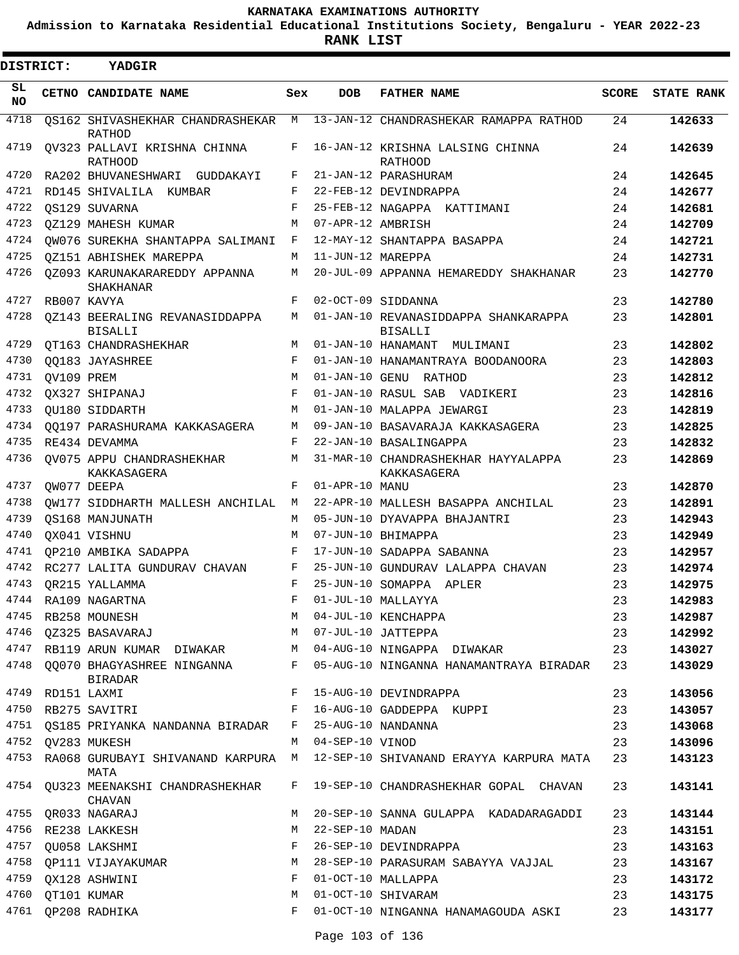**Admission to Karnataka Residential Educational Institutions Society, Bengaluru - YEAR 2022-23**

**RANK LIST**

 $\blacksquare$ 

| DISTRICT:  |                  | YADGIR                                              |             |                   |                                                        |              |                   |
|------------|------------------|-----------------------------------------------------|-------------|-------------------|--------------------------------------------------------|--------------|-------------------|
| SL.<br>NO. |                  | CETNO CANDIDATE NAME                                | Sex         | <b>DOB</b>        | <b>FATHER NAME</b>                                     | <b>SCORE</b> | <b>STATE RANK</b> |
| 4718       |                  | OS162 SHIVASHEKHAR CHANDRASHEKAR M<br><b>RATHOD</b> |             |                   | 13-JAN-12 CHANDRASHEKAR RAMAPPA RATHOD                 | 24           | 142633            |
| 4719       |                  | OV323 PALLAVI KRISHNA CHINNA<br><b>RATHOOD</b>      | F           |                   | 16-JAN-12 KRISHNA LALSING CHINNA<br><b>RATHOOD</b>     | 24           | 142639            |
| 4720       |                  | RA202 BHUVANESHWARI GUDDAKAYI                       | F           |                   | 21-JAN-12 PARASHURAM                                   | 24           | 142645            |
| 4721       |                  | RD145 SHIVALILA KUMBAR                              | F           |                   | 22-FEB-12 DEVINDRAPPA                                  | 24           | 142677            |
| 4722       |                  | OS129 SUVARNA                                       | $_{\rm F}$  |                   | 25-FEB-12 NAGAPPA KATTIMANI                            | 24           | 142681            |
| 4723       |                  | OZ129 MAHESH KUMAR                                  | M           | 07-APR-12 AMBRISH |                                                        | 24           | 142709            |
| 4724       |                  | OW076 SUREKHA SHANTAPPA SALIMANI                    | F           |                   | 12-MAY-12 SHANTAPPA BASAPPA                            | 24           | 142721            |
| 4725       |                  | OZ151 ABHISHEK MAREPPA                              | M           | 11-JUN-12 MAREPPA |                                                        | 24           | 142731            |
| 4726       |                  | 0Z093 KARUNAKARAREDDY APPANNA<br>SHAKHANAR          | M           |                   | 20-JUL-09 APPANNA HEMAREDDY SHAKHANAR                  | 23           | 142770            |
| 4727       |                  | RB007 KAVYA                                         | F           |                   | 02-OCT-09 SIDDANNA                                     | 23           | 142780            |
| 4728       |                  | OZ143 BEERALING REVANASIDDAPPA<br><b>BISALLI</b>    | M           |                   | 01-JAN-10 REVANASIDDAPPA SHANKARAPPA<br><b>BISALLI</b> | 23           | 142801            |
| 4729       |                  | OT163 CHANDRASHEKHAR                                | M           |                   | 01-JAN-10 HANAMANT MULIMANI                            | 23           | 142802            |
| 4730       |                  | OO183 JAYASHREE                                     | F           |                   | 01-JAN-10 HANAMANTRAYA BOODANOORA                      | 23           | 142803            |
| 4731       | OV109 PREM       |                                                     | M           |                   | 01-JAN-10 GENU RATHOD                                  | 23           | 142812            |
| 4732       |                  | QX327 SHIPANAJ                                      | F           |                   | 01-JAN-10 RASUL SAB VADIKERI                           | 23           | 142816            |
| 4733       |                  | OU180 SIDDARTH                                      | М           |                   | 01-JAN-10 MALAPPA JEWARGI                              | 23           | 142819            |
| 4734       |                  | 00197 PARASHURAMA KAKKASAGERA                       | M           |                   | 09-JAN-10 BASAVARAJA KAKKASAGERA                       | 23           | 142825            |
| 4735       |                  | RE434 DEVAMMA                                       | F           |                   | 22-JAN-10 BASALINGAPPA                                 | 23           | 142832            |
| 4736       |                  | QV075 APPU CHANDRASHEKHAR<br>KAKKASAGERA            | M           |                   | 31-MAR-10 CHANDRASHEKHAR HAYYALAPPA<br>KAKKASAGERA     | 23           | 142869            |
| 4737       |                  | OW077 DEEPA                                         | F           | 01-APR-10 MANU    |                                                        | 23           | 142870            |
| 4738       |                  | OW177 SIDDHARTH MALLESH ANCHILAL                    | M           |                   | 22-APR-10 MALLESH BASAPPA ANCHILAL                     | 23           | 142891            |
| 4739       |                  | OS168 MANJUNATH                                     | М           |                   | 05-JUN-10 DYAVAPPA BHAJANTRI                           | 23           | 142943            |
| 4740       |                  | OX041 VISHNU                                        | M           |                   | 07-JUN-10 BHIMAPPA                                     | 23           | 142949            |
| 4741       |                  | OP210 AMBIKA SADAPPA                                | F           |                   | 17-JUN-10 SADAPPA SABANNA                              | 23           | 142957            |
| 4742       |                  | RC277 LALITA GUNDURAV CHAVAN                        | F           |                   | 25-JUN-10 GUNDURAV LALAPPA CHAVAN                      | 23           | 142974            |
| 4743       |                  | OR215 YALLAMMA                                      | $_{\rm F}$  |                   | 25-JUN-10 SOMAPPA APLER                                | 23           | 142975            |
| 4744       |                  | RA109 NAGARTNA                                      | $\mathbf F$ |                   | 01-JUL-10 MALLAYYA                                     | 23           | 142983            |
| 4745       |                  | RB258 MOUNESH                                       | M           |                   | 04-JUL-10 KENCHAPPA                                    | 23           | 142987            |
| 4746       |                  | OZ325 BASAVARAJ                                     | M           |                   | 07-JUL-10 JATTEPPA                                     | 23           | 142992            |
| 4747       |                  | RB119 ARUN KUMAR DIWAKAR                            |             |                   | M 04-AUG-10 NINGAPPA DIWAKAR                           | 23           | 143027            |
| 4748       |                  | 00070 BHAGYASHREE NINGANNA<br><b>BIRADAR</b>        |             |                   | F 05-AUG-10 NINGANNA HANAMANTRAYA BIRADAR              | 23           | 143029            |
|            | 4749 RD151 LAXMI |                                                     | F           |                   | 15-AUG-10 DEVINDRAPPA                                  | 23           | 143056            |
|            |                  | 4750 RB275 SAVITRI                                  | F           |                   | 16-AUG-10 GADDEPPA KUPPI                               | 23           | 143057            |
|            |                  | 4751 QS185 PRIYANKA NANDANNA BIRADAR                | F           |                   | 25-AUG-10 NANDANNA                                     | 23           | 143068            |
|            |                  | 4752 QV283 MUKESH                                   |             | M 04-SEP-10 VINOD |                                                        | 23           | 143096            |
| 4753       |                  | RA068 GURUBAYI SHIVANAND KARPURA M<br>MATA          |             |                   | 12-SEP-10 SHIVANAND ERAYYA KARPURA MATA                | 23           | 143123            |
|            |                  | 4754 QU323 MEENAKSHI CHANDRASHEKHAR<br>CHAVAN       | F           |                   | 19-SEP-10 CHANDRASHEKHAR GOPAL CHAVAN                  | 23           | 143141            |
| 4755       |                  | QR033 NAGARAJ                                       | M           |                   | 20-SEP-10 SANNA GULAPPA KADADARAGADDI                  | 23           | 143144            |
|            |                  | 4756 RE238 LAKKESH                                  | М           | 22-SEP-10 MADAN   |                                                        | 23           | 143151            |
| 4757       |                  | QU058 LAKSHMI                                       | F           |                   | 26-SEP-10 DEVINDRAPPA                                  | 23           | 143163            |
| 4758       |                  | QP111 VIJAYAKUMAR                                   | M           |                   | 28-SEP-10 PARASURAM SABAYYA VAJJAL                     | 23           | 143167            |
| 4759       |                  | QX128 ASHWINI                                       | F           |                   | 01-OCT-10 MALLAPPA                                     | 23           | 143172            |
| 4760       | QT101 KUMAR      |                                                     | M           |                   | 01-OCT-10 SHIVARAM                                     | 23           | 143175            |
| 4761       |                  | QP208 RADHIKA                                       | F           |                   | 01-OCT-10 NINGANNA HANAMAGOUDA ASKI                    | 23           | 143177            |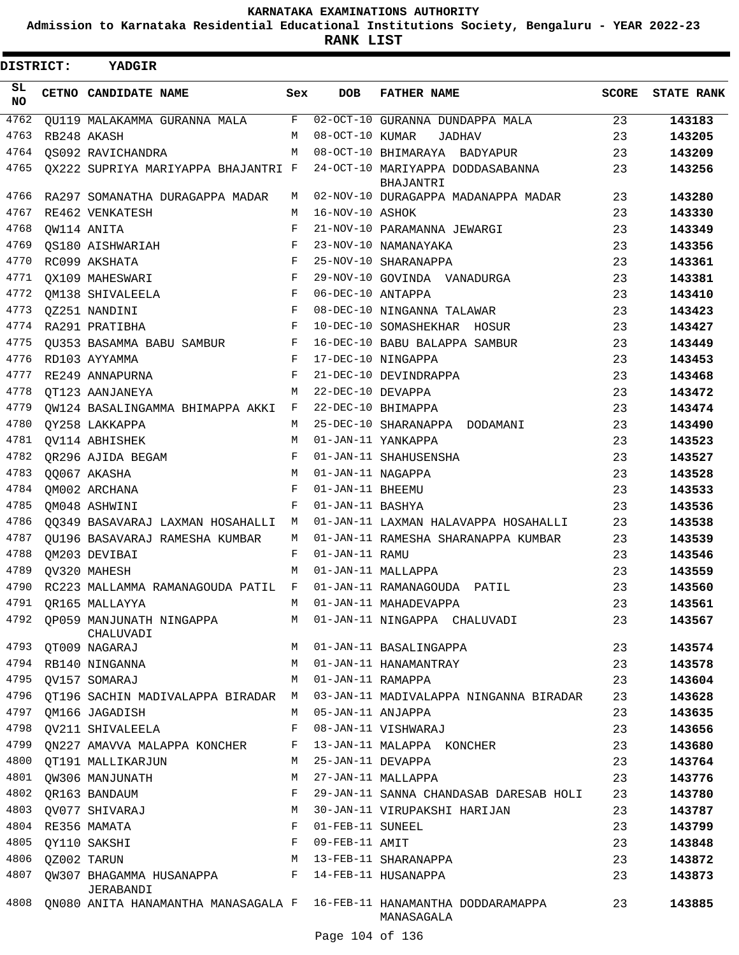**Admission to Karnataka Residential Educational Institutions Society, Bengaluru - YEAR 2022-23**

 $\blacksquare$ 

**RANK LIST**

| <b>DISTRICT:</b> |             | YADGIR                                                                      |            |                   |                                                                                     |       |                   |
|------------------|-------------|-----------------------------------------------------------------------------|------------|-------------------|-------------------------------------------------------------------------------------|-------|-------------------|
| SL<br>NO.        |             | CETNO CANDIDATE NAME                                                        | Sex        | <b>DOB</b>        | <b>FATHER NAME</b>                                                                  | SCORE | <b>STATE RANK</b> |
| 4762             |             | QU119 MALAKAMMA GURANNA MALA F                                              |            |                   | 02-OCT-10 GURANNA DUNDAPPA MALA                                                     | 23    | 143183            |
| 4763             |             | RB248 AKASH                                                                 | M          | 08-OCT-10 KUMAR   | <b>JADHAV</b>                                                                       | 23    | 143205            |
| 4764             |             | OS092 RAVICHANDRA                                                           | M          |                   | 08-OCT-10 BHIMARAYA BADYAPUR                                                        | 23    | 143209            |
| 4765             |             | QX222 SUPRIYA MARIYAPPA BHAJANTRI F                                         |            |                   | 24-OCT-10 MARIYAPPA DODDASABANNA<br>BHAJANTRI                                       | 23    | 143256            |
| 4766             |             | RA297 SOMANATHA DURAGAPPA MADAR                                             | M          |                   | 02-NOV-10 DURAGAPPA MADANAPPA MADAR                                                 | 23    | 143280            |
| 4767             |             | RE462 VENKATESH                                                             | M          | 16-NOV-10 ASHOK   |                                                                                     | 23    | 143330            |
| 4768             | QW114 ANITA |                                                                             | F          |                   | 21-NOV-10 PARAMANNA JEWARGI                                                         | 23    | 143349            |
| 4769             |             | QS180 AISHWARIAH                                                            | F          |                   | 23-NOV-10 NAMANAYAKA                                                                | 23    | 143356            |
| 4770             |             | RC099 AKSHATA                                                               | F          |                   | 25-NOV-10 SHARANAPPA                                                                | 23    | 143361            |
| 4771             |             | QX109 MAHESWARI                                                             | $_{\rm F}$ |                   | 29-NOV-10 GOVINDA VANADURGA                                                         | 23    | 143381            |
| 4772             |             | QM138 SHIVALEELA                                                            | F          | 06-DEC-10 ANTAPPA |                                                                                     | 23    | 143410            |
| 4773             |             | QZ251 NANDINI                                                               | F          |                   | 08-DEC-10 NINGANNA TALAWAR                                                          | 23    | 143423            |
| 4774             |             | RA291 PRATIBHA                                                              | F          |                   | 10-DEC-10 SOMASHEKHAR HOSUR                                                         | 23    | 143427            |
| 4775             |             | QU353 BASAMMA BABU SAMBUR<br>$\mathbf{F}$ and $\mathbf{F}$ and $\mathbf{F}$ |            |                   | 16-DEC-10 BABU BALAPPA SAMBUR                                                       | 23    | 143449            |
| 4776             |             | RD103 AYYAMMA                                                               | F          |                   | 17-DEC-10 NINGAPPA                                                                  | 23    | 143453            |
| 4777             |             | RE249 ANNAPURNA                                                             | F          |                   | 21-DEC-10 DEVINDRAPPA                                                               | 23    | 143468            |
| 4778             |             | QT123 AANJANEYA                                                             | M          | 22-DEC-10 DEVAPPA |                                                                                     | 23    | 143472            |
| 4779             |             | OW124 BASALINGAMMA BHIMAPPA AKKI F                                          |            |                   | 22-DEC-10 BHIMAPPA                                                                  | 23    | 143474            |
| 4780             |             | QY258 LAKKAPPA                                                              | M          |                   | 25-DEC-10 SHARANAPPA DODAMANI                                                       | 23    | 143490            |
| 4781             |             | QV114 ABHISHEK                                                              | M          |                   | 01-JAN-11 YANKAPPA                                                                  | 23    | 143523            |
| 4782             |             | QR296 AJIDA BEGAM                                                           | F          |                   | 01-JAN-11 SHAHUSENSHA                                                               | 23    | 143527            |
| 4783             |             | QQ067 AKASHA                                                                | M          | 01-JAN-11 NAGAPPA |                                                                                     | 23    | 143528            |
| 4784             |             | QM002 ARCHANA                                                               | F          | 01-JAN-11 BHEEMU  |                                                                                     | 23    | 143533            |
| 4785             |             | OM048 ASHWINI                                                               | F          | 01-JAN-11 BASHYA  |                                                                                     | 23    | 143536            |
| 4786             |             | QQ349 BASAVARAJ LAXMAN HOSAHALLI M                                          |            |                   | 01-JAN-11 LAXMAN HALAVAPPA HOSAHALLI                                                | 23    | 143538            |
| 4787             |             | OU196 BASAVARAJ RAMESHA KUMBAR                                              | M          |                   | 01-JAN-11 RAMESHA SHARANAPPA KUMBAR                                                 | 23    | 143539            |
| 4788             |             | QM203 DEVIBAI                                                               | F          | 01-JAN-11 RAMU    |                                                                                     | 23    | 143546            |
| 4789             |             | QV320 MAHESH                                                                | M          |                   | 01-JAN-11 MALLAPPA                                                                  | 23    | 143559            |
| 4790             |             | RC223 MALLAMMA RAMANAGOUDA PATIL F                                          |            |                   | 01-JAN-11 RAMANAGOUDA PATIL                                                         | 23    | 143560            |
| 4791             |             | QR165 MALLAYYA                                                              | M          |                   | 01-JAN-11 MAHADEVAPPA                                                               | 23    | 143561            |
|                  |             | 4792 OP059 MANJUNATH NINGAPPA<br>CHALUVADI                                  | M          |                   | 01-JAN-11 NINGAPPA CHALUVADI                                                        | 23    | 143567            |
| 4793             |             | QT009 NAGARAJ                                                               | M          |                   | 01-JAN-11 BASALINGAPPA                                                              | 23    | 143574            |
| 4794             |             | RB140 NINGANNA                                                              | M          |                   | 01-JAN-11 HANAMANTRAY                                                               | 23    | 143578            |
| 4795             |             | OV157 SOMARAJ                                                               | M          | 01-JAN-11 RAMAPPA |                                                                                     | 23    | 143604            |
| 4796             |             | OT196 SACHIN MADIVALAPPA BIRADAR M                                          |            |                   | 03-JAN-11 MADIVALAPPA NINGANNA BIRADAR                                              | 23    | 143628            |
| 4797             |             | OM166 JAGADISH                                                              | M          | 05-JAN-11 ANJAPPA |                                                                                     | 23    | 143635            |
| 4798             |             | OV211 SHIVALEELA                                                            | F          |                   | 08-JAN-11 VISHWARAJ                                                                 | 23    | 143656            |
| 4799             |             | ON227 AMAVVA MALAPPA KONCHER                                                | F          |                   | 13-JAN-11 MALAPPA KONCHER                                                           | 23    | 143680            |
| 4800             |             | OT191 MALLIKARJUN                                                           | M          | 25-JAN-11 DEVAPPA |                                                                                     | 23    | 143764            |
| 4801             |             | OW306 MANJUNATH                                                             | M          |                   | 27-JAN-11 MALLAPPA                                                                  | 23    | 143776            |
| 4802             |             | OR163 BANDAUM                                                               | F          |                   | 29-JAN-11 SANNA CHANDASAB DARESAB HOLI                                              | 23    | 143780            |
| 4803             |             | OV077 SHIVARAJ                                                              | М          |                   | 30-JAN-11 VIRUPAKSHI HARIJAN                                                        | 23    | 143787            |
| 4804             |             | RE356 MAMATA                                                                | F          | 01-FEB-11 SUNEEL  |                                                                                     | 23    | 143799            |
| 4805             |             | QY110 SAKSHI                                                                | F          | 09-FEB-11 AMIT    |                                                                                     | 23    | 143848            |
| 4806             | QZ002 TARUN |                                                                             | M          |                   | 13-FEB-11 SHARANAPPA                                                                | 23    | 143872            |
| 4807             |             | QW307 BHAGAMMA HUSANAPPA<br>JERABANDI                                       | F          |                   | 14-FEB-11 HUSANAPPA                                                                 | 23    | 143873            |
| 4808             |             |                                                                             |            |                   | QN080 ANITA HANAMANTHA MANASAGALA F 16-FEB-11 HANAMANTHA DODDARAMAPPA<br>MANASAGALA | 23    | 143885            |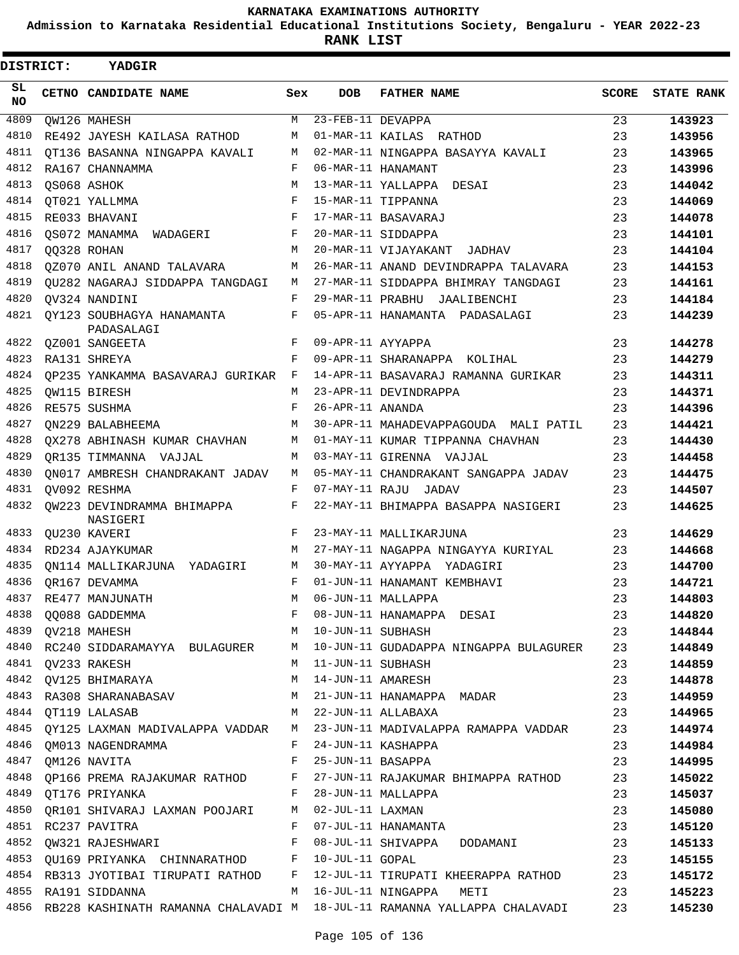**Admission to Karnataka Residential Educational Institutions Society, Bengaluru - YEAR 2022-23**

**RANK LIST**

| DISTRICT:       | <b>YADGIR</b>                                                                                                   |     |                   |                                                                                                                                              |              |                   |
|-----------------|-----------------------------------------------------------------------------------------------------------------|-----|-------------------|----------------------------------------------------------------------------------------------------------------------------------------------|--------------|-------------------|
| SL<br><b>NO</b> | CETNO CANDIDATE NAME                                                                                            | Sex | <b>DOB</b>        | <b>FATHER NAME</b>                                                                                                                           | <b>SCORE</b> | <b>STATE RANK</b> |
| 4809            | <b>OW126 MAHESH</b>                                                                                             | М   | 23-FEB-11 DEVAPPA |                                                                                                                                              | 23           | 143923            |
| 4810            | RE492 JAYESH KAILASA RATHOD                                                                                     | М   |                   | 01-MAR-11 KAILAS RATHOD                                                                                                                      | 23           | 143956            |
| 4811            | OT136 BASANNA NINGAPPA KAVALI                                                                                   | M   |                   | 02-MAR-11 NINGAPPA BASAYYA KAVALI                                                                                                            | 23           | 143965            |
| 4812            | RA167 CHANNAMMA                                                                                                 | F   |                   | 06-MAR-11 HANAMANT                                                                                                                           | 23           | 143996            |
| 4813            | OS068 ASHOK                                                                                                     | M   |                   | 13-MAR-11 YALLAPPA DESAI                                                                                                                     | 23           | 144042            |
| 4814            | QT021 YALLMMA                                                                                                   | F   |                   | 15-MAR-11 TIPPANNA                                                                                                                           | 23           | 144069            |
| 4815            | RE033 BHAVANI                                                                                                   | F   |                   | 17-MAR-11 BASAVARAJ                                                                                                                          | 23           | 144078            |
| 4816            | OS072 MANAMMA WADAGERI                                                                                          | F   |                   | 20-MAR-11 SIDDAPPA                                                                                                                           | 23           | 144101            |
| 4817            | QQ328 ROHAN                                                                                                     | M   |                   | 20-MAR-11 VIJAYAKANT JADHAV                                                                                                                  | 23           | 144104            |
| 4818            | 0Z070 ANIL ANAND TALAVARA                                                                                       | M   |                   | 26-MAR-11 ANAND DEVINDRAPPA TALAVARA                                                                                                         | 23           | 144153            |
| 4819            | OU282 NAGARAJ SIDDAPPA TANGDAGI                                                                                 | М   |                   | 27-MAR-11 SIDDAPPA BHIMRAY TANGDAGI                                                                                                          | 23           | 144161            |
| 4820            | OV324 NANDINI                                                                                                   | F   |                   | 29-MAR-11 PRABHU JAALIBENCHI                                                                                                                 | 23           | 144184            |
| 4821            | OY123 SOUBHAGYA HANAMANTA<br>PADASALAGI                                                                         | F   |                   | 05-APR-11 HANAMANTA PADASALAGI                                                                                                               | 23           | 144239            |
| 4822            | QZ001 SANGEETA                                                                                                  | F   | 09-APR-11 AYYAPPA |                                                                                                                                              | 23           | 144278            |
| 4823            | RA131 SHREYA                                                                                                    | F   |                   | 09-APR-11 SHARANAPPA KOLIHAL                                                                                                                 | 23           | 144279            |
| 4824            | OP235 YANKAMMA BASAVARAJ GURIKAR                                                                                | F   |                   | 14-APR-11 BASAVARAJ RAMANNA GURIKAR                                                                                                          | 23           | 144311            |
| 4825            | QW115 BIRESH                                                                                                    | М   |                   | 23-APR-11 DEVINDRAPPA                                                                                                                        | 23           | 144371            |
| 4826            | RE575 SUSHMA                                                                                                    | F   | 26-APR-11 ANANDA  |                                                                                                                                              | 23           | 144396            |
| 4827            | ON229 BALABHEEMA                                                                                                | M   |                   | 30-APR-11 MAHADEVAPPAGOUDA MALI PATIL                                                                                                        | 23           | 144421            |
| 4828            | OX278 ABHINASH KUMAR CHAVHAN                                                                                    | M   |                   | 01-MAY-11 KUMAR TIPPANNA CHAVHAN                                                                                                             | 23           | 144430            |
| 4829            | OR135 TIMMANNA VAJJAL                                                                                           | М   |                   | 03-MAY-11 GIRENNA VAJJAL                                                                                                                     | 23           | 144458            |
| 4830            | QN017 AMBRESH CHANDRAKANT JADAV                                                                                 | М   |                   | 05-MAY-11 CHANDRAKANT SANGAPPA JADAV                                                                                                         | 23           | 144475            |
| 4831            | QV092 RESHMA                                                                                                    | F   |                   | 07-MAY-11 RAJU JADAV                                                                                                                         | 23           | 144507            |
| 4832            | QW223 DEVINDRAMMA BHIMAPPA<br>NASIGERI                                                                          | F   |                   | 22-MAY-11 BHIMAPPA BASAPPA NASIGERI                                                                                                          | 23           | 144625            |
| 4833            | OU230 KAVERI                                                                                                    | F   |                   | 23-MAY-11 MALLIKARJUNA                                                                                                                       | 23           | 144629            |
| 4834            | RD234 AJAYKUMAR                                                                                                 | М   |                   | 27-MAY-11 NAGAPPA NINGAYYA KURIYAL                                                                                                           | 23           | 144668            |
| 4835            | ON114 MALLIKARJUNA YADAGIRI                                                                                     | М   |                   | 30-MAY-11 AYYAPPA YADAGIRI                                                                                                                   | 23           | 144700            |
| 4836            | OR167 DEVAMMA                                                                                                   | F   |                   | 01-JUN-11 HANAMANT KEMBHAVI                                                                                                                  | 23           | 144721            |
|                 | 4837 RE477 MANJUNATH                                                                                            | M   |                   | 06-JUN-11 MALLAPPA                                                                                                                           | 23           | 144803            |
|                 |                                                                                                                 |     |                   | 4837 RE477 MANJUNATH MOS-JUN-11 MALLAPPA<br>4838 QQ088 GADDEMMA F 08-JUN-11 HANAMAPPA DESAI 23<br>4839 QV218 MAHESH M M 10-JUN-11 SUBHASH 23 |              | 144820            |
|                 |                                                                                                                 |     |                   |                                                                                                                                              |              | 144844            |
|                 |                                                                                                                 |     |                   | 4840 RC240 SIDDARAMAYYA BULAGURER M 10-JUN-11 GUDADAPPA NINGAPPA BULAGURER 23                                                                |              | 144849            |
|                 |                                                                                                                 |     |                   |                                                                                                                                              | 23           | 144859            |
|                 |                                                                                                                 |     |                   | M 14-JUN-11 AMARESH                                                                                                                          | 23           | 144878            |
|                 |                                                                                                                 |     |                   | 4843 RA308 SHARANABASAV M 21-JUN-11 HANAMAPPA MADAR 23                                                                                       |              | 144959            |
|                 | 4844 QT119 LALASAB                                                                                              |     |                   | M 22-JUN-11 ALLABAXA<br>23                                                                                                                   |              | 144965            |
|                 |                                                                                                                 |     |                   | 4845 QY125 LAXMAN MADIVALAPPA VADDAR M 23-JUN-11 MADIVALAPPA RAMAPPA VADDAR 23                                                               |              | 144974            |
|                 |                                                                                                                 |     |                   |                                                                                                                                              | 23           | 144984            |
|                 |                                                                                                                 |     |                   |                                                                                                                                              | 23           | 144995            |
|                 |                                                                                                                 |     |                   | 4848 QP166 PREMA RAJAKUMAR RATHOD F 27-JUN-11 RAJAKUMAR BHIMAPPA RATHOD 23                                                                   |              | 145022            |
|                 | 4849 QT176 PRIYANKA (Camp of the Second of the Second of the Second of the Second of the Second of the Second S |     |                   |                                                                                                                                              | 23           | 145037            |
|                 | 4850 QR101 SHIVARAJ LAXMAN POOJARI M 02-JUL-11 LAXMAN                                                           |     |                   |                                                                                                                                              | 23           | 145080            |
|                 | 4851 RC237 PAVITRA F 07-JUL-11 HANAMANTA                                                                        |     |                   |                                                                                                                                              | 23           | 145120            |
|                 |                                                                                                                 |     |                   | 4852 QW321 RAJESHWARI TARA E O8-JUL-11 SHIVAPPA DODAMANI 23                                                                                  |              | 145133            |
|                 |                                                                                                                 |     |                   | 4853 QU169 PRIYANKA CHINNARATHOD F 10-JUL-11 GOPAL                                                                                           | 23           | 145155            |
|                 |                                                                                                                 |     |                   | 4854 RB313 JYOTIBAI TIRUPATI RATHOD F 12-JUL-11 TIRUPATI KHEERAPPA RATHOD 23                                                                 |              | 145172            |
|                 |                                                                                                                 |     |                   |                                                                                                                                              |              | 145223            |
|                 |                                                                                                                 |     |                   | 4856 RB228 KASHINATH RAMANNA CHALAVADI M 18-JUL-11 RAMANNA YALLAPPA CHALAVADI 23                                                             |              | 145230            |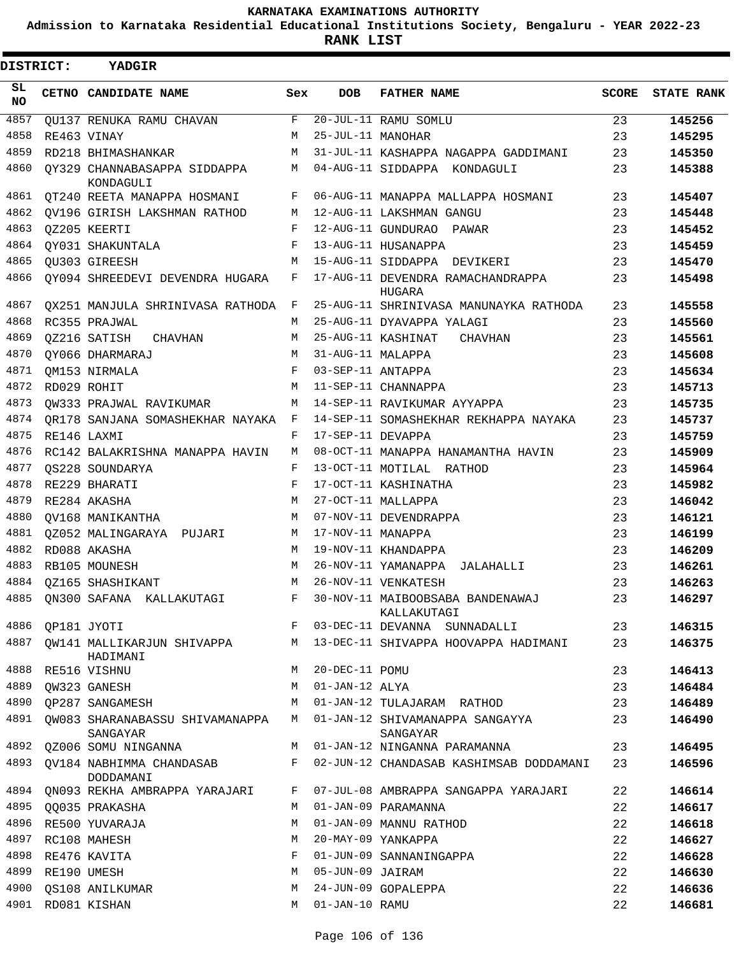**Admission to Karnataka Residential Educational Institutions Society, Bengaluru - YEAR 2022-23**

 $\blacksquare$ 

**RANK LIST**

| DISTRICT: |                  | YADGIR                                        |              |                   |                                                                                 |       |                   |
|-----------|------------------|-----------------------------------------------|--------------|-------------------|---------------------------------------------------------------------------------|-------|-------------------|
| SL<br>NO. |                  | CETNO CANDIDATE NAME                          | Sex          | <b>DOB</b>        | <b>FATHER NAME</b>                                                              | SCORE | <b>STATE RANK</b> |
| 4857      |                  | OU137 RENUKA RAMU CHAVAN                      | F            |                   | 20-JUL-11 RAMU SOMLU                                                            | 23    | 145256            |
| 4858      |                  | RE463 VINAY                                   | M            | 25-JUL-11 MANOHAR |                                                                                 | 23    | 145295            |
| 4859      |                  | RD218 BHIMASHANKAR                            | M            |                   | 31-JUL-11 KASHAPPA NAGAPPA GADDIMANI                                            | 23    | 145350            |
| 4860      |                  | OY329 CHANNABASAPPA SIDDAPPA<br>KONDAGULI     | M            |                   | 04-AUG-11 SIDDAPPA KONDAGULI                                                    | 23    | 145388            |
| 4861      |                  | OT240 REETA MANAPPA HOSMANI                   | F            |                   | 06-AUG-11 MANAPPA MALLAPPA HOSMANI                                              | 23    | 145407            |
| 4862      |                  | QV196 GIRISH LAKSHMAN RATHOD                  | М            |                   | 12-AUG-11 LAKSHMAN GANGU                                                        | 23    | 145448            |
| 4863      |                  | QZ205 KEERTI                                  | F            |                   | 12-AUG-11 GUNDURAO PAWAR                                                        | 23    | 145452            |
| 4864      |                  | QY031 SHAKUNTALA                              | F            |                   | 13-AUG-11 HUSANAPPA                                                             | 23    | 145459            |
| 4865      |                  | OU303 GIREESH                                 | M            |                   | 15-AUG-11 SIDDAPPA DEVIKERI                                                     | 23    | 145470            |
| 4866      |                  | OY094 SHREEDEVI DEVENDRA HUGARA               | F            |                   | 17-AUG-11 DEVENDRA RAMACHANDRAPPA<br>HUGARA                                     | 23    | 145498            |
| 4867      |                  | OX251 MANJULA SHRINIVASA RATHODA              | F            |                   | 25-AUG-11 SHRINIVASA MANUNAYKA RATHODA                                          | 23    | 145558            |
| 4868      |                  | RC355 PRAJWAL                                 | M            |                   | 25-AUG-11 DYAVAPPA YALAGI                                                       | 23    | 145560            |
| 4869      |                  | OZ216 SATISH<br>CHAVHAN                       | M            |                   | 25-AUG-11 KASHINAT<br>CHAVHAN                                                   | 23    | 145561            |
| 4870      |                  | OY066 DHARMARAJ                               | M            | 31-AUG-11 MALAPPA |                                                                                 | 23    | 145608            |
| 4871      |                  | OM153 NIRMALA                                 | $\mathbf{F}$ | 03-SEP-11 ANTAPPA |                                                                                 | 23    | 145634            |
| 4872      |                  | RD029 ROHIT                                   | M            |                   | 11-SEP-11 CHANNAPPA                                                             | 23    | 145713            |
| 4873      |                  | OW333 PRAJWAL RAVIKUMAR                       | M            |                   | 14-SEP-11 RAVIKUMAR AYYAPPA                                                     | 23    | 145735            |
| 4874      |                  | OR178 SANJANA SOMASHEKHAR NAYAKA              | $\mathbf{F}$ |                   | 14-SEP-11 SOMASHEKHAR REKHAPPA NAYAKA                                           | 23    | 145737            |
| 4875      |                  | RE146 LAXMI                                   | F            | 17-SEP-11 DEVAPPA |                                                                                 | 23    | 145759            |
| 4876      |                  | RC142 BALAKRISHNA MANAPPA HAVIN               | М            |                   | 08-OCT-11 MANAPPA HANAMANTHA HAVIN                                              | 23    | 145909            |
| 4877      |                  | OS228 SOUNDARYA                               | F            |                   | 13-OCT-11 MOTILAL RATHOD                                                        | 23    | 145964            |
| 4878      |                  | RE229 BHARATI                                 | F            |                   | 17-OCT-11 KASHINATHA                                                            | 23    | 145982            |
| 4879      |                  | RE284 AKASHA                                  | M            |                   | 27-OCT-11 MALLAPPA                                                              | 23    | 146042            |
| 4880      |                  | OV168 MANIKANTHA                              | M            |                   | 07-NOV-11 DEVENDRAPPA                                                           | 23    | 146121            |
| 4881      |                  | OZ052 MALINGARAYA PUJARI                      | M            | 17-NOV-11 MANAPPA |                                                                                 | 23    | 146199            |
| 4882      |                  | RD088 AKASHA                                  | M            |                   | 19-NOV-11 KHANDAPPA                                                             | 23    | 146209            |
| 4883      |                  | RB105 MOUNESH                                 | M            |                   | 26-NOV-11 YAMANAPPA JALAHALLI                                                   | 23    | 146261            |
| 4884      |                  | OZ165 SHASHIKANT                              | M            |                   | 26-NOV-11 VENKATESH                                                             | 23    | 146263            |
|           |                  |                                               |              |                   | 4885 QN300 SAFANA KALLAKUTAGI F 30-NOV-11 MAIBOOBSABA BANDENAWAJ<br>KALLAKUTAGI | 23    | 146297            |
|           | 4886 QP181 JYOTI |                                               | F            |                   | 03-DEC-11 DEVANNA SUNNADALLI                                                    | 23    | 146315            |
|           |                  | 4887 QW141 MALLIKARJUN SHIVAPPA M<br>HADIMANI |              |                   | 13-DEC-11 SHIVAPPA HOOVAPPA HADIMANI                                            | 23    | 146375            |
| 4888      |                  | RE516 VISHNU                                  | М            | 20-DEC-11 POMU    |                                                                                 | 23    | 146413            |
| 4889      |                  | QW323 GANESH                                  | M            | 01-JAN-12 ALYA    |                                                                                 | 23    | 146484            |
| 4890      |                  | OP287 SANGAMESH                               | М            |                   | 01-JAN-12 TULAJARAM RATHOD                                                      | 23    | 146489            |
| 4891      |                  | QW083 SHARANABASSU SHIVAMANAPPA<br>SANGAYAR   | M            |                   | 01-JAN-12 SHIVAMANAPPA SANGAYYA<br>SANGAYAR                                     | 23    | 146490            |
| 4892      |                  | QZ006 SOMU NINGANNA                           | M            |                   | 01-JAN-12 NINGANNA PARAMANNA                                                    | 23    | 146495            |
| 4893      |                  | QV184 NABHIMMA CHANDASAB<br>DODDAMANI         | F            |                   | 02-JUN-12 CHANDASAB KASHIMSAB DODDAMANI                                         | 23    | 146596            |
| 4894      |                  | QN093 REKHA AMBRAPPA YARAJARI                 | F            |                   | 07-JUL-08 AMBRAPPA SANGAPPA YARAJARI                                            | 22    | 146614            |
| 4895      |                  | QQ035 PRAKASHA                                | M            |                   | 01-JAN-09 PARAMANNA                                                             | 22    | 146617            |
| 4896      |                  | RE500 YUVARAJA                                | М            |                   | 01-JAN-09 MANNU RATHOD                                                          | 22    | 146618            |
| 4897      |                  | RC108 MAHESH                                  | M            |                   | 20-MAY-09 YANKAPPA                                                              | 22    | 146627            |
| 4898      |                  | RE476 KAVITA                                  | F            |                   | 01-JUN-09 SANNANINGAPPA                                                         | 22    | 146628            |
| 4899      |                  | RE190 UMESH                                   | M            | 05-JUN-09 JAIRAM  |                                                                                 | 22    | 146630            |
| 4900      |                  | OS108 ANILKUMAR                               | M            |                   | 24-JUN-09 GOPALEPPA                                                             | 22    | 146636            |
| 4901      |                  | RD081 KISHAN                                  | M            | 01-JAN-10 RAMU    |                                                                                 | 22    | 146681            |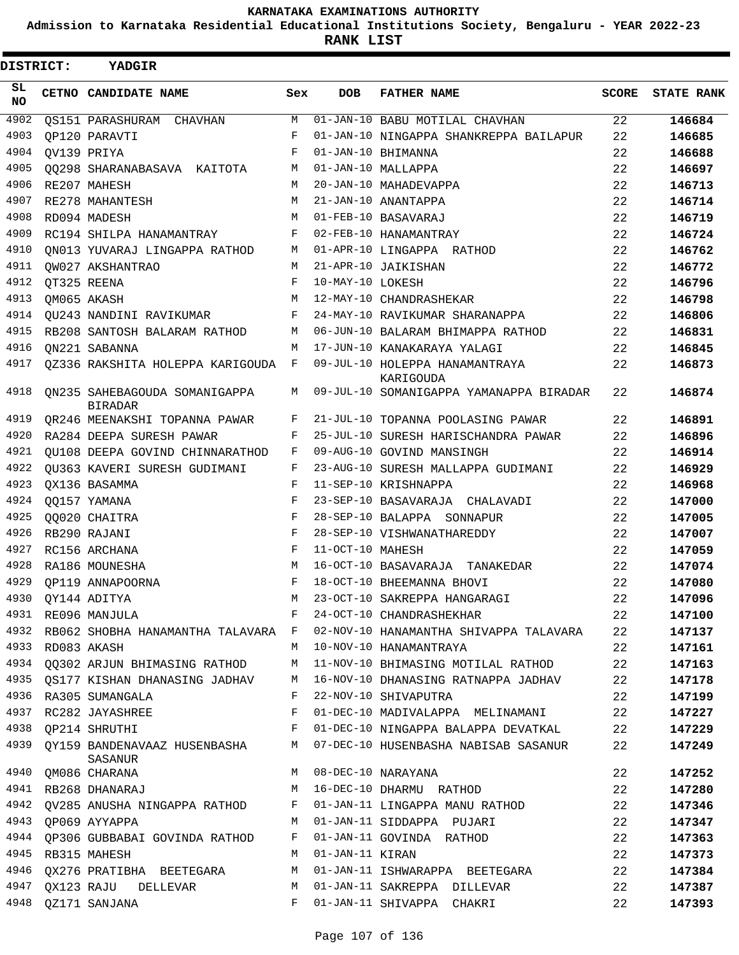**Admission to Karnataka Residential Educational Institutions Society, Bengaluru - YEAR 2022-23**

| DISTRICT:  | YADGIR                                              |     |                  |                                                                                   |       |                   |
|------------|-----------------------------------------------------|-----|------------------|-----------------------------------------------------------------------------------|-------|-------------------|
| SL.<br>NO. | CETNO CANDIDATE NAME                                | Sex | <b>DOB</b>       | <b>FATHER NAME</b>                                                                | SCORE | <b>STATE RANK</b> |
| 4902       | QS151 PARASHURAM<br>CHAVHAN                         | М   |                  | 01-JAN-10 BABU MOTILAL CHAVHAN                                                    | 22    | 146684            |
| 4903       | OP120 PARAVTI                                       | F   |                  | 01-JAN-10 NINGAPPA SHANKREPPA BAILAPUR                                            | 22    | 146685            |
| 4904       | OV139 PRIYA                                         | F   |                  | 01-JAN-10 BHIMANNA                                                                | 22    | 146688            |
| 4905       | 00298 SHARANABASAVA KAITOTA                         | М   |                  | 01-JAN-10 MALLAPPA                                                                | 22    | 146697            |
| 4906       | RE207 MAHESH                                        | М   |                  | 20-JAN-10 MAHADEVAPPA                                                             | 22    | 146713            |
| 4907       | RE278 MAHANTESH                                     | M   |                  | 21-JAN-10 ANANTAPPA                                                               | 22    | 146714            |
| 4908       | RD094 MADESH                                        | M   |                  | 01-FEB-10 BASAVARAJ                                                               | 22    | 146719            |
| 4909       | RC194 SHILPA HANAMANTRAY                            | F   |                  | 02-FEB-10 HANAMANTRAY                                                             | 22    | 146724            |
| 4910       | ON013 YUVARAJ LINGAPPA RATHOD                       | М   |                  | 01-APR-10 LINGAPPA RATHOD                                                         | 22    | 146762            |
| 4911       | OW027 AKSHANTRAO                                    | М   |                  | 21-APR-10 JAIKISHAN                                                               | 22    | 146772            |
| 4912       | QT325 REENA                                         | F   | 10-MAY-10 LOKESH |                                                                                   | 22    | 146796            |
| 4913       | OM065 AKASH                                         | M   |                  | 12-MAY-10 CHANDRASHEKAR                                                           | 22    | 146798            |
| 4914       | OU243 NANDINI RAVIKUMAR                             | F   |                  | 24-MAY-10 RAVIKUMAR SHARANAPPA                                                    | 22    | 146806            |
| 4915       | RB208 SANTOSH BALARAM RATHOD                        | М   |                  | 06-JUN-10 BALARAM BHIMAPPA RATHOD                                                 | 22    | 146831            |
| 4916       | ON221 SABANNA                                       | M   |                  | 17-JUN-10 KANAKARAYA YALAGI                                                       | 22    | 146845            |
| 4917       | 0Z336 RAKSHITA HOLEPPA KARIGOUDA                    | F   |                  | 09-JUL-10 HOLEPPA HANAMANTRAYA<br>KARIGOUDA                                       | 22    | 146873            |
| 4918       | ON235 SAHEBAGOUDA SOMANIGAPPA<br><b>BIRADAR</b>     | М   |                  | 09-JUL-10 SOMANIGAPPA YAMANAPPA BIRADAR                                           | 22    | 146874            |
| 4919       | QR246 MEENAKSHI TOPANNA PAWAR                       | F   |                  | 21-JUL-10 TOPANNA POOLASING PAWAR                                                 | 22    | 146891            |
| 4920       | RA284 DEEPA SURESH PAWAR                            | F   |                  | 25-JUL-10 SURESH HARISCHANDRA PAWAR                                               | 22    | 146896            |
| 4921       | OU108 DEEPA GOVIND CHINNARATHOD                     | F   |                  | 09-AUG-10 GOVIND MANSINGH                                                         | 22    | 146914            |
| 4922       | OU363 KAVERI SURESH GUDIMANI                        | F   |                  | 23-AUG-10 SURESH MALLAPPA GUDIMANI                                                | 22    | 146929            |
| 4923       | QX136 BASAMMA                                       | F   |                  | 11-SEP-10 KRISHNAPPA                                                              | 22    | 146968            |
| 4924       | QQ157 YAMANA                                        | F   |                  | 23-SEP-10 BASAVARAJA<br>CHALAVADI                                                 | 22    | 147000            |
| 4925       | QQ020 CHAITRA                                       | F   |                  | 28-SEP-10 BALAPPA SONNAPUR                                                        | 22    | 147005            |
| 4926       | RB290 RAJANI                                        | F   |                  | 28-SEP-10 VISHWANATHAREDDY                                                        | 22    | 147007            |
| 4927       | RC156 ARCHANA                                       | F   | 11-OCT-10 MAHESH |                                                                                   | 22    | 147059            |
| 4928       | RA186 MOUNESHA                                      | М   |                  | 16-OCT-10 BASAVARAJA<br>TANAKEDAR                                                 | 22    | 147074            |
| 4929       | OP119 ANNAPOORNA                                    | F   |                  | 18-OCT-10 BHEEMANNA BHOVI                                                         | 22    | 147080            |
|            | 4930 QY144 ADITYA                                   | M   |                  | 23-OCT-10 SAKREPPA HANGARAGI                                                      | 22    | 147096            |
|            | 4931 RE096 MANJULA                                  |     |                  | F 24-OCT-10 CHANDRASHEKHAR                                                        | 22    | 147100            |
|            |                                                     |     |                  | 4932 RB062 SHOBHA HANAMANTHA TALAVARA F 02-NOV-10 HANAMANTHA SHIVAPPA TALAVARA 22 |       | 147137            |
| 4933       | RD083 AKASH                                         | M   |                  | 10-NOV-10 HANAMANTRAYA                                                            | 22    | 147161            |
|            | 4934 QQ302 ARJUN BHIMASING RATHOD                   | М   |                  | 11-NOV-10 BHIMASING MOTILAL RATHOD                                                | 22    | 147163            |
|            | 4935 QS177 KISHAN DHANASING JADHAV M                |     |                  | 16-NOV-10 DHANASING RATNAPPA JADHAV                                               | 22    | 147178            |
|            | 4936 RA305 SUMANGALA                                | F   |                  | 22-NOV-10 SHIVAPUTRA                                                              | 22    | 147199            |
|            | 4937 RC282 JAYASHREE                                | F   |                  | 01-DEC-10 MADIVALAPPA MELINAMANI                                                  | 22    | 147227            |
|            | 4938 QP214 SHRUTHI<br>$\mathbf{F}$ and $\mathbf{F}$ |     |                  | 01-DEC-10 NINGAPPA BALAPPA DEVATKAL                                               | 22    | 147229            |
|            | 4939 QY159 BANDENAVAAZ HUSENBASHA M<br>SASANUR      |     |                  | 07-DEC-10 HUSENBASHA NABISAB SASANUR                                              | 22    | 147249            |
| 4940       | QM086 CHARANA                                       | M   |                  | 08-DEC-10 NARAYANA                                                                | 22    | 147252            |
|            | 4941 RB268 DHANARAJ                                 | M   |                  | 16-DEC-10 DHARMU RATHOD                                                           | 22    | 147280            |
| 4942       | QV285 ANUSHA NINGAPPA RATHOD                        | F   |                  | 01-JAN-11 LINGAPPA MANU RATHOD                                                    | 22    | 147346            |
|            | 4943 QP069 AYYAPPA                                  | М   |                  | 01-JAN-11 SIDDAPPA PUJARI                                                         | 22    | 147347            |
| 4944       | QP306 GUBBABAI GOVINDA RATHOD                       | F   |                  | 01-JAN-11 GOVINDA RATHOD                                                          | 22    | 147363            |
| 4945       | RB315 MAHESH                                        | М   | 01-JAN-11 KIRAN  |                                                                                   | 22    | 147373            |
| 4946       | QX276 PRATIBHA BEETEGARA                            | M   |                  | 01-JAN-11 ISHWARAPPA BEETEGARA                                                    | 22    | 147384            |
| 4947       | QX123 RAJU DELLEVAR                                 | M   |                  | 01-JAN-11 SAKREPPA DILLEVAR                                                       | 22    | 147387            |
| 4948       | QZ171 SANJANA                                       | F   |                  | 01-JAN-11 SHIVAPPA CHAKRI                                                         | 22    | 147393            |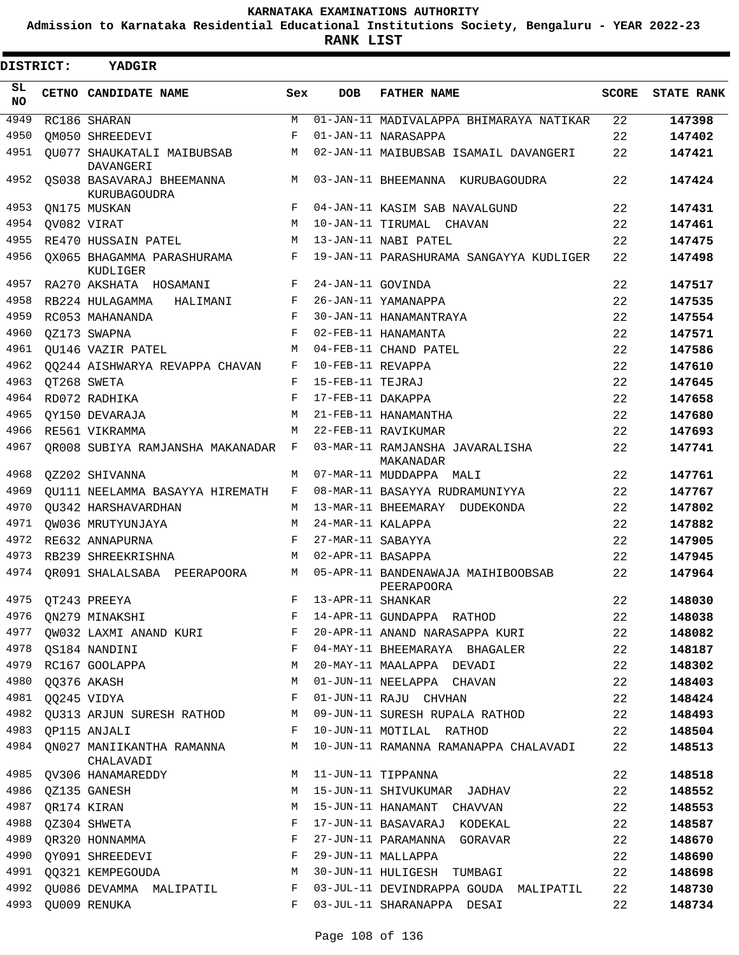**Admission to Karnataka Residential Educational Institutions Society, Bengaluru - YEAR 2022-23**

**RANK LIST**

| DISTRICT: | <b>YADGIR</b>                             |     |                     |                                                  |              |                   |
|-----------|-------------------------------------------|-----|---------------------|--------------------------------------------------|--------------|-------------------|
| SL<br>NO. | CETNO CANDIDATE NAME                      | Sex | <b>DOB</b>          | <b>FATHER NAME</b>                               | <b>SCORE</b> | <b>STATE RANK</b> |
| 4949      | RC186 SHARAN                              | М   |                     | 01-JAN-11 MADIVALAPPA BHIMARAYA NATIKAR          | 22           | 147398            |
| 4950      | OM050 SHREEDEVI                           | F   |                     | 01-JAN-11 NARASAPPA                              | 22           | 147402            |
| 4951      | OU077 SHAUKATALI MAIBUBSAB<br>DAVANGERI   | М   |                     | 02-JAN-11 MAIBUBSAB ISAMAIL DAVANGERI            | 22           | 147421            |
| 4952      | OS038 BASAVARAJ BHEEMANNA<br>KURUBAGOUDRA | M   |                     | 03-JAN-11 BHEEMANNA KURUBAGOUDRA                 | 22           | 147424            |
| 4953      | QN175 MUSKAN                              | F   |                     | 04-JAN-11 KASIM SAB NAVALGUND                    | 22           | 147431            |
| 4954      | QV082 VIRAT                               | М   |                     | 10-JAN-11 TIRUMAL CHAVAN                         | 22           | 147461            |
| 4955      | RE470 HUSSAIN PATEL                       | M   |                     | 13-JAN-11 NABI PATEL                             | 22           | 147475            |
| 4956      | OX065 BHAGAMMA PARASHURAMA<br>KUDLIGER    | F   |                     | 19-JAN-11 PARASHURAMA SANGAYYA KUDLIGER          | 22           | 147498            |
| 4957      | RA270 AKSHATA HOSAMANI                    | F   | 24-JAN-11 GOVINDA   |                                                  | 22           | 147517            |
| 4958      | RB224 HULAGAMMA<br>HALIMANI               | F   |                     | 26-JAN-11 YAMANAPPA                              | 22           | 147535            |
| 4959      | RC053 MAHANANDA                           | F   |                     | 30-JAN-11 HANAMANTRAYA                           | 22           | 147554            |
| 4960      | OZ173 SWAPNA                              | F   |                     | 02-FEB-11 HANAMANTA                              | 22           | 147571            |
| 4961      | OU146 VAZIR PATEL                         | М   |                     | 04-FEB-11 CHAND PATEL                            | 22           | 147586            |
| 4962      | 00244 AISHWARYA REVAPPA CHAVAN            | F   | 10-FEB-11 REVAPPA   |                                                  | 22           | 147610            |
| 4963      | OT268 SWETA                               | F   | 15-FEB-11 TEJRAJ    |                                                  | 22           | 147645            |
| 4964      | RD072 RADHIKA                             | F   | 17-FEB-11 DAKAPPA   |                                                  | 22           | 147658            |
| 4965      | OY150 DEVARAJA                            | M   |                     | 21-FEB-11 HANAMANTHA                             | 22           | 147680            |
| 4966      | RE561 VIKRAMMA                            | М   |                     | 22-FEB-11 RAVIKUMAR                              | 22           | 147693            |
| 4967      | QR008 SUBIYA RAMJANSHA MAKANADAR          | F   |                     | 03-MAR-11 RAMJANSHA JAVARALISHA<br>MAKANADAR     | 22           | 147741            |
| 4968      | OZ202 SHIVANNA                            | М   |                     | 07-MAR-11 MUDDAPPA MALI                          | 22           | 147761            |
| 4969      | QU111 NEELAMMA BASAYYA HIREMATH           | F   |                     | 08-MAR-11 BASAYYA RUDRAMUNIYYA                   | 22           | 147767            |
| 4970      | OU342 HARSHAVARDHAN                       | М   |                     | 13-MAR-11 BHEEMARAY DUDEKONDA                    | 22           | 147802            |
| 4971      | OW036 MRUTYUNJAYA                         | М   | 24-MAR-11 KALAPPA   |                                                  | 22           | 147882            |
| 4972      | RE632 ANNAPURNA                           | F   | 27-MAR-11 SABAYYA   |                                                  | 22           | 147905            |
| 4973      | RB239 SHREEKRISHNA                        | М   | 02-APR-11 BASAPPA   |                                                  | 22           | 147945            |
| 4974      | OR091 SHALALSABA PEERAPOORA               | М   |                     | 05-APR-11 BANDENAWAJA MAIHIBOOBSAB<br>PEERAPOORA | 22           | 147964            |
|           | 4975 QT243 PREEYA                         |     | F 13-APR-11 SHANKAR |                                                  | 22           | 148030            |
| 4976      | QN279 MINAKSHI                            | F   |                     | 14-APR-11 GUNDAPPA RATHOD                        | 22           | 148038            |
| 4977      | QW032 LAXMI ANAND KURI                    | F   |                     | 20-APR-11 ANAND NARASAPPA KURI                   | 22           | 148082            |
| 4978      | QS184 NANDINI                             | F   |                     | 04-MAY-11 BHEEMARAYA BHAGALER                    | 22           | 148187            |
| 4979      | RC167 GOOLAPPA                            | М   |                     | 20-MAY-11 MAALAPPA DEVADI                        | 22           | 148302            |
| 4980      | QQ376 AKASH                               | М   |                     | 01-JUN-11 NEELAPPA CHAVAN                        | 22           | 148403            |
| 4981      | QQ245 VIDYA                               | F   |                     | 01-JUN-11 RAJU CHVHAN                            | 22           | 148424            |
| 4982      | QU313 ARJUN SURESH RATHOD                 | М   |                     | 09-JUN-11 SURESH RUPALA RATHOD                   | 22           | 148493            |
| 4983      | OP115 ANJALI                              | F   |                     | 10-JUN-11 MOTILAL RATHOD                         | 22           | 148504            |
| 4984      | QN027 MANIIKANTHA RAMANNA<br>CHALAVADI    | М   |                     | 10-JUN-11 RAMANNA RAMANAPPA CHALAVADI            | 22           | 148513            |
| 4985      | QV306 HANAMAREDDY                         | М   |                     | 11-JUN-11 TIPPANNA                               | 22           | 148518            |
| 4986      | QZ135 GANESH                              | М   |                     | 15-JUN-11 SHIVUKUMAR JADHAV                      | 22           | 148552            |
| 4987      | QR174 KIRAN                               | М   |                     | 15-JUN-11 HANAMANT CHAVVAN                       | 22           | 148553            |
| 4988      | QZ304 SHWETA                              | F   |                     | 17-JUN-11 BASAVARAJ KODEKAL                      | 22           | 148587            |
| 4989      | QR320 HONNAMMA                            | F   |                     | 27-JUN-11 PARAMANNA GORAVAR                      | 22           | 148670            |
| 4990      | QY091 SHREEDEVI                           | F   |                     | 29-JUN-11 MALLAPPA                               | 22           | 148690            |
| 4991      | QQ321 KEMPEGOUDA                          | М   |                     | 30-JUN-11 HULIGESH TUMBAGI                       | 22           | 148698            |
| 4992      | QU086 DEVAMMA MALIPATIL                   | F   |                     | 03-JUL-11 DEVINDRAPPA GOUDA MALIPATIL            | 22           | 148730            |
| 4993      | QU009 RENUKA                              | F   |                     | 03-JUL-11 SHARANAPPA DESAI                       | 22           | 148734            |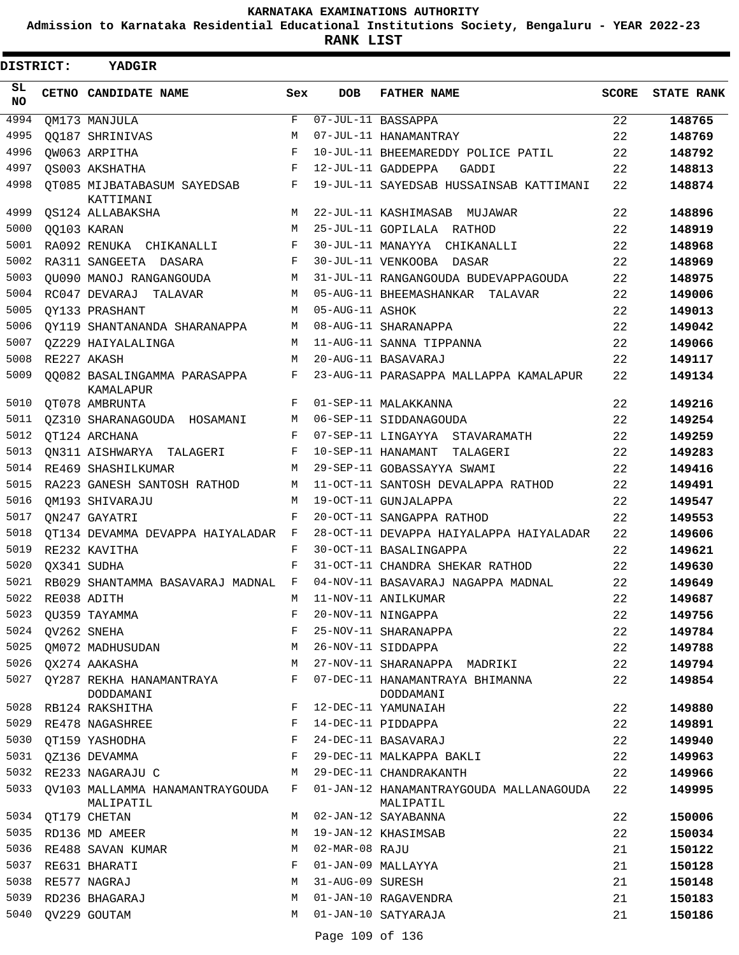**Admission to Karnataka Residential Educational Institutions Society, Bengaluru - YEAR 2022-23**

| <b>DISTRICT:</b> |                  | <b>YADGIR</b>                                     |                    |                  |                                                      |              |                   |
|------------------|------------------|---------------------------------------------------|--------------------|------------------|------------------------------------------------------|--------------|-------------------|
| SL<br><b>NO</b>  |                  | CETNO CANDIDATE NAME                              | Sex                | <b>DOB</b>       | <b>FATHER NAME</b>                                   | <b>SCORE</b> | <b>STATE RANK</b> |
| 4994             |                  | QM173 MANJULA                                     | $\mathbf{F}% _{0}$ |                  | 07-JUL-11 BASSAPPA                                   | 22           | 148765            |
| 4995             |                  | 00187 SHRINIVAS                                   | M                  |                  | 07-JUL-11 HANAMANTRAY                                | 22           | 148769            |
| 4996             |                  | OW063 ARPITHA                                     | $_{\rm F}$         |                  | 10-JUL-11 BHEEMAREDDY POLICE PATIL                   | 22           | 148792            |
| 4997             |                  | OS003 AKSHATHA                                    | F                  |                  | 12-JUL-11 GADDEPPA<br>GADDI                          | 22           | 148813            |
| 4998             |                  | OT085 MIJBATABASUM SAYEDSAB<br>KATTIMANI          | F                  |                  | 19-JUL-11 SAYEDSAB HUSSAINSAB KATTIMANI              | 22           | 148874            |
| 4999             |                  | OS124 ALLABAKSHA                                  | M                  |                  | 22-JUL-11 KASHIMASAB MUJAWAR                         | 22           | 148896            |
| 5000             |                  | 00103 KARAN                                       | M                  |                  | 25-JUL-11 GOPILALA RATHOD                            | 22           | 148919            |
| 5001             |                  | RA092 RENUKA CHIKANALLI                           | F                  |                  | 30-JUL-11 MANAYYA CHIKANALLI                         | 22           | 148968            |
| 5002             |                  | RA311 SANGEETA DASARA                             | F                  |                  | 30-JUL-11 VENKOOBA DASAR                             | 22           | 148969            |
| 5003             |                  | OU090 MANOJ RANGANGOUDA                           | М                  |                  | 31-JUL-11 RANGANGOUDA BUDEVAPPAGOUDA                 | 22           | 148975            |
| 5004             |                  | RC047 DEVARAJ TALAVAR                             | M                  |                  | 05-AUG-11 BHEEMASHANKAR TALAVAR                      | 22           | 149006            |
| 5005             |                  | OY133 PRASHANT                                    | M                  | 05-AUG-11 ASHOK  |                                                      | 22           | 149013            |
| 5006             |                  | OY119 SHANTANANDA SHARANAPPA                      | M                  |                  | 08-AUG-11 SHARANAPPA                                 | 22           | 149042            |
| 5007             |                  | OZ229 HAIYALALINGA                                | M                  |                  | 11-AUG-11 SANNA TIPPANNA                             | 22           | 149066            |
| 5008             |                  | RE227 AKASH                                       | M                  |                  | 20-AUG-11 BASAVARAJ                                  | 22           | 149117            |
| 5009             |                  | 00082 BASALINGAMMA PARASAPPA<br>KAMALAPUR         | F                  |                  | 23-AUG-11 PARASAPPA MALLAPPA KAMALAPUR               | 22           | 149134            |
| 5010             |                  | OT078 AMBRUNTA                                    | F                  |                  | 01-SEP-11 MALAKKANNA                                 | 22           | 149216            |
| 5011             |                  | QZ310 SHARANAGOUDA HOSAMANI                       | М                  |                  | 06-SEP-11 SIDDANAGOUDA                               | 22           | 149254            |
| 5012             |                  | OT124 ARCHANA                                     | F                  |                  | 07-SEP-11 LINGAYYA STAVARAMATH                       | 22           | 149259            |
| 5013             |                  | ON311 AISHWARYA TALAGERI                          | F                  |                  | 10-SEP-11 HANAMANT<br>TALAGERI                       | 22           | 149283            |
| 5014             |                  | RE469 SHASHILKUMAR                                | М                  |                  | 29-SEP-11 GOBASSAYYA SWAMI                           | 22           | 149416            |
| 5015             |                  | RA223 GANESH SANTOSH RATHOD                       | М                  |                  | 11-OCT-11 SANTOSH DEVALAPPA RATHOD                   | 22           | 149491            |
| 5016             |                  | OM193 SHIVARAJU                                   | M                  |                  | 19-OCT-11 GUNJALAPPA                                 | 22           | 149547            |
| 5017             |                  | ON247 GAYATRI                                     | F                  |                  | 20-OCT-11 SANGAPPA RATHOD                            | 22           | 149553            |
| 5018             |                  | OT134 DEVAMMA DEVAPPA HAIYALADAR                  | F                  |                  | 28-OCT-11 DEVAPPA HAIYALAPPA HAIYALADAR              | 22           | 149606            |
| 5019             |                  | RE232 KAVITHA                                     | F                  |                  | 30-OCT-11 BASALINGAPPA                               | 22           | 149621            |
| 5020             |                  | OX341 SUDHA                                       | F                  |                  | 31-OCT-11 CHANDRA SHEKAR RATHOD                      | 22           | 149630            |
| 5021             |                  | RB029 SHANTAMMA BASAVARAJ MADNAL F                |                    |                  | 04-NOV-11 BASAVARAJ NAGAPPA MADNAL                   | 22           | 149649            |
| 5022             |                  | RE038 ADITH                                       |                    |                  | M 11-NOV-11 ANILKUMAR                                | 22           | 149687            |
|                  |                  | 5023 QU359 TAYAMMA                                | F                  |                  | 20-NOV-11 NINGAPPA                                   | 22           | 149756            |
|                  | 5024 QV262 SNEHA |                                                   | F                  |                  | 25-NOV-11 SHARANAPPA                                 | 22           | 149784            |
| 5025             |                  | QM072 MADHUSUDAN                                  | М                  |                  | 26-NOV-11 SIDDAPPA                                   | 22           | 149788            |
|                  |                  | 5026 QX274 AAKASHA                                | М                  |                  | 27-NOV-11 SHARANAPPA MADRIKI                         | 22           | 149794            |
|                  |                  | 5027 QY287 REKHA HANAMANTRAYA<br>DODDAMANI        | F                  |                  | 07-DEC-11 HANAMANTRAYA BHIMANNA<br>DODDAMANI         | 22           | 149854            |
| 5028             |                  | RB124 RAKSHITHA                                   | F                  |                  | 12-DEC-11 YAMUNAIAH                                  | 22           | 149880            |
| 5029             |                  | RE478 NAGASHREE                                   | F                  |                  | 14-DEC-11 PIDDAPPA                                   | 22           | 149891            |
| 5030             |                  | QT159 YASHODHA                                    | F                  |                  | 24-DEC-11 BASAVARAJ                                  | 22           | 149940            |
|                  |                  | 5031 QZ136 DEVAMMA                                | F                  |                  | 29-DEC-11 MALKAPPA BAKLI                             | 22           | 149963            |
|                  |                  | 5032 RE233 NAGARAJU C                             | М                  |                  | 29-DEC-11 CHANDRAKANTH                               | 22           | 149966            |
|                  |                  | 5033 QV103 MALLAMMA HANAMANTRAYGOUDA<br>MALIPATIL | F                  |                  | 01-JAN-12 HANAMANTRAYGOUDA MALLANAGOUDA<br>MALIPATIL | 22           | 149995            |
|                  |                  | 5034 QT179 CHETAN                                 | М                  |                  | 02-JAN-12 SAYABANNA                                  | 22           | 150006            |
|                  |                  | 5035 RD136 MD AMEER                               | М                  |                  | 19-JAN-12 KHASIMSAB                                  | 22           | 150034            |
| 5036             |                  | RE488 SAVAN KUMAR                                 | M                  | 02-MAR-08 RAJU   |                                                      | 21           | 150122            |
| 5037             |                  | RE631 BHARATI                                     | F                  |                  | 01-JAN-09 MALLAYYA                                   | 21           | 150128            |
| 5038             |                  | RE577 NAGRAJ                                      | М                  | 31-AUG-09 SURESH |                                                      | 21           | 150148            |
| 5039             |                  | RD236 BHAGARAJ                                    | M                  |                  | 01-JAN-10 RAGAVENDRA                                 | 21           | 150183            |
| 5040             |                  | QV229 GOUTAM                                      | М                  |                  | 01-JAN-10 SATYARAJA                                  | 21           | 150186            |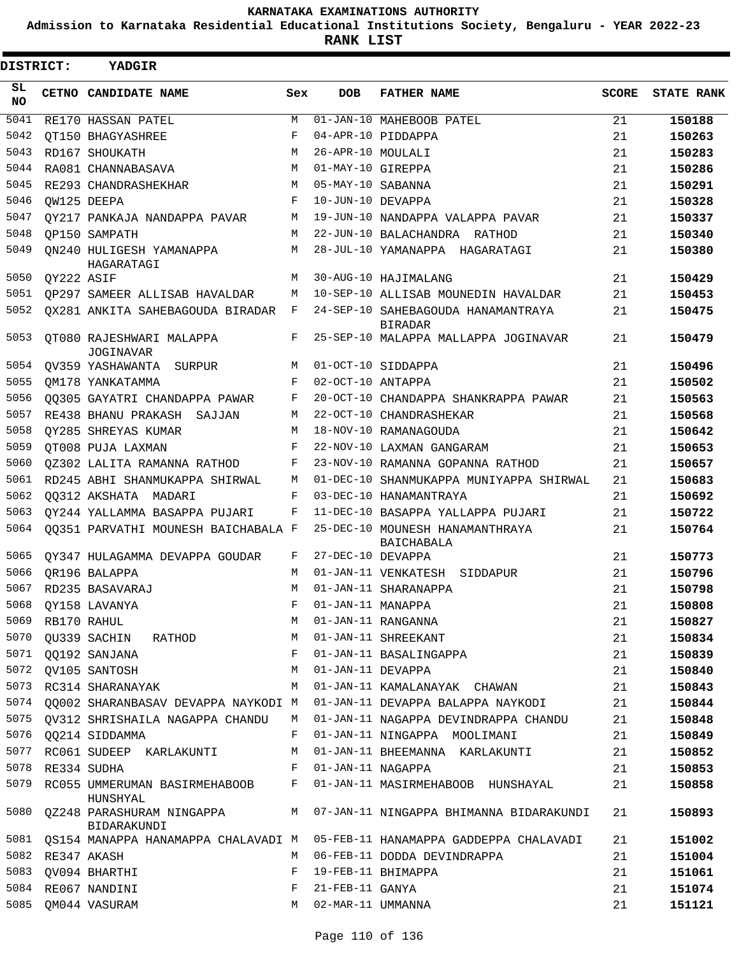**Admission to Karnataka Residential Educational Institutions Society, Bengaluru - YEAR 2022-23**

**RANK LIST**

| DISTRICT:       |            | <b>YADGIR</b>                                |     |                   |                                                      |              |                   |
|-----------------|------------|----------------------------------------------|-----|-------------------|------------------------------------------------------|--------------|-------------------|
| SL<br><b>NO</b> |            | CETNO CANDIDATE NAME                         | Sex | <b>DOB</b>        | <b>FATHER NAME</b>                                   | <b>SCORE</b> | <b>STATE RANK</b> |
| 5041            |            | RE170 HASSAN PATEL                           | М   |                   | 01-JAN-10 MAHEBOOB PATEL                             | 21           | 150188            |
| 5042            |            | OT150 BHAGYASHREE                            | F   |                   | 04-APR-10 PIDDAPPA                                   | 21           | 150263            |
| 5043            |            | RD167 SHOUKATH                               | M   | 26-APR-10 MOULALI |                                                      | 21           | 150283            |
| 5044            |            | RA081 CHANNABASAVA                           | M   | 01-MAY-10 GIREPPA |                                                      | 21           | 150286            |
| 5045            |            | RE293 CHANDRASHEKHAR                         | M   | 05-MAY-10 SABANNA |                                                      | 21           | 150291            |
| 5046            |            | OW125 DEEPA                                  | F   | 10-JUN-10 DEVAPPA |                                                      | 21           | 150328            |
| 5047            |            | OY217 PANKAJA NANDAPPA PAVAR                 | М   |                   | 19-JUN-10 NANDAPPA VALAPPA PAVAR                     | 21           | 150337            |
| 5048            |            | OP150 SAMPATH                                | М   |                   | 22-JUN-10 BALACHANDRA RATHOD                         | 21           | 150340            |
| 5049            |            | ON240 HULIGESH YAMANAPPA<br>HAGARATAGI       | М   |                   | 28-JUL-10 YAMANAPPA HAGARATAGI                       | 21           | 150380            |
| 5050            | QY222 ASIF |                                              | М   |                   | 30-AUG-10 HAJIMALANG                                 | 21           | 150429            |
| 5051            |            | OP297 SAMEER ALLISAB HAVALDAR                | М   |                   | 10-SEP-10 ALLISAB MOUNEDIN HAVALDAR                  | 21           | 150453            |
| 5052            |            | OX281 ANKITA SAHEBAGOUDA BIRADAR             | F   |                   | 24-SEP-10 SAHEBAGOUDA HANAMANTRAYA<br><b>BIRADAR</b> | 21           | 150475            |
| 5053            |            | OT080 RAJESHWARI MALAPPA<br><b>JOGINAVAR</b> | F   |                   | 25-SEP-10 MALAPPA MALLAPPA JOGINAVAR                 | 21           | 150479            |
| 5054            |            | OV359 YASHAWANTA SURPUR                      | М   |                   | 01-OCT-10 SIDDAPPA                                   | 21           | 150496            |
| 5055            |            | OM178 YANKATAMMA                             | F   | 02-OCT-10 ANTAPPA |                                                      | 21           | 150502            |
| 5056            |            | 00305 GAYATRI CHANDAPPA PAWAR                | F   |                   | 20-OCT-10 CHANDAPPA SHANKRAPPA PAWAR                 | 21           | 150563            |
| 5057            |            | RE438 BHANU PRAKASH<br>SAJJAN                | М   |                   | 22-OCT-10 CHANDRASHEKAR                              | 21           | 150568            |
| 5058            |            | OY285 SHREYAS KUMAR                          | M   |                   | 18-NOV-10 RAMANAGOUDA                                | 21           | 150642            |
| 5059            |            | OT008 PUJA LAXMAN                            | F   |                   | 22-NOV-10 LAXMAN GANGARAM                            | 21           | 150653            |
| 5060            |            | 0Z302 LALITA RAMANNA RATHOD                  | F   |                   | 23-NOV-10 RAMANNA GOPANNA RATHOD                     | 21           | 150657            |
| 5061            |            | RD245 ABHI SHANMUKAPPA SHIRWAL               | М   |                   | 01-DEC-10 SHANMUKAPPA MUNIYAPPA SHIRWAL              | 21           | 150683            |
| 5062            |            | 00312 AKSHATA MADARI                         | F   |                   | 03-DEC-10 HANAMANTRAYA                               | 21           | 150692            |
| 5063            |            | OY244 YALLAMMA BASAPPA PUJARI                | F   |                   | 11-DEC-10 BASAPPA YALLAPPA PUJARI                    | 21           | 150722            |
| 5064            |            | QQ351 PARVATHI MOUNESH BAICHABALA F          |     |                   | 25-DEC-10 MOUNESH HANAMANTHRAYA<br><b>BAICHABALA</b> | 21           | 150764            |
| 5065            |            | OY347 HULAGAMMA DEVAPPA GOUDAR               | F   | 27-DEC-10 DEVAPPA |                                                      | 21           | 150773            |
| 5066            |            | OR196 BALAPPA                                | M   |                   | 01-JAN-11 VENKATESH SIDDAPUR                         | 21           | 150796            |
| 5067            |            | RD235 BASAVARAJ                              | М   |                   | 01-JAN-11 SHARANAPPA                                 | 21           | 150798            |
| 5068            |            | QY158 LAVANYA                                | F   | 01-JAN-11 MANAPPA |                                                      | 21           | 150808            |
| 5069            |            | RB170 RAHUL                                  | М   |                   | 01-JAN-11 RANGANNA                                   | 21           | 150827            |
| 5070            |            | QU339 SACHIN RATHOD                          | М   |                   | 01-JAN-11 SHREEKANT                                  | 21           | 150834            |
| 5071            |            | <b>00192 SANJANA</b>                         | F   |                   | 01-JAN-11 BASALINGAPPA                               | 21           | 150839            |
| 5072            |            | QV105 SANTOSH                                | М   | 01-JAN-11 DEVAPPA |                                                      | 21           | 150840            |
| 5073            |            | RC314 SHARANAYAK                             | M   |                   | 01-JAN-11 KAMALANAYAK CHAWAN                         | 21           | 150843            |
| 5074            |            | QQ002 SHARANBASAV DEVAPPA NAYKODI M          |     |                   | 01-JAN-11 DEVAPPA BALAPPA NAYKODI                    | 21           | 150844            |
| 5075            |            | OV312 SHRISHAILA NAGAPPA CHANDU              | M   |                   | 01-JAN-11 NAGAPPA DEVINDRAPPA CHANDU                 | 21           | 150848            |
| 5076            |            | QQ214 SIDDAMMA                               | F   |                   | 01-JAN-11 NINGAPPA MOOLIMANI                         | 21           | 150849            |
| 5077            |            | RC061 SUDEEP KARLAKUNTI                      | М   |                   | 01-JAN-11 BHEEMANNA KARLAKUNTI                       | 21           | 150852            |
| 5078            |            | RE334 SUDHA                                  | F   | 01-JAN-11 NAGAPPA |                                                      | 21           | 150853            |
| 5079            |            | RC055 UMMERUMAN BASIRMEHABOOB<br>HUNSHYAL    | F   |                   | 01-JAN-11 MASIRMEHABOOB HUNSHAYAL                    | 21           | 150858            |
| 5080            |            | QZ248 PARASHURAM NINGAPPA<br>BIDARAKUNDI     | M   |                   | 07-JAN-11 NINGAPPA BHIMANNA BIDARAKUNDI              | 21           | 150893            |
| 5081            |            | QS154 MANAPPA HANAMAPPA CHALAVADI M          |     |                   | 05-FEB-11 HANAMAPPA GADDEPPA CHALAVADI               | 21           | 151002            |
| 5082            |            | RE347 AKASH                                  | М   |                   | 06-FEB-11 DODDA DEVINDRAPPA                          | 21           | 151004            |
| 5083            |            | QV094 BHARTHI                                | F   |                   | 19-FEB-11 BHIMAPPA                                   | 21           | 151061            |
| 5084            |            | RE067 NANDINI                                | F   | 21-FEB-11 GANYA   |                                                      | 21           | 151074            |
| 5085            |            | QM044 VASURAM                                | М   | 02-MAR-11 UMMANNA |                                                      | 21           | 151121            |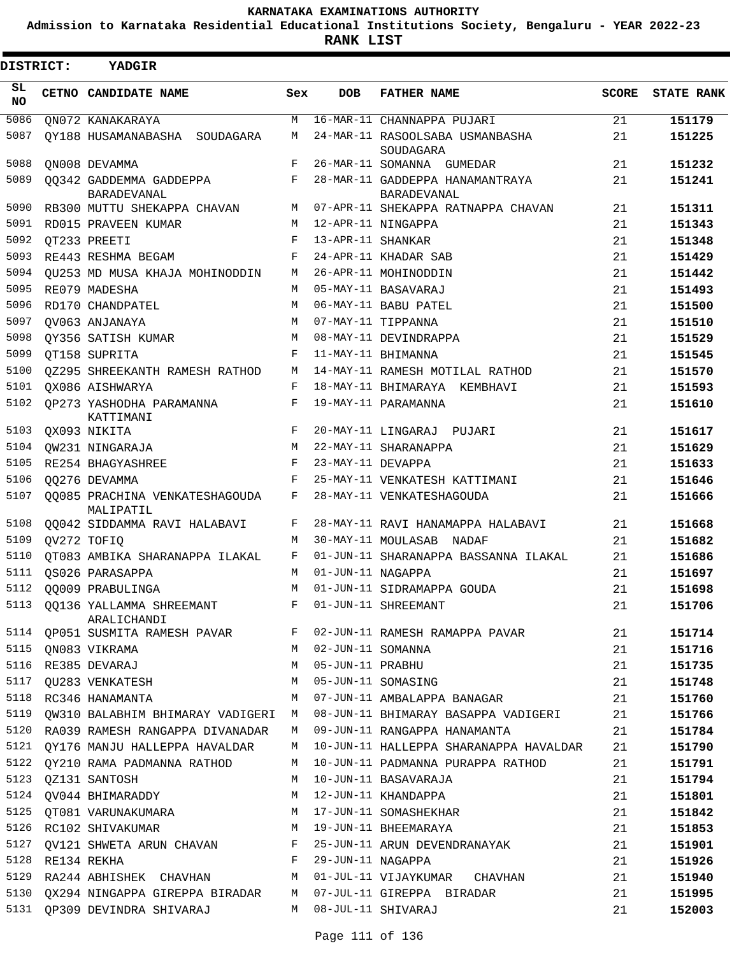**Admission to Karnataka Residential Educational Institutions Society, Bengaluru - YEAR 2022-23**

| DISTRICT:  |                  | YADGIR                                        |            |                   |                                                |              |                   |
|------------|------------------|-----------------------------------------------|------------|-------------------|------------------------------------------------|--------------|-------------------|
| SL.<br>NO. |                  | CETNO CANDIDATE NAME                          | Sex        | <b>DOB</b>        | <b>FATHER NAME</b>                             | <b>SCORE</b> | <b>STATE RANK</b> |
| 5086       |                  | ON072 KANAKARAYA                              | M          |                   | 16-MAR-11 CHANNAPPA PUJARI                     | 21           | 151179            |
| 5087       |                  | QY188 HUSAMANABASHA SOUDAGARA                 | M          |                   | 24-MAR-11 RASOOLSABA USMANBASHA<br>SOUDAGARA   | 21           | 151225            |
| 5088       |                  | ON008 DEVAMMA                                 | F          |                   | 26-MAR-11 SOMANNA GUMEDAR                      | 21           | 151232            |
| 5089       |                  | 00342 GADDEMMA GADDEPPA<br><b>BARADEVANAL</b> | F          |                   | 28-MAR-11 GADDEPPA HANAMANTRAYA<br>BARADEVANAL | 21           | 151241            |
| 5090       |                  | RB300 MUTTU SHEKAPPA CHAVAN                   | M          |                   | 07-APR-11 SHEKAPPA RATNAPPA CHAVAN             | 21           | 151311            |
| 5091       |                  | RD015 PRAVEEN KUMAR                           | M          |                   | 12-APR-11 NINGAPPA                             | 21           | 151343            |
| 5092       |                  | OT233 PREETI                                  | F          | 13-APR-11 SHANKAR |                                                | 21           | 151348            |
| 5093       |                  | RE443 RESHMA BEGAM                            | F          |                   | 24-APR-11 KHADAR SAB                           | 21           | 151429            |
| 5094       |                  | QU253 MD MUSA KHAJA MOHINODDIN                | М          |                   | 26-APR-11 MOHINODDIN                           | 21           | 151442            |
| 5095       |                  | RE079 MADESHA                                 | M          |                   | 05-MAY-11 BASAVARAJ                            | 21           | 151493            |
| 5096       |                  | RD170 CHANDPATEL                              | M          |                   | 06-MAY-11 BABU PATEL                           | 21           | 151500            |
| 5097       |                  | OV063 ANJANAYA                                | M          |                   | 07-MAY-11 TIPPANNA                             | 21           | 151510            |
| 5098       |                  | OY356 SATISH KUMAR                            | М          |                   | 08-MAY-11 DEVINDRAPPA                          | 21           | 151529            |
| 5099       |                  | OT158 SUPRITA                                 | $_{\rm F}$ |                   | 11-MAY-11 BHIMANNA                             | 21           | 151545            |
| 5100       |                  | OZ295 SHREEKANTH RAMESH RATHOD                | М          |                   | 14-MAY-11 RAMESH MOTILAL RATHOD                | 21           | 151570            |
| 5101       |                  | OX086 AISHWARYA                               | F          |                   | 18-MAY-11 BHIMARAYA KEMBHAVI                   | 21           | 151593            |
| 5102       |                  | OP273 YASHODHA PARAMANNA<br>KATTIMANI         | F          |                   | 19-MAY-11 PARAMANNA                            | 21           | 151610            |
| 5103       |                  | QX093 NIKITA                                  | $_{\rm F}$ |                   | 20-MAY-11 LINGARAJ PUJARI                      | 21           | 151617            |
| 5104       |                  | QW231 NINGARAJA                               | M          |                   | 22-MAY-11 SHARANAPPA                           | 21           | 151629            |
| 5105       |                  | RE254 BHAGYASHREE                             | F          | 23-MAY-11 DEVAPPA |                                                | 21           | 151633            |
| 5106       |                  | 00276 DEVAMMA                                 | F          |                   | 25-MAY-11 VENKATESH KATTIMANI                  | 21           | 151646            |
| 5107       |                  | 00085 PRACHINA VENKATESHAGOUDA<br>MALIPATIL   | F          |                   | 28-MAY-11 VENKATESHAGOUDA                      | 21           | 151666            |
| 5108       |                  | QQ042 SIDDAMMA RAVI HALABAVI                  | F          |                   | 28-MAY-11 RAVI HANAMAPPA HALABAVI              | 21           | 151668            |
| 5109       |                  | QV272 TOFIQ                                   | M          |                   | 30-MAY-11 MOULASAB NADAF                       | 21           | 151682            |
| 5110       |                  | OT083 AMBIKA SHARANAPPA ILAKAL                | F          |                   | 01-JUN-11 SHARANAPPA BASSANNA ILAKAL           | 21           | 151686            |
| 5111       |                  | OS026 PARASAPPA                               | M          | 01-JUN-11 NAGAPPA |                                                | 21           | 151697            |
| 5112       |                  | 00009 PRABULINGA                              | M          |                   | 01-JUN-11 SIDRAMAPPA GOUDA                     | 21           | 151698            |
| 5113       |                  | QQ136 YALLAMMA SHREEMANT<br>ARALICHANDI       | F          |                   | 01-JUN-11 SHREEMANT                            | 21           | 151706            |
| 5114       |                  | QP051 SUSMITA RAMESH PAVAR                    | F          |                   | 02-JUN-11 RAMESH RAMAPPA PAVAR                 | 21           | 151714            |
| 5115       |                  | QN083 VIKRAMA                                 | M          | 02-JUN-11 SOMANNA |                                                | 21           | 151716            |
| 5116       |                  | RE385 DEVARAJ                                 | M          | 05-JUN-11 PRABHU  |                                                | 21           | 151735            |
| 5117       |                  | OU283 VENKATESH                               | M          |                   | 05-JUN-11 SOMASING                             | 21           | 151748            |
| 5118       |                  | RC346 HANAMANTA                               | M          |                   | 07-JUN-11 AMBALAPPA BANAGAR                    | 21           | 151760            |
| 5119       |                  | OW310 BALABHIM BHIMARAY VADIGERI M            |            |                   | 08-JUN-11 BHIMARAY BASAPPA VADIGERI            | 21           | 151766            |
|            |                  | 5120 RA039 RAMESH RANGAPPA DIVANADAR          | M          |                   | 09-JUN-11 RANGAPPA HANAMANTA                   | 21           | 151784            |
| 5121       |                  | QY176 MANJU HALLEPPA HAVALDAR                 | М          |                   | 10-JUN-11 HALLEPPA SHARANAPPA HAVALDAR         | 21           | 151790            |
| 5122       |                  | QY210 RAMA PADMANNA RATHOD                    | М          |                   | 10-JUN-11 PADMANNA PURAPPA RATHOD              | 21           | 151791            |
| 5123       |                  | QZ131 SANTOSH                                 | М          |                   | 10-JUN-11 BASAVARAJA                           | 21           | 151794            |
| 5124       |                  | QV044 BHIMARADDY                              | М          |                   | 12-JUN-11 KHANDAPPA                            | 21           | 151801            |
| 5125       |                  | QT081 VARUNAKUMARA                            | М          |                   | 17-JUN-11 SOMASHEKHAR                          | 21           | 151842            |
| 5126       |                  | RC102 SHIVAKUMAR                              | М          |                   | 19-JUN-11 BHEEMARAYA                           | 21           | 151853            |
| 5127       |                  | QV121 SHWETA ARUN CHAVAN                      | F          |                   | 25-JUN-11 ARUN DEVENDRANAYAK                   | 21           | 151901            |
|            | 5128 RE134 REKHA |                                               | F          | 29-JUN-11 NAGAPPA |                                                | 21           | 151926            |
| 5129       |                  | RA244 ABHISHEK CHAVHAN                        | M          |                   | 01-JUL-11 VIJAYKUMAR<br>CHAVHAN                | 21           | 151940            |
| 5130       |                  | QX294 NINGAPPA GIREPPA BIRADAR                | M          |                   | 07-JUL-11 GIREPPA BIRADAR                      | 21           | 151995            |
| 5131       |                  | QP309 DEVINDRA SHIVARAJ                       | M          |                   | 08-JUL-11 SHIVARAJ                             | 21           | 152003            |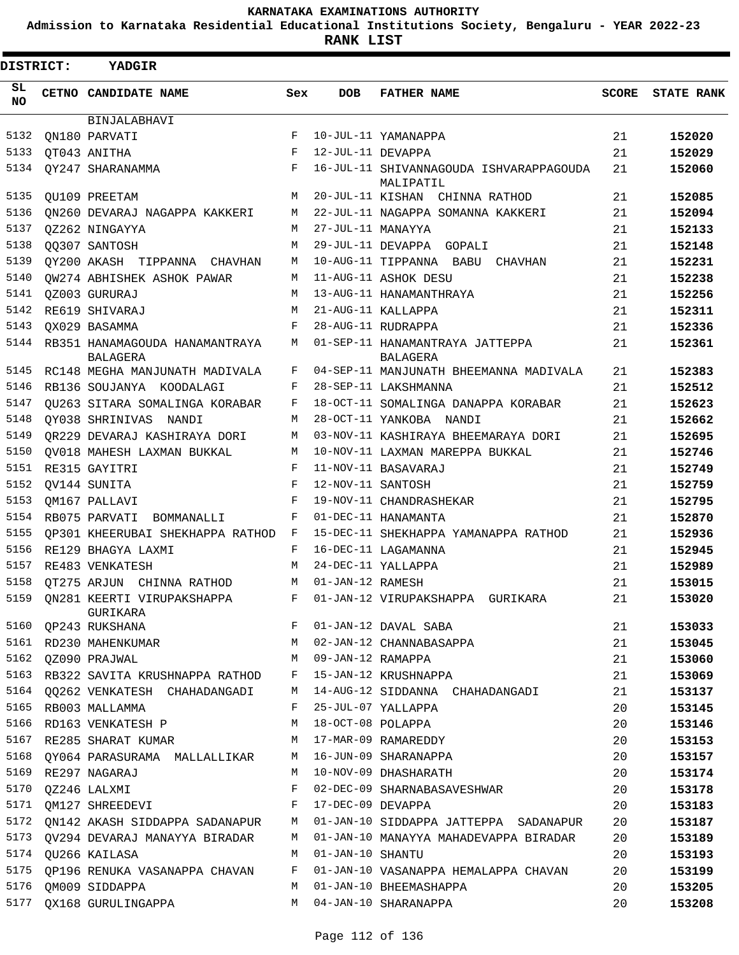**Admission to Karnataka Residential Educational Institutions Society, Bengaluru - YEAR 2022-23**

| DISTRICT:  |  | <b>YADGIR</b>                                                                  |              |                    |                                                        |              |                   |
|------------|--|--------------------------------------------------------------------------------|--------------|--------------------|--------------------------------------------------------|--------------|-------------------|
| SL.<br>NO. |  | CETNO CANDIDATE NAME                                                           | Sex          | DOB                | <b>FATHER NAME</b>                                     | <b>SCORE</b> | <b>STATE RANK</b> |
|            |  | BINJALABHAVI                                                                   |              |                    |                                                        |              |                   |
| 5132       |  | ON180 PARVATI                                                                  | F            |                    | 10-JUL-11 YAMANAPPA                                    | 21           | 152020            |
| 5133       |  | QT043 ANITHA                                                                   | F            | 12-JUL-11 DEVAPPA  |                                                        | 21           | 152029            |
| 5134       |  | QY247 SHARANAMMA                                                               | $\mathbf{F}$ |                    | 16-JUL-11 SHIVANNAGOUDA ISHVARAPPAGOUDA<br>MALIPATIL   | 21           | 152060            |
| 5135       |  | QU109 PREETAM                                                                  | M            |                    | 20-JUL-11 KISHAN CHINNA RATHOD                         | 21           | 152085            |
| 5136       |  | ON260 DEVARAJ NAGAPPA KAKKERI                                                  | M            |                    | 22-JUL-11 NAGAPPA SOMANNA KAKKERI                      | 21           | 152094            |
| 5137       |  | OZ262 NINGAYYA                                                                 | M            | 27-JUL-11 MANAYYA  |                                                        | 21           | 152133            |
| 5138       |  | QQ307 SANTOSH                                                                  | M            |                    | 29-JUL-11 DEVAPPA GOPALI                               | 21           | 152148            |
| 5139       |  | QY200 AKASH TIPPANNA CHAVHAN                                                   | М            |                    | 10-AUG-11 TIPPANNA BABU CHAVHAN                        | 21           | 152231            |
| 5140       |  | OW274 ABHISHEK ASHOK PAWAR                                                     | M            |                    | 11-AUG-11 ASHOK DESU                                   | 21           | 152238            |
| 5141       |  | OZ003 GURURAJ                                                                  | M            |                    | 13-AUG-11 HANAMANTHRAYA                                | 21           | 152256            |
| 5142       |  | RE619 SHIVARAJ                                                                 | M            |                    | 21-AUG-11 KALLAPPA                                     | 21           | 152311            |
| 5143       |  | QX029 BASAMMA                                                                  | F            |                    | 28-AUG-11 RUDRAPPA                                     | 21           | 152336            |
| 5144       |  | RB351 HANAMAGOUDA HANAMANTRAYA<br>BALAGERA                                     | M            |                    | 01-SEP-11 HANAMANTRAYA JATTEPPA<br>BALAGERA            | 21           | 152361            |
|            |  | 5145 RC148 MEGHA MANJUNATH MADIVALA                                            | F            |                    | 04-SEP-11 MANJUNATH BHEEMANNA MADIVALA                 | 21           | 152383            |
| 5146       |  | RB136 SOUJANYA KOODALAGI                                                       | F            |                    | 28-SEP-11 LAKSHMANNA                                   | 21           | 152512            |
| 5147       |  | OU263 SITARA SOMALINGA KORABAR                                                 | F            |                    | 18-OCT-11 SOMALINGA DANAPPA KORABAR                    | 21           | 152623            |
| 5148       |  | OY038 SHRINIVAS NANDI                                                          | M            |                    | 28-OCT-11 YANKOBA NANDI                                | 21           | 152662            |
| 5149       |  | OR229 DEVARAJ KASHIRAYA DORI                                                   | М            |                    | 03-NOV-11 KASHIRAYA BHEEMARAYA DORI                    | 21           | 152695            |
| 5150       |  | OV018 MAHESH LAXMAN BUKKAL                                                     | M            |                    | 10-NOV-11 LAXMAN MAREPPA BUKKAL                        | 21           | 152746            |
| 5151       |  | RE315 GAYITRI                                                                  | F            |                    | 11-NOV-11 BASAVARAJ                                    | 21           | 152749            |
| 5152       |  | QV144 SUNITA                                                                   | F            | 12-NOV-11 SANTOSH  |                                                        | 21           | 152759            |
| 5153       |  | OM167 PALLAVI                                                                  | F            |                    | 19-NOV-11 CHANDRASHEKAR                                | 21           | 152795            |
| 5154       |  | RB075 PARVATI BOMMANALLI                                                       | F            |                    | 01-DEC-11 HANAMANTA                                    | 21           | 152870            |
| 5155       |  | OP301 KHEERUBAI SHEKHAPPA RATHOD F                                             |              |                    | 15-DEC-11 SHEKHAPPA YAMANAPPA RATHOD                   | 21           | 152936            |
| 5156       |  | RE129 BHAGYA LAXMI                                                             | F            |                    | 16-DEC-11 LAGAMANNA                                    | 21           | 152945            |
| 5157       |  | RE483 VENKATESH                                                                | M            |                    | 24-DEC-11 YALLAPPA                                     | 21           | 152989            |
|            |  | 5158 QT275 ARJUN CHINNA RATHOD                                                 |              | M 01-JAN-12 RAMESH |                                                        | 21           | 153015            |
|            |  | 5159 QN281 KEERTI VIRUPAKSHAPPA F 01-JAN-12 VIRUPAKSHAPPA GURIKARA<br>GURIKARA |              |                    |                                                        | 21           | 153020            |
|            |  | 5160 QP243 RUKSHANA                                                            |              |                    | F 01-JAN-12 DAVAL SABA                                 | 21           | 153033            |
| 5161       |  | QP243 RUKSHANA<br>RD230 MAHENKUMAR                                             |              |                    | M 02-JAN-12 CHANNABASAPPA<br>M 02-JAN-12 CHANNABASAPPA | 21           | 153045            |
| 5162       |  | M <sub>N</sub><br>OZ090 PRAJWAL                                                |              | 09-JAN-12 RAMAPPA  |                                                        | 21           | 153060            |
|            |  | 5163 RB322 SAVITA KRUSHNAPPA RATHOD F                                          |              |                    | J JAN-12 KAMAPPA<br>15-JAN-12 KRUSHNAPPA               | 21           | 153069            |
|            |  | 5164 QQ262 VENKATESH CHAHADANGADI                                              | M            |                    | 14-AUG-12 SIDDANNA CHAHADANGADI                        | 21           | 153137            |
| 5165       |  | RB003 MALLAMMA                                                                 | F            |                    | 25-JUL-07 YALLAPPA                                     | 20           | 153145            |
| 5166       |  | RD163 VENKATESH P                                                              | M            | 18-OCT-08 POLAPPA  |                                                        | 20           | 153146            |
|            |  | 5167 RE285 SHARAT KUMAR                                                        | M            |                    | 17-MAR-09 RAMAREDDY                                    | 20           | 153153            |
| 5168       |  | QY064 PARASURAMA MALLALLIKAR                                                   | M            |                    | 16-JUN-09 SHARANAPPA                                   | 20           | 153157            |
| 5169       |  | RE297 NAGARAJ                                                                  | M            |                    | 10-NOV-09 DHASHARATH                                   | 20           | 153174            |
| 5170       |  | QZ246 LALXMI                                                                   | F            |                    | 02-DEC-09 SHARNABASAVESHWAR                            | 20           | 153178            |
| 5171       |  | QM127 SHREEDEVI                                                                | $_{\rm F}$   |                    | 17-DEC-09 DEVAPPA                                      | 20           | 153183            |
| 5172       |  | QN142 AKASH SIDDAPPA SADANAPUR M                                               |              |                    | 01-JAN-10 SIDDAPPA JATTEPPA SADANAPUR                  | 20           | 153187            |
| 5173       |  | QV294 DEVARAJ MANAYYA BIRADAR                                                  | M            |                    | 01-JAN-10 MANAYYA MAHADEVAPPA BIRADAR                  | 20           | 153189            |
|            |  | 5174 QU266 KAILASA                                                             | M            | 01-JAN-10 SHANTU   |                                                        | 20           | 153193            |
|            |  | 5175 QP196 RENUKA VASANAPPA CHAVAN                                             | F            |                    | 01-JAN-10 VASANAPPA HEMALAPPA CHAVAN                   | 20           | 153199            |
| 5176       |  | OM009 SIDDAPPA                                                                 | M            |                    | 01-JAN-10 BHEEMASHAPPA                                 | 20           | 153205            |
| 5177       |  | QX168 GURULINGAPPA                                                             | M            |                    | 04-JAN-10 SHARANAPPA                                   | 20           | 153208            |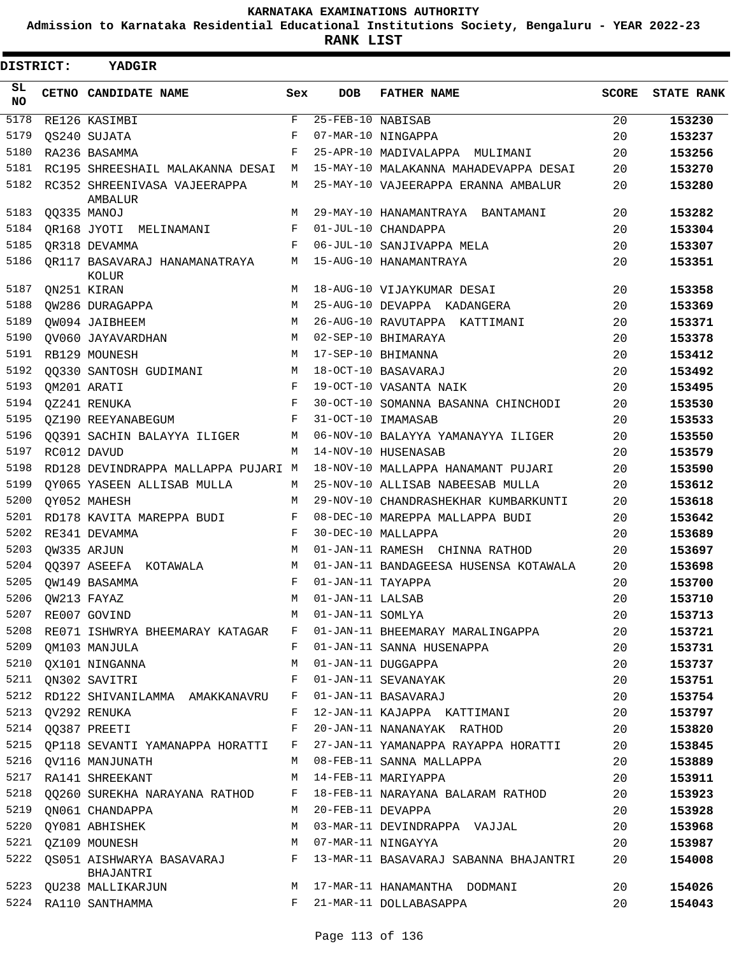**Admission to Karnataka Residential Educational Institutions Society, Bengaluru - YEAR 2022-23**

| DISTRICT:        |                  | YADGIR                                  |     |                   |                                       |       |                   |
|------------------|------------------|-----------------------------------------|-----|-------------------|---------------------------------------|-------|-------------------|
| SL.<br><b>NO</b> |                  | CETNO CANDIDATE NAME                    | Sex | DOB               | <b>FATHER NAME</b>                    | SCORE | <b>STATE RANK</b> |
| 5178             |                  | RE126 KASIMBI                           | F   | 25-FEB-10 NABISAB |                                       | 20    | 153230            |
| 5179             |                  | OS240 SUJATA                            | F   |                   | 07-MAR-10 NINGAPPA                    | 20    | 153237            |
| 5180             |                  | RA236 BASAMMA                           | F   |                   | 25-APR-10 MADIVALAPPA MULIMANI        | 20    | 153256            |
| 5181             |                  | RC195 SHREESHAIL MALAKANNA DESAI        | M   |                   | 15-MAY-10 MALAKANNA MAHADEVAPPA DESAI | 20    | 153270            |
| 5182             |                  | RC352 SHREENIVASA VAJEERAPPA<br>AMBALUR | М   |                   | 25-MAY-10 VAJEERAPPA ERANNA AMBALUR   | 20    | 153280            |
| 5183             |                  | QQ335 MANOJ                             | М   |                   | 29-MAY-10 HANAMANTRAYA BANTAMANI      | 20    | 153282            |
| 5184             |                  | QR168 JYOTI MELINAMANI                  | F   |                   | 01-JUL-10 CHANDAPPA                   | 20    | 153304            |
| 5185             |                  | OR318 DEVAMMA                           | F   |                   | 06-JUL-10 SANJIVAPPA MELA             | 20    | 153307            |
| 5186             |                  | OR117 BASAVARAJ HANAMANATRAYA<br>KOLUR  | М   |                   | 15-AUG-10 HANAMANTRAYA                | 20    | 153351            |
| 5187             |                  | QN251 KIRAN                             | М   |                   | 18-AUG-10 VIJAYKUMAR DESAI            | 20    | 153358            |
| 5188             |                  | QW286 DURAGAPPA                         | М   |                   | 25-AUG-10 DEVAPPA KADANGERA           | 20    | 153369            |
| 5189             |                  | OW094 JAIBHEEM                          | M   |                   | 26-AUG-10 RAVUTAPPA KATTIMANI         | 20    | 153371            |
| 5190             |                  | OV060 JAYAVARDHAN                       | М   |                   | 02-SEP-10 BHIMARAYA                   | 20    | 153378            |
| 5191             |                  | RB129 MOUNESH                           | M   |                   | 17-SEP-10 BHIMANNA                    | 20    | 153412            |
| 5192             |                  | 00330 SANTOSH GUDIMANI                  | M   |                   | 18-OCT-10 BASAVARAJ                   | 20    | 153492            |
| 5193             |                  | QM201 ARATI                             | F   |                   | 19-OCT-10 VASANTA NAIK                | 20    | 153495            |
| 5194             |                  | QZ241 RENUKA                            | F   |                   | 30-OCT-10 SOMANNA BASANNA CHINCHODI   | 20    | 153530            |
| 5195             |                  | OZ190 REEYANABEGUM                      | F   |                   | 31-OCT-10 IMAMASAB                    | 20    | 153533            |
| 5196             |                  | 00391 SACHIN BALAYYA ILIGER             | М   |                   | 06-NOV-10 BALAYYA YAMANAYYA ILIGER    | 20    | 153550            |
| 5197             |                  | RC012 DAVUD                             | M   |                   | 14-NOV-10 HUSENASAB                   | 20    | 153579            |
| 5198             |                  | RD128 DEVINDRAPPA MALLAPPA PUJARI M     |     |                   | 18-NOV-10 MALLAPPA HANAMANT PUJARI    | 20    | 153590            |
| 5199             |                  | QY065 YASEEN ALLISAB MULLA              | М   |                   | 25-NOV-10 ALLISAB NABEESAB MULLA      | 20    | 153612            |
| 5200             |                  | OY052 MAHESH                            | M   |                   | 29-NOV-10 CHANDRASHEKHAR KUMBARKUNTI  | 20    | 153618            |
| 5201             |                  | RD178 KAVITA MAREPPA BUDI               | F   |                   | 08-DEC-10 MAREPPA MALLAPPA BUDI       | 20    | 153642            |
| 5202             |                  | RE341 DEVAMMA                           | F   |                   | 30-DEC-10 MALLAPPA                    | 20    | 153689            |
| 5203             |                  | QW335 ARJUN                             | М   |                   | 01-JAN-11 RAMESH CHINNA RATHOD        | 20    | 153697            |
| 5204             |                  | QQ397 ASEEFA KOTAWALA                   | М   |                   | 01-JAN-11 BANDAGEESA HUSENSA KOTAWALA | 20    | 153698            |
| 5205             |                  | OW149 BASAMMA                           | F   | 01-JAN-11 TAYAPPA |                                       | 20    | 153700            |
|                  | 5206 QW213 FAYAZ |                                         | М   | 01-JAN-11 LALSAB  |                                       | 20    | 153710            |
| 5207             |                  | RE007 GOVIND                            | M   | 01-JAN-11 SOMLYA  |                                       | 20    | 153713            |
| 5208             |                  | RE071 ISHWRYA BHEEMARAY KATAGAR         | F   |                   | 01-JAN-11 BHEEMARAY MARALINGAPPA      | 20    | 153721            |
| 5209             |                  | QM103 MANJULA                           | F   |                   | 01-JAN-11 SANNA HUSENAPPA             | 20    | 153731            |
| 5210             |                  | OX101 NINGANNA                          | М   |                   | 01-JAN-11 DUGGAPPA                    | 20    | 153737            |
| 5211             |                  | QN302 SAVITRI                           | F   |                   | 01-JAN-11 SEVANAYAK                   | 20    | 153751            |
| 5212             |                  | RD122 SHIVANILAMMA AMAKKANAVRU          | F   |                   | 01-JAN-11 BASAVARAJ                   | 20    | 153754            |
|                  |                  | 5213 QV292 RENUKA                       | F   |                   | 12-JAN-11 KAJAPPA KATTIMANI           | 20    | 153797            |
| 5214             |                  | 00387 PREETI                            | F   |                   | 20-JAN-11 NANANAYAK RATHOD            | 20    | 153820            |
| 5215             |                  | OP118 SEVANTI YAMANAPPA HORATTI         | F   |                   | 27-JAN-11 YAMANAPPA RAYAPPA HORATTI   | 20    | 153845            |
| 5216             |                  | <b>OV116 MANJUNATH</b>                  | М   |                   | 08-FEB-11 SANNA MALLAPPA              | 20    | 153889            |
| 5217             |                  | RA141 SHREEKANT                         | M   |                   | 14-FEB-11 MARIYAPPA                   | 20    | 153911            |
| 5218             |                  | 00260 SUREKHA NARAYANA RATHOD           | F   |                   | 18-FEB-11 NARAYANA BALARAM RATHOD     | 20    | 153923            |
| 5219             |                  | ON061 CHANDAPPA                         | М   | 20-FEB-11 DEVAPPA |                                       | 20    | 153928            |
| 5220             |                  | QY081 ABHISHEK                          | М   |                   | 03-MAR-11 DEVINDRAPPA VAJJAL          | 20    | 153968            |
|                  |                  | 5221 QZ109 MOUNESH                      | M   |                   | 07-MAR-11 NINGAYYA                    | 20    | 153987            |
| 5222             |                  | QS051 AISHWARYA BASAVARAJ<br>BHAJANTRI  | F   |                   | 13-MAR-11 BASAVARAJ SABANNA BHAJANTRI | 20    | 154008            |
| 5223             |                  | QU238 MALLIKARJUN                       | М   |                   | 17-MAR-11 HANAMANTHA DODMANI          | 20    | 154026            |
| 5224             |                  | RA110 SANTHAMMA                         | F   |                   | 21-MAR-11 DOLLABASAPPA                | 20    | 154043            |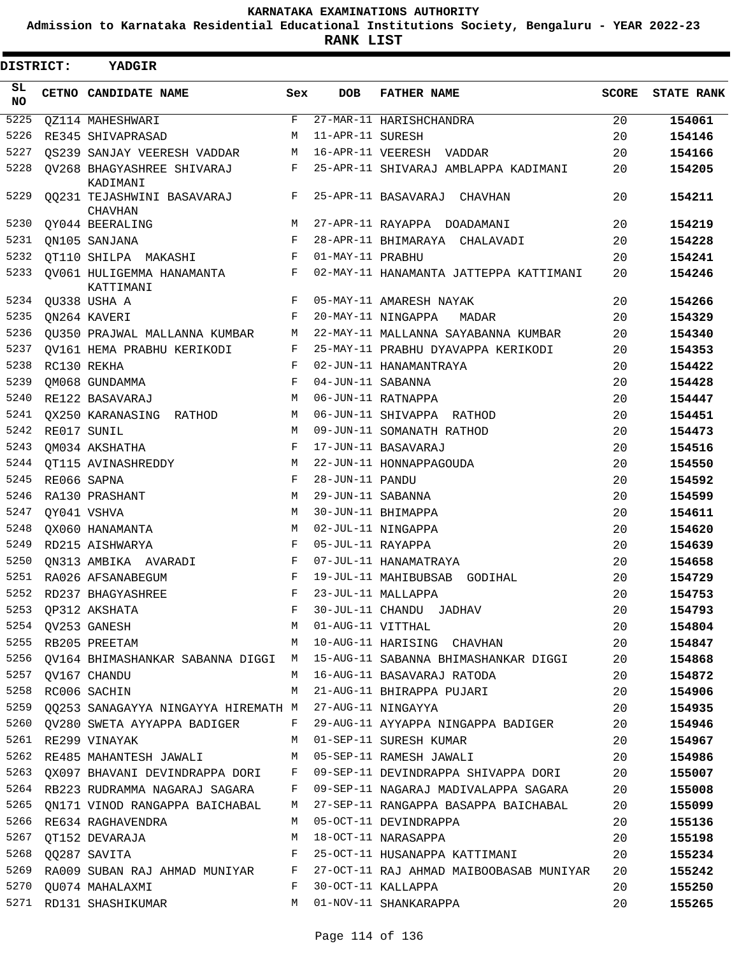**Admission to Karnataka Residential Educational Institutions Society, Bengaluru - YEAR 2022-23**

**RANK LIST**

| DISTRICT:  | YADGIR                                                      |     |                   |                                                                                 |              |                   |
|------------|-------------------------------------------------------------|-----|-------------------|---------------------------------------------------------------------------------|--------------|-------------------|
| SL.<br>NO. | CETNO CANDIDATE NAME                                        | Sex | <b>DOB</b>        | <b>FATHER NAME</b>                                                              | <b>SCORE</b> | <b>STATE RANK</b> |
| 5225       | <b>QZ114 MAHESHWARI</b>                                     | F   |                   | 27-MAR-11 HARISHCHANDRA                                                         | 20           | 154061            |
| 5226       | RE345 SHIVAPRASAD                                           | M   | 11-APR-11 SURESH  |                                                                                 | 20           | 154146            |
| 5227       | OS239 SANJAY VEERESH VADDAR                                 | М   |                   | 16-APR-11 VEERESH VADDAR                                                        | 20           | 154166            |
| 5228       | QV268 BHAGYASHREE SHIVARAJ<br>KADIMANI                      | F   |                   | 25-APR-11 SHIVARAJ AMBLAPPA KADIMANI                                            | 20           | 154205            |
| 5229       | 00231 TEJASHWINI BASAVARAJ<br><b>CHAVHAN</b>                | F   |                   | 25-APR-11 BASAVARAJ CHAVHAN                                                     | 20           | 154211            |
| 5230       | QY044 BEERALING                                             | М   |                   | 27-APR-11 RAYAPPA DOADAMANI                                                     | 20           | 154219            |
| 5231       | ON105 SANJANA                                               | F   |                   | 28-APR-11 BHIMARAYA<br>CHALAVADI                                                | 20           | 154228            |
| 5232       | OT110 SHILPA MAKASHI                                        | F   | 01-MAY-11 PRABHU  |                                                                                 | 20           | 154241            |
| 5233       | QV061 HULIGEMMA HANAMANTA<br>KATTIMANI                      | F   |                   | 02-MAY-11 HANAMANTA JATTEPPA KATTIMANI                                          | 20           | 154246            |
| 5234       | QU338 USHA A                                                | F   |                   | 05-MAY-11 AMARESH NAYAK                                                         | 20           | 154266            |
| 5235       | QN264 KAVERI                                                | F   |                   | 20-MAY-11 NINGAPPA<br>MADAR                                                     | 20           | 154329            |
| 5236       | QU350 PRAJWAL MALLANNA KUMBAR                               | М   |                   | 22-MAY-11 MALLANNA SAYABANNA KUMBAR                                             | 20           | 154340            |
| 5237       | OV161 HEMA PRABHU KERIKODI                                  | F   |                   | 25-MAY-11 PRABHU DYAVAPPA KERIKODI                                              | 20           | 154353            |
| 5238       | RC130 REKHA                                                 | F   |                   | 02-JUN-11 HANAMANTRAYA                                                          | 20           | 154422            |
| 5239       | OM068 GUNDAMMA                                              | F   | 04-JUN-11 SABANNA |                                                                                 | 20           | 154428            |
| 5240       | RE122 BASAVARAJ                                             | M   |                   | 06-JUN-11 RATNAPPA                                                              | 20           | 154447            |
| 5241       | QX250 KARANASING RATHOD                                     | М   |                   | 06-JUN-11 SHIVAPPA RATHOD                                                       | 20           | 154451            |
| 5242       | RE017 SUNIL                                                 | M   |                   | 09-JUN-11 SOMANATH RATHOD                                                       | 20           | 154473            |
| 5243       | QM034 AKSHATHA                                              | F   |                   | 17-JUN-11 BASAVARAJ                                                             | 20           | 154516            |
| 5244       | OT115 AVINASHREDDY                                          | М   |                   | 22-JUN-11 HONNAPPAGOUDA                                                         | 20           | 154550            |
| 5245       | RE066 SAPNA                                                 | F   | 28-JUN-11 PANDU   |                                                                                 | 20           | 154592            |
| 5246       | RA130 PRASHANT                                              | М   | 29-JUN-11 SABANNA |                                                                                 | 20           | 154599            |
| 5247       | QY041 VSHVA                                                 | M   |                   | 30-JUN-11 BHIMAPPA                                                              | 20           | 154611            |
| 5248       | QX060 HANAMANTA                                             | M   |                   | 02-JUL-11 NINGAPPA                                                              | 20           | 154620            |
| 5249       | RD215 AISHWARYA                                             | F   | 05-JUL-11 RAYAPPA |                                                                                 | 20           | 154639            |
| 5250       | QN313 AMBIKA AVARADI                                        | F   |                   | 07-JUL-11 HANAMATRAYA                                                           | 20           | 154658            |
| 5251       | RA026 AFSANABEGUM                                           | F   |                   | 19-JUL-11 MAHIBUBSAB<br>GODIHAL                                                 | 20           | 154729            |
| 5252       | RD237 BHAGYASHREE                                           | F   |                   | 23-JUL-11 MALLAPPA                                                              | 20           | 154753            |
|            | 5253 QP312 AKSHATA                                          | F   |                   | 30-JUL-11 CHANDU JADHAV                                                         | 20           | 154793            |
|            | 5254 QV253 GANESH                                           | M   |                   | 01-AUG-11 VITTHAL                                                               | 20           | 154804            |
|            | 5255 RB205 PREETAM                                          |     |                   | M 10-AUG-11 HARISING CHAVHAN                                                    | 20           | 154847            |
|            |                                                             |     |                   | 5256 QV164 BHIMASHANKAR SABANNA DIGGI M 15-AUG-11 SABANNA BHIMASHANKAR DIGGI 20 |              | 154868            |
|            | 5257 QV167 CHANDU                                           | M   |                   | 16-AUG-11 BASAVARAJ RATODA                                                      | 20           | 154872            |
| 5258       | RC006 SACHIN                                                | M   |                   | 21-AUG-11 BHIRAPPA PUJARI                                                       | 20           | 154906            |
|            | 5259 QQ253 SANAGAYYA NINGAYYA HIREMATH M 27-AUG-11 NINGAYYA |     |                   |                                                                                 | 20           | 154935            |
|            |                                                             |     |                   | 5260 QV280 SWETA AYYAPPA BADIGER F 29-AUG-11 AYYAPPA NINGAPPA BADIGER           | 20           | 154946            |
|            | 5261 RE299 VINAYAK                                          |     |                   | M 01-SEP-11 SURESH KUMAR                                                        | 20           | 154967            |
|            |                                                             |     |                   | 5262 RE485 MAHANTESH JAWALI M 05-SEP-11 RAMESH JAWALI                           | 20           | 154986            |
|            |                                                             |     |                   | 5263 QX097 BHAVANI DEVINDRAPPA DORI F 09-SEP-11 DEVINDRAPPA SHIVAPPA DORI 20    |              | 155007            |
|            |                                                             |     |                   | 5264 RB223 RUDRAMMA NAGARAJ SAGARA F 09-SEP-11 NAGARAJ MADIVALAPPA SAGARA 20    |              | 155008            |
| 5265       |                                                             |     |                   | QN171 VINOD RANGAPPA BAICHABAL M 27-SEP-11 RANGAPPA BASAPPA BAICHABAL           | 20           | 155099            |
| 5266       | RE634 RAGHAVENDRA                                           | M   |                   | 05-OCT-11 DEVINDRAPPA                                                           | 20           | 155136            |
| 5267       | QT152 DEVARAJA                                              | М   |                   | 18-OCT-11 NARASAPPA                                                             | 20           | 155198            |
|            | 5268 QQ287 SAVITA<br>$\mathbb F$ . If $\mathbb F$           |     |                   | 25-OCT-11 HUSANAPPA KATTIMANI                                                   | 20           | 155234            |
| 5269       |                                                             |     |                   | RA009 SUBAN RAJ AHMAD MUNIYAR F 27-OCT-11 RAJ AHMAD MAIBOOBASAB MUNIYAR         | 20           | 155242            |
|            | 5270 QU074 MAHALAXMI<br>$\mathbf{F}$                        |     |                   | 30-OCT-11 KALLAPPA                                                              | 20           | 155250            |
|            | 5271 RD131 SHASHIKUMAR                                      |     |                   | M 01-NOV-11 SHANKARAPPA                                                         | 20           | 155265            |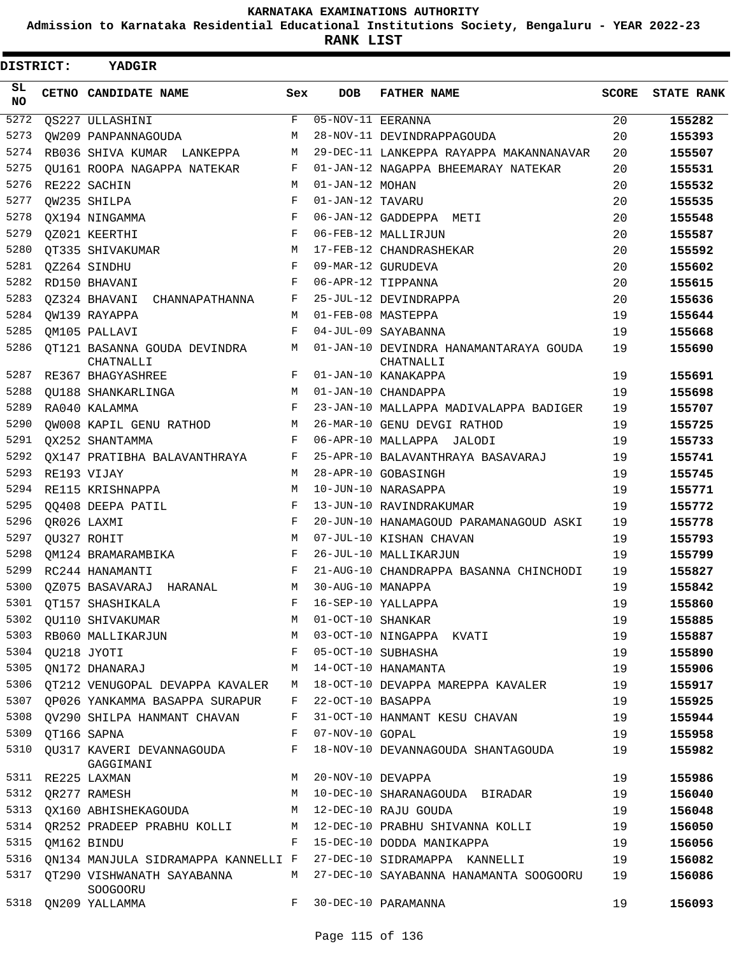**Admission to Karnataka Residential Educational Institutions Society, Bengaluru - YEAR 2022-23**

**RANK LIST**

| <b>DISTRICT:</b> | <b>YADGIR</b>                                                     |     |                                |                                                     |              |                   |
|------------------|-------------------------------------------------------------------|-----|--------------------------------|-----------------------------------------------------|--------------|-------------------|
| SL<br><b>NO</b>  | CETNO CANDIDATE NAME                                              | Sex | DOB                            | <b>FATHER NAME</b>                                  | <b>SCORE</b> | <b>STATE RANK</b> |
| 5272             | QS227 ULLASHINI                                                   | F   | $\overline{05-NOV-11}$ EERANNA |                                                     | 20           | 155282            |
| 5273             | OW209 PANPANNAGOUDA                                               | M   |                                | 28-NOV-11 DEVINDRAPPAGOUDA                          | 20           | 155393            |
| 5274             | RB036 SHIVA KUMAR LANKEPPA                                        | М   |                                | 29-DEC-11 LANKEPPA RAYAPPA MAKANNANAVAR             | 20           | 155507            |
| 5275             | QU161 ROOPA NAGAPPA NATEKAR                                       | F   |                                | 01-JAN-12 NAGAPPA BHEEMARAY NATEKAR                 | 20           | 155531            |
| 5276             | RE222 SACHIN                                                      | М   | 01-JAN-12 MOHAN                |                                                     | 20           | 155532            |
| 5277             | QW235 SHILPA                                                      | F   | 01-JAN-12 TAVARU               |                                                     | 20           | 155535            |
| 5278             | OX194 NINGAMMA                                                    | F   |                                | 06-JAN-12 GADDEPPA METI                             | 20           | 155548            |
| 5279             | QZ021 KEERTHI                                                     | F   |                                | 06-FEB-12 MALLIRJUN                                 | 20           | 155587            |
| 5280             | QT335 SHIVAKUMAR                                                  | М   |                                | 17-FEB-12 CHANDRASHEKAR                             | 20           | 155592            |
| 5281             | QZ264 SINDHU                                                      | F   |                                | 09-MAR-12 GURUDEVA                                  | 20           | 155602            |
| 5282             | RD150 BHAVANI                                                     | F   |                                | 06-APR-12 TIPPANNA                                  | 20           | 155615            |
| 5283             | QZ324 BHAVANI CHANNAPATHANNA                                      | F   |                                | 25-JUL-12 DEVINDRAPPA                               | 20           | 155636            |
| 5284             | OW139 RAYAPPA                                                     | М   |                                | 01-FEB-08 MASTEPPA                                  | 19           | 155644            |
| 5285             | OM105 PALLAVI                                                     | F   |                                | 04-JUL-09 SAYABANNA                                 | 19           | 155668            |
| 5286             | OT121 BASANNA GOUDA DEVINDRA<br>CHATNALLI                         | М   |                                | 01-JAN-10 DEVINDRA HANAMANTARAYA GOUDA<br>CHATNALLI | 19           | 155690            |
| 5287             | RE367 BHAGYASHREE                                                 | F   |                                | 01-JAN-10 KANAKAPPA                                 | 19           | 155691            |
| 5288             | QU188 SHANKARLINGA                                                | М   |                                | 01-JAN-10 CHANDAPPA                                 | 19           | 155698            |
| 5289             | RA040 KALAMMA                                                     | F   |                                | 23-JAN-10 MALLAPPA MADIVALAPPA BADIGER              | 19           | 155707            |
| 5290             | OW008 KAPIL GENU RATHOD                                           | М   |                                | 26-MAR-10 GENU DEVGI RATHOD                         | 19           | 155725            |
| 5291             | OX252 SHANTAMMA                                                   | F   |                                | 06-APR-10 MALLAPPA JALODI                           | 19           | 155733            |
| 5292             | OX147 PRATIBHA BALAVANTHRAYA                                      | F   |                                | 25-APR-10 BALAVANTHRAYA BASAVARAJ                   | 19           | 155741            |
| 5293             | RE193 VIJAY                                                       | М   |                                | 28-APR-10 GOBASINGH                                 | 19           | 155745            |
| 5294             | RE115 KRISHNAPPA                                                  | М   |                                | 10-JUN-10 NARASAPPA                                 | 19           | 155771            |
| 5295             | QQ408 DEEPA PATIL                                                 | F   |                                | 13-JUN-10 RAVINDRAKUMAR                             | 19           | 155772            |
| 5296             | OR026 LAXMI                                                       | F   |                                | 20-JUN-10 HANAMAGOUD PARAMANAGOUD ASKI              | 19           | 155778            |
| 5297             | QU327 ROHIT                                                       | М   |                                | 07-JUL-10 KISHAN CHAVAN                             | 19           | 155793            |
| 5298             | QM124 BRAMARAMBIKA                                                | F   |                                | 26-JUL-10 MALLIKARJUN                               | 19           | 155799            |
| 5299             | RC244 HANAMANTI                                                   | F   |                                | 21-AUG-10 CHANDRAPPA BASANNA CHINCHODI              | 19           | 155827            |
| 5300             | QZ075 BASAVARAJ HARANAL                                           | М   | 30-AUG-10 MANAPPA              |                                                     | 19           | 155842            |
| 5301             | QT157 SHASHIKALA                                                  | F   |                                | 16-SEP-10 YALLAPPA                                  | 19           | 155860            |
|                  | 5302 QU110 SHIVAKUMAR                                             | М   | 01-OCT-10 SHANKAR              |                                                     | 19           | 155885            |
| 5303             | RB060 MALLIKARJUN                                                 | М   |                                | 03-OCT-10 NINGAPPA KVATI                            | 19           | 155887            |
| 5304             | OU218 JYOTI                                                       | F   |                                | 05-OCT-10 SUBHASHA                                  | 19           | 155890            |
| 5305             | QN172 DHANARAJ                                                    | М   |                                | 14-OCT-10 HANAMANTA                                 | 19           | 155906            |
|                  | 5306 OT212 VENUGOPAL DEVAPPA KAVALER                              | М   |                                | 18-OCT-10 DEVAPPA MAREPPA KAVALER                   | 19           | 155917            |
| 5307             | QP026 YANKAMMA BASAPPA SURAPUR                                    | F   | 22-OCT-10 BASAPPA              |                                                     | 19           | 155925            |
| 5308             | OV290 SHILPA HANMANT CHAVAN                                       | F   |                                | 31-OCT-10 HANMANT KESU CHAVAN                       | 19           | 155944            |
| 5309             | QT166 SAPNA                                                       | F   | 07-NOV-10 GOPAL                |                                                     | 19           | 155958            |
|                  | 5310 QU317 KAVERI DEVANNAGOUDA<br>GAGGIMANI                       | F   |                                | 18-NOV-10 DEVANNAGOUDA SHANTAGOUDA                  | 19           | 155982            |
| 5311             | RE225 LAXMAN                                                      | М   | 20-NOV-10 DEVAPPA              |                                                     | 19           | 155986            |
| 5312             | OR277 RAMESH                                                      | М   |                                | 10-DEC-10 SHARANAGOUDA BIRADAR                      | 19           | 156040            |
| 5313             | QX160 ABHISHEKAGOUDA                                              | M   |                                | 12-DEC-10 RAJU GOUDA                                | 19           | 156048            |
| 5314             | QR252 PRADEEP PRABHU KOLLI                                        | M   |                                | 12-DEC-10 PRABHU SHIVANNA KOLLI                     | 19           | 156050            |
| 5315             | QM162 BINDU                                                       | F   |                                | 15-DEC-10 DODDA MANIKAPPA                           | 19           | 156056            |
| 5316             | QN134 MANJULA SIDRAMAPPA KANNELLI F 27-DEC-10 SIDRAMAPPA KANNELLI |     |                                |                                                     | 19           | 156082            |
| 5317             | QT290 VISHWANATH SAYABANNA<br>SOOGOORU                            | M   |                                | 27-DEC-10 SAYABANNA HANAMANTA SOOGOORU              | 19           | 156086            |
| 5318             | QN209 YALLAMMA                                                    | F   |                                | 30-DEC-10 PARAMANNA                                 | 19           | 156093            |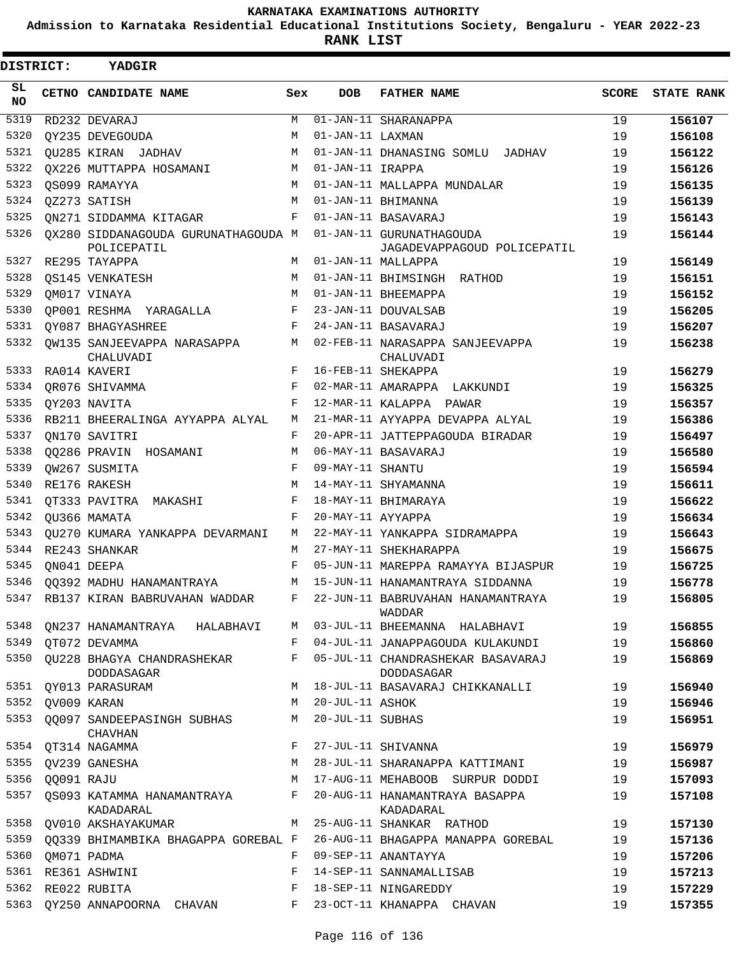**Admission to Karnataka Residential Educational Institutions Society, Bengaluru - YEAR 2022-23**

**RANK LIST**

| <b>DISTRICT:</b> |            | YADGIR                                             |            |                   |                                                                                  |       |                   |
|------------------|------------|----------------------------------------------------|------------|-------------------|----------------------------------------------------------------------------------|-------|-------------------|
| SL.<br><b>NO</b> |            | CETNO CANDIDATE NAME                               | Sex        | <b>DOB</b>        | <b>FATHER NAME</b>                                                               | SCORE | <b>STATE RANK</b> |
| 5319             |            | RD232 DEVARAJ                                      | M          |                   | $\overline{01}$ -JAN-11 SHARANAPPA                                               | 19    | 156107            |
| 5320             |            | OY235 DEVEGOUDA                                    | M          | 01-JAN-11 LAXMAN  |                                                                                  | 19    | 156108            |
| 5321             |            | OU285 KIRAN JADHAV                                 | M          |                   | 01-JAN-11 DHANASING SOMLU JADHAV                                                 | 19    | 156122            |
| 5322             |            | QX226 MUTTAPPA HOSAMANI                            | М          | 01-JAN-11 IRAPPA  |                                                                                  | 19    | 156126            |
| 5323             |            | OS099 RAMAYYA                                      | M          |                   | 01-JAN-11 MALLAPPA MUNDALAR                                                      | 19    | 156135            |
| 5324             |            | QZ273 SATISH                                       | M          |                   | 01-JAN-11 BHIMANNA                                                               | 19    | 156139            |
| 5325             |            | QN271 SIDDAMMA KITAGAR                             | F          |                   | 01-JAN-11 BASAVARAJ                                                              | 19    | 156143            |
| 5326             |            | QX280 SIDDANAGOUDA GURUNATHAGOUDA M<br>POLICEPATIL |            |                   | 01-JAN-11 GURUNATHAGOUDA<br>JAGADEVAPPAGOUD POLICEPATIL                          | 19    | 156144            |
| 5327             |            | RE295 TAYAPPA                                      | M          |                   | 01-JAN-11 MALLAPPA                                                               | 19    | 156149            |
| 5328             |            | OS145 VENKATESH                                    | M          |                   | 01-JAN-11 BHIMSINGH RATHOD                                                       | 19    | 156151            |
| 5329             |            | QM017 VINAYA                                       | M          |                   | 01-JAN-11 BHEEMAPPA                                                              | 19    | 156152            |
| 5330             |            | OP001 RESHMA YARAGALLA                             | F          |                   | 23-JAN-11 DOUVALSAB                                                              | 19    | 156205            |
| 5331             |            | QY087 BHAGYASHREE                                  | F          |                   | 24-JAN-11 BASAVARAJ                                                              | 19    | 156207            |
| 5332             |            | QW135 SANJEEVAPPA NARASAPPA<br>CHALUVADI           | M          |                   | 02-FEB-11 NARASAPPA SANJEEVAPPA<br>CHALUVADI                                     | 19    | 156238            |
| 5333             |            | RA014 KAVERI                                       | F          |                   | 16-FEB-11 SHEKAPPA                                                               | 19    | 156279            |
| 5334             |            | OR076 SHIVAMMA                                     | F          |                   | 02-MAR-11 AMARAPPA LAKKUNDI                                                      | 19    | 156325            |
| 5335             |            | QY203 NAVITA                                       | F          |                   | 12-MAR-11 KALAPPA PAWAR                                                          | 19    | 156357            |
| 5336             |            | RB211 BHEERALINGA AYYAPPA ALYAL                    | M          |                   | 21-MAR-11 AYYAPPA DEVAPPA ALYAL                                                  | 19    | 156386            |
| 5337             |            | ON170 SAVITRI                                      | $_{\rm F}$ |                   | 20-APR-11 JATTEPPAGOUDA BIRADAR                                                  | 19    | 156497            |
| 5338             |            | 00286 PRAVIN HOSAMANI                              | M          |                   | 06-MAY-11 BASAVARAJ                                                              | 19    | 156580            |
| 5339             |            | OW267 SUSMITA                                      | F          | 09-MAY-11 SHANTU  |                                                                                  | 19    | 156594            |
| 5340             |            | RE176 RAKESH                                       | M          |                   | 14-MAY-11 SHYAMANNA                                                              | 19    | 156611            |
| 5341             |            | QT333 PAVITRA MAKASHI                              | F          |                   | 18-MAY-11 BHIMARAYA                                                              | 19    | 156622            |
| 5342             |            | OU366 MAMATA                                       | F          | 20-MAY-11 AYYAPPA |                                                                                  | 19    | 156634            |
| 5343             |            | QU270 KUMARA YANKAPPA DEVARMANI                    | М          |                   | 22-MAY-11 YANKAPPA SIDRAMAPPA                                                    | 19    | 156643            |
| 5344             |            | RE243 SHANKAR                                      | М          |                   | 27-MAY-11 SHEKHARAPPA                                                            | 19    | 156675            |
| 5345             |            | ON041 DEEPA                                        | F          |                   | 05-JUN-11 MAREPPA RAMAYYA BIJASPUR                                               | 19    | 156725            |
| 5346             |            | 00392 MADHU HANAMANTRAYA                           | M          |                   | 15-JUN-11 HANAMANTRAYA SIDDANNA                                                  | 19    | 156778            |
|                  |            |                                                    |            |                   | 5347 RB137 KIRAN BABRUVAHAN WADDAR F 22-JUN-11 BABRUVAHAN HANAMANTRAYA<br>WADDAR | 19    | 156805            |
| 5348             |            | QN237 HANAMANTRAYA HALABHAVI                       | М          |                   | 03-JUL-11 BHEEMANNA HALABHAVI                                                    | 19    | 156855            |
| 5349             |            | OT072 DEVAMMA                                      | F          |                   | 04-JUL-11 JANAPPAGOUDA KULAKUNDI                                                 | 19    | 156860            |
| 5350             |            | QU228 BHAGYA CHANDRASHEKAR<br>DODDASAGAR           | F          |                   | 05-JUL-11 CHANDRASHEKAR BASAVARAJ<br>DODDASAGAR                                  | 19    | 156869            |
| 5351             |            | QY013 PARASURAM                                    | M          |                   | 18-JUL-11 BASAVARAJ CHIKKANALLI                                                  | 19    | 156940            |
| 5352             |            | OV009 KARAN                                        | М          | 20-JUL-11 ASHOK   |                                                                                  | 19    | 156946            |
| 5353             |            | QQ097 SANDEEPASINGH SUBHAS<br>CHAVHAN              | М          | 20-JUL-11 SUBHAS  |                                                                                  | 19    | 156951            |
| 5354             |            | QT314 NAGAMMA                                      | F          |                   | 27-JUL-11 SHIVANNA                                                               | 19    | 156979            |
| 5355             |            | QV239 GANESHA                                      | М          |                   | 28-JUL-11 SHARANAPPA KATTIMANI                                                   | 19    | 156987            |
| 5356             | QQ091 RAJU |                                                    | M          |                   | 17-AUG-11 MEHABOOB SURPUR DODDI                                                  | 19    | 157093            |
| 5357             |            | QS093 KATAMMA HANAMANTRAYA<br>KADADARAL            | F          |                   | 20-AUG-11 HANAMANTRAYA BASAPPA<br>KADADARAL                                      | 19    | 157108            |
| 5358             |            | QV010 AKSHAYAKUMAR                                 | M          |                   | 25-AUG-11 SHANKAR RATHOD                                                         | 19    | 157130            |
| 5359             |            | QQ339 BHIMAMBIKA BHAGAPPA GOREBAL F                |            |                   | 26-AUG-11 BHAGAPPA MANAPPA GOREBAL                                               | 19    | 157136            |
| 5360             |            | OM071 PADMA                                        | F          |                   | 09-SEP-11 ANANTAYYA                                                              | 19    | 157206            |
|                  |            | 5361 RE361 ASHWINI                                 | F          |                   | 14-SEP-11 SANNAMALLISAB                                                          | 19    | 157213            |
| 5362             |            | RE022 RUBITA                                       | F          |                   | 18-SEP-11 NINGAREDDY                                                             | 19    | 157229            |
| 5363             |            | QY250 ANNAPOORNA CHAVAN                            | F          |                   | 23-OCT-11 KHANAPPA CHAVAN                                                        | 19    | 157355            |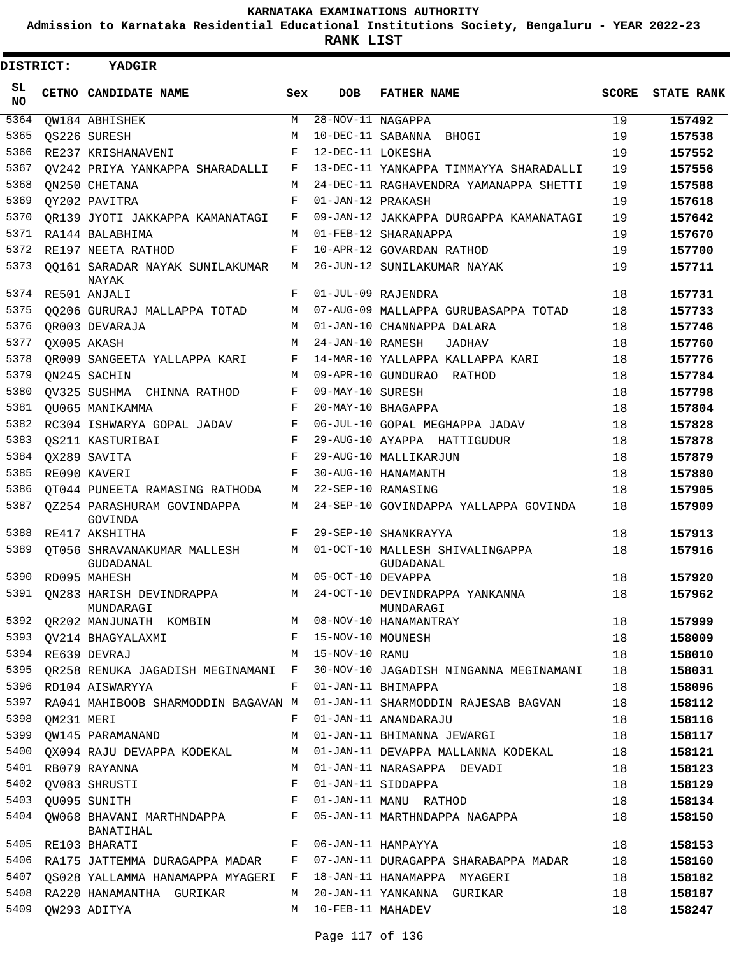**Admission to Karnataka Residential Educational Institutions Society, Bengaluru - YEAR 2022-23**

**RANK LIST**

| <b>DISTRICT:</b> |            | <b>YADGIR</b>                                                                                                                                                                                                                                             |              |                                |                                              |              |                   |
|------------------|------------|-----------------------------------------------------------------------------------------------------------------------------------------------------------------------------------------------------------------------------------------------------------|--------------|--------------------------------|----------------------------------------------|--------------|-------------------|
| SL<br><b>NO</b>  |            | CETNO CANDIDATE NAME                                                                                                                                                                                                                                      | Sex          | <b>DOB</b>                     | <b>FATHER NAME</b>                           | <b>SCORE</b> | <b>STATE RANK</b> |
| 5364             |            | QW184 ABHISHEK                                                                                                                                                                                                                                            | M            | $\overline{28-NOV-11}$ NAGAPPA |                                              | 19           | 157492            |
| 5365             |            | OS226 SURESH                                                                                                                                                                                                                                              | М            |                                | 10-DEC-11 SABANNA BHOGI                      | 19           | 157538            |
| 5366             |            | RE237 KRISHANAVENI                                                                                                                                                                                                                                        | F            | 12-DEC-11 LOKESHA              |                                              | 19           | 157552            |
| 5367             |            | OV242 PRIYA YANKAPPA SHARADALLI                                                                                                                                                                                                                           | F            |                                | 13-DEC-11 YANKAPPA TIMMAYYA SHARADALLI       | 19           | 157556            |
| 5368             |            | ON250 CHETANA                                                                                                                                                                                                                                             | M            |                                | 24-DEC-11 RAGHAVENDRA YAMANAPPA SHETTI       | 19           | 157588            |
| 5369             |            | QY202 PAVITRA                                                                                                                                                                                                                                             | F            | 01-JAN-12 PRAKASH              |                                              | 19           | 157618            |
| 5370             |            | OR139 JYOTI JAKKAPPA KAMANATAGI                                                                                                                                                                                                                           | F            |                                | 09-JAN-12 JAKKAPPA DURGAPPA KAMANATAGI       | 19           | 157642            |
| 5371             |            | RA144 BALABHIMA                                                                                                                                                                                                                                           | M            |                                | 01-FEB-12 SHARANAPPA                         | 19           | 157670            |
| 5372             |            | RE197 NEETA RATHOD                                                                                                                                                                                                                                        | F            |                                | 10-APR-12 GOVARDAN RATHOD                    | 19           | 157700            |
| 5373             |            | 00161 SARADAR NAYAK SUNILAKUMAR<br>NAYAK                                                                                                                                                                                                                  | М            |                                | 26-JUN-12 SUNILAKUMAR NAYAK                  | 19           | 157711            |
| 5374             |            | RE501 ANJALI                                                                                                                                                                                                                                              | F            |                                | 01-JUL-09 RAJENDRA                           | 18           | 157731            |
| 5375             |            | QQ206 GURURAJ MALLAPPA TOTAD                                                                                                                                                                                                                              | M            |                                | 07-AUG-09 MALLAPPA GURUBASAPPA TOTAD         | 18           | 157733            |
| 5376             |            | QR003 DEVARAJA                                                                                                                                                                                                                                            | M            |                                | 01-JAN-10 CHANNAPPA DALARA                   | 18           | 157746            |
| 5377             |            | QX005 AKASH                                                                                                                                                                                                                                               | M            | 24-JAN-10 RAMESH               | JADHAV                                       | 18           | 157760            |
| 5378             |            | OR009 SANGEETA YALLAPPA KARI                                                                                                                                                                                                                              | F            |                                | 14-MAR-10 YALLAPPA KALLAPPA KARI             | 18           | 157776            |
| 5379             |            | ON245 SACHIN                                                                                                                                                                                                                                              | M            |                                | 09-APR-10 GUNDURAO RATHOD                    | 18           | 157784            |
| 5380             |            | OV325 SUSHMA CHINNA RATHOD                                                                                                                                                                                                                                | F            | 09-MAY-10 SURESH               |                                              | 18           | 157798            |
| 5381             |            | QU065 MANIKAMMA                                                                                                                                                                                                                                           | F            |                                | 20-MAY-10 BHAGAPPA                           | 18           | 157804            |
| 5382             |            | RC304 ISHWARYA GOPAL JADAV                                                                                                                                                                                                                                | F            |                                | 06-JUL-10 GOPAL MEGHAPPA JADAV               | 18           | 157828            |
| 5383             |            | OS211 KASTURIBAI                                                                                                                                                                                                                                          | F            |                                | 29-AUG-10 AYAPPA HATTIGUDUR                  | 18           | 157878            |
| 5384             |            | QX289 SAVITA                                                                                                                                                                                                                                              | F            |                                | 29-AUG-10 MALLIKARJUN                        | 18           | 157879            |
| 5385             |            | RE090 KAVERI                                                                                                                                                                                                                                              | F            |                                | 30-AUG-10 HANAMANTH                          | 18           | 157880            |
| 5386             |            | QT044 PUNEETA RAMASING RATHODA                                                                                                                                                                                                                            | М            |                                | 22-SEP-10 RAMASING                           | 18           | 157905            |
| 5387             |            | OZ254 PARASHURAM GOVINDAPPA<br>GOVINDA                                                                                                                                                                                                                    | М            |                                | 24-SEP-10 GOVINDAPPA YALLAPPA GOVINDA        | 18           | 157909            |
| 5388             |            | RE417 AKSHITHA                                                                                                                                                                                                                                            | F            |                                | 29-SEP-10 SHANKRAYYA                         | 18           | 157913            |
| 5389             |            | OT056 SHRAVANAKUMAR MALLESH<br>GUDADANAL                                                                                                                                                                                                                  | M            |                                | 01-OCT-10 MALLESH SHIVALINGAPPA<br>GUDADANAL | 18           | 157916            |
| 5390             |            | RD095 MAHESH                                                                                                                                                                                                                                              | M            | 05-OCT-10 DEVAPPA              |                                              | 18           | 157920            |
| 5391             |            | QN283 HARISH DEVINDRAPPA<br>MUNDARAGI MUNDARAGI MUNDARAGI MUNDARAGI MUNDARAGI MUNDARAGI MUNDARAGI MUNDARAGI MUNDARAGI MUNDARAGI MUNDARAGI MUNDARAGI MUNDARAGI MUNDARAGI MUNDARAGI MUNDARAGI MUNDARAGI MUNDARAGI MUNDARAGI MUNDARAGI MEMBENTARA MEMBENTARA | М            |                                | 24-OCT-10 DEVINDRAPPA YANKANNA               | 18           | 157962            |
|                  |            |                                                                                                                                                                                                                                                           |              |                                |                                              | 18           | 157999            |
|                  |            | 5393 QV214 BHAGYALAXMI                                                                                                                                                                                                                                    |              | F 15-NOV-10 MOUNESH            |                                              | 18           | 158009            |
| 5394             |            | M<br>RE639 DEVRAJ                                                                                                                                                                                                                                         |              | 15-NOV-10 RAMU                 |                                              | 18           | 158010            |
|                  |            | 5395 QR258 RENUKA JAGADISH MEGINAMANI F                                                                                                                                                                                                                   |              |                                | 30-NOV-10 JAGADISH NINGANNA MEGINAMANI       | 18           | 158031            |
| 5396             |            | RD104 AISWARYYA                                                                                                                                                                                                                                           | F            |                                | 01-JAN-11 BHIMAPPA                           | 18           | 158096            |
| 5397             |            | RA041 MAHIBOOB SHARMODDIN BAGAVAN M                                                                                                                                                                                                                       |              |                                | 01-JAN-11 SHARMODDIN RAJESAB BAGVAN          | 18           | 158112            |
| 5398             | QM231 MERI |                                                                                                                                                                                                                                                           | F            |                                | 01-JAN-11 ANANDARAJU                         | 18           | 158116            |
|                  |            | 5399 OW145 PARAMANAND                                                                                                                                                                                                                                     | М            |                                | 01-JAN-11 BHIMANNA JEWARGI                   | 18           | 158117            |
|                  |            | 5400 QX094 RAJU DEVAPPA KODEKAL                                                                                                                                                                                                                           | M            |                                | 01-JAN-11 DEVAPPA MALLANNA KODEKAL           | 18           | 158121            |
| 5401             |            | RB079 RAYANNA                                                                                                                                                                                                                                             | M            |                                | 01-JAN-11 NARASAPPA DEVADI                   | 18           | 158123            |
|                  |            | 5402 QV083 SHRUSTI                                                                                                                                                                                                                                        | F            |                                | 01-JAN-11 SIDDAPPA                           | 18           | 158129            |
|                  |            | 5403 QU095 SUNITH                                                                                                                                                                                                                                         | $\mathbf{F}$ |                                | 01-JAN-11 MANU RATHOD                        | 18           | 158134            |
| 5404             |            | QW068 BHAVANI MARTHNDAPPA F<br>BANATIHAL                                                                                                                                                                                                                  |              |                                | 05-JAN-11 MARTHNDAPPA NAGAPPA                | 18           | 158150            |
|                  |            | 5405 RE103 BHARATI                                                                                                                                                                                                                                        | $F$ and      |                                | 06-JAN-11 HAMPAYYA                           | 18           | 158153            |
| 5406             |            | RA175 JATTEMMA DURAGAPPA MADAR F                                                                                                                                                                                                                          |              |                                | 07-JAN-11 DURAGAPPA SHARABAPPA MADAR         | 18           | 158160            |
| 5407             |            | QS028 YALLAMMA HANAMAPPA MYAGERI F                                                                                                                                                                                                                        |              |                                | 18-JAN-11 HANAMAPPA MYAGERI                  | 18           | 158182            |
|                  |            | 5408 RA220 HANAMANTHA GURIKAR                                                                                                                                                                                                                             | M            |                                | 20-JAN-11 YANKANNA GURIKAR                   | 18           | 158187            |
|                  |            | 5409 QW293 ADITYA                                                                                                                                                                                                                                         |              | M 10-FEB-11 MAHADEV            |                                              | 18           | 158247            |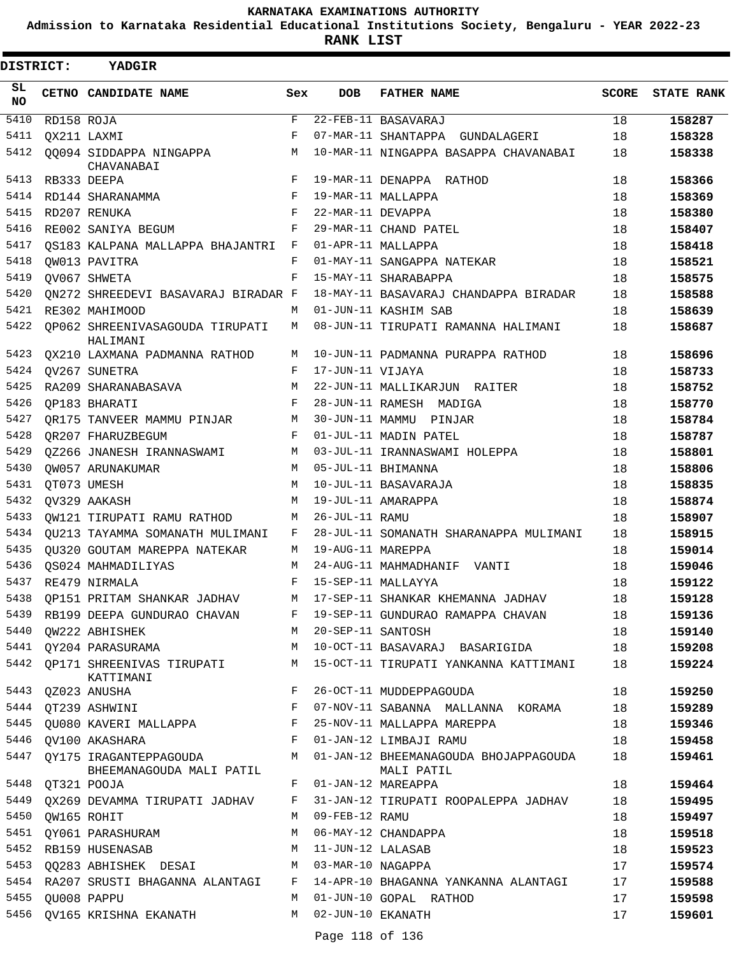**Admission to Karnataka Residential Educational Institutions Society, Bengaluru - YEAR 2022-23**

**RANK LIST**

| DISTRICT: |                  | <b>YADGIR</b>                                                           |                    |                   |                                                                                                                                                                                                                                 |              |                   |
|-----------|------------------|-------------------------------------------------------------------------|--------------------|-------------------|---------------------------------------------------------------------------------------------------------------------------------------------------------------------------------------------------------------------------------|--------------|-------------------|
| SL<br>NO. |                  | CETNO CANDIDATE NAME                                                    | Sex                | <b>DOB</b>        | <b>FATHER NAME</b>                                                                                                                                                                                                              | <b>SCORE</b> | <b>STATE RANK</b> |
| 5410      | RD158 ROJA       |                                                                         | F                  |                   | 22-FEB-11 BASAVARAJ                                                                                                                                                                                                             | 18           | 158287            |
| 5411      |                  | OX211 LAXMI                                                             | F                  |                   | 07-MAR-11 SHANTAPPA GUNDALAGERI                                                                                                                                                                                                 | 18           | 158328            |
| 5412      |                  | QQ094 SIDDAPPA NINGAPPA<br>CHAVANABAI                                   | M                  |                   | 10-MAR-11 NINGAPPA BASAPPA CHAVANABAI                                                                                                                                                                                           | 18           | 158338            |
| 5413      |                  | RB333 DEEPA                                                             | F                  |                   | 19-MAR-11 DENAPPA RATHOD                                                                                                                                                                                                        | 18           | 158366            |
| 5414      |                  | RD144 SHARANAMMA                                                        | F                  |                   | 19-MAR-11 MALLAPPA                                                                                                                                                                                                              | 18           | 158369            |
| 5415      |                  | RD207 RENUKA                                                            | F                  | 22-MAR-11 DEVAPPA |                                                                                                                                                                                                                                 | 18           | 158380            |
| 5416      |                  | RE002 SANIYA BEGUM                                                      | F                  |                   | 29-MAR-11 CHAND PATEL                                                                                                                                                                                                           | 18           | 158407            |
| 5417      |                  | OS183 KALPANA MALLAPPA BHAJANTRI                                        | $\mathbf{F}$       |                   | 01-APR-11 MALLAPPA                                                                                                                                                                                                              | 18           | 158418            |
| 5418      |                  | OW013 PAVITRA                                                           | F                  |                   | 01-MAY-11 SANGAPPA NATEKAR                                                                                                                                                                                                      | 18           | 158521            |
| 5419      |                  | OV067 SHWETA                                                            | $_{\rm F}$         |                   | 15-MAY-11 SHARABAPPA                                                                                                                                                                                                            | 18           | 158575            |
| 5420      |                  | ON272 SHREEDEVI BASAVARAJ BIRADAR F                                     |                    |                   | 18-MAY-11 BASAVARAJ CHANDAPPA BIRADAR                                                                                                                                                                                           | 18           | 158588            |
| 5421      |                  | RE302 MAHIMOOD                                                          | M                  |                   | 01-JUN-11 KASHIM SAB                                                                                                                                                                                                            | 18           | 158639            |
| 5422      |                  | OP062 SHREENIVASAGOUDA TIRUPATI<br>HALIMANI                             | M                  |                   | 08-JUN-11 TIRUPATI RAMANNA HALIMANI                                                                                                                                                                                             | 18           | 158687            |
| 5423      |                  | OX210 LAXMANA PADMANNA RATHOD                                           | М                  |                   | 10-JUN-11 PADMANNA PURAPPA RATHOD                                                                                                                                                                                               | 18           | 158696            |
| 5424      |                  | OV267 SUNETRA                                                           | F                  | 17-JUN-11 VIJAYA  |                                                                                                                                                                                                                                 | 18           | 158733            |
| 5425      |                  | RA209 SHARANABASAVA                                                     | M                  |                   | 22-JUN-11 MALLIKARJUN RAITER                                                                                                                                                                                                    | 18           | 158752            |
| 5426      |                  | OP183 BHARATI                                                           | $_{\rm F}$         |                   | 28-JUN-11 RAMESH MADIGA                                                                                                                                                                                                         | 18           | 158770            |
| 5427      |                  | OR175 TANVEER MAMMU PINJAR                                              | M                  |                   | 30-JUN-11 MAMMU PINJAR                                                                                                                                                                                                          | 18           | 158784            |
| 5428      |                  | OR207 FHARUZBEGUM                                                       | F                  |                   | 01-JUL-11 MADIN PATEL                                                                                                                                                                                                           | 18           | 158787            |
| 5429      |                  | 0Z266 JNANESH IRANNASWAMI                                               | M                  |                   | 03-JUL-11 IRANNASWAMI HOLEPPA                                                                                                                                                                                                   | 18           | 158801            |
| 5430      |                  | OW057 ARUNAKUMAR                                                        | M                  |                   | 05-JUL-11 BHIMANNA                                                                                                                                                                                                              | 18           | 158806            |
| 5431      |                  | OT073 UMESH                                                             | M                  |                   | 10-JUL-11 BASAVARAJA                                                                                                                                                                                                            | 18           | 158835            |
| 5432      |                  | OV329 AAKASH                                                            | M                  |                   | 19-JUL-11 AMARAPPA                                                                                                                                                                                                              | 18           | 158874            |
| 5433      |                  | OW121 TIRUPATI RAMU RATHOD                                              | М                  | 26-JUL-11 RAMU    |                                                                                                                                                                                                                                 | 18           | 158907            |
| 5434      |                  | OU213 TAYAMMA SOMANATH MULIMANI                                         | F                  |                   | 28-JUL-11 SOMANATH SHARANAPPA MULIMANI                                                                                                                                                                                          | 18           | 158915            |
| 5435      |                  | OU320 GOUTAM MAREPPA NATEKAR                                            | M                  | 19-AUG-11 MAREPPA |                                                                                                                                                                                                                                 | 18           | 159014            |
| 5436      |                  | OS024 MAHMADILIYAS                                                      | М                  |                   | 24-AUG-11 MAHMADHANIF VANTI                                                                                                                                                                                                     | 18           | 159046            |
| 5437      |                  | RE479 NIRMALA                                                           | $\mathbf{F}% _{0}$ |                   | 15-SEP-11 MALLAYYA                                                                                                                                                                                                              | 18           | 159122            |
| 5438      |                  |                                                                         |                    |                   | QP151 PRITAM SHANKAR JADHAV     M   17-SEP-11 SHANKAR KHEMANNA JADHAV                                                                                                                                                           | 18           | 159128            |
|           |                  |                                                                         |                    |                   | 5439 RB199 DEEPA GUNDURAO CHAVAN F 19-SEP-11 GUNDURAO RAMAPPA CHAVAN 18                                                                                                                                                         |              | 159136            |
| 5440      |                  | QW222 ABHISHEK M 20-SEP-11 SANTOSH                                      |                    |                   |                                                                                                                                                                                                                                 | 18           | 159140            |
| 5441      |                  |                                                                         |                    |                   | OY204 PARASURAMA M 10-OCT-11 BASAVARAJ BASARIGIDA 18                                                                                                                                                                            |              | 159208            |
| 5442      |                  | KATTIMANI                                                               |                    |                   | QP171 SHREENIVAS TIRUPATI M 15-OCT-11 TIRUPATI YANKANNA KATTIMANI                                                                                                                                                               | 18           | 159224            |
| 5443      |                  | $\mathbf{F}$ and $\mathbf{F}$ . The set of $\mathbf{F}$<br>QZ023 ANUSHA |                    |                   | 26-OCT-11 MUDDEPPAGOUDA                                                                                                                                                                                                         | 18           | 159250            |
|           |                  |                                                                         |                    |                   | 5443 QZUZ3 ANUSAA<br>5444 QT239 ASHWINI                                 F   07-NOV-11 SABANNA MALLANNA KORAMA<br>5445 QU080 KAVERI MALLAPPA                 F   25-NOV-11 MALLAPPA MAREPPA<br>07-NOV-11 SABANNA MALLANNA KORAMA | 18           | 159289            |
|           |                  |                                                                         |                    |                   |                                                                                                                                                                                                                                 | 18           | 159346            |
| 5446      |                  | F 01-JAN-12 LIMBAJI RAMU<br>QV100 AKASHARA                              |                    |                   | 18                                                                                                                                                                                                                              |              | 159458            |
| 5447      |                  | BHEEMANAGOUDA MALI PATIL                                                |                    |                   | QY175 IRAGANTEPPAGOUDA M 01-JAN-12 BHEEMANAGOUDA BHOJAPPAGOUDA 18<br>MALI PATIL                                                                                                                                                 |              | 159461            |
| 5448      |                  | QT321 POOJA                                                             |                    |                   | F 01-JAN-12 MAREAPPA                                                                                                                                                                                                            | 18           | 159464            |
| 5449      |                  |                                                                         |                    |                   | QX269 DEVAMMA TIRUPATI JADHAV F 31-JAN-12 TIRUPATI ROOPALEPPA JADHAV                                                                                                                                                            | 18           | 159495            |
|           | 5450 QW165 ROHIT |                                                                         |                    | M 09-FEB-12 RAMU  |                                                                                                                                                                                                                                 | 18           | 159497            |
| 5451      |                  | QY061 PARASHURAM M                                                      |                    |                   | 06-MAY-12 CHANDAPPA                                                                                                                                                                                                             | 18           | 159518            |
| 5452      |                  | RB159 HUSENASAB M                                                       |                    |                   | 11-JUN-12 LALASAB                                                                                                                                                                                                               | 18           | 159523            |
| 5453      |                  | QQ283 ABHISHEK DESAI M 03-MAR-10 NAGAPPA                                |                    |                   |                                                                                                                                                                                                                                 | 17           | 159574            |
|           |                  |                                                                         |                    |                   | 5454 RA207 SRUSTI BHAGANNA ALANTAGI F 14-APR-10 BHAGANNA YANKANNA ALANTAGI                                                                                                                                                      | 17           | 159588            |
| 5455      |                  | QU008 PAPPU                                                             | М                  |                   | 01-JUN-10 GOPAL RATHOD                                                                                                                                                                                                          | 17           | 159598            |
| 5456      |                  | QV165 KRISHNA EKANATH M 02-JUN-10 EKANATH                               |                    |                   |                                                                                                                                                                                                                                 | 17           | 159601            |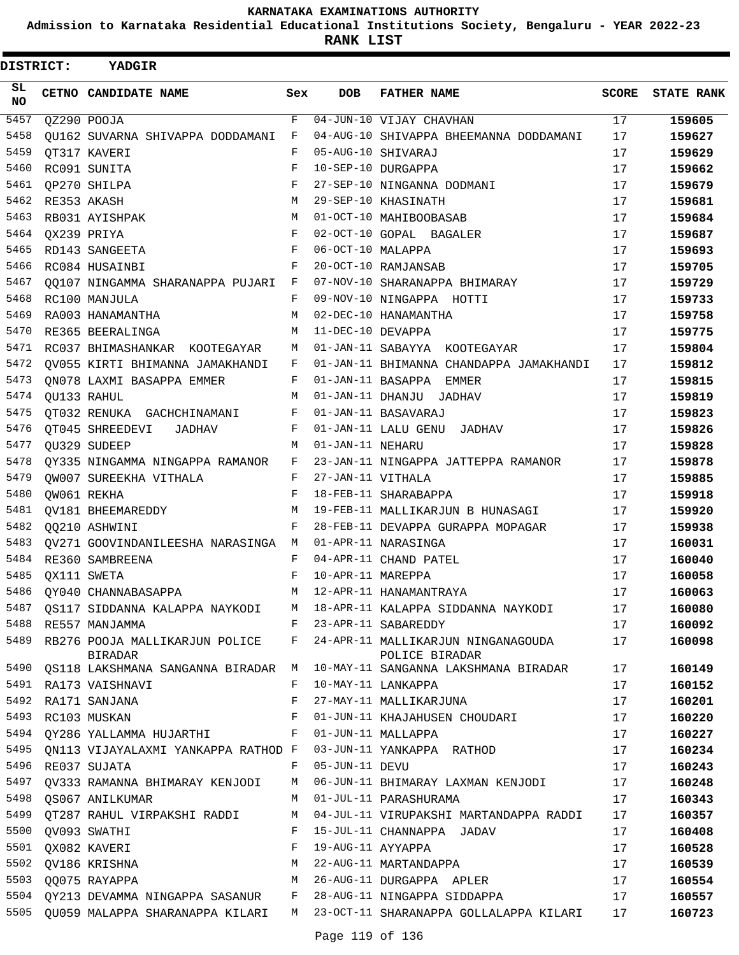**Admission to Karnataka Residential Educational Institutions Society, Bengaluru - YEAR 2022-23**

| <b>DISTRICT:</b> |  | <b>YADGIR</b>                                      |             |                    |                                                      |              |                   |
|------------------|--|----------------------------------------------------|-------------|--------------------|------------------------------------------------------|--------------|-------------------|
| SL.<br><b>NO</b> |  | CETNO CANDIDATE NAME                               | Sex         | <b>DOB</b>         | <b>FATHER NAME</b>                                   | <b>SCORE</b> | <b>STATE RANK</b> |
| 5457             |  | QZ290 POOJA                                        | $\mathbf F$ |                    | 04-JUN-10 VIJAY CHAVHAN                              | 17           | 159605            |
| 5458             |  | QU162 SUVARNA SHIVAPPA DODDAMANI                   | F           |                    | 04-AUG-10 SHIVAPPA BHEEMANNA DODDAMANI               | 17           | 159627            |
| 5459             |  | QT317 KAVERI                                       | F           | 05-AUG-10 SHIVARAJ |                                                      | 17           | 159629            |
| 5460             |  | RC091 SUNITA                                       | F           |                    | 10-SEP-10 DURGAPPA                                   | 17           | 159662            |
| 5461             |  | QP270 SHILPA                                       | F           |                    | 27-SEP-10 NINGANNA DODMANI                           | 17           | 159679            |
| 5462             |  | RE353 AKASH                                        | M           |                    | 29-SEP-10 KHASINATH                                  | 17           | 159681            |
| 5463             |  | RB031 AYISHPAK                                     | м           |                    | 01-OCT-10 MAHIBOOBASAB                               | 17           | 159684            |
| 5464             |  | QX239 PRIYA                                        | F           |                    | 02-OCT-10 GOPAL BAGALER                              | 17           | 159687            |
| 5465             |  | RD143 SANGEETA                                     | F           | 06-OCT-10 MALAPPA  |                                                      | 17           | 159693            |
| 5466             |  | RC084 HUSAINBI                                     | F           |                    | 20-OCT-10 RAMJANSAB                                  | 17           | 159705            |
| 5467             |  | QQ107 NINGAMMA SHARANAPPA PUJARI F                 |             |                    | 07-NOV-10 SHARANAPPA BHIMARAY                        | 17           | 159729            |
| 5468             |  | RC100 MANJULA                                      | F           |                    | 09-NOV-10 NINGAPPA HOTTI                             | 17           | 159733            |
| 5469             |  | RA003 HANAMANTHA                                   | M           |                    | 02-DEC-10 HANAMANTHA                                 | 17           | 159758            |
| 5470             |  | RE365 BEERALINGA                                   | M           | 11-DEC-10 DEVAPPA  |                                                      | 17           | 159775            |
| 5471             |  | RC037 BHIMASHANKAR KOOTEGAYAR                      | M           |                    | 01-JAN-11 SABAYYA KOOTEGAYAR                         | 17           | 159804            |
| 5472             |  | QV055 KIRTI BHIMANNA JAMAKHANDI                    | F           |                    | 01-JAN-11 BHIMANNA CHANDAPPA JAMAKHANDI              | 17           | 159812            |
| 5473             |  | QN078 LAXMI BASAPPA EMMER                          | F           |                    | 01-JAN-11 BASAPPA EMMER                              | 17           | 159815            |
| 5474             |  | QU133 RAHUL                                        | М           |                    | 01-JAN-11 DHANJU JADHAV                              | 17           | 159819            |
| 5475             |  | QT032 RENUKA GACHCHINAMANI                         | F           |                    | 01-JAN-11 BASAVARAJ                                  | 17           | 159823            |
| 5476             |  | QT045 SHREEDEVI<br>JADHAV                          | F           |                    | 01-JAN-11 LALU GENU JADHAV                           | 17           | 159826            |
| 5477             |  | OU329 SUDEEP                                       | M           | 01-JAN-11 NEHARU   |                                                      | 17           | 159828            |
| 5478             |  | QY335 NINGAMMA NINGAPPA RAMANOR                    | F           |                    | 23-JAN-11 NINGAPPA JATTEPPA RAMANOR                  | 17           | 159878            |
| 5479             |  | OW007 SUREEKHA VITHALA                             | F           | 27-JAN-11 VITHALA  |                                                      | 17           | 159885            |
| 5480             |  | QW061 REKHA                                        | F           |                    | 18-FEB-11 SHARABAPPA                                 | 17           | 159918            |
| 5481             |  | QV181 BHEEMAREDDY                                  | М           |                    | 19-FEB-11 MALLIKARJUN B HUNASAGI                     | 17           | 159920            |
| 5482             |  | QQ210 ASHWINI                                      | F           |                    | 28-FEB-11 DEVAPPA GURAPPA MOPAGAR                    | 17           | 159938            |
| 5483             |  | QV271 GOOVINDANILEESHA NARASINGA M                 |             |                    | 01-APR-11 NARASINGA                                  | 17           | 160031            |
| 5484             |  | RE360 SAMBREENA                                    | F           |                    | 04-APR-11 CHAND PATEL                                | 17           | 160040            |
| 5485             |  | QX111 SWETA                                        | F           | 10-APR-11 MAREPPA  |                                                      | 17           | 160058            |
| 5486             |  | OY040 CHANNABASAPPA                                | M           |                    | 12-APR-11 HANAMANTRAYA                               | 17           | 160063            |
| 5487             |  | OS117 SIDDANNA KALAPPA NAYKODI                     |             |                    | M 18-APR-11 KALAPPA SIDDANNA NAYKODI                 | 17           | 160080            |
| 5488             |  | RE557 MANJAMMA                                     |             |                    | F 23-APR-11 SABAREDDY                                | 17           | 160092            |
| 5489             |  | RB276 POOJA MALLIKARJUN POLICE F<br><b>BIRADAR</b> |             |                    | 24-APR-11 MALLIKARJUN NINGANAGOUDA<br>POLICE BIRADAR | 17           | 160098            |
| 5490             |  | OS118 LAKSHMANA SANGANNA BIRADAR M                 |             |                    | 10-MAY-11 SANGANNA LAKSHMANA BIRADAR                 | 17           | 160149            |
| 5491             |  | RA173 VAISHNAVI                                    | F           |                    | 10-MAY-11 LANKAPPA                                   | 17           | 160152            |
|                  |  | 5492 RA171 SANJANA                                 | F           |                    | 27-MAY-11 MALLIKARJUNA                               | 17           | 160201            |
|                  |  | 5493 RC103 MUSKAN                                  | F           |                    | 01-JUN-11 KHAJAHUSEN CHOUDARI                        | 17           | 160220            |
| 5494             |  | QY286 YALLAMMA HUJARTHI                            | F           |                    | 01-JUN-11 MALLAPPA                                   | 17           | 160227            |
| 5495             |  | ON113 VIJAYALAXMI YANKAPPA RATHOD F                |             |                    | 03-JUN-11 YANKAPPA RATHOD                            | 17           | 160234            |
| 5496             |  | RE037 SUJATA                                       | F           | 05-JUN-11 DEVU     |                                                      | 17           | 160243            |
| 5497             |  | QV333 RAMANNA BHIMARAY KENJODI                     | M           |                    | 06-JUN-11 BHIMARAY LAXMAN KENJODI                    | 17           | 160248            |
| 5498             |  | QS067 ANILKUMAR                                    | M           |                    | 01-JUL-11 PARASHURAMA                                | 17           | 160343            |
| 5499             |  | QT287 RAHUL VIRPAKSHI RADDI                        | M           |                    | 04-JUL-11 VIRUPAKSHI MARTANDAPPA RADDI               | 17           | 160357            |
| 5500             |  | QV093 SWATHI                                       | F           |                    | 15-JUL-11 CHANNAPPA JADAV                            | 17           | 160408            |
|                  |  | 5501 QX082 KAVERI                                  | F           |                    | 19-AUG-11 AYYAPPA                                    | 17           | 160528            |
| 5502             |  | QV186 KRISHNA                                      | M           |                    | 22-AUG-11 MARTANDAPPA                                | 17           | 160539            |
| 5503             |  | $M_{\odot}$<br>QQ075 RAYAPPA                       |             |                    | 26-AUG-11 DURGAPPA APLER                             | 17           | 160554            |
|                  |  | 5504 QY213 DEVAMMA NINGAPPA SASANUR F              |             |                    | 28-AUG-11 NINGAPPA SIDDAPPA                          | 17           | 160557            |
|                  |  | 5505 QU059 MALAPPA SHARANAPPA KILARI M             |             |                    | 23-OCT-11 SHARANAPPA GOLLALAPPA KILARI               | 17           | 160723            |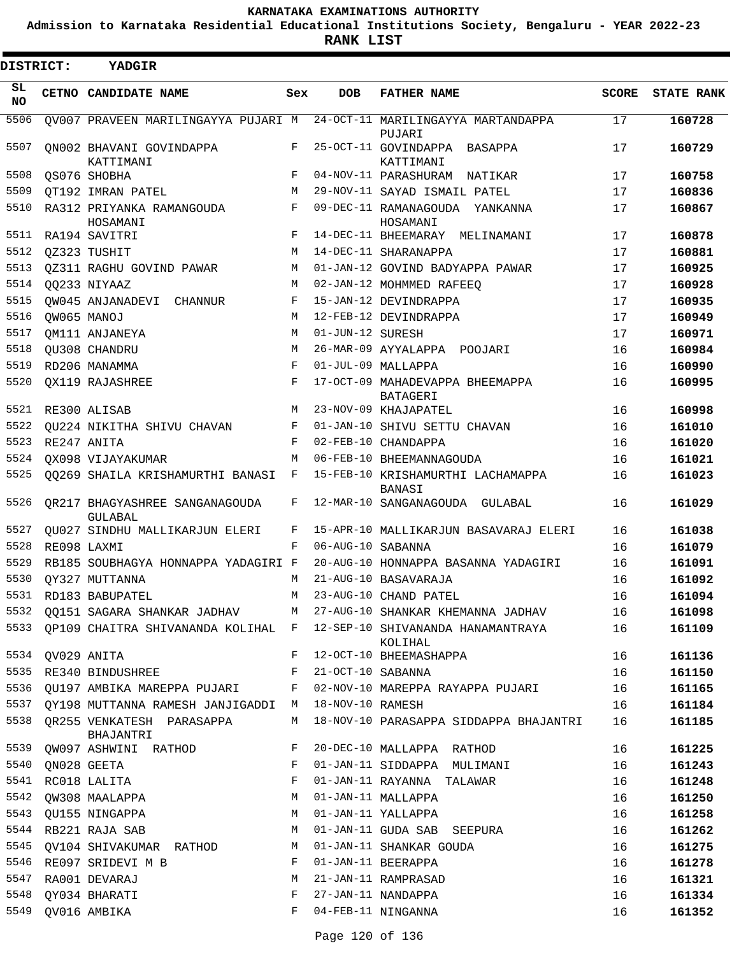**Admission to Karnataka Residential Educational Institutions Society, Bengaluru - YEAR 2022-23**

**RANK LIST**

| DISTRICT:       |                  | <b>YADGIR</b>                               |            |                     |                                                                                 |              |                   |
|-----------------|------------------|---------------------------------------------|------------|---------------------|---------------------------------------------------------------------------------|--------------|-------------------|
| SL<br><b>NO</b> |                  | CETNO CANDIDATE NAME                        | Sex        | <b>DOB</b>          | <b>FATHER NAME</b>                                                              | <b>SCORE</b> | <b>STATE RANK</b> |
| 5506            |                  | OV007 PRAVEEN MARILINGAYYA PUJARI M         |            |                     | 24-OCT-11 MARILINGAYYA MARTANDAPPA<br>PUJARI                                    | 17           | 160728            |
| 5507            |                  | ON002 BHAVANI GOVINDAPPA<br>KATTIMANI       | F          |                     | 25-OCT-11 GOVINDAPPA BASAPPA<br>KATTIMANI                                       | 17           | 160729            |
| 5508            |                  | QS076 SHOBHA                                | F          |                     | 04-NOV-11 PARASHURAM NATIKAR                                                    | 17           | 160758            |
| 5509            |                  | OT192 IMRAN PATEL                           | M          |                     | 29-NOV-11 SAYAD ISMAIL PATEL                                                    | 17           | 160836            |
| 5510            |                  | RA312 PRIYANKA RAMANGOUDA<br>HOSAMANI       | F          |                     | 09-DEC-11 RAMANAGOUDA YANKANNA<br>HOSAMANI                                      | 17           | 160867            |
| 5511            |                  | RA194 SAVITRI                               | F          |                     | 14-DEC-11 BHEEMARAY MELINAMANI                                                  | 17           | 160878            |
| 5512            |                  | OZ323 TUSHIT                                | M          |                     | 14-DEC-11 SHARANAPPA                                                            | 17           | 160881            |
| 5513            |                  | QZ311 RAGHU GOVIND PAWAR                    | M          |                     | 01-JAN-12 GOVIND BADYAPPA PAWAR                                                 | 17           | 160925            |
| 5514            |                  | 00233 NIYAAZ                                | M          |                     | 02-JAN-12 MOHMMED RAFEEQ                                                        | 17           | 160928            |
| 5515            |                  | QW045 ANJANADEVI<br>CHANNUR                 | F          |                     | 15-JAN-12 DEVINDRAPPA                                                           | 17           | 160935            |
| 5516            |                  | QW065 MANOJ                                 | M          |                     | 12-FEB-12 DEVINDRAPPA                                                           | 17           | 160949            |
| 5517            |                  | QM111 ANJANEYA                              | M          | 01-JUN-12 SURESH    |                                                                                 | 17           | 160971            |
| 5518            |                  | QU308 CHANDRU                               | M          |                     | 26-MAR-09 AYYALAPPA POOJARI                                                     | 16           | 160984            |
| 5519            |                  | RD206 MANAMMA                               | F          |                     | 01-JUL-09 MALLAPPA                                                              | 16           | 160990            |
| 5520            |                  | QX119 RAJASHREE                             | F          |                     | 17-OCT-09 MAHADEVAPPA BHEEMAPPA<br><b>BATAGERI</b>                              | 16           | 160995            |
| 5521            |                  | RE300 ALISAB                                | M          |                     | 23-NOV-09 KHAJAPATEL                                                            | 16           | 160998            |
| 5522            |                  | <b>OU224 NIKITHA SHIVU CHAVAN</b>           | F          |                     | 01-JAN-10 SHIVU SETTU CHAVAN                                                    | 16           | 161010            |
| 5523            |                  | RE247 ANITA                                 | $_{\rm F}$ |                     | 02-FEB-10 CHANDAPPA                                                             | 16           | 161020            |
| 5524            |                  | QX098 VIJAYAKUMAR                           | M          |                     | 06-FEB-10 BHEEMANNAGOUDA                                                        | 16           | 161021            |
| 5525            |                  | QQ269 SHAILA KRISHAMURTHI BANASI            | F          |                     | 15-FEB-10 KRISHAMURTHI LACHAMAPPA<br>BANASI                                     | 16           | 161023            |
| 5526            |                  | QR217 BHAGYASHREE SANGANAGOUDA<br>GULABAL   | F          |                     | 12-MAR-10 SANGANAGOUDA GULABAL                                                  | 16           | 161029            |
| 5527            |                  | QU027 SINDHU MALLIKARJUN ELERI              | F          |                     | 15-APR-10 MALLIKARJUN BASAVARAJ ELERI                                           | 16           | 161038            |
| 5528            |                  | RE098 LAXMI                                 | F          | 06-AUG-10 SABANNA   |                                                                                 | 16           | 161079            |
| 5529            |                  | RB185 SOUBHAGYA HONNAPPA YADAGIRI F         |            |                     | 20-AUG-10 HONNAPPA BASANNA YADAGIRI                                             | 16           | 161091            |
| 5530            |                  | QY327 MUTTANNA                              | М          |                     | 21-AUG-10 BASAVARAJA                                                            | 16           | 161092            |
|                 |                  | 5531 RD183 BABUPATEL                        | M          |                     | 23-AUG-10 CHAND PATEL                                                           | 16           | 161094            |
|                 |                  |                                             |            |                     | 5532 QQ151 SAGARA SHANKAR JADHAV M 27-AUG-10 SHANKAR KHEMANNA JADHAV            | 16           | 161098            |
| 5533            |                  |                                             |            |                     | QP109 CHAITRA SHIVANANDA KOLIHAL F 12-SEP-10 SHIVANANDA HANAMANTRAYA<br>KOLIHAL | 16           | 161109            |
|                 | 5534 QV029 ANITA |                                             |            |                     | F 12-OCT-10 BHEEMASHAPPA                                                        | 16           | 161136            |
| 5535            |                  | RE340 BINDUSHREE                            |            | F 21-OCT-10 SABANNA |                                                                                 | 16           | 161150            |
| 5536            |                  | QU197 AMBIKA MAREPPA PUJARI                 | F          |                     | 02-NOV-10 MAREPPA RAYAPPA PUJARI                                                | 16           | 161165            |
|                 |                  | 5537 QY198 MUTTANNA RAMESH JANJIGADDI M     |            | 18-NOV-10 RAMESH    |                                                                                 | 16           | 161184            |
|                 |                  | 5538 QR255 VENKATESH PARASAPPA<br>BHAJANTRI | M          |                     | 18-NOV-10 PARASAPPA SIDDAPPA BHAJANTRI                                          | 16           | 161185            |
| 5539            |                  | QW097 ASHWINI RATHOD                        | F          |                     | 20-DEC-10 MALLAPPA RATHOD                                                       | 16           | 161225            |
| 5540            |                  | QN028 GEETA                                 | F          |                     | 01-JAN-11 SIDDAPPA MULIMANI                                                     | 16           | 161243            |
| 5541            |                  | RC018 LALITA                                | F          |                     | 01-JAN-11 RAYANNA TALAWAR                                                       | 16           | 161248            |
| 5542            |                  | QW308 MAALAPPA                              | М          |                     | 01-JAN-11 MALLAPPA                                                              | 16           | 161250            |
|                 |                  | 5543 QU155 NINGAPPA                         | М          |                     | 01-JAN-11 YALLAPPA                                                              | 16           | 161258            |
|                 |                  | 5544 RB221 RAJA SAB                         | М          |                     | 01-JAN-11 GUDA SAB SEEPURA                                                      | 16           | 161262            |
| 5545            |                  | QV104 SHIVAKUMAR RATHOD                     | М          |                     | 01-JAN-11 SHANKAR GOUDA                                                         | 16           | 161275            |
| 5546            |                  | RE097 SRIDEVI M B                           | F          |                     | 01-JAN-11 BEERAPPA                                                              | 16           | 161278            |
| 5547            |                  | RA001 DEVARAJ                               | М          |                     | 21-JAN-11 RAMPRASAD                                                             | 16           | 161321            |
| 5548            |                  | QY034 BHARATI                               | F          |                     | 27-JAN-11 NANDAPPA                                                              | 16           | 161334            |
| 5549            |                  | QV016 AMBIKA                                | F          |                     | 04-FEB-11 NINGANNA                                                              | 16           | 161352            |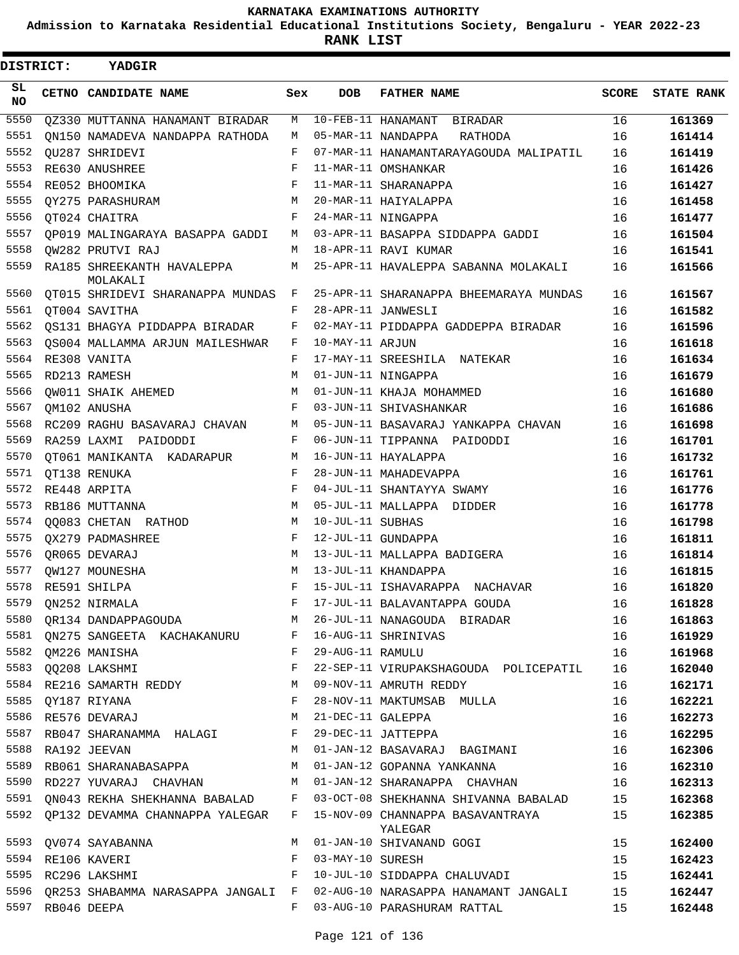**Admission to Karnataka Residential Educational Institutions Society, Bengaluru - YEAR 2022-23**

**RANK LIST**

| DISTRICT: |                  | YADGIR                                                                                                            |              |                  |                                                                              |              |                   |
|-----------|------------------|-------------------------------------------------------------------------------------------------------------------|--------------|------------------|------------------------------------------------------------------------------|--------------|-------------------|
| SL<br>NO. |                  | CETNO CANDIDATE NAME                                                                                              | Sex          | DOB              | <b>FATHER NAME</b>                                                           | <b>SCORE</b> | <b>STATE RANK</b> |
| 5550      |                  | QZ330 MUTTANNA HANAMANT BIRADAR                                                                                   | М            |                  | 10-FEB-11 HANAMANT BIRADAR                                                   | 16           | 161369            |
| 5551      |                  | ON150 NAMADEVA NANDAPPA RATHODA                                                                                   | М            |                  | 05-MAR-11 NANDAPPA<br>RATHODA                                                | 16           | 161414            |
| 5552      |                  | OU287 SHRIDEVI                                                                                                    | F            |                  | 07-MAR-11 HANAMANTARAYAGOUDA MALIPATIL                                       | 16           | 161419            |
| 5553      |                  | RE630 ANUSHREE                                                                                                    | F            |                  | 11-MAR-11 OMSHANKAR                                                          | 16           | 161426            |
| 5554      |                  | RE052 BHOOMIKA                                                                                                    | F            |                  | 11-MAR-11 SHARANAPPA                                                         | 16           | 161427            |
| 5555      |                  | QY275 PARASHURAM                                                                                                  | М            |                  | 20-MAR-11 HAIYALAPPA                                                         | 16           | 161458            |
| 5556      |                  | QT024 CHAITRA                                                                                                     | F            |                  | 24-MAR-11 NINGAPPA                                                           | 16           | 161477            |
| 5557      |                  | OP019 MALINGARAYA BASAPPA GADDI                                                                                   | М            |                  | 03-APR-11 BASAPPA SIDDAPPA GADDI                                             | 16           | 161504            |
| 5558      |                  | OW282 PRUTVI RAJ                                                                                                  | М            |                  | 18-APR-11 RAVI KUMAR                                                         | 16           | 161541            |
| 5559      |                  | RA185 SHREEKANTH HAVALEPPA<br>MOLAKALI                                                                            | М            |                  | 25-APR-11 HAVALEPPA SABANNA MOLAKALI                                         | 16           | 161566            |
| 5560      |                  | QT015 SHRIDEVI SHARANAPPA MUNDAS F                                                                                |              |                  | 25-APR-11 SHARANAPPA BHEEMARAYA MUNDAS                                       | 16           | 161567            |
| 5561      |                  | QT004 SAVITHA                                                                                                     | F            |                  | 28-APR-11 JANWESLI                                                           | 16           | 161582            |
| 5562      |                  | QS131 BHAGYA PIDDAPPA BIRADAR                                                                                     | F            |                  | 02-MAY-11 PIDDAPPA GADDEPPA BIRADAR                                          | 16           | 161596            |
| 5563      |                  | OS004 MALLAMMA ARJUN MAILESHWAR                                                                                   | F            | 10-MAY-11 ARJUN  |                                                                              | 16           | 161618            |
| 5564      |                  | RE308 VANITA                                                                                                      | F            |                  | 17-MAY-11 SREESHILA NATEKAR                                                  | 16           | 161634            |
| 5565      |                  | RD213 RAMESH                                                                                                      | М            |                  | 01-JUN-11 NINGAPPA                                                           | 16           | 161679            |
| 5566      |                  | QW011 SHAIK AHEMED                                                                                                | М            |                  | 01-JUN-11 KHAJA MOHAMMED                                                     | 16           | 161680            |
| 5567      |                  | OM102 ANUSHA                                                                                                      | F            |                  | 03-JUN-11 SHIVASHANKAR                                                       | 16           | 161686            |
| 5568      |                  | RC209 RAGHU BASAVARAJ CHAVAN                                                                                      | М            |                  | 05-JUN-11 BASAVARAJ YANKAPPA CHAVAN                                          | 16           | 161698            |
| 5569      |                  | RA259 LAXMI PAIDODDI                                                                                              | F            |                  | 06-JUN-11 TIPPANNA PAIDODDI                                                  | 16           | 161701            |
| 5570      |                  | QT061 MANIKANTA KADARAPUR                                                                                         | M            |                  | 16-JUN-11 HAYALAPPA                                                          | 16           | 161732            |
| 5571      |                  | QT138 RENUKA                                                                                                      | F            |                  | 28-JUN-11 MAHADEVAPPA                                                        | 16           | 161761            |
| 5572      |                  | RE448 ARPITA                                                                                                      | F            |                  | 04-JUL-11 SHANTAYYA SWAMY                                                    | 16           | 161776            |
| 5573      |                  | RB186 MUTTANNA                                                                                                    | M            |                  | 05-JUL-11 MALLAPPA DIDDER                                                    | 16           | 161778            |
| 5574      |                  | QQ083 CHETAN RATHOD                                                                                               | М            | 10-JUL-11 SUBHAS |                                                                              | 16           | 161798            |
| 5575      |                  | <b>OX279 PADMASHREE</b>                                                                                           | F            |                  | 12-JUL-11 GUNDAPPA                                                           | 16           | 161811            |
| 5576      |                  | QR065 DEVARAJ                                                                                                     | М            |                  | 13-JUL-11 MALLAPPA BADIGERA                                                  | 16           | 161814            |
| 5577      |                  | <b>OW127 MOUNESHA</b>                                                                                             | M            |                  | 13-JUL-11 KHANDAPPA                                                          | 16           | 161815            |
| 5578      |                  | RE591 SHILPA                                                                                                      | F            |                  | 15-JUL-11 ISHAVARAPPA NACHAVAR                                               | 16           | 161820            |
| 5579      |                  | QN252 NIRMALA                                                                                                     |              |                  | 17-JUL-11 BALAVANTAPPA GOUDA                                                 | 16           | 161828            |
| 5580      |                  | QR134 DANDAPPAGOUDA                                                                                               | M            |                  | 26-JUL-11 NANAGOUDA BIRADAR                                                  | 16           | 161863            |
| 5581      |                  | QN275 SANGEETA KACHAKANURU F                                                                                      |              |                  | 16-AUG-11 SHRINIVAS                                                          | 16           | 161929            |
| 5582      |                  | QM226 MANISHA                                                                                                     | F            | 29-AUG-11 RAMULU |                                                                              | 16           | 161968            |
| 5583      |                  | QQ208 LAKSHMI                                                                                                     | $_{\rm F}$   |                  | 22-SEP-11 VIRUPAKSHAGOUDA POLICEPATIL                                        | 16           | 162040            |
|           |                  | 5584 RE216 SAMARTH REDDY M                                                                                        |              |                  | 09-NOV-11 AMRUTH REDDY                                                       | 16           | 162171            |
|           |                  | $\mathbf{F}$ . The set of $\mathbf{F}$<br>5585 QY187 RIYANA                                                       |              |                  | 28-NOV-11 MAKTUMSAB MULLA                                                    | 16           | 162221            |
|           |                  | 5586 RE576 DEVARAJ                                                                                                | M            |                  | 21-DEC-11 GALEPPA                                                            | 16           | 162273            |
| 5587      |                  | RB047 SHARANAMMA HALAGI                                                                                           | F            |                  | 29-DEC-11 JATTEPPA                                                           | 16           | 162295            |
| 5588      |                  | RA192 JEEVAN                                                                                                      | М            |                  | 01-JAN-12 BASAVARAJ BAGIMANI                                                 | 16           | 162306            |
| 5589      |                  | RB061 SHARANABASAPPA                                                                                              | M            |                  | 01-JAN-12 GOPANNA YANKANNA                                                   | 16           | 162310            |
|           |                  |                                                                                                                   |              |                  | 5590 RD227 YUVARAJ CHAVHAN M 01-JAN-12 SHARANAPPA CHAVHAN                    | 16           | 162313            |
|           |                  |                                                                                                                   |              |                  | 5591 QN043 REKHA SHEKHANNA BABALAD F 03-OCT-08 SHEKHANNA SHIVANNA BABALAD 15 |              | 162368            |
| 5592      |                  | QP132 DEVAMMA CHANNAPPA YALEGAR F                                                                                 |              |                  | 15-NOV-09 CHANNAPPA BASAVANTRAYA<br>YALEGAR                                  | 15           | 162385            |
|           |                  | 5593 QV074 SAYABANNA                                                                                              |              |                  | M 01-JAN-10 SHIVANAND GOGI                                                   | 15           | 162400            |
|           |                  | 5594 RE106 KAVERI                                                                                                 | $\mathbf{F}$ | 03-MAY-10 SURESH |                                                                              | 15           | 162423            |
|           |                  | 5595 RC296 LAKSHMI NAMA SARA SARA SERINA SERINA SERINA SERINA SERINA SERINA SERINA SERINA SERINA SERINA SERINA SE |              |                  | 10-JUL-10 SIDDAPPA CHALUVADI                                                 | 15           | 162441            |
| 5596      |                  |                                                                                                                   |              |                  | QR253 SHABAMMA NARASAPPA JANGALI F 02-AUG-10 NARASAPPA HANAMANT JANGALI 15   |              | 162447            |
|           | 5597 RB046 DEEPA |                                                                                                                   | F            |                  | 03-AUG-10 PARASHURAM RATTAL                                                  | 15           | 162448            |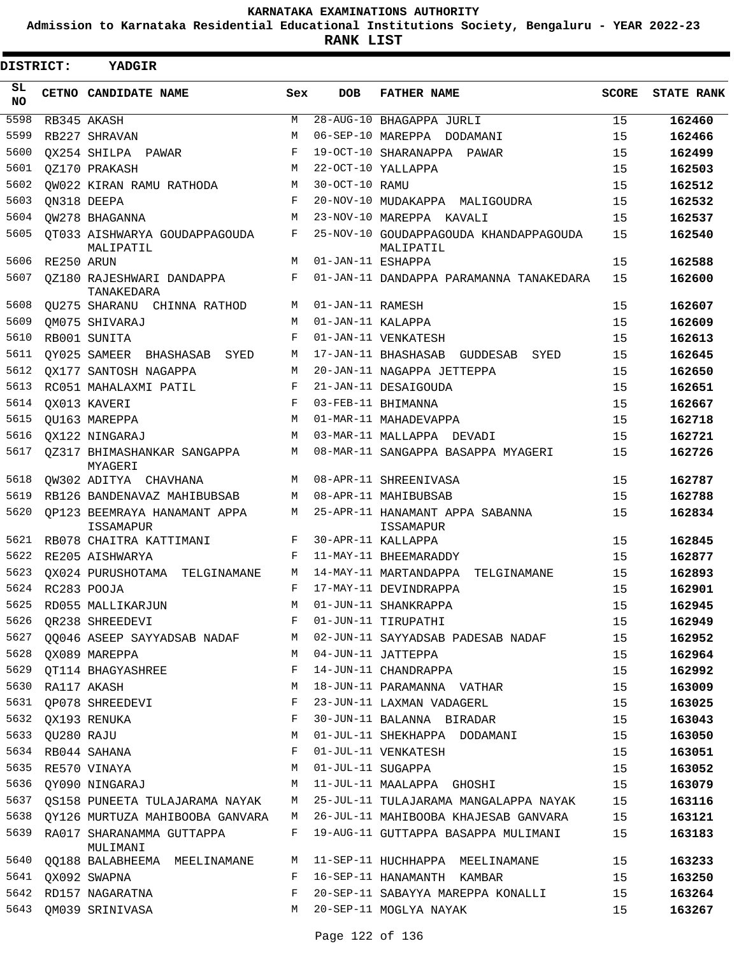**Admission to Karnataka Residential Educational Institutions Society, Bengaluru - YEAR 2022-23**

| DISTRICT: |            | YADGIR                                           |     |                   |                                                     |              |                   |
|-----------|------------|--------------------------------------------------|-----|-------------------|-----------------------------------------------------|--------------|-------------------|
| SL<br>NO. |            | CETNO CANDIDATE NAME                             | Sex | <b>DOB</b>        | <b>FATHER NAME</b>                                  | <b>SCORE</b> | <b>STATE RANK</b> |
| 5598      |            | RB345 AKASH                                      | M   |                   | 28-AUG-10 BHAGAPPA JURLI                            | 15           | 162460            |
| 5599      |            | RB227 SHRAVAN                                    | М   |                   | 06-SEP-10 MAREPPA DODAMANI                          | 15           | 162466            |
| 5600      |            | OX254 SHILPA PAWAR                               | F   |                   | 19-OCT-10 SHARANAPPA PAWAR                          | 15           | 162499            |
| 5601      |            | OZ170 PRAKASH                                    | M   |                   | 22-OCT-10 YALLAPPA                                  | 15           | 162503            |
| 5602      |            | OW022 KIRAN RAMU RATHODA                         | М   | 30-OCT-10 RAMU    |                                                     | 15           | 162512            |
| 5603      |            | ON318 DEEPA                                      | F   |                   | 20-NOV-10 MUDAKAPPA MALIGOUDRA                      | 15           | 162532            |
| 5604      |            | OW278 BHAGANNA                                   | М   |                   | 23-NOV-10 MAREPPA KAVALI                            | 15           | 162537            |
| 5605      |            | OT033 AISHWARYA GOUDAPPAGOUDA<br>MALIPATIL       | F   |                   | 25-NOV-10 GOUDAPPAGOUDA KHANDAPPAGOUDA<br>MALIPATIL | 15           | 162540            |
| 5606      | RE250 ARUN |                                                  | M   | 01-JAN-11 ESHAPPA |                                                     | 15           | 162588            |
| 5607      |            | OZ180 RAJESHWARI DANDAPPA<br>TANAKEDARA          | F   |                   | 01-JAN-11 DANDAPPA PARAMANNA TANAKEDARA             | 15           | 162600            |
| 5608      |            | OU275 SHARANU CHINNA RATHOD                      | М   | 01-JAN-11 RAMESH  |                                                     | 15           | 162607            |
| 5609      |            | OM075 SHIVARAJ                                   | М   | 01-JAN-11 KALAPPA |                                                     | 15           | 162609            |
| 5610      |            | RB001 SUNITA                                     | F   |                   | 01-JAN-11 VENKATESH                                 | 15           | 162613            |
| 5611      |            | OY025 SAMEER BHASHASAB<br>SYED                   | М   |                   | 17-JAN-11 BHASHASAB<br>GUDDESAB<br>SYED             | 15           | 162645            |
| 5612      |            | OX177 SANTOSH NAGAPPA                            | М   |                   | 20-JAN-11 NAGAPPA JETTEPPA                          | 15           | 162650            |
| 5613      |            | RC051 MAHALAXMI PATIL                            | F   |                   | 21-JAN-11 DESAIGOUDA                                | 15           | 162651            |
| 5614      |            | OX013 KAVERI                                     | F   |                   | 03-FEB-11 BHIMANNA                                  | 15           | 162667            |
| 5615      |            | OU163 MAREPPA                                    | М   |                   | 01-MAR-11 MAHADEVAPPA                               | 15           | 162718            |
| 5616      |            | OX122 NINGARAJ                                   | М   |                   | 03-MAR-11 MALLAPPA DEVADI                           | 15           | 162721            |
| 5617      |            | 0Z317 BHIMASHANKAR SANGAPPA<br>MYAGERI           | М   |                   | 08-MAR-11 SANGAPPA BASAPPA MYAGERI                  | 15           | 162726            |
| 5618      |            | OW302 ADITYA CHAVHANA                            | М   |                   | 08-APR-11 SHREENIVASA                               | 15           | 162787            |
| 5619      |            | RB126 BANDENAVAZ MAHIBUBSAB                      | М   |                   | 08-APR-11 MAHIBUBSAB                                | 15           | 162788            |
| 5620      |            | OP123 BEEMRAYA HANAMANT APPA<br><b>ISSAMAPUR</b> | М   |                   | 25-APR-11 HANAMANT APPA SABANNA<br>ISSAMAPUR        | 15           | 162834            |
| 5621      |            | RB078 CHAITRA KATTIMANI                          | F   |                   | 30-APR-11 KALLAPPA                                  | 15           | 162845            |
| 5622      |            | RE205 AISHWARYA                                  | F   |                   | 11-MAY-11 BHEEMARADDY                               | 15           | 162877            |
| 5623      |            | OX024 PURUSHOTAMA<br>TELGINAMANE                 | М   |                   | 14-MAY-11 MARTANDAPPA<br>TELGINAMANE                | 15           | 162893            |
| 5624      |            | RC283 POOJA                                      | F   |                   | 17-MAY-11 DEVINDRAPPA                               | 15           | 162901            |
| 5625      |            | RD055 MALLIKARJUN                                | М   |                   | 01-JUN-11 SHANKRAPPA                                | 15           | 162945            |
| 5626      |            | QR238 SHREEDEVI                                  | F   |                   | 01-JUN-11 TIRUPATHI                                 | 15           | 162949            |
| 5627      |            | QQ046 ASEEP SAYYADSAB NADAF                      | М   |                   | 02-JUN-11 SAYYADSAB PADESAB NADAF                   | 15           | 162952            |
| 5628      |            | OX089 MAREPPA                                    | М   |                   | 04-JUN-11 JATTEPPA                                  | 15           | 162964            |
| 5629      |            | QT114 BHAGYASHREE                                | F   |                   | 14-JUN-11 CHANDRAPPA                                | 15           | 162992            |
| 5630      |            | RA117 AKASH                                      | М   |                   | 18-JUN-11 PARAMANNA VATHAR                          | 15           | 163009            |
| 5631      |            | QP078 SHREEDEVI                                  | F   |                   | 23-JUN-11 LAXMAN VADAGERL                           | 15           | 163025            |
| 5632      |            | OX193 RENUKA                                     | F   |                   | 30-JUN-11 BALANNA BIRADAR                           | 15           | 163043            |
| 5633      | QU280 RAJU |                                                  | М   |                   | 01-JUL-11 SHEKHAPPA DODAMANI                        | 15           | 163050            |
| 5634      |            | RB044 SAHANA                                     | F   |                   | 01-JUL-11 VENKATESH                                 | 15           | 163051            |
| 5635      |            | RE570 VINAYA                                     | М   | 01-JUL-11 SUGAPPA |                                                     | 15           | 163052            |
| 5636      |            | OY090 NINGARAJ                                   | М   |                   | 11-JUL-11 MAALAPPA GHOSHI                           | 15           | 163079            |
| 5637      |            | OS158 PUNEETA TULAJARAMA NAYAK                   | М   |                   | 25-JUL-11 TULAJARAMA MANGALAPPA NAYAK               | 15           | 163116            |
| 5638      |            | OY126 MURTUZA MAHIBOOBA GANVARA                  | M   |                   | 26-JUL-11 MAHIBOOBA KHAJESAB GANVARA                | 15           | 163121            |
| 5639      |            | RA017 SHARANAMMA GUTTAPPA<br>MULIMANI            | F   |                   | 19-AUG-11 GUTTAPPA BASAPPA MULIMANI                 | 15           | 163183            |
| 5640      |            | QQ188 BALABHEEMA MEELINAMANE                     | М   |                   | 11-SEP-11 HUCHHAPPA MEELINAMANE                     | 15           | 163233            |
| 5641      |            | QX092 SWAPNA                                     | F   |                   | 16-SEP-11 HANAMANTH KAMBAR                          | 15           | 163250            |
| 5642      |            | RD157 NAGARATNA                                  | F   |                   | 20-SEP-11 SABAYYA MAREPPA KONALLI                   | 15           | 163264            |
| 5643      |            | QM039 SRINIVASA                                  | М   |                   | 20-SEP-11 MOGLYA NAYAK                              | 15           | 163267            |
|           |            |                                                  |     |                   |                                                     |              |                   |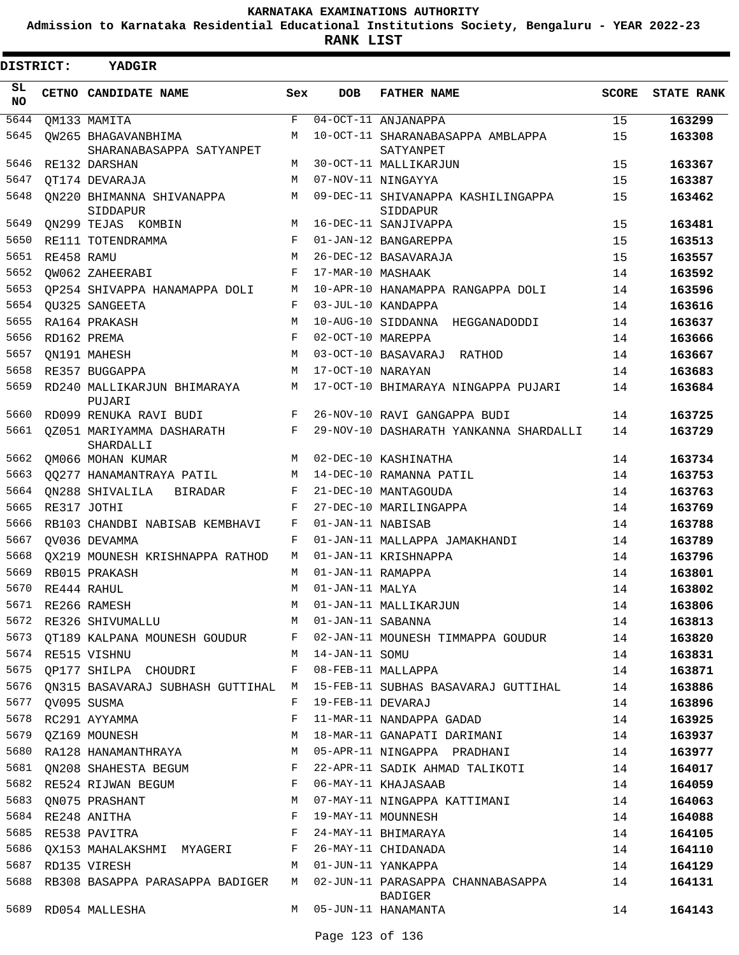**Admission to Karnataka Residential Educational Institutions Society, Bengaluru - YEAR 2022-23**

| <b>DISTRICT:</b> |            | YADGIR                                          |             |                   |                                                     |       |                   |
|------------------|------------|-------------------------------------------------|-------------|-------------------|-----------------------------------------------------|-------|-------------------|
| SL.<br><b>NO</b> |            | CETNO CANDIDATE NAME                            | Sex         | <b>DOB</b>        | <b>FATHER NAME</b>                                  | SCORE | <b>STATE RANK</b> |
| 5644             |            | OM133 MAMITA                                    | $\mathbf F$ |                   | 04-OCT-11 ANJANAPPA                                 | 15    | 163299            |
| 5645             |            | OW265 BHAGAVANBHIMA<br>SHARANABASAPPA SATYANPET | М           |                   | 10-OCT-11 SHARANABASAPPA AMBLAPPA<br>SATYANPET      | 15    | 163308            |
| 5646             |            | RE132 DARSHAN                                   | М           |                   | 30-OCT-11 MALLIKARJUN                               | 15    | 163367            |
| 5647             |            | OT174 DEVARAJA                                  | M           |                   | 07-NOV-11 NINGAYYA                                  | 15    | 163387            |
| 5648             |            | ON220 BHIMANNA SHIVANAPPA<br>SIDDAPUR           | M           |                   | 09-DEC-11 SHIVANAPPA KASHILINGAPPA<br>SIDDAPUR      | 15    | 163462            |
| 5649             |            | ON299 TEJAS KOMBIN                              | M           |                   | 16-DEC-11 SANJIVAPPA                                | 15    | 163481            |
| 5650             |            | RE111 TOTENDRAMMA                               | F           |                   | 01-JAN-12 BANGAREPPA                                | 15    | 163513            |
| 5651             | RE458 RAMU |                                                 | М           |                   | 26-DEC-12 BASAVARAJA                                | 15    | 163557            |
| 5652             |            | QW062 ZAHEERABI                                 | F           | 17-MAR-10 MASHAAK |                                                     | 14    | 163592            |
| 5653             |            | OP254 SHIVAPPA HANAMAPPA DOLI                   | М           |                   | 10-APR-10 HANAMAPPA RANGAPPA DOLI                   | 14    | 163596            |
| 5654             |            | QU325 SANGEETA                                  | F           |                   | 03-JUL-10 KANDAPPA                                  | 14    | 163616            |
| 5655             |            | RA164 PRAKASH                                   | М           |                   | 10-AUG-10 SIDDANNA HEGGANADODDI                     | 14    | 163637            |
| 5656             |            | RD162 PREMA                                     | F           | 02-OCT-10 MAREPPA |                                                     | 14    | 163666            |
| 5657             |            | ON191 MAHESH                                    | М           |                   | 03-OCT-10 BASAVARAJ RATHOD                          | 14    | 163667            |
| 5658             |            | RE357 BUGGAPPA                                  | М           | 17-OCT-10 NARAYAN |                                                     | 14    | 163683            |
| 5659             |            | RD240 MALLIKARJUN BHIMARAYA<br>PUJARI           | M           |                   | 17-OCT-10 BHIMARAYA NINGAPPA PUJARI                 | 14    | 163684            |
| 5660             |            | RD099 RENUKA RAVI BUDI                          | F           |                   | 26-NOV-10 RAVI GANGAPPA BUDI                        | 14    | 163725            |
| 5661             |            | 0Z051 MARIYAMMA DASHARATH<br>SHARDALLI          | F           |                   | 29-NOV-10 DASHARATH YANKANNA SHARDALLI              | 14    | 163729            |
| 5662             |            | QM066 MOHAN KUMAR                               | М           |                   | 02-DEC-10 KASHINATHA                                | 14    | 163734            |
| 5663             |            | 00277 HANAMANTRAYA PATIL                        | М           |                   | 14-DEC-10 RAMANNA PATIL                             | 14    | 163753            |
| 5664             |            | ON288 SHIVALILA<br>BIRADAR                      | F           |                   | 21-DEC-10 MANTAGOUDA                                | 14    | 163763            |
| 5665             |            | RE317 JOTHI                                     | F           |                   | 27-DEC-10 MARILINGAPPA                              | 14    | 163769            |
| 5666             |            | RB103 CHANDBI NABISAB KEMBHAVI                  | F           | 01-JAN-11 NABISAB |                                                     | 14    | 163788            |
| 5667             |            | OV036 DEVAMMA                                   | F           |                   | 01-JAN-11 MALLAPPA JAMAKHANDI                       | 14    | 163789            |
| 5668             |            | OX219 MOUNESH KRISHNAPPA RATHOD                 | М           |                   | 01-JAN-11 KRISHNAPPA                                | 14    | 163796            |
| 5669             |            | RB015 PRAKASH                                   | М           | 01-JAN-11 RAMAPPA |                                                     | 14    | 163801            |
| 5670             |            | RE444 RAHUL                                     | М           | 01-JAN-11 MALYA   |                                                     | 14    | 163802            |
| 5671             |            | RE266 RAMESH                                    | M           |                   | 01-JAN-11 MALLIKARJUN                               | 14    | 163806            |
| 5672             |            | RE326 SHIVUMALLU                                | M           | 01-JAN-11 SABANNA |                                                     | 14    | 163813            |
| 5673             |            | QT189 KALPANA MOUNESH GOUDUR                    | F           |                   | 02-JAN-11 MOUNESH TIMMAPPA GOUDUR                   | 14    | 163820            |
| 5674             |            | RE515 VISHNU                                    | М           | 14-JAN-11 SOMU    |                                                     | 14    | 163831            |
| 5675             |            | QP177 SHILPA CHOUDRI                            | F           |                   | 08-FEB-11 MALLAPPA                                  | 14    | 163871            |
| 5676             |            | ON315 BASAVARAJ SUBHASH GUTTIHAL M              |             |                   | 15-FEB-11 SUBHAS BASAVARAJ GUTTIHAL                 | 14    | 163886            |
| 5677             |            | QV095 SUSMA                                     | F           | 19-FEB-11 DEVARAJ |                                                     | 14    | 163896            |
| 5678             |            | RC291 AYYAMMA                                   | F           |                   | 11-MAR-11 NANDAPPA GADAD                            | 14    | 163925            |
| 5679             |            | OZ169 MOUNESH                                   | М           |                   | 18-MAR-11 GANAPATI DARIMANI                         | 14    | 163937            |
| 5680             |            | RA128 HANAMANTHRAYA                             | M           |                   | 05-APR-11 NINGAPPA PRADHANI                         | 14    | 163977            |
| 5681             |            | QN208 SHAHESTA BEGUM                            | F           |                   | 22-APR-11 SADIK AHMAD TALIKOTI                      | 14    | 164017            |
| 5682             |            | RE524 RIJWAN BEGUM                              | F           |                   | 06-MAY-11 KHAJASAAB                                 | 14    | 164059            |
| 5683             |            | ON075 PRASHANT                                  | M           |                   | 07-MAY-11 NINGAPPA KATTIMANI                        | 14    | 164063            |
| 5684             |            | RE248 ANITHA                                    | F           |                   | 19-MAY-11 MOUNNESH                                  | 14    | 164088            |
| 5685             |            | RE538 PAVITRA                                   | F           |                   | 24-MAY-11 BHIMARAYA                                 | 14    | 164105            |
| 5686             |            | QX153 MAHALAKSHMI MYAGERI                       | F           |                   | 26-MAY-11 CHIDANADA                                 | 14    | 164110            |
| 5687             |            | RD135 VIRESH                                    | M           |                   | 01-JUN-11 YANKAPPA                                  | 14    | 164129            |
| 5688             |            | RB308 BASAPPA PARASAPPA BADIGER                 | M           |                   | 02-JUN-11 PARASAPPA CHANNABASAPPA<br><b>BADIGER</b> | 14    | 164131            |
|                  |            | 5689 RD054 MALLESHA                             | M           |                   | 05-JUN-11 HANAMANTA                                 | 14    | 164143            |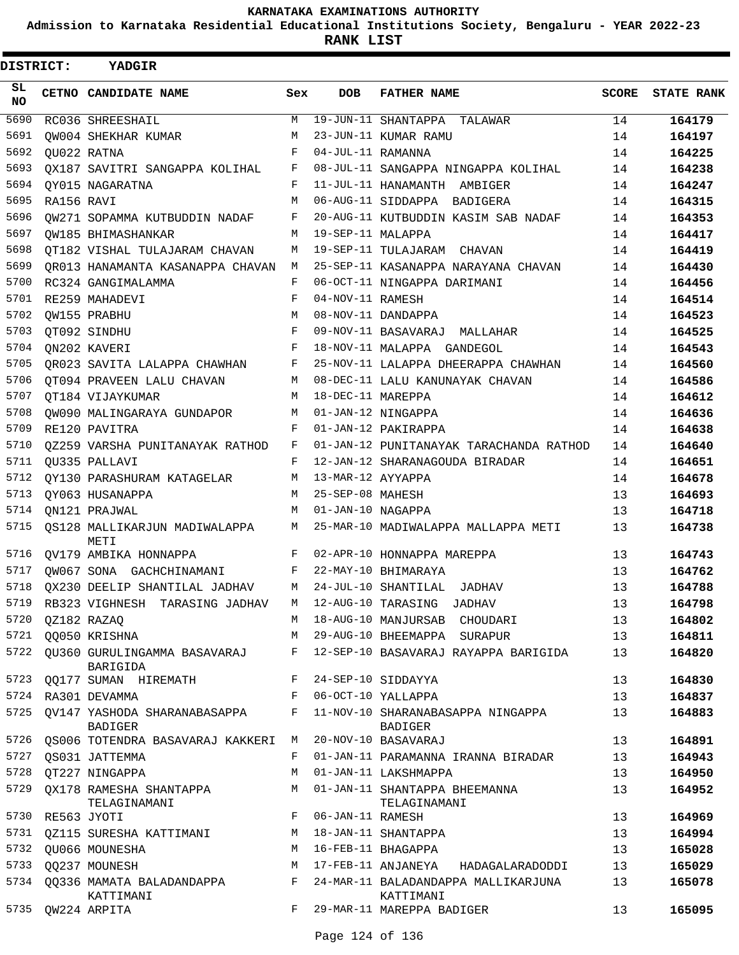**Admission to Karnataka Residential Educational Institutions Society, Bengaluru - YEAR 2022-23**

**RANK LIST**

| DISTRICT:        |                  | YADGIR                                         |     |                   |                                                     |              |                   |
|------------------|------------------|------------------------------------------------|-----|-------------------|-----------------------------------------------------|--------------|-------------------|
| SL.<br><b>NO</b> |                  | CETNO CANDIDATE NAME                           | Sex | <b>DOB</b>        | <b>FATHER NAME</b>                                  | <b>SCORE</b> | <b>STATE RANK</b> |
| 5690             |                  | RC036 SHREESHAIL                               | М   |                   | 19-JUN-11 SHANTAPPA TALAWAR                         | 14           | 164179            |
| 5691             |                  | OW004 SHEKHAR KUMAR                            | М   |                   | 23-JUN-11 KUMAR RAMU                                | 14           | 164197            |
| 5692             |                  | OU022 RATNA                                    | F   | 04-JUL-11 RAMANNA |                                                     | 14           | 164225            |
| 5693             |                  | QX187 SAVITRI SANGAPPA KOLIHAL                 | F   |                   | 08-JUL-11 SANGAPPA NINGAPPA KOLIHAL                 | 14           | 164238            |
| 5694             |                  | OY015 NAGARATNA                                | F   |                   | 11-JUL-11 HANAMANTH AMBIGER                         | 14           | 164247            |
| 5695             | RA156 RAVI       |                                                | M   |                   | 06-AUG-11 SIDDAPPA BADIGERA                         | 14           | 164315            |
| 5696             |                  | QW271 SOPAMMA KUTBUDDIN NADAF                  | F   |                   | 20-AUG-11 KUTBUDDIN KASIM SAB NADAF                 | 14           | 164353            |
| 5697             |                  | OW185 BHIMASHANKAR                             | M   | 19-SEP-11 MALAPPA |                                                     | 14           | 164417            |
| 5698             |                  | OT182 VISHAL TULAJARAM CHAVAN                  | М   |                   | 19-SEP-11 TULAJARAM CHAVAN                          | 14           | 164419            |
| 5699             |                  | OR013 HANAMANTA KASANAPPA CHAVAN               | М   |                   | 25-SEP-11 KASANAPPA NARAYANA CHAVAN                 | 14           | 164430            |
| 5700             |                  | RC324 GANGIMALAMMA                             | F   |                   | 06-OCT-11 NINGAPPA DARIMANI                         | 14           | 164456            |
| 5701             |                  | RE259 MAHADEVI                                 | F   | 04-NOV-11 RAMESH  |                                                     | 14           | 164514            |
| 5702             |                  | QW155 PRABHU                                   | M   |                   | 08-NOV-11 DANDAPPA                                  | 14           | 164523            |
| 5703             |                  | QT092 SINDHU                                   | F   |                   | 09-NOV-11 BASAVARAJ MALLAHAR                        | 14           | 164525            |
| 5704             |                  | ON202 KAVERI                                   | F   |                   | 18-NOV-11 MALAPPA GANDEGOL                          | 14           | 164543            |
| 5705             |                  | QR023 SAVITA LALAPPA CHAWHAN                   | F   |                   | 25-NOV-11 LALAPPA DHEERAPPA CHAWHAN                 | 14           | 164560            |
| 5706             |                  | OT094 PRAVEEN LALU CHAVAN                      | М   |                   | 08-DEC-11 LALU KANUNAYAK CHAVAN                     | 14           | 164586            |
| 5707             |                  | OT184 VIJAYKUMAR                               | М   | 18-DEC-11 MAREPPA |                                                     | 14           | 164612            |
| 5708             |                  | OW090 MALINGARAYA GUNDAPOR                     | M   |                   | 01-JAN-12 NINGAPPA                                  | 14           | 164636            |
| 5709             |                  | RE120 PAVITRA                                  | F   |                   | 01-JAN-12 PAKIRAPPA                                 | 14           | 164638            |
| 5710             |                  | QZ259 VARSHA PUNITANAYAK RATHOD                | F   |                   | 01-JAN-12 PUNITANAYAK TARACHANDA RATHOD             | 14           | 164640            |
| 5711             |                  | QU335 PALLAVI                                  | F   |                   | 12-JAN-12 SHARANAGOUDA BIRADAR                      | 14           | 164651            |
| 5712             |                  | QY130 PARASHURAM KATAGELAR                     | М   | 13-MAR-12 AYYAPPA |                                                     | 14           | 164678            |
| 5713             |                  | OY063 HUSANAPPA                                | M   | 25-SEP-08 MAHESH  |                                                     | 13           | 164693            |
| 5714             |                  | ON121 PRAJWAL                                  | M   | 01-JAN-10 NAGAPPA |                                                     | 13           | 164718            |
| 5715             |                  | QS128 MALLIKARJUN MADIWALAPPA<br>METI          | M   |                   | 25-MAR-10 MADIWALAPPA MALLAPPA METI                 | 13           | 164738            |
| 5716             |                  | QV179 AMBIKA HONNAPPA                          |     |                   | F 02-APR-10 HONNAPPA MAREPPA                        | 13           | 164743            |
| 5717             |                  | QW067 SONA GACHCHINAMANI                       | F   |                   | 22-MAY-10 BHIMARAYA                                 | 13           | 164762            |
| 5718             |                  | QX230 DEELIP SHANTILAL JADHAV                  | M   |                   | 24-JUL-10 SHANTILAL JADHAV                          | 13           | 164788            |
| 5719             |                  | RB323 VIGHNESH TARASING JADHAV                 | М   |                   | 12-AUG-10 TARASING<br><b>JADHAV</b>                 | 13           | 164798            |
| 5720             |                  | QZ182 RAZAQ                                    | М   |                   | 18-AUG-10 MANJURSAB CHOUDARI                        | 13           | 164802            |
|                  |                  | 5721 QQ050 KRISHNA                             | M   |                   | 29-AUG-10 BHEEMAPPA SURAPUR                         | 13           | 164811            |
| 5722             |                  | OU360 GURULINGAMMA BASAVARAJ<br>BARIGIDA       | F   |                   | 12-SEP-10 BASAVARAJ RAYAPPA BARIGIDA                | 13           | 164820            |
|                  |                  | 5723 QQ177 SUMAN HIREMATH                      |     |                   | F 24-SEP-10 SIDDAYYA                                | 13           | 164830            |
| 5724             |                  | RA301 DEVAMMA                                  | F   |                   | 06-OCT-10 YALLAPPA                                  | 13           | 164837            |
| 5725             |                  | OV147 YASHODA SHARANABASAPPA<br><b>BADIGER</b> | F   |                   | 11-NOV-10 SHARANABASAPPA NINGAPPA<br><b>BADIGER</b> | 13           | 164883            |
|                  |                  | 5726 QS006 TOTENDRA BASAVARAJ KAKKERI          | M   |                   | 20-NOV-10 BASAVARAJ                                 | 13           | 164891            |
| 5727             |                  | OS031 JATTEMMA                                 | F   |                   | 01-JAN-11 PARAMANNA IRANNA BIRADAR                  | 13           | 164943            |
| 5728             |                  | QT227 NINGAPPA                                 | М   |                   | 01-JAN-11 LAKSHMAPPA                                | 13           | 164950            |
| 5729             |                  | QX178 RAMESHA SHANTAPPA<br>TELAGINAMANI        | М   |                   | 01-JAN-11 SHANTAPPA BHEEMANNA<br>TELAGINAMANI       | 13           | 164952            |
|                  | 5730 RE563 JYOTI |                                                | F   | 06-JAN-11 RAMESH  |                                                     | 13           | 164969            |
|                  |                  | 5731 QZ115 SURESHA KATTIMANI                   | М   |                   | 18-JAN-11 SHANTAPPA                                 | 13           | 164994            |
| 5732             |                  | OU066 MOUNESHA                                 | М   |                   | 16-FEB-11 BHAGAPPA                                  | 13           | 165028            |
| 5733             |                  | QQ237 MOUNESH                                  | М   |                   | 17-FEB-11 ANJANEYA HADAGALARADODDI                  | 13           | 165029            |
|                  |                  | 5734 QQ336 MAMATA BALADANDAPPA<br>KATTIMANI    | F   |                   | 24-MAR-11 BALADANDAPPA MALLIKARJUNA<br>KATTIMANI    | 13           | 165078            |
| 5735             |                  | QW224 ARPITA                                   | F   |                   | 29-MAR-11 MAREPPA BADIGER                           | 13           | 165095            |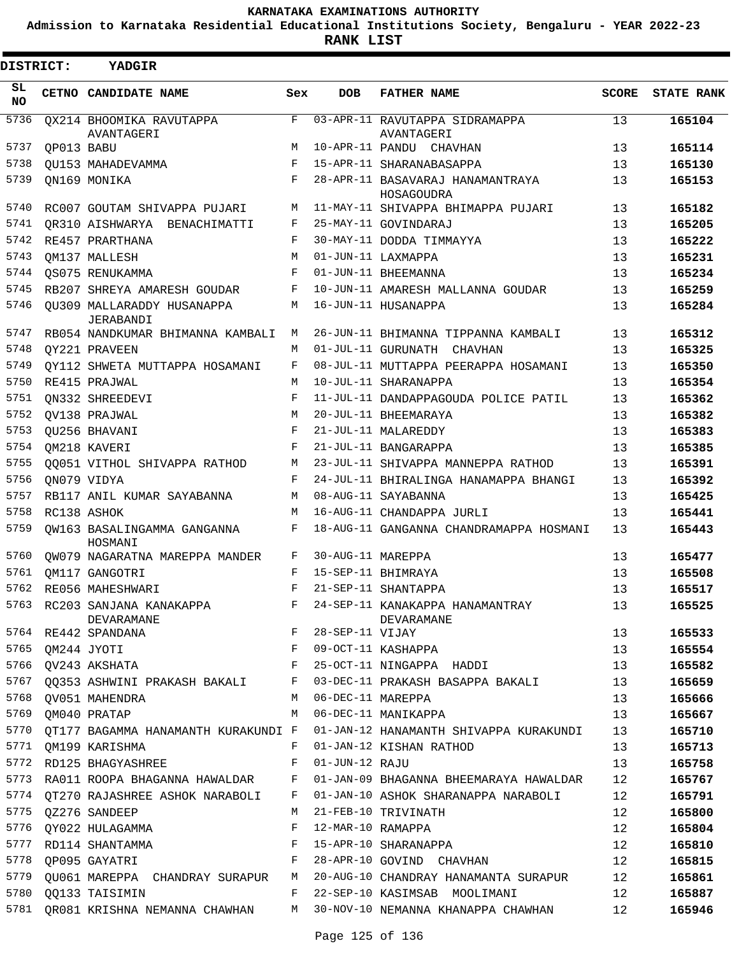**Admission to Karnataka Residential Educational Institutions Society, Bengaluru - YEAR 2022-23**

**RANK LIST**

| DISTRICT:  |            | YADGIR                                     |     |                   |                                                                            |              |                   |
|------------|------------|--------------------------------------------|-----|-------------------|----------------------------------------------------------------------------|--------------|-------------------|
| SL.<br>NO. |            | CETNO CANDIDATE NAME                       | Sex | <b>DOB</b>        | <b>FATHER NAME</b>                                                         | <b>SCORE</b> | <b>STATE RANK</b> |
| 5736       |            | QX214 BHOOMIKA RAVUTAPPA<br>AVANTAGERI     | F   |                   | 03-APR-11 RAVUTAPPA SIDRAMAPPA<br>AVANTAGERI                               | 13           | 165104            |
| 5737       | QP013 BABU |                                            | М   |                   | 10-APR-11 PANDU CHAVHAN                                                    | 13           | 165114            |
| 5738       |            | QU153 MAHADEVAMMA                          | F   |                   | 15-APR-11 SHARANABASAPPA                                                   | 13           | 165130            |
| 5739       |            | QN169 MONIKA                               | F   |                   | 28-APR-11 BASAVARAJ HANAMANTRAYA                                           | 13           | 165153            |
|            |            |                                            |     |                   | HOSAGOUDRA                                                                 |              |                   |
| 5740       |            | RC007 GOUTAM SHIVAPPA PUJARI               | M   |                   | 11-MAY-11 SHIVAPPA BHIMAPPA PUJARI                                         | 13           | 165182            |
| 5741       |            | OR310 AISHWARYA BENACHIMATTI               | F   |                   | 25-MAY-11 GOVINDARAJ                                                       | 13           | 165205            |
| 5742       |            | RE457 PRARTHANA                            | F   |                   | 30-MAY-11 DODDA TIMMAYYA                                                   | 13           | 165222            |
| 5743       |            | QM137 MALLESH                              | M   |                   | 01-JUN-11 LAXMAPPA                                                         | 13           | 165231            |
| 5744       |            | QS075 RENUKAMMA                            | F   |                   | 01-JUN-11 BHEEMANNA                                                        | 13           | 165234            |
| 5745       |            | RB207 SHREYA AMARESH GOUDAR                | F   |                   | 10-JUN-11 AMARESH MALLANNA GOUDAR                                          | 13           | 165259            |
| 5746       |            | OU309 MALLARADDY HUSANAPPA<br>JERABANDI    | М   |                   | 16-JUN-11 HUSANAPPA                                                        | 13           | 165284            |
| 5747       |            | RB054 NANDKUMAR BHIMANNA KAMBALI           | М   |                   | 26-JUN-11 BHIMANNA TIPPANNA KAMBALI                                        | 13           | 165312            |
| 5748       |            | QY221 PRAVEEN                              | M   |                   | 01-JUL-11 GURUNATH CHAVHAN                                                 | 13           | 165325            |
| 5749       |            | OY112 SHWETA MUTTAPPA HOSAMANI             | F   |                   | 08-JUL-11 MUTTAPPA PEERAPPA HOSAMANI                                       | 13           | 165350            |
| 5750       |            | RE415 PRAJWAL                              | M   |                   | 10-JUL-11 SHARANAPPA                                                       | 13           | 165354            |
| 5751       |            | ON332 SHREEDEVI                            | F   |                   | 11-JUL-11 DANDAPPAGOUDA POLICE PATIL                                       | 13           | 165362            |
| 5752       |            | QV138 PRAJWAL                              | M   |                   | 20-JUL-11 BHEEMARAYA                                                       | 13           | 165382            |
| 5753       |            | QU256 BHAVANI                              | F   |                   | 21-JUL-11 MALAREDDY                                                        | 13           | 165383            |
| 5754       |            | QM218 KAVERI                               | F   |                   | 21-JUL-11 BANGARAPPA                                                       | 13           | 165385            |
| 5755       |            | QQ051 VITHOL SHIVAPPA RATHOD               | М   |                   | 23-JUL-11 SHIVAPPA MANNEPPA RATHOD                                         | 13           | 165391            |
| 5756       |            | ON079 VIDYA                                | F   |                   | 24-JUL-11 BHIRALINGA HANAMAPPA BHANGI                                      | 13           | 165392            |
| 5757       |            | RB117 ANIL KUMAR SAYABANNA                 | М   |                   | 08-AUG-11 SAYABANNA                                                        | 13           | 165425            |
| 5758       |            | RC138 ASHOK                                | M   |                   | 16-AUG-11 CHANDAPPA JURLI                                                  | 13           | 165441            |
| 5759       |            | QW163 BASALINGAMMA GANGANNA<br>HOSMANI     | F   |                   | 18-AUG-11 GANGANNA CHANDRAMAPPA HOSMANI                                    | 13           | 165443            |
| 5760       |            | QW079 NAGARATNA MAREPPA MANDER             | F   | 30-AUG-11 MAREPPA |                                                                            | 13           | 165477            |
| 5761       |            | QM117 GANGOTRI                             | F   |                   | 15-SEP-11 BHIMRAYA                                                         | 13           | 165508            |
| 5762       |            | RE056 MAHESHWARI                           | F   |                   | 21-SEP-11 SHANTAPPA                                                        | 13           | 165517            |
|            |            | 5763 RC203 SANJANA KANAKAPPA<br>DEVARAMANE | F   |                   | 24-SEP-11 KANAKAPPA HANAMANTRAY<br>DEVARAMANE                              | 13           | 165525            |
|            |            | 5764 RE442 SPANDANA                        | F   | 28-SEP-11 VIJAY   |                                                                            | 13           | 165533            |
| 5765       |            | QM244 JYOTI                                | F   |                   | 09-OCT-11 KASHAPPA                                                         | 13           | 165554            |
| 5766       |            | QV243 AKSHATA                              | F   |                   | 25-OCT-11 NINGAPPA HADDI                                                   | 13           | 165582            |
| 5767       |            | QQ353 ASHWINI PRAKASH BAKALI F             |     |                   | 03-DEC-11 PRAKASH BASAPPA BAKALI                                           | 13           | 165659            |
| 5768       |            | OV051 MAHENDRA                             | М   | 06-DEC-11 MAREPPA |                                                                            | 13           | 165666            |
| 5769       |            | QM040 PRATAP                               | M   |                   | 06-DEC-11 MANIKAPPA                                                        | 13           | 165667            |
| 5770       |            |                                            |     |                   | OT177 BAGAMMA HANAMANTH KURAKUNDI F 01-JAN-12 HANAMANTH SHIVAPPA KURAKUNDI | 13           | 165710            |
| 5771       |            | OM199 KARISHMA                             | F   |                   | 01-JAN-12 KISHAN RATHOD                                                    | 13           | 165713            |
| 5772       |            | RD125 BHAGYASHREE                          | F   | 01-JUN-12 RAJU    |                                                                            | 13           | 165758            |
| 5773       |            | RA011 ROOPA BHAGANNA HAWALDAR              | F   |                   | 01-JAN-09 BHAGANNA BHEEMARAYA HAWALDAR                                     | 12           | 165767            |
| 5774       |            | QT270 RAJASHREE ASHOK NARABOLI             | F   |                   | 01-JAN-10 ASHOK SHARANAPPA NARABOLI                                        | 12           | 165791            |
| 5775       |            | OZ276 SANDEEP                              | М   |                   | 21-FEB-10 TRIVINATH                                                        | 12           | 165800            |
| 5776       |            | QY022 HULAGAMMA                            | F   | 12-MAR-10 RAMAPPA |                                                                            | 12           | 165804            |
| 5777       |            | RD114 SHANTAMMA                            | F   |                   | 15-APR-10 SHARANAPPA                                                       | 12           | 165810            |
| 5778       |            | QP095 GAYATRI                              | F   |                   | 28-APR-10 GOVIND CHAVHAN                                                   | 12           | 165815            |
| 5779       |            | QU061 MAREPPA CHANDRAY SURAPUR             | M   |                   | 20-AUG-10 CHANDRAY HANAMANTA SURAPUR                                       | 12           | 165861            |
| 5780       |            | QQ133 TAISIMIN                             | F   |                   | 22-SEP-10 KASIMSAB MOOLIMANI                                               | 12           | 165887            |
| 5781       |            | QR081 KRISHNA NEMANNA CHAWHAN              |     |                   | M 30-NOV-10 NEMANNA KHANAPPA CHAWHAN                                       | 12           | 165946            |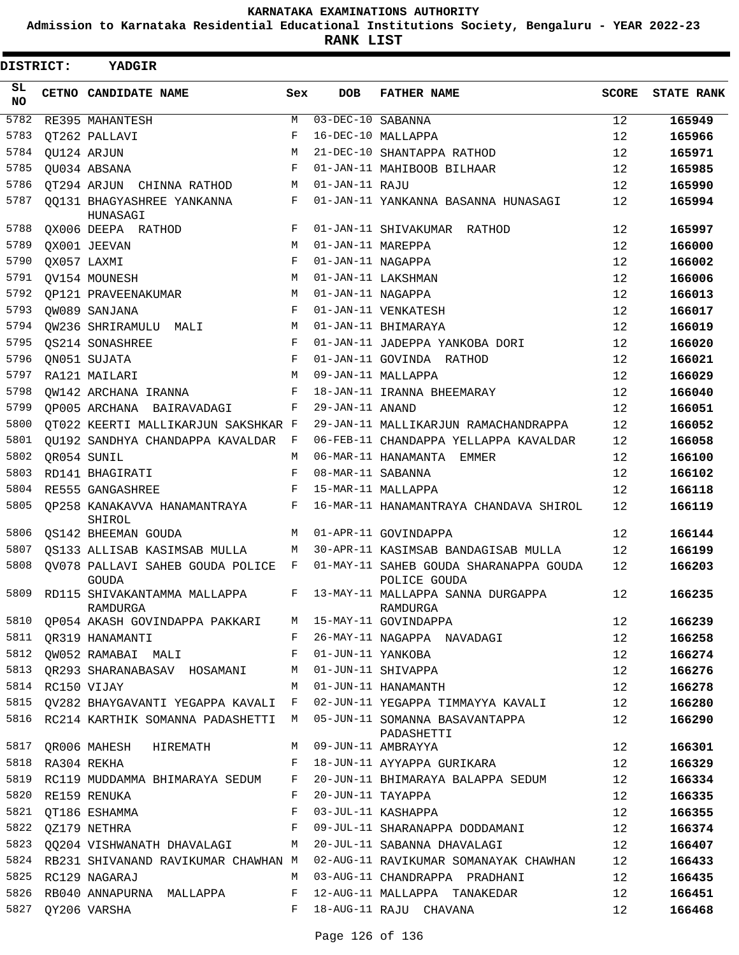**Admission to Karnataka Residential Educational Institutions Society, Bengaluru - YEAR 2022-23**

**RANK LIST**

| DISTRICT: | YADGIR                                    |       |                   |                                                        |              |                   |
|-----------|-------------------------------------------|-------|-------------------|--------------------------------------------------------|--------------|-------------------|
| SL<br>NO. | CETNO CANDIDATE NAME                      | Sex   | <b>DOB</b>        | <b>FATHER NAME</b>                                     | <b>SCORE</b> | <b>STATE RANK</b> |
| 5782      | RE395 MAHANTESH                           | М     | 03-DEC-10 SABANNA |                                                        | 12           | 165949            |
| 5783      | OT262 PALLAVI                             | F     |                   | 16-DEC-10 MALLAPPA                                     | 12           | 165966            |
| 5784      | QU124 ARJUN                               | M     |                   | 21-DEC-10 SHANTAPPA RATHOD                             | 12           | 165971            |
| 5785      | QU034 ABSANA                              | F     |                   | 01-JAN-11 MAHIBOOB BILHAAR                             | 12           | 165985            |
| 5786      | OT294 ARJUN CHINNA RATHOD                 | М     | 01-JAN-11 RAJU    |                                                        | 12           | 165990            |
| 5787      | QQ131 BHAGYASHREE YANKANNA<br>HUNASAGI    | F     |                   | 01-JAN-11 YANKANNA BASANNA HUNASAGI                    | 12           | 165994            |
| 5788      | QX006 DEEPA RATHOD                        | F     |                   | 01-JAN-11 SHIVAKUMAR RATHOD                            | 12           | 165997            |
| 5789      | QX001 JEEVAN                              | M     | 01-JAN-11 MAREPPA |                                                        | 12           | 166000            |
| 5790      | QX057 LAXMI                               | F     | 01-JAN-11 NAGAPPA |                                                        | 12           | 166002            |
| 5791      | OV154 MOUNESH                             | M     |                   | 01-JAN-11 LAKSHMAN                                     | 12           | 166006            |
| 5792      | OP121 PRAVEENAKUMAR                       | М     | 01-JAN-11 NAGAPPA |                                                        | 12           | 166013            |
| 5793      | OW089 SANJANA                             | F     |                   | 01-JAN-11 VENKATESH                                    | 12           | 166017            |
| 5794      | OW236 SHRIRAMULU MALI                     | М     |                   | 01-JAN-11 BHIMARAYA                                    | 12           | 166019            |
| 5795      | OS214 SONASHREE                           | F     |                   | 01-JAN-11 JADEPPA YANKOBA DORI                         | 12           | 166020            |
| 5796      | QN051 SUJATA                              | F     |                   | 01-JAN-11 GOVINDA RATHOD                               | 12           | 166021            |
| 5797      | RA121 MAILARI                             | М     |                   | 09-JAN-11 MALLAPPA                                     | 12           | 166029            |
| 5798      | OW142 ARCHANA IRANNA                      | F     |                   | 18-JAN-11 IRANNA BHEEMARAY                             | 12           | 166040            |
| 5799      | OP005 ARCHANA BAIRAVADAGI                 | F     | 29-JAN-11 ANAND   |                                                        | 12           | 166051            |
| 5800      | QT022 KEERTI MALLIKARJUN SAKSHKAR F       |       |                   | 29-JAN-11 MALLIKARJUN RAMACHANDRAPPA                   | 12           | 166052            |
| 5801      | OU192 SANDHYA CHANDAPPA KAVALDAR          | F     |                   | 06-FEB-11 CHANDAPPA YELLAPPA KAVALDAR                  | 12           | 166058            |
| 5802      | QR054 SUNIL                               | М     |                   | 06-MAR-11 HANAMANTA EMMER                              | 12           | 166100            |
| 5803      | RD141 BHAGIRATI                           | F     | 08-MAR-11 SABANNA |                                                        | 12           | 166102            |
| 5804      | RE555 GANGASHREE                          | F     |                   | 15-MAR-11 MALLAPPA                                     | 12           | 166118            |
| 5805      | OP258 KANAKAVVA HANAMANTRAYA<br>SHIROL    | F     |                   | 16-MAR-11 HANAMANTRAYA CHANDAVA SHIROL                 | 12           | 166119            |
| 5806      | QS142 BHEEMAN GOUDA                       | М     |                   | 01-APR-11 GOVINDAPPA                                   | 12           | 166144            |
| 5807      | QS133 ALLISAB KASIMSAB MULLA              | М     |                   | 30-APR-11 KASIMSAB BANDAGISAB MULLA                    | 12           | 166199            |
| 5808      | OV078 PALLAVI SAHEB GOUDA POLICE<br>GOUDA | F     |                   | 01-MAY-11 SAHEB GOUDA SHARANAPPA GOUDA<br>POLICE GOUDA | 12           | 166203            |
| 5809      | RD115 SHIVAKANTAMMA MALLAPPA<br>RAMDURGA  | F     |                   | 13-MAY-11 MALLAPPA SANNA DURGAPPA<br>RAMDURGA          | 12           | 166235            |
| 5810      | QP054 AKASH GOVINDAPPA PAKKARI            |       |                   | M 15-MAY-11 GOVINDAPPA                                 | 12           | 166239            |
| 5811      | QR319 HANAMANTI                           | F     |                   | 26-MAY-11 NAGAPPA NAVADAGI                             | 12           | 166258            |
| 5812      | QW052 RAMABAI MALI                        | F     | 01-JUN-11 YANKOBA |                                                        | 12           | 166274            |
| 5813      | QR293 SHARANABASAV HOSAMANI               | М     |                   | 01-JUN-11 SHIVAPPA                                     | 12           | 166276            |
| 5814      | RC150 VIJAY                               | M     |                   | 01-JUN-11 HANAMANTH                                    | 12           | 166278            |
| 5815      | QV282 BHAYGAVANTI YEGAPPA KAVALI          | F     |                   | 02-JUN-11 YEGAPPA TIMMAYYA KAVALI                      | 12           | 166280            |
| 5816      | RC214 KARTHIK SOMANNA PADASHETTI          | M     |                   | 05-JUN-11 SOMANNA BASAVANTAPPA<br>PADASHETTI           | 12           | 166290            |
| 5817      | QR006 MAHESH HIREMATH                     | М     |                   | 09-JUN-11 AMBRAYYA                                     | 12           | 166301            |
| 5818      | RA304 REKHA                               | F     |                   | 18-JUN-11 AYYAPPA GURIKARA                             | 12           | 166329            |
| 5819      | RC119 MUDDAMMA BHIMARAYA SEDUM            | F     |                   | 20-JUN-11 BHIMARAYA BALAPPA SEDUM                      | 12           | 166334            |
| 5820      | RE159 RENUKA                              | F     | 20-JUN-11 TAYAPPA |                                                        | 12           | 166335            |
| 5821      | QT186 ESHAMMA                             | F     |                   | 03-JUL-11 KASHAPPA                                     | 12           | 166355            |
| 5822      | QZ179 NETHRA                              | F     |                   | 09-JUL-11 SHARANAPPA DODDAMANI                         | 12           | 166374            |
| 5823      | QQ204 VISHWANATH DHAVALAGI                |       |                   | M 20-JUL-11 SABANNA DHAVALAGI                          | 12           | 166407            |
|           | 5824 RB231 SHIVANAND RAVIKUMAR CHAWHAN M  |       |                   | 02-AUG-11 RAVIKUMAR SOMANAYAK CHAWHAN                  | 12           | 166433            |
| 5825      | RC129 NAGARAJ                             | М     |                   | 03-AUG-11 CHANDRAPPA PRADHANI                          | 12           | 166435            |
| 5826      | RB040 ANNAPURNA MALLAPPA                  | F     |                   | 12-AUG-11 MALLAPPA TANAKEDAR                           | 12           | 166451            |
| 5827      | QY206 VARSHA                              | $F$ – |                   | 18-AUG-11 RAJU CHAVANA                                 | 12           | 166468            |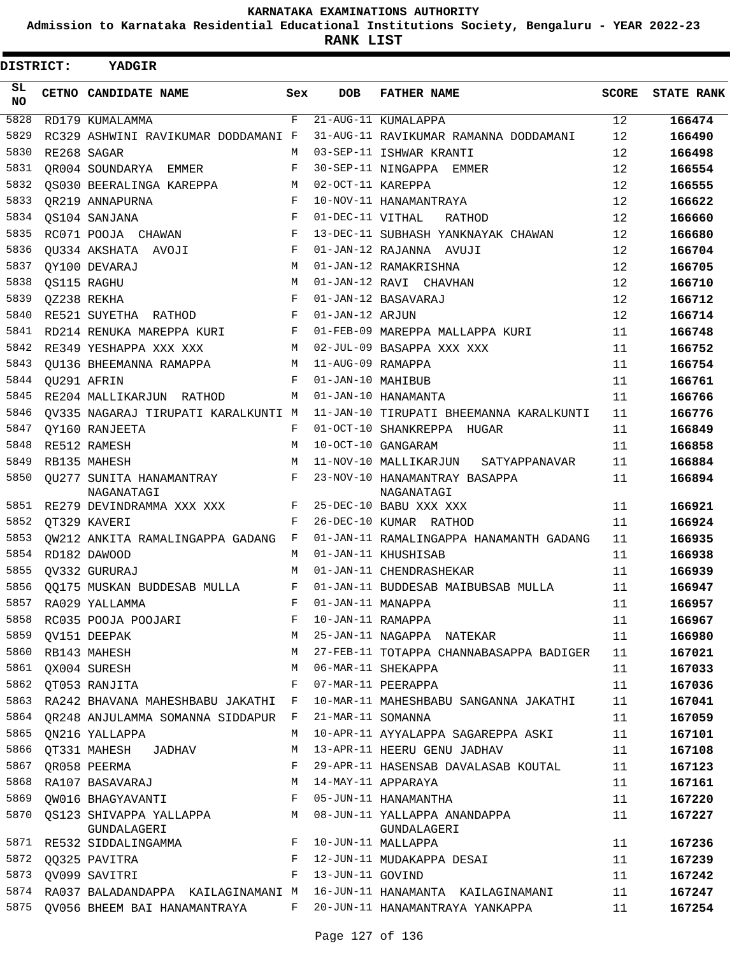**Admission to Karnataka Residential Educational Institutions Society, Bengaluru - YEAR 2022-23**

**RANK LIST**

| DISTRICT:       | YADGIR                                        |              |                   |                                             |              |                   |
|-----------------|-----------------------------------------------|--------------|-------------------|---------------------------------------------|--------------|-------------------|
| SL<br><b>NO</b> | CETNO CANDIDATE NAME                          | Sex          | <b>DOB</b>        | <b>FATHER NAME</b>                          | <b>SCORE</b> | <b>STATE RANK</b> |
| 5828            | RD179 KUMALAMMA                               | F            |                   | 21-AUG-11 KUMALAPPA                         | 12           | 166474            |
| 5829            | RC329 ASHWINI RAVIKUMAR DODDAMANI F           |              |                   | 31-AUG-11 RAVIKUMAR RAMANNA DODDAMANI       | 12           | 166490            |
| 5830            | RE268 SAGAR                                   | M            |                   | 03-SEP-11 ISHWAR KRANTI                     | 12           | 166498            |
| 5831            | OR004 SOUNDARYA EMMER                         | F            |                   | 30-SEP-11 NINGAPPA<br>EMMER                 | 12           | 166554            |
| 5832            | OS030 BEERALINGA KAREPPA                      | М            | 02-OCT-11 KAREPPA |                                             | 12           | 166555            |
| 5833            | OR219 ANNAPURNA                               | F            |                   | 10-NOV-11 HANAMANTRAYA                      | 12           | 166622            |
| 5834            | QS104 SANJANA                                 | $_{\rm F}$   | 01-DEC-11 VITHAL  | RATHOD                                      | 12           | 166660            |
| 5835            | RC071 POOJA CHAWAN                            | F            |                   | 13-DEC-11 SUBHASH YANKNAYAK CHAWAN          | 12           | 166680            |
| 5836            | OU334 AKSHATA AVOJI                           | F            |                   | 01-JAN-12 RAJANNA AVUJI                     | 12           | 166704            |
| 5837            | OY100 DEVARAJ                                 | M            |                   | 01-JAN-12 RAMAKRISHNA                       | 12           | 166705            |
| 5838            | QS115 RAGHU                                   | M            |                   | 01-JAN-12 RAVI CHAVHAN                      | 12           | 166710            |
| 5839            | OZ238 REKHA                                   | F            |                   | 01-JAN-12 BASAVARAJ                         | 12           | 166712            |
| 5840            | RE521 SUYETHA RATHOD                          | F            | 01-JAN-12 ARJUN   |                                             | 12           | 166714            |
| 5841            | RD214 RENUKA MAREPPA KURI                     | F            |                   | 01-FEB-09 MAREPPA MALLAPPA KURI             | 11           | 166748            |
| 5842            | RE349 YESHAPPA XXX XXX                        | M            |                   | 02-JUL-09 BASAPPA XXX XXX                   | 11           | 166752            |
| 5843            | OU136 BHEEMANNA RAMAPPA                       | М            | 11-AUG-09 RAMAPPA |                                             | 11           | 166754            |
| 5844            | OU291 AFRIN                                   | F            | 01-JAN-10 MAHIBUB |                                             | 11           | 166761            |
| 5845            | RE204 MALLIKARJUN RATHOD                      | М            |                   | 01-JAN-10 HANAMANTA                         | 11           | 166766            |
| 5846            | OV335 NAGARAJ TIRUPATI KARALKUNTI M           |              |                   | 11-JAN-10 TIRUPATI BHEEMANNA KARALKUNTI     | 11           | 166776            |
| 5847            | OY160 RANJEETA                                | F            |                   | 01-OCT-10 SHANKREPPA HUGAR                  | 11           | 166849            |
| 5848            | RE512 RAMESH                                  | M            |                   | 10-OCT-10 GANGARAM                          | 11           | 166858            |
| 5849            | RB135 MAHESH                                  | M            |                   | 11-NOV-10 MALLIKARJUN<br>SATYAPPANAVAR      | 11           | 166884            |
| 5850            | OU277 SUNITA HANAMANTRAY<br>NAGANATAGI        | F            |                   | 23-NOV-10 HANAMANTRAY BASAPPA<br>NAGANATAGI | 11           | 166894            |
| 5851            | RE279 DEVINDRAMMA XXX XXX                     | F            |                   | 25-DEC-10 BABU XXX XXX                      | 11           | 166921            |
| 5852            | OT329 KAVERI                                  | F            |                   | 26-DEC-10 KUMAR RATHOD                      | 11           | 166924            |
| 5853            | OW212 ANKITA RAMALINGAPPA GADANG              | F            |                   | 01-JAN-11 RAMALINGAPPA HANAMANTH GADANG     | 11           | 166935            |
| 5854            | RD182 DAWOOD                                  | М            |                   | 01-JAN-11 KHUSHISAB                         | 11           | 166938            |
| 5855            | OV332 GURURAJ                                 | M            |                   | 01-JAN-11 CHENDRASHEKAR                     | 11           | 166939            |
| 5856            | <b>00175 MUSKAN BUDDESAB MULLA</b>            | F            |                   | 01-JAN-11 BUDDESAB MAIBUBSAB MULLA          | 11           | 166947            |
| 5857            | RA029 YALLAMMA                                |              | 01-JAN-11 MANAPPA |                                             | 11           | 166957            |
| 5858            | RC035 POOJA POOJARI                           | F            |                   | 10-JAN-11 RAMAPPA                           | 11           | 166967            |
| 5859            | QV151 DEEPAK                                  | М            |                   | 25-JAN-11 NAGAPPA NATEKAR                   | 11           | 166980            |
| 5860            | RB143 MAHESH                                  | М            |                   | 27-FEB-11 TOTAPPA CHANNABASAPPA BADIGER     | 11           | 167021            |
| 5861            | QX004 SURESH                                  | М            |                   | 06-MAR-11 SHEKAPPA                          | 11           | 167033            |
| 5862            | QT053 RANJITA                                 | F            |                   | 07-MAR-11 PEERAPPA                          | 11           | 167036            |
|                 | 5863 RA242 BHAVANA MAHESHBABU JAKATHI F       |              |                   | 10-MAR-11 MAHESHBABU SANGANNA JAKATHI       | 11           | 167041            |
|                 | 5864 QR248 ANJULAMMA SOMANNA SIDDAPUR F       |              | 21-MAR-11 SOMANNA |                                             | 11           | 167059            |
| 5865            | QN216 YALLAPPA                                | М            |                   | 10-APR-11 AYYALAPPA SAGAREPPA ASKI          | 11           | 167101            |
| 5866            | QT331 MAHESH JADHAV                           | М            |                   | 13-APR-11 HEERU GENU JADHAV                 | 11           | 167108            |
| 5867            | QR058 PEERMA                                  | F            |                   | 29-APR-11 HASENSAB DAVALASAB KOUTAL         | 11           | 167123            |
| 5868            | RA107 BASAVARAJ                               | М            |                   | 14-MAY-11 APPARAYA                          | 11           | 167161            |
| 5869            | QW016 BHAGYAVANTI                             | $_{\rm F}$   |                   | 05-JUN-11 HANAMANTHA                        | 11           | 167220            |
|                 | 5870 QS123 SHIVAPPA YALLAPPA M<br>GUNDALAGERI |              |                   | 08-JUN-11 YALLAPPA ANANDAPPA<br>GUNDALAGERI | 11           | 167227            |
|                 | GUNDALAGERI<br>5871 RE532 SIDDALINGAMMA       |              |                   | 10-JUN-11 MALLAPPA                          | 11           | 167236            |
| 5872            | $\mathbf{F}$<br>00325 PAVITRA                 |              |                   | 12-JUN-11 MUDAKAPPA DESAI                   | 11           | 167239            |
|                 | 5873 QV099 SAVITRI                            | $\mathbf{F}$ | 13-JUN-11 GOVIND  |                                             | 11           | 167242            |
| 5874            | RA037 BALADANDAPPA KAILAGINAMANI M            |              |                   | 16-JUN-11 HANAMANTA KAILAGINAMANI           | 11           | 167247            |
|                 | 5875 QV056 BHEEM BAI HANAMANTRAYA             |              |                   | F 20-JUN-11 HANAMANTRAYA YANKAPPA           | 11           | 167254            |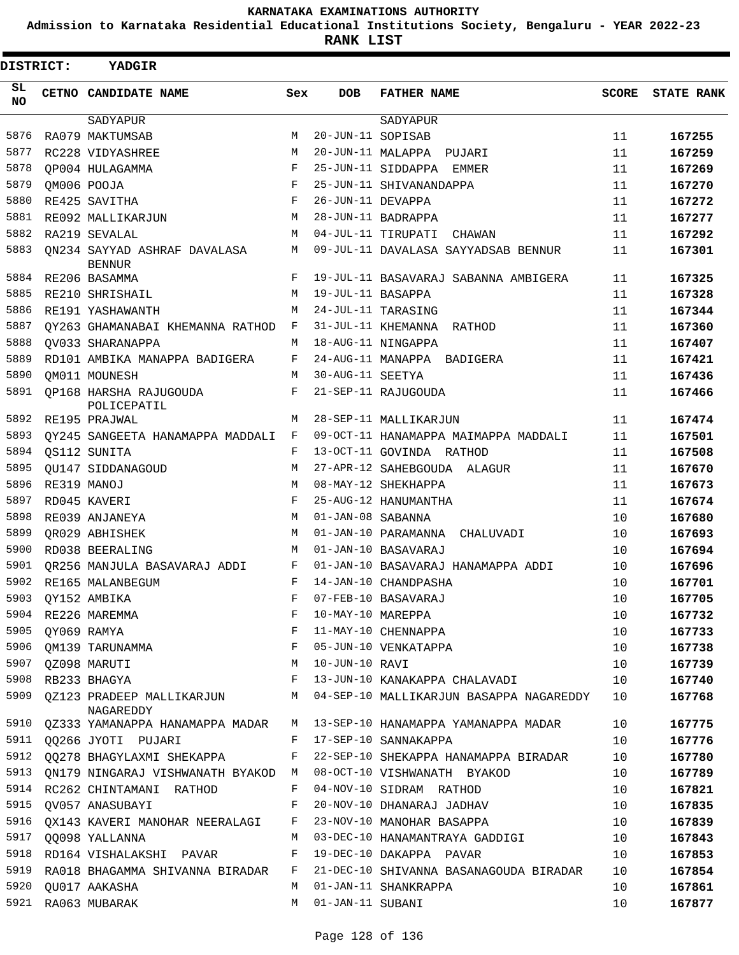**Admission to Karnataka Residential Educational Institutions Society, Bengaluru - YEAR 2022-23**

**RANK LIST**

| DISTRICT:       |                  | YADGIR                                                              |     |                   |                                                                            |              |                   |
|-----------------|------------------|---------------------------------------------------------------------|-----|-------------------|----------------------------------------------------------------------------|--------------|-------------------|
| SL<br><b>NO</b> |                  | CETNO CANDIDATE NAME                                                | Sex | DOB               | <b>FATHER NAME</b>                                                         | <b>SCORE</b> | <b>STATE RANK</b> |
|                 |                  | SADYAPUR                                                            |     |                   | SADYAPUR                                                                   |              |                   |
| 5876            |                  | RA079 MAKTUMSAB                                                     | M   | 20-JUN-11 SOPISAB |                                                                            | 11           | 167255            |
| 5877            |                  | RC228 VIDYASHREE                                                    | M   |                   | 20-JUN-11 MALAPPA PUJARI                                                   | 11           | 167259            |
| 5878            |                  | OP004 HULAGAMMA                                                     | F   |                   | 25-JUN-11 SIDDAPPA EMMER                                                   | 11           | 167269            |
| 5879            |                  | QM006 POOJA                                                         | F   |                   | 25-JUN-11 SHIVANANDAPPA                                                    | 11           | 167270            |
| 5880            |                  | RE425 SAVITHA                                                       | F   | 26-JUN-11 DEVAPPA |                                                                            | 11           | 167272            |
| 5881            |                  | RE092 MALLIKARJUN                                                   | M   |                   | 28-JUN-11 BADRAPPA                                                         | 11           | 167277            |
| 5882            |                  | RA219 SEVALAL                                                       | M   |                   | 04-JUL-11 TIRUPATI<br>CHAWAN                                               | 11           | 167292            |
| 5883            |                  | QN234 SAYYAD ASHRAF DAVALASA<br><b>BENNUR</b>                       | М   |                   | 09-JUL-11 DAVALASA SAYYADSAB BENNUR                                        | 11           | 167301            |
| 5884            |                  | RE206 BASAMMA                                                       | F   |                   | 19-JUL-11 BASAVARAJ SABANNA AMBIGERA                                       | 11           | 167325            |
| 5885            |                  | RE210 SHRISHAIL                                                     | M   | 19-JUL-11 BASAPPA |                                                                            | 11           | 167328            |
| 5886            |                  | RE191 YASHAWANTH                                                    | M   |                   | 24-JUL-11 TARASING                                                         | 11           | 167344            |
| 5887            |                  | QY263 GHAMANABAI KHEMANNA RATHOD                                    | F   |                   | 31-JUL-11 KHEMANNA RATHOD                                                  | 11           | 167360            |
| 5888            |                  | OV033 SHARANAPPA                                                    | M   |                   | 18-AUG-11 NINGAPPA                                                         | 11           | 167407            |
| 5889            |                  | RD101 AMBIKA MANAPPA BADIGERA                                       | F   |                   | 24-AUG-11 MANAPPA BADIGERA                                                 | 11           | 167421            |
| 5890            |                  | QM011 MOUNESH                                                       | M   | 30-AUG-11 SEETYA  |                                                                            | 11           | 167436            |
| 5891            |                  | <b>OP168 HARSHA RAJUGOUDA</b><br>POLICEPATIL                        | F   |                   | 21-SEP-11 RAJUGOUDA                                                        | 11           | 167466            |
| 5892            |                  | RE195 PRAJWAL                                                       | M   |                   | 28-SEP-11 MALLIKARJUN                                                      | 11           | 167474            |
| 5893            |                  | OY245 SANGEETA HANAMAPPA MADDALI                                    | F   |                   | 09-OCT-11 HANAMAPPA MAIMAPPA MADDALI                                       | 11           | 167501            |
| 5894            |                  | QS112 SUNITA                                                        | F   |                   | 13-OCT-11 GOVINDA RATHOD                                                   | 11           | 167508            |
| 5895            |                  | OU147 SIDDANAGOUD                                                   | M   |                   | 27-APR-12 SAHEBGOUDA ALAGUR                                                | 11           | 167670            |
| 5896            |                  | RE319 MANOJ                                                         | M   |                   | 08-MAY-12 SHEKHAPPA                                                        | 11           | 167673            |
| 5897            |                  | RD045 KAVERI                                                        | F   |                   | 25-AUG-12 HANUMANTHA                                                       | 11           | 167674            |
| 5898            |                  | RE039 ANJANEYA                                                      | M   | 01-JAN-08 SABANNA |                                                                            | 10           | 167680            |
| 5899            |                  | OR029 ABHISHEK                                                      | M   |                   | 01-JAN-10 PARAMANNA CHALUVADI                                              | 10           | 167693            |
| 5900            |                  | RD038 BEERALING                                                     | M   |                   | 01-JAN-10 BASAVARAJ                                                        | 10           | 167694            |
| 5901            |                  | OR256 MANJULA BASAVARAJ ADDI                                        | F   |                   | 01-JAN-10 BASAVARAJ HANAMAPPA ADDI                                         | 10           | 167696            |
| 5902            |                  | RE165 MALANBEGUM                                                    | F   |                   | 14-JAN-10 CHANDPASHA                                                       | 10           | 167701            |
|                 |                  | 5903 QY152 AMBIKA                                                   | 国王  |                   | 07-FEB-10 BASAVARAJ                                                        | 10           | 167705            |
|                 |                  | 5904 RE226 MAREMMA                                                  | F   |                   | 07-FEB-10 BASAVARAJ<br>10-MAY-10 MAREPPA<br>11-MAY-10 CHENNAPPA            | 10           | 167732            |
|                 | 5905 QY069 RAMYA |                                                                     | F   |                   |                                                                            | 10           | 167733            |
|                 |                  | 5906 QM139 TARUNAMMA F                                              |     |                   | 05-JUN-10 VENKATAPPA                                                       | 10           | 167738            |
|                 |                  | M<br>5907 QZ098 MARUTI                                              |     | 10-JUN-10 RAVI    |                                                                            | 10           | 167739            |
|                 |                  | 5908 RB233 BHAGYA                                                   |     |                   | F 13-JUN-10 KANAKAPPA CHALAVADI                                            | 10           | 167740            |
|                 |                  | NAGAREDDY                                                           |     |                   | 5909 QZ123 PRADEEP MALLIKARJUN M 04-SEP-10 MALLIKARJUN BASAPPA NAGAREDDY   | 10           | 167768            |
|                 |                  |                                                                     |     |                   | 5910 QZ333 YAMANAPPA HANAMAPPA MADAR M 13-SEP-10 HANAMAPPA YAMANAPPA MADAR | 10           | 167775            |
|                 |                  | 5911 QQ266 JYOTI PUJARI                                             |     |                   | F 17-SEP-10 SANNAKAPPA                                                     | 10           | 167776            |
|                 |                  |                                                                     |     |                   | 5912 QQ278 BHAGYLAXMI SHEKAPPA F 22-SEP-10 SHEKAPPA HANAMAPPA BIRADAR      | 10           | 167780            |
|                 |                  | 5913 QN179 NINGARAJ VISHWANATH BYAKOD M 08-OCT-10 VISHWANATH BYAKOD |     |                   |                                                                            | 10           | 167789            |
|                 |                  | 5914 RC262 CHINTAMANI RATHOD                                        | F   |                   | 04-NOV-10 SIDRAM RATHOD                                                    | 10           | 167821            |
| 5915            |                  | QV057 ANASUBAYI                                                     | F   |                   | 20-NOV-10 DHANARAJ JADHAV                                                  | 10           | 167835            |
| 5916            |                  | QX143 KAVERI MANOHAR NEERALAGI F                                    |     |                   | 23-NOV-10 MANOHAR BASAPPA                                                  | 10           | 167839            |
|                 |                  | 5917 00098 YALLANNA                                                 | M   |                   | 03-DEC-10 HANAMANTRAYA GADDIGI                                             | 10           | 167843            |
|                 |                  | 5918 RD164 VISHALAKSHI PAVAR                                        | F   |                   | 19-DEC-10 DAKAPPA PAVAR                                                    | 10           | 167853            |
| 5919            |                  | RA018 BHAGAMMA SHIVANNA BIRADAR                                     | F   |                   | 21-DEC-10 SHIVANNA BASANAGOUDA BIRADAR                                     | 10           | 167854            |
|                 |                  | 5920 QU017 AAKASHA                                                  | M   |                   | 01-JAN-11 SHANKRAPPA                                                       | 10           | 167861            |
|                 |                  | 5921 RA063 MUBARAK                                                  | M   | 01-JAN-11 SUBANI  |                                                                            | 10           | 167877            |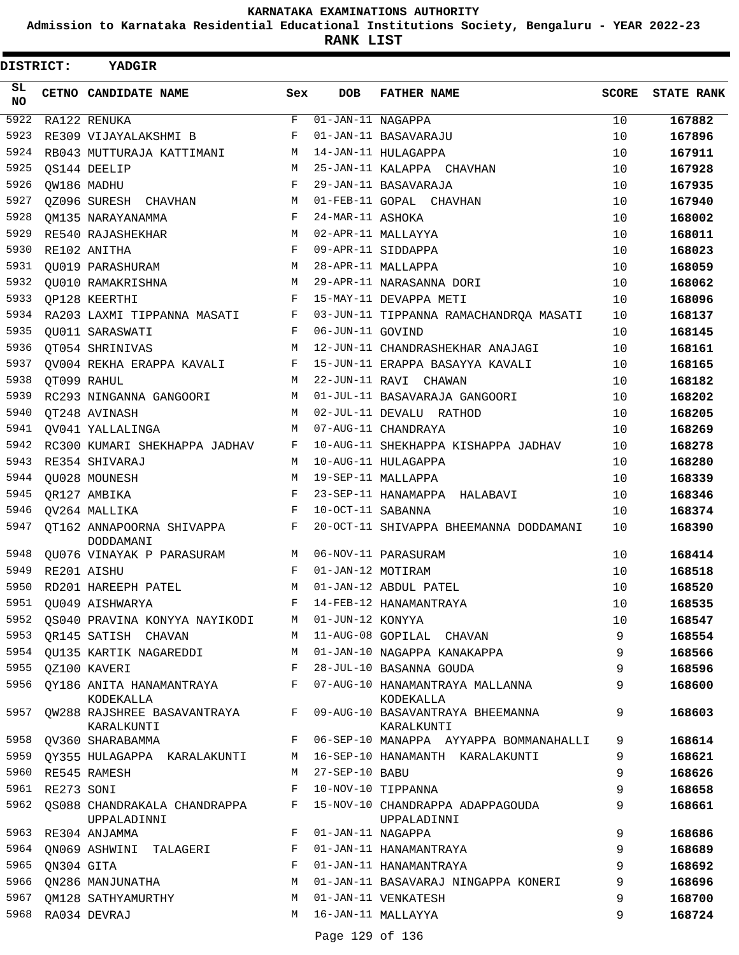**Admission to Karnataka Residential Educational Institutions Society, Bengaluru - YEAR 2022-23**

| <b>DISTRICT:</b> |                 | YADGIR                                           |             |                                 |                                                 |       |                   |
|------------------|-----------------|--------------------------------------------------|-------------|---------------------------------|-------------------------------------------------|-------|-------------------|
| SL.<br><b>NO</b> |                 | CETNO CANDIDATE NAME                             | Sex         | DOB                             | <b>FATHER NAME</b>                              | SCORE | <b>STATE RANK</b> |
| 5922             |                 | RA122 RENUKA                                     | $\mathbf F$ | $\overline{01}$ -JAN-11 NAGAPPA |                                                 | 10    | 167882            |
| 5923             |                 | RE309 VIJAYALAKSHMI B                            | F           |                                 | 01-JAN-11 BASAVARAJU                            | 10    | 167896            |
| 5924             |                 | RB043 MUTTURAJA KATTIMANI                        | М           |                                 | 14-JAN-11 HULAGAPPA                             | 10    | 167911            |
| 5925             |                 | OS144 DEELIP                                     | М           |                                 | 25-JAN-11 KALAPPA CHAVHAN                       | 10    | 167928            |
| 5926             |                 | QW186 MADHU                                      | F           |                                 | 29-JAN-11 BASAVARAJA                            | 10    | 167935            |
| 5927             |                 | QZ096 SURESH CHAVHAN                             | М           |                                 | 01-FEB-11 GOPAL CHAVHAN                         | 10    | 167940            |
| 5928             |                 | OM135 NARAYANAMMA                                | F           | 24-MAR-11 ASHOKA                |                                                 | 10    | 168002            |
| 5929             |                 | RE540 RAJASHEKHAR                                | M           |                                 | 02-APR-11 MALLAYYA                              | 10    | 168011            |
| 5930             |                 | RE102 ANITHA                                     | F           |                                 | 09-APR-11 SIDDAPPA                              | 10    | 168023            |
| 5931             |                 | QU019 PARASHURAM                                 | М           |                                 | 28-APR-11 MALLAPPA                              | 10    | 168059            |
| 5932             |                 | QU010 RAMAKRISHNA                                | M           |                                 | 29-APR-11 NARASANNA DORI                        | 10    | 168062            |
| 5933             |                 | QP128 KEERTHI                                    | F           |                                 | 15-MAY-11 DEVAPPA METI                          | 10    | 168096            |
| 5934             |                 | RA203 LAXMI TIPPANNA MASATI                      | F           |                                 | 03-JUN-11 TIPPANNA RAMACHANDRQA MASATI          | 10    | 168137            |
| 5935             |                 | QU011 SARASWATI                                  | F           | 06-JUN-11 GOVIND                |                                                 | 10    | 168145            |
| 5936             |                 | QT054 SHRINIVAS                                  | M           |                                 | 12-JUN-11 CHANDRASHEKHAR ANAJAGI                | 10    | 168161            |
| 5937             |                 | OV004 REKHA ERAPPA KAVALI                        | F           |                                 | 15-JUN-11 ERAPPA BASAYYA KAVALI                 | 10    | 168165            |
| 5938             |                 | OT099 RAHUL                                      | М           |                                 | 22-JUN-11 RAVI CHAWAN                           | 10    | 168182            |
| 5939             |                 | RC293 NINGANNA GANGOORI                          | М           |                                 | 01-JUL-11 BASAVARAJA GANGOORI                   | 10    | 168202            |
| 5940             |                 | QT248 AVINASH                                    | M           |                                 | 02-JUL-11 DEVALU RATHOD                         | 10    | 168205            |
| 5941             |                 | QV041 YALLALINGA                                 | М           |                                 | 07-AUG-11 CHANDRAYA                             | 10    | 168269            |
| 5942             |                 | RC300 KUMARI SHEKHAPPA JADHAV                    | F           |                                 | 10-AUG-11 SHEKHAPPA KISHAPPA JADHAV             | 10    | 168278            |
| 5943             |                 | RE354 SHIVARAJ                                   | M           |                                 | 10-AUG-11 HULAGAPPA                             | 10    | 168280            |
| 5944             |                 | QU028 MOUNESH                                    | M           |                                 | 19-SEP-11 MALLAPPA                              | 10    | 168339            |
| 5945             |                 | OR127 AMBIKA                                     | F           |                                 | 23-SEP-11 HANAMAPPA HALABAVI                    | 10    | 168346            |
| 5946             |                 | QV264 MALLIKA                                    | F           | 10-OCT-11 SABANNA               |                                                 | 10    | 168374            |
| 5947             |                 | QT162 ANNAPOORNA SHIVAPPA<br>DODDAMANI           | $_{\rm F}$  |                                 | 20-OCT-11 SHIVAPPA BHEEMANNA DODDAMANI          | 10    | 168390            |
| 5948             |                 | OU076 VINAYAK P PARASURAM                        | М           |                                 | 06-NOV-11 PARASURAM                             | 10    | 168414            |
| 5949             |                 | RE201 AISHU                                      | F           | 01-JAN-12 MOTIRAM               |                                                 | 10    | 168518            |
| 5950             |                 | RD201 HAREEPH PATEL                              | М           |                                 | 01-JAN-12 ABDUL PATEL                           | 10    | 168520            |
| 5951             |                 | QU049 AISHWARYA                                  | $F -$       |                                 | 14-FEB-12 HANAMANTRAYA                          | 10    | 168535            |
| 5952             |                 | OS040 PRAVINA KONYYA NAYIKODI                    |             | M 01-JUN-12 KONYYA              |                                                 | 10    | 168547            |
| 5953             |                 | QR145 SATISH CHAVAN                              | M           |                                 | 11-AUG-08 GOPILAL CHAVAN                        | 9     | 168554            |
|                  |                 | 5954 QU135 KARTIK NAGAREDDI                      | М           |                                 | 01-JAN-10 NAGAPPA KANAKAPPA                     | 9     | 168566            |
| 5955             |                 | QZ100 KAVERI                                     | F           |                                 | 28-JUL-10 BASANNA GOUDA                         | 9     | 168596            |
| 5956             |                 | QY186 ANITA HANAMANTRAYA<br>KODEKALLA            | F           |                                 | 07-AUG-10 HANAMANTRAYA MALLANNA<br>KODEKALLA    | 9     | 168600            |
|                  |                 | 5957 QW288 RAJSHREE BASAVANTRAYA F<br>KARALKUNTI |             |                                 | 09-AUG-10 BASAVANTRAYA BHEEMANNA<br>KARALKUNTI  | 9     | 168603            |
|                  |                 | 5958 QV360 SHARABAMMA                            | $F$ and     |                                 | 06-SEP-10 MANAPPA AYYAPPA BOMMANAHALLI          | 9     | 168614            |
|                  |                 | 5959 QY355 HULAGAPPA KARALAKUNTI                 | M           |                                 | 16-SEP-10 HANAMANTH KARALAKUNTI                 | 9     | 168621            |
| 5960             |                 | RE545 RAMESH                                     | M           | 27-SEP-10 BABU                  |                                                 | 9     | 168626            |
|                  | 5961 RE273 SONI |                                                  | F           |                                 | 10-NOV-10 TIPPANNA                              | 9     | 168658            |
| 5962             |                 | QS088 CHANDRAKALA CHANDRAPPA<br>UPPALADINNI      | F           |                                 | 15-NOV-10 CHANDRAPPA ADAPPAGOUDA<br>UPPALADINNI | 9     | 168661            |
|                  |                 | 5963 RE304 ANJAMMA                               | F           | 01-JAN-11 NAGAPPA               |                                                 | 9     | 168686            |
| 5964             |                 | QN069 ASHWINI TALAGERI                           | F           |                                 | 01-JAN-11 HANAMANTRAYA                          | 9     | 168689            |
| 5965             | ON304 GITA      |                                                  | F           |                                 | 01-JAN-11 HANAMANTRAYA                          | 9     | 168692            |
| 5966             |                 | ON286 MANJUNATHA                                 | М           |                                 | 01-JAN-11 BASAVARAJ NINGAPPA KONERI             | 9     | 168696            |
|                  |                 | 5967 QM128 SATHYAMURTHY                          | M           |                                 | 01-JAN-11 VENKATESH                             | 9     | 168700            |
|                  |                 | 5968 RA034 DEVRAJ                                | M           |                                 | 16-JAN-11 MALLAYYA                              | 9     | 168724            |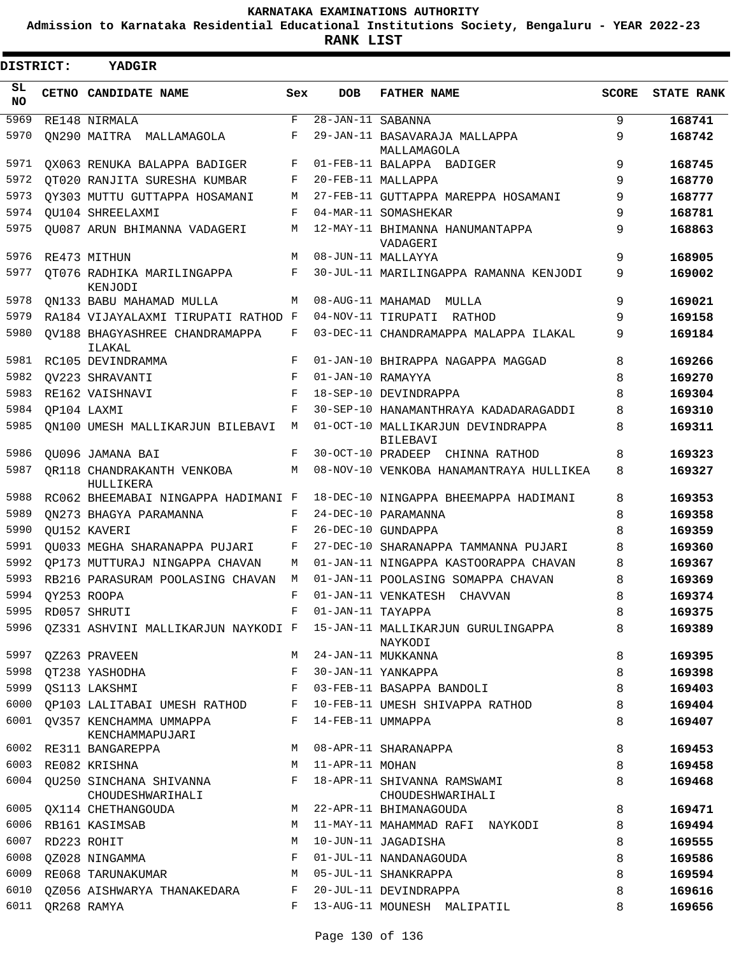**Admission to Karnataka Residential Educational Institutions Society, Bengaluru - YEAR 2022-23**

**RANK LIST**

Е

| DISTRICT:        | <b>YADGIR</b>                                                                                  |     |                                    |                                                                                   |              |                   |
|------------------|------------------------------------------------------------------------------------------------|-----|------------------------------------|-----------------------------------------------------------------------------------|--------------|-------------------|
| SL.<br><b>NO</b> | CETNO CANDIDATE NAME                                                                           | Sex | <b>DOB</b>                         | <b>FATHER NAME</b>                                                                | <b>SCORE</b> | <b>STATE RANK</b> |
| 5969             | RE148 NIRMALA                                                                                  | F   | $\overline{28 - JAN - 11}$ SABANNA |                                                                                   | 9            | 168741            |
| 5970             | ON290 MAITRA MALLAMAGOLA                                                                       | F   |                                    | 29-JAN-11 BASAVARAJA MALLAPPA<br>MALLAMAGOLA                                      | 9            | 168742            |
| 5971             | OX063 RENUKA BALAPPA BADIGER                                                                   | F   |                                    | 01-FEB-11 BALAPPA BADIGER                                                         | 9            | 168745            |
| 5972             | OT020 RANJITA SURESHA KUMBAR                                                                   | F   |                                    | 20-FEB-11 MALLAPPA                                                                | 9            | 168770            |
| 5973             | QY303 MUTTU GUTTAPPA HOSAMANI                                                                  | М   |                                    | 27-FEB-11 GUTTAPPA MAREPPA HOSAMANI                                               | 9            | 168777            |
| 5974             | OU104 SHREELAXMI                                                                               | F   |                                    | 04-MAR-11 SOMASHEKAR                                                              | 9            | 168781            |
| 5975             | QU087 ARUN BHIMANNA VADAGERI                                                                   | М   |                                    | 12-MAY-11 BHIMANNA HANUMANTAPPA<br>VADAGERI                                       | 9            | 168863            |
| 5976             | RE473 MITHUN                                                                                   | М   |                                    | 08-JUN-11 MALLAYYA                                                                | 9            | 168905            |
| 5977             | QT076 RADHIKA MARILINGAPPA<br>KENJODI                                                          | F   |                                    | 30-JUL-11 MARILINGAPPA RAMANNA KENJODI                                            | 9            | 169002            |
| 5978             | QN133 BABU MAHAMAD MULLA                                                                       | М   |                                    | 08-AUG-11 MAHAMAD MULLA                                                           | 9            | 169021            |
| 5979             | RA184 VIJAYALAXMI TIRUPATI RATHOD F                                                            |     |                                    | 04-NOV-11 TIRUPATI RATHOD                                                         | 9            | 169158            |
| 5980             | OV188 BHAGYASHREE CHANDRAMAPPA<br>ILAKAL                                                       | F   |                                    | 03-DEC-11 CHANDRAMAPPA MALAPPA ILAKAL                                             | 9            | 169184            |
| 5981             | RC105 DEVINDRAMMA                                                                              | F   |                                    | 01-JAN-10 BHIRAPPA NAGAPPA MAGGAD                                                 | 8            | 169266            |
| 5982             | OV223 SHRAVANTI                                                                                | F   | 01-JAN-10 RAMAYYA                  |                                                                                   | 8            | 169270            |
| 5983             | RE162 VAISHNAVI                                                                                | F   |                                    | 18-SEP-10 DEVINDRAPPA                                                             | 8            | 169304            |
| 5984             | OP104 LAXMI                                                                                    | F   |                                    | 30-SEP-10 HANAMANTHRAYA KADADARAGADDI                                             | 8            | 169310            |
| 5985             | ON100 UMESH MALLIKARJUN BILEBAVI                                                               | М   |                                    | 01-OCT-10 MALLIKARJUN DEVINDRAPPA<br>BILEBAVI                                     | 8            | 169311            |
| 5986             | OU096 JAMANA BAI                                                                               | F   |                                    | 30-OCT-10 PRADEEP CHINNA RATHOD                                                   | 8            | 169323            |
| 5987             | OR118 CHANDRAKANTH VENKOBA<br>HULLIKERA                                                        | М   |                                    | 08-NOV-10 VENKOBA HANAMANTRAYA HULLIKEA                                           | 8            | 169327            |
| 5988             | RC062 BHEEMABAI NINGAPPA HADIMANI F                                                            |     |                                    | 18-DEC-10 NINGAPPA BHEEMAPPA HADIMANI                                             | 8            | 169353            |
| 5989             | QN273 BHAGYA PARAMANNA                                                                         | F   |                                    | 24-DEC-10 PARAMANNA                                                               | 8            | 169358            |
| 5990             | QU152 KAVERI                                                                                   | F   |                                    | 26-DEC-10 GUNDAPPA                                                                | 8            | 169359            |
| 5991             | QU033 MEGHA SHARANAPPA PUJARI                                                                  | F   |                                    | 27-DEC-10 SHARANAPPA TAMMANNA PUJARI                                              | 8            | 169360            |
| 5992             | OP173 MUTTURAJ NINGAPPA CHAVAN                                                                 | М   |                                    | 01-JAN-11 NINGAPPA KASTOORAPPA CHAVAN                                             | 8            | 169367            |
| 5993             | RB216 PARASURAM POOLASING CHAVAN                                                               | M   |                                    | 01-JAN-11 POOLASING SOMAPPA CHAVAN                                                | 8            | 169369            |
| 5994             | QY253 ROOPA                                                                                    | F   |                                    | 01-JAN-11 VENKATESH CHAVVAN                                                       | 8            | 169374            |
|                  | 5995 RD057 SHRUTI                                                                              |     | F 01-JAN-11 TAYAPPA                |                                                                                   | 8            | 169375            |
| 5996             |                                                                                                |     |                                    | QZ331 ASHVINI MALLIKARJUN NAYKODI F 15-JAN-11 MALLIKARJUN GURULINGAPPA<br>NAYKODI | 8            | 169389            |
| 5997             | QZ263 PRAVEEN                                                                                  |     |                                    | M 24-JAN-11 MUKKANNA                                                              | 8            | 169395            |
| 5998             | OT238 YASHODHA                                                                                 |     |                                    | F 30-JAN-11 YANKAPPA                                                              | 8            | 169398            |
| 5999             | OS113 LAKSHMI                                                                                  | F   |                                    | 03-FEB-11 BASAPPA BANDOLI                                                         | 8            | 169403            |
| 6000             | QP103 LALITABAI UMESH RATHOD F 10-FEB-11 UMESH SHIVAPPA RATHOD<br>6001 QV357 KENCHAMMA UMMAPPA |     | F 14-FEB-11 UMMAPPA                |                                                                                   | 8<br>8       | 169404<br>169407  |
|                  | KENCHAMMAPUJARI                                                                                |     |                                    |                                                                                   |              |                   |
|                  | 6002 RE311 BANGAREPPA                                                                          | М   |                                    | 08-APR-11 SHARANAPPA                                                              | 8            | 169453            |
|                  | 6003 RE082 KRISHNA                                                                             | M   | 11-APR-11 MOHAN                    |                                                                                   | 8            | 169458            |
|                  | 6004 QU250 SINCHANA SHIVANNA<br>CHOUDESHWARIHALI                                               | F   |                                    | 18-APR-11 SHIVANNA RAMSWAMI<br>CHOUDESHWARIHALI                                   | 8            | 169468            |
| 6005             | QX114 CHETHANGOUDA                                                                             | M   |                                    | 22-APR-11 BHIMANAGOUDA                                                            | 8            | 169471            |
| 6006             | RB161 KASIMSAB                                                                                 | M   |                                    | 11-MAY-11 MAHAMMAD RAFI NAYKODI                                                   | 8            | 169494            |
| 6007             | RD223 ROHIT                                                                                    | M   |                                    | 10-JUN-11 JAGADISHA                                                               | 8            | 169555            |
|                  | 6008 QZ028 NINGAMMA                                                                            | F   |                                    | 01-JUL-11 NANDANAGOUDA                                                            | 8            | 169586            |
| 6009             | RE068 TARUNAKUMAR                                                                              | М   |                                    | 05-JUL-11 SHANKRAPPA                                                              | 8            | 169594            |
| 6010             | QZ056 AISHWARYA THANAKEDARA                                                                    |     |                                    | F 20-JUL-11 DEVINDRAPPA                                                           | 8            | 169616            |
| 6011             | QR268 RAMYA                                                                                    |     |                                    | F 13-AUG-11 MOUNESH MALIPATIL                                                     | 8            | 169656            |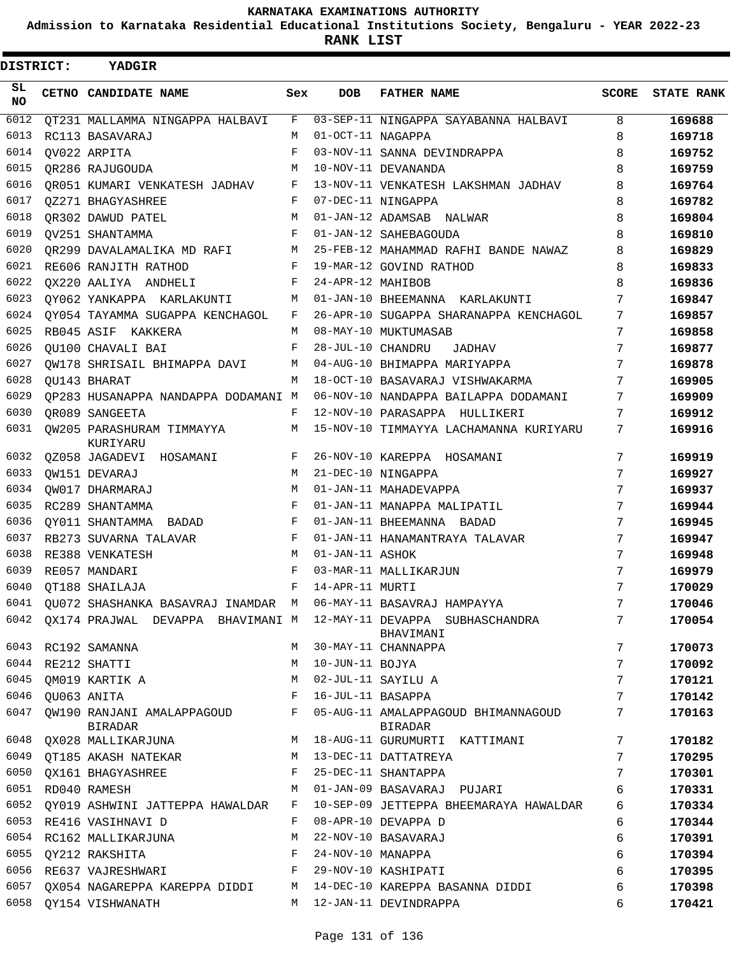**Admission to Karnataka Residential Educational Institutions Society, Bengaluru - YEAR 2022-23**

.

**RANK LIST**

| DISTRICT:  | <b>YADGIR</b>                                                          |              |                   |                                                       |              |                   |
|------------|------------------------------------------------------------------------|--------------|-------------------|-------------------------------------------------------|--------------|-------------------|
| SL.<br>NO. | CETNO CANDIDATE NAME                                                   | Sex          | <b>DOB</b>        | <b>FATHER NAME</b>                                    | <b>SCORE</b> | <b>STATE RANK</b> |
| 6012       | OT231 MALLAMMA NINGAPPA HALBAVI                                        | F            |                   | 03-SEP-11 NINGAPPA SAYABANNA HALBAVI                  | 8            | 169688            |
| 6013       | RC113 BASAVARAJ                                                        | M            | 01-OCT-11 NAGAPPA |                                                       | 8            | 169718            |
| 6014       | OV022 ARPITA                                                           | F            |                   | 03-NOV-11 SANNA DEVINDRAPPA                           | 8            | 169752            |
| 6015       | OR286 RAJUGOUDA                                                        | M            |                   | 10-NOV-11 DEVANANDA                                   | 8            | 169759            |
| 6016       | QR051 KUMARI VENKATESH JADHAV F                                        |              |                   | 13-NOV-11 VENKATESH LAKSHMAN JADHAV                   | 8            | 169764            |
| 6017       | QZ271 BHAGYASHREE                                                      | F            |                   | 07-DEC-11 NINGAPPA                                    | 8            | 169782            |
| 6018       | OR302 DAWUD PATEL                                                      | M            |                   | 01-JAN-12 ADAMSAB NALWAR                              | 8            | 169804            |
| 6019       | OV251 SHANTAMMA                                                        | F            |                   | 01-JAN-12 SAHEBAGOUDA                                 | 8            | 169810            |
| 6020       | QR299 DAVALAMALIKA MD RAFI M                                           |              |                   | 25-FEB-12 MAHAMMAD RAFHI BANDE NAWAZ                  | 8            | 169829            |
| 6021       | RE606 RANJITH RATHOD                                                   | F            |                   | 19-MAR-12 GOVIND RATHOD                               | 8            | 169833            |
| 6022       | OX220 AALIYA ANDHELI                                                   | F            | 24-APR-12 MAHIBOB |                                                       | 8            | 169836            |
| 6023       | QY062 YANKAPPA KARLAKUNTI                                              | M            |                   | 01-JAN-10 BHEEMANNA KARLAKUNTI                        | 7            | 169847            |
| 6024       | QY054 TAYAMMA SUGAPPA KENCHAGOL                                        | $\mathbf{F}$ |                   | 26-APR-10 SUGAPPA SHARANAPPA KENCHAGOL                | 7            | 169857            |
| 6025       | RB045 ASIF KAKKERA                                                     | M            |                   | 08-MAY-10 MUKTUMASAB                                  | 7            | 169858            |
| 6026       | QU100 CHAVALI BAI                                                      | F            | 28-JUL-10 CHANDRU | JADHAV                                                | 7            | 169877            |
| 6027       | OW178 SHRISAIL BHIMAPPA DAVI                                           | M            |                   | 04-AUG-10 BHIMAPPA MARIYAPPA                          | 7            | 169878            |
| 6028       | OU143 BHARAT                                                           | M            |                   | 18-OCT-10 BASAVARAJ VISHWAKARMA                       | 7            | 169905            |
| 6029       | OP283 HUSANAPPA NANDAPPA DODAMANI M                                    |              |                   | 06-NOV-10 NANDAPPA BAILAPPA DODAMANI                  | 7            | 169909            |
| 6030       | OR089 SANGEETA                                                         | F            |                   | 12-NOV-10 PARASAPPA HULLIKERI                         | 7            | 169912            |
| 6031       | OW205 PARASHURAM TIMMAYYA<br>KURIYARU                                  | M            |                   | 15-NOV-10 TIMMAYYA LACHAMANNA KURIYARU                | 7            | 169916            |
| 6032       | QZ058 JAGADEVI HOSAMANI                                                | F            |                   | 26-NOV-10 KAREPPA HOSAMANI                            | 7            | 169919            |
| 6033       | QW151 DEVARAJ                                                          | M            |                   | 21-DEC-10 NINGAPPA                                    | 7            | 169927            |
| 6034       | QW017 DHARMARAJ                                                        | M            |                   | 01-JAN-11 MAHADEVAPPA                                 | 7            | 169937            |
| 6035       | RC289 SHANTAMMA                                                        | F            |                   | 01-JAN-11 MANAPPA MALIPATIL                           | 7            | 169944            |
| 6036       | OY011 SHANTAMMA BADAD                                                  | F            |                   | 01-JAN-11 BHEEMANNA BADAD                             | 7            | 169945            |
| 6037       | RB273 SUVARNA TALAVAR                                                  | F            |                   | 01-JAN-11 HANAMANTRAYA TALAVAR                        | 7            | 169947            |
| 6038       | RE388 VENKATESH                                                        | M            | 01-JAN-11 ASHOK   |                                                       | 7            | 169948            |
| 6039       | RE057 MANDARI                                                          | F            |                   | 03-MAR-11 MALLIKARJUN                                 | 7            | 169979            |
| 6040       | QT188 SHAILAJA                                                         | F            | 14-APR-11 MURTI   |                                                       | 7            | 170029            |
| 6041       | QU072 SHASHANKA BASAVRAJ INAMDAR M 06-MAY-11 BASAVRAJ HAMPAYYA         |              |                   |                                                       | 7            | 170046            |
|            | 6042 QX174 PRAJWAL DEVAPPA BHAVIMANI M 12-MAY-11 DEVAPPA SUBHASCHANDRA |              |                   | BHAVIMANI                                             | 7            | 170054            |
|            | 6043 RC192 SAMANNA                                                     | M            |                   | 30-MAY-11 CHANNAPPA                                   | 7            | 170073            |
|            | 6044 RE212 SHATTI                                                      | M            | 10-JUN-11 BOJYA   |                                                       | 7            | 170092            |
| 6045       | OM019 KARTIK A                                                         | M            |                   | 02-JUL-11 SAYILU A                                    | 7            | 170121            |
| 6046       | OU063 ANITA                                                            | F            | 16-JUL-11 BASAPPA |                                                       | 7            | 170142            |
| 6047       | QW190 RANJANI AMALAPPAGOUD F<br><b>BIRADAR</b>                         |              |                   | 05-AUG-11 AMALAPPAGOUD BHIMANNAGOUD<br><b>BIRADAR</b> | 7            | 170163            |
|            | 6048 QX028 MALLIKARJUNA                                                | M            |                   | 18-AUG-11 GURUMURTI KATTIMANI                         | 7            | 170182            |
|            | 6049 QT185 AKASH NATEKAR                                               | M            |                   | 13-DEC-11 DATTATREYA                                  | 7            | 170295            |
| 6050       | QX161 BHAGYASHREE                                                      | F            |                   | 25-DEC-11 SHANTAPPA                                   | 7            | 170301            |
| 6051       | RD040 RAMESH                                                           | M            |                   | 01-JAN-09 BASAVARAJ PUJARI                            | 6            | 170331            |
| 6052       | OY019 ASHWINI JATTEPPA HAWALDAR                                        | F            |                   | 10-SEP-09 JETTEPPA BHEEMARAYA HAWALDAR                | 6            | 170334            |
|            | 6053 RE416 VASIHNAVI D                                                 | F            |                   | 08-APR-10 DEVAPPA D                                   | 6            | 170344            |
|            | 6054 RC162 MALLIKARJUNA                                                | М            |                   | 22-NOV-10 BASAVARAJ                                   | 6            | 170391            |
| 6055       | OY212 RAKSHITA                                                         | F            | 24-NOV-10 MANAPPA |                                                       | 6            | 170394            |
| 6056       | RE637 VAJRESHWARI                                                      | F            |                   | 29-NOV-10 KASHIPATI                                   | 6            | 170395            |
| 6057       | QX054 NAGAREPPA KAREPPA DIDDI                                          | M            |                   | 14-DEC-10 KAREPPA BASANNA DIDDI                       | 6            | 170398            |
| 6058       | QY154 VISHWANATH                                                       | M            |                   | 12-JAN-11 DEVINDRAPPA                                 | 6            | 170421            |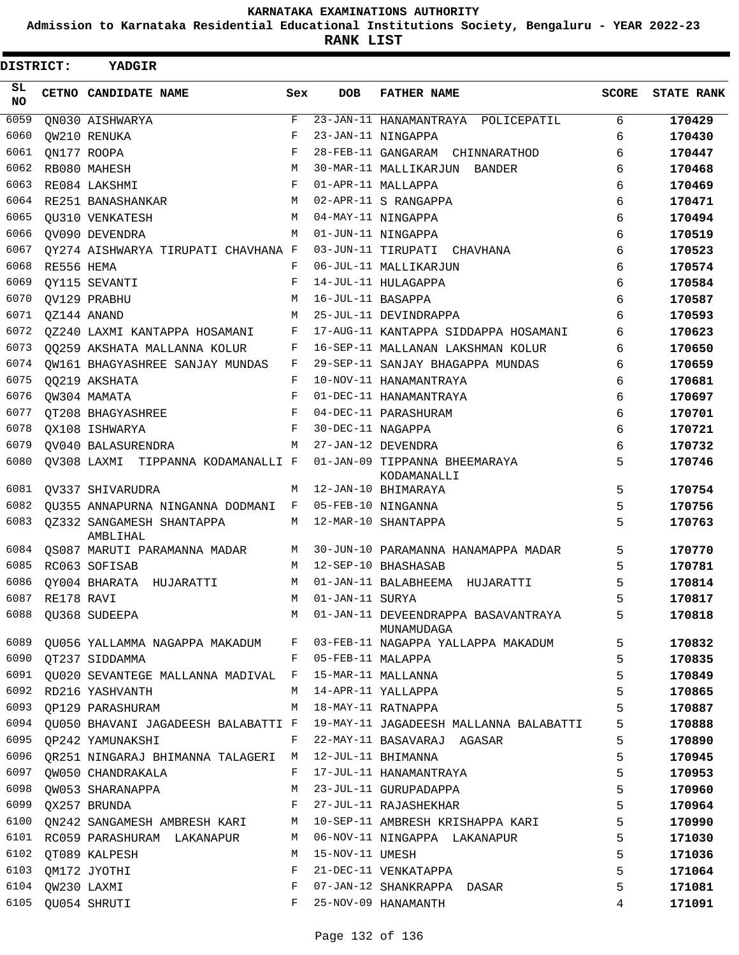**Admission to Karnataka Residential Educational Institutions Society, Bengaluru - YEAR 2022-23**

| DISTRICT:       |                 | YADGIR                                                |             |                   |                                                                            |       |                   |
|-----------------|-----------------|-------------------------------------------------------|-------------|-------------------|----------------------------------------------------------------------------|-------|-------------------|
| SL<br><b>NO</b> |                 | CETNO CANDIDATE NAME                                  | Sex         | <b>DOB</b>        | <b>FATHER NAME</b>                                                         | SCORE | <b>STATE RANK</b> |
| 6059            |                 | QN030 AISHWARYA                                       | $\mathbf F$ |                   | 23-JAN-11 HANAMANTRAYA POLICEPATIL                                         | 6     | 170429            |
| 6060            |                 | OW210 RENUKA                                          | F           |                   | 23-JAN-11 NINGAPPA                                                         | 6     | 170430            |
| 6061            |                 | QN177 ROOPA                                           | F           |                   | 28-FEB-11 GANGARAM CHINNARATHOD                                            | 6     | 170447            |
| 6062            |                 | RB080 MAHESH                                          | M           |                   | 30-MAR-11 MALLIKARJUN<br>BANDER                                            | 6     | 170468            |
| 6063            |                 | RE084 LAKSHMI                                         | F           |                   | 01-APR-11 MALLAPPA                                                         | 6     | 170469            |
| 6064            |                 | RE251 BANASHANKAR                                     | M           |                   | 02-APR-11 S RANGAPPA                                                       | 6     | 170471            |
| 6065            |                 | <b>OU310 VENKATESH</b>                                | M           |                   | 04-MAY-11 NINGAPPA                                                         | 6     | 170494            |
| 6066            |                 | OV090 DEVENDRA                                        | M           |                   | 01-JUN-11 NINGAPPA                                                         | 6     | 170519            |
| 6067            |                 | OY274 AISHWARYA TIRUPATI CHAVHANA F                   |             |                   | 03-JUN-11 TIRUPATI CHAVHANA                                                | 6     | 170523            |
| 6068            | RE556 HEMA      |                                                       | F           |                   | 06-JUL-11 MALLIKARJUN                                                      | 6     | 170574            |
| 6069            |                 | OY115 SEVANTI                                         | F           |                   | 14-JUL-11 HULAGAPPA                                                        | 6     | 170584            |
| 6070            |                 | QV129 PRABHU                                          | M           | 16-JUL-11 BASAPPA |                                                                            | 6     | 170587            |
| 6071            |                 | QZ144 ANAND                                           | M           |                   | 25-JUL-11 DEVINDRAPPA                                                      | 6     | 170593            |
| 6072            |                 | OZ240 LAXMI KANTAPPA HOSAMANI                         | F           |                   | 17-AUG-11 KANTAPPA SIDDAPPA HOSAMANI                                       | 6     | 170623            |
| 6073            |                 | QQ259 AKSHATA MALLANNA KOLUR                          | F           |                   | 16-SEP-11 MALLANAN LAKSHMAN KOLUR                                          | 6     | 170650            |
| 6074            |                 | OW161 BHAGYASHREE SANJAY MUNDAS                       | F           |                   | 29-SEP-11 SANJAY BHAGAPPA MUNDAS                                           | 6     | 170659            |
| 6075            |                 | QQ219 AKSHATA                                         | F           |                   | 10-NOV-11 HANAMANTRAYA                                                     | 6     | 170681            |
| 6076            |                 | QW304 MAMATA                                          | F           |                   | 01-DEC-11 HANAMANTRAYA                                                     | 6     | 170697            |
| 6077            |                 | OT208 BHAGYASHREE                                     | F           |                   | 04-DEC-11 PARASHURAM                                                       | 6     | 170701            |
| 6078            |                 | OX108 ISHWARYA                                        | F           | 30-DEC-11 NAGAPPA |                                                                            | 6     | 170721            |
| 6079            |                 | OV040 BALASURENDRA                                    | M           |                   | 27-JAN-12 DEVENDRA                                                         | 6     | 170732            |
| 6080            |                 | OV308 LAXMI TIPPANNA KODAMANALLI F                    |             |                   | 01-JAN-09 TIPPANNA BHEEMARAYA<br>KODAMANALLI                               | 5     | 170746            |
| 6081            |                 | OV337 SHIVARUDRA                                      | M           |                   | 12-JAN-10 BHIMARAYA                                                        | 5     | 170754            |
| 6082            |                 | OU355 ANNAPURNA NINGANNA DODMANI                      | F           |                   | 05-FEB-10 NINGANNA                                                         | 5     | 170756            |
| 6083            |                 | 0Z332 SANGAMESH SHANTAPPA<br>AMBLIHAL                 | М           |                   | 12-MAR-10 SHANTAPPA                                                        | 5     | 170763            |
| 6084            |                 | QS087 MARUTI PARAMANNA MADAR                          | М           |                   | 30-JUN-10 PARAMANNA HANAMAPPA MADAR                                        | 5     | 170770            |
| 6085            |                 | RC063 SOFISAB                                         | M           |                   | 12-SEP-10 BHASHASAB                                                        | 5     | 170781            |
| 6086            |                 | OY004 BHARATA HUJARATTI                               | М           |                   | 01-JAN-11 BALABHEEMA<br>HUJARATTI                                          | 5     | 170814            |
|                 | 6087 RE178 RAVI |                                                       |             | M 01-JAN-11 SURYA |                                                                            | 5     | 170817            |
|                 |                 | 6088 QU368 SUDEEPA                                    |             |                   | M 01-JAN-11 DEVEENDRAPPA BASAVANTRAYA<br>MUNAMUDAGA                        | 5     | 170818            |
| 6089            |                 |                                                       |             |                   | QU056 YALLAMMA NAGAPPA MAKADUM F 03-FEB-11 NAGAPPA YALLAPPA MAKADUM        | 5     | 170832            |
|                 |                 | 6090 QT237 SIDDAMMA                                   |             |                   | F 05-FEB-11 MALAPPA                                                        | 5     | 170835            |
| 6091            |                 | QU020 SEVANTEGE MALLANNA MADIVAL F 15-MAR-11 MALLANNA |             |                   |                                                                            | 5     | 170849            |
| 6092            |                 | RD216 YASHVANTH                                       | M           |                   | 14-APR-11 YALLAPPA                                                         | 5     | 170865            |
| 6093            |                 | QP129 PARASHURAM                                      | M           |                   | 18-MAY-11 RATNAPPA                                                         | 5     | 170887            |
| 6094            |                 |                                                       |             |                   | QU050 BHAVANI JAGADEESH BALABATTI F 19-MAY-11 JAGADEESH MALLANNA BALABATTI | 5     | 170888            |
| 6095            |                 | QP242 YAMUNAKSHI                                      | F           |                   | 22-MAY-11 BASAVARAJ AGASAR                                                 | 5     | 170890            |
| 6096            |                 | QR251 NINGARAJ BHIMANNA TALAGERI M 12-JUL-11 BHIMANNA |             |                   |                                                                            | 5     | 170945            |
| 6097            |                 | QW050 CHANDRAKALA                                     | F           |                   | 17-JUL-11 HANAMANTRAYA                                                     | 5     | 170953            |
| 6098            |                 | QW053 SHARANAPPA                                      |             |                   | M 23-JUL-11 GURUPADAPPA                                                    | 5     | 170960            |
| 6099            |                 | QX257 BRUNDA                                          |             |                   | F 27-JUL-11 RAJASHEKHAR                                                    | 5     | 170964            |
| 6100            |                 |                                                       |             |                   | QN242 SANGAMESH AMBRESH KARI M 10-SEP-11 AMBRESH KRISHAPPA KARI            | 5     | 170990            |
| 6101            |                 | RC059 PARASHURAM LAKANAPUR M                          |             |                   | 06-NOV-11 NINGAPPA LAKANAPUR                                               | 5     | 171030            |
| 6102            |                 | QT089 KALPESH                                         | М           | 15-NOV-11 UMESH   |                                                                            | 5     | 171036            |
| 6103            |                 | QM172 JYOTHI                                          | F           |                   | 21-DEC-11 VENKATAPPA                                                       | 5     | 171064            |
| 6104            |                 | QW230 LAXMI                                           | F           |                   | 07-JAN-12 SHANKRAPPA DASAR                                                 | 5     | 171081            |
| 6105            |                 | QU054 SHRUTI                                          | $F -$       |                   | 25-NOV-09 HANAMANTH                                                        | 4     | 171091            |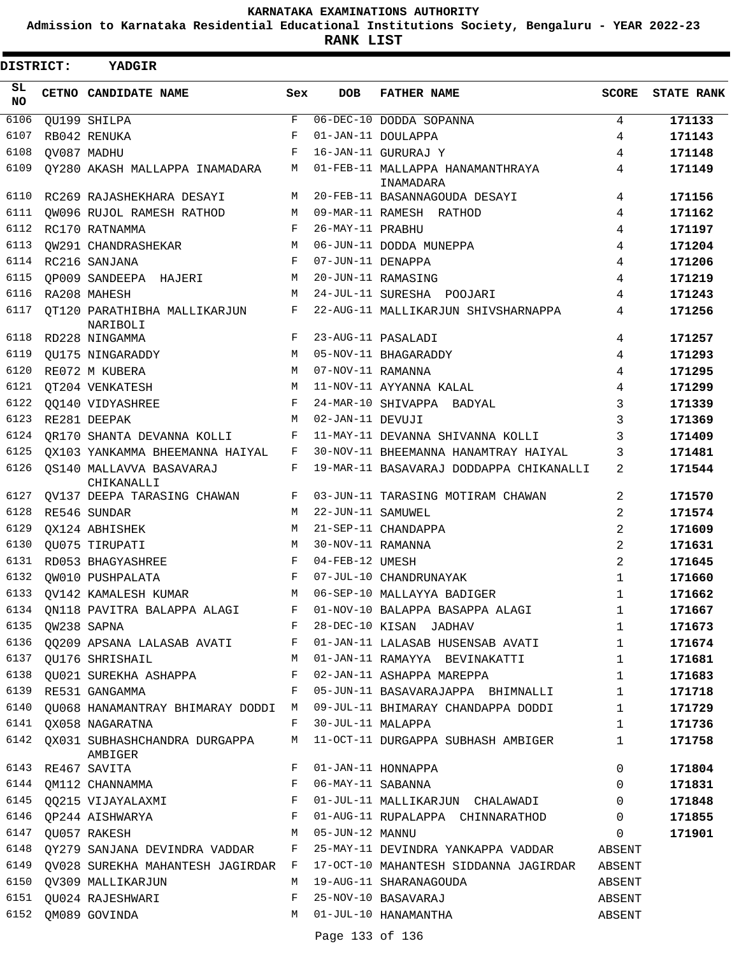**Admission to Karnataka Residential Educational Institutions Society, Bengaluru - YEAR 2022-23**

**RANK LIST**

| DISTRICT:       | YADGIR                                   |     |                   |                                                                    |                |                   |
|-----------------|------------------------------------------|-----|-------------------|--------------------------------------------------------------------|----------------|-------------------|
| SL<br><b>NO</b> | CETNO CANDIDATE NAME                     | Sex | <b>DOB</b>        | <b>FATHER NAME</b>                                                 | <b>SCORE</b>   | <b>STATE RANK</b> |
| 6106            | QU199 SHILPA                             | F   |                   | 06-DEC-10 DODDA SOPANNA                                            | 4              | 171133            |
| 6107            | RB042 RENUKA                             | F   |                   | 01-JAN-11 DOULAPPA                                                 | 4              | 171143            |
| 6108            | OV087 MADHU                              | F   |                   | 16-JAN-11 GURURAJ Y                                                | 4              | 171148            |
| 6109            | QY280 AKASH MALLAPPA INAMADARA           | М   |                   | 01-FEB-11 MALLAPPA HANAMANTHRAYA<br>INAMADARA                      | 4              | 171149            |
| 6110            | RC269 RAJASHEKHARA DESAYI                | М   |                   | 20-FEB-11 BASANNAGOUDA DESAYI                                      | 4              | 171156            |
| 6111            | QW096 RUJOL RAMESH RATHOD                | М   |                   | 09-MAR-11 RAMESH RATHOD                                            | 4              | 171162            |
| 6112            | RC170 RATNAMMA                           | F   | 26-MAY-11 PRABHU  |                                                                    | 4              | 171197            |
| 6113            | OW291 CHANDRASHEKAR                      | M   |                   | 06-JUN-11 DODDA MUNEPPA                                            | 4              | 171204            |
| 6114            | RC216 SANJANA                            | F   | 07-JUN-11 DENAPPA |                                                                    | 4              | 171206            |
| 6115            | QP009 SANDEEPA HAJERI                    | М   |                   | 20-JUN-11 RAMASING                                                 | 4              | 171219            |
| 6116            | RA208 MAHESH                             | М   |                   | 24-JUL-11 SURESHA POOJARI                                          | 4              | 171243            |
| 6117            | OT120 PARATHIBHA MALLIKARJUN<br>NARIBOLI | F   |                   | 22-AUG-11 MALLIKARJUN SHIVSHARNAPPA                                | 4              | 171256            |
| 6118            | RD228 NINGAMMA                           | F   |                   | 23-AUG-11 PASALADI                                                 | 4              | 171257            |
| 6119            | QU175 NINGARADDY                         | M   |                   | 05-NOV-11 BHAGARADDY                                               | 4              | 171293            |
| 6120            | RE072 M KUBERA                           | M   | 07-NOV-11 RAMANNA |                                                                    | 4              | 171295            |
| 6121            | QT204 VENKATESH                          | M   |                   | 11-NOV-11 AYYANNA KALAL                                            | 4              | 171299            |
| 6122            | OO140 VIDYASHREE                         | F   |                   | 24-MAR-10 SHIVAPPA BADYAL                                          | 3              | 171339            |
| 6123            | RE281 DEEPAK                             | M   | 02-JAN-11 DEVUJI  |                                                                    | 3              | 171369            |
| 6124            | QR170 SHANTA DEVANNA KOLLI               | F   |                   | 11-MAY-11 DEVANNA SHIVANNA KOLLI                                   | 3              | 171409            |
| 6125            | QX103 YANKAMMA BHEEMANNA HAIYAL          | F   |                   | 30-NOV-11 BHEEMANNA HANAMTRAY HAIYAL                               | 3              | 171481            |
| 6126            | OS140 MALLAVVA BASAVARAJ<br>CHIKANALLI   | F   |                   | 19-MAR-11 BASAVARAJ DODDAPPA CHIKANALLI                            | 2              | 171544            |
| 6127            | QV137 DEEPA TARASING CHAWAN              | F   |                   | 03-JUN-11 TARASING MOTIRAM CHAWAN                                  | 2              | 171570            |
| 6128            | RE546 SUNDAR                             | M   | 22-JUN-11 SAMUWEL |                                                                    | 2              | 171574            |
| 6129            | OX124 ABHISHEK                           | M   |                   | 21-SEP-11 CHANDAPPA                                                | 2              | 171609            |
| 6130            | QU075 TIRUPATI                           | M   | 30-NOV-11 RAMANNA |                                                                    | 2              | 171631            |
| 6131            | RD053 BHAGYASHREE                        | F   | 04-FEB-12 UMESH   |                                                                    | $\overline{2}$ | 171645            |
| 6132            | OW010 PUSHPALATA                         | F   |                   | 07-JUL-10 CHANDRUNAYAK                                             | $\mathbf{1}$   | 171660            |
| 6133            | OV142 KAMALESH KUMAR                     | M   |                   | 06-SEP-10 MALLAYYA BADIGER                                         | $\mathbf{1}$   | 171662            |
| 6134            | QN118 PAVITRA BALAPPA ALAGI              | F   |                   | 01-NOV-10 BALAPPA BASAPPA ALAGI                                    | $\mathbf{1}$   | 171667            |
| 6135            | QW238 SAPNA                              |     |                   | F 28-DEC-10 KISAN JADHAV                                           | 1              | 171673            |
|                 |                                          |     |                   | 6136 QQ209 APSANA LALASAB AVATI F 01-JAN-11 LALASAB HUSENSAB AVATI | $\mathbf 1$    | 171674            |
|                 | 6137 QU176 SHRISHAIL<br>M                |     |                   | 01-JAN-11 RAMAYYA BEVINAKATTI                                      | $\mathbf{1}$   | 171681            |
| 6138            | QU021 SUREKHA ASHAPPA                    | F   |                   | 02-JAN-11 ASHAPPA MAREPPA                                          | $\mathbf 1$    | 171683            |
| 6139            | RE531 GANGAMMA                           | F   |                   | 05-JUN-11 BASAVARAJAPPA BHIMNALLI                                  | 1              | 171718            |
| 6140            | QU068 HANAMANTRAY BHIMARAY DODDI M       |     |                   | 09-JUL-11 BHIMARAY CHANDAPPA DODDI                                 | $\mathbf 1$    | 171729            |
| 6141            | QX058 NAGARATNA                          | F   | 30-JUL-11 MALAPPA |                                                                    | 1              | 171736            |
| 6142            | QX031 SUBHASHCHANDRA DURGAPPA<br>AMBIGER | M   |                   | 11-OCT-11 DURGAPPA SUBHASH AMBIGER                                 | 1              | 171758            |
|                 | 6143 RE467 SAVITA                        | F   |                   | 01-JAN-11 HONNAPPA                                                 | 0              | 171804            |
|                 | 6144 QM112 CHANNAMMA                     | F   | 06-MAY-11 SABANNA |                                                                    | $\Omega$       | 171831            |
| 6145            | QQ215 VIJAYALAXMI F                      |     |                   | 01-JUL-11 MALLIKARJUN CHALAWADI                                    | $\overline{0}$ | 171848            |
|                 | 6146 QP244 AISHWARYA F                   |     |                   | 01-AUG-11 RUPALAPPA CHINNARATHOD                                   | $\overline{0}$ | 171855            |
| 6147            | M <sub>N</sub><br>QU057 RAKESH           |     | 05-JUN-12 MANNU   |                                                                    | $\overline{0}$ | 171901            |
| 6148            | QY279 SANJANA DEVINDRA VADDAR            | F   |                   | 25-MAY-11 DEVINDRA YANKAPPA VADDAR                                 | ABSENT         |                   |
| 6149            | QV028 SUREKHA MAHANTESH JAGIRDAR F       |     |                   | 17-OCT-10 MAHANTESH SIDDANNA JAGIRDAR                              | ABSENT         |                   |
|                 | 6150 QV309 MALLIKARJUN                   | M   |                   | 19-AUG-11 SHARANAGOUDA                                             | ABSENT         |                   |
| 6151            | QU024 RAJESHWARI                         | F   |                   | 25-NOV-10 BASAVARAJ                                                | ABSENT         |                   |
| 6152            | QM089 GOVINDA                            | М   |                   | 01-JUL-10 HANAMANTHA                                               | ABSENT         |                   |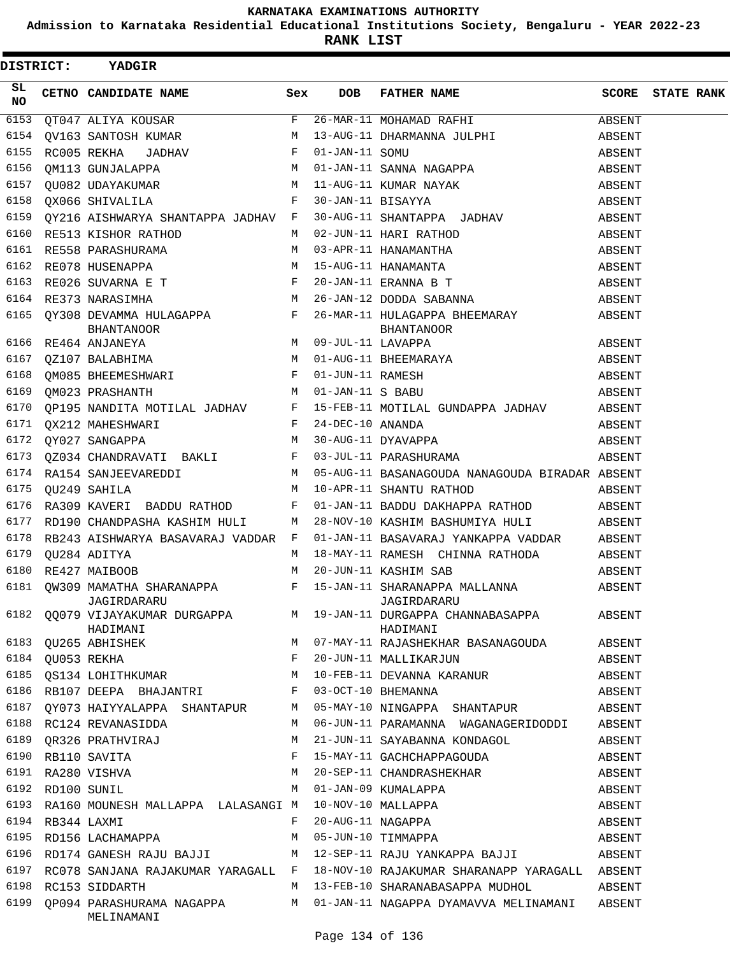**Admission to Karnataka Residential Educational Institutions Society, Bengaluru - YEAR 2022-23**

| DISTRICT: YADGIR |  |                                                                                           |   |            |                                                                                                                                                                                                                                                                                                                                                           |        |                         |  |  |
|------------------|--|-------------------------------------------------------------------------------------------|---|------------|-----------------------------------------------------------------------------------------------------------------------------------------------------------------------------------------------------------------------------------------------------------------------------------------------------------------------------------------------------------|--------|-------------------------|--|--|
| SL.<br>NO.       |  | CETNO CANDIDATE NAME Sex                                                                  |   | <b>DOB</b> | FATHER NAME                                                                                                                                                                                                                                                                                                                                               |        | <b>SCORE</b> STATE RANK |  |  |
|                  |  |                                                                                           |   |            |                                                                                                                                                                                                                                                                                                                                                           |        |                         |  |  |
|                  |  |                                                                                           |   |            |                                                                                                                                                                                                                                                                                                                                                           |        |                         |  |  |
|                  |  |                                                                                           |   |            |                                                                                                                                                                                                                                                                                                                                                           |        |                         |  |  |
|                  |  |                                                                                           |   |            |                                                                                                                                                                                                                                                                                                                                                           |        |                         |  |  |
|                  |  |                                                                                           |   |            | 6157 QU082 UDAYAKUMAR $\begin{array}{ccccccccc}\n & & & & & \mathbb{M} & 11-\text{AUG}-11 & \text{KUMAR} & \text{NAYAK} & & & & & \text{ABSENT} \\ \hline\n & & & & & & \mathbb{F} & 30-\text{JAN}-11 & \text{BISAYYA} & & & & & & \text{ABSENT} \\  & & & & & & & \mathbb{F} & 30-\text{JAN}-11 & \text{BISAYYA} & & & & & & \text{ABSENT}\n\end{array}$ |        |                         |  |  |
|                  |  |                                                                                           |   |            |                                                                                                                                                                                                                                                                                                                                                           |        |                         |  |  |
| 6159             |  |                                                                                           |   |            | QY216 AISHWARYA SHANTAPPA JADHAV F 30-AUG-11 SHANTAPPA JADHAV ABSENT                                                                                                                                                                                                                                                                                      |        |                         |  |  |
| 6160             |  |                                                                                           |   |            | RE513 KISHOR RATHOD M 02-JUN-11 HARI RATHOD                                                                                                                                                                                                                                                                                                               |        |                         |  |  |
|                  |  |                                                                                           |   |            |                                                                                                                                                                                                                                                                                                                                                           |        |                         |  |  |
|                  |  |                                                                                           |   |            |                                                                                                                                                                                                                                                                                                                                                           |        |                         |  |  |
|                  |  |                                                                                           |   |            |                                                                                                                                                                                                                                                                                                                                                           |        |                         |  |  |
|                  |  |                                                                                           |   |            |                                                                                                                                                                                                                                                                                                                                                           |        |                         |  |  |
|                  |  |                                                                                           |   |            |                                                                                                                                                                                                                                                                                                                                                           |        |                         |  |  |
|                  |  |                                                                                           |   |            |                                                                                                                                                                                                                                                                                                                                                           |        |                         |  |  |
|                  |  |                                                                                           |   |            |                                                                                                                                                                                                                                                                                                                                                           |        |                         |  |  |
|                  |  |                                                                                           |   |            |                                                                                                                                                                                                                                                                                                                                                           |        |                         |  |  |
|                  |  |                                                                                           |   |            |                                                                                                                                                                                                                                                                                                                                                           |        |                         |  |  |
| 6170             |  |                                                                                           |   |            | QP195 NANDITA MOTILAL JADHAV F 15-FEB-11 MOTILAL GUNDAPPA JADHAV ABSENT                                                                                                                                                                                                                                                                                   |        |                         |  |  |
|                  |  |                                                                                           |   |            |                                                                                                                                                                                                                                                                                                                                                           |        |                         |  |  |
|                  |  |                                                                                           |   |            | ABSENT (2002) ANAHESHWARI F 24-DEC-10 ANANDA (2002) ANGERIT (20034 CHANDRAVATI BAKLI F 03-JUL-11 PARASHURAMA (20034 CHANDRAVATI BAKLI F 03-JUL-11 PARASHURAMA (20034 CHANDRAVATI BAKLI F 03-JUL-11 PARASHURAMA (20034 CHANDRAV                                                                                                                            |        |                         |  |  |
|                  |  |                                                                                           |   |            |                                                                                                                                                                                                                                                                                                                                                           |        |                         |  |  |
| 6174             |  |                                                                                           |   |            | RA154 SANJEEVAREDDI M 05-AUG-11 BASANAGOUDA NANAGOUDA BIRADAR ABSENT                                                                                                                                                                                                                                                                                      |        |                         |  |  |
|                  |  |                                                                                           |   |            |                                                                                                                                                                                                                                                                                                                                                           |        |                         |  |  |
|                  |  |                                                                                           |   |            |                                                                                                                                                                                                                                                                                                                                                           |        |                         |  |  |
| 6177             |  |                                                                                           |   |            | RD190 CHANDPASHA KASHIM HULI M 28-NOV-10 KASHIM BASHUMIYA HULI ABSENT                                                                                                                                                                                                                                                                                     |        |                         |  |  |
| 6178             |  |                                                                                           |   |            | RB243 AISHWARYA BASAVARAJ VADDAR F 01-JAN-11 BASAVARAJ YANKAPPA VADDAR ABSENT                                                                                                                                                                                                                                                                             |        |                         |  |  |
|                  |  |                                                                                           |   |            |                                                                                                                                                                                                                                                                                                                                                           |        |                         |  |  |
|                  |  |                                                                                           |   |            |                                                                                                                                                                                                                                                                                                                                                           |        |                         |  |  |
|                  |  |                                                                                           |   |            | %6179 QU284 ADITYA (ERANGER 189 M) 18-MAY-11 RAMESH CHINNA RATHODA (ERANGENT 180 RE427 MAIBOOB M) 20-JUN-11 KASHIM SAB (ERANGENT 1993)<br>6181 QW309 MAMATHA SHARANAPPA (ERANGER 15-JAN-11 SHARANAPPA MALLANNA (ERANGENT 1995) AB                                                                                                                         |        |                         |  |  |
|                  |  | HADIMANI                                                                                  |   |            | JAGIRDARARU<br>6182 QQ079 VIJAYAKUMAR DURGAPPA M 19-JAN-11 DURGAPPA CHANNABASAPPA ABSENT<br>HADIMANI                                                                                                                                                                                                                                                      |        |                         |  |  |
|                  |  |                                                                                           |   |            |                                                                                                                                                                                                                                                                                                                                                           | ABSENT |                         |  |  |
|                  |  |                                                                                           |   |            | HADIMANI<br>6183 QU265 ABHISHEK<br>6184 QU053 REKHA<br>6185 QS134 LOHITHKUMAR<br>6185 QS134 AMITHKUMAR<br>M 10-FEB-11 DEVANNA KARANUR                                                                                                                                                                                                                     | ABSENT |                         |  |  |
|                  |  |                                                                                           |   |            |                                                                                                                                                                                                                                                                                                                                                           | ABSENT |                         |  |  |
| 6186             |  | RB107 DEEPA BHAJANTRI F 03-OCT-10 BHEMANNA                                                |   |            |                                                                                                                                                                                                                                                                                                                                                           | ABSENT |                         |  |  |
|                  |  | 6187 QY073 HAIYYALAPPA SHANTAPUR M 05-MAY-10 NINGAPPA SHANTAPUR                           |   |            |                                                                                                                                                                                                                                                                                                                                                           | ABSENT |                         |  |  |
|                  |  | 6188 RC124 REVANASIDDA                                                                    | M |            | 06-JUN-11 PARAMANNA WAGANAGERIDODDI ABSENT                                                                                                                                                                                                                                                                                                                |        |                         |  |  |
|                  |  | 6189 QR326 PRATHVIRAJ<br>6190 RB110 SAVITA F<br>6191 RA280 VISHVA M<br>6192 RD100 SUNIL M |   |            | 21-JUN-11 SAYABANNA KONDAGOL                                                                                                                                                                                                                                                                                                                              | ABSENT |                         |  |  |
|                  |  |                                                                                           |   |            | 15-MAY-11 GACHCHAPPAGOUDA                                                                                                                                                                                                                                                                                                                                 | ABSENT |                         |  |  |
|                  |  |                                                                                           |   |            | 20-SEP-11 CHANDRASHEKHAR                                                                                                                                                                                                                                                                                                                                  | ABSENT |                         |  |  |
|                  |  |                                                                                           |   |            | 01-JAN-09 KUMALAPPA                                                                                                                                                                                                                                                                                                                                       | ABSENT |                         |  |  |
| 6193             |  | RA160 MOUNESH MALLAPPA LALASANGI M                                                        |   |            | 10-NOV-10 MALLAPPA                                                                                                                                                                                                                                                                                                                                        | ABSENT |                         |  |  |
|                  |  | 6194 RB344 LAXMI                                                                          | F |            | 20-AUG-11 NAGAPPA<br>05-JUN-10 TIMMAPPA                                                                                                                                                                                                                                                                                                                   | ABSENT |                         |  |  |
|                  |  | 6195 RD156 LACHAMAPPA                                                                     | M |            |                                                                                                                                                                                                                                                                                                                                                           | ABSENT |                         |  |  |
|                  |  |                                                                                           |   |            | 6196 RD174 GANESH RAJU BAJJI M 12-SEP-11 RAJU YANKAPPA BAJJI ABSENT                                                                                                                                                                                                                                                                                       |        |                         |  |  |
|                  |  |                                                                                           |   |            | 6197 RC078 SANJANA RAJAKUMAR YARAGALL F 18-NOV-10 RAJAKUMAR SHARANAPP YARAGALL ABSENT                                                                                                                                                                                                                                                                     |        |                         |  |  |
|                  |  | 6198 RC153 SIDDARTH                                                                       |   |            | M 13-FEB-10 SHARANABASAPPA MUDHOL ABSENT                                                                                                                                                                                                                                                                                                                  |        |                         |  |  |
|                  |  | MELINAMANI                                                                                |   |            | 6199 QP094 PARASHURAMA NAGAPPA M 01-JAN-11 NAGAPPA DYAMAVVA MELINAMANI ABSENT                                                                                                                                                                                                                                                                             |        |                         |  |  |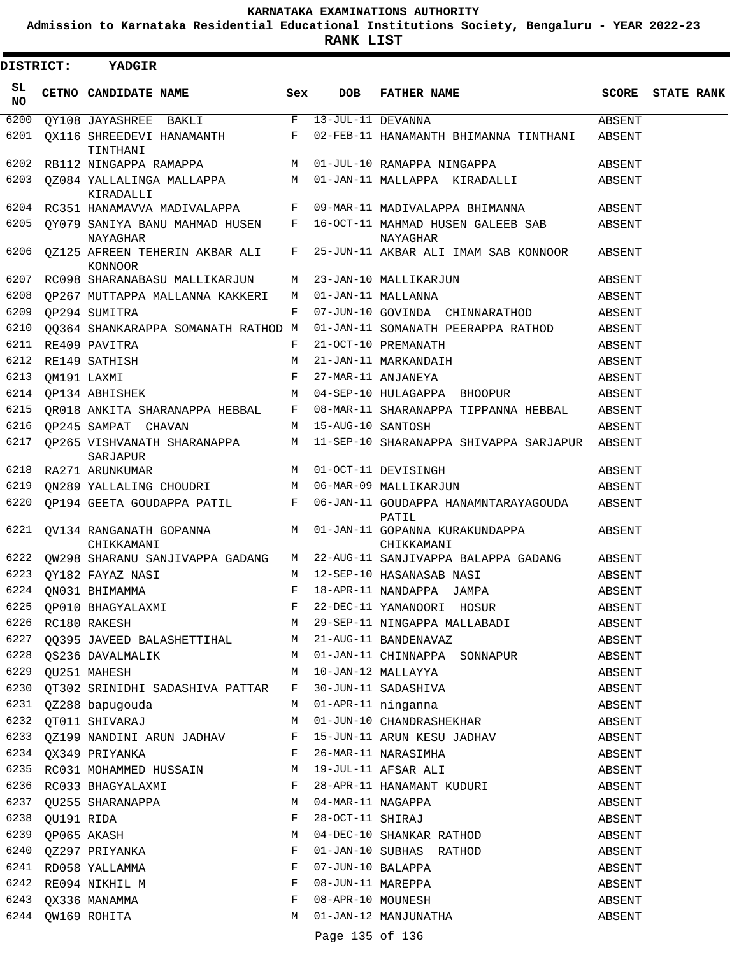**Admission to Karnataka Residential Educational Institutions Society, Bengaluru - YEAR 2022-23**

| <b>DISTRICT:</b> |                 | <b>YADGIR</b>                                                         |              |                     |                                                                                |        |                   |
|------------------|-----------------|-----------------------------------------------------------------------|--------------|---------------------|--------------------------------------------------------------------------------|--------|-------------------|
| SL.<br><b>NO</b> |                 | CETNO CANDIDATE NAME                                                  | Sex          | <b>DOB</b>          | <b>FATHER NAME</b>                                                             | SCORE  | <b>STATE RANK</b> |
| 6200             |                 | $QY108 JAYASHREE BAKLI F 13-JUL-11 DEVANNA$                           |              |                     |                                                                                | ABSENT |                   |
| 6201             |                 | TINTHANI                                                              |              |                     | $QX116$ SHREEDEVI HANAMANTH $F$ 02-FEB-11 HANAMANTH BHIMANNA TINTHANI          | ABSENT |                   |
| 6202             |                 | RB112 NINGAPPA RAMAPPA M M 01-JUL-10 RAMAPPA NINGAPPA                 |              |                     |                                                                                | ABSENT |                   |
| 6203             |                 | QZ084 YALLALINGA MALLAPPA M 01-JAN-11 MALLAPPA KIRADALLI<br>KIRADALLI |              |                     |                                                                                | ABSENT |                   |
| 6204             |                 |                                                                       |              |                     | RC351 HANAMAVVA MADIVALAPPA F 09-MAR-11 MADIVALAPPA BHIMANNA                   | ABSENT |                   |
| 6205             |                 | NAYAGHAR                                                              |              |                     | QY079 SANIYA BANU MAHMAD HUSEN F 16-OCT-11 MAHMAD HUSEN GALEEB SAB<br>NAYAGHAR | ABSENT |                   |
| 6206             |                 | QZ125 AFREEN TEHERIN AKBAR ALI F<br>KONNOOR                           |              |                     | 25-JUN-11 AKBAR ALI IMAM SAB KONNOOR                                           | ABSENT |                   |
| 6207             |                 | RC098 SHARANABASU MALLIKARJUN                                         |              |                     | M 23-JAN-10 MALLIKARJUN                                                        | ABSENT |                   |
| 6208             |                 | QP267 MUTTAPPA MALLANNA KAKKERI M 01-JAN-11 MALLANNA                  |              |                     |                                                                                | ABSENT |                   |
| 6209             |                 | OP294 SUMITRA                                                         | F            |                     | 07-JUN-10 GOVINDA CHINNARATHOD                                                 | ABSENT |                   |
| 6210             |                 | 00364 SHANKARAPPA SOMANATH RATHOD M                                   |              |                     | 01-JAN-11 SOMANATH PEERAPPA RATHOD                                             | ABSENT |                   |
| 6211             |                 | RE409 PAVITRA                                                         | F            |                     | 21-OCT-10 PREMANATH                                                            | ABSENT |                   |
| 6212             |                 | RE149 SATHISH                                                         | M            |                     | 21-JAN-11 MARKANDAIH                                                           | ABSENT |                   |
| 6213             |                 | OM191 LAXMI                                                           | F            |                     | 27-MAR-11 ANJANEYA                                                             | ABSENT |                   |
| 6214             |                 | OP134 ABHISHEK                                                        |              |                     | M 04-SEP-10 HULAGAPPA BHOOPUR ABSENT                                           |        |                   |
| 6215             |                 |                                                                       |              |                     | QR018 ANKITA SHARANAPPA HEBBAL F 08-MAR-11 SHARANAPPA TIPPANNA HEBBAL ABSENT   |        |                   |
| 6216             |                 | OP245 SAMPAT CHAVAN                                                   |              | M 15-AUG-10 SANTOSH |                                                                                | ABSENT |                   |
| 6217             |                 | SARJAPUR                                                              |              |                     | QP265 VISHVANATH SHARANAPPA M 11-SEP-10 SHARANAPPA SHIVAPPA SARJAPUR ABSENT    |        |                   |
| 6218             |                 | RA271 ARUNKUMAR                                                       |              |                     | M 01-OCT-11 DEVISINGH                                                          | ABSENT |                   |
| 6219             |                 | QN289 YALLALING CHOUDRI M 06-MAR-09 MALLIKARJUN                       |              |                     |                                                                                | ABSENT |                   |
| 6220             |                 |                                                                       |              |                     | QP194 GEETA GOUDAPPA PATIL F 06-JAN-11 GOUDAPPA HANAMNTARAYAGOUDA<br>PATIL     | ABSENT |                   |
| 6221             |                 | CHIKKAMANI                                                            |              |                     | QV134 RANGANATH GOPANNA M M 01-JAN-11 GOPANNA KURAKUNDAPPA<br>CHIKKAMANI       | ABSENT |                   |
| 6222             |                 |                                                                       |              |                     | QW298 SHARANU SANJIVAPPA GADANG M 22-AUG-11 SANJIVAPPA BALAPPA GADANG ABSENT   |        |                   |
| 6223             |                 | QY182 FAYAZ NASI                                                      |              |                     | M 12-SEP-10 HASANASAB NASI                                                     | ABSENT |                   |
| 6224             |                 | ON031 BHIMAMMA                                                        | F            |                     | 18-APR-11 NANDAPPA JAMPA                                                       | ABSENT |                   |
| 6225             |                 |                                                                       | F            |                     | 22-DEC-11 YAMANOORI HOSUR                                                      | ABSENT |                   |
|                  |                 | QP010 BHAGYALAXMI<br>RC180 RAKESH<br>6226 RC180 RAKESH                |              |                     | M 29-SEP-11 NINGAPPA MALLABADI                                                 | ABSENT |                   |
| 6227             |                 | QQ395 JAVEED BALASHETTIHAL M 21-AUG-11 BANDENAVAZ                     |              |                     |                                                                                | ABSENT |                   |
|                  |                 | 6228 QS236 DAVALMALIK                                                 |              |                     | M 01-JAN-11 CHINNAPPA SONNAPUR                                                 | ABSENT |                   |
|                  |                 | 6229 QU251 MAHESH                                                     | M            |                     | 10-JAN-12 MALLAYYA                                                             | ABSENT |                   |
|                  |                 | 6230 QT302 SRINIDHI SADASHIVA PATTAR F                                |              |                     | 30-JUN-11 SADASHIVA                                                            | ABSENT |                   |
|                  |                 | 6231 QZ288 bapugouda                                                  |              |                     | M 01-APR-11 ninganna                                                           | ABSENT |                   |
| 6232             |                 | QT011 SHIVARAJ                                                        | M            |                     | 01-JUN-10 CHANDRASHEKHAR                                                       | ABSENT |                   |
| 6233             |                 | QZ199 NANDINI ARUN JADHAV F<br>OX349 PRIYANKA F                       |              |                     | 15-JUN-11 ARUN KESU JADHAV                                                     | ABSENT |                   |
|                  |                 | 6234 QX349 PRIYANKA                                                   | $\mathbf{F}$ |                     | 26-MAR-11 NARASIMHA                                                            | ABSENT |                   |
|                  |                 | 6235 RC031 MOHAMMED HUSSAIN M 19-JUL-11 AFSAR ALI                     |              |                     |                                                                                | ABSENT |                   |
| 6236             |                 | RC033 BHAGYALAXMI F                                                   |              |                     | 28-APR-11 HANAMANT KUDURI                                                      | ABSENT |                   |
|                  |                 | 6237 QU255 SHARANAPPA                                                 | M            |                     | 04-MAR-11 NAGAPPA                                                              | ABSENT |                   |
|                  | 6238 QU191 RIDA |                                                                       | F            |                     | 28-OCT-11 SHIRAJ                                                               | ABSENT |                   |
| 6239             |                 | QP065 AKASH                                                           | M            |                     | 04-DEC-10 SHANKAR RATHOD                                                       | ABSENT |                   |
| 6240             |                 | QZ297 PRIYANKA                                                        | F            |                     | 01-JAN-10 SUBHAS RATHOD                                                        | ABSENT |                   |
|                  |                 | 6241 RD058 YALLAMMA                                                   | F            |                     | 07-JUN-10 BALAPPA                                                              | ABSENT |                   |
|                  |                 | 6242 RE094 NIKHIL M                                                   | F            |                     | 08-JUN-11 MAREPPA                                                              | ABSENT |                   |
|                  |                 | 6243 QX336 MANAMMA                                                    | F            |                     | 08-APR-10 MOUNESH                                                              | ABSENT |                   |
|                  |                 | 6244 QW169 ROHITA                                                     | M            |                     | 01-JAN-12 MANJUNATHA                                                           | ABSENT |                   |